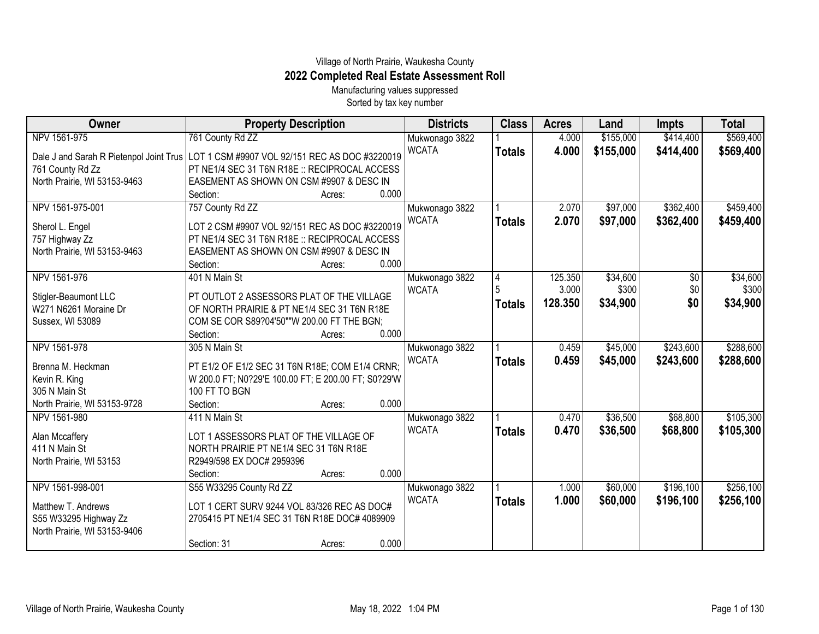## Village of North Prairie, Waukesha County **2022 Completed Real Estate Assessment Roll** Manufacturing values suppressed

Sorted by tax key number

| <b>Owner</b>                            | <b>Property Description</b>                                          |                 | <b>Districts</b> | <b>Class</b>  | <b>Acres</b> | Land      | <b>Impts</b> | <b>Total</b> |
|-----------------------------------------|----------------------------------------------------------------------|-----------------|------------------|---------------|--------------|-----------|--------------|--------------|
| NPV 1561-975                            | 761 County Rd ZZ                                                     |                 | Mukwonago 3822   |               | 4.000        | \$155,000 | \$414,400    | \$569,400    |
| Dale J and Sarah R Pietenpol Joint Trus | LOT 1 CSM #9907 VOL 92/151 REC AS DOC #3220019                       |                 | <b>WCATA</b>     | <b>Totals</b> | 4.000        | \$155,000 | \$414,400    | \$569,400    |
| 761 County Rd Zz                        | PT NE1/4 SEC 31 T6N R18E :: RECIPROCAL ACCESS                        |                 |                  |               |              |           |              |              |
| North Prairie, WI 53153-9463            | EASEMENT AS SHOWN ON CSM #9907 & DESC IN                             |                 |                  |               |              |           |              |              |
|                                         | Section:                                                             | 0.000<br>Acres: |                  |               |              |           |              |              |
| NPV 1561-975-001                        | 757 County Rd ZZ                                                     |                 | Mukwonago 3822   |               | 2.070        | \$97,000  | \$362,400    | \$459,400    |
| Sherol L. Engel                         | LOT 2 CSM #9907 VOL 92/151 REC AS DOC #3220019                       |                 | <b>WCATA</b>     | <b>Totals</b> | 2.070        | \$97,000  | \$362,400    | \$459,400    |
| 757 Highway Zz                          | PT NE1/4 SEC 31 T6N R18E :: RECIPROCAL ACCESS                        |                 |                  |               |              |           |              |              |
| North Prairie, WI 53153-9463            | EASEMENT AS SHOWN ON CSM #9907 & DESC IN                             |                 |                  |               |              |           |              |              |
|                                         | Section:                                                             | 0.000<br>Acres: |                  |               |              |           |              |              |
| NPV 1561-976                            | 401 N Main St                                                        |                 | Mukwonago 3822   | 4             | 125.350      | \$34,600  | \$0          | \$34,600     |
| Stigler-Beaumont LLC                    | PT OUTLOT 2 ASSESSORS PLAT OF THE VILLAGE                            |                 | <b>WCATA</b>     |               | 3.000        | \$300     | \$0          | \$300        |
| W271 N6261 Moraine Dr                   | OF NORTH PRAIRIE & PT NE1/4 SEC 31 T6N R18E                          |                 |                  | <b>Totals</b> | 128.350      | \$34,900  | \$0          | \$34,900     |
| Sussex, WI 53089                        | COM SE COR S89?04'50""W 200.00 FT THE BGN;                           |                 |                  |               |              |           |              |              |
|                                         | Section:                                                             | 0.000<br>Acres: |                  |               |              |           |              |              |
| NPV 1561-978                            | 305 N Main St                                                        |                 | Mukwonago 3822   |               | 0.459        | \$45,000  | \$243,600    | \$288,600    |
|                                         |                                                                      |                 | <b>WCATA</b>     | <b>Totals</b> | 0.459        | \$45,000  | \$243,600    | \$288,600    |
| Brenna M. Heckman                       | PT E1/2 OF E1/2 SEC 31 T6N R18E; COM E1/4 CRNR;                      |                 |                  |               |              |           |              |              |
| Kevin R. King<br>305 N Main St          | W 200.0 FT; N0?29'E 100.00 FT; E 200.00 FT; S0?29'W<br>100 FT TO BGN |                 |                  |               |              |           |              |              |
| North Prairie, WI 53153-9728            | Section:                                                             | 0.000<br>Acres: |                  |               |              |           |              |              |
| NPV 1561-980                            | 411 N Main St                                                        |                 | Mukwonago 3822   |               | 0.470        | \$36,500  | \$68,800     | \$105,300    |
|                                         |                                                                      |                 | <b>WCATA</b>     | <b>Totals</b> | 0.470        | \$36,500  | \$68,800     | \$105,300    |
| Alan Mccaffery                          | LOT 1 ASSESSORS PLAT OF THE VILLAGE OF                               |                 |                  |               |              |           |              |              |
| 411 N Main St                           | NORTH PRAIRIE PT NE1/4 SEC 31 T6N R18E                               |                 |                  |               |              |           |              |              |
| North Prairie, WI 53153                 | R2949/598 EX DOC# 2959396                                            |                 |                  |               |              |           |              |              |
|                                         | Section:                                                             | 0.000<br>Acres: |                  |               |              |           |              |              |
| NPV 1561-998-001                        | S55 W33295 County Rd ZZ                                              |                 | Mukwonago 3822   |               | 1.000        | \$60,000  | \$196,100    | \$256,100    |
| Matthew T. Andrews                      | LOT 1 CERT SURV 9244 VOL 83/326 REC AS DOC#                          |                 | <b>WCATA</b>     | <b>Totals</b> | 1.000        | \$60,000  | \$196,100    | \$256,100    |
| S55 W33295 Highway Zz                   | 2705415 PT NE1/4 SEC 31 T6N R18E DOC# 4089909                        |                 |                  |               |              |           |              |              |
| North Prairie, WI 53153-9406            |                                                                      |                 |                  |               |              |           |              |              |
|                                         | Section: 31                                                          | 0.000<br>Acres: |                  |               |              |           |              |              |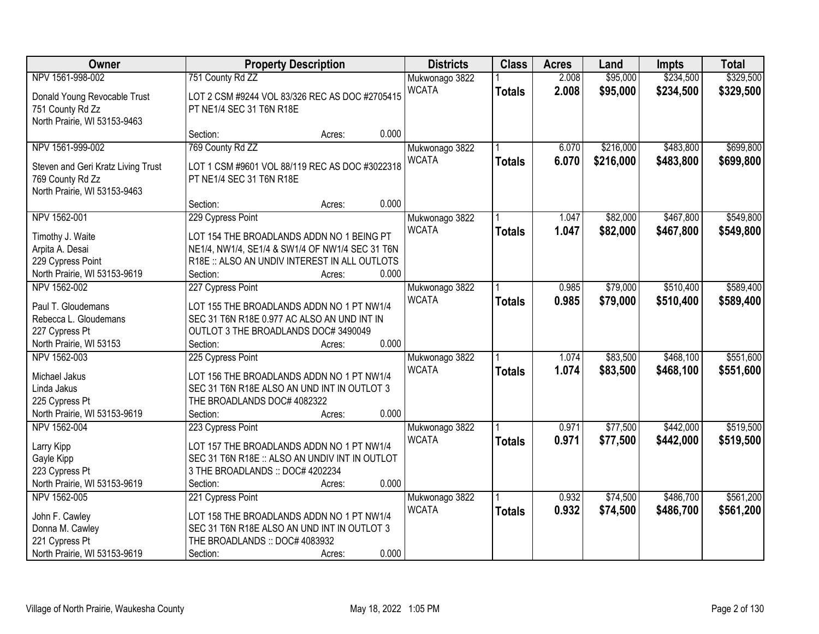| Owner                                                                                                      | <b>Property Description</b>                                                                                                                                                                       | <b>Districts</b>               | <b>Class</b>  | <b>Acres</b>   | Land                   | <b>Impts</b>           | <b>Total</b>           |
|------------------------------------------------------------------------------------------------------------|---------------------------------------------------------------------------------------------------------------------------------------------------------------------------------------------------|--------------------------------|---------------|----------------|------------------------|------------------------|------------------------|
| NPV 1561-998-002                                                                                           | 751 County Rd ZZ                                                                                                                                                                                  | Mukwonago 3822                 |               | 2.008          | \$95,000               | \$234,500              | \$329,500              |
| Donald Young Revocable Trust<br>751 County Rd Zz<br>North Prairie, WI 53153-9463                           | LOT 2 CSM #9244 VOL 83/326 REC AS DOC #2705415<br>PT NE1/4 SEC 31 T6N R18E                                                                                                                        | <b>WCATA</b>                   | <b>Totals</b> | 2.008          | \$95,000               | \$234,500              | \$329,500              |
|                                                                                                            | 0.000<br>Section:<br>Acres:                                                                                                                                                                       |                                |               |                |                        |                        |                        |
| NPV 1561-999-002<br>Steven and Geri Kratz Living Trust<br>769 County Rd Zz<br>North Prairie, WI 53153-9463 | 769 County Rd ZZ<br>LOT 1 CSM #9601 VOL 88/119 REC AS DOC #3022318<br>PT NE1/4 SEC 31 T6N R18E                                                                                                    | Mukwonago 3822<br><b>WCATA</b> | <b>Totals</b> | 6.070<br>6.070 | \$216,000<br>\$216,000 | \$483,800<br>\$483,800 | \$699,800<br>\$699,800 |
|                                                                                                            | 0.000<br>Section:<br>Acres:                                                                                                                                                                       |                                |               |                |                        |                        |                        |
| NPV 1562-001<br>Timothy J. Waite<br>Arpita A. Desai<br>229 Cypress Point<br>North Prairie, WI 53153-9619   | 229 Cypress Point<br>LOT 154 THE BROADLANDS ADDN NO 1 BEING PT<br>NE1/4, NW1/4, SE1/4 & SW1/4 OF NW1/4 SEC 31 T6N<br>R18E :: ALSO AN UNDIV INTEREST IN ALL OUTLOTS<br>0.000<br>Section:<br>Acres: | Mukwonago 3822<br><b>WCATA</b> | <b>Totals</b> | 1.047<br>1.047 | \$82,000<br>\$82,000   | \$467,800<br>\$467,800 | \$549,800<br>\$549,800 |
| NPV 1562-002<br>Paul T. Gloudemans<br>Rebecca L. Gloudemans<br>227 Cypress Pt<br>North Prairie, WI 53153   | 227 Cypress Point<br>LOT 155 THE BROADLANDS ADDN NO 1 PT NW1/4<br>SEC 31 T6N R18E 0.977 AC ALSO AN UND INT IN<br>OUTLOT 3 THE BROADLANDS DOC# 3490049<br>0.000<br>Section:<br>Acres:              | Mukwonago 3822<br><b>WCATA</b> | <b>Totals</b> | 0.985<br>0.985 | \$79,000<br>\$79,000   | \$510,400<br>\$510,400 | \$589,400<br>\$589,400 |
| NPV 1562-003<br>Michael Jakus<br>Linda Jakus<br>225 Cypress Pt<br>North Prairie, WI 53153-9619             | 225 Cypress Point<br>LOT 156 THE BROADLANDS ADDN NO 1 PT NW1/4<br>SEC 31 T6N R18E ALSO AN UND INT IN OUTLOT 3<br>THE BROADLANDS DOC# 4082322<br>0.000<br>Section:<br>Acres:                       | Mukwonago 3822<br><b>WCATA</b> | <b>Totals</b> | 1.074<br>1.074 | \$83,500<br>\$83,500   | \$468,100<br>\$468,100 | \$551,600<br>\$551,600 |
| NPV 1562-004<br>Larry Kipp<br>Gayle Kipp<br>223 Cypress Pt<br>North Prairie, WI 53153-9619                 | 223 Cypress Point<br>LOT 157 THE BROADLANDS ADDN NO 1 PT NW1/4<br>SEC 31 T6N R18E :: ALSO AN UNDIV INT IN OUTLOT<br>3 THE BROADLANDS :: DOC# 4202234<br>0.000<br>Section:<br>Acres:               | Mukwonago 3822<br><b>WCATA</b> | <b>Totals</b> | 0.971<br>0.971 | \$77,500<br>\$77,500   | \$442,000<br>\$442,000 | \$519,500<br>\$519,500 |
| NPV 1562-005<br>John F. Cawley<br>Donna M. Cawley<br>221 Cypress Pt<br>North Prairie, WI 53153-9619        | 221 Cypress Point<br>LOT 158 THE BROADLANDS ADDN NO 1 PT NW1/4<br>SEC 31 T6N R18E ALSO AN UND INT IN OUTLOT 3<br>THE BROADLANDS :: DOC# 4083932<br>0.000<br>Section:<br>Acres:                    | Mukwonago 3822<br><b>WCATA</b> | <b>Totals</b> | 0.932<br>0.932 | \$74,500<br>\$74,500   | \$486,700<br>\$486,700 | \$561,200<br>\$561,200 |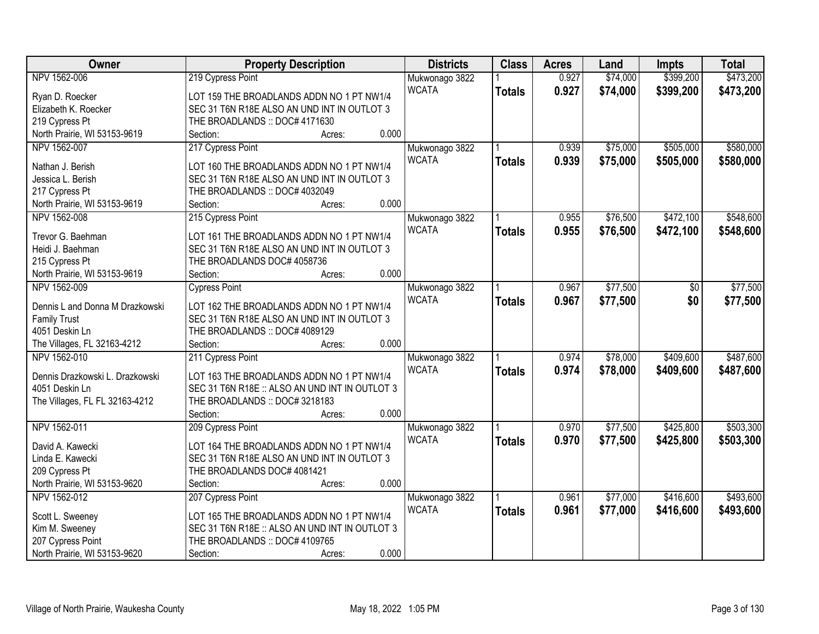| Owner                           | <b>Property Description</b>                    | <b>Districts</b>               | <b>Class</b>  | <b>Acres</b> | Land     | <b>Impts</b> | <b>Total</b> |
|---------------------------------|------------------------------------------------|--------------------------------|---------------|--------------|----------|--------------|--------------|
| NPV 1562-006                    | 219 Cypress Point                              | Mukwonago 3822                 |               | 0.927        | \$74,000 | \$399,200    | \$473,200    |
| Ryan D. Roecker                 | LOT 159 THE BROADLANDS ADDN NO 1 PT NW1/4      | <b>WCATA</b>                   | <b>Totals</b> | 0.927        | \$74,000 | \$399,200    | \$473,200    |
| Elizabeth K. Roecker            | SEC 31 T6N R18E ALSO AN UND INT IN OUTLOT 3    |                                |               |              |          |              |              |
| 219 Cypress Pt                  | THE BROADLANDS :: DOC# 4171630                 |                                |               |              |          |              |              |
| North Prairie, WI 53153-9619    | 0.000<br>Section:<br>Acres:                    |                                |               |              |          |              |              |
| NPV 1562-007                    | 217 Cypress Point                              | Mukwonago 3822                 |               | 0.939        | \$75,000 | \$505,000    | \$580,000    |
|                                 |                                                | <b>WCATA</b>                   | <b>Totals</b> | 0.939        | \$75,000 | \$505,000    | \$580,000    |
| Nathan J. Berish                | LOT 160 THE BROADLANDS ADDN NO 1 PT NW1/4      |                                |               |              |          |              |              |
| Jessica L. Berish               | SEC 31 T6N R18E ALSO AN UND INT IN OUTLOT 3    |                                |               |              |          |              |              |
| 217 Cypress Pt                  | THE BROADLANDS :: DOC# 4032049                 |                                |               |              |          |              |              |
| North Prairie, WI 53153-9619    | 0.000<br>Section:<br>Acres:                    |                                |               |              |          |              |              |
| NPV 1562-008                    | 215 Cypress Point                              | Mukwonago 3822                 |               | 0.955        | \$76,500 | \$472,100    | \$548,600    |
| Trevor G. Baehman               | LOT 161 THE BROADLANDS ADDN NO 1 PT NW1/4      | <b>WCATA</b>                   | <b>Totals</b> | 0.955        | \$76,500 | \$472,100    | \$548,600    |
| Heidi J. Baehman                | SEC 31 T6N R18E ALSO AN UND INT IN OUTLOT 3    |                                |               |              |          |              |              |
| 215 Cypress Pt                  | THE BROADLANDS DOC# 4058736                    |                                |               |              |          |              |              |
| North Prairie, WI 53153-9619    | 0.000<br>Section:<br>Acres:                    |                                |               |              |          |              |              |
| NPV 1562-009                    | <b>Cypress Point</b>                           | Mukwonago 3822                 |               | 0.967        | \$77,500 | $\sqrt[6]{}$ | \$77,500     |
|                                 |                                                | <b>WCATA</b>                   |               | 0.967        | \$77,500 | \$0          | \$77,500     |
| Dennis L and Donna M Drazkowski | LOT 162 THE BROADLANDS ADDN NO 1 PT NW1/4      |                                | <b>Totals</b> |              |          |              |              |
| <b>Family Trust</b>             | SEC 31 T6N R18E ALSO AN UND INT IN OUTLOT 3    |                                |               |              |          |              |              |
| 4051 Deskin Ln                  | THE BROADLANDS :: DOC# 4089129                 |                                |               |              |          |              |              |
| The Villages, FL 32163-4212     | 0.000<br>Section:<br>Acres:                    |                                |               |              |          |              |              |
| NPV 1562-010                    | 211 Cypress Point                              | Mukwonago 3822                 |               | 0.974        | \$78,000 | \$409,600    | \$487,600    |
| Dennis Drazkowski L. Drazkowski | LOT 163 THE BROADLANDS ADDN NO 1 PT NW1/4      | <b>WCATA</b>                   | <b>Totals</b> | 0.974        | \$78,000 | \$409,600    | \$487,600    |
| 4051 Deskin Ln                  | SEC 31 T6N R18E :: ALSO AN UND INT IN OUTLOT 3 |                                |               |              |          |              |              |
| The Villages, FL FL 32163-4212  | THE BROADLANDS :: DOC# 3218183                 |                                |               |              |          |              |              |
|                                 | 0.000<br>Section:<br>Acres:                    |                                |               |              |          |              |              |
| NPV 1562-011                    | 209 Cypress Point                              |                                |               | 0.970        | \$77,500 | \$425,800    | \$503,300    |
|                                 |                                                | Mukwonago 3822<br><b>WCATA</b> |               |              |          |              |              |
| David A. Kawecki                | LOT 164 THE BROADLANDS ADDN NO 1 PT NW1/4      |                                | <b>Totals</b> | 0.970        | \$77,500 | \$425,800    | \$503,300    |
| Linda E. Kawecki                | SEC 31 T6N R18E ALSO AN UND INT IN OUTLOT 3    |                                |               |              |          |              |              |
| 209 Cypress Pt                  | THE BROADLANDS DOC# 4081421                    |                                |               |              |          |              |              |
| North Prairie, WI 53153-9620    | 0.000<br>Section:<br>Acres:                    |                                |               |              |          |              |              |
| NPV 1562-012                    | 207 Cypress Point                              | Mukwonago 3822                 |               | 0.961        | \$77,000 | \$416,600    | \$493,600    |
|                                 |                                                | <b>WCATA</b>                   | <b>Totals</b> | 0.961        | \$77,000 | \$416,600    | \$493,600    |
| Scott L. Sweeney                | LOT 165 THE BROADLANDS ADDN NO 1 PT NW1/4      |                                |               |              |          |              |              |
| Kim M. Sweeney                  | SEC 31 T6N R18E :: ALSO AN UND INT IN OUTLOT 3 |                                |               |              |          |              |              |
| 207 Cypress Point               | THE BROADLANDS :: DOC# 4109765                 |                                |               |              |          |              |              |
| North Prairie, WI 53153-9620    | 0.000<br>Section:<br>Acres:                    |                                |               |              |          |              |              |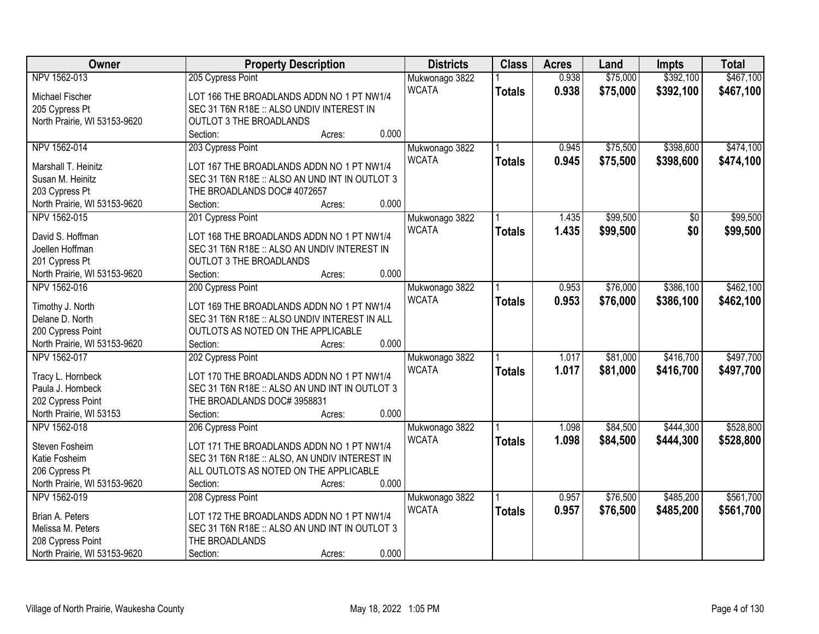| Owner                        | <b>Property Description</b>                    | <b>Districts</b> | <b>Class</b>  | <b>Acres</b> | Land     | <b>Impts</b> | <b>Total</b> |
|------------------------------|------------------------------------------------|------------------|---------------|--------------|----------|--------------|--------------|
| NPV 1562-013                 | 205 Cypress Point                              | Mukwonago 3822   |               | 0.938        | \$75,000 | \$392,100    | \$467,100    |
| Michael Fischer              | LOT 166 THE BROADLANDS ADDN NO 1 PT NW1/4      | <b>WCATA</b>     | <b>Totals</b> | 0.938        | \$75,000 | \$392,100    | \$467,100    |
| 205 Cypress Pt               | SEC 31 T6N R18E :: ALSO UNDIV INTEREST IN      |                  |               |              |          |              |              |
| North Prairie, WI 53153-9620 | <b>OUTLOT 3 THE BROADLANDS</b>                 |                  |               |              |          |              |              |
|                              | 0.000<br>Section:<br>Acres:                    |                  |               |              |          |              |              |
| NPV 1562-014                 | 203 Cypress Point                              | Mukwonago 3822   |               | 0.945        | \$75,500 | \$398,600    | \$474,100    |
|                              |                                                | <b>WCATA</b>     | <b>Totals</b> | 0.945        | \$75,500 | \$398,600    | \$474,100    |
| Marshall T. Heinitz          | LOT 167 THE BROADLANDS ADDN NO 1 PT NW1/4      |                  |               |              |          |              |              |
| Susan M. Heinitz             | SEC 31 T6N R18E :: ALSO AN UND INT IN OUTLOT 3 |                  |               |              |          |              |              |
| 203 Cypress Pt               | THE BROADLANDS DOC# 4072657                    |                  |               |              |          |              |              |
| North Prairie, WI 53153-9620 | 0.000<br>Section:<br>Acres:                    |                  |               |              |          |              |              |
| NPV 1562-015                 | 201 Cypress Point                              | Mukwonago 3822   |               | 1.435        | \$99,500 | \$0          | \$99,500     |
| David S. Hoffman             | LOT 168 THE BROADLANDS ADDN NO 1 PT NW1/4      | <b>WCATA</b>     | <b>Totals</b> | 1.435        | \$99,500 | \$0          | \$99,500     |
| Joellen Hoffman              | SEC 31 T6N R18E :: ALSO AN UNDIV INTEREST IN   |                  |               |              |          |              |              |
| 201 Cypress Pt               | <b>OUTLOT 3 THE BROADLANDS</b>                 |                  |               |              |          |              |              |
| North Prairie, WI 53153-9620 | 0.000<br>Section:<br>Acres:                    |                  |               |              |          |              |              |
| NPV 1562-016                 | 200 Cypress Point                              | Mukwonago 3822   |               | 0.953        | \$76,000 | \$386,100    | \$462,100    |
|                              |                                                | <b>WCATA</b>     | <b>Totals</b> | 0.953        | \$76,000 | \$386,100    | \$462,100    |
| Timothy J. North             | LOT 169 THE BROADLANDS ADDN NO 1 PT NW1/4      |                  |               |              |          |              |              |
| Delane D. North              | SEC 31 T6N R18E :: ALSO UNDIV INTEREST IN ALL  |                  |               |              |          |              |              |
| 200 Cypress Point            | OUTLOTS AS NOTED ON THE APPLICABLE             |                  |               |              |          |              |              |
| North Prairie, WI 53153-9620 | 0.000<br>Section:<br>Acres:                    |                  |               |              |          |              |              |
| NPV 1562-017                 | 202 Cypress Point                              | Mukwonago 3822   |               | 1.017        | \$81,000 | \$416,700    | \$497,700    |
| Tracy L. Hornbeck            | LOT 170 THE BROADLANDS ADDN NO 1 PT NW1/4      | <b>WCATA</b>     | <b>Totals</b> | 1.017        | \$81,000 | \$416,700    | \$497,700    |
| Paula J. Hornbeck            | SEC 31 T6N R18E :: ALSO AN UND INT IN OUTLOT 3 |                  |               |              |          |              |              |
| 202 Cypress Point            | THE BROADLANDS DOC# 3958831                    |                  |               |              |          |              |              |
| North Prairie, WI 53153      | 0.000<br>Section:<br>Acres:                    |                  |               |              |          |              |              |
| NPV 1562-018                 | 206 Cypress Point                              | Mukwonago 3822   |               | 1.098        | \$84,500 | \$444,300    | \$528,800    |
|                              |                                                | <b>WCATA</b>     |               | 1.098        | \$84,500 | \$444,300    | \$528,800    |
| Steven Fosheim               | LOT 171 THE BROADLANDS ADDN NO 1 PT NW1/4      |                  | <b>Totals</b> |              |          |              |              |
| Katie Fosheim                | SEC 31 T6N R18E :: ALSO, AN UNDIV INTEREST IN  |                  |               |              |          |              |              |
| 206 Cypress Pt               | ALL OUTLOTS AS NOTED ON THE APPLICABLE         |                  |               |              |          |              |              |
| North Prairie, WI 53153-9620 | 0.000<br>Section:<br>Acres:                    |                  |               |              |          |              |              |
| NPV 1562-019                 | 208 Cypress Point                              | Mukwonago 3822   |               | 0.957        | \$76,500 | \$485,200    | \$561,700    |
| Brian A. Peters              | LOT 172 THE BROADLANDS ADDN NO 1 PT NW1/4      | <b>WCATA</b>     | <b>Totals</b> | 0.957        | \$76,500 | \$485,200    | \$561,700    |
| Melissa M. Peters            | SEC 31 T6N R18E :: ALSO AN UND INT IN OUTLOT 3 |                  |               |              |          |              |              |
| 208 Cypress Point            | THE BROADLANDS                                 |                  |               |              |          |              |              |
| North Prairie, WI 53153-9620 | 0.000<br>Section:<br>Acres:                    |                  |               |              |          |              |              |
|                              |                                                |                  |               |              |          |              |              |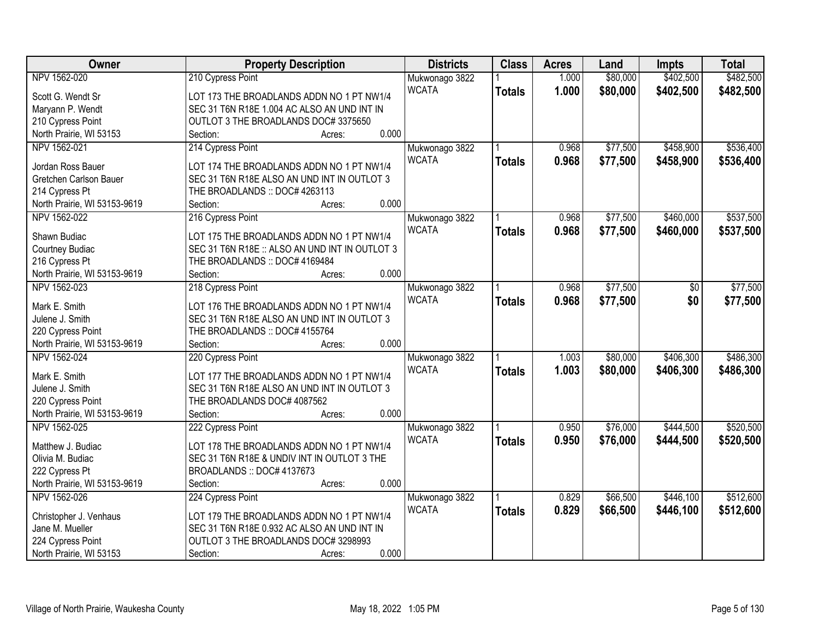| Owner                        | <b>Property Description</b>                    | <b>Districts</b> | <b>Class</b>  | <b>Acres</b> | Land     | <b>Impts</b>   | <b>Total</b> |
|------------------------------|------------------------------------------------|------------------|---------------|--------------|----------|----------------|--------------|
| NPV 1562-020                 | 210 Cypress Point                              | Mukwonago 3822   |               | 1.000        | \$80,000 | \$402,500      | \$482,500    |
| Scott G. Wendt Sr            | LOT 173 THE BROADLANDS ADDN NO 1 PT NW1/4      | <b>WCATA</b>     | <b>Totals</b> | 1.000        | \$80,000 | \$402,500      | \$482,500    |
| Maryann P. Wendt             | SEC 31 T6N R18E 1.004 AC ALSO AN UND INT IN    |                  |               |              |          |                |              |
| 210 Cypress Point            | OUTLOT 3 THE BROADLANDS DOC# 3375650           |                  |               |              |          |                |              |
| North Prairie, WI 53153      | 0.000<br>Section:<br>Acres:                    |                  |               |              |          |                |              |
| NPV 1562-021                 | 214 Cypress Point                              | Mukwonago 3822   |               | 0.968        | \$77,500 | \$458,900      | \$536,400    |
|                              |                                                | <b>WCATA</b>     | <b>Totals</b> | 0.968        | \$77,500 | \$458,900      | \$536,400    |
| Jordan Ross Bauer            | LOT 174 THE BROADLANDS ADDN NO 1 PT NW1/4      |                  |               |              |          |                |              |
| Gretchen Carlson Bauer       | SEC 31 T6N R18E ALSO AN UND INT IN OUTLOT 3    |                  |               |              |          |                |              |
| 214 Cypress Pt               | THE BROADLANDS :: DOC# 4263113                 |                  |               |              |          |                |              |
| North Prairie, WI 53153-9619 | 0.000<br>Section:<br>Acres:                    |                  |               |              |          |                |              |
| NPV 1562-022                 | 216 Cypress Point                              | Mukwonago 3822   |               | 0.968        | \$77,500 | \$460,000      | \$537,500    |
| Shawn Budiac                 | LOT 175 THE BROADLANDS ADDN NO 1 PT NW1/4      | <b>WCATA</b>     | <b>Totals</b> | 0.968        | \$77,500 | \$460,000      | \$537,500    |
| Courtney Budiac              | SEC 31 T6N R18E :: ALSO AN UND INT IN OUTLOT 3 |                  |               |              |          |                |              |
| 216 Cypress Pt               | THE BROADLANDS :: DOC# 4169484                 |                  |               |              |          |                |              |
| North Prairie, WI 53153-9619 | 0.000<br>Section:<br>Acres:                    |                  |               |              |          |                |              |
| NPV 1562-023                 |                                                |                  |               | 0.968        | \$77,500 |                |              |
|                              | 218 Cypress Point                              | Mukwonago 3822   |               |              |          | $\frac{1}{20}$ | \$77,500     |
| Mark E. Smith                | LOT 176 THE BROADLANDS ADDN NO 1 PT NW1/4      | <b>WCATA</b>     | <b>Totals</b> | 0.968        | \$77,500 | \$0            | \$77,500     |
| Julene J. Smith              | SEC 31 T6N R18E ALSO AN UND INT IN OUTLOT 3    |                  |               |              |          |                |              |
| 220 Cypress Point            | THE BROADLANDS :: DOC# 4155764                 |                  |               |              |          |                |              |
| North Prairie, WI 53153-9619 | 0.000<br>Section:<br>Acres:                    |                  |               |              |          |                |              |
| NPV 1562-024                 | 220 Cypress Point                              | Mukwonago 3822   |               | 1.003        | \$80,000 | \$406,300      | \$486,300    |
|                              |                                                | <b>WCATA</b>     | <b>Totals</b> | 1.003        | \$80,000 | \$406,300      | \$486,300    |
| Mark E. Smith                | LOT 177 THE BROADLANDS ADDN NO 1 PT NW1/4      |                  |               |              |          |                |              |
| Julene J. Smith              | SEC 31 T6N R18E ALSO AN UND INT IN OUTLOT 3    |                  |               |              |          |                |              |
| 220 Cypress Point            | THE BROADLANDS DOC# 4087562                    |                  |               |              |          |                |              |
| North Prairie, WI 53153-9619 | 0.000<br>Section:<br>Acres:                    |                  |               |              |          |                |              |
| NPV 1562-025                 | 222 Cypress Point                              | Mukwonago 3822   |               | 0.950        | \$76,000 | \$444,500      | \$520,500    |
| Matthew J. Budiac            | LOT 178 THE BROADLANDS ADDN NO 1 PT NW1/4      | <b>WCATA</b>     | <b>Totals</b> | 0.950        | \$76,000 | \$444,500      | \$520,500    |
| Olivia M. Budiac             | SEC 31 T6N R18E & UNDIV INT IN OUTLOT 3 THE    |                  |               |              |          |                |              |
| 222 Cypress Pt               | BROADLANDS: DOC#4137673                        |                  |               |              |          |                |              |
| North Prairie, WI 53153-9619 | 0.000<br>Section:<br>Acres:                    |                  |               |              |          |                |              |
| NPV 1562-026                 | 224 Cypress Point                              | Mukwonago 3822   |               | 0.829        | \$66,500 | \$446,100      | \$512,600    |
|                              |                                                | <b>WCATA</b>     | <b>Totals</b> | 0.829        | \$66,500 | \$446,100      | \$512,600    |
| Christopher J. Venhaus       | LOT 179 THE BROADLANDS ADDN NO 1 PT NW1/4      |                  |               |              |          |                |              |
| Jane M. Mueller              | SEC 31 T6N R18E 0.932 AC ALSO AN UND INT IN    |                  |               |              |          |                |              |
| 224 Cypress Point            | OUTLOT 3 THE BROADLANDS DOC# 3298993           |                  |               |              |          |                |              |
| North Prairie, WI 53153      | 0.000<br>Section:<br>Acres:                    |                  |               |              |          |                |              |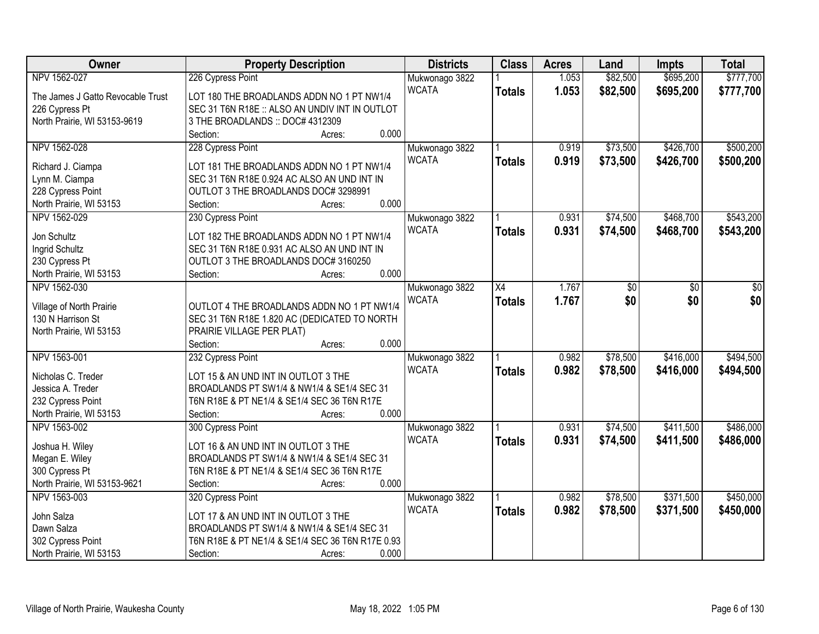| Owner                             | <b>Property Description</b>                      | <b>Districts</b> | <b>Class</b>  | <b>Acres</b> | Land     | <b>Impts</b> | <b>Total</b> |
|-----------------------------------|--------------------------------------------------|------------------|---------------|--------------|----------|--------------|--------------|
| NPV 1562-027                      | 226 Cypress Point                                | Mukwonago 3822   |               | 1.053        | \$82,500 | \$695,200    | \$777,700    |
| The James J Gatto Revocable Trust | LOT 180 THE BROADLANDS ADDN NO 1 PT NW1/4        | <b>WCATA</b>     | <b>Totals</b> | 1.053        | \$82,500 | \$695,200    | \$777,700    |
| 226 Cypress Pt                    | SEC 31 T6N R18E :: ALSO AN UNDIV INT IN OUTLOT   |                  |               |              |          |              |              |
| North Prairie, WI 53153-9619      | 3 THE BROADLANDS :: DOC# 4312309                 |                  |               |              |          |              |              |
|                                   | 0.000<br>Section:<br>Acres:                      |                  |               |              |          |              |              |
| NPV 1562-028                      | 228 Cypress Point                                | Mukwonago 3822   |               | 0.919        | \$73,500 | \$426,700    | \$500,200    |
|                                   |                                                  | <b>WCATA</b>     | <b>Totals</b> | 0.919        | \$73,500 | \$426,700    | \$500,200    |
| Richard J. Ciampa                 | LOT 181 THE BROADLANDS ADDN NO 1 PT NW1/4        |                  |               |              |          |              |              |
| Lynn M. Ciampa                    | SEC 31 T6N R18E 0.924 AC ALSO AN UND INT IN      |                  |               |              |          |              |              |
| 228 Cypress Point                 | OUTLOT 3 THE BROADLANDS DOC# 3298991             |                  |               |              |          |              |              |
| North Prairie, WI 53153           | 0.000<br>Section:<br>Acres:                      |                  |               |              |          |              |              |
| NPV 1562-029                      | 230 Cypress Point                                | Mukwonago 3822   |               | 0.931        | \$74,500 | \$468,700    | \$543,200    |
| Jon Schultz                       | LOT 182 THE BROADLANDS ADDN NO 1 PT NW1/4        | <b>WCATA</b>     | <b>Totals</b> | 0.931        | \$74,500 | \$468,700    | \$543,200    |
| Ingrid Schultz                    | SEC 31 T6N R18E 0.931 AC ALSO AN UND INT IN      |                  |               |              |          |              |              |
| 230 Cypress Pt                    | OUTLOT 3 THE BROADLANDS DOC# 3160250             |                  |               |              |          |              |              |
| North Prairie, WI 53153           | 0.000<br>Section:<br>Acres:                      |                  |               |              |          |              |              |
| NPV 1562-030                      |                                                  |                  |               |              |          |              |              |
|                                   |                                                  | Mukwonago 3822   | X4            | 1.767        | \$0      | \$0          | \$0          |
| Village of North Prairie          | OUTLOT 4 THE BROADLANDS ADDN NO 1 PT NW1/4       | <b>WCATA</b>     | <b>Totals</b> | 1.767        | \$0      | \$0          | \$0          |
| 130 N Harrison St                 | SEC 31 T6N R18E 1.820 AC (DEDICATED TO NORTH     |                  |               |              |          |              |              |
| North Prairie, WI 53153           | PRAIRIE VILLAGE PER PLAT)                        |                  |               |              |          |              |              |
|                                   | 0.000<br>Section:<br>Acres:                      |                  |               |              |          |              |              |
| NPV 1563-001                      | 232 Cypress Point                                | Mukwonago 3822   |               | 0.982        | \$78,500 | \$416,000    | \$494,500    |
|                                   |                                                  | <b>WCATA</b>     | <b>Totals</b> | 0.982        | \$78,500 | \$416,000    | \$494,500    |
| Nicholas C. Treder                | LOT 15 & AN UND INT IN OUTLOT 3 THE              |                  |               |              |          |              |              |
| Jessica A. Treder                 | BROADLANDS PT SW1/4 & NW1/4 & SE1/4 SEC 31       |                  |               |              |          |              |              |
| 232 Cypress Point                 | T6N R18E & PT NE1/4 & SE1/4 SEC 36 T6N R17E      |                  |               |              |          |              |              |
| North Prairie, WI 53153           | 0.000<br>Section:<br>Acres:                      |                  |               |              |          |              |              |
| NPV 1563-002                      | 300 Cypress Point                                | Mukwonago 3822   |               | 0.931        | \$74,500 | \$411,500    | \$486,000    |
| Joshua H. Wiley                   | LOT 16 & AN UND INT IN OUTLOT 3 THE              | <b>WCATA</b>     | <b>Totals</b> | 0.931        | \$74,500 | \$411,500    | \$486,000    |
| Megan E. Wiley                    | BROADLANDS PT SW1/4 & NW1/4 & SE1/4 SEC 31       |                  |               |              |          |              |              |
| 300 Cypress Pt                    | T6N R18E & PT NE1/4 & SE1/4 SEC 36 T6N R17E      |                  |               |              |          |              |              |
| North Prairie, WI 53153-9621      | 0.000<br>Section:<br>Acres:                      |                  |               |              |          |              |              |
| NPV 1563-003                      | 320 Cypress Point                                | Mukwonago 3822   |               | 0.982        | \$78,500 | \$371,500    | \$450,000    |
|                                   |                                                  | <b>WCATA</b>     | <b>Totals</b> | 0.982        | \$78,500 | \$371,500    | \$450,000    |
| John Salza                        | LOT 17 & AN UND INT IN OUTLOT 3 THE              |                  |               |              |          |              |              |
| Dawn Salza                        | BROADLANDS PT SW1/4 & NW1/4 & SE1/4 SEC 31       |                  |               |              |          |              |              |
| 302 Cypress Point                 | T6N R18E & PT NE1/4 & SE1/4 SEC 36 T6N R17E 0.93 |                  |               |              |          |              |              |
| North Prairie, WI 53153           | 0.000<br>Section:<br>Acres:                      |                  |               |              |          |              |              |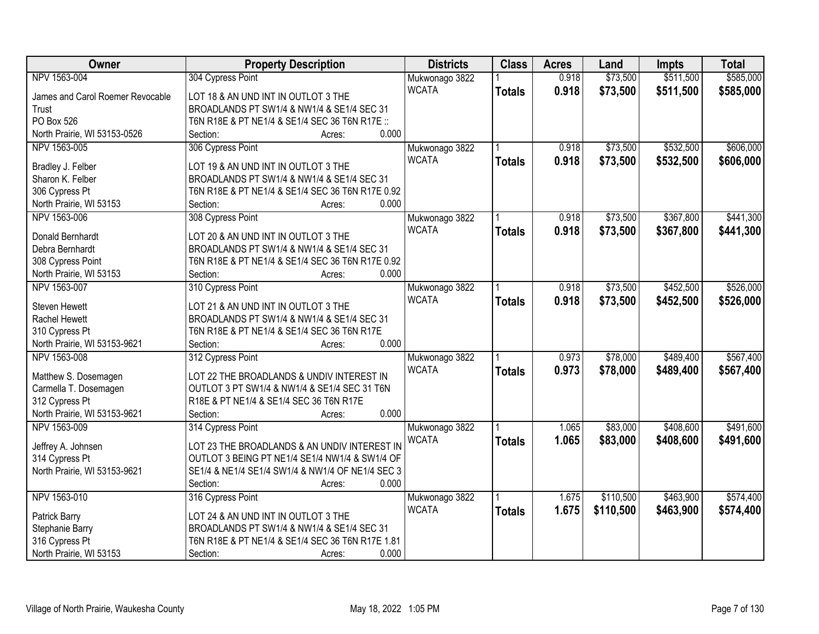| Owner                            | <b>Property Description</b>                                                                    | <b>Districts</b>               | <b>Class</b>  | <b>Acres</b> | Land      | <b>Impts</b> | <b>Total</b> |
|----------------------------------|------------------------------------------------------------------------------------------------|--------------------------------|---------------|--------------|-----------|--------------|--------------|
| NPV 1563-004                     | 304 Cypress Point                                                                              | Mukwonago 3822                 |               | 0.918        | \$73,500  | \$511,500    | \$585,000    |
| James and Carol Roemer Revocable | LOT 18 & AN UND INT IN OUTLOT 3 THE                                                            | <b>WCATA</b>                   | <b>Totals</b> | 0.918        | \$73,500  | \$511,500    | \$585,000    |
| Trust                            | BROADLANDS PT SW1/4 & NW1/4 & SE1/4 SEC 31                                                     |                                |               |              |           |              |              |
| PO Box 526                       | T6N R18E & PT NE1/4 & SE1/4 SEC 36 T6N R17E ::                                                 |                                |               |              |           |              |              |
| North Prairie, WI 53153-0526     | 0.000<br>Section:<br>Acres:                                                                    |                                |               |              |           |              |              |
| NPV 1563-005                     | 306 Cypress Point                                                                              | Mukwonago 3822                 |               | 0.918        | \$73,500  | \$532,500    | \$606,000    |
|                                  |                                                                                                | <b>WCATA</b>                   | <b>Totals</b> | 0.918        | \$73,500  | \$532,500    | \$606,000    |
| Bradley J. Felber                | LOT 19 & AN UND INT IN OUTLOT 3 THE                                                            |                                |               |              |           |              |              |
| Sharon K. Felber                 | BROADLANDS PT SW1/4 & NW1/4 & SE1/4 SEC 31                                                     |                                |               |              |           |              |              |
| 306 Cypress Pt                   | T6N R18E & PT NE1/4 & SE1/4 SEC 36 T6N R17E 0.92                                               |                                |               |              |           |              |              |
| North Prairie, WI 53153          | 0.000<br>Section:<br>Acres:                                                                    |                                |               |              |           |              |              |
| NPV 1563-006                     | 308 Cypress Point                                                                              | Mukwonago 3822                 |               | 0.918        | \$73,500  | \$367,800    | \$441,300    |
| Donald Bernhardt                 | LOT 20 & AN UND INT IN OUTLOT 3 THE                                                            | <b>WCATA</b>                   | <b>Totals</b> | 0.918        | \$73,500  | \$367,800    | \$441,300    |
| Debra Bernhardt                  | BROADLANDS PT SW1/4 & NW1/4 & SE1/4 SEC 31                                                     |                                |               |              |           |              |              |
| 308 Cypress Point                | T6N R18E & PT NE1/4 & SE1/4 SEC 36 T6N R17E 0.92                                               |                                |               |              |           |              |              |
| North Prairie, WI 53153          | 0.000<br>Section:<br>Acres:                                                                    |                                |               |              |           |              |              |
| NPV 1563-007                     | 310 Cypress Point                                                                              | Mukwonago 3822                 |               | 0.918        | \$73,500  | \$452,500    | \$526,000    |
|                                  |                                                                                                | <b>WCATA</b>                   | <b>Totals</b> | 0.918        | \$73,500  | \$452,500    | \$526,000    |
| <b>Steven Hewett</b>             | LOT 21 & AN UND INT IN OUTLOT 3 THE                                                            |                                |               |              |           |              |              |
| Rachel Hewett                    | BROADLANDS PT SW1/4 & NW1/4 & SE1/4 SEC 31                                                     |                                |               |              |           |              |              |
| 310 Cypress Pt                   | T6N R18E & PT NE1/4 & SE1/4 SEC 36 T6N R17E                                                    |                                |               |              |           |              |              |
| North Prairie, WI 53153-9621     | 0.000<br>Section:<br>Acres:                                                                    |                                |               |              |           |              |              |
| NPV 1563-008                     | 312 Cypress Point                                                                              | Mukwonago 3822                 |               | 0.973        | \$78,000  | \$489,400    | \$567,400    |
| Matthew S. Dosemagen             | LOT 22 THE BROADLANDS & UNDIV INTEREST IN                                                      | <b>WCATA</b>                   | <b>Totals</b> | 0.973        | \$78,000  | \$489,400    | \$567,400    |
| Carmella T. Dosemagen            | OUTLOT 3 PT SW1/4 & NW1/4 & SE1/4 SEC 31 T6N                                                   |                                |               |              |           |              |              |
| 312 Cypress Pt                   | R18E & PT NE1/4 & SE1/4 SEC 36 T6N R17E                                                        |                                |               |              |           |              |              |
| North Prairie, WI 53153-9621     | 0.000<br>Section:<br>Acres:                                                                    |                                |               |              |           |              |              |
| NPV 1563-009                     | 314 Cypress Point                                                                              |                                |               | 1.065        | \$83,000  | \$408,600    | \$491,600    |
|                                  |                                                                                                | Mukwonago 3822<br><b>WCATA</b> |               |              |           |              |              |
| Jeffrey A. Johnsen               | LOT 23 THE BROADLANDS & AN UNDIV INTEREST IN                                                   |                                | <b>Totals</b> | 1.065        | \$83,000  | \$408,600    | \$491,600    |
| 314 Cypress Pt                   | OUTLOT 3 BEING PT NE1/4 SE1/4 NW1/4 & SW1/4 OF                                                 |                                |               |              |           |              |              |
| North Prairie, WI 53153-9621     | SE1/4 & NE1/4 SE1/4 SW1/4 & NW1/4 OF NE1/4 SEC 3                                               |                                |               |              |           |              |              |
|                                  | 0.000<br>Section:<br>Acres:                                                                    |                                |               |              |           |              |              |
| NPV 1563-010                     | 316 Cypress Point                                                                              | Mukwonago 3822                 |               | 1.675        | \$110,500 | \$463,900    | \$574,400    |
|                                  |                                                                                                | <b>WCATA</b>                   | <b>Totals</b> | 1.675        | \$110,500 | \$463,900    | \$574,400    |
| Patrick Barry                    | LOT 24 & AN UND INT IN OUTLOT 3 THE                                                            |                                |               |              |           |              |              |
| Stephanie Barry                  | BROADLANDS PT SW1/4 & NW1/4 & SE1/4 SEC 31<br>T6N R18E & PT NE1/4 & SE1/4 SEC 36 T6N R17E 1.81 |                                |               |              |           |              |              |
| 316 Cypress Pt                   |                                                                                                |                                |               |              |           |              |              |
| North Prairie, WI 53153          | 0.000<br>Section:<br>Acres:                                                                    |                                |               |              |           |              |              |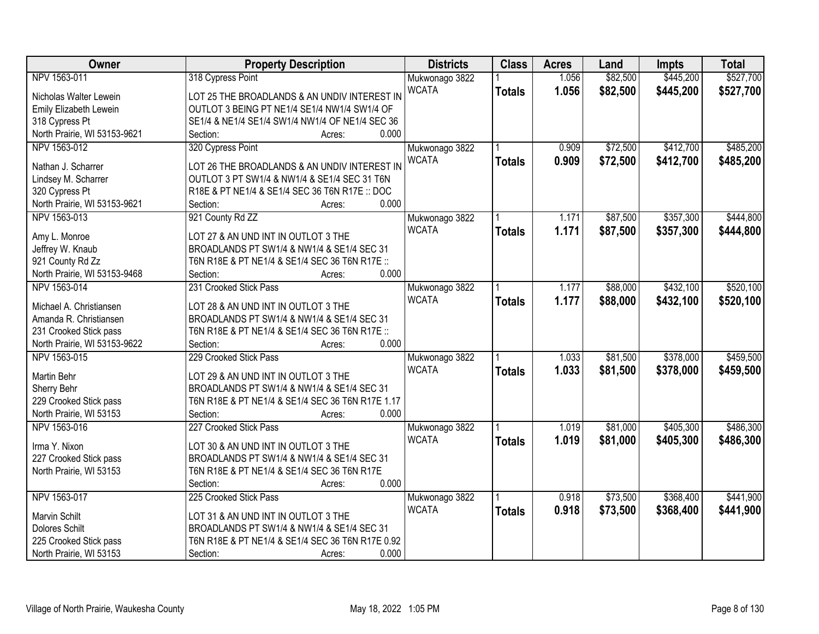| Owner                                | <b>Property Description</b>                                                       | <b>Districts</b>               | <b>Class</b>  | <b>Acres</b>   | Land                 | <b>Impts</b>           | <b>Total</b> |
|--------------------------------------|-----------------------------------------------------------------------------------|--------------------------------|---------------|----------------|----------------------|------------------------|--------------|
| NPV 1563-011                         | 318 Cypress Point                                                                 | Mukwonago 3822                 |               | 1.056          | \$82,500             | \$445,200              | \$527,700    |
| Nicholas Walter Lewein               | LOT 25 THE BROADLANDS & AN UNDIV INTEREST IN                                      | <b>WCATA</b>                   | <b>Totals</b> | 1.056          | \$82,500             | \$445,200              | \$527,700    |
| Emily Elizabeth Lewein               | OUTLOT 3 BEING PT NE1/4 SE1/4 NW1/4 SW1/4 OF                                      |                                |               |                |                      |                        |              |
| 318 Cypress Pt                       | SE1/4 & NE1/4 SE1/4 SW1/4 NW1/4 OF NE1/4 SEC 36                                   |                                |               |                |                      |                        |              |
| North Prairie, WI 53153-9621         | 0.000<br>Section:<br>Acres:                                                       |                                |               |                |                      |                        |              |
| NPV 1563-012                         | 320 Cypress Point                                                                 | Mukwonago 3822<br><b>WCATA</b> |               | 0.909<br>0.909 | \$72,500<br>\$72,500 | \$412,700<br>\$412,700 | \$485,200    |
| Nathan J. Scharrer                   | LOT 26 THE BROADLANDS & AN UNDIV INTEREST IN                                      |                                | <b>Totals</b> |                |                      |                        | \$485,200    |
| Lindsey M. Scharrer                  | OUTLOT 3 PT SW1/4 & NW1/4 & SE1/4 SEC 31 T6N                                      |                                |               |                |                      |                        |              |
| 320 Cypress Pt                       | R18E & PT NE1/4 & SE1/4 SEC 36 T6N R17E :: DOC                                    |                                |               |                |                      |                        |              |
| North Prairie, WI 53153-9621         | 0.000<br>Section:<br>Acres:                                                       |                                |               |                |                      |                        |              |
| NPV 1563-013                         | 921 County Rd ZZ                                                                  | Mukwonago 3822                 |               | 1.171          | \$87,500             | \$357,300              | \$444,800    |
|                                      |                                                                                   | <b>WCATA</b>                   | <b>Totals</b> | 1.171          | \$87,500             | \$357,300              | \$444,800    |
| Amy L. Monroe                        | LOT 27 & AN UND INT IN OUTLOT 3 THE<br>BROADLANDS PT SW1/4 & NW1/4 & SE1/4 SEC 31 |                                |               |                |                      |                        |              |
| Jeffrey W. Knaub<br>921 County Rd Zz | T6N R18E & PT NE1/4 & SE1/4 SEC 36 T6N R17E ::                                    |                                |               |                |                      |                        |              |
| North Prairie, WI 53153-9468         | 0.000<br>Section:                                                                 |                                |               |                |                      |                        |              |
| NPV 1563-014                         | Acres:<br>231 Crooked Stick Pass                                                  |                                |               |                |                      |                        | \$520,100    |
|                                      |                                                                                   | Mukwonago 3822                 |               | 1.177          | \$88,000             | \$432,100              |              |
| Michael A. Christiansen              | LOT 28 & AN UND INT IN OUTLOT 3 THE                                               | <b>WCATA</b>                   | <b>Totals</b> | 1.177          | \$88,000             | \$432,100              | \$520,100    |
| Amanda R. Christiansen               | BROADLANDS PT SW1/4 & NW1/4 & SE1/4 SEC 31                                        |                                |               |                |                      |                        |              |
| 231 Crooked Stick pass               | T6N R18E & PT NE1/4 & SE1/4 SEC 36 T6N R17E ::                                    |                                |               |                |                      |                        |              |
| North Prairie, WI 53153-9622         | 0.000<br>Section:<br>Acres:                                                       |                                |               |                |                      |                        |              |
| NPV 1563-015                         | 229 Crooked Stick Pass                                                            | Mukwonago 3822                 |               | 1.033          | \$81,500             | \$378,000              | \$459,500    |
|                                      |                                                                                   | <b>WCATA</b>                   | <b>Totals</b> | 1.033          | \$81,500             | \$378,000              | \$459,500    |
| Martin Behr                          | LOT 29 & AN UND INT IN OUTLOT 3 THE                                               |                                |               |                |                      |                        |              |
| Sherry Behr                          | BROADLANDS PT SW1/4 & NW1/4 & SE1/4 SEC 31                                        |                                |               |                |                      |                        |              |
| 229 Crooked Stick pass               | T6N R18E & PT NE1/4 & SE1/4 SEC 36 T6N R17E 1.17<br>0.000                         |                                |               |                |                      |                        |              |
| North Prairie, WI 53153              | Section:<br>Acres:                                                                |                                |               |                |                      |                        |              |
| NPV 1563-016                         | 227 Crooked Stick Pass                                                            | Mukwonago 3822                 |               | 1.019          | \$81,000             | \$405,300              | \$486,300    |
| Irma Y. Nixon                        | LOT 30 & AN UND INT IN OUTLOT 3 THE                                               | <b>WCATA</b>                   | <b>Totals</b> | 1.019          | \$81,000             | \$405,300              | \$486,300    |
| 227 Crooked Stick pass               | BROADLANDS PT SW1/4 & NW1/4 & SE1/4 SEC 31                                        |                                |               |                |                      |                        |              |
| North Prairie, WI 53153              | T6N R18E & PT NE1/4 & SE1/4 SEC 36 T6N R17E                                       |                                |               |                |                      |                        |              |
|                                      | 0.000<br>Section:<br>Acres:                                                       |                                |               |                |                      |                        |              |
| NPV 1563-017                         | 225 Crooked Stick Pass                                                            | Mukwonago 3822                 |               | 0.918          | \$73,500             | \$368,400              | \$441,900    |
|                                      |                                                                                   | <b>WCATA</b>                   | <b>Totals</b> | 0.918          | \$73,500             | \$368,400              | \$441,900    |
| Marvin Schilt                        | LOT 31 & AN UND INT IN OUTLOT 3 THE                                               |                                |               |                |                      |                        |              |
| <b>Dolores Schilt</b>                | BROADLANDS PT SW1/4 & NW1/4 & SE1/4 SEC 31                                        |                                |               |                |                      |                        |              |
| 225 Crooked Stick pass               | T6N R18E & PT NE1/4 & SE1/4 SEC 36 T6N R17E 0.92                                  |                                |               |                |                      |                        |              |
| North Prairie, WI 53153              | 0.000<br>Section:<br>Acres:                                                       |                                |               |                |                      |                        |              |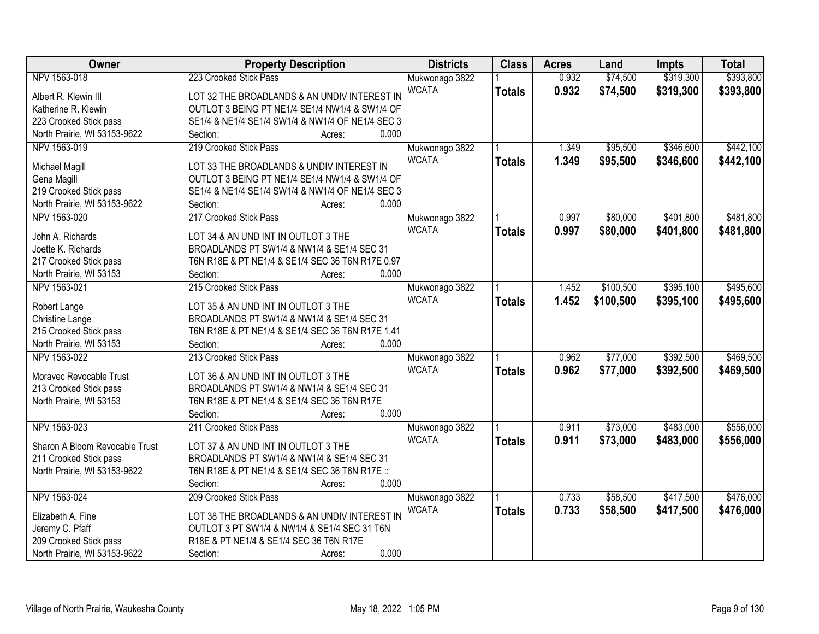| Owner                          | <b>Property Description</b>                      | <b>Districts</b> | <b>Class</b>  | <b>Acres</b> | Land      | <b>Impts</b> | <b>Total</b> |
|--------------------------------|--------------------------------------------------|------------------|---------------|--------------|-----------|--------------|--------------|
| NPV 1563-018                   | 223 Crooked Stick Pass                           | Mukwonago 3822   |               | 0.932        | \$74,500  | \$319,300    | \$393,800    |
| Albert R. Klewin III           | LOT 32 THE BROADLANDS & AN UNDIV INTEREST IN     | <b>WCATA</b>     | <b>Totals</b> | 0.932        | \$74,500  | \$319,300    | \$393,800    |
| Katherine R. Klewin            | OUTLOT 3 BEING PT NE1/4 SE1/4 NW1/4 & SW1/4 OF   |                  |               |              |           |              |              |
| 223 Crooked Stick pass         | SE1/4 & NE1/4 SE1/4 SW1/4 & NW1/4 OF NE1/4 SEC 3 |                  |               |              |           |              |              |
| North Prairie, WI 53153-9622   | 0.000<br>Section:<br>Acres:                      |                  |               |              |           |              |              |
| NPV 1563-019                   | 219 Crooked Stick Pass                           | Mukwonago 3822   |               | 1.349        | \$95,500  | \$346,600    | \$442,100    |
|                                |                                                  | <b>WCATA</b>     | <b>Totals</b> | 1.349        | \$95,500  | \$346,600    | \$442,100    |
| Michael Magill                 | LOT 33 THE BROADLANDS & UNDIV INTEREST IN        |                  |               |              |           |              |              |
| Gena Magill                    | OUTLOT 3 BEING PT NE1/4 SE1/4 NW1/4 & SW1/4 OF   |                  |               |              |           |              |              |
| 219 Crooked Stick pass         | SE1/4 & NE1/4 SE1/4 SW1/4 & NW1/4 OF NE1/4 SEC 3 |                  |               |              |           |              |              |
| North Prairie, WI 53153-9622   | 0.000<br>Section:<br>Acres:                      |                  |               |              |           |              |              |
| NPV 1563-020                   | 217 Crooked Stick Pass                           | Mukwonago 3822   |               | 0.997        | \$80,000  | \$401,800    | \$481,800    |
| John A. Richards               | LOT 34 & AN UND INT IN OUTLOT 3 THE              | <b>WCATA</b>     | <b>Totals</b> | 0.997        | \$80,000  | \$401,800    | \$481,800    |
| Joette K. Richards             | BROADLANDS PT SW1/4 & NW1/4 & SE1/4 SEC 31       |                  |               |              |           |              |              |
| 217 Crooked Stick pass         | T6N R18E & PT NE1/4 & SE1/4 SEC 36 T6N R17E 0.97 |                  |               |              |           |              |              |
| North Prairie, WI 53153        | 0.000<br>Section:<br>Acres:                      |                  |               |              |           |              |              |
| NPV 1563-021                   | 215 Crooked Stick Pass                           | Mukwonago 3822   |               | 1.452        | \$100,500 | \$395,100    | \$495,600    |
|                                |                                                  | <b>WCATA</b>     | <b>Totals</b> | 1.452        | \$100,500 | \$395,100    | \$495,600    |
| Robert Lange                   | LOT 35 & AN UND INT IN OUTLOT 3 THE              |                  |               |              |           |              |              |
| Christine Lange                | BROADLANDS PT SW1/4 & NW1/4 & SE1/4 SEC 31       |                  |               |              |           |              |              |
| 215 Crooked Stick pass         | T6N R18E & PT NE1/4 & SE1/4 SEC 36 T6N R17E 1.41 |                  |               |              |           |              |              |
| North Prairie, WI 53153        | 0.000<br>Section:<br>Acres:                      |                  |               |              |           |              |              |
| NPV 1563-022                   | 213 Crooked Stick Pass                           | Mukwonago 3822   |               | 0.962        | \$77,000  | \$392,500    | \$469,500    |
| Moravec Revocable Trust        | LOT 36 & AN UND INT IN OUTLOT 3 THE              | <b>WCATA</b>     | <b>Totals</b> | 0.962        | \$77,000  | \$392,500    | \$469,500    |
| 213 Crooked Stick pass         | BROADLANDS PT SW1/4 & NW1/4 & SE1/4 SEC 31       |                  |               |              |           |              |              |
| North Prairie, WI 53153        | T6N R18E & PT NE1/4 & SE1/4 SEC 36 T6N R17E      |                  |               |              |           |              |              |
|                                | 0.000<br>Section:<br>Acres:                      |                  |               |              |           |              |              |
| NPV 1563-023                   | 211 Crooked Stick Pass                           | Mukwonago 3822   |               | 0.911        | \$73,000  | \$483,000    | \$556,000    |
|                                |                                                  | <b>WCATA</b>     |               | 0.911        | \$73,000  | \$483,000    | \$556,000    |
| Sharon A Bloom Revocable Trust | LOT 37 & AN UND INT IN OUTLOT 3 THE              |                  | <b>Totals</b> |              |           |              |              |
| 211 Crooked Stick pass         | BROADLANDS PT SW1/4 & NW1/4 & SE1/4 SEC 31       |                  |               |              |           |              |              |
| North Prairie, WI 53153-9622   | T6N R18E & PT NE1/4 & SE1/4 SEC 36 T6N R17E ::   |                  |               |              |           |              |              |
|                                | 0.000<br>Section:<br>Acres:                      |                  |               |              |           |              |              |
| NPV 1563-024                   | 209 Crooked Stick Pass                           | Mukwonago 3822   |               | 0.733        | \$58,500  | \$417,500    | \$476,000    |
| Elizabeth A. Fine              | LOT 38 THE BROADLANDS & AN UNDIV INTEREST IN     | <b>WCATA</b>     | <b>Totals</b> | 0.733        | \$58,500  | \$417,500    | \$476,000    |
| Jeremy C. Pfaff                | OUTLOT 3 PT SW1/4 & NW1/4 & SE1/4 SEC 31 T6N     |                  |               |              |           |              |              |
| 209 Crooked Stick pass         | R18E & PT NE1/4 & SE1/4 SEC 36 T6N R17E          |                  |               |              |           |              |              |
|                                | 0.000<br>Section:                                |                  |               |              |           |              |              |
| North Prairie, WI 53153-9622   | Acres:                                           |                  |               |              |           |              |              |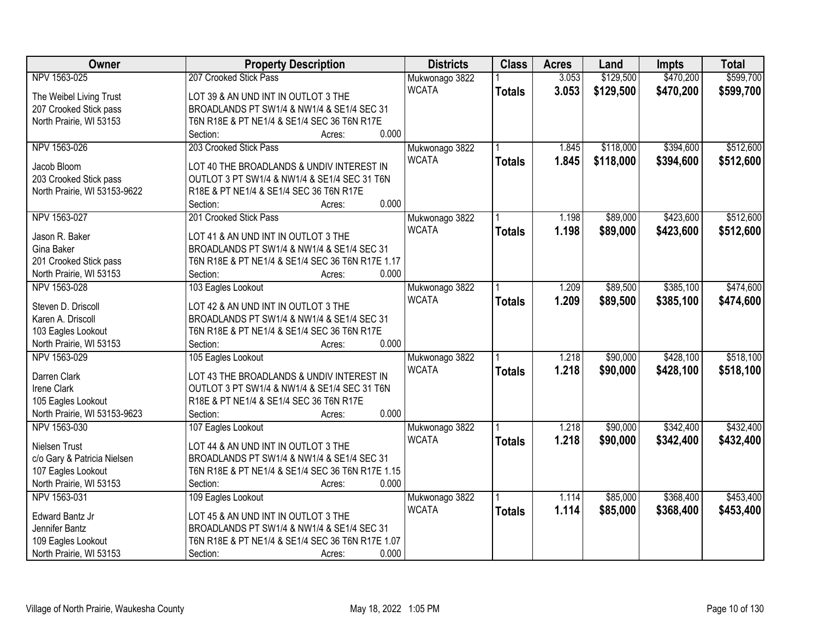| Owner                        | <b>Property Description</b>                      | <b>Districts</b> | <b>Class</b>  | <b>Acres</b> | Land      | <b>Impts</b> | <b>Total</b> |
|------------------------------|--------------------------------------------------|------------------|---------------|--------------|-----------|--------------|--------------|
| NPV 1563-025                 | 207 Crooked Stick Pass                           | Mukwonago 3822   |               | 3.053        | \$129,500 | \$470,200    | \$599,700    |
| The Weibel Living Trust      | LOT 39 & AN UND INT IN OUTLOT 3 THE              | <b>WCATA</b>     | <b>Totals</b> | 3.053        | \$129,500 | \$470,200    | \$599,700    |
| 207 Crooked Stick pass       | BROADLANDS PT SW1/4 & NW1/4 & SE1/4 SEC 31       |                  |               |              |           |              |              |
| North Prairie, WI 53153      | T6N R18E & PT NE1/4 & SE1/4 SEC 36 T6N R17E      |                  |               |              |           |              |              |
|                              | 0.000<br>Section:<br>Acres:                      |                  |               |              |           |              |              |
| NPV 1563-026                 | 203 Crooked Stick Pass                           | Mukwonago 3822   |               | 1.845        | \$118,000 | \$394,600    | \$512,600    |
|                              |                                                  | <b>WCATA</b>     | <b>Totals</b> | 1.845        | \$118,000 | \$394,600    | \$512,600    |
| Jacob Bloom                  | LOT 40 THE BROADLANDS & UNDIV INTEREST IN        |                  |               |              |           |              |              |
| 203 Crooked Stick pass       | OUTLOT 3 PT SW1/4 & NW1/4 & SE1/4 SEC 31 T6N     |                  |               |              |           |              |              |
| North Prairie, WI 53153-9622 | R18E & PT NE1/4 & SE1/4 SEC 36 T6N R17E          |                  |               |              |           |              |              |
|                              | 0.000<br>Section:<br>Acres:                      |                  |               |              |           |              |              |
| NPV 1563-027                 | 201 Crooked Stick Pass                           | Mukwonago 3822   |               | 1.198        | \$89,000  | \$423,600    | \$512,600    |
| Jason R. Baker               | LOT 41 & AN UND INT IN OUTLOT 3 THE              | <b>WCATA</b>     | <b>Totals</b> | 1.198        | \$89,000  | \$423,600    | \$512,600    |
| Gina Baker                   | BROADLANDS PT SW1/4 & NW1/4 & SE1/4 SEC 31       |                  |               |              |           |              |              |
| 201 Crooked Stick pass       | T6N R18E & PT NE1/4 & SE1/4 SEC 36 T6N R17E 1.17 |                  |               |              |           |              |              |
| North Prairie, WI 53153      | 0.000<br>Section:<br>Acres:                      |                  |               |              |           |              |              |
| NPV 1563-028                 | 103 Eagles Lookout                               |                  |               | 1.209        | \$89,500  | \$385,100    | \$474,600    |
|                              |                                                  | Mukwonago 3822   |               |              |           |              |              |
| Steven D. Driscoll           | LOT 42 & AN UND INT IN OUTLOT 3 THE              | <b>WCATA</b>     | <b>Totals</b> | 1.209        | \$89,500  | \$385,100    | \$474,600    |
| Karen A. Driscoll            | BROADLANDS PT SW1/4 & NW1/4 & SE1/4 SEC 31       |                  |               |              |           |              |              |
| 103 Eagles Lookout           | T6N R18E & PT NE1/4 & SE1/4 SEC 36 T6N R17E      |                  |               |              |           |              |              |
| North Prairie, WI 53153      | 0.000<br>Section:<br>Acres:                      |                  |               |              |           |              |              |
| NPV 1563-029                 | 105 Eagles Lookout                               | Mukwonago 3822   |               | 1.218        | \$90,000  | \$428,100    | \$518,100    |
|                              |                                                  | <b>WCATA</b>     | <b>Totals</b> | 1.218        | \$90,000  | \$428,100    | \$518,100    |
| Darren Clark                 | LOT 43 THE BROADLANDS & UNDIV INTEREST IN        |                  |               |              |           |              |              |
| Irene Clark                  | OUTLOT 3 PT SW1/4 & NW1/4 & SE1/4 SEC 31 T6N     |                  |               |              |           |              |              |
| 105 Eagles Lookout           | R18E & PT NE1/4 & SE1/4 SEC 36 T6N R17E          |                  |               |              |           |              |              |
| North Prairie, WI 53153-9623 | 0.000<br>Section:<br>Acres:                      |                  |               |              |           |              |              |
| NPV 1563-030                 | 107 Eagles Lookout                               | Mukwonago 3822   |               | 1.218        | \$90,000  | \$342,400    | \$432,400    |
| Nielsen Trust                | LOT 44 & AN UND INT IN OUTLOT 3 THE              | <b>WCATA</b>     | <b>Totals</b> | 1.218        | \$90,000  | \$342,400    | \$432,400    |
| c/o Gary & Patricia Nielsen  | BROADLANDS PT SW1/4 & NW1/4 & SE1/4 SEC 31       |                  |               |              |           |              |              |
| 107 Eagles Lookout           | T6N R18E & PT NE1/4 & SE1/4 SEC 36 T6N R17E 1.15 |                  |               |              |           |              |              |
| North Prairie, WI 53153      | 0.000<br>Section:<br>Acres:                      |                  |               |              |           |              |              |
| NPV 1563-031                 | 109 Eagles Lookout                               | Mukwonago 3822   |               | 1.114        | \$85,000  | \$368,400    | \$453,400    |
|                              |                                                  | <b>WCATA</b>     |               | 1.114        | \$85,000  | \$368,400    |              |
| Edward Bantz Jr              | LOT 45 & AN UND INT IN OUTLOT 3 THE              |                  | <b>Totals</b> |              |           |              | \$453,400    |
| Jennifer Bantz               | BROADLANDS PT SW1/4 & NW1/4 & SE1/4 SEC 31       |                  |               |              |           |              |              |
| 109 Eagles Lookout           | T6N R18E & PT NE1/4 & SE1/4 SEC 36 T6N R17E 1.07 |                  |               |              |           |              |              |
| North Prairie, WI 53153      | 0.000<br>Section:<br>Acres:                      |                  |               |              |           |              |              |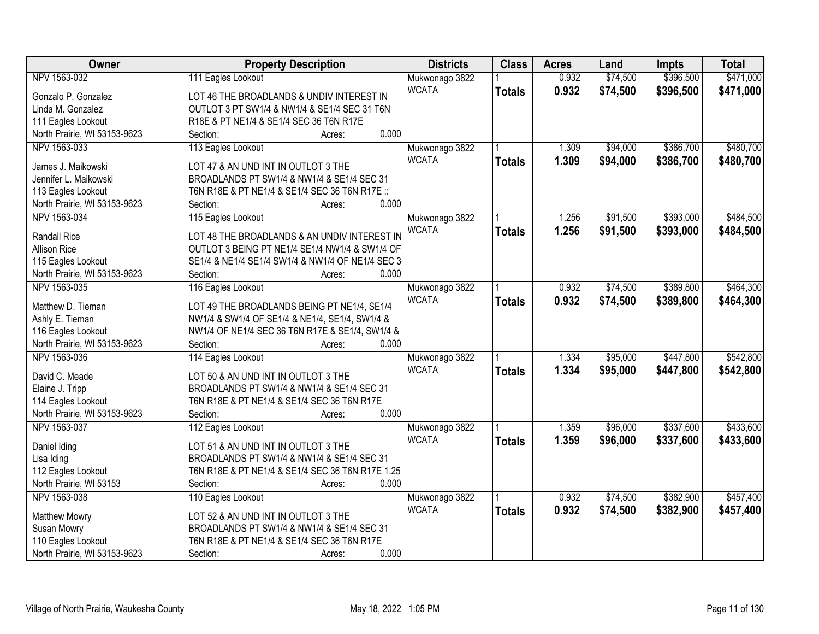| Owner                        | <b>Property Description</b>                             | <b>Districts</b> | <b>Class</b>  | <b>Acres</b> | Land     | <b>Impts</b> | <b>Total</b> |
|------------------------------|---------------------------------------------------------|------------------|---------------|--------------|----------|--------------|--------------|
| NPV 1563-032                 | 111 Eagles Lookout                                      | Mukwonago 3822   |               | 0.932        | \$74,500 | \$396,500    | \$471,000    |
| Gonzalo P. Gonzalez          | LOT 46 THE BROADLANDS & UNDIV INTEREST IN               | <b>WCATA</b>     | <b>Totals</b> | 0.932        | \$74,500 | \$396,500    | \$471,000    |
| Linda M. Gonzalez            | OUTLOT 3 PT SW1/4 & NW1/4 & SE1/4 SEC 31 T6N            |                  |               |              |          |              |              |
| 111 Eagles Lookout           | R18E & PT NE1/4 & SE1/4 SEC 36 T6N R17E                 |                  |               |              |          |              |              |
| North Prairie, WI 53153-9623 | 0.000<br>Section:<br>Acres:                             |                  |               |              |          |              |              |
| NPV 1563-033                 | 113 Eagles Lookout                                      | Mukwonago 3822   |               | 1.309        | \$94,000 | \$386,700    | \$480,700    |
|                              |                                                         | <b>WCATA</b>     | <b>Totals</b> | 1.309        | \$94,000 | \$386,700    | \$480,700    |
| James J. Maikowski           | LOT 47 & AN UND INT IN OUTLOT 3 THE                     |                  |               |              |          |              |              |
| Jennifer L. Maikowski        | BROADLANDS PT SW1/4 & NW1/4 & SE1/4 SEC 31              |                  |               |              |          |              |              |
| 113 Eagles Lookout           | T6N R18E & PT NE1/4 & SE1/4 SEC 36 T6N R17E ::<br>0.000 |                  |               |              |          |              |              |
| North Prairie, WI 53153-9623 | Section:<br>Acres:                                      |                  |               |              |          |              |              |
| NPV 1563-034                 | 115 Eagles Lookout                                      | Mukwonago 3822   |               | 1.256        | \$91,500 | \$393,000    | \$484,500    |
| <b>Randall Rice</b>          | LOT 48 THE BROADLANDS & AN UNDIV INTEREST IN            | <b>WCATA</b>     | <b>Totals</b> | 1.256        | \$91,500 | \$393,000    | \$484,500    |
| <b>Allison Rice</b>          | OUTLOT 3 BEING PT NE1/4 SE1/4 NW1/4 & SW1/4 OF          |                  |               |              |          |              |              |
| 115 Eagles Lookout           | SE1/4 & NE1/4 SE1/4 SW1/4 & NW1/4 OF NE1/4 SEC 3        |                  |               |              |          |              |              |
| North Prairie, WI 53153-9623 | 0.000<br>Section:<br>Acres:                             |                  |               |              |          |              |              |
| NPV 1563-035                 | 116 Eagles Lookout                                      | Mukwonago 3822   |               | 0.932        | \$74,500 | \$389,800    | \$464,300    |
|                              |                                                         | <b>WCATA</b>     | <b>Totals</b> | 0.932        | \$74,500 | \$389,800    | \$464,300    |
| Matthew D. Tieman            | LOT 49 THE BROADLANDS BEING PT NE1/4, SE1/4             |                  |               |              |          |              |              |
| Ashly E. Tieman              | NW1/4 & SW1/4 OF SE1/4 & NE1/4, SE1/4, SW1/4 &          |                  |               |              |          |              |              |
| 116 Eagles Lookout           | NW1/4 OF NE1/4 SEC 36 T6N R17E & SE1/4, SW1/4 &         |                  |               |              |          |              |              |
| North Prairie, WI 53153-9623 | 0.000<br>Section:<br>Acres:                             |                  |               |              |          |              |              |
| NPV 1563-036                 | 114 Eagles Lookout                                      | Mukwonago 3822   |               | 1.334        | \$95,000 | \$447,800    | \$542,800    |
| David C. Meade               | LOT 50 & AN UND INT IN OUTLOT 3 THE                     | <b>WCATA</b>     | <b>Totals</b> | 1.334        | \$95,000 | \$447,800    | \$542,800    |
| Elaine J. Tripp              | BROADLANDS PT SW1/4 & NW1/4 & SE1/4 SEC 31              |                  |               |              |          |              |              |
| 114 Eagles Lookout           | T6N R18E & PT NE1/4 & SE1/4 SEC 36 T6N R17E             |                  |               |              |          |              |              |
| North Prairie, WI 53153-9623 | 0.000<br>Section:<br>Acres:                             |                  |               |              |          |              |              |
| NPV 1563-037                 | 112 Eagles Lookout                                      | Mukwonago 3822   |               | 1.359        | \$96,000 | \$337,600    | \$433,600    |
|                              |                                                         | <b>WCATA</b>     | <b>Totals</b> | 1.359        | \$96,000 | \$337,600    | \$433,600    |
| Daniel Iding                 | LOT 51 & AN UND INT IN OUTLOT 3 THE                     |                  |               |              |          |              |              |
| Lisa Iding                   | BROADLANDS PT SW1/4 & NW1/4 & SE1/4 SEC 31              |                  |               |              |          |              |              |
| 112 Eagles Lookout           | T6N R18E & PT NE1/4 & SE1/4 SEC 36 T6N R17E 1.25        |                  |               |              |          |              |              |
| North Prairie, WI 53153      | 0.000<br>Section:<br>Acres:                             |                  |               |              |          |              |              |
| NPV 1563-038                 | 110 Eagles Lookout                                      | Mukwonago 3822   |               | 0.932        | \$74,500 | \$382,900    | \$457,400    |
| <b>Matthew Mowry</b>         | LOT 52 & AN UND INT IN OUTLOT 3 THE                     | <b>WCATA</b>     | <b>Totals</b> | 0.932        | \$74,500 | \$382,900    | \$457,400    |
| Susan Mowry                  | BROADLANDS PT SW1/4 & NW1/4 & SE1/4 SEC 31              |                  |               |              |          |              |              |
| 110 Eagles Lookout           | T6N R18E & PT NE1/4 & SE1/4 SEC 36 T6N R17E             |                  |               |              |          |              |              |
| North Prairie, WI 53153-9623 | 0.000<br>Section:<br>Acres:                             |                  |               |              |          |              |              |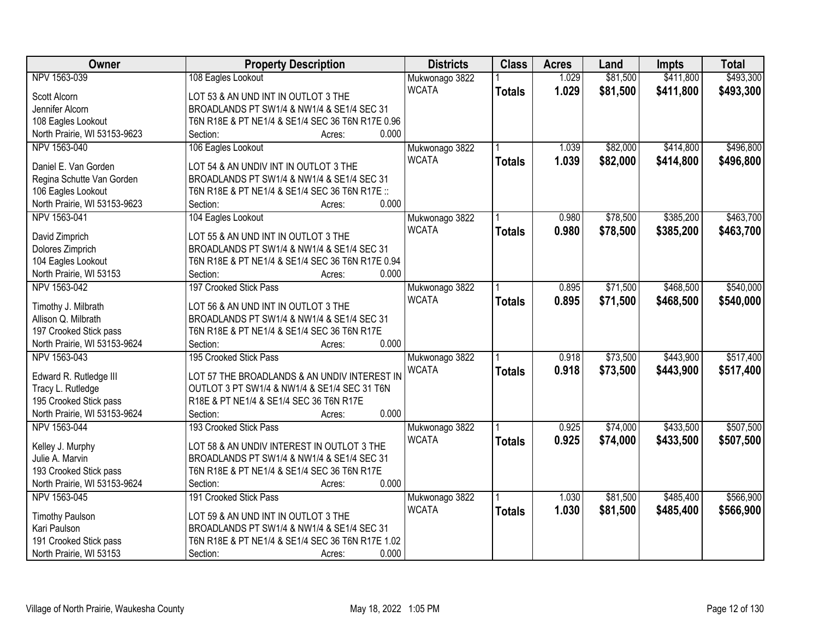| Owner                        | <b>Property Description</b>                      | <b>Districts</b> | <b>Class</b>  | <b>Acres</b> | Land     | Impts     | <b>Total</b> |
|------------------------------|--------------------------------------------------|------------------|---------------|--------------|----------|-----------|--------------|
| NPV 1563-039                 | 108 Eagles Lookout                               | Mukwonago 3822   |               | 1.029        | \$81,500 | \$411,800 | \$493,300    |
| Scott Alcorn                 | LOT 53 & AN UND INT IN OUTLOT 3 THE              | <b>WCATA</b>     | <b>Totals</b> | 1.029        | \$81,500 | \$411,800 | \$493,300    |
| Jennifer Alcorn              | BROADLANDS PT SW1/4 & NW1/4 & SE1/4 SEC 31       |                  |               |              |          |           |              |
| 108 Eagles Lookout           | T6N R18E & PT NE1/4 & SE1/4 SEC 36 T6N R17E 0.96 |                  |               |              |          |           |              |
| North Prairie, WI 53153-9623 | 0.000<br>Section:<br>Acres:                      |                  |               |              |          |           |              |
| NPV 1563-040                 | 106 Eagles Lookout                               | Mukwonago 3822   |               | 1.039        | \$82,000 | \$414,800 | \$496,800    |
|                              |                                                  | <b>WCATA</b>     | <b>Totals</b> | 1.039        | \$82,000 | \$414,800 | \$496,800    |
| Daniel E. Van Gorden         | LOT 54 & AN UNDIV INT IN OUTLOT 3 THE            |                  |               |              |          |           |              |
| Regina Schutte Van Gorden    | BROADLANDS PT SW1/4 & NW1/4 & SE1/4 SEC 31       |                  |               |              |          |           |              |
| 106 Eagles Lookout           | T6N R18E & PT NE1/4 & SE1/4 SEC 36 T6N R17E ::   |                  |               |              |          |           |              |
| North Prairie, WI 53153-9623 | 0.000<br>Section:<br>Acres:                      |                  |               |              |          |           |              |
| NPV 1563-041                 | 104 Eagles Lookout                               | Mukwonago 3822   |               | 0.980        | \$78,500 | \$385,200 | \$463,700    |
| David Zimprich               | LOT 55 & AN UND INT IN OUTLOT 3 THE              | <b>WCATA</b>     | <b>Totals</b> | 0.980        | \$78,500 | \$385,200 | \$463,700    |
| Dolores Zimprich             | BROADLANDS PT SW1/4 & NW1/4 & SE1/4 SEC 31       |                  |               |              |          |           |              |
| 104 Eagles Lookout           | T6N R18E & PT NE1/4 & SE1/4 SEC 36 T6N R17E 0.94 |                  |               |              |          |           |              |
| North Prairie, WI 53153      | 0.000<br>Section:<br>Acres:                      |                  |               |              |          |           |              |
| NPV 1563-042                 | 197 Crooked Stick Pass                           | Mukwonago 3822   |               | 0.895        | \$71,500 | \$468,500 | \$540,000    |
|                              |                                                  | <b>WCATA</b>     | <b>Totals</b> | 0.895        | \$71,500 | \$468,500 | \$540,000    |
| Timothy J. Milbrath          | LOT 56 & AN UND INT IN OUTLOT 3 THE              |                  |               |              |          |           |              |
| Allison Q. Milbrath          | BROADLANDS PT SW1/4 & NW1/4 & SE1/4 SEC 31       |                  |               |              |          |           |              |
| 197 Crooked Stick pass       | T6N R18E & PT NE1/4 & SE1/4 SEC 36 T6N R17E      |                  |               |              |          |           |              |
| North Prairie, WI 53153-9624 | 0.000<br>Section:<br>Acres:                      |                  |               |              |          |           |              |
| NPV 1563-043                 | 195 Crooked Stick Pass                           | Mukwonago 3822   |               | 0.918        | \$73,500 | \$443,900 | \$517,400    |
| Edward R. Rutledge III       | LOT 57 THE BROADLANDS & AN UNDIV INTEREST IN     | <b>WCATA</b>     | <b>Totals</b> | 0.918        | \$73,500 | \$443,900 | \$517,400    |
| Tracy L. Rutledge            | OUTLOT 3 PT SW1/4 & NW1/4 & SE1/4 SEC 31 T6N     |                  |               |              |          |           |              |
| 195 Crooked Stick pass       | R18E & PT NE1/4 & SE1/4 SEC 36 T6N R17E          |                  |               |              |          |           |              |
| North Prairie, WI 53153-9624 | 0.000<br>Section:<br>Acres:                      |                  |               |              |          |           |              |
| NPV 1563-044                 | 193 Crooked Stick Pass                           | Mukwonago 3822   |               | 0.925        | \$74,000 | \$433,500 | \$507,500    |
|                              |                                                  | <b>WCATA</b>     | <b>Totals</b> | 0.925        | \$74,000 | \$433,500 | \$507,500    |
| Kelley J. Murphy             | LOT 58 & AN UNDIV INTEREST IN OUTLOT 3 THE       |                  |               |              |          |           |              |
| Julie A. Marvin              | BROADLANDS PT SW1/4 & NW1/4 & SE1/4 SEC 31       |                  |               |              |          |           |              |
| 193 Crooked Stick pass       | T6N R18E & PT NE1/4 & SE1/4 SEC 36 T6N R17E      |                  |               |              |          |           |              |
| North Prairie, WI 53153-9624 | 0.000<br>Section:<br>Acres:                      |                  |               |              |          |           |              |
| NPV 1563-045                 | 191 Crooked Stick Pass                           | Mukwonago 3822   |               | 1.030        | \$81,500 | \$485,400 | \$566,900    |
| <b>Timothy Paulson</b>       | LOT 59 & AN UND INT IN OUTLOT 3 THE              | <b>WCATA</b>     | <b>Totals</b> | 1.030        | \$81,500 | \$485,400 | \$566,900    |
| Kari Paulson                 | BROADLANDS PT SW1/4 & NW1/4 & SE1/4 SEC 31       |                  |               |              |          |           |              |
| 191 Crooked Stick pass       | T6N R18E & PT NE1/4 & SE1/4 SEC 36 T6N R17E 1.02 |                  |               |              |          |           |              |
| North Prairie, WI 53153      | 0.000<br>Section:<br>Acres:                      |                  |               |              |          |           |              |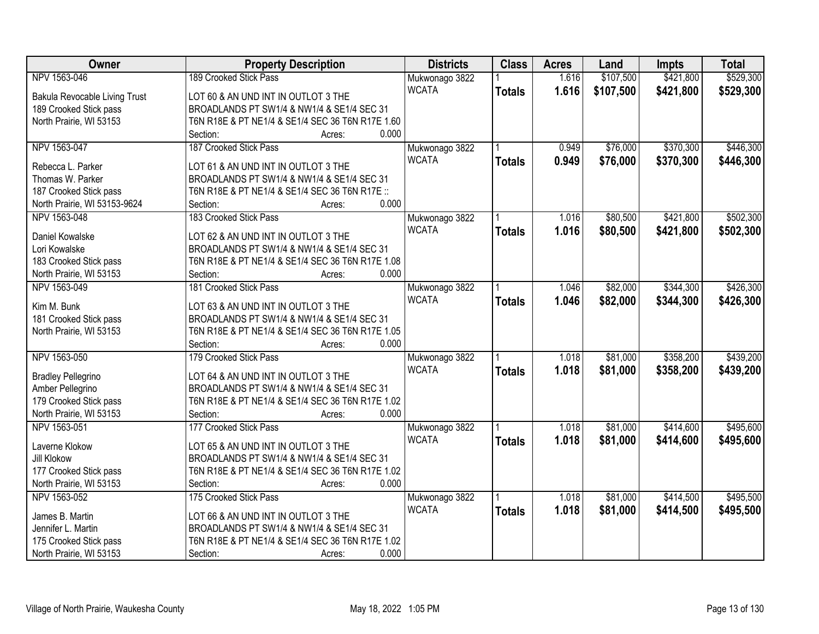| Owner                         | <b>Property Description</b>                      | <b>Districts</b>               | <b>Class</b>  | <b>Acres</b> | Land      | <b>Impts</b> | <b>Total</b> |
|-------------------------------|--------------------------------------------------|--------------------------------|---------------|--------------|-----------|--------------|--------------|
| NPV 1563-046                  | 189 Crooked Stick Pass                           | Mukwonago 3822                 |               | 1.616        | \$107,500 | \$421,800    | \$529,300    |
| Bakula Revocable Living Trust | LOT 60 & AN UND INT IN OUTLOT 3 THE              | <b>WCATA</b>                   | <b>Totals</b> | 1.616        | \$107,500 | \$421,800    | \$529,300    |
| 189 Crooked Stick pass        | BROADLANDS PT SW1/4 & NW1/4 & SE1/4 SEC 31       |                                |               |              |           |              |              |
| North Prairie, WI 53153       | T6N R18E & PT NE1/4 & SE1/4 SEC 36 T6N R17E 1.60 |                                |               |              |           |              |              |
|                               | 0.000<br>Section:<br>Acres:                      |                                |               |              |           |              |              |
| NPV 1563-047                  | 187 Crooked Stick Pass                           | Mukwonago 3822                 |               | 0.949        | \$76,000  | \$370,300    | \$446,300    |
|                               |                                                  | <b>WCATA</b>                   | <b>Totals</b> | 0.949        | \$76,000  | \$370,300    | \$446,300    |
| Rebecca L. Parker             | LOT 61 & AN UND INT IN OUTLOT 3 THE              |                                |               |              |           |              |              |
| Thomas W. Parker              | BROADLANDS PT SW1/4 & NW1/4 & SE1/4 SEC 31       |                                |               |              |           |              |              |
| 187 Crooked Stick pass        | T6N R18E & PT NE1/4 & SE1/4 SEC 36 T6N R17E ::   |                                |               |              |           |              |              |
| North Prairie, WI 53153-9624  | 0.000<br>Section:<br>Acres:                      |                                |               |              |           |              |              |
| NPV 1563-048                  | 183 Crooked Stick Pass                           | Mukwonago 3822                 |               | 1.016        | \$80,500  | \$421,800    | \$502,300    |
| Daniel Kowalske               | LOT 62 & AN UND INT IN OUTLOT 3 THE              | <b>WCATA</b>                   | <b>Totals</b> | 1.016        | \$80,500  | \$421,800    | \$502,300    |
| Lori Kowalske                 | BROADLANDS PT SW1/4 & NW1/4 & SE1/4 SEC 31       |                                |               |              |           |              |              |
| 183 Crooked Stick pass        | T6N R18E & PT NE1/4 & SE1/4 SEC 36 T6N R17E 1.08 |                                |               |              |           |              |              |
| North Prairie, WI 53153       | 0.000<br>Section:<br>Acres:                      |                                |               |              |           |              |              |
| NPV 1563-049                  | 181 Crooked Stick Pass                           | Mukwonago 3822                 |               | 1.046        | \$82,000  | \$344,300    | \$426,300    |
|                               |                                                  | <b>WCATA</b>                   | <b>Totals</b> | 1.046        | \$82,000  | \$344,300    | \$426,300    |
| Kim M. Bunk                   | LOT 63 & AN UND INT IN OUTLOT 3 THE              |                                |               |              |           |              |              |
| 181 Crooked Stick pass        | BROADLANDS PT SW1/4 & NW1/4 & SE1/4 SEC 31       |                                |               |              |           |              |              |
| North Prairie, WI 53153       | T6N R18E & PT NE1/4 & SE1/4 SEC 36 T6N R17E 1.05 |                                |               |              |           |              |              |
|                               | 0.000<br>Section:<br>Acres:                      |                                |               |              |           |              |              |
| NPV 1563-050                  | 179 Crooked Stick Pass                           | Mukwonago 3822                 |               | 1.018        | \$81,000  | \$358,200    | \$439,200    |
| <b>Bradley Pellegrino</b>     | LOT 64 & AN UND INT IN OUTLOT 3 THE              | <b>WCATA</b>                   | <b>Totals</b> | 1.018        | \$81,000  | \$358,200    | \$439,200    |
| Amber Pellegrino              | BROADLANDS PT SW1/4 & NW1/4 & SE1/4 SEC 31       |                                |               |              |           |              |              |
| 179 Crooked Stick pass        | T6N R18E & PT NE1/4 & SE1/4 SEC 36 T6N R17E 1.02 |                                |               |              |           |              |              |
| North Prairie, WI 53153       | 0.000<br>Section:<br>Acres:                      |                                |               |              |           |              |              |
| NPV 1563-051                  | 177 Crooked Stick Pass                           |                                |               | 1.018        | \$81,000  | \$414,600    | \$495,600    |
|                               |                                                  | Mukwonago 3822<br><b>WCATA</b> |               |              |           |              |              |
| Laverne Klokow                | LOT 65 & AN UND INT IN OUTLOT 3 THE              |                                | <b>Totals</b> | 1.018        | \$81,000  | \$414,600    | \$495,600    |
| Jill Klokow                   | BROADLANDS PT SW1/4 & NW1/4 & SE1/4 SEC 31       |                                |               |              |           |              |              |
| 177 Crooked Stick pass        | T6N R18E & PT NE1/4 & SE1/4 SEC 36 T6N R17E 1.02 |                                |               |              |           |              |              |
| North Prairie, WI 53153       | 0.000<br>Section:<br>Acres:                      |                                |               |              |           |              |              |
| NPV 1563-052                  | 175 Crooked Stick Pass                           | Mukwonago 3822                 |               | 1.018        | \$81,000  | \$414,500    | \$495,500    |
|                               |                                                  | <b>WCATA</b>                   | <b>Totals</b> | 1.018        | \$81,000  | \$414,500    | \$495,500    |
| James B. Martin               | LOT 66 & AN UND INT IN OUTLOT 3 THE              |                                |               |              |           |              |              |
| Jennifer L. Martin            | BROADLANDS PT SW1/4 & NW1/4 & SE1/4 SEC 31       |                                |               |              |           |              |              |
| 175 Crooked Stick pass        | T6N R18E & PT NE1/4 & SE1/4 SEC 36 T6N R17E 1.02 |                                |               |              |           |              |              |
| North Prairie, WI 53153       | 0.000<br>Section:<br>Acres:                      |                                |               |              |           |              |              |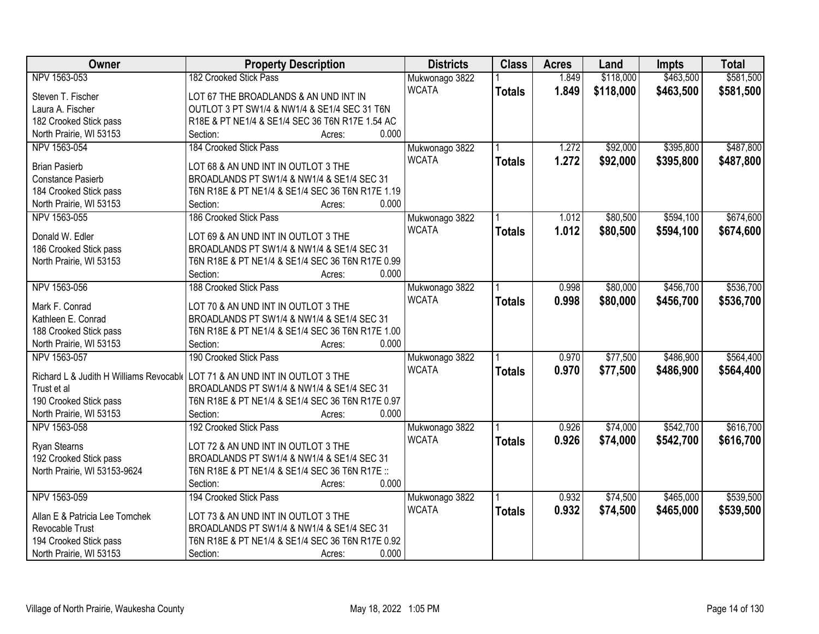| Owner                          | <b>Property Description</b>                                                | <b>Districts</b> | <b>Class</b>  | <b>Acres</b> | Land      | <b>Impts</b> | <b>Total</b> |
|--------------------------------|----------------------------------------------------------------------------|------------------|---------------|--------------|-----------|--------------|--------------|
| NPV 1563-053                   | 182 Crooked Stick Pass                                                     | Mukwonago 3822   |               | 1.849        | \$118,000 | \$463,500    | \$581,500    |
| Steven T. Fischer              | LOT 67 THE BROADLANDS & AN UND INT IN                                      | <b>WCATA</b>     | <b>Totals</b> | 1.849        | \$118,000 | \$463,500    | \$581,500    |
| Laura A. Fischer               | OUTLOT 3 PT SW1/4 & NW1/4 & SE1/4 SEC 31 T6N                               |                  |               |              |           |              |              |
| 182 Crooked Stick pass         | R18E & PT NE1/4 & SE1/4 SEC 36 T6N R17E 1.54 AC                            |                  |               |              |           |              |              |
| North Prairie, WI 53153        | Section:<br>0.000<br>Acres:                                                |                  |               |              |           |              |              |
| NPV 1563-054                   | 184 Crooked Stick Pass                                                     | Mukwonago 3822   |               | 1.272        | \$92,000  | \$395,800    | \$487,800    |
| <b>Brian Pasierb</b>           | LOT 68 & AN UND INT IN OUTLOT 3 THE                                        | <b>WCATA</b>     | <b>Totals</b> | 1.272        | \$92,000  | \$395,800    | \$487,800    |
| Constance Pasierb              | BROADLANDS PT SW1/4 & NW1/4 & SE1/4 SEC 31                                 |                  |               |              |           |              |              |
| 184 Crooked Stick pass         | T6N R18E & PT NE1/4 & SE1/4 SEC 36 T6N R17E 1.19                           |                  |               |              |           |              |              |
| North Prairie, WI 53153        | 0.000<br>Section:<br>Acres:                                                |                  |               |              |           |              |              |
| NPV 1563-055                   | 186 Crooked Stick Pass                                                     | Mukwonago 3822   |               | 1.012        | \$80,500  | \$594,100    | \$674,600    |
| Donald W. Edler                | LOT 69 & AN UND INT IN OUTLOT 3 THE                                        | <b>WCATA</b>     | <b>Totals</b> | 1.012        | \$80,500  | \$594,100    | \$674,600    |
| 186 Crooked Stick pass         | BROADLANDS PT SW1/4 & NW1/4 & SE1/4 SEC 31                                 |                  |               |              |           |              |              |
| North Prairie, WI 53153        | T6N R18E & PT NE1/4 & SE1/4 SEC 36 T6N R17E 0.99                           |                  |               |              |           |              |              |
|                                | 0.000<br>Section:<br>Acres:                                                |                  |               |              |           |              |              |
| NPV 1563-056                   | 188 Crooked Stick Pass                                                     | Mukwonago 3822   |               | 0.998        | \$80,000  | \$456,700    | \$536,700    |
|                                |                                                                            | <b>WCATA</b>     |               | 0.998        | \$80,000  | \$456,700    |              |
| Mark F. Conrad                 | LOT 70 & AN UND INT IN OUTLOT 3 THE                                        |                  | <b>Totals</b> |              |           |              | \$536,700    |
| Kathleen E. Conrad             | BROADLANDS PT SW1/4 & NW1/4 & SE1/4 SEC 31                                 |                  |               |              |           |              |              |
| 188 Crooked Stick pass         | T6N R18E & PT NE1/4 & SE1/4 SEC 36 T6N R17E 1.00                           |                  |               |              |           |              |              |
| North Prairie, WI 53153        | 0.000<br>Section:<br>Acres:                                                |                  |               |              |           |              |              |
| NPV 1563-057                   | 190 Crooked Stick Pass                                                     | Mukwonago 3822   |               | 0.970        | \$77,500  | \$486,900    | \$564,400    |
|                                | Richard L & Judith H Williams Revocabl LOT 71 & AN UND INT IN OUTLOT 3 THE | <b>WCATA</b>     | <b>Totals</b> | 0.970        | \$77,500  | \$486,900    | \$564,400    |
| Trust et al                    | BROADLANDS PT SW1/4 & NW1/4 & SE1/4 SEC 31                                 |                  |               |              |           |              |              |
| 190 Crooked Stick pass         | T6N R18E & PT NE1/4 & SE1/4 SEC 36 T6N R17E 0.97                           |                  |               |              |           |              |              |
| North Prairie, WI 53153        | 0.000<br>Section:<br>Acres:                                                |                  |               |              |           |              |              |
| NPV 1563-058                   | 192 Crooked Stick Pass                                                     | Mukwonago 3822   |               | 0.926        | \$74,000  | \$542,700    | \$616,700    |
|                                |                                                                            | <b>WCATA</b>     | <b>Totals</b> | 0.926        | \$74,000  | \$542,700    | \$616,700    |
| Ryan Stearns                   | LOT 72 & AN UND INT IN OUTLOT 3 THE                                        |                  |               |              |           |              |              |
| 192 Crooked Stick pass         | BROADLANDS PT SW1/4 & NW1/4 & SE1/4 SEC 31                                 |                  |               |              |           |              |              |
| North Prairie, WI 53153-9624   | T6N R18E & PT NE1/4 & SE1/4 SEC 36 T6N R17E ::                             |                  |               |              |           |              |              |
|                                | 0.000<br>Section:<br>Acres:                                                |                  |               |              |           |              |              |
| NPV 1563-059                   | 194 Crooked Stick Pass                                                     | Mukwonago 3822   |               | 0.932        | \$74,500  | \$465,000    | \$539,500    |
| Allan E & Patricia Lee Tomchek | LOT 73 & AN UND INT IN OUTLOT 3 THE                                        | <b>WCATA</b>     | <b>Totals</b> | 0.932        | \$74,500  | \$465,000    | \$539,500    |
| Revocable Trust                | BROADLANDS PT SW1/4 & NW1/4 & SE1/4 SEC 31                                 |                  |               |              |           |              |              |
| 194 Crooked Stick pass         | T6N R18E & PT NE1/4 & SE1/4 SEC 36 T6N R17E 0.92                           |                  |               |              |           |              |              |
| North Prairie, WI 53153        | 0.000<br>Section:<br>Acres:                                                |                  |               |              |           |              |              |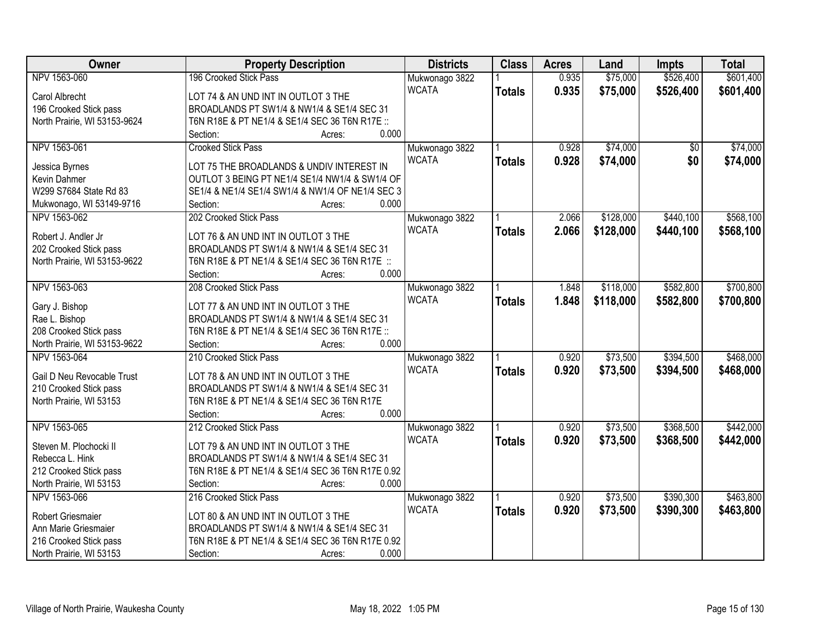| Owner                        | <b>Property Description</b>                      | <b>Districts</b> | <b>Class</b>  | <b>Acres</b> | Land      | <b>Impts</b>    | <b>Total</b> |
|------------------------------|--------------------------------------------------|------------------|---------------|--------------|-----------|-----------------|--------------|
| NPV 1563-060                 | 196 Crooked Stick Pass                           | Mukwonago 3822   |               | 0.935        | \$75,000  | \$526,400       | \$601,400    |
| Carol Albrecht               | LOT 74 & AN UND INT IN OUTLOT 3 THE              | <b>WCATA</b>     | <b>Totals</b> | 0.935        | \$75,000  | \$526,400       | \$601,400    |
| 196 Crooked Stick pass       | BROADLANDS PT SW1/4 & NW1/4 & SE1/4 SEC 31       |                  |               |              |           |                 |              |
| North Prairie, WI 53153-9624 | T6N R18E & PT NE1/4 & SE1/4 SEC 36 T6N R17E ::   |                  |               |              |           |                 |              |
|                              | 0.000<br>Section:<br>Acres:                      |                  |               |              |           |                 |              |
| NPV 1563-061                 | <b>Crooked Stick Pass</b>                        | Mukwonago 3822   |               | 0.928        | \$74,000  | $\overline{30}$ | \$74,000     |
|                              |                                                  | <b>WCATA</b>     | <b>Totals</b> | 0.928        | \$74,000  | \$0             | \$74,000     |
| Jessica Byrnes               | LOT 75 THE BROADLANDS & UNDIV INTEREST IN        |                  |               |              |           |                 |              |
| Kevin Dahmer                 | OUTLOT 3 BEING PT NE1/4 SE1/4 NW1/4 & SW1/4 OF   |                  |               |              |           |                 |              |
| W299 S7684 State Rd 83       | SE1/4 & NE1/4 SE1/4 SW1/4 & NW1/4 OF NE1/4 SEC 3 |                  |               |              |           |                 |              |
| Mukwonago, WI 53149-9716     | 0.000<br>Section:<br>Acres:                      |                  |               |              |           |                 |              |
| NPV 1563-062                 | 202 Crooked Stick Pass                           | Mukwonago 3822   |               | 2.066        | \$128,000 | \$440,100       | \$568,100    |
| Robert J. Andler Jr          | LOT 76 & AN UND INT IN OUTLOT 3 THE              | <b>WCATA</b>     | <b>Totals</b> | 2.066        | \$128,000 | \$440,100       | \$568,100    |
| 202 Crooked Stick pass       | BROADLANDS PT SW1/4 & NW1/4 & SE1/4 SEC 31       |                  |               |              |           |                 |              |
| North Prairie, WI 53153-9622 | T6N R18E & PT NE1/4 & SE1/4 SEC 36 T6N R17E ::   |                  |               |              |           |                 |              |
|                              | 0.000<br>Section:<br>Acres:                      |                  |               |              |           |                 |              |
| NPV 1563-063                 | 208 Crooked Stick Pass                           | Mukwonago 3822   |               | 1.848        | \$118,000 | \$582,800       | \$700,800    |
|                              |                                                  | <b>WCATA</b>     |               |              |           |                 |              |
| Gary J. Bishop               | LOT 77 & AN UND INT IN OUTLOT 3 THE              |                  | <b>Totals</b> | 1.848        | \$118,000 | \$582,800       | \$700,800    |
| Rae L. Bishop                | BROADLANDS PT SW1/4 & NW1/4 & SE1/4 SEC 31       |                  |               |              |           |                 |              |
| 208 Crooked Stick pass       | T6N R18E & PT NE1/4 & SE1/4 SEC 36 T6N R17E ::   |                  |               |              |           |                 |              |
| North Prairie, WI 53153-9622 | 0.000<br>Section:<br>Acres:                      |                  |               |              |           |                 |              |
| NPV 1563-064                 | 210 Crooked Stick Pass                           | Mukwonago 3822   |               | 0.920        | \$73,500  | \$394,500       | \$468,000    |
|                              |                                                  | <b>WCATA</b>     | <b>Totals</b> | 0.920        | \$73,500  | \$394,500       | \$468,000    |
| Gail D Neu Revocable Trust   | LOT 78 & AN UND INT IN OUTLOT 3 THE              |                  |               |              |           |                 |              |
| 210 Crooked Stick pass       | BROADLANDS PT SW1/4 & NW1/4 & SE1/4 SEC 31       |                  |               |              |           |                 |              |
| North Prairie, WI 53153      | T6N R18E & PT NE1/4 & SE1/4 SEC 36 T6N R17E      |                  |               |              |           |                 |              |
|                              | 0.000<br>Section:<br>Acres:                      |                  |               |              |           |                 |              |
| NPV 1563-065                 | 212 Crooked Stick Pass                           | Mukwonago 3822   |               | 0.920        | \$73,500  | \$368,500       | \$442,000    |
| Steven M. Plochocki II       | LOT 79 & AN UND INT IN OUTLOT 3 THE              | <b>WCATA</b>     | <b>Totals</b> | 0.920        | \$73,500  | \$368,500       | \$442,000    |
| Rebecca L. Hink              | BROADLANDS PT SW1/4 & NW1/4 & SE1/4 SEC 31       |                  |               |              |           |                 |              |
| 212 Crooked Stick pass       | T6N R18E & PT NE1/4 & SE1/4 SEC 36 T6N R17E 0.92 |                  |               |              |           |                 |              |
| North Prairie, WI 53153      | 0.000<br>Section:<br>Acres:                      |                  |               |              |           |                 |              |
| NPV 1563-066                 | 216 Crooked Stick Pass                           | Mukwonago 3822   |               | 0.920        | \$73,500  | \$390,300       | \$463,800    |
|                              |                                                  |                  |               |              |           |                 |              |
| Robert Griesmaier            | LOT 80 & AN UND INT IN OUTLOT 3 THE              | <b>WCATA</b>     | <b>Totals</b> | 0.920        | \$73,500  | \$390,300       | \$463,800    |
| Ann Marie Griesmaier         | BROADLANDS PT SW1/4 & NW1/4 & SE1/4 SEC 31       |                  |               |              |           |                 |              |
| 216 Crooked Stick pass       | T6N R18E & PT NE1/4 & SE1/4 SEC 36 T6N R17E 0.92 |                  |               |              |           |                 |              |
| North Prairie, WI 53153      | 0.000<br>Section:<br>Acres:                      |                  |               |              |           |                 |              |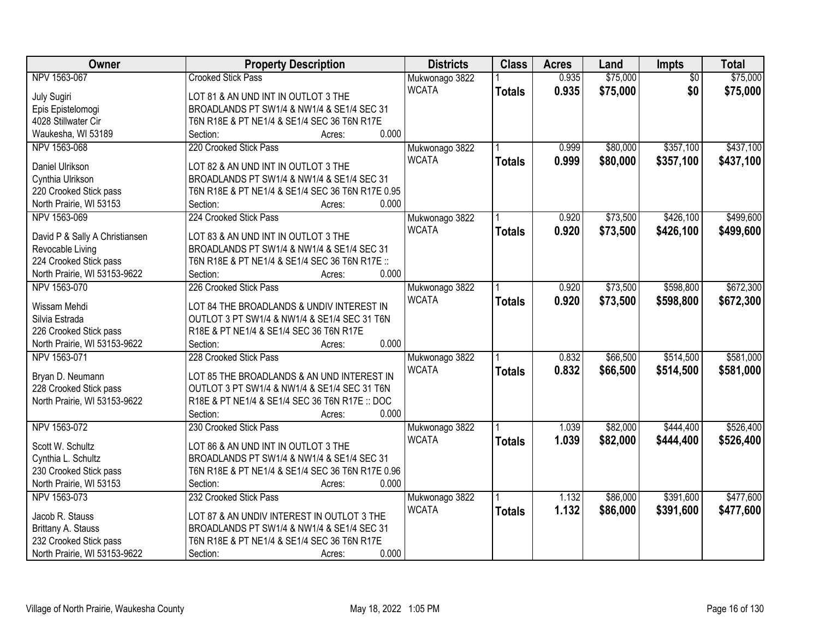| Owner                          | <b>Property Description</b>                      | <b>Districts</b>               | <b>Class</b>  | <b>Acres</b> | Land     | Impts           | <b>Total</b> |
|--------------------------------|--------------------------------------------------|--------------------------------|---------------|--------------|----------|-----------------|--------------|
| NPV 1563-067                   | <b>Crooked Stick Pass</b>                        | Mukwonago 3822                 |               | 0.935        | \$75,000 | $\overline{50}$ | \$75,000     |
| <b>July Sugiri</b>             | LOT 81 & AN UND INT IN OUTLOT 3 THE              | <b>WCATA</b>                   | <b>Totals</b> | 0.935        | \$75,000 | \$0             | \$75,000     |
| Epis Epistelomogi              | BROADLANDS PT SW1/4 & NW1/4 & SE1/4 SEC 31       |                                |               |              |          |                 |              |
| 4028 Stillwater Cir            | T6N R18E & PT NE1/4 & SE1/4 SEC 36 T6N R17E      |                                |               |              |          |                 |              |
| Waukesha, WI 53189             | 0.000<br>Section:<br>Acres:                      |                                |               |              |          |                 |              |
| NPV 1563-068                   | 220 Crooked Stick Pass                           | Mukwonago 3822                 |               | 0.999        | \$80,000 | \$357,100       | \$437,100    |
|                                |                                                  | <b>WCATA</b>                   | <b>Totals</b> | 0.999        | \$80,000 | \$357,100       | \$437,100    |
| Daniel Ulrikson                | LOT 82 & AN UND INT IN OUTLOT 3 THE              |                                |               |              |          |                 |              |
| Cynthia Ulrikson               | BROADLANDS PT SW1/4 & NW1/4 & SE1/4 SEC 31       |                                |               |              |          |                 |              |
| 220 Crooked Stick pass         | T6N R18E & PT NE1/4 & SE1/4 SEC 36 T6N R17E 0.95 |                                |               |              |          |                 |              |
| North Prairie, WI 53153        | 0.000<br>Section:<br>Acres:                      |                                |               |              |          |                 |              |
| NPV 1563-069                   | 224 Crooked Stick Pass                           | Mukwonago 3822                 |               | 0.920        | \$73,500 | \$426,100       | \$499,600    |
| David P & Sally A Christiansen | LOT 83 & AN UND INT IN OUTLOT 3 THE              | <b>WCATA</b>                   | <b>Totals</b> | 0.920        | \$73,500 | \$426,100       | \$499,600    |
| Revocable Living               | BROADLANDS PT SW1/4 & NW1/4 & SE1/4 SEC 31       |                                |               |              |          |                 |              |
| 224 Crooked Stick pass         | T6N R18E & PT NE1/4 & SE1/4 SEC 36 T6N R17E ::   |                                |               |              |          |                 |              |
| North Prairie, WI 53153-9622   | 0.000<br>Section:<br>Acres:                      |                                |               |              |          |                 |              |
| NPV 1563-070                   | 226 Crooked Stick Pass                           | Mukwonago 3822                 |               | 0.920        | \$73,500 | \$598,800       | \$672,300    |
|                                |                                                  | <b>WCATA</b>                   | <b>Totals</b> | 0.920        | \$73,500 | \$598,800       | \$672,300    |
| Wissam Mehdi                   | LOT 84 THE BROADLANDS & UNDIV INTEREST IN        |                                |               |              |          |                 |              |
| Silvia Estrada                 | OUTLOT 3 PT SW1/4 & NW1/4 & SE1/4 SEC 31 T6N     |                                |               |              |          |                 |              |
| 226 Crooked Stick pass         | R18E & PT NE1/4 & SE1/4 SEC 36 T6N R17E          |                                |               |              |          |                 |              |
| North Prairie, WI 53153-9622   | 0.000<br>Section:<br>Acres:                      |                                |               |              |          |                 |              |
| NPV 1563-071                   | 228 Crooked Stick Pass                           | Mukwonago 3822                 |               | 0.832        | \$66,500 | \$514,500       | \$581,000    |
| Bryan D. Neumann               | LOT 85 THE BROADLANDS & AN UND INTEREST IN       | <b>WCATA</b>                   | <b>Totals</b> | 0.832        | \$66,500 | \$514,500       | \$581,000    |
| 228 Crooked Stick pass         | OUTLOT 3 PT SW1/4 & NW1/4 & SE1/4 SEC 31 T6N     |                                |               |              |          |                 |              |
| North Prairie, WI 53153-9622   | R18E & PT NE1/4 & SE1/4 SEC 36 T6N R17E :: DOC   |                                |               |              |          |                 |              |
|                                | 0.000<br>Section:<br>Acres:                      |                                |               |              |          |                 |              |
| NPV 1563-072                   | 230 Crooked Stick Pass                           |                                |               | 1.039        | \$82,000 | \$444,400       | \$526,400    |
|                                |                                                  | Mukwonago 3822<br><b>WCATA</b> |               |              |          |                 |              |
| Scott W. Schultz               | LOT 86 & AN UND INT IN OUTLOT 3 THE              |                                | <b>Totals</b> | 1.039        | \$82,000 | \$444,400       | \$526,400    |
| Cynthia L. Schultz             | BROADLANDS PT SW1/4 & NW1/4 & SE1/4 SEC 31       |                                |               |              |          |                 |              |
| 230 Crooked Stick pass         | T6N R18E & PT NE1/4 & SE1/4 SEC 36 T6N R17E 0.96 |                                |               |              |          |                 |              |
| North Prairie, WI 53153        | 0.000<br>Section:<br>Acres:                      |                                |               |              |          |                 |              |
| NPV 1563-073                   | 232 Crooked Stick Pass                           | Mukwonago 3822                 |               | 1.132        | \$86,000 | \$391,600       | \$477,600    |
|                                |                                                  | <b>WCATA</b>                   | <b>Totals</b> | 1.132        | \$86,000 | \$391,600       | \$477,600    |
| Jacob R. Stauss                | LOT 87 & AN UNDIV INTEREST IN OUTLOT 3 THE       |                                |               |              |          |                 |              |
| Brittany A. Stauss             | BROADLANDS PT SW1/4 & NW1/4 & SE1/4 SEC 31       |                                |               |              |          |                 |              |
| 232 Crooked Stick pass         | T6N R18E & PT NE1/4 & SE1/4 SEC 36 T6N R17E      |                                |               |              |          |                 |              |
| North Prairie, WI 53153-9622   | 0.000<br>Section:<br>Acres:                      |                                |               |              |          |                 |              |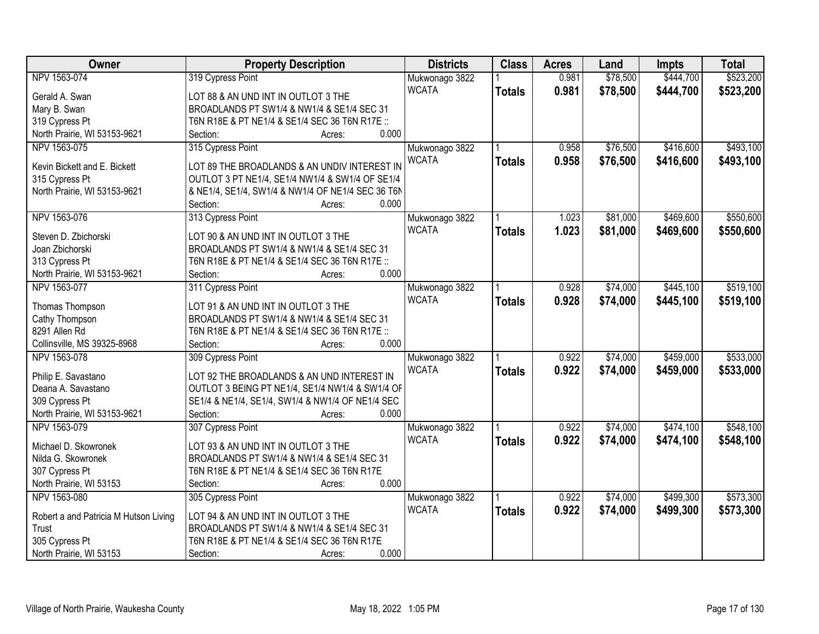| Owner                                 | <b>Property Description</b>                       | <b>Districts</b> | <b>Class</b>  | <b>Acres</b> | Land     | <b>Impts</b> | <b>Total</b> |
|---------------------------------------|---------------------------------------------------|------------------|---------------|--------------|----------|--------------|--------------|
| NPV 1563-074                          | 319 Cypress Point                                 | Mukwonago 3822   |               | 0.981        | \$78,500 | \$444,700    | \$523,200    |
| Gerald A. Swan                        | LOT 88 & AN UND INT IN OUTLOT 3 THE               | <b>WCATA</b>     | <b>Totals</b> | 0.981        | \$78,500 | \$444,700    | \$523,200    |
| Mary B. Swan                          | BROADLANDS PT SW1/4 & NW1/4 & SE1/4 SEC 31        |                  |               |              |          |              |              |
| 319 Cypress Pt                        | T6N R18E & PT NE1/4 & SE1/4 SEC 36 T6N R17E ::    |                  |               |              |          |              |              |
| North Prairie, WI 53153-9621          | 0.000<br>Section:<br>Acres:                       |                  |               |              |          |              |              |
| NPV 1563-075                          | 315 Cypress Point                                 | Mukwonago 3822   |               | 0.958        | \$76,500 | \$416,600    | \$493,100    |
|                                       |                                                   | <b>WCATA</b>     | <b>Totals</b> | 0.958        | \$76,500 | \$416,600    | \$493,100    |
| Kevin Bickett and E. Bickett          | LOT 89 THE BROADLANDS & AN UNDIV INTEREST IN      |                  |               |              |          |              |              |
| 315 Cypress Pt                        | OUTLOT 3 PT NE1/4, SE1/4 NW1/4 & SW1/4 OF SE1/4   |                  |               |              |          |              |              |
| North Prairie, WI 53153-9621          | & NE1/4, SE1/4, SW1/4 & NW1/4 OF NE1/4 SEC 36 T6N |                  |               |              |          |              |              |
|                                       | 0.000<br>Section:<br>Acres:                       |                  |               |              |          |              |              |
| NPV 1563-076                          | 313 Cypress Point                                 | Mukwonago 3822   |               | 1.023        | \$81,000 | \$469,600    | \$550,600    |
| Steven D. Zbichorski                  | LOT 90 & AN UND INT IN OUTLOT 3 THE               | <b>WCATA</b>     | <b>Totals</b> | 1.023        | \$81,000 | \$469,600    | \$550,600    |
| Joan Zbichorski                       | BROADLANDS PT SW1/4 & NW1/4 & SE1/4 SEC 31        |                  |               |              |          |              |              |
| 313 Cypress Pt                        | T6N R18E & PT NE1/4 & SE1/4 SEC 36 T6N R17E ::    |                  |               |              |          |              |              |
| North Prairie, WI 53153-9621          | 0.000<br>Section:<br>Acres:                       |                  |               |              |          |              |              |
| NPV 1563-077                          | 311 Cypress Point                                 | Mukwonago 3822   |               | 0.928        | \$74,000 | \$445,100    | \$519,100    |
|                                       |                                                   | <b>WCATA</b>     |               | 0.928        | \$74,000 | \$445,100    |              |
| Thomas Thompson                       | LOT 91 & AN UND INT IN OUTLOT 3 THE               |                  | <b>Totals</b> |              |          |              | \$519,100    |
| Cathy Thompson                        | BROADLANDS PT SW1/4 & NW1/4 & SE1/4 SEC 31        |                  |               |              |          |              |              |
| 8291 Allen Rd                         | T6N R18E & PT NE1/4 & SE1/4 SEC 36 T6N R17E ::    |                  |               |              |          |              |              |
| Collinsville, MS 39325-8968           | 0.000<br>Section:<br>Acres:                       |                  |               |              |          |              |              |
| NPV 1563-078                          | 309 Cypress Point                                 | Mukwonago 3822   |               | 0.922        | \$74,000 | \$459,000    | \$533,000    |
|                                       |                                                   | <b>WCATA</b>     | <b>Totals</b> | 0.922        | \$74,000 | \$459,000    | \$533,000    |
| Philip E. Savastano                   | LOT 92 THE BROADLANDS & AN UND INTEREST IN        |                  |               |              |          |              |              |
| Deana A. Savastano                    | OUTLOT 3 BEING PT NE1/4, SE1/4 NW1/4 & SW1/4 OF   |                  |               |              |          |              |              |
| 309 Cypress Pt                        | SE1/4 & NE1/4, SE1/4, SW1/4 & NW1/4 OF NE1/4 SEC  |                  |               |              |          |              |              |
| North Prairie, WI 53153-9621          | 0.000<br>Section:<br>Acres:                       |                  |               |              |          |              |              |
| NPV 1563-079                          | 307 Cypress Point                                 | Mukwonago 3822   |               | 0.922        | \$74,000 | \$474,100    | \$548,100    |
| Michael D. Skowronek                  | LOT 93 & AN UND INT IN OUTLOT 3 THE               | <b>WCATA</b>     | <b>Totals</b> | 0.922        | \$74,000 | \$474,100    | \$548,100    |
| Nilda G. Skowronek                    | BROADLANDS PT SW1/4 & NW1/4 & SE1/4 SEC 31        |                  |               |              |          |              |              |
| 307 Cypress Pt                        | T6N R18E & PT NE1/4 & SE1/4 SEC 36 T6N R17E       |                  |               |              |          |              |              |
| North Prairie, WI 53153               | 0.000<br>Section:<br>Acres:                       |                  |               |              |          |              |              |
| NPV 1563-080                          | 305 Cypress Point                                 | Mukwonago 3822   |               | 0.922        | \$74,000 | \$499,300    | \$573,300    |
|                                       |                                                   | <b>WCATA</b>     | <b>Totals</b> | 0.922        | \$74,000 | \$499,300    | \$573,300    |
| Robert a and Patricia M Hutson Living | LOT 94 & AN UND INT IN OUTLOT 3 THE               |                  |               |              |          |              |              |
| Trust                                 | BROADLANDS PT SW1/4 & NW1/4 & SE1/4 SEC 31        |                  |               |              |          |              |              |
| 305 Cypress Pt                        | T6N R18E & PT NE1/4 & SE1/4 SEC 36 T6N R17E       |                  |               |              |          |              |              |
| North Prairie, WI 53153               | 0.000<br>Section:<br>Acres:                       |                  |               |              |          |              |              |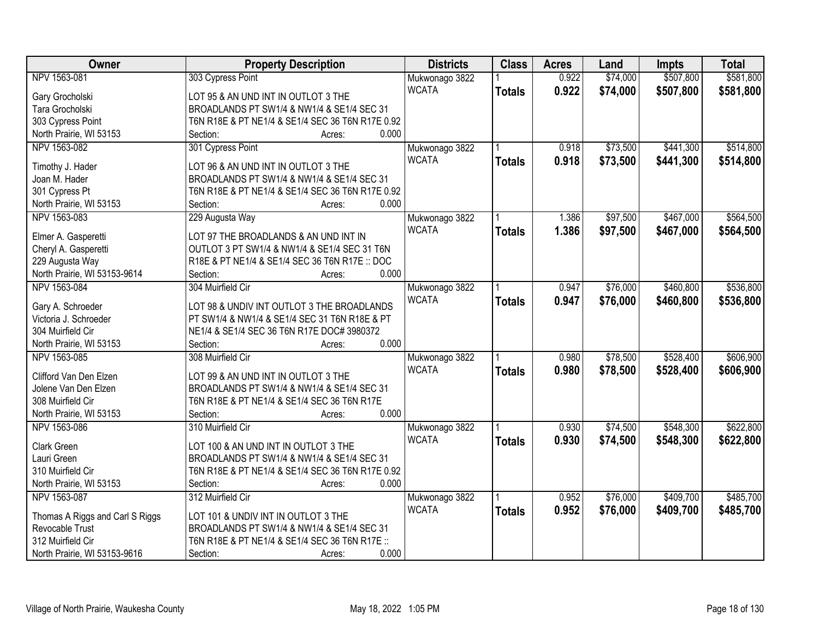| Owner                           | <b>Property Description</b>                      | <b>Districts</b> | <b>Class</b>  | <b>Acres</b> | Land     | <b>Impts</b> | <b>Total</b> |
|---------------------------------|--------------------------------------------------|------------------|---------------|--------------|----------|--------------|--------------|
| NPV 1563-081                    | 303 Cypress Point                                | Mukwonago 3822   |               | 0.922        | \$74,000 | \$507,800    | \$581,800    |
| Gary Grocholski                 | LOT 95 & AN UND INT IN OUTLOT 3 THE              | <b>WCATA</b>     | <b>Totals</b> | 0.922        | \$74,000 | \$507,800    | \$581,800    |
| Tara Grocholski                 | BROADLANDS PT SW1/4 & NW1/4 & SE1/4 SEC 31       |                  |               |              |          |              |              |
| 303 Cypress Point               | T6N R18E & PT NE1/4 & SE1/4 SEC 36 T6N R17E 0.92 |                  |               |              |          |              |              |
| North Prairie, WI 53153         | 0.000<br>Section:<br>Acres:                      |                  |               |              |          |              |              |
| NPV 1563-082                    | 301 Cypress Point                                | Mukwonago 3822   |               | 0.918        | \$73,500 | \$441,300    | \$514,800    |
| Timothy J. Hader                | LOT 96 & AN UND INT IN OUTLOT 3 THE              | <b>WCATA</b>     | <b>Totals</b> | 0.918        | \$73,500 | \$441,300    | \$514,800    |
| Joan M. Hader                   | BROADLANDS PT SW1/4 & NW1/4 & SE1/4 SEC 31       |                  |               |              |          |              |              |
| 301 Cypress Pt                  | T6N R18E & PT NE1/4 & SE1/4 SEC 36 T6N R17E 0.92 |                  |               |              |          |              |              |
| North Prairie, WI 53153         | 0.000<br>Section:<br>Acres:                      |                  |               |              |          |              |              |
| NPV 1563-083                    | 229 Augusta Way                                  | Mukwonago 3822   |               | 1.386        | \$97,500 | \$467,000    | \$564,500    |
|                                 |                                                  | <b>WCATA</b>     | <b>Totals</b> | 1.386        | \$97,500 | \$467,000    | \$564,500    |
| Elmer A. Gasperetti             | LOT 97 THE BROADLANDS & AN UND INT IN            |                  |               |              |          |              |              |
| Cheryl A. Gasperetti            | OUTLOT 3 PT SW1/4 & NW1/4 & SE1/4 SEC 31 T6N     |                  |               |              |          |              |              |
| 229 Augusta Way                 | R18E & PT NE1/4 & SE1/4 SEC 36 T6N R17E :: DOC   |                  |               |              |          |              |              |
| North Prairie, WI 53153-9614    | 0.000<br>Section:<br>Acres:                      |                  |               |              |          |              |              |
| NPV 1563-084                    | 304 Muirfield Cir                                | Mukwonago 3822   |               | 0.947        | \$76,000 | \$460,800    | \$536,800    |
| Gary A. Schroeder               | LOT 98 & UNDIV INT OUTLOT 3 THE BROADLANDS       | <b>WCATA</b>     | <b>Totals</b> | 0.947        | \$76,000 | \$460,800    | \$536,800    |
| Victoria J. Schroeder           | PT SW1/4 & NW1/4 & SE1/4 SEC 31 T6N R18E & PT    |                  |               |              |          |              |              |
| 304 Muirfield Cir               | NE1/4 & SE1/4 SEC 36 T6N R17E DOC# 3980372       |                  |               |              |          |              |              |
| North Prairie, WI 53153         | 0.000<br>Section:<br>Acres:                      |                  |               |              |          |              |              |
| NPV 1563-085                    | 308 Muirfield Cir                                | Mukwonago 3822   |               | 0.980        | \$78,500 | \$528,400    | \$606,900    |
|                                 |                                                  | <b>WCATA</b>     | <b>Totals</b> | 0.980        | \$78,500 | \$528,400    | \$606,900    |
| Clifford Van Den Elzen          | LOT 99 & AN UND INT IN OUTLOT 3 THE              |                  |               |              |          |              |              |
| Jolene Van Den Elzen            | BROADLANDS PT SW1/4 & NW1/4 & SE1/4 SEC 31       |                  |               |              |          |              |              |
| 308 Muirfield Cir               | T6N R18E & PT NE1/4 & SE1/4 SEC 36 T6N R17E      |                  |               |              |          |              |              |
| North Prairie, WI 53153         | 0.000<br>Section:<br>Acres:                      |                  |               |              |          |              |              |
| NPV 1563-086                    | 310 Muirfield Cir                                | Mukwonago 3822   |               | 0.930        | \$74,500 | \$548,300    | \$622,800    |
| Clark Green                     | LOT 100 & AN UND INT IN OUTLOT 3 THE             | <b>WCATA</b>     | <b>Totals</b> | 0.930        | \$74,500 | \$548,300    | \$622,800    |
| Lauri Green                     | BROADLANDS PT SW1/4 & NW1/4 & SE1/4 SEC 31       |                  |               |              |          |              |              |
| 310 Muirfield Cir               | T6N R18E & PT NE1/4 & SE1/4 SEC 36 T6N R17E 0.92 |                  |               |              |          |              |              |
| North Prairie, WI 53153         | 0.000<br>Section:<br>Acres:                      |                  |               |              |          |              |              |
| NPV 1563-087                    | 312 Muirfield Cir                                | Mukwonago 3822   |               | 0.952        | \$76,000 | \$409,700    | \$485,700    |
|                                 |                                                  | <b>WCATA</b>     | <b>Totals</b> | 0.952        | \$76,000 | \$409,700    | \$485,700    |
| Thomas A Riggs and Carl S Riggs | LOT 101 & UNDIV INT IN OUTLOT 3 THE              |                  |               |              |          |              |              |
| Revocable Trust                 | BROADLANDS PT SW1/4 & NW1/4 & SE1/4 SEC 31       |                  |               |              |          |              |              |
| 312 Muirfield Cir               | T6N R18E & PT NE1/4 & SE1/4 SEC 36 T6N R17E ::   |                  |               |              |          |              |              |
| North Prairie, WI 53153-9616    | 0.000<br>Section:<br>Acres:                      |                  |               |              |          |              |              |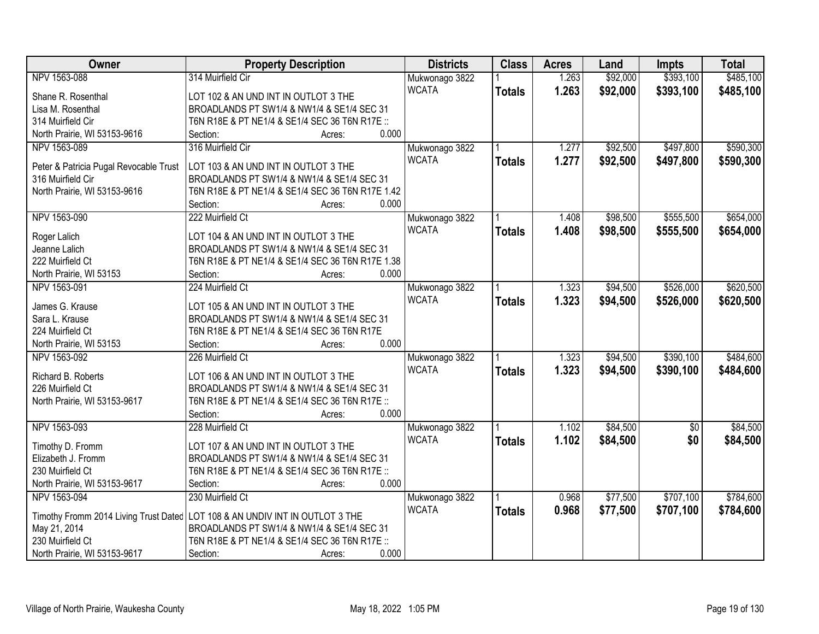| Owner                                  | <b>Property Description</b>                      | <b>Districts</b> | <b>Class</b>  | <b>Acres</b> | Land     | <b>Impts</b> | <b>Total</b> |
|----------------------------------------|--------------------------------------------------|------------------|---------------|--------------|----------|--------------|--------------|
| NPV 1563-088                           | 314 Muirfield Cir                                | Mukwonago 3822   |               | 1.263        | \$92,000 | \$393,100    | \$485,100    |
| Shane R. Rosenthal                     | LOT 102 & AN UND INT IN OUTLOT 3 THE             | <b>WCATA</b>     | <b>Totals</b> | 1.263        | \$92,000 | \$393,100    | \$485,100    |
| Lisa M. Rosenthal                      | BROADLANDS PT SW1/4 & NW1/4 & SE1/4 SEC 31       |                  |               |              |          |              |              |
| 314 Muirfield Cir                      | T6N R18E & PT NE1/4 & SE1/4 SEC 36 T6N R17E ::   |                  |               |              |          |              |              |
| North Prairie, WI 53153-9616           | 0.000<br>Section:<br>Acres:                      |                  |               |              |          |              |              |
| NPV 1563-089                           | 316 Muirfield Cir                                | Mukwonago 3822   |               | 1.277        | \$92,500 | \$497,800    | \$590,300    |
| Peter & Patricia Pugal Revocable Trust | LOT 103 & AN UND INT IN OUTLOT 3 THE             | <b>WCATA</b>     | <b>Totals</b> | 1.277        | \$92,500 | \$497,800    | \$590,300    |
| 316 Muirfield Cir                      | BROADLANDS PT SW1/4 & NW1/4 & SE1/4 SEC 31       |                  |               |              |          |              |              |
| North Prairie, WI 53153-9616           | T6N R18E & PT NE1/4 & SE1/4 SEC 36 T6N R17E 1.42 |                  |               |              |          |              |              |
|                                        | 0.000<br>Section:<br>Acres:                      |                  |               |              |          |              |              |
| NPV 1563-090                           | 222 Muirfield Ct                                 | Mukwonago 3822   |               | 1.408        | \$98,500 | \$555,500    | \$654,000    |
|                                        |                                                  | <b>WCATA</b>     | <b>Totals</b> | 1.408        | \$98,500 | \$555,500    | \$654,000    |
| Roger Lalich                           | LOT 104 & AN UND INT IN OUTLOT 3 THE             |                  |               |              |          |              |              |
| Jeanne Lalich                          | BROADLANDS PT SW1/4 & NW1/4 & SE1/4 SEC 31       |                  |               |              |          |              |              |
| 222 Muirfield Ct                       | T6N R18E & PT NE1/4 & SE1/4 SEC 36 T6N R17E 1.38 |                  |               |              |          |              |              |
| North Prairie, WI 53153                | 0.000<br>Section:<br>Acres:                      |                  |               |              |          |              |              |
| NPV 1563-091                           | 224 Muirfield Ct                                 | Mukwonago 3822   |               | 1.323        | \$94,500 | \$526,000    | \$620,500    |
| James G. Krause                        | LOT 105 & AN UND INT IN OUTLOT 3 THE             | <b>WCATA</b>     | <b>Totals</b> | 1.323        | \$94,500 | \$526,000    | \$620,500    |
| Sara L. Krause                         | BROADLANDS PT SW1/4 & NW1/4 & SE1/4 SEC 31       |                  |               |              |          |              |              |
| 224 Muirfield Ct                       | T6N R18E & PT NE1/4 & SE1/4 SEC 36 T6N R17E      |                  |               |              |          |              |              |
| North Prairie, WI 53153                | 0.000<br>Section:<br>Acres:                      |                  |               |              |          |              |              |
| NPV 1563-092                           | 226 Muirfield Ct                                 | Mukwonago 3822   |               | 1.323        | \$94,500 | \$390,100    | \$484,600    |
|                                        |                                                  | <b>WCATA</b>     | <b>Totals</b> | 1.323        | \$94,500 | \$390,100    | \$484,600    |
| Richard B. Roberts                     | LOT 106 & AN UND INT IN OUTLOT 3 THE             |                  |               |              |          |              |              |
| 226 Muirfield Ct                       | BROADLANDS PT SW1/4 & NW1/4 & SE1/4 SEC 31       |                  |               |              |          |              |              |
| North Prairie, WI 53153-9617           | T6N R18E & PT NE1/4 & SE1/4 SEC 36 T6N R17E ::   |                  |               |              |          |              |              |
|                                        | 0.000<br>Section:<br>Acres:                      |                  |               |              |          |              |              |
| NPV 1563-093                           | 228 Muirfield Ct                                 | Mukwonago 3822   |               | 1.102        | \$84,500 | $\sqrt{$0}$  | \$84,500     |
| Timothy D. Fromm                       | LOT 107 & AN UND INT IN OUTLOT 3 THE             | <b>WCATA</b>     | <b>Totals</b> | 1.102        | \$84,500 | \$0          | \$84,500     |
| Elizabeth J. Fromm                     | BROADLANDS PT SW1/4 & NW1/4 & SE1/4 SEC 31       |                  |               |              |          |              |              |
| 230 Muirfield Ct                       | T6N R18E & PT NE1/4 & SE1/4 SEC 36 T6N R17E ::   |                  |               |              |          |              |              |
| North Prairie, WI 53153-9617           | 0.000<br>Section:<br>Acres:                      |                  |               |              |          |              |              |
| NPV 1563-094                           | 230 Muirfield Ct                                 | Mukwonago 3822   |               | 0.968        | \$77,500 | \$707,100    | \$784,600    |
| Timothy Fromm 2014 Living Trust Dated  | LOT 108 & AN UNDIV INT IN OUTLOT 3 THE           | <b>WCATA</b>     | <b>Totals</b> | 0.968        | \$77,500 | \$707,100    | \$784,600    |
| May 21, 2014                           | BROADLANDS PT SW1/4 & NW1/4 & SE1/4 SEC 31       |                  |               |              |          |              |              |
| 230 Muirfield Ct                       | T6N R18E & PT NE1/4 & SE1/4 SEC 36 T6N R17E ::   |                  |               |              |          |              |              |
| North Prairie, WI 53153-9617           | 0.000<br>Section:<br>Acres:                      |                  |               |              |          |              |              |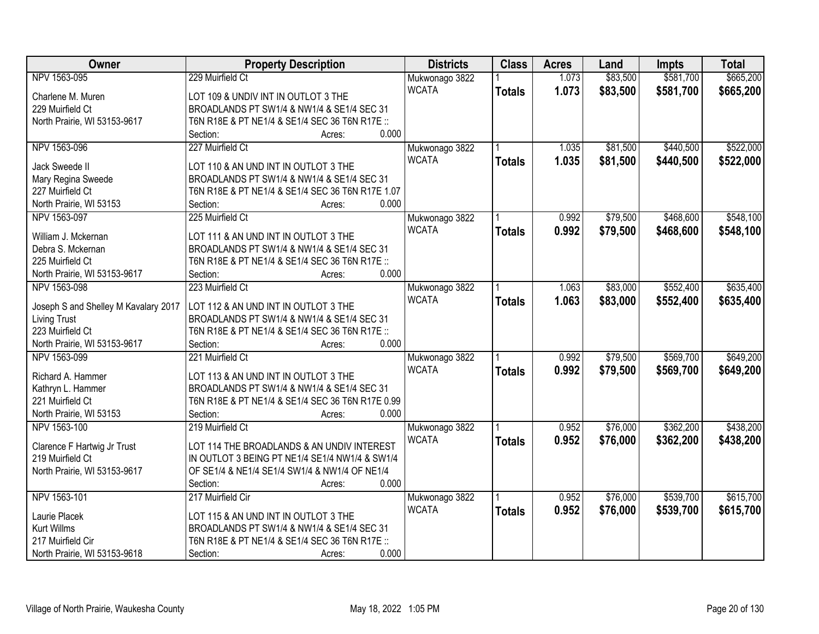| Owner                                | <b>Property Description</b>                      | <b>Districts</b> | <b>Class</b>  | <b>Acres</b> | Land     | <b>Impts</b> | <b>Total</b> |
|--------------------------------------|--------------------------------------------------|------------------|---------------|--------------|----------|--------------|--------------|
| NPV 1563-095                         | 229 Muirfield Ct                                 | Mukwonago 3822   |               | 1.073        | \$83,500 | \$581,700    | \$665,200    |
| Charlene M. Muren                    | LOT 109 & UNDIV INT IN OUTLOT 3 THE              | <b>WCATA</b>     | <b>Totals</b> | 1.073        | \$83,500 | \$581,700    | \$665,200    |
| 229 Muirfield Ct                     | BROADLANDS PT SW1/4 & NW1/4 & SE1/4 SEC 31       |                  |               |              |          |              |              |
| North Prairie, WI 53153-9617         | T6N R18E & PT NE1/4 & SE1/4 SEC 36 T6N R17E ::   |                  |               |              |          |              |              |
|                                      | 0.000<br>Section:<br>Acres:                      |                  |               |              |          |              |              |
| NPV 1563-096                         | 227 Muirfield Ct                                 | Mukwonago 3822   |               | 1.035        | \$81,500 | \$440,500    | \$522,000    |
| Jack Sweede II                       | LOT 110 & AN UND INT IN OUTLOT 3 THE             | <b>WCATA</b>     | <b>Totals</b> | 1.035        | \$81,500 | \$440,500    | \$522,000    |
| Mary Regina Sweede                   | BROADLANDS PT SW1/4 & NW1/4 & SE1/4 SEC 31       |                  |               |              |          |              |              |
| 227 Muirfield Ct                     | T6N R18E & PT NE1/4 & SE1/4 SEC 36 T6N R17E 1.07 |                  |               |              |          |              |              |
| North Prairie, WI 53153              | 0.000<br>Section:<br>Acres:                      |                  |               |              |          |              |              |
| NPV 1563-097                         | 225 Muirfield Ct                                 |                  |               | 0.992        | \$79,500 | \$468,600    | \$548,100    |
|                                      |                                                  | Mukwonago 3822   |               |              |          |              |              |
| William J. Mckernan                  | LOT 111 & AN UND INT IN OUTLOT 3 THE             | <b>WCATA</b>     | <b>Totals</b> | 0.992        | \$79,500 | \$468,600    | \$548,100    |
| Debra S. Mckernan                    | BROADLANDS PT SW1/4 & NW1/4 & SE1/4 SEC 31       |                  |               |              |          |              |              |
| 225 Muirfield Ct                     | T6N R18E & PT NE1/4 & SE1/4 SEC 36 T6N R17E ::   |                  |               |              |          |              |              |
| North Prairie, WI 53153-9617         | 0.000<br>Section:<br>Acres:                      |                  |               |              |          |              |              |
| NPV 1563-098                         | 223 Muirfield Ct                                 | Mukwonago 3822   |               | 1.063        | \$83,000 | \$552,400    | \$635,400    |
|                                      |                                                  | <b>WCATA</b>     | <b>Totals</b> | 1.063        | \$83,000 | \$552,400    | \$635,400    |
| Joseph S and Shelley M Kavalary 2017 | LOT 112 & AN UND INT IN OUTLOT 3 THE             |                  |               |              |          |              |              |
| <b>Living Trust</b>                  | BROADLANDS PT SW1/4 & NW1/4 & SE1/4 SEC 31       |                  |               |              |          |              |              |
| 223 Muirfield Ct                     | T6N R18E & PT NE1/4 & SE1/4 SEC 36 T6N R17E ::   |                  |               |              |          |              |              |
| North Prairie, WI 53153-9617         | 0.000<br>Section:<br>Acres:                      |                  |               |              |          |              |              |
| NPV 1563-099                         | 221 Muirfield Ct                                 | Mukwonago 3822   |               | 0.992        | \$79,500 | \$569,700    | \$649,200    |
| Richard A. Hammer                    | LOT 113 & AN UND INT IN OUTLOT 3 THE             | <b>WCATA</b>     | <b>Totals</b> | 0.992        | \$79,500 | \$569,700    | \$649,200    |
| Kathryn L. Hammer                    | BROADLANDS PT SW1/4 & NW1/4 & SE1/4 SEC 31       |                  |               |              |          |              |              |
| 221 Muirfield Ct                     | T6N R18E & PT NE1/4 & SE1/4 SEC 36 T6N R17E 0.99 |                  |               |              |          |              |              |
| North Prairie, WI 53153              | 0.000<br>Section:<br>Acres:                      |                  |               |              |          |              |              |
| NPV 1563-100                         | 219 Muirfield Ct                                 | Mukwonago 3822   |               | 0.952        | \$76,000 | \$362,200    | \$438,200    |
|                                      |                                                  | <b>WCATA</b>     | <b>Totals</b> | 0.952        | \$76,000 | \$362,200    | \$438,200    |
| Clarence F Hartwig Jr Trust          | LOT 114 THE BROADLANDS & AN UNDIV INTEREST       |                  |               |              |          |              |              |
| 219 Muirfield Ct                     | IN OUTLOT 3 BEING PT NE1/4 SE1/4 NW1/4 & SW1/4   |                  |               |              |          |              |              |
| North Prairie, WI 53153-9617         | OF SE1/4 & NE1/4 SE1/4 SW1/4 & NW1/4 OF NE1/4    |                  |               |              |          |              |              |
|                                      | 0.000<br>Section:<br>Acres:                      |                  |               |              |          |              |              |
| NPV 1563-101                         | 217 Muirfield Cir                                | Mukwonago 3822   |               | 0.952        | \$76,000 | \$539,700    | \$615,700    |
| Laurie Placek                        | LOT 115 & AN UND INT IN OUTLOT 3 THE             | <b>WCATA</b>     | <b>Totals</b> | 0.952        | \$76,000 | \$539,700    | \$615,700    |
| Kurt Willms                          | BROADLANDS PT SW1/4 & NW1/4 & SE1/4 SEC 31       |                  |               |              |          |              |              |
| 217 Muirfield Cir                    | T6N R18E & PT NE1/4 & SE1/4 SEC 36 T6N R17E ::   |                  |               |              |          |              |              |
| North Prairie, WI 53153-9618         | 0.000<br>Section:<br>Acres:                      |                  |               |              |          |              |              |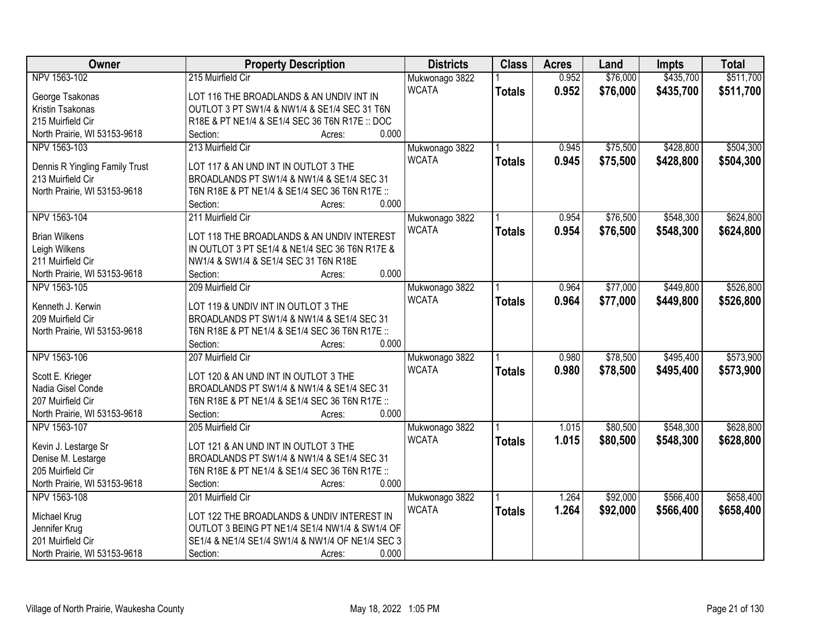| Owner                          | <b>Property Description</b>                      | <b>Districts</b> | <b>Class</b>  | <b>Acres</b> | Land     | <b>Impts</b> | <b>Total</b> |
|--------------------------------|--------------------------------------------------|------------------|---------------|--------------|----------|--------------|--------------|
| NPV 1563-102                   | 215 Muirfield Cir                                | Mukwonago 3822   |               | 0.952        | \$76,000 | \$435,700    | \$511,700    |
| George Tsakonas                | LOT 116 THE BROADLANDS & AN UNDIV INT IN         | <b>WCATA</b>     | <b>Totals</b> | 0.952        | \$76,000 | \$435,700    | \$511,700    |
| Kristin Tsakonas               | OUTLOT 3 PT SW1/4 & NW1/4 & SE1/4 SEC 31 T6N     |                  |               |              |          |              |              |
| 215 Muirfield Cir              | R18E & PT NE1/4 & SE1/4 SEC 36 T6N R17E :: DOC   |                  |               |              |          |              |              |
| North Prairie, WI 53153-9618   | 0.000<br>Section:<br>Acres:                      |                  |               |              |          |              |              |
| NPV 1563-103                   | 213 Muirfield Cir                                | Mukwonago 3822   |               | 0.945        | \$75,500 | \$428,800    | \$504,300    |
| Dennis R Yingling Family Trust | LOT 117 & AN UND INT IN OUTLOT 3 THE             | <b>WCATA</b>     | <b>Totals</b> | 0.945        | \$75,500 | \$428,800    | \$504,300    |
| 213 Muirfield Cir              | BROADLANDS PT SW1/4 & NW1/4 & SE1/4 SEC 31       |                  |               |              |          |              |              |
| North Prairie, WI 53153-9618   | T6N R18E & PT NE1/4 & SE1/4 SEC 36 T6N R17E ::   |                  |               |              |          |              |              |
|                                | 0.000<br>Section:<br>Acres:                      |                  |               |              |          |              |              |
| NPV 1563-104                   | 211 Muirfield Cir                                | Mukwonago 3822   |               | 0.954        | \$76,500 | \$548,300    | \$624,800    |
|                                |                                                  | <b>WCATA</b>     | <b>Totals</b> | 0.954        | \$76,500 | \$548,300    | \$624,800    |
| <b>Brian Wilkens</b>           | LOT 118 THE BROADLANDS & AN UNDIV INTEREST       |                  |               |              |          |              |              |
| Leigh Wilkens                  | IN OUTLOT 3 PT SE1/4 & NE1/4 SEC 36 T6N R17E &   |                  |               |              |          |              |              |
| 211 Muirfield Cir              | NW1/4 & SW1/4 & SE1/4 SEC 31 T6N R18E<br>0.000   |                  |               |              |          |              |              |
| North Prairie, WI 53153-9618   | Section:<br>Acres:                               |                  |               |              |          |              |              |
| NPV 1563-105                   | 209 Muirfield Cir                                | Mukwonago 3822   |               | 0.964        | \$77,000 | \$449,800    | \$526,800    |
| Kenneth J. Kerwin              | LOT 119 & UNDIV INT IN OUTLOT 3 THE              | <b>WCATA</b>     | <b>Totals</b> | 0.964        | \$77,000 | \$449,800    | \$526,800    |
| 209 Muirfield Cir              | BROADLANDS PT SW1/4 & NW1/4 & SE1/4 SEC 31       |                  |               |              |          |              |              |
| North Prairie, WI 53153-9618   | T6N R18E & PT NE1/4 & SE1/4 SEC 36 T6N R17E ::   |                  |               |              |          |              |              |
|                                | 0.000<br>Section:<br>Acres:                      |                  |               |              |          |              |              |
| NPV 1563-106                   | 207 Muirfield Cir                                | Mukwonago 3822   |               | 0.980        | \$78,500 | \$495,400    | \$573,900    |
|                                |                                                  | <b>WCATA</b>     | <b>Totals</b> | 0.980        | \$78,500 | \$495,400    | \$573,900    |
| Scott E. Krieger               | LOT 120 & AN UND INT IN OUTLOT 3 THE             |                  |               |              |          |              |              |
| Nadia Gisel Conde              | BROADLANDS PT SW1/4 & NW1/4 & SE1/4 SEC 31       |                  |               |              |          |              |              |
| 207 Muirfield Cir              | T6N R18E & PT NE1/4 & SE1/4 SEC 36 T6N R17E ::   |                  |               |              |          |              |              |
| North Prairie, WI 53153-9618   | 0.000<br>Section:<br>Acres:                      |                  |               |              |          |              |              |
| NPV 1563-107                   | 205 Muirfield Cir                                | Mukwonago 3822   |               | 1.015        | \$80,500 | \$548,300    | \$628,800    |
| Kevin J. Lestarge Sr           | LOT 121 & AN UND INT IN OUTLOT 3 THE             | <b>WCATA</b>     | <b>Totals</b> | 1.015        | \$80,500 | \$548,300    | \$628,800    |
| Denise M. Lestarge             | BROADLANDS PT SW1/4 & NW1/4 & SE1/4 SEC 31       |                  |               |              |          |              |              |
| 205 Muirfield Cir              | T6N R18E & PT NE1/4 & SE1/4 SEC 36 T6N R17E ::   |                  |               |              |          |              |              |
| North Prairie, WI 53153-9618   | 0.000<br>Section:<br>Acres:                      |                  |               |              |          |              |              |
| NPV 1563-108                   | 201 Muirfield Cir                                | Mukwonago 3822   |               | 1.264        | \$92,000 | \$566,400    | \$658,400    |
| Michael Krug                   | LOT 122 THE BROADLANDS & UNDIV INTEREST IN       | <b>WCATA</b>     | <b>Totals</b> | 1.264        | \$92,000 | \$566,400    | \$658,400    |
| Jennifer Krug                  | OUTLOT 3 BEING PT NE1/4 SE1/4 NW1/4 & SW1/4 OF   |                  |               |              |          |              |              |
| 201 Muirfield Cir              | SE1/4 & NE1/4 SE1/4 SW1/4 & NW1/4 OF NE1/4 SEC 3 |                  |               |              |          |              |              |
| North Prairie, WI 53153-9618   | Section:<br>0.000<br>Acres:                      |                  |               |              |          |              |              |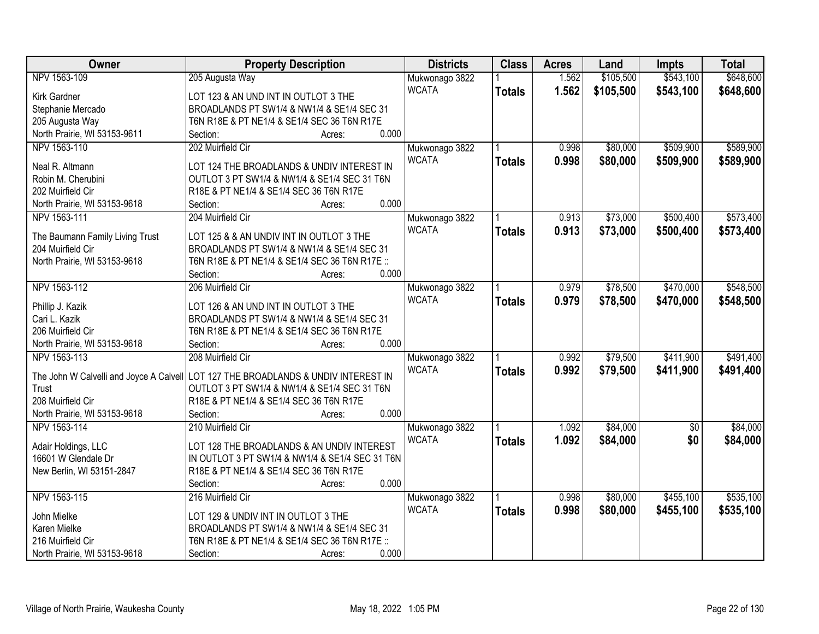| Owner                                   | <b>Property Description</b>                     | <b>Districts</b> | <b>Class</b>  | <b>Acres</b> | Land      | <b>Impts</b>    | <b>Total</b> |
|-----------------------------------------|-------------------------------------------------|------------------|---------------|--------------|-----------|-----------------|--------------|
| NPV 1563-109                            | 205 Augusta Way                                 | Mukwonago 3822   |               | 1.562        | \$105,500 | \$543,100       | \$648,600    |
| Kirk Gardner                            | LOT 123 & AN UND INT IN OUTLOT 3 THE            | <b>WCATA</b>     | <b>Totals</b> | 1.562        | \$105,500 | \$543,100       | \$648,600    |
| Stephanie Mercado                       | BROADLANDS PT SW1/4 & NW1/4 & SE1/4 SEC 31      |                  |               |              |           |                 |              |
| 205 Augusta Way                         | T6N R18E & PT NE1/4 & SE1/4 SEC 36 T6N R17E     |                  |               |              |           |                 |              |
| North Prairie, WI 53153-9611            | 0.000<br>Section:<br>Acres:                     |                  |               |              |           |                 |              |
| NPV 1563-110                            | 202 Muirfield Cir                               | Mukwonago 3822   |               | 0.998        | \$80,000  | \$509,900       | \$589,900    |
| Neal R. Altmann                         | LOT 124 THE BROADLANDS & UNDIV INTEREST IN      | <b>WCATA</b>     | <b>Totals</b> | 0.998        | \$80,000  | \$509,900       | \$589,900    |
| Robin M. Cherubini                      | OUTLOT 3 PT SW1/4 & NW1/4 & SE1/4 SEC 31 T6N    |                  |               |              |           |                 |              |
| 202 Muirfield Cir                       | R18E & PT NE1/4 & SE1/4 SEC 36 T6N R17E         |                  |               |              |           |                 |              |
| North Prairie, WI 53153-9618            | 0.000<br>Section:<br>Acres:                     |                  |               |              |           |                 |              |
| NPV 1563-111                            | 204 Muirfield Cir                               | Mukwonago 3822   |               | 0.913        | \$73,000  | \$500,400       | \$573,400    |
|                                         |                                                 | <b>WCATA</b>     |               | 0.913        | \$73,000  | \$500,400       | \$573,400    |
| The Baumann Family Living Trust         | LOT 125 & & AN UNDIV INT IN OUTLOT 3 THE        |                  | <b>Totals</b> |              |           |                 |              |
| 204 Muirfield Cir                       | BROADLANDS PT SW1/4 & NW1/4 & SE1/4 SEC 31      |                  |               |              |           |                 |              |
| North Prairie, WI 53153-9618            | T6N R18E & PT NE1/4 & SE1/4 SEC 36 T6N R17E ::  |                  |               |              |           |                 |              |
|                                         | 0.000<br>Section:<br>Acres:                     |                  |               |              |           |                 |              |
| NPV 1563-112                            | 206 Muirfield Cir                               | Mukwonago 3822   |               | 0.979        | \$78,500  | \$470,000       | \$548,500    |
| Phillip J. Kazik                        | LOT 126 & AN UND INT IN OUTLOT 3 THE            | <b>WCATA</b>     | <b>Totals</b> | 0.979        | \$78,500  | \$470,000       | \$548,500    |
| Cari L. Kazik                           | BROADLANDS PT SW1/4 & NW1/4 & SE1/4 SEC 31      |                  |               |              |           |                 |              |
| 206 Muirfield Cir                       | T6N R18E & PT NE1/4 & SE1/4 SEC 36 T6N R17E     |                  |               |              |           |                 |              |
| North Prairie, WI 53153-9618            | 0.000<br>Section:<br>Acres:                     |                  |               |              |           |                 |              |
| NPV 1563-113                            | 208 Muirfield Cir                               | Mukwonago 3822   |               | 0.992        | \$79,500  | \$411,900       | \$491,400    |
|                                         |                                                 | <b>WCATA</b>     |               | 0.992        | \$79,500  | \$411,900       |              |
| The John W Calvelli and Joyce A Calvell | LOT 127 THE BROADLANDS & UNDIV INTEREST IN      |                  | <b>Totals</b> |              |           |                 | \$491,400    |
| Trust                                   | OUTLOT 3 PT SW1/4 & NW1/4 & SE1/4 SEC 31 T6N    |                  |               |              |           |                 |              |
| 208 Muirfield Cir                       | R18E & PT NE1/4 & SE1/4 SEC 36 T6N R17E         |                  |               |              |           |                 |              |
| North Prairie, WI 53153-9618            | 0.000<br>Section:<br>Acres:                     |                  |               |              |           |                 |              |
| NPV 1563-114                            | 210 Muirfield Cir                               | Mukwonago 3822   |               | 1.092        | \$84,000  | $\overline{60}$ | \$84,000     |
| Adair Holdings, LLC                     | LOT 128 THE BROADLANDS & AN UNDIV INTEREST      | <b>WCATA</b>     | <b>Totals</b> | 1.092        | \$84,000  | \$0             | \$84,000     |
| 16601 W Glendale Dr                     | IN OUTLOT 3 PT SW1/4 & NW1/4 & SE1/4 SEC 31 T6N |                  |               |              |           |                 |              |
| New Berlin, WI 53151-2847               | R18E & PT NE1/4 & SE1/4 SEC 36 T6N R17E         |                  |               |              |           |                 |              |
|                                         | 0.000<br>Section:<br>Acres:                     |                  |               |              |           |                 |              |
| NPV 1563-115                            | 216 Muirfield Cir                               | Mukwonago 3822   |               | 0.998        | \$80,000  | \$455,100       | \$535,100    |
|                                         |                                                 | <b>WCATA</b>     | <b>Totals</b> | 0.998        | \$80,000  | \$455,100       | \$535,100    |
| John Mielke                             | LOT 129 & UNDIV INT IN OUTLOT 3 THE             |                  |               |              |           |                 |              |
| Karen Mielke                            | BROADLANDS PT SW1/4 & NW1/4 & SE1/4 SEC 31      |                  |               |              |           |                 |              |
| 216 Muirfield Cir                       | T6N R18E & PT NE1/4 & SE1/4 SEC 36 T6N R17E ::  |                  |               |              |           |                 |              |
| North Prairie, WI 53153-9618            | 0.000<br>Section:<br>Acres:                     |                  |               |              |           |                 |              |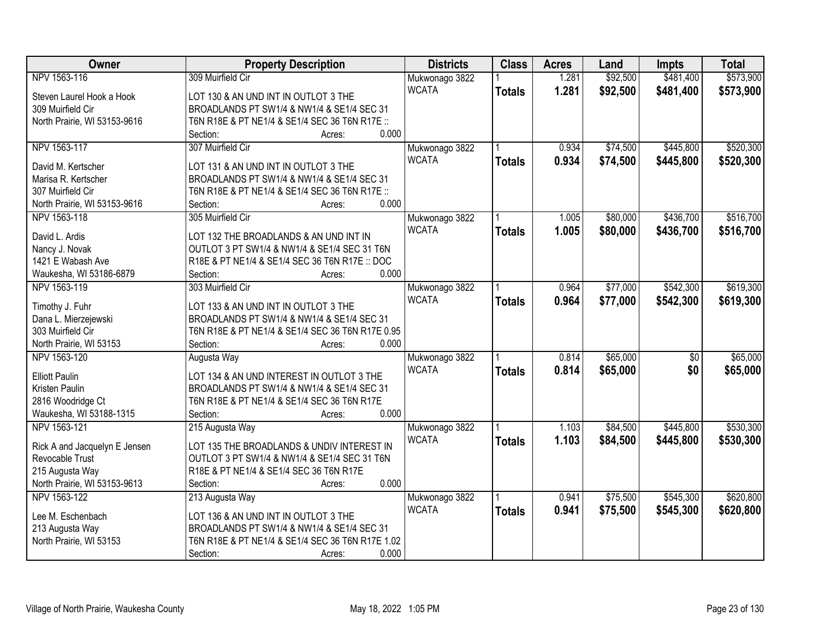| Owner                         | <b>Property Description</b>                      | <b>Districts</b> | <b>Class</b>  | <b>Acres</b> | Land     | <b>Impts</b>    | <b>Total</b> |
|-------------------------------|--------------------------------------------------|------------------|---------------|--------------|----------|-----------------|--------------|
| NPV 1563-116                  | 309 Muirfield Cir                                | Mukwonago 3822   |               | 1.281        | \$92,500 | \$481,400       | \$573,900    |
| Steven Laurel Hook a Hook     | LOT 130 & AN UND INT IN OUTLOT 3 THE             | <b>WCATA</b>     | <b>Totals</b> | 1.281        | \$92,500 | \$481,400       | \$573,900    |
| 309 Muirfield Cir             | BROADLANDS PT SW1/4 & NW1/4 & SE1/4 SEC 31       |                  |               |              |          |                 |              |
| North Prairie, WI 53153-9616  | T6N R18E & PT NE1/4 & SE1/4 SEC 36 T6N R17E ::   |                  |               |              |          |                 |              |
|                               | 0.000<br>Section:<br>Acres:                      |                  |               |              |          |                 |              |
| NPV 1563-117                  | 307 Muirfield Cir                                | Mukwonago 3822   |               | 0.934        | \$74,500 | \$445,800       | \$520,300    |
|                               |                                                  | <b>WCATA</b>     | <b>Totals</b> | 0.934        | \$74,500 | \$445,800       | \$520,300    |
| David M. Kertscher            | LOT 131 & AN UND INT IN OUTLOT 3 THE             |                  |               |              |          |                 |              |
| Marisa R. Kertscher           | BROADLANDS PT SW1/4 & NW1/4 & SE1/4 SEC 31       |                  |               |              |          |                 |              |
| 307 Muirfield Cir             | T6N R18E & PT NE1/4 & SE1/4 SEC 36 T6N R17E ::   |                  |               |              |          |                 |              |
| North Prairie, WI 53153-9616  | 0.000<br>Section:<br>Acres:                      |                  |               |              |          |                 |              |
| NPV 1563-118                  | 305 Muirfield Cir                                | Mukwonago 3822   |               | 1.005        | \$80,000 | \$436,700       | \$516,700    |
| David L. Ardis                | LOT 132 THE BROADLANDS & AN UND INT IN           | <b>WCATA</b>     | <b>Totals</b> | 1.005        | \$80,000 | \$436,700       | \$516,700    |
| Nancy J. Novak                | OUTLOT 3 PT SW1/4 & NW1/4 & SE1/4 SEC 31 T6N     |                  |               |              |          |                 |              |
| 1421 E Wabash Ave             | R18E & PT NE1/4 & SE1/4 SEC 36 T6N R17E :: DOC   |                  |               |              |          |                 |              |
| Waukesha, WI 53186-6879       | 0.000<br>Section:<br>Acres:                      |                  |               |              |          |                 |              |
| NPV 1563-119                  | 303 Muirfield Cir                                | Mukwonago 3822   |               | 0.964        | \$77,000 | \$542,300       | \$619,300    |
|                               |                                                  | <b>WCATA</b>     | <b>Totals</b> | 0.964        | \$77,000 | \$542,300       | \$619,300    |
| Timothy J. Fuhr               | LOT 133 & AN UND INT IN OUTLOT 3 THE             |                  |               |              |          |                 |              |
| Dana L. Mierzejewski          | BROADLANDS PT SW1/4 & NW1/4 & SE1/4 SEC 31       |                  |               |              |          |                 |              |
| 303 Muirfield Cir             | T6N R18E & PT NE1/4 & SE1/4 SEC 36 T6N R17E 0.95 |                  |               |              |          |                 |              |
| North Prairie, WI 53153       | 0.000<br>Section:<br>Acres:                      |                  |               |              |          |                 |              |
| NPV 1563-120                  | Augusta Way                                      | Mukwonago 3822   |               | 0.814        | \$65,000 | $\overline{50}$ | \$65,000     |
| <b>Elliott Paulin</b>         | LOT 134 & AN UND INTEREST IN OUTLOT 3 THE        | <b>WCATA</b>     | <b>Totals</b> | 0.814        | \$65,000 | \$0             | \$65,000     |
| Kristen Paulin                | BROADLANDS PT SW1/4 & NW1/4 & SE1/4 SEC 31       |                  |               |              |          |                 |              |
| 2816 Woodridge Ct             | T6N R18E & PT NE1/4 & SE1/4 SEC 36 T6N R17E      |                  |               |              |          |                 |              |
| Waukesha, WI 53188-1315       | 0.000<br>Section:<br>Acres:                      |                  |               |              |          |                 |              |
| NPV 1563-121                  | 215 Augusta Way                                  | Mukwonago 3822   |               | 1.103        | \$84,500 | \$445,800       | \$530,300    |
|                               |                                                  | <b>WCATA</b>     | <b>Totals</b> | 1.103        | \$84,500 | \$445,800       | \$530,300    |
| Rick A and Jacquelyn E Jensen | LOT 135 THE BROADLANDS & UNDIV INTEREST IN       |                  |               |              |          |                 |              |
| Revocable Trust               | OUTLOT 3 PT SW1/4 & NW1/4 & SE1/4 SEC 31 T6N     |                  |               |              |          |                 |              |
| 215 Augusta Way               | R18E & PT NE1/4 & SE1/4 SEC 36 T6N R17E          |                  |               |              |          |                 |              |
| North Prairie, WI 53153-9613  | 0.000<br>Section:<br>Acres:                      |                  |               |              |          |                 |              |
| NPV 1563-122                  | 213 Augusta Way                                  | Mukwonago 3822   |               | 0.941        | \$75,500 | \$545,300       | \$620,800    |
| Lee M. Eschenbach             | LOT 136 & AN UND INT IN OUTLOT 3 THE             | <b>WCATA</b>     | <b>Totals</b> | 0.941        | \$75,500 | \$545,300       | \$620,800    |
| 213 Augusta Way               | BROADLANDS PT SW1/4 & NW1/4 & SE1/4 SEC 31       |                  |               |              |          |                 |              |
| North Prairie, WI 53153       | T6N R18E & PT NE1/4 & SE1/4 SEC 36 T6N R17E 1.02 |                  |               |              |          |                 |              |
|                               | 0.000<br>Section:<br>Acres:                      |                  |               |              |          |                 |              |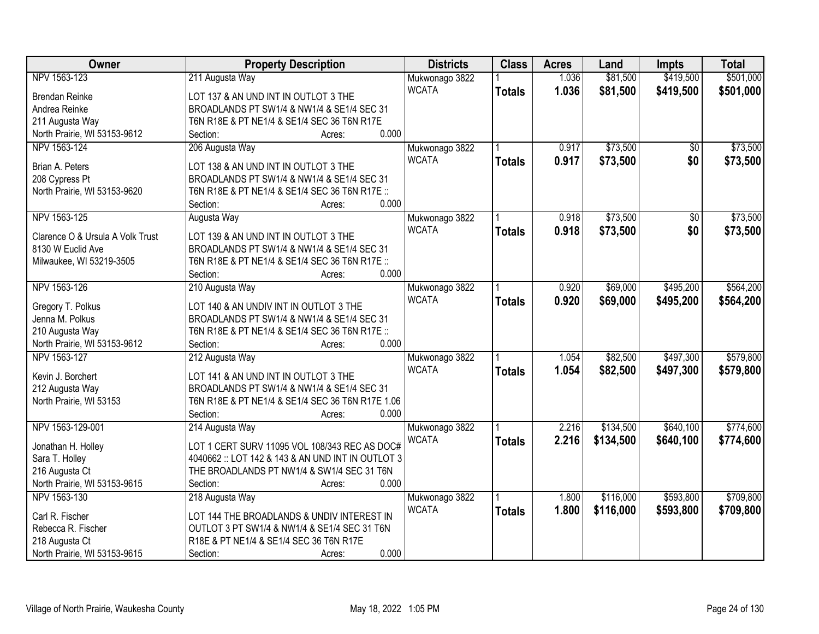| Owner                            | <b>Property Description</b>                       | <b>Districts</b> | <b>Class</b>  | <b>Acres</b> | Land      | <b>Impts</b>    | <b>Total</b> |
|----------------------------------|---------------------------------------------------|------------------|---------------|--------------|-----------|-----------------|--------------|
| NPV 1563-123                     | 211 Augusta Way                                   | Mukwonago 3822   |               | 1.036        | \$81,500  | \$419,500       | \$501,000    |
| <b>Brendan Reinke</b>            | LOT 137 & AN UND INT IN OUTLOT 3 THE              | <b>WCATA</b>     | <b>Totals</b> | 1.036        | \$81,500  | \$419,500       | \$501,000    |
| Andrea Reinke                    | BROADLANDS PT SW1/4 & NW1/4 & SE1/4 SEC 31        |                  |               |              |           |                 |              |
| 211 Augusta Way                  | T6N R18E & PT NE1/4 & SE1/4 SEC 36 T6N R17E       |                  |               |              |           |                 |              |
| North Prairie, WI 53153-9612     | 0.000<br>Section:<br>Acres:                       |                  |               |              |           |                 |              |
| NPV 1563-124                     | 206 Augusta Way                                   | Mukwonago 3822   |               | 0.917        | \$73,500  | $\overline{50}$ | \$73,500     |
|                                  |                                                   | <b>WCATA</b>     | <b>Totals</b> | 0.917        | \$73,500  | \$0             | \$73,500     |
| Brian A. Peters                  | LOT 138 & AN UND INT IN OUTLOT 3 THE              |                  |               |              |           |                 |              |
| 208 Cypress Pt                   | BROADLANDS PT SW1/4 & NW1/4 & SE1/4 SEC 31        |                  |               |              |           |                 |              |
| North Prairie, WI 53153-9620     | T6N R18E & PT NE1/4 & SE1/4 SEC 36 T6N R17E ::    |                  |               |              |           |                 |              |
|                                  | 0.000<br>Section:<br>Acres:                       |                  |               |              |           |                 |              |
| NPV 1563-125                     | Augusta Way                                       | Mukwonago 3822   |               | 0.918        | \$73,500  | \$0             | \$73,500     |
| Clarence O & Ursula A Volk Trust | LOT 139 & AN UND INT IN OUTLOT 3 THE              | <b>WCATA</b>     | <b>Totals</b> | 0.918        | \$73,500  | \$0             | \$73,500     |
| 8130 W Euclid Ave                | BROADLANDS PT SW1/4 & NW1/4 & SE1/4 SEC 31        |                  |               |              |           |                 |              |
| Milwaukee, WI 53219-3505         | T6N R18E & PT NE1/4 & SE1/4 SEC 36 T6N R17E ::    |                  |               |              |           |                 |              |
|                                  | 0.000<br>Section:<br>Acres:                       |                  |               |              |           |                 |              |
| NPV 1563-126                     | 210 Augusta Way                                   | Mukwonago 3822   |               | 0.920        | \$69,000  | \$495,200       | \$564,200    |
|                                  |                                                   | <b>WCATA</b>     | <b>Totals</b> | 0.920        | \$69,000  | \$495,200       | \$564,200    |
| Gregory T. Polkus                | LOT 140 & AN UNDIV INT IN OUTLOT 3 THE            |                  |               |              |           |                 |              |
| Jenna M. Polkus                  | BROADLANDS PT SW1/4 & NW1/4 & SE1/4 SEC 31        |                  |               |              |           |                 |              |
| 210 Augusta Way                  | T6N R18E & PT NE1/4 & SE1/4 SEC 36 T6N R17E ::    |                  |               |              |           |                 |              |
| North Prairie, WI 53153-9612     | 0.000<br>Section:<br>Acres:                       |                  |               |              |           |                 |              |
| NPV 1563-127                     | 212 Augusta Way                                   | Mukwonago 3822   |               | 1.054        | \$82,500  | \$497,300       | \$579,800    |
| Kevin J. Borchert                | LOT 141 & AN UND INT IN OUTLOT 3 THE              | <b>WCATA</b>     | <b>Totals</b> | 1.054        | \$82,500  | \$497,300       | \$579,800    |
| 212 Augusta Way                  | BROADLANDS PT SW1/4 & NW1/4 & SE1/4 SEC 31        |                  |               |              |           |                 |              |
| North Prairie, WI 53153          | T6N R18E & PT NE1/4 & SE1/4 SEC 36 T6N R17E 1.06  |                  |               |              |           |                 |              |
|                                  | 0.000<br>Section:<br>Acres:                       |                  |               |              |           |                 |              |
| NPV 1563-129-001                 | 214 Augusta Way                                   | Mukwonago 3822   |               | 2.216        | \$134,500 | \$640,100       | \$774,600    |
|                                  |                                                   | <b>WCATA</b>     | <b>Totals</b> | 2.216        | \$134,500 | \$640,100       | \$774,600    |
| Jonathan H. Holley               | LOT 1 CERT SURV 11095 VOL 108/343 REC AS DOC#     |                  |               |              |           |                 |              |
| Sara T. Holley                   | 4040662 :: LOT 142 & 143 & AN UND INT IN OUTLOT 3 |                  |               |              |           |                 |              |
| 216 Augusta Ct                   | THE BROADLANDS PT NW1/4 & SW1/4 SEC 31 T6N        |                  |               |              |           |                 |              |
| North Prairie, WI 53153-9615     | 0.000<br>Section:<br>Acres:                       |                  |               |              |           |                 |              |
| NPV 1563-130                     | 218 Augusta Way                                   | Mukwonago 3822   |               | 1.800        | \$116,000 | \$593,800       | \$709,800    |
| Carl R. Fischer                  | LOT 144 THE BROADLANDS & UNDIV INTEREST IN        | <b>WCATA</b>     | <b>Totals</b> | 1.800        | \$116,000 | \$593,800       | \$709,800    |
| Rebecca R. Fischer               | OUTLOT 3 PT SW1/4 & NW1/4 & SE1/4 SEC 31 T6N      |                  |               |              |           |                 |              |
| 218 Augusta Ct                   | R18E & PT NE1/4 & SE1/4 SEC 36 T6N R17E           |                  |               |              |           |                 |              |
| North Prairie, WI 53153-9615     | 0.000<br>Section:<br>Acres:                       |                  |               |              |           |                 |              |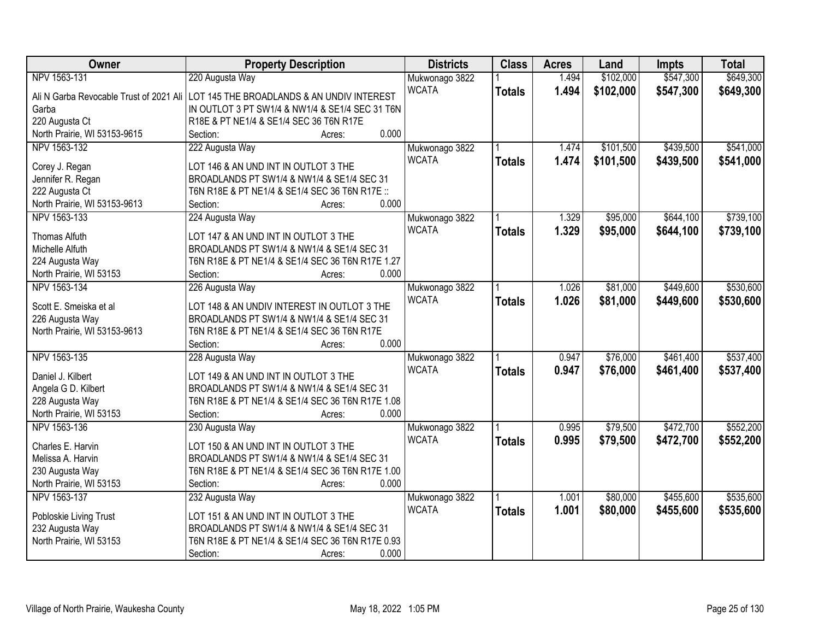| Owner                        | <b>Property Description</b>                                                        | <b>Districts</b> | <b>Class</b>  | <b>Acres</b> | Land      | <b>Impts</b> | <b>Total</b> |
|------------------------------|------------------------------------------------------------------------------------|------------------|---------------|--------------|-----------|--------------|--------------|
| NPV 1563-131                 | 220 Augusta Way                                                                    | Mukwonago 3822   |               | 1.494        | \$102,000 | \$547,300    | \$649,300    |
|                              | Ali N Garba Revocable Trust of 2021 Ali LOT 145 THE BROADLANDS & AN UNDIV INTEREST | <b>WCATA</b>     | <b>Totals</b> | 1.494        | \$102,000 | \$547,300    | \$649,300    |
| Garba                        | IN OUTLOT 3 PT SW1/4 & NW1/4 & SE1/4 SEC 31 T6N                                    |                  |               |              |           |              |              |
| 220 Augusta Ct               | R18E & PT NE1/4 & SE1/4 SEC 36 T6N R17E                                            |                  |               |              |           |              |              |
| North Prairie, WI 53153-9615 | 0.000<br>Section:<br>Acres:                                                        |                  |               |              |           |              |              |
| NPV 1563-132                 | 222 Augusta Way                                                                    | Mukwonago 3822   |               | 1.474        | \$101,500 | \$439,500    | \$541,000    |
|                              |                                                                                    | <b>WCATA</b>     | <b>Totals</b> | 1.474        | \$101,500 | \$439,500    | \$541,000    |
| Corey J. Regan               | LOT 146 & AN UND INT IN OUTLOT 3 THE                                               |                  |               |              |           |              |              |
| Jennifer R. Regan            | BROADLANDS PT SW1/4 & NW1/4 & SE1/4 SEC 31                                         |                  |               |              |           |              |              |
| 222 Augusta Ct               | T6N R18E & PT NE1/4 & SE1/4 SEC 36 T6N R17E ::                                     |                  |               |              |           |              |              |
| North Prairie, WI 53153-9613 | 0.000<br>Section:<br>Acres:                                                        |                  |               |              |           |              |              |
| NPV 1563-133                 | 224 Augusta Way                                                                    | Mukwonago 3822   |               | 1.329        | \$95,000  | \$644,100    | \$739,100    |
| <b>Thomas Alfuth</b>         | LOT 147 & AN UND INT IN OUTLOT 3 THE                                               | <b>WCATA</b>     | <b>Totals</b> | 1.329        | \$95,000  | \$644,100    | \$739,100    |
| Michelle Alfuth              | BROADLANDS PT SW1/4 & NW1/4 & SE1/4 SEC 31                                         |                  |               |              |           |              |              |
| 224 Augusta Way              | T6N R18E & PT NE1/4 & SE1/4 SEC 36 T6N R17E 1.27                                   |                  |               |              |           |              |              |
| North Prairie, WI 53153      | 0.000<br>Section:<br>Acres:                                                        |                  |               |              |           |              |              |
| NPV 1563-134                 | 226 Augusta Way                                                                    | Mukwonago 3822   |               | 1.026        | \$81,000  | \$449,600    | \$530,600    |
|                              |                                                                                    | <b>WCATA</b>     | <b>Totals</b> | 1.026        | \$81,000  | \$449,600    | \$530,600    |
| Scott E. Smeiska et al       | LOT 148 & AN UNDIV INTEREST IN OUTLOT 3 THE                                        |                  |               |              |           |              |              |
| 226 Augusta Way              | BROADLANDS PT SW1/4 & NW1/4 & SE1/4 SEC 31                                         |                  |               |              |           |              |              |
| North Prairie, WI 53153-9613 | T6N R18E & PT NE1/4 & SE1/4 SEC 36 T6N R17E                                        |                  |               |              |           |              |              |
|                              | 0.000<br>Section:<br>Acres:                                                        |                  |               |              |           |              |              |
| NPV 1563-135                 | 228 Augusta Way                                                                    | Mukwonago 3822   |               | 0.947        | \$76,000  | \$461,400    | \$537,400    |
| Daniel J. Kilbert            | LOT 149 & AN UND INT IN OUTLOT 3 THE                                               | <b>WCATA</b>     | <b>Totals</b> | 0.947        | \$76,000  | \$461,400    | \$537,400    |
| Angela G D. Kilbert          | BROADLANDS PT SW1/4 & NW1/4 & SE1/4 SEC 31                                         |                  |               |              |           |              |              |
| 228 Augusta Way              | T6N R18E & PT NE1/4 & SE1/4 SEC 36 T6N R17E 1.08                                   |                  |               |              |           |              |              |
| North Prairie, WI 53153      | 0.000<br>Section:<br>Acres:                                                        |                  |               |              |           |              |              |
| NPV 1563-136                 | 230 Augusta Way                                                                    | Mukwonago 3822   |               | 0.995        | \$79,500  | \$472,700    | \$552,200    |
|                              |                                                                                    | <b>WCATA</b>     | <b>Totals</b> | 0.995        | \$79,500  | \$472,700    | \$552,200    |
| Charles E. Harvin            | LOT 150 & AN UND INT IN OUTLOT 3 THE                                               |                  |               |              |           |              |              |
| Melissa A. Harvin            | BROADLANDS PT SW1/4 & NW1/4 & SE1/4 SEC 31                                         |                  |               |              |           |              |              |
| 230 Augusta Way              | T6N R18E & PT NE1/4 & SE1/4 SEC 36 T6N R17E 1.00                                   |                  |               |              |           |              |              |
| North Prairie, WI 53153      | 0.000<br>Section:<br>Acres:                                                        |                  |               |              |           |              |              |
| NPV 1563-137                 | 232 Augusta Way                                                                    | Mukwonago 3822   |               | 1.001        | \$80,000  | \$455,600    | \$535,600    |
| Pobloskie Living Trust       | LOT 151 & AN UND INT IN OUTLOT 3 THE                                               | <b>WCATA</b>     | <b>Totals</b> | 1.001        | \$80,000  | \$455,600    | \$535,600    |
| 232 Augusta Way              | BROADLANDS PT SW1/4 & NW1/4 & SE1/4 SEC 31                                         |                  |               |              |           |              |              |
| North Prairie, WI 53153      | T6N R18E & PT NE1/4 & SE1/4 SEC 36 T6N R17E 0.93                                   |                  |               |              |           |              |              |
|                              | 0.000<br>Section:<br>Acres:                                                        |                  |               |              |           |              |              |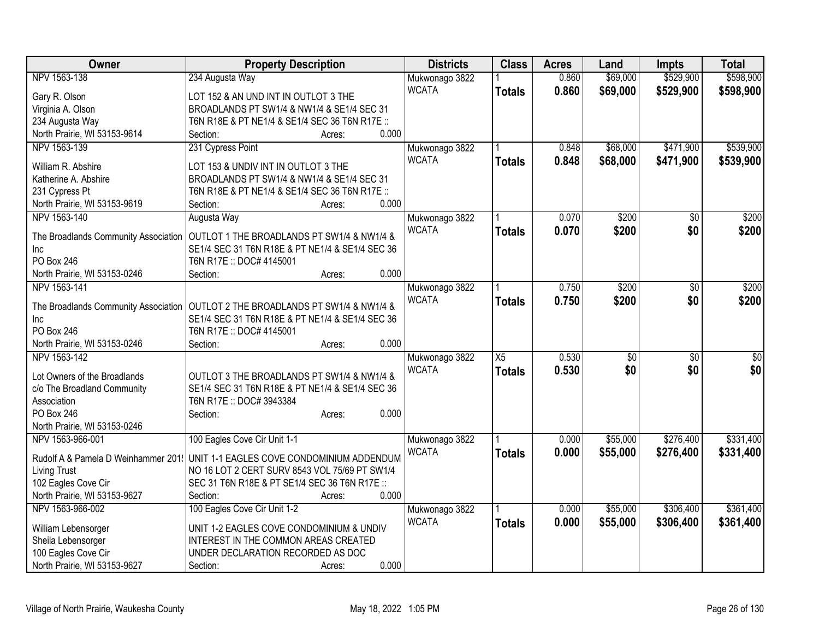| Owner                                | <b>Property Description</b>                     | <b>Districts</b> | <b>Class</b>    | <b>Acres</b> | Land            | <b>Impts</b>    | <b>Total</b>     |
|--------------------------------------|-------------------------------------------------|------------------|-----------------|--------------|-----------------|-----------------|------------------|
| NPV 1563-138                         | 234 Augusta Way                                 | Mukwonago 3822   |                 | 0.860        | \$69,000        | \$529,900       | \$598,900        |
| Gary R. Olson                        | LOT 152 & AN UND INT IN OUTLOT 3 THE            | <b>WCATA</b>     | <b>Totals</b>   | 0.860        | \$69,000        | \$529,900       | \$598,900        |
| Virginia A. Olson                    | BROADLANDS PT SW1/4 & NW1/4 & SE1/4 SEC 31      |                  |                 |              |                 |                 |                  |
| 234 Augusta Way                      | T6N R18E & PT NE1/4 & SE1/4 SEC 36 T6N R17E ::  |                  |                 |              |                 |                 |                  |
| North Prairie, WI 53153-9614         | 0.000<br>Section:<br>Acres:                     |                  |                 |              |                 |                 |                  |
| NPV 1563-139                         | 231 Cypress Point                               | Mukwonago 3822   |                 | 0.848        | \$68,000        | \$471,900       | \$539,900        |
|                                      |                                                 | <b>WCATA</b>     | <b>Totals</b>   | 0.848        | \$68,000        | \$471,900       | \$539,900        |
| William R. Abshire                   | LOT 153 & UNDIV INT IN OUTLOT 3 THE             |                  |                 |              |                 |                 |                  |
| Katherine A. Abshire                 | BROADLANDS PT SW1/4 & NW1/4 & SE1/4 SEC 31      |                  |                 |              |                 |                 |                  |
| 231 Cypress Pt                       | T6N R18E & PT NE1/4 & SE1/4 SEC 36 T6N R17E ::  |                  |                 |              |                 |                 |                  |
| North Prairie, WI 53153-9619         | 0.000<br>Section:<br>Acres:                     |                  |                 |              |                 |                 |                  |
| NPV 1563-140                         | Augusta Way                                     | Mukwonago 3822   |                 | 0.070        | \$200           | \$0             | \$200            |
| The Broadlands Community Association | OUTLOT 1 THE BROADLANDS PT SW1/4 & NW1/4 &      | <b>WCATA</b>     | <b>Totals</b>   | 0.070        | \$200           | \$0             | \$200            |
| Inc                                  | SE1/4 SEC 31 T6N R18E & PT NE1/4 & SE1/4 SEC 36 |                  |                 |              |                 |                 |                  |
| <b>PO Box 246</b>                    | T6N R17E :: DOC# 4145001                        |                  |                 |              |                 |                 |                  |
| North Prairie, WI 53153-0246         | 0.000<br>Section:<br>Acres:                     |                  |                 |              |                 |                 |                  |
| NPV 1563-141                         |                                                 | Mukwonago 3822   |                 | 0.750        | \$200           | \$0             | \$200            |
|                                      |                                                 | <b>WCATA</b>     |                 | 0.750        | \$200           | \$0             |                  |
| The Broadlands Community Association | OUTLOT 2 THE BROADLANDS PT SW1/4 & NW1/4 &      |                  | <b>Totals</b>   |              |                 |                 | \$200            |
| Inc                                  | SE1/4 SEC 31 T6N R18E & PT NE1/4 & SE1/4 SEC 36 |                  |                 |              |                 |                 |                  |
| <b>PO Box 246</b>                    | T6N R17E :: DOC# 4145001                        |                  |                 |              |                 |                 |                  |
| North Prairie, WI 53153-0246         | 0.000<br>Section:<br>Acres:                     |                  |                 |              |                 |                 |                  |
| NPV 1563-142                         |                                                 | Mukwonago 3822   | $\overline{X5}$ | 0.530        | $\overline{50}$ | $\overline{30}$ | $\overline{\$0}$ |
|                                      |                                                 | <b>WCATA</b>     | <b>Totals</b>   | 0.530        | \$0             | \$0             | \$0              |
| Lot Owners of the Broadlands         | OUTLOT 3 THE BROADLANDS PT SW1/4 & NW1/4 &      |                  |                 |              |                 |                 |                  |
| c/o The Broadland Community          | SE1/4 SEC 31 T6N R18E & PT NE1/4 & SE1/4 SEC 36 |                  |                 |              |                 |                 |                  |
| Association                          | T6N R17E :: DOC# 3943384                        |                  |                 |              |                 |                 |                  |
| PO Box 246                           | 0.000<br>Section:<br>Acres:                     |                  |                 |              |                 |                 |                  |
| North Prairie, WI 53153-0246         |                                                 |                  |                 |              |                 |                 |                  |
| NPV 1563-966-001                     | 100 Eagles Cove Cir Unit 1-1                    | Mukwonago 3822   |                 | 0.000        | \$55,000        | \$276,400       | \$331,400        |
| Rudolf A & Pamela D Weinhammer 201   | UNIT 1-1 EAGLES COVE CONDOMINIUM ADDENDUM       | <b>WCATA</b>     | <b>Totals</b>   | 0.000        | \$55,000        | \$276,400       | \$331,400        |
| <b>Living Trust</b>                  | NO 16 LOT 2 CERT SURV 8543 VOL 75/69 PT SW1/4   |                  |                 |              |                 |                 |                  |
| 102 Eagles Cove Cir                  | SEC 31 T6N R18E & PT SE1/4 SEC 36 T6N R17E ::   |                  |                 |              |                 |                 |                  |
| North Prairie, WI 53153-9627         | 0.000<br>Section:<br>Acres:                     |                  |                 |              |                 |                 |                  |
| NPV 1563-966-002                     | 100 Eagles Cove Cir Unit 1-2                    | Mukwonago 3822   |                 | 0.000        | \$55,000        | \$306,400       | \$361,400        |
|                                      |                                                 | <b>WCATA</b>     | <b>Totals</b>   | 0.000        | \$55,000        | \$306,400       | \$361,400        |
| William Lebensorger                  | UNIT 1-2 EAGLES COVE CONDOMINIUM & UNDIV        |                  |                 |              |                 |                 |                  |
| Sheila Lebensorger                   | INTEREST IN THE COMMON AREAS CREATED            |                  |                 |              |                 |                 |                  |
| 100 Eagles Cove Cir                  | UNDER DECLARATION RECORDED AS DOC               |                  |                 |              |                 |                 |                  |
| North Prairie, WI 53153-9627         | 0.000<br>Section:<br>Acres:                     |                  |                 |              |                 |                 |                  |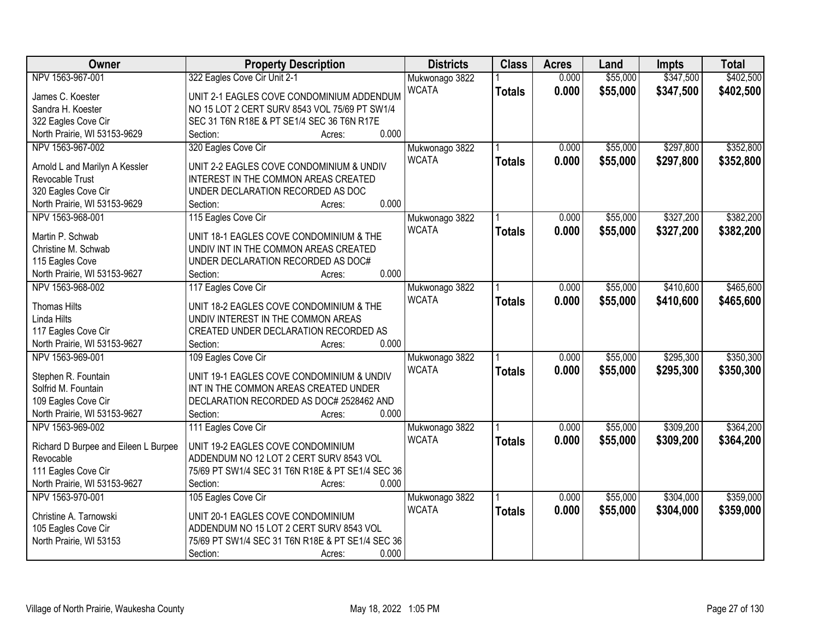| Owner                                               | <b>Property Description</b>                                                       | <b>Districts</b> | <b>Class</b>  | <b>Acres</b> | Land     | <b>Impts</b> | <b>Total</b> |
|-----------------------------------------------------|-----------------------------------------------------------------------------------|------------------|---------------|--------------|----------|--------------|--------------|
| NPV 1563-967-001                                    | 322 Eagles Cove Cir Unit 2-1                                                      | Mukwonago 3822   |               | 0.000        | \$55,000 | \$347,500    | \$402,500    |
| James C. Koester                                    | UNIT 2-1 EAGLES COVE CONDOMINIUM ADDENDUM                                         | <b>WCATA</b>     | <b>Totals</b> | 0.000        | \$55,000 | \$347,500    | \$402,500    |
| Sandra H. Koester                                   | NO 15 LOT 2 CERT SURV 8543 VOL 75/69 PT SW1/4                                     |                  |               |              |          |              |              |
| 322 Eagles Cove Cir                                 | SEC 31 T6N R18E & PT SE1/4 SEC 36 T6N R17E                                        |                  |               |              |          |              |              |
| North Prairie, WI 53153-9629                        | 0.000<br>Section:<br>Acres:                                                       |                  |               |              |          |              |              |
| NPV 1563-967-002                                    | 320 Eagles Cove Cir                                                               | Mukwonago 3822   |               | 0.000        | \$55,000 | \$297,800    | \$352,800    |
| Arnold L and Marilyn A Kessler                      | UNIT 2-2 EAGLES COVE CONDOMINIUM & UNDIV                                          | <b>WCATA</b>     | <b>Totals</b> | 0.000        | \$55,000 | \$297,800    | \$352,800    |
| Revocable Trust                                     | INTEREST IN THE COMMON AREAS CREATED                                              |                  |               |              |          |              |              |
| 320 Eagles Cove Cir                                 | UNDER DECLARATION RECORDED AS DOC                                                 |                  |               |              |          |              |              |
| North Prairie, WI 53153-9629                        | 0.000<br>Section:<br>Acres:                                                       |                  |               |              |          |              |              |
| NPV 1563-968-001                                    | 115 Eagles Cove Cir                                                               | Mukwonago 3822   |               | 0.000        | \$55,000 | \$327,200    | \$382,200    |
|                                                     |                                                                                   | <b>WCATA</b>     | <b>Totals</b> | 0.000        | \$55,000 | \$327,200    | \$382,200    |
| Martin P. Schwab                                    | UNIT 18-1 EAGLES COVE CONDOMINIUM & THE                                           |                  |               |              |          |              |              |
| Christine M. Schwab                                 | UNDIV INT IN THE COMMON AREAS CREATED                                             |                  |               |              |          |              |              |
| 115 Eagles Cove                                     | UNDER DECLARATION RECORDED AS DOC#<br>0.000                                       |                  |               |              |          |              |              |
| North Prairie, WI 53153-9627                        | Section:<br>Acres:                                                                |                  |               |              |          |              |              |
| NPV 1563-968-002                                    | 117 Eagles Cove Cir                                                               | Mukwonago 3822   |               | 0.000        | \$55,000 | \$410,600    | \$465,600    |
| <b>Thomas Hilts</b>                                 | UNIT 18-2 EAGLES COVE CONDOMINIUM & THE                                           | <b>WCATA</b>     | <b>Totals</b> | 0.000        | \$55,000 | \$410,600    | \$465,600    |
| Linda Hilts                                         | UNDIV INTEREST IN THE COMMON AREAS                                                |                  |               |              |          |              |              |
| 117 Eagles Cove Cir                                 | CREATED UNDER DECLARATION RECORDED AS                                             |                  |               |              |          |              |              |
| North Prairie, WI 53153-9627                        | 0.000<br>Section:<br>Acres:                                                       |                  |               |              |          |              |              |
| NPV 1563-969-001                                    | 109 Eagles Cove Cir                                                               | Mukwonago 3822   |               | 0.000        | \$55,000 | \$295,300    | \$350,300    |
|                                                     |                                                                                   | <b>WCATA</b>     | <b>Totals</b> | 0.000        | \$55,000 | \$295,300    | \$350,300    |
| Stephen R. Fountain                                 | UNIT 19-1 EAGLES COVE CONDOMINIUM & UNDIV                                         |                  |               |              |          |              |              |
| Solfrid M. Fountain                                 | INT IN THE COMMON AREAS CREATED UNDER<br>DECLARATION RECORDED AS DOC# 2528462 AND |                  |               |              |          |              |              |
| 109 Eagles Cove Cir<br>North Prairie, WI 53153-9627 | 0.000<br>Section:                                                                 |                  |               |              |          |              |              |
|                                                     | Acres:                                                                            |                  |               |              |          |              |              |
| NPV 1563-969-002                                    | 111 Eagles Cove Cir                                                               | Mukwonago 3822   |               | 0.000        | \$55,000 | \$309,200    | \$364,200    |
| Richard D Burpee and Eileen L Burpee                | UNIT 19-2 EAGLES COVE CONDOMINIUM                                                 | <b>WCATA</b>     | <b>Totals</b> | 0.000        | \$55,000 | \$309,200    | \$364,200    |
| Revocable                                           | ADDENDUM NO 12 LOT 2 CERT SURV 8543 VOL                                           |                  |               |              |          |              |              |
| 111 Eagles Cove Cir                                 | 75/69 PT SW1/4 SEC 31 T6N R18E & PT SE1/4 SEC 36                                  |                  |               |              |          |              |              |
| North Prairie, WI 53153-9627                        | 0.000<br>Section:<br>Acres:                                                       |                  |               |              |          |              |              |
| NPV 1563-970-001                                    | 105 Eagles Cove Cir                                                               | Mukwonago 3822   |               | 0.000        | \$55,000 | \$304,000    | \$359,000    |
| Christine A. Tarnowski                              | UNIT 20-1 EAGLES COVE CONDOMINIUM                                                 | <b>WCATA</b>     | <b>Totals</b> | 0.000        | \$55,000 | \$304,000    | \$359,000    |
| 105 Eagles Cove Cir                                 | ADDENDUM NO 15 LOT 2 CERT SURV 8543 VOL                                           |                  |               |              |          |              |              |
| North Prairie, WI 53153                             | 75/69 PT SW1/4 SEC 31 T6N R18E & PT SE1/4 SEC 36                                  |                  |               |              |          |              |              |
|                                                     | 0.000<br>Section:<br>Acres:                                                       |                  |               |              |          |              |              |
|                                                     |                                                                                   |                  |               |              |          |              |              |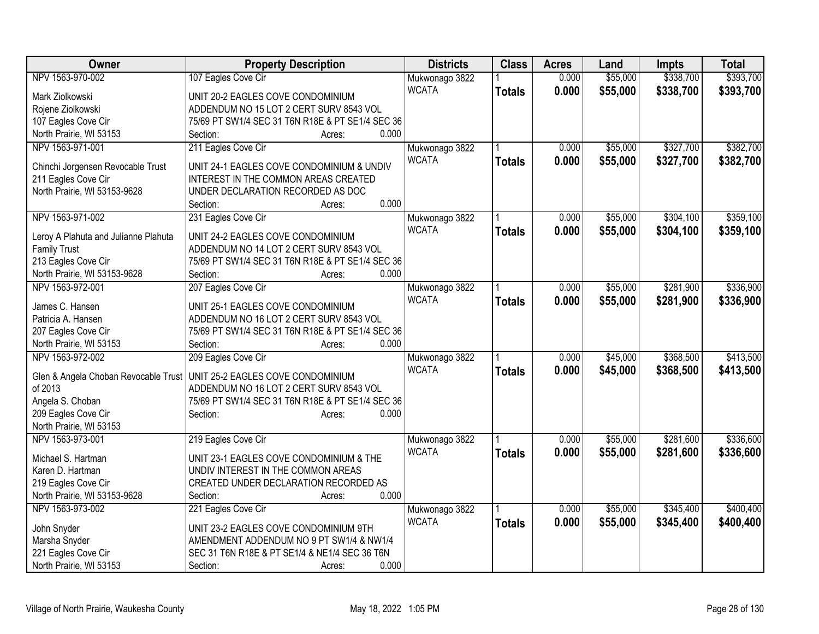| Owner                                           | <b>Property Description</b>                      | <b>Districts</b> | <b>Class</b>  | <b>Acres</b> | Land     | Impts     | <b>Total</b> |
|-------------------------------------------------|--------------------------------------------------|------------------|---------------|--------------|----------|-----------|--------------|
| NPV 1563-970-002                                | 107 Eagles Cove Cir                              | Mukwonago 3822   |               | 0.000        | \$55,000 | \$338,700 | \$393,700    |
| Mark Ziolkowski                                 | UNIT 20-2 EAGLES COVE CONDOMINIUM                | <b>WCATA</b>     | <b>Totals</b> | 0.000        | \$55,000 | \$338,700 | \$393,700    |
| Rojene Ziolkowski                               | ADDENDUM NO 15 LOT 2 CERT SURV 8543 VOL          |                  |               |              |          |           |              |
| 107 Eagles Cove Cir                             | 75/69 PT SW1/4 SEC 31 T6N R18E & PT SE1/4 SEC 36 |                  |               |              |          |           |              |
| North Prairie, WI 53153                         | 0.000<br>Section:<br>Acres:                      |                  |               |              |          |           |              |
| NPV 1563-971-001                                | 211 Eagles Cove Cir                              | Mukwonago 3822   |               | 0.000        | \$55,000 | \$327,700 | \$382,700    |
|                                                 |                                                  | <b>WCATA</b>     | <b>Totals</b> | 0.000        | \$55,000 | \$327,700 | \$382,700    |
| Chinchi Jorgensen Revocable Trust               | UNIT 24-1 EAGLES COVE CONDOMINIUM & UNDIV        |                  |               |              |          |           |              |
| 211 Eagles Cove Cir                             | INTEREST IN THE COMMON AREAS CREATED             |                  |               |              |          |           |              |
| North Prairie, WI 53153-9628                    | UNDER DECLARATION RECORDED AS DOC                |                  |               |              |          |           |              |
|                                                 | 0.000<br>Section:<br>Acres:                      |                  |               |              |          |           |              |
| NPV 1563-971-002                                | 231 Eagles Cove Cir                              | Mukwonago 3822   |               | 0.000        | \$55,000 | \$304,100 | \$359,100    |
| Leroy A Plahuta and Julianne Plahuta            | UNIT 24-2 EAGLES COVE CONDOMINIUM                | <b>WCATA</b>     | <b>Totals</b> | 0.000        | \$55,000 | \$304,100 | \$359,100    |
| <b>Family Trust</b>                             | ADDENDUM NO 14 LOT 2 CERT SURV 8543 VOL          |                  |               |              |          |           |              |
| 213 Eagles Cove Cir                             | 75/69 PT SW1/4 SEC 31 T6N R18E & PT SE1/4 SEC 36 |                  |               |              |          |           |              |
| North Prairie, WI 53153-9628                    | 0.000<br>Section:<br>Acres:                      |                  |               |              |          |           |              |
| NPV 1563-972-001                                | 207 Eagles Cove Cir                              | Mukwonago 3822   |               | 0.000        | \$55,000 | \$281,900 | \$336,900    |
|                                                 |                                                  | <b>WCATA</b>     |               |              |          |           |              |
| James C. Hansen                                 | UNIT 25-1 EAGLES COVE CONDOMINIUM                |                  | <b>Totals</b> | 0.000        | \$55,000 | \$281,900 | \$336,900    |
| Patricia A. Hansen                              | ADDENDUM NO 16 LOT 2 CERT SURV 8543 VOL          |                  |               |              |          |           |              |
| 207 Eagles Cove Cir                             | 75/69 PT SW1/4 SEC 31 T6N R18E & PT SE1/4 SEC 36 |                  |               |              |          |           |              |
| North Prairie, WI 53153                         | 0.000<br>Section:<br>Acres:                      |                  |               |              |          |           |              |
| NPV 1563-972-002                                | 209 Eagles Cove Cir                              | Mukwonago 3822   |               | 0.000        | \$45,000 | \$368,500 | \$413,500    |
|                                                 | UNIT 25-2 EAGLES COVE CONDOMINIUM                | <b>WCATA</b>     | <b>Totals</b> | 0.000        | \$45,000 | \$368,500 | \$413,500    |
| Glen & Angela Choban Revocable Trust<br>of 2013 | ADDENDUM NO 16 LOT 2 CERT SURV 8543 VOL          |                  |               |              |          |           |              |
| Angela S. Choban                                | 75/69 PT SW1/4 SEC 31 T6N R18E & PT SE1/4 SEC 36 |                  |               |              |          |           |              |
| 209 Eagles Cove Cir                             | 0.000<br>Section:<br>Acres:                      |                  |               |              |          |           |              |
| North Prairie, WI 53153                         |                                                  |                  |               |              |          |           |              |
| NPV 1563-973-001                                | 219 Eagles Cove Cir                              | Mukwonago 3822   |               | 0.000        | \$55,000 | \$281,600 | \$336,600    |
|                                                 |                                                  | <b>WCATA</b>     |               | 0.000        | \$55,000 | \$281,600 | \$336,600    |
| Michael S. Hartman                              | UNIT 23-1 EAGLES COVE CONDOMINIUM & THE          |                  | <b>Totals</b> |              |          |           |              |
| Karen D. Hartman                                | UNDIV INTEREST IN THE COMMON AREAS               |                  |               |              |          |           |              |
| 219 Eagles Cove Cir                             | CREATED UNDER DECLARATION RECORDED AS            |                  |               |              |          |           |              |
| North Prairie, WI 53153-9628                    | Section:<br>0.000<br>Acres:                      |                  |               |              |          |           |              |
| NPV 1563-973-002                                | 221 Eagles Cove Cir                              | Mukwonago 3822   |               | 0.000        | \$55,000 | \$345,400 | \$400,400    |
|                                                 | UNIT 23-2 EAGLES COVE CONDOMINIUM 9TH            | <b>WCATA</b>     | <b>Totals</b> | 0.000        | \$55,000 | \$345,400 | \$400,400    |
| John Snyder                                     | AMENDMENT ADDENDUM NO 9 PT SW1/4 & NW1/4         |                  |               |              |          |           |              |
| Marsha Snyder                                   |                                                  |                  |               |              |          |           |              |
| 221 Eagles Cove Cir                             | SEC 31 T6N R18E & PT SE1/4 & NE1/4 SEC 36 T6N    |                  |               |              |          |           |              |
| North Prairie, WI 53153                         | 0.000<br>Section:<br>Acres:                      |                  |               |              |          |           |              |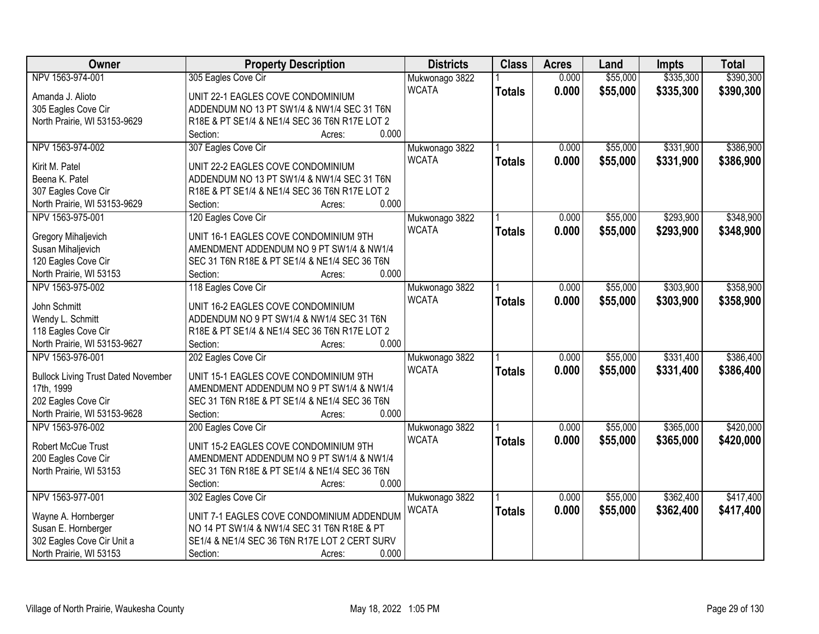| Owner                                      | <b>Property Description</b>                   | <b>Districts</b> | <b>Class</b>  | <b>Acres</b> | Land     | <b>Impts</b> | <b>Total</b> |
|--------------------------------------------|-----------------------------------------------|------------------|---------------|--------------|----------|--------------|--------------|
| NPV 1563-974-001                           | 305 Eagles Cove Cir                           | Mukwonago 3822   |               | 0.000        | \$55,000 | \$335,300    | \$390,300    |
| Amanda J. Alioto                           | UNIT 22-1 EAGLES COVE CONDOMINIUM             | <b>WCATA</b>     | <b>Totals</b> | 0.000        | \$55,000 | \$335,300    | \$390,300    |
| 305 Eagles Cove Cir                        | ADDENDUM NO 13 PT SW1/4 & NW1/4 SEC 31 T6N    |                  |               |              |          |              |              |
| North Prairie, WI 53153-9629               | R18E & PT SE1/4 & NE1/4 SEC 36 T6N R17E LOT 2 |                  |               |              |          |              |              |
|                                            | 0.000<br>Section:<br>Acres:                   |                  |               |              |          |              |              |
| NPV 1563-974-002                           | 307 Eagles Cove Cir                           | Mukwonago 3822   |               | 0.000        | \$55,000 | \$331,900    | \$386,900    |
|                                            |                                               | <b>WCATA</b>     | <b>Totals</b> | 0.000        | \$55,000 | \$331,900    | \$386,900    |
| Kirit M. Patel                             | UNIT 22-2 EAGLES COVE CONDOMINIUM             |                  |               |              |          |              |              |
| Beena K. Patel                             | ADDENDUM NO 13 PT SW1/4 & NW1/4 SEC 31 T6N    |                  |               |              |          |              |              |
| 307 Eagles Cove Cir                        | R18E & PT SE1/4 & NE1/4 SEC 36 T6N R17E LOT 2 |                  |               |              |          |              |              |
| North Prairie, WI 53153-9629               | 0.000<br>Section:<br>Acres:                   |                  |               |              |          |              |              |
| NPV 1563-975-001                           | 120 Eagles Cove Cir                           | Mukwonago 3822   |               | 0.000        | \$55,000 | \$293,900    | \$348,900    |
| Gregory Mihaljevich                        | UNIT 16-1 EAGLES COVE CONDOMINIUM 9TH         | <b>WCATA</b>     | <b>Totals</b> | 0.000        | \$55,000 | \$293,900    | \$348,900    |
| Susan Mihaljevich                          | AMENDMENT ADDENDUM NO 9 PT SW1/4 & NW1/4      |                  |               |              |          |              |              |
| 120 Eagles Cove Cir                        | SEC 31 T6N R18E & PT SE1/4 & NE1/4 SEC 36 T6N |                  |               |              |          |              |              |
| North Prairie, WI 53153                    | 0.000<br>Section:<br>Acres:                   |                  |               |              |          |              |              |
| NPV 1563-975-002                           | 118 Eagles Cove Cir                           | Mukwonago 3822   |               | 0.000        | \$55,000 | \$303,900    | \$358,900    |
|                                            |                                               | <b>WCATA</b>     | <b>Totals</b> | 0.000        | \$55,000 | \$303,900    | \$358,900    |
| John Schmitt                               | UNIT 16-2 EAGLES COVE CONDOMINIUM             |                  |               |              |          |              |              |
| Wendy L. Schmitt                           | ADDENDUM NO 9 PT SW1/4 & NW1/4 SEC 31 T6N     |                  |               |              |          |              |              |
| 118 Eagles Cove Cir                        | R18E & PT SE1/4 & NE1/4 SEC 36 T6N R17E LOT 2 |                  |               |              |          |              |              |
| North Prairie, WI 53153-9627               | 0.000<br>Section:<br>Acres:                   |                  |               |              |          |              |              |
| NPV 1563-976-001                           | 202 Eagles Cove Cir                           | Mukwonago 3822   |               | 0.000        | \$55,000 | \$331,400    | \$386,400    |
| <b>Bullock Living Trust Dated November</b> | UNIT 15-1 EAGLES COVE CONDOMINIUM 9TH         | <b>WCATA</b>     | <b>Totals</b> | 0.000        | \$55,000 | \$331,400    | \$386,400    |
| 17th, 1999                                 | AMENDMENT ADDENDUM NO 9 PT SW1/4 & NW1/4      |                  |               |              |          |              |              |
| 202 Eagles Cove Cir                        | SEC 31 T6N R18E & PT SE1/4 & NE1/4 SEC 36 T6N |                  |               |              |          |              |              |
| North Prairie, WI 53153-9628               | 0.000<br>Section:<br>Acres:                   |                  |               |              |          |              |              |
| NPV 1563-976-002                           | 200 Eagles Cove Cir                           | Mukwonago 3822   |               | 0.000        | \$55,000 | \$365,000    | \$420,000    |
|                                            |                                               | <b>WCATA</b>     | <b>Totals</b> | 0.000        | \$55,000 | \$365,000    | \$420,000    |
| <b>Robert McCue Trust</b>                  | UNIT 15-2 EAGLES COVE CONDOMINIUM 9TH         |                  |               |              |          |              |              |
| 200 Eagles Cove Cir                        | AMENDMENT ADDENDUM NO 9 PT SW1/4 & NW1/4      |                  |               |              |          |              |              |
| North Prairie, WI 53153                    | SEC 31 T6N R18E & PT SE1/4 & NE1/4 SEC 36 T6N |                  |               |              |          |              |              |
|                                            | 0.000<br>Section:<br>Acres:                   |                  |               |              |          |              |              |
| NPV 1563-977-001                           | 302 Eagles Cove Cir                           | Mukwonago 3822   |               | 0.000        | \$55,000 | \$362,400    | \$417,400    |
| Wayne A. Hornberger                        | UNIT 7-1 EAGLES COVE CONDOMINIUM ADDENDUM     | <b>WCATA</b>     | <b>Totals</b> | 0.000        | \$55,000 | \$362,400    | \$417,400    |
| Susan E. Hornberger                        | NO 14 PT SW1/4 & NW1/4 SEC 31 T6N R18E & PT   |                  |               |              |          |              |              |
| 302 Eagles Cove Cir Unit a                 | SE1/4 & NE1/4 SEC 36 T6N R17E LOT 2 CERT SURV |                  |               |              |          |              |              |
| North Prairie, WI 53153                    | 0.000<br>Section:<br>Acres:                   |                  |               |              |          |              |              |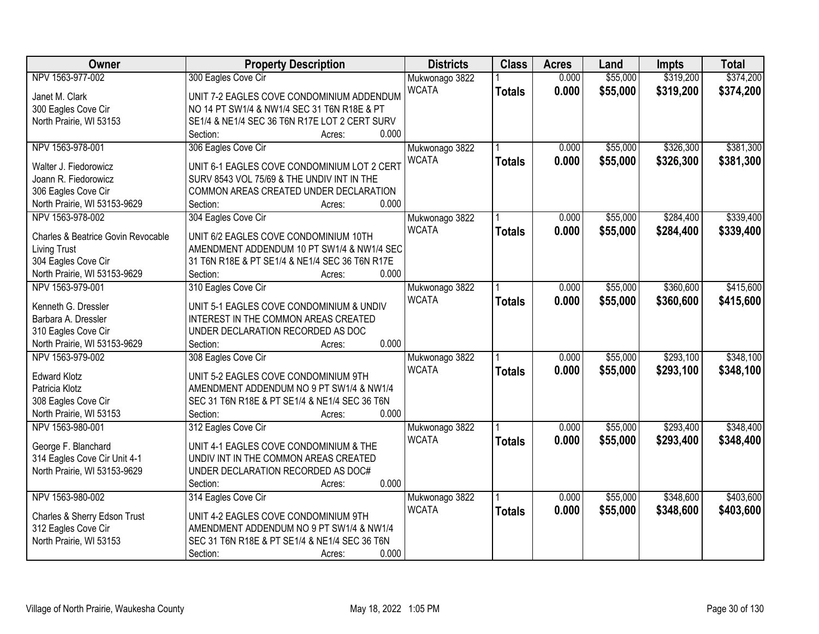| Owner                              | <b>Property Description</b>                    | <b>Districts</b> | <b>Class</b>  | <b>Acres</b> | Land     | <b>Impts</b> | <b>Total</b> |
|------------------------------------|------------------------------------------------|------------------|---------------|--------------|----------|--------------|--------------|
| NPV 1563-977-002                   | 300 Eagles Cove Cir                            | Mukwonago 3822   |               | 0.000        | \$55,000 | \$319,200    | \$374,200    |
| Janet M. Clark                     | UNIT 7-2 EAGLES COVE CONDOMINIUM ADDENDUM      | <b>WCATA</b>     | <b>Totals</b> | 0.000        | \$55,000 | \$319,200    | \$374,200    |
| 300 Eagles Cove Cir                | NO 14 PT SW1/4 & NW1/4 SEC 31 T6N R18E & PT    |                  |               |              |          |              |              |
| North Prairie, WI 53153            | SE1/4 & NE1/4 SEC 36 T6N R17E LOT 2 CERT SURV  |                  |               |              |          |              |              |
|                                    | 0.000<br>Section:<br>Acres:                    |                  |               |              |          |              |              |
| NPV 1563-978-001                   | 306 Eagles Cove Cir                            | Mukwonago 3822   |               | 0.000        | \$55,000 | \$326,300    | \$381,300    |
|                                    |                                                | <b>WCATA</b>     | <b>Totals</b> | 0.000        | \$55,000 | \$326,300    | \$381,300    |
| Walter J. Fiedorowicz              | UNIT 6-1 EAGLES COVE CONDOMINIUM LOT 2 CERT    |                  |               |              |          |              |              |
| Joann R. Fiedorowicz               | SURV 8543 VOL 75/69 & THE UNDIV INT IN THE     |                  |               |              |          |              |              |
| 306 Eagles Cove Cir                | COMMON AREAS CREATED UNDER DECLARATION         |                  |               |              |          |              |              |
| North Prairie, WI 53153-9629       | 0.000<br>Section:<br>Acres:                    |                  |               |              |          |              |              |
| NPV 1563-978-002                   | 304 Eagles Cove Cir                            | Mukwonago 3822   |               | 0.000        | \$55,000 | \$284,400    | \$339,400    |
| Charles & Beatrice Govin Revocable | UNIT 6/2 EAGLES COVE CONDOMINIUM 10TH          | <b>WCATA</b>     | <b>Totals</b> | 0.000        | \$55,000 | \$284,400    | \$339,400    |
| <b>Living Trust</b>                | AMENDMENT ADDENDUM 10 PT SW1/4 & NW1/4 SEC     |                  |               |              |          |              |              |
| 304 Eagles Cove Cir                | 31 T6N R18E & PT SE1/4 & NE1/4 SEC 36 T6N R17E |                  |               |              |          |              |              |
| North Prairie, WI 53153-9629       | Section:<br>0.000<br>Acres:                    |                  |               |              |          |              |              |
| NPV 1563-979-001                   | 310 Eagles Cove Cir                            | Mukwonago 3822   |               | 0.000        | \$55,000 | \$360,600    | \$415,600    |
|                                    |                                                | <b>WCATA</b>     | <b>Totals</b> | 0.000        | \$55,000 | \$360,600    | \$415,600    |
| Kenneth G. Dressler                | UNIT 5-1 EAGLES COVE CONDOMINIUM & UNDIV       |                  |               |              |          |              |              |
| Barbara A. Dressler                | INTEREST IN THE COMMON AREAS CREATED           |                  |               |              |          |              |              |
| 310 Eagles Cove Cir                | UNDER DECLARATION RECORDED AS DOC              |                  |               |              |          |              |              |
| North Prairie, WI 53153-9629       | 0.000<br>Section:<br>Acres:                    |                  |               |              |          |              |              |
| NPV 1563-979-002                   | 308 Eagles Cove Cir                            | Mukwonago 3822   |               | 0.000        | \$55,000 | \$293,100    | \$348,100    |
| <b>Edward Klotz</b>                | UNIT 5-2 EAGLES COVE CONDOMINIUM 9TH           | <b>WCATA</b>     | <b>Totals</b> | 0.000        | \$55,000 | \$293,100    | \$348,100    |
| Patricia Klotz                     | AMENDMENT ADDENDUM NO 9 PT SW1/4 & NW1/4       |                  |               |              |          |              |              |
| 308 Eagles Cove Cir                | SEC 31 T6N R18E & PT SE1/4 & NE1/4 SEC 36 T6N  |                  |               |              |          |              |              |
| North Prairie, WI 53153            | 0.000<br>Section:<br>Acres:                    |                  |               |              |          |              |              |
| NPV 1563-980-001                   | 312 Eagles Cove Cir                            | Mukwonago 3822   |               | 0.000        | \$55,000 | \$293,400    | \$348,400    |
|                                    |                                                | <b>WCATA</b>     | <b>Totals</b> | 0.000        | \$55,000 | \$293,400    | \$348,400    |
| George F. Blanchard                | UNIT 4-1 EAGLES COVE CONDOMINIUM & THE         |                  |               |              |          |              |              |
| 314 Eagles Cove Cir Unit 4-1       | UNDIV INT IN THE COMMON AREAS CREATED          |                  |               |              |          |              |              |
| North Prairie, WI 53153-9629       | UNDER DECLARATION RECORDED AS DOC#             |                  |               |              |          |              |              |
|                                    | 0.000<br>Section:<br>Acres:                    |                  |               |              |          |              |              |
| NPV 1563-980-002                   | 314 Eagles Cove Cir                            | Mukwonago 3822   |               | 0.000        | \$55,000 | \$348,600    | \$403,600    |
| Charles & Sherry Edson Trust       | UNIT 4-2 EAGLES COVE CONDOMINIUM 9TH           | <b>WCATA</b>     | <b>Totals</b> | 0.000        | \$55,000 | \$348,600    | \$403,600    |
| 312 Eagles Cove Cir                | AMENDMENT ADDENDUM NO 9 PT SW1/4 & NW1/4       |                  |               |              |          |              |              |
| North Prairie, WI 53153            | SEC 31 T6N R18E & PT SE1/4 & NE1/4 SEC 36 T6N  |                  |               |              |          |              |              |
|                                    | 0.000<br>Section:<br>Acres:                    |                  |               |              |          |              |              |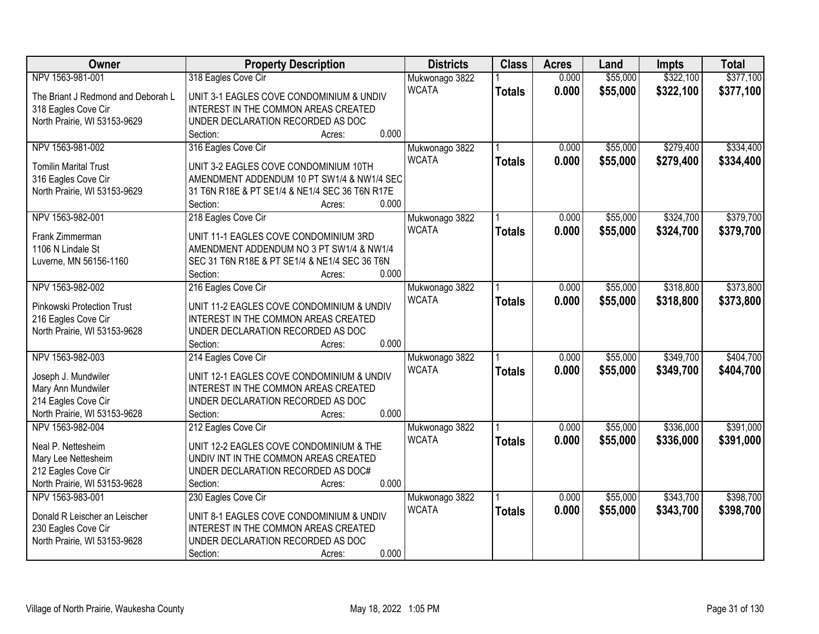| Owner                                            | <b>Property Description</b>                    | <b>Districts</b> | <b>Class</b>  | <b>Acres</b> | Land     | <b>Impts</b> | <b>Total</b> |
|--------------------------------------------------|------------------------------------------------|------------------|---------------|--------------|----------|--------------|--------------|
| NPV 1563-981-001                                 | 318 Eagles Cove Cir                            | Mukwonago 3822   |               | 0.000        | \$55,000 | \$322,100    | \$377,100    |
| The Briant J Redmond and Deborah L               | UNIT 3-1 EAGLES COVE CONDOMINIUM & UNDIV       | <b>WCATA</b>     | <b>Totals</b> | 0.000        | \$55,000 | \$322,100    | \$377,100    |
| 318 Eagles Cove Cir                              | INTEREST IN THE COMMON AREAS CREATED           |                  |               |              |          |              |              |
| North Prairie, WI 53153-9629                     | UNDER DECLARATION RECORDED AS DOC              |                  |               |              |          |              |              |
|                                                  | 0.000<br>Section:<br>Acres:                    |                  |               |              |          |              |              |
| NPV 1563-981-002                                 | 316 Eagles Cove Cir                            | Mukwonago 3822   |               | 0.000        | \$55,000 | \$279,400    | \$334,400    |
|                                                  |                                                | <b>WCATA</b>     | <b>Totals</b> | 0.000        | \$55,000 | \$279,400    | \$334,400    |
| <b>Tomilin Marital Trust</b>                     | UNIT 3-2 EAGLES COVE CONDOMINIUM 10TH          |                  |               |              |          |              |              |
| 316 Eagles Cove Cir                              | AMENDMENT ADDENDUM 10 PT SW1/4 & NW1/4 SEC     |                  |               |              |          |              |              |
| North Prairie, WI 53153-9629                     | 31 T6N R18E & PT SE1/4 & NE1/4 SEC 36 T6N R17E |                  |               |              |          |              |              |
|                                                  | 0.000<br>Section:<br>Acres:                    |                  |               |              |          |              |              |
| NPV 1563-982-001                                 | 218 Eagles Cove Cir                            | Mukwonago 3822   |               | 0.000        | \$55,000 | \$324,700    | \$379,700    |
| Frank Zimmerman                                  | UNIT 11-1 EAGLES COVE CONDOMINIUM 3RD          | <b>WCATA</b>     | <b>Totals</b> | 0.000        | \$55,000 | \$324,700    | \$379,700    |
| 1106 N Lindale St                                | AMENDMENT ADDENDUM NO 3 PT SW1/4 & NW1/4       |                  |               |              |          |              |              |
| Luverne, MN 56156-1160                           | SEC 31 T6N R18E & PT SE1/4 & NE1/4 SEC 36 T6N  |                  |               |              |          |              |              |
|                                                  | 0.000<br>Section:<br>Acres:                    |                  |               |              |          |              |              |
| NPV 1563-982-002                                 | 216 Eagles Cove Cir                            | Mukwonago 3822   |               | 0.000        | \$55,000 | \$318,800    | \$373,800    |
|                                                  |                                                | <b>WCATA</b>     | <b>Totals</b> | 0.000        | \$55,000 | \$318,800    | \$373,800    |
| Pinkowski Protection Trust                       | UNIT 11-2 EAGLES COVE CONDOMINIUM & UNDIV      |                  |               |              |          |              |              |
| 216 Eagles Cove Cir                              | INTEREST IN THE COMMON AREAS CREATED           |                  |               |              |          |              |              |
| North Prairie, WI 53153-9628                     | UNDER DECLARATION RECORDED AS DOC              |                  |               |              |          |              |              |
|                                                  | 0.000<br>Section:<br>Acres:                    |                  |               |              |          |              |              |
| NPV 1563-982-003                                 | 214 Eagles Cove Cir                            | Mukwonago 3822   |               | 0.000        | \$55,000 | \$349,700    | \$404,700    |
| Joseph J. Mundwiler                              | UNIT 12-1 EAGLES COVE CONDOMINIUM & UNDIV      | <b>WCATA</b>     | <b>Totals</b> | 0.000        | \$55,000 | \$349,700    | \$404,700    |
| Mary Ann Mundwiler                               | INTEREST IN THE COMMON AREAS CREATED           |                  |               |              |          |              |              |
| 214 Eagles Cove Cir                              | UNDER DECLARATION RECORDED AS DOC              |                  |               |              |          |              |              |
| North Prairie, WI 53153-9628                     | 0.000<br>Section:<br>Acres:                    |                  |               |              |          |              |              |
| NPV 1563-982-004                                 | 212 Eagles Cove Cir                            | Mukwonago 3822   |               | 0.000        | \$55,000 | \$336,000    | \$391,000    |
| Neal P. Nettesheim                               | UNIT 12-2 EAGLES COVE CONDOMINIUM & THE        | <b>WCATA</b>     | <b>Totals</b> | 0.000        | \$55,000 | \$336,000    | \$391,000    |
|                                                  | UNDIV INT IN THE COMMON AREAS CREATED          |                  |               |              |          |              |              |
| Mary Lee Nettesheim                              | UNDER DECLARATION RECORDED AS DOC#             |                  |               |              |          |              |              |
| 212 Eagles Cove Cir                              | 0.000                                          |                  |               |              |          |              |              |
| North Prairie, WI 53153-9628<br>NPV 1563-983-001 | Section:<br>Acres:                             |                  |               |              | \$55,000 | \$343,700    | \$398,700    |
|                                                  | 230 Eagles Cove Cir                            | Mukwonago 3822   |               | 0.000        |          |              |              |
| Donald R Leischer an Leischer                    | UNIT 8-1 EAGLES COVE CONDOMINIUM & UNDIV       | <b>WCATA</b>     | <b>Totals</b> | 0.000        | \$55,000 | \$343,700    | \$398,700    |
| 230 Eagles Cove Cir                              | INTEREST IN THE COMMON AREAS CREATED           |                  |               |              |          |              |              |
| North Prairie, WI 53153-9628                     | UNDER DECLARATION RECORDED AS DOC              |                  |               |              |          |              |              |
|                                                  | 0.000<br>Section:<br>Acres:                    |                  |               |              |          |              |              |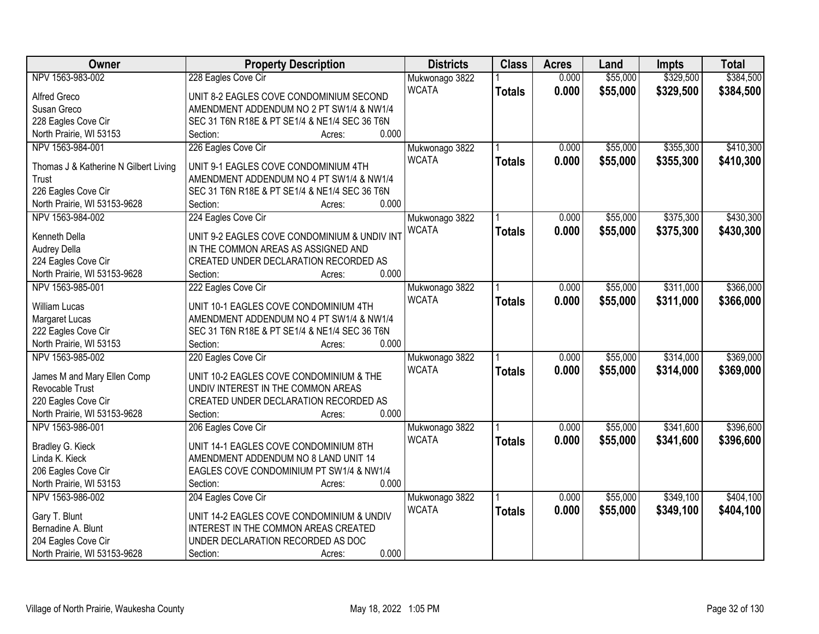| Owner                                          | <b>Property Description</b>                   | <b>Districts</b> | <b>Class</b>  | <b>Acres</b> | Land     | <b>Impts</b> | <b>Total</b> |
|------------------------------------------------|-----------------------------------------------|------------------|---------------|--------------|----------|--------------|--------------|
| NPV 1563-983-002                               | 228 Eagles Cove Cir                           | Mukwonago 3822   |               | 0.000        | \$55,000 | \$329,500    | \$384,500    |
| Alfred Greco                                   | UNIT 8-2 EAGLES COVE CONDOMINIUM SECOND       | <b>WCATA</b>     | <b>Totals</b> | 0.000        | \$55,000 | \$329,500    | \$384,500    |
| Susan Greco                                    | AMENDMENT ADDENDUM NO 2 PT SW1/4 & NW1/4      |                  |               |              |          |              |              |
| 228 Eagles Cove Cir                            | SEC 31 T6N R18E & PT SE1/4 & NE1/4 SEC 36 T6N |                  |               |              |          |              |              |
| North Prairie, WI 53153                        | 0.000<br>Section:<br>Acres:                   |                  |               |              |          |              |              |
| NPV 1563-984-001                               | 226 Eagles Cove Cir                           | Mukwonago 3822   |               | 0.000        | \$55,000 | \$355,300    | \$410,300    |
|                                                | UNIT 9-1 EAGLES COVE CONDOMINIUM 4TH          | <b>WCATA</b>     | <b>Totals</b> | 0.000        | \$55,000 | \$355,300    | \$410,300    |
| Thomas J & Katherine N Gilbert Living<br>Trust | AMENDMENT ADDENDUM NO 4 PT SW1/4 & NW1/4      |                  |               |              |          |              |              |
| 226 Eagles Cove Cir                            | SEC 31 T6N R18E & PT SE1/4 & NE1/4 SEC 36 T6N |                  |               |              |          |              |              |
| North Prairie, WI 53153-9628                   | 0.000<br>Section:<br>Acres:                   |                  |               |              |          |              |              |
| NPV 1563-984-002                               | 224 Eagles Cove Cir                           | Mukwonago 3822   |               | 0.000        | \$55,000 | \$375,300    | \$430,300    |
|                                                |                                               | <b>WCATA</b>     | <b>Totals</b> | 0.000        | \$55,000 | \$375,300    | \$430,300    |
| Kenneth Della                                  | UNIT 9-2 EAGLES COVE CONDOMINIUM & UNDIV INT  |                  |               |              |          |              |              |
| Audrey Della                                   | IN THE COMMON AREAS AS ASSIGNED AND           |                  |               |              |          |              |              |
| 224 Eagles Cove Cir                            | CREATED UNDER DECLARATION RECORDED AS         |                  |               |              |          |              |              |
| North Prairie, WI 53153-9628                   | 0.000<br>Section:<br>Acres:                   |                  |               |              |          |              |              |
| NPV 1563-985-001                               | 222 Eagles Cove Cir                           | Mukwonago 3822   |               | 0.000        | \$55,000 | \$311,000    | \$366,000    |
| William Lucas                                  | UNIT 10-1 EAGLES COVE CONDOMINIUM 4TH         | <b>WCATA</b>     | <b>Totals</b> | 0.000        | \$55,000 | \$311,000    | \$366,000    |
| Margaret Lucas                                 | AMENDMENT ADDENDUM NO 4 PT SW1/4 & NW1/4      |                  |               |              |          |              |              |
| 222 Eagles Cove Cir                            | SEC 31 T6N R18E & PT SE1/4 & NE1/4 SEC 36 T6N |                  |               |              |          |              |              |
| North Prairie, WI 53153                        | 0.000<br>Section:<br>Acres:                   |                  |               |              |          |              |              |
| NPV 1563-985-002                               | 220 Eagles Cove Cir                           | Mukwonago 3822   |               | 0.000        | \$55,000 | \$314,000    | \$369,000    |
|                                                |                                               | <b>WCATA</b>     | <b>Totals</b> | 0.000        | \$55,000 | \$314,000    | \$369,000    |
| James M and Mary Ellen Comp                    | UNIT 10-2 EAGLES COVE CONDOMINIUM & THE       |                  |               |              |          |              |              |
| <b>Revocable Trust</b>                         | UNDIV INTEREST IN THE COMMON AREAS            |                  |               |              |          |              |              |
| 220 Eagles Cove Cir                            | CREATED UNDER DECLARATION RECORDED AS         |                  |               |              |          |              |              |
| North Prairie, WI 53153-9628                   | 0.000<br>Section:<br>Acres:                   |                  |               |              |          |              |              |
| NPV 1563-986-001                               | 206 Eagles Cove Cir                           | Mukwonago 3822   |               | 0.000        | \$55,000 | \$341,600    | \$396,600    |
| Bradley G. Kieck                               | UNIT 14-1 EAGLES COVE CONDOMINIUM 8TH         | <b>WCATA</b>     | <b>Totals</b> | 0.000        | \$55,000 | \$341,600    | \$396,600    |
| Linda K. Kieck                                 | AMENDMENT ADDENDUM NO 8 LAND UNIT 14          |                  |               |              |          |              |              |
| 206 Eagles Cove Cir                            | EAGLES COVE CONDOMINIUM PT SW1/4 & NW1/4      |                  |               |              |          |              |              |
| North Prairie, WI 53153                        | 0.000<br>Section:<br>Acres:                   |                  |               |              |          |              |              |
| NPV 1563-986-002                               | 204 Eagles Cove Cir                           | Mukwonago 3822   |               | 0.000        | \$55,000 | \$349,100    | \$404,100    |
|                                                | UNIT 14-2 EAGLES COVE CONDOMINIUM & UNDIV     | <b>WCATA</b>     | <b>Totals</b> | 0.000        | \$55,000 | \$349,100    | \$404,100    |
| Gary T. Blunt<br>Bernadine A. Blunt            | INTEREST IN THE COMMON AREAS CREATED          |                  |               |              |          |              |              |
| 204 Eagles Cove Cir                            | UNDER DECLARATION RECORDED AS DOC             |                  |               |              |          |              |              |
| North Prairie, WI 53153-9628                   | 0.000                                         |                  |               |              |          |              |              |
|                                                | Section:<br>Acres:                            |                  |               |              |          |              |              |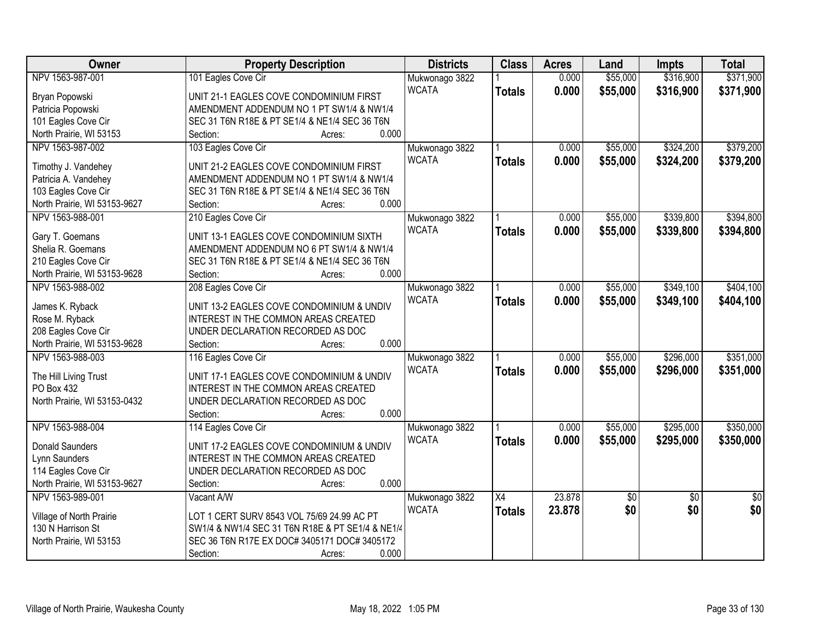| \$316,900<br>\$371,900<br>NPV 1563-987-001<br>101 Eagles Cove Cir<br>0.000<br>\$55,000<br>Mukwonago 3822<br><b>WCATA</b><br>0.000<br>\$55,000<br>\$316,900<br>\$371,900<br><b>Totals</b><br>UNIT 21-1 EAGLES COVE CONDOMINIUM FIRST<br>Bryan Popowski<br>Patricia Popowski<br>AMENDMENT ADDENDUM NO 1 PT SW1/4 & NW1/4<br>101 Eagles Cove Cir<br>SEC 31 T6N R18E & PT SE1/4 & NE1/4 SEC 36 T6N<br>0.000<br>North Prairie, WI 53153<br>Section:<br>Acres:<br>NPV 1563-987-002<br>\$55,000<br>\$324,200<br>\$379,200<br>103 Eagles Cove Cir<br>0.000<br>Mukwonago 3822<br><b>WCATA</b><br>0.000<br>\$55,000<br>\$324,200<br><b>Totals</b><br>Timothy J. Vandehey<br>UNIT 21-2 EAGLES COVE CONDOMINIUM FIRST<br>Patricia A. Vandehey<br>AMENDMENT ADDENDUM NO 1 PT SW1/4 & NW1/4<br>103 Eagles Cove Cir<br>SEC 31 T6N R18E & PT SE1/4 & NE1/4 SEC 36 T6N<br>0.000<br>North Prairie, WI 53153-9627<br>Section:<br>Acres:<br>210 Eagles Cove Cir<br>\$55,000<br>\$339,800<br>NPV 1563-988-001<br>Mukwonago 3822<br>0.000<br><b>WCATA</b><br>0.000<br>\$55,000<br>\$339,800<br><b>Totals</b><br>UNIT 13-1 EAGLES COVE CONDOMINIUM SIXTH<br>Gary T. Goemans<br>Shelia R. Goemans<br>AMENDMENT ADDENDUM NO 6 PT SW1/4 & NW1/4<br>210 Eagles Cove Cir<br>SEC 31 T6N R18E & PT SE1/4 & NE1/4 SEC 36 T6N<br>0.000<br>North Prairie, WI 53153-9628<br>Section:<br>Acres:<br>\$349,100<br>NPV 1563-988-002<br>208 Eagles Cove Cir<br>\$55,000<br>Mukwonago 3822<br>0.000<br><b>WCATA</b><br>0.000<br>\$55,000<br>\$349,100<br>\$404,100<br><b>Totals</b><br>UNIT 13-2 EAGLES COVE CONDOMINIUM & UNDIV<br>James K. Ryback<br>Rose M. Ryback<br>INTEREST IN THE COMMON AREAS CREATED<br>208 Eagles Cove Cir<br>UNDER DECLARATION RECORDED AS DOC<br>0.000<br>North Prairie, WI 53153-9628<br>Section:<br>Acres:<br>\$55,000<br>\$296,000<br>NPV 1563-988-003<br>116 Eagles Cove Cir<br>0.000<br>Mukwonago 3822<br><b>WCATA</b><br>0.000<br>\$55,000<br>\$296,000<br><b>Totals</b><br>The Hill Living Trust<br>UNIT 17-1 EAGLES COVE CONDOMINIUM & UNDIV<br>PO Box 432<br>INTEREST IN THE COMMON AREAS CREATED<br>North Prairie, WI 53153-0432<br>UNDER DECLARATION RECORDED AS DOC<br>0.000<br>Section:<br>Acres:<br>\$55,000<br>\$295,000<br>NPV 1563-988-004<br>114 Eagles Cove Cir<br>Mukwonago 3822<br>0.000 |
|---------------------------------------------------------------------------------------------------------------------------------------------------------------------------------------------------------------------------------------------------------------------------------------------------------------------------------------------------------------------------------------------------------------------------------------------------------------------------------------------------------------------------------------------------------------------------------------------------------------------------------------------------------------------------------------------------------------------------------------------------------------------------------------------------------------------------------------------------------------------------------------------------------------------------------------------------------------------------------------------------------------------------------------------------------------------------------------------------------------------------------------------------------------------------------------------------------------------------------------------------------------------------------------------------------------------------------------------------------------------------------------------------------------------------------------------------------------------------------------------------------------------------------------------------------------------------------------------------------------------------------------------------------------------------------------------------------------------------------------------------------------------------------------------------------------------------------------------------------------------------------------------------------------------------------------------------------------------------------------------------------------------------------------------------------------------------------------------------------------------------------------------------------------------------------------------------------------------------------------------------------------------------------------------------|
|                                                                                                                                                                                                                                                                                                                                                                                                                                                                                                                                                                                                                                                                                                                                                                                                                                                                                                                                                                                                                                                                                                                                                                                                                                                                                                                                                                                                                                                                                                                                                                                                                                                                                                                                                                                                                                                                                                                                                                                                                                                                                                                                                                                                                                                                                                   |
| \$379,200<br>\$394,800<br>\$394,800<br>\$404,100<br>\$351,000                                                                                                                                                                                                                                                                                                                                                                                                                                                                                                                                                                                                                                                                                                                                                                                                                                                                                                                                                                                                                                                                                                                                                                                                                                                                                                                                                                                                                                                                                                                                                                                                                                                                                                                                                                                                                                                                                                                                                                                                                                                                                                                                                                                                                                     |
|                                                                                                                                                                                                                                                                                                                                                                                                                                                                                                                                                                                                                                                                                                                                                                                                                                                                                                                                                                                                                                                                                                                                                                                                                                                                                                                                                                                                                                                                                                                                                                                                                                                                                                                                                                                                                                                                                                                                                                                                                                                                                                                                                                                                                                                                                                   |
|                                                                                                                                                                                                                                                                                                                                                                                                                                                                                                                                                                                                                                                                                                                                                                                                                                                                                                                                                                                                                                                                                                                                                                                                                                                                                                                                                                                                                                                                                                                                                                                                                                                                                                                                                                                                                                                                                                                                                                                                                                                                                                                                                                                                                                                                                                   |
|                                                                                                                                                                                                                                                                                                                                                                                                                                                                                                                                                                                                                                                                                                                                                                                                                                                                                                                                                                                                                                                                                                                                                                                                                                                                                                                                                                                                                                                                                                                                                                                                                                                                                                                                                                                                                                                                                                                                                                                                                                                                                                                                                                                                                                                                                                   |
|                                                                                                                                                                                                                                                                                                                                                                                                                                                                                                                                                                                                                                                                                                                                                                                                                                                                                                                                                                                                                                                                                                                                                                                                                                                                                                                                                                                                                                                                                                                                                                                                                                                                                                                                                                                                                                                                                                                                                                                                                                                                                                                                                                                                                                                                                                   |
|                                                                                                                                                                                                                                                                                                                                                                                                                                                                                                                                                                                                                                                                                                                                                                                                                                                                                                                                                                                                                                                                                                                                                                                                                                                                                                                                                                                                                                                                                                                                                                                                                                                                                                                                                                                                                                                                                                                                                                                                                                                                                                                                                                                                                                                                                                   |
|                                                                                                                                                                                                                                                                                                                                                                                                                                                                                                                                                                                                                                                                                                                                                                                                                                                                                                                                                                                                                                                                                                                                                                                                                                                                                                                                                                                                                                                                                                                                                                                                                                                                                                                                                                                                                                                                                                                                                                                                                                                                                                                                                                                                                                                                                                   |
|                                                                                                                                                                                                                                                                                                                                                                                                                                                                                                                                                                                                                                                                                                                                                                                                                                                                                                                                                                                                                                                                                                                                                                                                                                                                                                                                                                                                                                                                                                                                                                                                                                                                                                                                                                                                                                                                                                                                                                                                                                                                                                                                                                                                                                                                                                   |
|                                                                                                                                                                                                                                                                                                                                                                                                                                                                                                                                                                                                                                                                                                                                                                                                                                                                                                                                                                                                                                                                                                                                                                                                                                                                                                                                                                                                                                                                                                                                                                                                                                                                                                                                                                                                                                                                                                                                                                                                                                                                                                                                                                                                                                                                                                   |
|                                                                                                                                                                                                                                                                                                                                                                                                                                                                                                                                                                                                                                                                                                                                                                                                                                                                                                                                                                                                                                                                                                                                                                                                                                                                                                                                                                                                                                                                                                                                                                                                                                                                                                                                                                                                                                                                                                                                                                                                                                                                                                                                                                                                                                                                                                   |
|                                                                                                                                                                                                                                                                                                                                                                                                                                                                                                                                                                                                                                                                                                                                                                                                                                                                                                                                                                                                                                                                                                                                                                                                                                                                                                                                                                                                                                                                                                                                                                                                                                                                                                                                                                                                                                                                                                                                                                                                                                                                                                                                                                                                                                                                                                   |
|                                                                                                                                                                                                                                                                                                                                                                                                                                                                                                                                                                                                                                                                                                                                                                                                                                                                                                                                                                                                                                                                                                                                                                                                                                                                                                                                                                                                                                                                                                                                                                                                                                                                                                                                                                                                                                                                                                                                                                                                                                                                                                                                                                                                                                                                                                   |
|                                                                                                                                                                                                                                                                                                                                                                                                                                                                                                                                                                                                                                                                                                                                                                                                                                                                                                                                                                                                                                                                                                                                                                                                                                                                                                                                                                                                                                                                                                                                                                                                                                                                                                                                                                                                                                                                                                                                                                                                                                                                                                                                                                                                                                                                                                   |
|                                                                                                                                                                                                                                                                                                                                                                                                                                                                                                                                                                                                                                                                                                                                                                                                                                                                                                                                                                                                                                                                                                                                                                                                                                                                                                                                                                                                                                                                                                                                                                                                                                                                                                                                                                                                                                                                                                                                                                                                                                                                                                                                                                                                                                                                                                   |
|                                                                                                                                                                                                                                                                                                                                                                                                                                                                                                                                                                                                                                                                                                                                                                                                                                                                                                                                                                                                                                                                                                                                                                                                                                                                                                                                                                                                                                                                                                                                                                                                                                                                                                                                                                                                                                                                                                                                                                                                                                                                                                                                                                                                                                                                                                   |
|                                                                                                                                                                                                                                                                                                                                                                                                                                                                                                                                                                                                                                                                                                                                                                                                                                                                                                                                                                                                                                                                                                                                                                                                                                                                                                                                                                                                                                                                                                                                                                                                                                                                                                                                                                                                                                                                                                                                                                                                                                                                                                                                                                                                                                                                                                   |
|                                                                                                                                                                                                                                                                                                                                                                                                                                                                                                                                                                                                                                                                                                                                                                                                                                                                                                                                                                                                                                                                                                                                                                                                                                                                                                                                                                                                                                                                                                                                                                                                                                                                                                                                                                                                                                                                                                                                                                                                                                                                                                                                                                                                                                                                                                   |
| \$351,000<br>\$350,000                                                                                                                                                                                                                                                                                                                                                                                                                                                                                                                                                                                                                                                                                                                                                                                                                                                                                                                                                                                                                                                                                                                                                                                                                                                                                                                                                                                                                                                                                                                                                                                                                                                                                                                                                                                                                                                                                                                                                                                                                                                                                                                                                                                                                                                                            |
|                                                                                                                                                                                                                                                                                                                                                                                                                                                                                                                                                                                                                                                                                                                                                                                                                                                                                                                                                                                                                                                                                                                                                                                                                                                                                                                                                                                                                                                                                                                                                                                                                                                                                                                                                                                                                                                                                                                                                                                                                                                                                                                                                                                                                                                                                                   |
|                                                                                                                                                                                                                                                                                                                                                                                                                                                                                                                                                                                                                                                                                                                                                                                                                                                                                                                                                                                                                                                                                                                                                                                                                                                                                                                                                                                                                                                                                                                                                                                                                                                                                                                                                                                                                                                                                                                                                                                                                                                                                                                                                                                                                                                                                                   |
|                                                                                                                                                                                                                                                                                                                                                                                                                                                                                                                                                                                                                                                                                                                                                                                                                                                                                                                                                                                                                                                                                                                                                                                                                                                                                                                                                                                                                                                                                                                                                                                                                                                                                                                                                                                                                                                                                                                                                                                                                                                                                                                                                                                                                                                                                                   |
|                                                                                                                                                                                                                                                                                                                                                                                                                                                                                                                                                                                                                                                                                                                                                                                                                                                                                                                                                                                                                                                                                                                                                                                                                                                                                                                                                                                                                                                                                                                                                                                                                                                                                                                                                                                                                                                                                                                                                                                                                                                                                                                                                                                                                                                                                                   |
|                                                                                                                                                                                                                                                                                                                                                                                                                                                                                                                                                                                                                                                                                                                                                                                                                                                                                                                                                                                                                                                                                                                                                                                                                                                                                                                                                                                                                                                                                                                                                                                                                                                                                                                                                                                                                                                                                                                                                                                                                                                                                                                                                                                                                                                                                                   |
|                                                                                                                                                                                                                                                                                                                                                                                                                                                                                                                                                                                                                                                                                                                                                                                                                                                                                                                                                                                                                                                                                                                                                                                                                                                                                                                                                                                                                                                                                                                                                                                                                                                                                                                                                                                                                                                                                                                                                                                                                                                                                                                                                                                                                                                                                                   |
|                                                                                                                                                                                                                                                                                                                                                                                                                                                                                                                                                                                                                                                                                                                                                                                                                                                                                                                                                                                                                                                                                                                                                                                                                                                                                                                                                                                                                                                                                                                                                                                                                                                                                                                                                                                                                                                                                                                                                                                                                                                                                                                                                                                                                                                                                                   |
|                                                                                                                                                                                                                                                                                                                                                                                                                                                                                                                                                                                                                                                                                                                                                                                                                                                                                                                                                                                                                                                                                                                                                                                                                                                                                                                                                                                                                                                                                                                                                                                                                                                                                                                                                                                                                                                                                                                                                                                                                                                                                                                                                                                                                                                                                                   |
| 0.000<br>\$55,000<br><b>WCATA</b><br>\$295,000<br>\$350,000                                                                                                                                                                                                                                                                                                                                                                                                                                                                                                                                                                                                                                                                                                                                                                                                                                                                                                                                                                                                                                                                                                                                                                                                                                                                                                                                                                                                                                                                                                                                                                                                                                                                                                                                                                                                                                                                                                                                                                                                                                                                                                                                                                                                                                       |
| <b>Totals</b><br><b>Donald Saunders</b><br>UNIT 17-2 EAGLES COVE CONDOMINIUM & UNDIV                                                                                                                                                                                                                                                                                                                                                                                                                                                                                                                                                                                                                                                                                                                                                                                                                                                                                                                                                                                                                                                                                                                                                                                                                                                                                                                                                                                                                                                                                                                                                                                                                                                                                                                                                                                                                                                                                                                                                                                                                                                                                                                                                                                                              |
| Lynn Saunders<br>INTEREST IN THE COMMON AREAS CREATED                                                                                                                                                                                                                                                                                                                                                                                                                                                                                                                                                                                                                                                                                                                                                                                                                                                                                                                                                                                                                                                                                                                                                                                                                                                                                                                                                                                                                                                                                                                                                                                                                                                                                                                                                                                                                                                                                                                                                                                                                                                                                                                                                                                                                                             |
| 114 Eagles Cove Cir<br>UNDER DECLARATION RECORDED AS DOC                                                                                                                                                                                                                                                                                                                                                                                                                                                                                                                                                                                                                                                                                                                                                                                                                                                                                                                                                                                                                                                                                                                                                                                                                                                                                                                                                                                                                                                                                                                                                                                                                                                                                                                                                                                                                                                                                                                                                                                                                                                                                                                                                                                                                                          |
| 0.000<br>North Prairie, WI 53153-9627<br>Section:<br>Acres:                                                                                                                                                                                                                                                                                                                                                                                                                                                                                                                                                                                                                                                                                                                                                                                                                                                                                                                                                                                                                                                                                                                                                                                                                                                                                                                                                                                                                                                                                                                                                                                                                                                                                                                                                                                                                                                                                                                                                                                                                                                                                                                                                                                                                                       |
| 23.878<br>NPV 1563-989-001<br>Vacant A/W<br>$\overline{X4}$<br>$\overline{50}$<br>$\overline{50}$<br>$\overline{50}$<br>Mukwonago 3822                                                                                                                                                                                                                                                                                                                                                                                                                                                                                                                                                                                                                                                                                                                                                                                                                                                                                                                                                                                                                                                                                                                                                                                                                                                                                                                                                                                                                                                                                                                                                                                                                                                                                                                                                                                                                                                                                                                                                                                                                                                                                                                                                            |
| \$0<br>23.878<br>\$0<br>\$0<br><b>WCATA</b><br><b>Totals</b><br>LOT 1 CERT SURV 8543 VOL 75/69 24.99 AC PT<br>Village of North Prairie                                                                                                                                                                                                                                                                                                                                                                                                                                                                                                                                                                                                                                                                                                                                                                                                                                                                                                                                                                                                                                                                                                                                                                                                                                                                                                                                                                                                                                                                                                                                                                                                                                                                                                                                                                                                                                                                                                                                                                                                                                                                                                                                                            |
| 130 N Harrison St<br>SW1/4 & NW1/4 SEC 31 T6N R18E & PT SE1/4 & NE1/4                                                                                                                                                                                                                                                                                                                                                                                                                                                                                                                                                                                                                                                                                                                                                                                                                                                                                                                                                                                                                                                                                                                                                                                                                                                                                                                                                                                                                                                                                                                                                                                                                                                                                                                                                                                                                                                                                                                                                                                                                                                                                                                                                                                                                             |
| SEC 36 T6N R17E EX DOC# 3405171 DOC# 3405172<br>North Prairie, WI 53153                                                                                                                                                                                                                                                                                                                                                                                                                                                                                                                                                                                                                                                                                                                                                                                                                                                                                                                                                                                                                                                                                                                                                                                                                                                                                                                                                                                                                                                                                                                                                                                                                                                                                                                                                                                                                                                                                                                                                                                                                                                                                                                                                                                                                           |
| 0.000<br>Section:<br>Acres:                                                                                                                                                                                                                                                                                                                                                                                                                                                                                                                                                                                                                                                                                                                                                                                                                                                                                                                                                                                                                                                                                                                                                                                                                                                                                                                                                                                                                                                                                                                                                                                                                                                                                                                                                                                                                                                                                                                                                                                                                                                                                                                                                                                                                                                                       |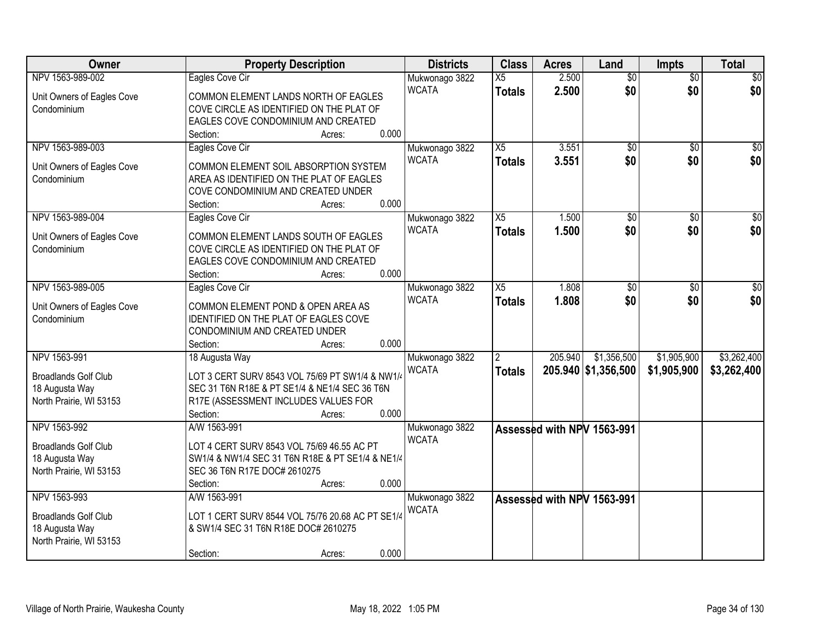| Owner                                     | <b>Property Description</b>                                                 | <b>Districts</b>               | <b>Class</b>    | <b>Acres</b> | Land                       | <b>Impts</b>    | <b>Total</b>    |
|-------------------------------------------|-----------------------------------------------------------------------------|--------------------------------|-----------------|--------------|----------------------------|-----------------|-----------------|
| NPV 1563-989-002                          | Eagles Cove Cir                                                             | Mukwonago 3822                 | X5              | 2.500        | $\overline{50}$            | $\overline{50}$ | \$0             |
| Unit Owners of Eagles Cove                | COMMON ELEMENT LANDS NORTH OF EAGLES                                        | <b>WCATA</b>                   | <b>Totals</b>   | 2.500        | \$0                        | \$0             | \$0             |
| Condominium                               | COVE CIRCLE AS IDENTIFIED ON THE PLAT OF                                    |                                |                 |              |                            |                 |                 |
|                                           | EAGLES COVE CONDOMINIUM AND CREATED                                         |                                |                 |              |                            |                 |                 |
|                                           | 0.000<br>Section:<br>Acres:                                                 |                                |                 |              |                            |                 |                 |
| NPV 1563-989-003                          | Eagles Cove Cir                                                             | Mukwonago 3822                 | X5              | 3.551        | \$0                        | $\overline{50}$ | \$0             |
| Unit Owners of Eagles Cove                | COMMON ELEMENT SOIL ABSORPTION SYSTEM                                       | <b>WCATA</b>                   | <b>Totals</b>   | 3.551        | \$0                        | \$0             | \$0             |
| Condominium                               | AREA AS IDENTIFIED ON THE PLAT OF EAGLES                                    |                                |                 |              |                            |                 |                 |
|                                           | COVE CONDOMINIUM AND CREATED UNDER                                          |                                |                 |              |                            |                 |                 |
|                                           | 0.000<br>Section:<br>Acres:                                                 |                                |                 |              |                            |                 |                 |
| NPV 1563-989-004                          | Eagles Cove Cir                                                             | Mukwonago 3822                 | $\overline{X5}$ | 1.500        | $\overline{50}$            | \$0             | $\overline{50}$ |
| Unit Owners of Eagles Cove                | COMMON ELEMENT LANDS SOUTH OF EAGLES                                        | <b>WCATA</b>                   | <b>Totals</b>   | 1.500        | \$0                        | \$0             | \$0             |
| Condominium                               | COVE CIRCLE AS IDENTIFIED ON THE PLAT OF                                    |                                |                 |              |                            |                 |                 |
|                                           | EAGLES COVE CONDOMINIUM AND CREATED                                         |                                |                 |              |                            |                 |                 |
|                                           | 0.000<br>Section:<br>Acres:                                                 |                                |                 |              |                            |                 |                 |
| NPV 1563-989-005                          | Eagles Cove Cir                                                             | Mukwonago 3822                 | $\overline{X5}$ | 1.808        | \$0                        | \$0             | $\sqrt{50}$     |
|                                           |                                                                             | <b>WCATA</b>                   | <b>Totals</b>   | 1.808        | \$0                        | \$0             | \$0             |
| Unit Owners of Eagles Cove<br>Condominium | COMMON ELEMENT POND & OPEN AREA AS<br>IDENTIFIED ON THE PLAT OF EAGLES COVE |                                |                 |              |                            |                 |                 |
|                                           | CONDOMINIUM AND CREATED UNDER                                               |                                |                 |              |                            |                 |                 |
|                                           | 0.000<br>Section:<br>Acres:                                                 |                                |                 |              |                            |                 |                 |
| NPV 1563-991                              | 18 Augusta Way                                                              | Mukwonago 3822                 |                 | 205.940      | \$1,356,500                | \$1,905,900     | \$3,262,400     |
|                                           |                                                                             | <b>WCATA</b>                   | <b>Totals</b>   |              | 205.940 \$1,356,500        | \$1,905,900     | \$3,262,400     |
| <b>Broadlands Golf Club</b>               | LOT 3 CERT SURV 8543 VOL 75/69 PT SW1/4 & NW1/4                             |                                |                 |              |                            |                 |                 |
| 18 Augusta Way                            | SEC 31 T6N R18E & PT SE1/4 & NE1/4 SEC 36 T6N                               |                                |                 |              |                            |                 |                 |
| North Prairie, WI 53153                   | R17E (ASSESSMENT INCLUDES VALUES FOR<br>0.000<br>Section:<br>Acres:         |                                |                 |              |                            |                 |                 |
| NPV 1563-992                              | A/W 1563-991                                                                | Mukwonago 3822                 |                 |              | Assessed with NPV 1563-991 |                 |                 |
|                                           |                                                                             | <b>WCATA</b>                   |                 |              |                            |                 |                 |
| <b>Broadlands Golf Club</b>               | LOT 4 CERT SURV 8543 VOL 75/69 46.55 AC PT                                  |                                |                 |              |                            |                 |                 |
| 18 Augusta Way                            | SW1/4 & NW1/4 SEC 31 T6N R18E & PT SE1/4 & NE1/4                            |                                |                 |              |                            |                 |                 |
| North Prairie, WI 53153                   | SEC 36 T6N R17E DOC# 2610275<br>0.000<br>Section:                           |                                |                 |              |                            |                 |                 |
| NPV 1563-993                              | Acres:<br>A/W 1563-991                                                      |                                |                 |              |                            |                 |                 |
|                                           |                                                                             | Mukwonago 3822<br><b>WCATA</b> |                 |              | Assessed with NPV 1563-991 |                 |                 |
| <b>Broadlands Golf Club</b>               | LOT 1 CERT SURV 8544 VOL 75/76 20.68 AC PT SE1/4                            |                                |                 |              |                            |                 |                 |
| 18 Augusta Way                            | & SW1/4 SEC 31 T6N R18E DOC# 2610275                                        |                                |                 |              |                            |                 |                 |
| North Prairie, WI 53153                   |                                                                             |                                |                 |              |                            |                 |                 |
|                                           | 0.000<br>Section:<br>Acres:                                                 |                                |                 |              |                            |                 |                 |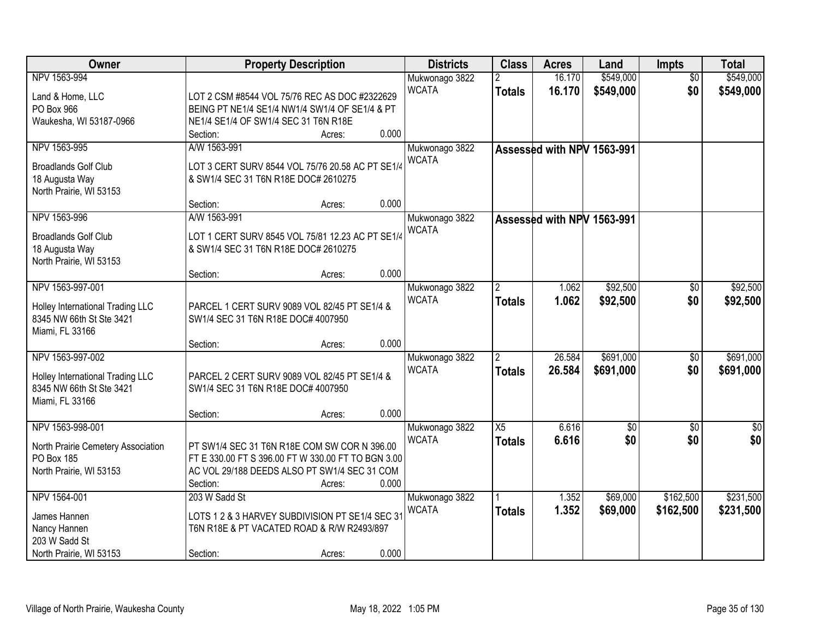| Owner                                                        | <b>Property Description</b>                                                                        |       | <b>Districts</b> | <b>Class</b>  | <b>Acres</b> | Land                       | <b>Impts</b>    | <b>Total</b> |
|--------------------------------------------------------------|----------------------------------------------------------------------------------------------------|-------|------------------|---------------|--------------|----------------------------|-----------------|--------------|
| NPV 1563-994                                                 |                                                                                                    |       | Mukwonago 3822   |               | 16.170       | \$549,000                  | $\overline{30}$ | \$549,000    |
| Land & Home, LLC                                             | LOT 2 CSM #8544 VOL 75/76 REC AS DOC #2322629                                                      |       | <b>WCATA</b>     | <b>Totals</b> | 16.170       | \$549,000                  | \$0             | \$549,000    |
| PO Box 966                                                   | BEING PT NE1/4 SE1/4 NW1/4 SW1/4 OF SE1/4 & PT                                                     |       |                  |               |              |                            |                 |              |
| Waukesha, WI 53187-0966                                      | NE1/4 SE1/4 OF SW1/4 SEC 31 T6N R18E                                                               |       |                  |               |              |                            |                 |              |
|                                                              | Section:<br>Acres:                                                                                 | 0.000 |                  |               |              |                            |                 |              |
| NPV 1563-995                                                 | A/W 1563-991                                                                                       |       | Mukwonago 3822   |               |              | Assessed with NPV 1563-991 |                 |              |
| <b>Broadlands Golf Club</b>                                  | LOT 3 CERT SURV 8544 VOL 75/76 20.58 AC PT SE1/4                                                   |       | <b>WCATA</b>     |               |              |                            |                 |              |
| 18 Augusta Way                                               | & SW1/4 SEC 31 T6N R18E DOC# 2610275                                                               |       |                  |               |              |                            |                 |              |
| North Prairie, WI 53153                                      |                                                                                                    |       |                  |               |              |                            |                 |              |
|                                                              | Section:<br>Acres:                                                                                 | 0.000 |                  |               |              |                            |                 |              |
| NPV 1563-996                                                 | A/W 1563-991                                                                                       |       | Mukwonago 3822   |               |              | Assessed with NPV 1563-991 |                 |              |
| <b>Broadlands Golf Club</b>                                  | LOT 1 CERT SURV 8545 VOL 75/81 12.23 AC PT SE1/4                                                   |       | <b>WCATA</b>     |               |              |                            |                 |              |
| 18 Augusta Way                                               | & SW1/4 SEC 31 T6N R18E DOC# 2610275                                                               |       |                  |               |              |                            |                 |              |
| North Prairie, WI 53153                                      |                                                                                                    |       |                  |               |              |                            |                 |              |
|                                                              | Section:<br>Acres:                                                                                 | 0.000 |                  |               |              |                            |                 |              |
| NPV 1563-997-001                                             |                                                                                                    |       | Mukwonago 3822   | 2             | 1.062        | \$92,500                   | \$0             | \$92,500     |
|                                                              | PARCEL 1 CERT SURV 9089 VOL 82/45 PT SE1/4 &                                                       |       | <b>WCATA</b>     | <b>Totals</b> | 1.062        | \$92,500                   | \$0             | \$92,500     |
| Holley International Trading LLC<br>8345 NW 66th St Ste 3421 | SW1/4 SEC 31 T6N R18E DOC# 4007950                                                                 |       |                  |               |              |                            |                 |              |
| Miami, FL 33166                                              |                                                                                                    |       |                  |               |              |                            |                 |              |
|                                                              | Section:<br>Acres:                                                                                 | 0.000 |                  |               |              |                            |                 |              |
| NPV 1563-997-002                                             |                                                                                                    |       | Mukwonago 3822   |               | 26.584       | \$691,000                  | $\overline{50}$ | \$691,000    |
|                                                              |                                                                                                    |       | <b>WCATA</b>     | <b>Totals</b> | 26.584       | \$691,000                  | \$0             | \$691,000    |
| Holley International Trading LLC<br>8345 NW 66th St Ste 3421 | PARCEL 2 CERT SURV 9089 VOL 82/45 PT SE1/4 &<br>SW1/4 SEC 31 T6N R18E DOC# 4007950                 |       |                  |               |              |                            |                 |              |
| Miami, FL 33166                                              |                                                                                                    |       |                  |               |              |                            |                 |              |
|                                                              | Section:<br>Acres:                                                                                 | 0.000 |                  |               |              |                            |                 |              |
| NPV 1563-998-001                                             |                                                                                                    |       | Mukwonago 3822   | X5            | 6.616        | $\sqrt{$0}$                | $\overline{50}$ | $\sqrt{50}$  |
|                                                              |                                                                                                    |       | <b>WCATA</b>     | <b>Totals</b> | 6.616        | \$0                        | \$0             | \$0          |
| North Prairie Cemetery Association                           | PT SW1/4 SEC 31 T6N R18E COM SW COR N 396.00                                                       |       |                  |               |              |                            |                 |              |
| PO Box 185<br>North Prairie, WI 53153                        | FT E 330.00 FT S 396.00 FT W 330.00 FT TO BGN 3.00<br>AC VOL 29/188 DEEDS ALSO PT SW1/4 SEC 31 COM |       |                  |               |              |                            |                 |              |
|                                                              | Section:<br>Acres:                                                                                 | 0.000 |                  |               |              |                            |                 |              |
| NPV 1564-001                                                 | 203 W Sadd St                                                                                      |       | Mukwonago 3822   |               | 1.352        | \$69,000                   | \$162,500       | \$231,500    |
|                                                              |                                                                                                    |       | <b>WCATA</b>     | <b>Totals</b> | 1.352        | \$69,000                   | \$162,500       | \$231,500    |
| James Hannen                                                 | LOTS 1 2 & 3 HARVEY SUBDIVISION PT SE1/4 SEC 31                                                    |       |                  |               |              |                            |                 |              |
| Nancy Hannen                                                 | T6N R18E & PT VACATED ROAD & R/W R2493/897                                                         |       |                  |               |              |                            |                 |              |
| 203 W Sadd St<br>North Prairie, WI 53153                     | Section:                                                                                           | 0.000 |                  |               |              |                            |                 |              |
|                                                              | Acres:                                                                                             |       |                  |               |              |                            |                 |              |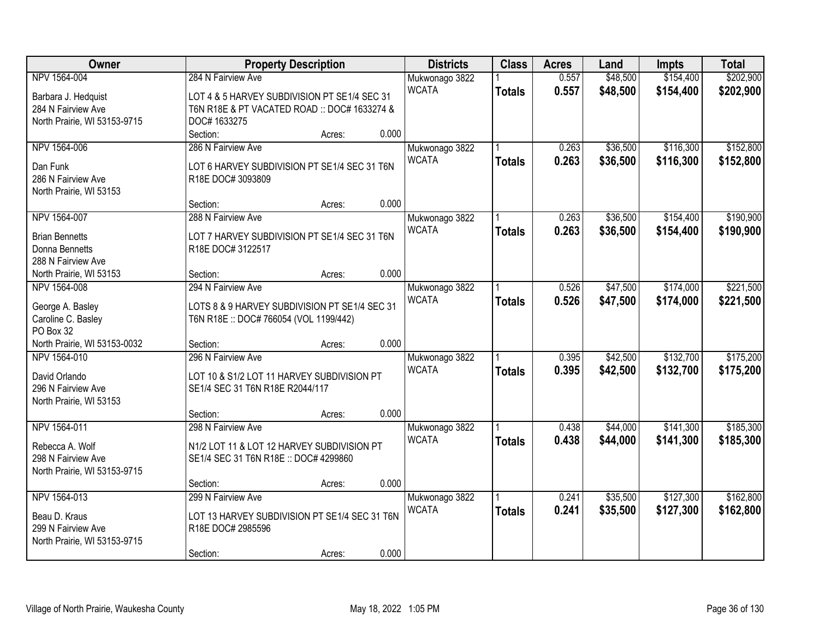| Owner                                         | <b>Property Description</b>                                                   |        |       | <b>Districts</b> | <b>Class</b>  | <b>Acres</b> | Land     | <b>Impts</b> | <b>Total</b> |
|-----------------------------------------------|-------------------------------------------------------------------------------|--------|-------|------------------|---------------|--------------|----------|--------------|--------------|
| NPV 1564-004                                  | 284 N Fairview Ave                                                            |        |       | Mukwonago 3822   |               | 0.557        | \$48,500 | \$154,400    | \$202,900    |
| Barbara J. Hedquist                           | LOT 4 & 5 HARVEY SUBDIVISION PT SE1/4 SEC 31                                  |        |       | <b>WCATA</b>     | <b>Totals</b> | 0.557        | \$48,500 | \$154,400    | \$202,900    |
| 284 N Fairview Ave                            | T6N R18E & PT VACATED ROAD :: DOC# 1633274 &                                  |        |       |                  |               |              |          |              |              |
| North Prairie, WI 53153-9715                  | DOC# 1633275                                                                  |        |       |                  |               |              |          |              |              |
|                                               | Section:                                                                      | Acres: | 0.000 |                  |               |              |          |              |              |
| NPV 1564-006                                  | 286 N Fairview Ave                                                            |        |       | Mukwonago 3822   |               | 0.263        | \$36,500 | \$116,300    | \$152,800    |
|                                               |                                                                               |        |       | <b>WCATA</b>     | <b>Totals</b> | 0.263        | \$36,500 | \$116,300    | \$152,800    |
| Dan Funk                                      | LOT 6 HARVEY SUBDIVISION PT SE1/4 SEC 31 T6N                                  |        |       |                  |               |              |          |              |              |
| 286 N Fairview Ave<br>North Prairie, WI 53153 | R18E DOC# 3093809                                                             |        |       |                  |               |              |          |              |              |
|                                               | Section:                                                                      | Acres: | 0.000 |                  |               |              |          |              |              |
| NPV 1564-007                                  | 288 N Fairview Ave                                                            |        |       | Mukwonago 3822   |               | 0.263        | \$36,500 | \$154,400    | \$190,900    |
|                                               |                                                                               |        |       | <b>WCATA</b>     | <b>Totals</b> | 0.263        | \$36,500 | \$154,400    | \$190,900    |
| <b>Brian Bennetts</b>                         | LOT 7 HARVEY SUBDIVISION PT SE1/4 SEC 31 T6N                                  |        |       |                  |               |              |          |              |              |
| Donna Bennetts                                | R18E DOC# 3122517                                                             |        |       |                  |               |              |          |              |              |
| 288 N Fairview Ave                            |                                                                               |        |       |                  |               |              |          |              |              |
| North Prairie, WI 53153                       | Section:                                                                      | Acres: | 0.000 |                  |               |              |          |              |              |
| NPV 1564-008                                  | 294 N Fairview Ave                                                            |        |       | Mukwonago 3822   |               | 0.526        | \$47,500 | \$174,000    | \$221,500    |
| George A. Basley                              | LOTS 8 & 9 HARVEY SUBDIVISION PT SE1/4 SEC 31                                 |        |       | <b>WCATA</b>     | <b>Totals</b> | 0.526        | \$47,500 | \$174,000    | \$221,500    |
| Caroline C. Basley                            | T6N R18E :: DOC# 766054 (VOL 1199/442)                                        |        |       |                  |               |              |          |              |              |
| PO Box 32                                     |                                                                               |        |       |                  |               |              |          |              |              |
| North Prairie, WI 53153-0032                  | Section:                                                                      | Acres: | 0.000 |                  |               |              |          |              |              |
| NPV 1564-010                                  | 296 N Fairview Ave                                                            |        |       | Mukwonago 3822   |               | 0.395        | \$42,500 | \$132,700    | \$175,200    |
|                                               |                                                                               |        |       | <b>WCATA</b>     | <b>Totals</b> | 0.395        | \$42,500 | \$132,700    | \$175,200    |
| David Orlando<br>296 N Fairview Ave           | LOT 10 & S1/2 LOT 11 HARVEY SUBDIVISION PT<br>SE1/4 SEC 31 T6N R18E R2044/117 |        |       |                  |               |              |          |              |              |
| North Prairie, WI 53153                       |                                                                               |        |       |                  |               |              |          |              |              |
|                                               | Section:                                                                      | Acres: | 0.000 |                  |               |              |          |              |              |
| NPV 1564-011                                  | 298 N Fairview Ave                                                            |        |       | Mukwonago 3822   |               | 0.438        | \$44,000 | \$141,300    | \$185,300    |
|                                               |                                                                               |        |       | <b>WCATA</b>     | <b>Totals</b> | 0.438        | \$44,000 | \$141,300    | \$185,300    |
| Rebecca A. Wolf                               | N1/2 LOT 11 & LOT 12 HARVEY SUBDIVISION PT                                    |        |       |                  |               |              |          |              |              |
| 298 N Fairview Ave                            | SE1/4 SEC 31 T6N R18E :: DOC# 4299860                                         |        |       |                  |               |              |          |              |              |
| North Prairie, WI 53153-9715                  |                                                                               |        |       |                  |               |              |          |              |              |
|                                               | Section:                                                                      | Acres: | 0.000 |                  |               |              |          |              |              |
| NPV 1564-013                                  | 299 N Fairview Ave                                                            |        |       | Mukwonago 3822   |               | 0.241        | \$35,500 | \$127,300    | \$162,800    |
| Beau D. Kraus                                 | LOT 13 HARVEY SUBDIVISION PT SE1/4 SEC 31 T6N                                 |        |       | <b>WCATA</b>     | <b>Totals</b> | 0.241        | \$35,500 | \$127,300    | \$162,800    |
| 299 N Fairview Ave                            | R18E DOC# 2985596                                                             |        |       |                  |               |              |          |              |              |
| North Prairie, WI 53153-9715                  |                                                                               |        |       |                  |               |              |          |              |              |
|                                               | Section:                                                                      | Acres: | 0.000 |                  |               |              |          |              |              |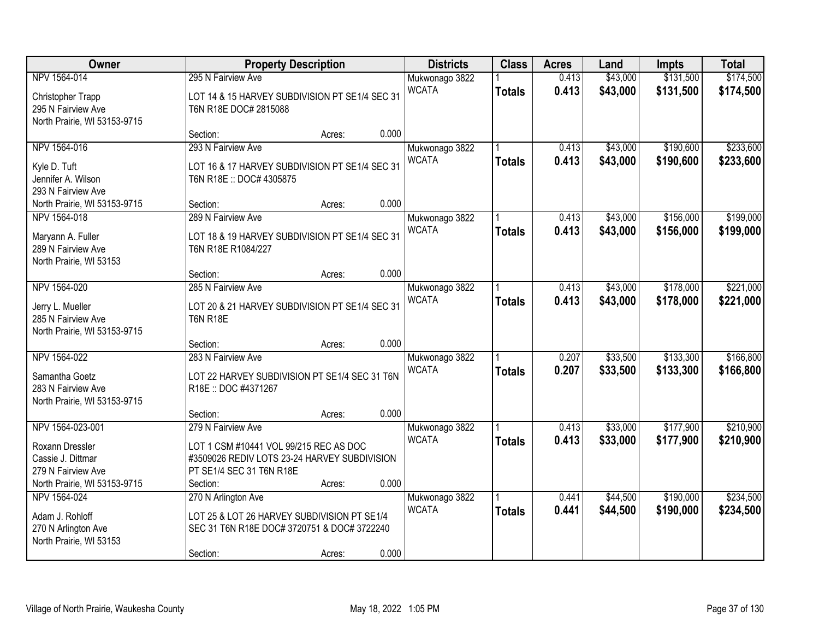| Owner                                                                                | <b>Property Description</b>                                                                                                              |        |       | <b>Districts</b>               | <b>Class</b>  | <b>Acres</b>   | Land                 | <b>Impts</b>           | <b>Total</b>           |
|--------------------------------------------------------------------------------------|------------------------------------------------------------------------------------------------------------------------------------------|--------|-------|--------------------------------|---------------|----------------|----------------------|------------------------|------------------------|
| NPV 1564-014                                                                         | 295 N Fairview Ave                                                                                                                       |        |       | Mukwonago 3822                 |               | 0.413          | \$43,000             | \$131,500              | \$174,500              |
| Christopher Trapp<br>295 N Fairview Ave<br>North Prairie, WI 53153-9715              | LOT 14 & 15 HARVEY SUBDIVISION PT SE1/4 SEC 31<br>T6N R18E DOC# 2815088                                                                  |        |       | <b>WCATA</b>                   | <b>Totals</b> | 0.413          | \$43,000             | \$131,500              | \$174,500              |
|                                                                                      | Section:                                                                                                                                 | Acres: | 0.000 |                                |               |                |                      |                        |                        |
| NPV 1564-016<br>Kyle D. Tuft<br>Jennifer A. Wilson                                   | 293 N Fairview Ave<br>LOT 16 & 17 HARVEY SUBDIVISION PT SE1/4 SEC 31<br>T6N R18E :: DOC# 4305875                                         |        |       | Mukwonago 3822<br><b>WCATA</b> | <b>Totals</b> | 0.413<br>0.413 | \$43,000<br>\$43,000 | \$190,600<br>\$190,600 | \$233,600<br>\$233,600 |
| 293 N Fairview Ave<br>North Prairie, WI 53153-9715                                   | Section:                                                                                                                                 | Acres: | 0.000 |                                |               |                |                      |                        |                        |
| NPV 1564-018                                                                         | 289 N Fairview Ave                                                                                                                       |        |       | Mukwonago 3822                 |               | 0.413          | \$43,000             | \$156,000              | \$199,000              |
| Maryann A. Fuller<br>289 N Fairview Ave<br>North Prairie, WI 53153                   | LOT 18 & 19 HARVEY SUBDIVISION PT SE1/4 SEC 31<br>T6N R18E R1084/227                                                                     |        |       | <b>WCATA</b>                   | <b>Totals</b> | 0.413          | \$43,000             | \$156,000              | \$199,000              |
|                                                                                      | Section:                                                                                                                                 | Acres: | 0.000 |                                |               |                |                      |                        |                        |
| NPV 1564-020<br>Jerry L. Mueller                                                     | 285 N Fairview Ave<br>LOT 20 & 21 HARVEY SUBDIVISION PT SE1/4 SEC 31                                                                     |        |       | Mukwonago 3822<br><b>WCATA</b> | <b>Totals</b> | 0.413<br>0.413 | \$43,000<br>\$43,000 | \$178,000<br>\$178,000 | \$221,000<br>\$221,000 |
| 285 N Fairview Ave<br>North Prairie, WI 53153-9715                                   | <b>T6N R18E</b>                                                                                                                          |        |       |                                |               |                |                      |                        |                        |
|                                                                                      | Section:                                                                                                                                 | Acres: | 0.000 |                                |               |                |                      |                        |                        |
| NPV 1564-022<br>Samantha Goetz<br>283 N Fairview Ave<br>North Prairie, WI 53153-9715 | 283 N Fairview Ave<br>LOT 22 HARVEY SUBDIVISION PT SE1/4 SEC 31 T6N<br>R18E:: DOC #4371267                                               |        |       | Mukwonago 3822<br><b>WCATA</b> | <b>Totals</b> | 0.207<br>0.207 | \$33,500<br>\$33,500 | \$133,300<br>\$133,300 | \$166,800<br>\$166,800 |
|                                                                                      | Section:                                                                                                                                 | Acres: | 0.000 |                                |               |                |                      |                        |                        |
| NPV 1564-023-001<br>Roxann Dressler<br>Cassie J. Dittmar<br>279 N Fairview Ave       | 279 N Fairview Ave<br>LOT 1 CSM #10441 VOL 99/215 REC AS DOC<br>#3509026 REDIV LOTS 23-24 HARVEY SUBDIVISION<br>PT SE1/4 SEC 31 T6N R18E |        |       | Mukwonago 3822<br><b>WCATA</b> | <b>Totals</b> | 0.413<br>0.413 | \$33,000<br>\$33,000 | \$177,900<br>\$177,900 | \$210,900<br>\$210,900 |
| North Prairie, WI 53153-9715                                                         | Section:                                                                                                                                 | Acres: | 0.000 |                                |               |                |                      |                        |                        |
| NPV 1564-024<br>Adam J. Rohloff<br>270 N Arlington Ave<br>North Prairie, WI 53153    | 270 N Arlington Ave<br>LOT 25 & LOT 26 HARVEY SUBDIVISION PT SE1/4<br>SEC 31 T6N R18E DOC# 3720751 & DOC# 3722240<br>Section:            | Acres: | 0.000 | Mukwonago 3822<br><b>WCATA</b> | <b>Totals</b> | 0.441<br>0.441 | \$44,500<br>\$44,500 | \$190,000<br>\$190,000 | \$234,500<br>\$234,500 |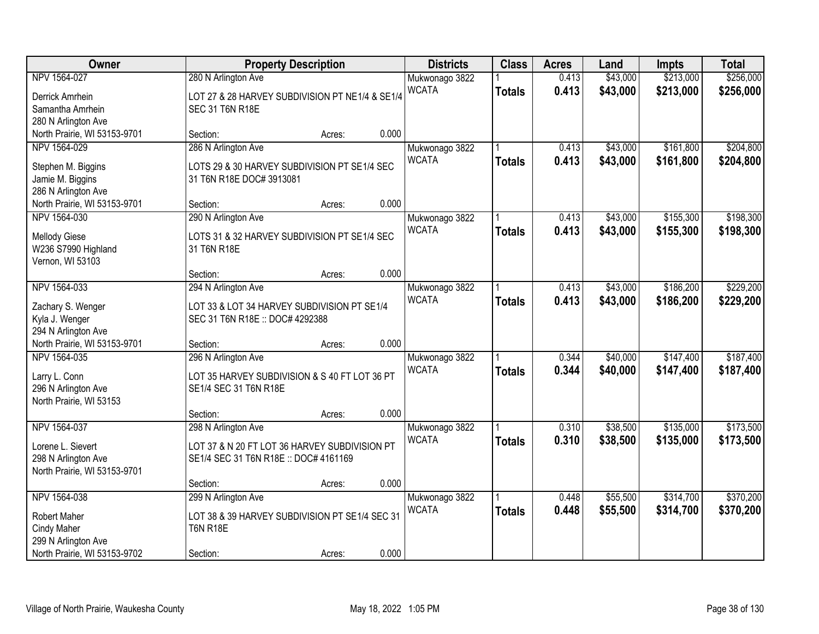| Owner                        |                                                 | <b>Property Description</b> |       | <b>Districts</b> | <b>Class</b>  | <b>Acres</b> | Land     | Impts     | <b>Total</b> |
|------------------------------|-------------------------------------------------|-----------------------------|-------|------------------|---------------|--------------|----------|-----------|--------------|
| NPV 1564-027                 | 280 N Arlington Ave                             |                             |       | Mukwonago 3822   |               | 0.413        | \$43,000 | \$213,000 | \$256,000    |
| Derrick Amrhein              | LOT 27 & 28 HARVEY SUBDIVISION PT NE1/4 & SE1/4 |                             |       | <b>WCATA</b>     | <b>Totals</b> | 0.413        | \$43,000 | \$213,000 | \$256,000    |
| Samantha Amrhein             | SEC 31 T6N R18E                                 |                             |       |                  |               |              |          |           |              |
| 280 N Arlington Ave          |                                                 |                             |       |                  |               |              |          |           |              |
| North Prairie, WI 53153-9701 | Section:                                        | Acres:                      | 0.000 |                  |               |              |          |           |              |
| NPV 1564-029                 | 286 N Arlington Ave                             |                             |       | Mukwonago 3822   |               | 0.413        | \$43,000 | \$161,800 | \$204,800    |
|                              |                                                 |                             |       | <b>WCATA</b>     | <b>Totals</b> | 0.413        | \$43,000 | \$161,800 | \$204,800    |
| Stephen M. Biggins           | LOTS 29 & 30 HARVEY SUBDIVISION PT SE1/4 SEC    |                             |       |                  |               |              |          |           |              |
| Jamie M. Biggins             | 31 T6N R18E DOC# 3913081                        |                             |       |                  |               |              |          |           |              |
| 286 N Arlington Ave          |                                                 |                             | 0.000 |                  |               |              |          |           |              |
| North Prairie, WI 53153-9701 | Section:                                        | Acres:                      |       |                  |               |              |          |           |              |
| NPV 1564-030                 | 290 N Arlington Ave                             |                             |       | Mukwonago 3822   |               | 0.413        | \$43,000 | \$155,300 | \$198,300    |
| <b>Mellody Giese</b>         | LOTS 31 & 32 HARVEY SUBDIVISION PT SE1/4 SEC    |                             |       | <b>WCATA</b>     | <b>Totals</b> | 0.413        | \$43,000 | \$155,300 | \$198,300    |
| W236 S7990 Highland          | 31 T6N R18E                                     |                             |       |                  |               |              |          |           |              |
| Vernon, WI 53103             |                                                 |                             |       |                  |               |              |          |           |              |
|                              | Section:                                        | Acres:                      | 0.000 |                  |               |              |          |           |              |
| NPV 1564-033                 | 294 N Arlington Ave                             |                             |       | Mukwonago 3822   |               | 0.413        | \$43,000 | \$186,200 | \$229,200    |
|                              |                                                 |                             |       | <b>WCATA</b>     | <b>Totals</b> | 0.413        | \$43,000 | \$186,200 | \$229,200    |
| Zachary S. Wenger            | LOT 33 & LOT 34 HARVEY SUBDIVISION PT SE1/4     |                             |       |                  |               |              |          |           |              |
| Kyla J. Wenger               | SEC 31 T6N R18E :: DOC# 4292388                 |                             |       |                  |               |              |          |           |              |
| 294 N Arlington Ave          |                                                 |                             |       |                  |               |              |          |           |              |
| North Prairie, WI 53153-9701 | Section:                                        | Acres:                      | 0.000 |                  |               |              |          |           |              |
| NPV 1564-035                 | 296 N Arlington Ave                             |                             |       | Mukwonago 3822   |               | 0.344        | \$40,000 | \$147,400 | \$187,400    |
| Larry L. Conn                | LOT 35 HARVEY SUBDIVISION & S 40 FT LOT 36 PT   |                             |       | <b>WCATA</b>     | <b>Totals</b> | 0.344        | \$40,000 | \$147,400 | \$187,400    |
| 296 N Arlington Ave          | SE1/4 SEC 31 T6N R18E                           |                             |       |                  |               |              |          |           |              |
| North Prairie, WI 53153      |                                                 |                             |       |                  |               |              |          |           |              |
|                              | Section:                                        | Acres:                      | 0.000 |                  |               |              |          |           |              |
| NPV 1564-037                 | 298 N Arlington Ave                             |                             |       | Mukwonago 3822   |               | 0.310        | \$38,500 | \$135,000 | \$173,500    |
|                              |                                                 |                             |       | <b>WCATA</b>     | <b>Totals</b> | 0.310        | \$38,500 | \$135,000 | \$173,500    |
| Lorene L. Sievert            | LOT 37 & N 20 FT LOT 36 HARVEY SUBDIVISION PT   |                             |       |                  |               |              |          |           |              |
| 298 N Arlington Ave          | SE1/4 SEC 31 T6N R18E :: DOC# 4161169           |                             |       |                  |               |              |          |           |              |
| North Prairie, WI 53153-9701 |                                                 |                             | 0.000 |                  |               |              |          |           |              |
|                              | Section:                                        | Acres:                      |       |                  |               |              |          |           |              |
| NPV 1564-038                 | 299 N Arlington Ave                             |                             |       | Mukwonago 3822   |               | 0.448        | \$55,500 | \$314,700 | \$370,200    |
| <b>Robert Maher</b>          | LOT 38 & 39 HARVEY SUBDIVISION PT SE1/4 SEC 31  |                             |       | <b>WCATA</b>     | <b>Totals</b> | 0.448        | \$55,500 | \$314,700 | \$370,200    |
| <b>Cindy Maher</b>           | <b>T6N R18E</b>                                 |                             |       |                  |               |              |          |           |              |
| 299 N Arlington Ave          |                                                 |                             |       |                  |               |              |          |           |              |
| North Prairie, WI 53153-9702 | Section:                                        | Acres:                      | 0.000 |                  |               |              |          |           |              |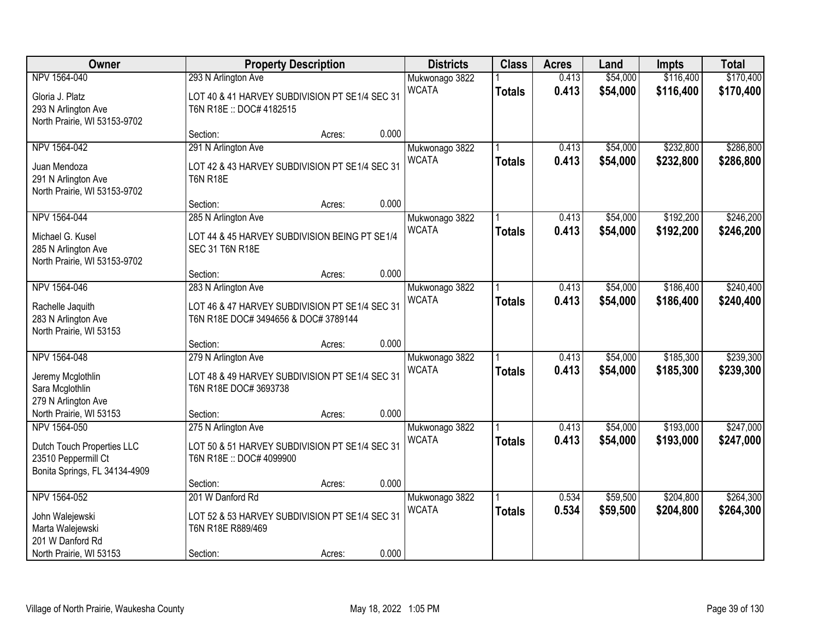| Owner                                                                                              |                                                                                                   | <b>Property Description</b> |       | <b>Districts</b>               | <b>Class</b>  | <b>Acres</b>   | Land                 | <b>Impts</b>           | <b>Total</b>           |
|----------------------------------------------------------------------------------------------------|---------------------------------------------------------------------------------------------------|-----------------------------|-------|--------------------------------|---------------|----------------|----------------------|------------------------|------------------------|
| NPV 1564-040                                                                                       | 293 N Arlington Ave                                                                               |                             |       | Mukwonago 3822                 |               | 0.413          | \$54,000             | \$116,400              | \$170,400              |
| Gloria J. Platz<br>293 N Arlington Ave<br>North Prairie, WI 53153-9702                             | LOT 40 & 41 HARVEY SUBDIVISION PT SE1/4 SEC 31<br>T6N R18E: DOC# 4182515                          |                             |       | <b>WCATA</b>                   | <b>Totals</b> | 0.413          | \$54,000             | \$116,400              | \$170,400              |
|                                                                                                    | Section:                                                                                          | Acres:                      | 0.000 |                                |               |                |                      |                        |                        |
| NPV 1564-042<br>Juan Mendoza<br>291 N Arlington Ave<br>North Prairie, WI 53153-9702                | 291 N Arlington Ave<br>LOT 42 & 43 HARVEY SUBDIVISION PT SE1/4 SEC 31<br><b>T6N R18E</b>          |                             |       | Mukwonago 3822<br><b>WCATA</b> | <b>Totals</b> | 0.413<br>0.413 | \$54,000<br>\$54,000 | \$232,800<br>\$232,800 | \$286,800<br>\$286,800 |
|                                                                                                    | Section:                                                                                          | Acres:                      | 0.000 |                                |               |                |                      |                        |                        |
| NPV 1564-044<br>Michael G. Kusel<br>285 N Arlington Ave<br>North Prairie, WI 53153-9702            | 285 N Arlington Ave<br>LOT 44 & 45 HARVEY SUBDIVISION BEING PT SE1/4<br><b>SEC 31 T6N R18E</b>    |                             |       | Mukwonago 3822<br><b>WCATA</b> | <b>Totals</b> | 0.413<br>0.413 | \$54,000<br>\$54,000 | \$192,200<br>\$192,200 | \$246,200<br>\$246,200 |
|                                                                                                    | Section:                                                                                          | Acres:                      | 0.000 |                                |               |                |                      |                        |                        |
| NPV 1564-046                                                                                       | 283 N Arlington Ave<br>LOT 46 & 47 HARVEY SUBDIVISION PT SE1/4 SEC 31                             |                             |       | Mukwonago 3822<br><b>WCATA</b> | <b>Totals</b> | 0.413<br>0.413 | \$54,000<br>\$54,000 | \$186,400<br>\$186,400 | \$240,400<br>\$240,400 |
| Rachelle Jaquith<br>283 N Arlington Ave<br>North Prairie, WI 53153                                 | T6N R18E DOC# 3494656 & DOC# 3789144                                                              |                             |       |                                |               |                |                      |                        |                        |
|                                                                                                    | Section:                                                                                          | Acres:                      | 0.000 |                                |               |                |                      |                        |                        |
| NPV 1564-048<br>Jeremy Mcglothlin<br>Sara Mcglothlin<br>279 N Arlington Ave                        | 279 N Arlington Ave<br>LOT 48 & 49 HARVEY SUBDIVISION PT SE1/4 SEC 31<br>T6N R18E DOC# 3693738    |                             |       | Mukwonago 3822<br><b>WCATA</b> | <b>Totals</b> | 0.413<br>0.413 | \$54,000<br>\$54,000 | \$185,300<br>\$185,300 | \$239,300<br>\$239,300 |
| North Prairie, WI 53153                                                                            | Section:                                                                                          | Acres:                      | 0.000 |                                |               |                |                      |                        |                        |
| NPV 1564-050<br>Dutch Touch Properties LLC<br>23510 Peppermill Ct<br>Bonita Springs, FL 34134-4909 | 275 N Arlington Ave<br>LOT 50 & 51 HARVEY SUBDIVISION PT SE1/4 SEC 31<br>T6N R18E :: DOC# 4099900 |                             |       | Mukwonago 3822<br><b>WCATA</b> | <b>Totals</b> | 0.413<br>0.413 | \$54,000<br>\$54,000 | \$193,000<br>\$193,000 | \$247,000<br>\$247,000 |
|                                                                                                    | Section:                                                                                          | Acres:                      | 0.000 |                                |               |                |                      |                        |                        |
| NPV 1564-052<br>John Walejewski<br>Marta Walejewski<br>201 W Danford Rd                            | 201 W Danford Rd<br>LOT 52 & 53 HARVEY SUBDIVISION PT SE1/4 SEC 31<br>T6N R18E R889/469           |                             |       | Mukwonago 3822<br><b>WCATA</b> | <b>Totals</b> | 0.534<br>0.534 | \$59,500<br>\$59,500 | \$204,800<br>\$204,800 | \$264,300<br>\$264,300 |
| North Prairie, WI 53153                                                                            | Section:                                                                                          | Acres:                      | 0.000 |                                |               |                |                      |                        |                        |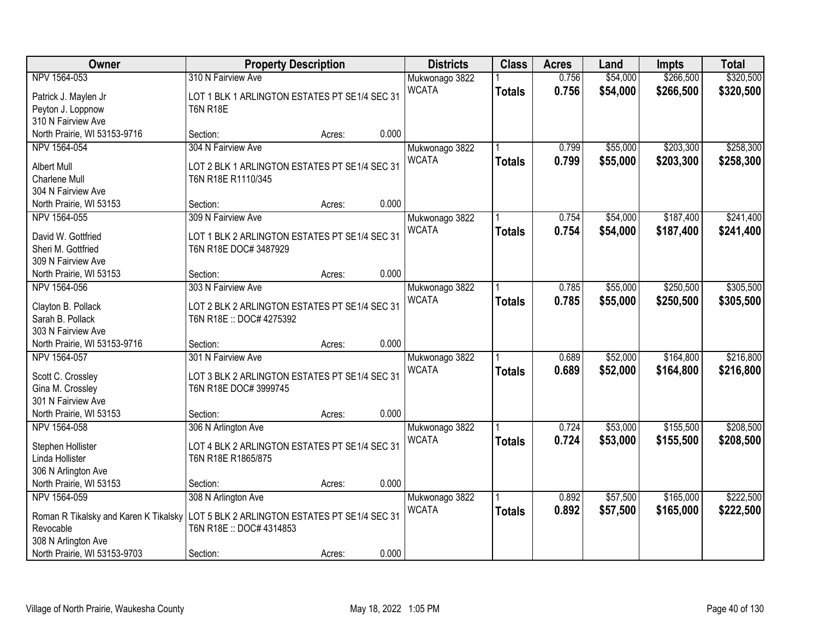| Owner                                 | <b>Property Description</b>                   |        |       | <b>Districts</b>               | <b>Class</b>  | <b>Acres</b> | Land     | <b>Impts</b> | <b>Total</b> |
|---------------------------------------|-----------------------------------------------|--------|-------|--------------------------------|---------------|--------------|----------|--------------|--------------|
| NPV 1564-053                          | 310 N Fairview Ave                            |        |       | Mukwonago 3822                 |               | 0.756        | \$54,000 | \$266,500    | \$320,500    |
| Patrick J. Maylen Jr                  | LOT 1 BLK 1 ARLINGTON ESTATES PT SE1/4 SEC 31 |        |       | <b>WCATA</b>                   | <b>Totals</b> | 0.756        | \$54,000 | \$266,500    | \$320,500    |
| Peyton J. Loppnow                     | <b>T6N R18E</b>                               |        |       |                                |               |              |          |              |              |
| 310 N Fairview Ave                    |                                               |        |       |                                |               |              |          |              |              |
| North Prairie, WI 53153-9716          | Section:                                      | Acres: | 0.000 |                                |               |              |          |              |              |
| NPV 1564-054                          | 304 N Fairview Ave                            |        |       | Mukwonago 3822                 |               | 0.799        | \$55,000 | \$203,300    | \$258,300    |
|                                       |                                               |        |       | <b>WCATA</b>                   | <b>Totals</b> | 0.799        | \$55,000 | \$203,300    | \$258,300    |
| <b>Albert Mull</b>                    | LOT 2 BLK 1 ARLINGTON ESTATES PT SE1/4 SEC 31 |        |       |                                |               |              |          |              |              |
| Charlene Mull<br>304 N Fairview Ave   | T6N R18E R1110/345                            |        |       |                                |               |              |          |              |              |
| North Prairie, WI 53153               | Section:                                      | Acres: | 0.000 |                                |               |              |          |              |              |
| NPV 1564-055                          | 309 N Fairview Ave                            |        |       |                                |               | 0.754        | \$54,000 | \$187,400    | \$241,400    |
|                                       |                                               |        |       | Mukwonago 3822<br><b>WCATA</b> |               |              |          |              |              |
| David W. Gottfried                    | LOT 1 BLK 2 ARLINGTON ESTATES PT SE1/4 SEC 31 |        |       |                                | <b>Totals</b> | 0.754        | \$54,000 | \$187,400    | \$241,400    |
| Sheri M. Gottfried                    | T6N R18E DOC# 3487929                         |        |       |                                |               |              |          |              |              |
| 309 N Fairview Ave                    |                                               |        |       |                                |               |              |          |              |              |
| North Prairie, WI 53153               | Section:                                      | Acres: | 0.000 |                                |               |              |          |              |              |
| NPV 1564-056                          | 303 N Fairview Ave                            |        |       | Mukwonago 3822                 |               | 0.785        | \$55,000 | \$250,500    | \$305,500    |
| Clayton B. Pollack                    | LOT 2 BLK 2 ARLINGTON ESTATES PT SE1/4 SEC 31 |        |       | <b>WCATA</b>                   | <b>Totals</b> | 0.785        | \$55,000 | \$250,500    | \$305,500    |
| Sarah B. Pollack                      | T6N R18E :: DOC# 4275392                      |        |       |                                |               |              |          |              |              |
| 303 N Fairview Ave                    |                                               |        |       |                                |               |              |          |              |              |
| North Prairie, WI 53153-9716          | Section:                                      | Acres: | 0.000 |                                |               |              |          |              |              |
| NPV 1564-057                          | 301 N Fairview Ave                            |        |       | Mukwonago 3822                 |               | 0.689        | \$52,000 | \$164,800    | \$216,800    |
|                                       |                                               |        |       | <b>WCATA</b>                   | <b>Totals</b> | 0.689        | \$52,000 | \$164,800    | \$216,800    |
| Scott C. Crossley                     | LOT 3 BLK 2 ARLINGTON ESTATES PT SE1/4 SEC 31 |        |       |                                |               |              |          |              |              |
| Gina M. Crossley                      | T6N R18E DOC# 3999745                         |        |       |                                |               |              |          |              |              |
| 301 N Fairview Ave                    |                                               |        |       |                                |               |              |          |              |              |
| North Prairie, WI 53153               | Section:                                      | Acres: | 0.000 |                                |               |              |          |              |              |
| NPV 1564-058                          | 306 N Arlington Ave                           |        |       | Mukwonago 3822                 |               | 0.724        | \$53,000 | \$155,500    | \$208,500    |
| Stephen Hollister                     | LOT 4 BLK 2 ARLINGTON ESTATES PT SE1/4 SEC 31 |        |       | <b>WCATA</b>                   | <b>Totals</b> | 0.724        | \$53,000 | \$155,500    | \$208,500    |
| Linda Hollister                       | T6N R18E R1865/875                            |        |       |                                |               |              |          |              |              |
| 306 N Arlington Ave                   |                                               |        |       |                                |               |              |          |              |              |
| North Prairie, WI 53153               | Section:                                      | Acres: | 0.000 |                                |               |              |          |              |              |
| NPV 1564-059                          | 308 N Arlington Ave                           |        |       | Mukwonago 3822                 |               | 0.892        | \$57,500 | \$165,000    | \$222,500    |
|                                       |                                               |        |       | <b>WCATA</b>                   | <b>Totals</b> | 0.892        | \$57,500 | \$165,000    | \$222,500    |
| Roman R Tikalsky and Karen K Tikalsky | LOT 5 BLK 2 ARLINGTON ESTATES PT SE1/4 SEC 31 |        |       |                                |               |              |          |              |              |
| Revocable                             | T6N R18E :: DOC# 4314853                      |        |       |                                |               |              |          |              |              |
| 308 N Arlington Ave                   |                                               |        | 0.000 |                                |               |              |          |              |              |
| North Prairie, WI 53153-9703          | Section:                                      | Acres: |       |                                |               |              |          |              |              |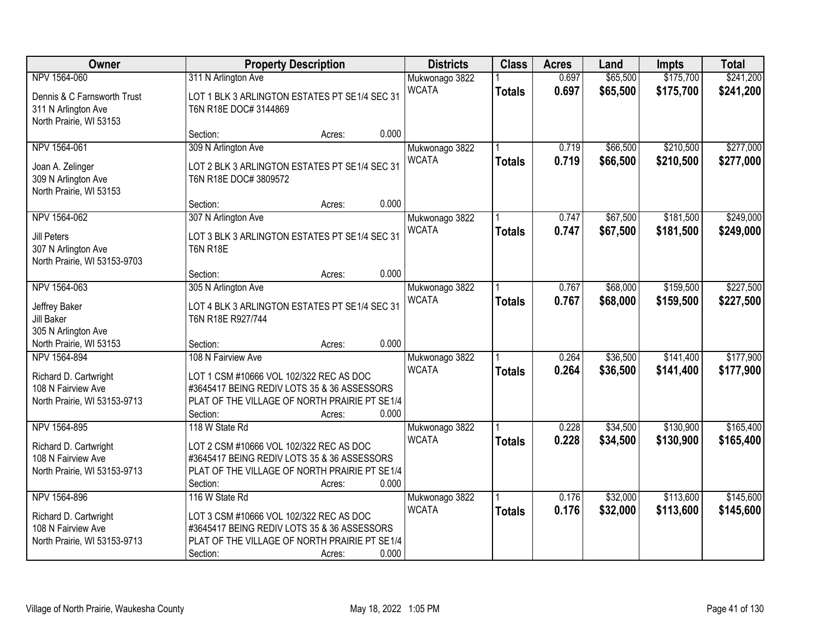| Owner                                                                                       | <b>Property Description</b>                                                                                                                                                                  | <b>Districts</b>               | <b>Class</b>  | <b>Acres</b>   | Land                 | <b>Impts</b>           | <b>Total</b>           |
|---------------------------------------------------------------------------------------------|----------------------------------------------------------------------------------------------------------------------------------------------------------------------------------------------|--------------------------------|---------------|----------------|----------------------|------------------------|------------------------|
| NPV 1564-060                                                                                | 311 N Arlington Ave                                                                                                                                                                          | Mukwonago 3822                 |               | 0.697          | \$65,500             | \$175,700              | \$241,200              |
| Dennis & C Farnsworth Trust<br>311 N Arlington Ave<br>North Prairie, WI 53153               | LOT 1 BLK 3 ARLINGTON ESTATES PT SE1/4 SEC 31<br>T6N R18E DOC# 3144869                                                                                                                       | <b>WCATA</b>                   | <b>Totals</b> | 0.697          | \$65,500             | \$175,700              | \$241,200              |
|                                                                                             | 0.000<br>Section:<br>Acres:                                                                                                                                                                  |                                |               |                |                      |                        |                        |
| NPV 1564-061<br>Joan A. Zelinger<br>309 N Arlington Ave                                     | 309 N Arlington Ave<br>LOT 2 BLK 3 ARLINGTON ESTATES PT SE1/4 SEC 31<br>T6N R18E DOC# 3809572                                                                                                | Mukwonago 3822<br><b>WCATA</b> | <b>Totals</b> | 0.719<br>0.719 | \$66,500<br>\$66,500 | \$210,500<br>\$210,500 | \$277,000<br>\$277,000 |
| North Prairie, WI 53153                                                                     | 0.000<br>Section:<br>Acres:                                                                                                                                                                  |                                |               |                |                      |                        |                        |
| NPV 1564-062                                                                                | 307 N Arlington Ave                                                                                                                                                                          | Mukwonago 3822                 |               | 0.747          | \$67,500             | \$181,500              | \$249,000              |
| <b>Jill Peters</b><br>307 N Arlington Ave<br>North Prairie, WI 53153-9703                   | LOT 3 BLK 3 ARLINGTON ESTATES PT SE1/4 SEC 31<br><b>T6N R18E</b>                                                                                                                             | <b>WCATA</b>                   | <b>Totals</b> | 0.747          | \$67,500             | \$181,500              | \$249,000              |
|                                                                                             | 0.000<br>Section:<br>Acres:                                                                                                                                                                  |                                |               |                |                      |                        |                        |
| NPV 1564-063                                                                                | 305 N Arlington Ave                                                                                                                                                                          | Mukwonago 3822<br><b>WCATA</b> | <b>Totals</b> | 0.767<br>0.767 | \$68,000<br>\$68,000 | \$159,500<br>\$159,500 | \$227,500<br>\$227,500 |
| Jeffrey Baker<br>Jill Baker<br>305 N Arlington Ave                                          | LOT 4 BLK 3 ARLINGTON ESTATES PT SE1/4 SEC 31<br>T6N R18E R927/744                                                                                                                           |                                |               |                |                      |                        |                        |
| North Prairie, WI 53153                                                                     | 0.000<br>Section:<br>Acres:                                                                                                                                                                  |                                |               |                |                      |                        |                        |
| NPV 1564-894<br>Richard D. Cartwright<br>108 N Fairview Ave<br>North Prairie, WI 53153-9713 | 108 N Fairview Ave<br>LOT 1 CSM #10666 VOL 102/322 REC AS DOC<br>#3645417 BEING REDIV LOTS 35 & 36 ASSESSORS<br>PLAT OF THE VILLAGE OF NORTH PRAIRIE PT SE1/4<br>0.000<br>Section:<br>Acres: | Mukwonago 3822<br><b>WCATA</b> | <b>Totals</b> | 0.264<br>0.264 | \$36,500<br>\$36,500 | \$141,400<br>\$141,400 | \$177,900<br>\$177,900 |
| NPV 1564-895<br>Richard D. Cartwright<br>108 N Fairview Ave<br>North Prairie, WI 53153-9713 | 118 W State Rd<br>LOT 2 CSM #10666 VOL 102/322 REC AS DOC<br>#3645417 BEING REDIV LOTS 35 & 36 ASSESSORS<br>PLAT OF THE VILLAGE OF NORTH PRAIRIE PT SE1/4<br>0.000<br>Section:<br>Acres:     | Mukwonago 3822<br><b>WCATA</b> | <b>Totals</b> | 0.228<br>0.228 | \$34,500<br>\$34,500 | \$130,900<br>\$130,900 | \$165,400<br>\$165,400 |
| NPV 1564-896<br>Richard D. Cartwright<br>108 N Fairview Ave<br>North Prairie, WI 53153-9713 | 116 W State Rd<br>LOT 3 CSM #10666 VOL 102/322 REC AS DOC<br>#3645417 BEING REDIV LOTS 35 & 36 ASSESSORS<br>PLAT OF THE VILLAGE OF NORTH PRAIRIE PT SE1/4<br>0.000<br>Section:<br>Acres:     | Mukwonago 3822<br><b>WCATA</b> | <b>Totals</b> | 0.176<br>0.176 | \$32,000<br>\$32,000 | \$113,600<br>\$113,600 | \$145,600<br>\$145,600 |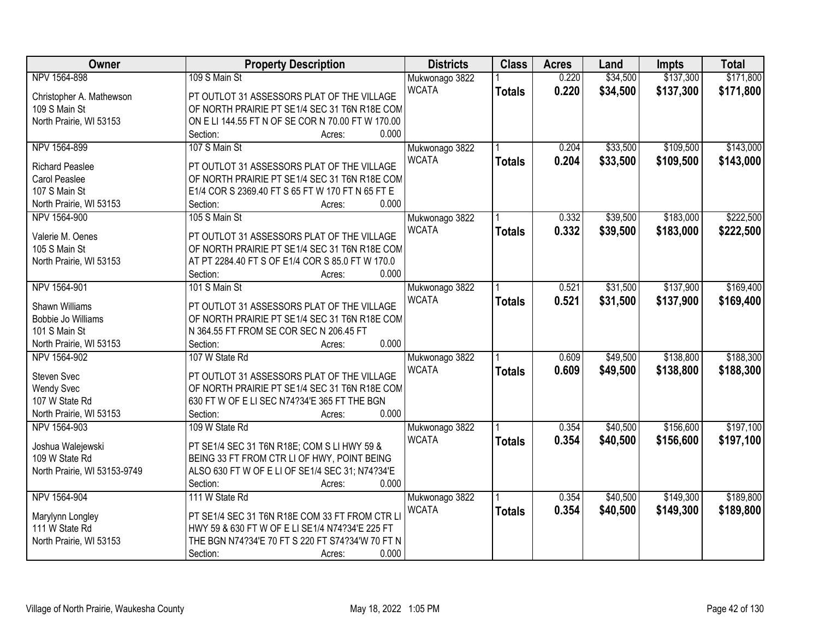| <b>Owner</b>                 | <b>Property Description</b>                       | <b>Districts</b> | <b>Class</b>  | <b>Acres</b> | Land     | <b>Impts</b> | <b>Total</b> |
|------------------------------|---------------------------------------------------|------------------|---------------|--------------|----------|--------------|--------------|
| NPV 1564-898                 | 109 S Main St                                     | Mukwonago 3822   |               | 0.220        | \$34,500 | \$137,300    | \$171,800    |
| Christopher A. Mathewson     | PT OUTLOT 31 ASSESSORS PLAT OF THE VILLAGE        | <b>WCATA</b>     | <b>Totals</b> | 0.220        | \$34,500 | \$137,300    | \$171,800    |
| 109 S Main St                | OF NORTH PRAIRIE PT SE1/4 SEC 31 T6N R18E COM     |                  |               |              |          |              |              |
| North Prairie, WI 53153      | ON E LI 144.55 FT N OF SE COR N 70.00 FT W 170.00 |                  |               |              |          |              |              |
|                              | 0.000<br>Section:<br>Acres:                       |                  |               |              |          |              |              |
| NPV 1564-899                 | 107 S Main St                                     | Mukwonago 3822   |               | 0.204        | \$33,500 | \$109,500    | \$143,000    |
|                              |                                                   | <b>WCATA</b>     | <b>Totals</b> | 0.204        | \$33,500 | \$109,500    | \$143,000    |
| <b>Richard Peaslee</b>       | PT OUTLOT 31 ASSESSORS PLAT OF THE VILLAGE        |                  |               |              |          |              |              |
| Carol Peaslee                | OF NORTH PRAIRIE PT SE1/4 SEC 31 T6N R18E COM     |                  |               |              |          |              |              |
| 107 S Main St                | E1/4 COR S 2369.40 FT S 65 FT W 170 FT N 65 FT E  |                  |               |              |          |              |              |
| North Prairie, WI 53153      | 0.000<br>Section:<br>Acres:                       |                  |               |              |          |              |              |
| NPV 1564-900                 | 105 S Main St                                     | Mukwonago 3822   |               | 0.332        | \$39,500 | \$183,000    | \$222,500    |
| Valerie M. Oenes             | PT OUTLOT 31 ASSESSORS PLAT OF THE VILLAGE        | <b>WCATA</b>     | <b>Totals</b> | 0.332        | \$39,500 | \$183,000    | \$222,500    |
| 105 S Main St                | OF NORTH PRAIRIE PT SE1/4 SEC 31 T6N R18E COM     |                  |               |              |          |              |              |
| North Prairie, WI 53153      | AT PT 2284.40 FT S OF E1/4 COR S 85.0 FT W 170.0  |                  |               |              |          |              |              |
|                              | 0.000<br>Section:<br>Acres:                       |                  |               |              |          |              |              |
| NPV 1564-901                 | 101 S Main St                                     | Mukwonago 3822   |               | 0.521        | \$31,500 | \$137,900    | \$169,400    |
|                              |                                                   | <b>WCATA</b>     | <b>Totals</b> | 0.521        | \$31,500 | \$137,900    | \$169,400    |
| Shawn Williams               | PT OUTLOT 31 ASSESSORS PLAT OF THE VILLAGE        |                  |               |              |          |              |              |
| Bobbie Jo Williams           | OF NORTH PRAIRIE PT SE1/4 SEC 31 T6N R18E COM     |                  |               |              |          |              |              |
| 101 S Main St                | N 364.55 FT FROM SE COR SEC N 206.45 FT           |                  |               |              |          |              |              |
| North Prairie, WI 53153      | 0.000<br>Section:<br>Acres:                       |                  |               |              |          |              |              |
| NPV 1564-902                 | 107 W State Rd                                    | Mukwonago 3822   |               | 0.609        | \$49,500 | \$138,800    | \$188,300    |
| <b>Steven Svec</b>           | PT OUTLOT 31 ASSESSORS PLAT OF THE VILLAGE        | <b>WCATA</b>     | <b>Totals</b> | 0.609        | \$49,500 | \$138,800    | \$188,300    |
| <b>Wendy Svec</b>            | OF NORTH PRAIRIE PT SE1/4 SEC 31 T6N R18E COM     |                  |               |              |          |              |              |
| 107 W State Rd               | 630 FT W OF E LI SEC N74?34'E 365 FT THE BGN      |                  |               |              |          |              |              |
| North Prairie, WI 53153      | 0.000<br>Section:<br>Acres:                       |                  |               |              |          |              |              |
| NPV 1564-903                 | 109 W State Rd                                    | Mukwonago 3822   |               | 0.354        | \$40,500 | \$156,600    | \$197,100    |
|                              |                                                   | <b>WCATA</b>     | <b>Totals</b> | 0.354        | \$40,500 | \$156,600    | \$197,100    |
| Joshua Walejewski            | PT SE1/4 SEC 31 T6N R18E; COM S LI HWY 59 &       |                  |               |              |          |              |              |
| 109 W State Rd               | BEING 33 FT FROM CTR LI OF HWY, POINT BEING       |                  |               |              |          |              |              |
| North Prairie, WI 53153-9749 | ALSO 630 FT W OF E LI OF SE1/4 SEC 31; N74?34'E   |                  |               |              |          |              |              |
|                              | 0.000<br>Section:<br>Acres:                       |                  |               |              |          |              |              |
| NPV 1564-904                 | 111 W State Rd                                    | Mukwonago 3822   |               | 0.354        | \$40,500 | \$149,300    | \$189,800    |
| Marylynn Longley             | PT SE1/4 SEC 31 T6N R18E COM 33 FT FROM CTR LI    | <b>WCATA</b>     | <b>Totals</b> | 0.354        | \$40,500 | \$149,300    | \$189,800    |
| 111 W State Rd               | HWY 59 & 630 FT W OF E LI SE1/4 N74?34'E 225 FT   |                  |               |              |          |              |              |
| North Prairie, WI 53153      | THE BGN N74?34'E 70 FT S 220 FT S74?34'W 70 FT N  |                  |               |              |          |              |              |
|                              | 0.000<br>Section:<br>Acres:                       |                  |               |              |          |              |              |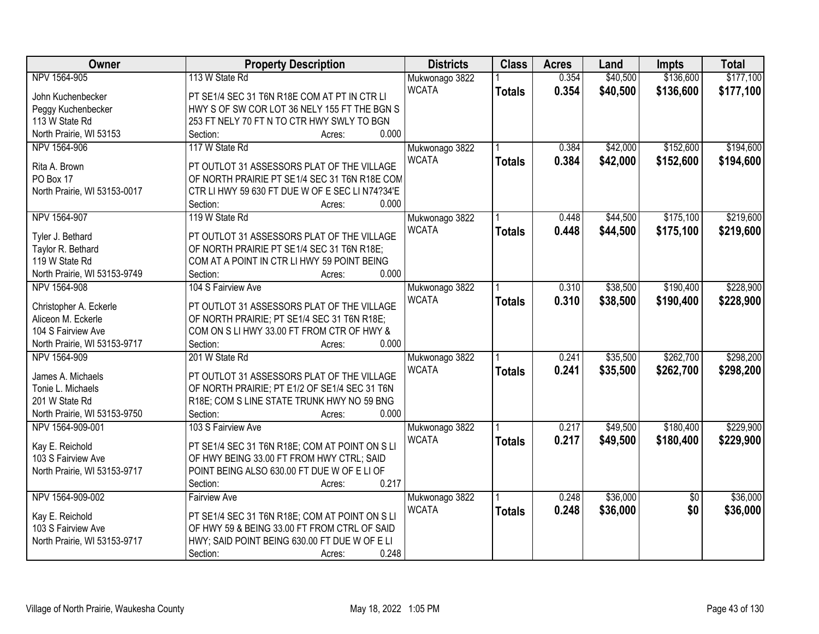| Owner<br><b>Districts</b><br><b>Class</b><br><b>Property Description</b><br><b>Acres</b><br>Land<br><b>Impts</b>                        | <b>Total</b> |
|-----------------------------------------------------------------------------------------------------------------------------------------|--------------|
| \$136,600<br>NPV 1564-905<br>113 W State Rd<br>0.354<br>\$40,500<br>Mukwonago 3822                                                      | \$177,100    |
| <b>WCATA</b><br>0.354<br>\$40,500<br>\$136,600<br><b>Totals</b><br>PT SE1/4 SEC 31 T6N R18E COM AT PT IN CTR LI<br>John Kuchenbecker    | \$177,100    |
| Peggy Kuchenbecker<br>HWY S OF SW COR LOT 36 NELY 155 FT THE BGN S                                                                      |              |
| 113 W State Rd<br>253 FT NELY 70 FT N TO CTR HWY SWLY TO BGN                                                                            |              |
| North Prairie, WI 53153<br>0.000<br>Section:<br>Acres:                                                                                  |              |
| \$42,000<br>\$152,600<br>NPV 1564-906<br>117 W State Rd<br>0.384<br>Mukwonago 3822                                                      | \$194,600    |
| <b>WCATA</b><br>0.384<br>\$42,000<br>\$152,600<br><b>Totals</b><br>Rita A. Brown<br>PT OUTLOT 31 ASSESSORS PLAT OF THE VILLAGE          | \$194,600    |
| OF NORTH PRAIRIE PT SE1/4 SEC 31 T6N R18E COM<br>PO Box 17                                                                              |              |
| North Prairie, WI 53153-0017<br>CTR LI HWY 59 630 FT DUE W OF E SEC LI N74?34'E                                                         |              |
| 0.000<br>Section:<br>Acres:                                                                                                             |              |
| \$175,100<br>NPV 1564-907<br>119 W State Rd<br>\$44,500<br>Mukwonago 3822<br>0.448                                                      | \$219,600    |
| <b>WCATA</b><br>0.448<br>\$44,500<br>\$175,100<br><b>Totals</b>                                                                         | \$219,600    |
| PT OUTLOT 31 ASSESSORS PLAT OF THE VILLAGE<br>Tyler J. Bethard                                                                          |              |
| Taylor R. Bethard<br>OF NORTH PRAIRIE PT SE1/4 SEC 31 T6N R18E;                                                                         |              |
| 119 W State Rd<br>COM AT A POINT IN CTR LI HWY 59 POINT BEING                                                                           |              |
| 0.000<br>North Prairie, WI 53153-9749<br>Section:<br>Acres:                                                                             |              |
| \$38,500<br>\$190,400<br>104 S Fairview Ave<br>NPV 1564-908<br>Mukwonago 3822<br>0.310                                                  | \$228,900    |
| <b>WCATA</b><br>0.310<br>\$38,500<br>\$190,400<br><b>Totals</b><br>PT OUTLOT 31 ASSESSORS PLAT OF THE VILLAGE<br>Christopher A. Eckerle | \$228,900    |
| Aliceon M. Eckerle<br>OF NORTH PRAIRIE; PT SE1/4 SEC 31 T6N R18E;                                                                       |              |
| 104 S Fairview Ave<br>COM ON S LI HWY 33.00 FT FROM CTR OF HWY &                                                                        |              |
| 0.000<br>North Prairie, WI 53153-9717<br>Section:<br>Acres:                                                                             |              |
| \$262,700<br>\$35,500<br>NPV 1564-909<br>201 W State Rd<br>0.241<br>Mukwonago 3822                                                      | \$298,200    |
| \$262,700<br><b>WCATA</b><br>0.241<br>\$35,500<br><b>Totals</b>                                                                         | \$298,200    |
| James A. Michaels<br>PT OUTLOT 31 ASSESSORS PLAT OF THE VILLAGE                                                                         |              |
| OF NORTH PRAIRIE; PT E1/2 OF SE1/4 SEC 31 T6N<br>Tonie L. Michaels<br>201 W State Rd                                                    |              |
| R18E; COM S LINE STATE TRUNK HWY NO 59 BNG<br>0.000                                                                                     |              |
| North Prairie, WI 53153-9750<br>Section:<br>Acres:<br>103 S Fairview Ave<br>NPV 1564-909-001                                            | \$229,900    |
| \$180,400<br>0.217<br>\$49,500<br>Mukwonago 3822<br><b>WCATA</b>                                                                        |              |
| 0.217<br>\$49,500<br>\$180,400<br><b>Totals</b><br>Kay E. Reichold<br>PT SE1/4 SEC 31 T6N R18E; COM AT POINT ON S LI                    | \$229,900    |
| OF HWY BEING 33.00 FT FROM HWY CTRL; SAID<br>103 S Fairview Ave                                                                         |              |
| POINT BEING ALSO 630.00 FT DUE W OF E LI OF<br>North Prairie, WI 53153-9717                                                             |              |
| 0.217<br>Section:<br>Acres:                                                                                                             |              |
| \$36,000<br>NPV 1564-909-002<br>0.248<br>$\overline{50}$<br><b>Fairview Ave</b><br>Mukwonago 3822                                       | \$36,000     |
| <b>WCATA</b><br>0.248<br>\$0<br>\$36,000<br><b>Totals</b><br>PT SE1/4 SEC 31 T6N R18E; COM AT POINT ON S LI<br>Kay E. Reichold          | \$36,000     |
| 103 S Fairview Ave<br>OF HWY 59 & BEING 33.00 FT FROM CTRL OF SAID                                                                      |              |
| HWY; SAID POINT BEING 630.00 FT DUE W OF E LI<br>North Prairie, WI 53153-9717                                                           |              |
| 0.248<br>Section:<br>Acres:                                                                                                             |              |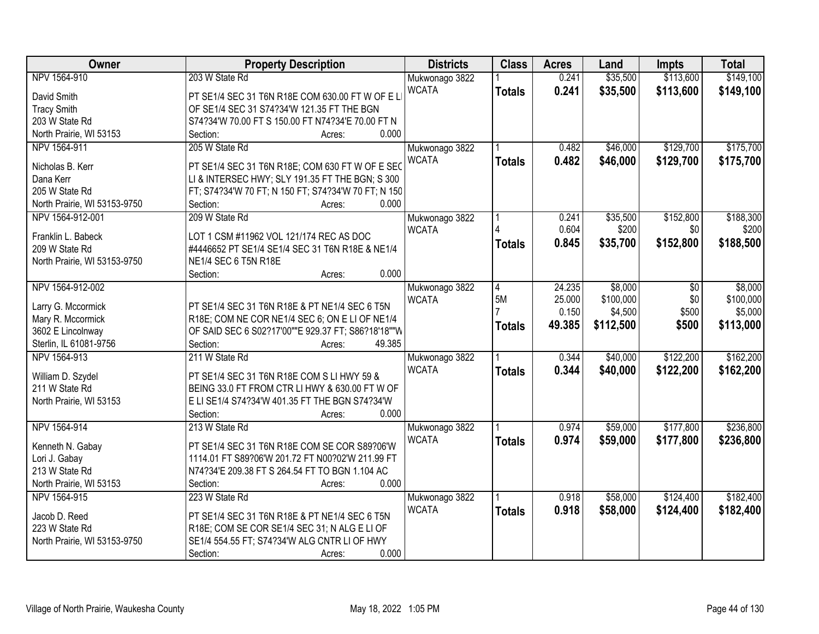| Owner                        | <b>Property Description</b>                         | <b>Districts</b> | <b>Class</b>   | <b>Acres</b> | Land      | <b>Impts</b> | <b>Total</b> |
|------------------------------|-----------------------------------------------------|------------------|----------------|--------------|-----------|--------------|--------------|
| NPV 1564-910                 | 203 W State Rd                                      | Mukwonago 3822   |                | 0.241        | \$35,500  | \$113,600    | \$149,100    |
| David Smith                  | PT SE1/4 SEC 31 T6N R18E COM 630.00 FT W OF E L     | <b>WCATA</b>     | <b>Totals</b>  | 0.241        | \$35,500  | \$113,600    | \$149,100    |
| <b>Tracy Smith</b>           | OF SE1/4 SEC 31 S74?34'W 121.35 FT THE BGN          |                  |                |              |           |              |              |
| 203 W State Rd               | S74?34'W 70.00 FT S 150.00 FT N74?34'E 70.00 FT N   |                  |                |              |           |              |              |
| North Prairie, WI 53153      | 0.000<br>Section:<br>Acres:                         |                  |                |              |           |              |              |
| NPV 1564-911                 | 205 W State Rd                                      | Mukwonago 3822   |                | 0.482        | \$46,000  | \$129,700    | \$175,700    |
|                              |                                                     | <b>WCATA</b>     | <b>Totals</b>  | 0.482        | \$46,000  | \$129,700    | \$175,700    |
| Nicholas B. Kerr             | PT SE1/4 SEC 31 T6N R18E; COM 630 FT W OF E SEC     |                  |                |              |           |              |              |
| Dana Kerr                    | LI & INTERSEC HWY; SLY 191.35 FT THE BGN; S 300     |                  |                |              |           |              |              |
| 205 W State Rd               | FT; S74?34'W 70 FT; N 150 FT; S74?34'W 70 FT; N 150 |                  |                |              |           |              |              |
| North Prairie, WI 53153-9750 | 0.000<br>Section:<br>Acres:                         |                  |                |              |           |              |              |
| NPV 1564-912-001             | 209 W State Rd                                      | Mukwonago 3822   |                | 0.241        | \$35,500  | \$152,800    | \$188,300    |
| Franklin L. Babeck           | LOT 1 CSM #11962 VOL 121/174 REC AS DOC             | <b>WCATA</b>     |                | 0.604        | \$200     | \$0          | \$200        |
| 209 W State Rd               | #4446652 PT SE1/4 SE1/4 SEC 31 T6N R18E & NE1/4     |                  | <b>Totals</b>  | 0.845        | \$35,700  | \$152,800    | \$188,500    |
| North Prairie, WI 53153-9750 | NE1/4 SEC 6 T5N R18E                                |                  |                |              |           |              |              |
|                              | 0.000<br>Section:<br>Acres:                         |                  |                |              |           |              |              |
| NPV 1564-912-002             |                                                     | Mukwonago 3822   | $\overline{4}$ | 24.235       | \$8,000   | $\sqrt[6]{}$ | \$8,000      |
|                              |                                                     | <b>WCATA</b>     | 5M             | 25.000       | \$100,000 | \$0          | \$100,000    |
| Larry G. Mccormick           | PT SE1/4 SEC 31 T6N R18E & PT NE1/4 SEC 6 T5N       |                  |                | 0.150        | \$4,500   | \$500        | \$5,000      |
| Mary R. Mccormick            | R18E; COM NE COR NE1/4 SEC 6; ON E LI OF NE1/4      |                  | <b>Totals</b>  | 49.385       | \$112,500 | \$500        | \$113,000    |
| 3602 E Lincolnway            | OF SAID SEC 6 S02?17'00""E 929.37 FT; S86?18'18""W  |                  |                |              |           |              |              |
| Sterlin, IL 61081-9756       | 49.385<br>Section:<br>Acres:                        |                  |                |              |           |              |              |
| NPV 1564-913                 | 211 W State Rd                                      | Mukwonago 3822   |                | 0.344        | \$40,000  | \$122,200    | \$162,200    |
| William D. Szydel            | PT SE1/4 SEC 31 T6N R18E COM S LI HWY 59 &          | <b>WCATA</b>     | <b>Totals</b>  | 0.344        | \$40,000  | \$122,200    | \$162,200    |
| 211 W State Rd               | BEING 33.0 FT FROM CTR LI HWY & 630.00 FT W OF      |                  |                |              |           |              |              |
| North Prairie, WI 53153      | E LI SE1/4 S74?34'W 401.35 FT THE BGN S74?34'W      |                  |                |              |           |              |              |
|                              | 0.000<br>Section:<br>Acres:                         |                  |                |              |           |              |              |
| NPV 1564-914                 | 213 W State Rd                                      | Mukwonago 3822   |                | 0.974        | \$59,000  | \$177,800    | \$236,800    |
|                              |                                                     | <b>WCATA</b>     | <b>Totals</b>  | 0.974        | \$59,000  | \$177,800    | \$236,800    |
| Kenneth N. Gabay             | PT SE1/4 SEC 31 T6N R18E COM SE COR S89?06'W        |                  |                |              |           |              |              |
| Lori J. Gabay                | 1114.01 FT S89?06'W 201.72 FT N00?02'W 211.99 FT    |                  |                |              |           |              |              |
| 213 W State Rd               | N74?34'E 209.38 FT S 264.54 FT TO BGN 1.104 AC      |                  |                |              |           |              |              |
| North Prairie, WI 53153      | 0.000<br>Section:<br>Acres:                         |                  |                |              |           |              |              |
| NPV 1564-915                 | 223 W State Rd                                      | Mukwonago 3822   |                | 0.918        | \$58,000  | \$124,400    | \$182,400    |
| Jacob D. Reed                | PT SE1/4 SEC 31 T6N R18E & PT NE1/4 SEC 6 T5N       | <b>WCATA</b>     | <b>Totals</b>  | 0.918        | \$58,000  | \$124,400    | \$182,400    |
| 223 W State Rd               | R18E; COM SE COR SE1/4 SEC 31; N ALG E LI OF        |                  |                |              |           |              |              |
| North Prairie, WI 53153-9750 | SE1/4 554.55 FT; S74?34'W ALG CNTR LI OF HWY        |                  |                |              |           |              |              |
|                              | 0.000<br>Section:<br>Acres:                         |                  |                |              |           |              |              |
|                              |                                                     |                  |                |              |           |              |              |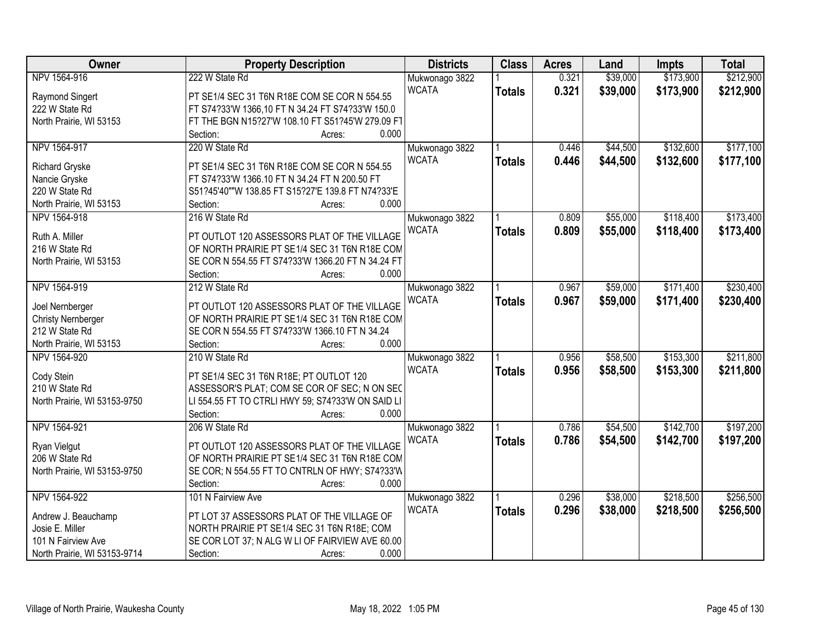| Owner                        | <b>Property Description</b>                       | <b>Districts</b> | <b>Class</b>  | <b>Acres</b> | Land     | <b>Impts</b> | <b>Total</b> |
|------------------------------|---------------------------------------------------|------------------|---------------|--------------|----------|--------------|--------------|
| NPV 1564-916                 | 222 W State Rd                                    | Mukwonago 3822   |               | 0.321        | \$39,000 | \$173,900    | \$212,900    |
| Raymond Singert              | PT SE1/4 SEC 31 T6N R18E COM SE COR N 554.55      | <b>WCATA</b>     | <b>Totals</b> | 0.321        | \$39,000 | \$173,900    | \$212,900    |
| 222 W State Rd               | FT S74?33'W 1366,10 FT N 34.24 FT S74?33'W 150.0  |                  |               |              |          |              |              |
| North Prairie, WI 53153      | FT THE BGN N15?27'W 108.10 FT S51?45'W 279.09 F1  |                  |               |              |          |              |              |
|                              | 0.000<br>Section:<br>Acres:                       |                  |               |              |          |              |              |
| NPV 1564-917                 | 220 W State Rd                                    | Mukwonago 3822   |               | 0.446        | \$44,500 | \$132,600    | \$177,100    |
|                              |                                                   | <b>WCATA</b>     | <b>Totals</b> | 0.446        | \$44,500 | \$132,600    | \$177,100    |
| <b>Richard Gryske</b>        | PT SE1/4 SEC 31 T6N R18E COM SE COR N 554.55      |                  |               |              |          |              |              |
| Nancie Gryske                | FT S74?33'W 1366.10 FT N 34.24 FT N 200.50 FT     |                  |               |              |          |              |              |
| 220 W State Rd               | S51?45'40""W 138.85 FT S15?27'E 139.8 FT N74?33'E |                  |               |              |          |              |              |
| North Prairie, WI 53153      | 0.000<br>Section:<br>Acres:                       |                  |               |              |          |              |              |
| NPV 1564-918                 | 216 W State Rd                                    | Mukwonago 3822   |               | 0.809        | \$55,000 | \$118,400    | \$173,400    |
| Ruth A. Miller               | PT OUTLOT 120 ASSESSORS PLAT OF THE VILLAGE       | <b>WCATA</b>     | <b>Totals</b> | 0.809        | \$55,000 | \$118,400    | \$173,400    |
| 216 W State Rd               | OF NORTH PRAIRIE PT SE1/4 SEC 31 T6N R18E COM     |                  |               |              |          |              |              |
| North Prairie, WI 53153      | SE COR N 554.55 FT S74?33'W 1366.20 FT N 34.24 FT |                  |               |              |          |              |              |
|                              | Section:<br>0.000<br>Acres:                       |                  |               |              |          |              |              |
| NPV 1564-919                 | 212 W State Rd                                    | Mukwonago 3822   |               | 0.967        | \$59,000 | \$171,400    | \$230,400    |
|                              |                                                   | <b>WCATA</b>     |               | 0.967        | \$59,000 | \$171,400    | \$230,400    |
| Joel Nernberger              | PT OUTLOT 120 ASSESSORS PLAT OF THE VILLAGE       |                  | <b>Totals</b> |              |          |              |              |
| <b>Christy Nernberger</b>    | OF NORTH PRAIRIE PT SE1/4 SEC 31 T6N R18E COM     |                  |               |              |          |              |              |
| 212 W State Rd               | SE COR N 554.55 FT S74?33'W 1366.10 FT N 34.24    |                  |               |              |          |              |              |
| North Prairie, WI 53153      | 0.000<br>Section:<br>Acres:                       |                  |               |              |          |              |              |
| NPV 1564-920                 | 210 W State Rd                                    | Mukwonago 3822   |               | 0.956        | \$58,500 | \$153,300    | \$211,800    |
|                              |                                                   | <b>WCATA</b>     | <b>Totals</b> | 0.956        | \$58,500 | \$153,300    | \$211,800    |
| Cody Stein                   | PT SE1/4 SEC 31 T6N R18E; PT OUTLOT 120           |                  |               |              |          |              |              |
| 210 W State Rd               | ASSESSOR'S PLAT; COM SE COR OF SEC; N ON SEC      |                  |               |              |          |              |              |
| North Prairie, WI 53153-9750 | LI 554.55 FT TO CTRLI HWY 59; S74?33'W ON SAID LI |                  |               |              |          |              |              |
|                              | 0.000<br>Section:<br>Acres:                       |                  |               |              |          |              |              |
| NPV 1564-921                 | 206 W State Rd                                    | Mukwonago 3822   |               | 0.786        | \$54,500 | \$142,700    | \$197,200    |
| Ryan Vielgut                 | PT OUTLOT 120 ASSESSORS PLAT OF THE VILLAGE       | <b>WCATA</b>     | <b>Totals</b> | 0.786        | \$54,500 | \$142,700    | \$197,200    |
| 206 W State Rd               | OF NORTH PRAIRIE PT SE1/4 SEC 31 T6N R18E COM     |                  |               |              |          |              |              |
| North Prairie, WI 53153-9750 | SE COR; N 554.55 FT TO CNTRLN OF HWY; S74?33'W    |                  |               |              |          |              |              |
|                              | 0.000<br>Section:<br>Acres:                       |                  |               |              |          |              |              |
| NPV 1564-922                 | 101 N Fairview Ave                                | Mukwonago 3822   |               | 0.296        | \$38,000 | \$218,500    | \$256,500    |
|                              |                                                   | <b>WCATA</b>     | <b>Totals</b> | 0.296        | \$38,000 | \$218,500    | \$256,500    |
| Andrew J. Beauchamp          | PT LOT 37 ASSESSORS PLAT OF THE VILLAGE OF        |                  |               |              |          |              |              |
| Josie E. Miller              | NORTH PRAIRIE PT SE1/4 SEC 31 T6N R18E; COM       |                  |               |              |          |              |              |
| 101 N Fairview Ave           | SE COR LOT 37; N ALG W LI OF FAIRVIEW AVE 60.00   |                  |               |              |          |              |              |
| North Prairie, WI 53153-9714 | 0.000<br>Section:<br>Acres:                       |                  |               |              |          |              |              |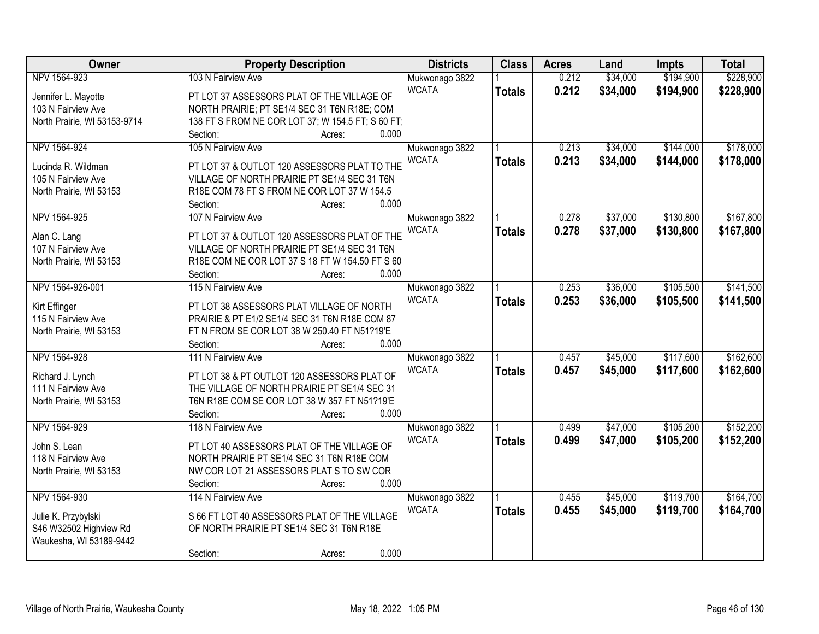| <b>Owner</b>                 | <b>Property Description</b>                       | <b>Districts</b> | <b>Class</b>  | <b>Acres</b> | Land     | Impts     | <b>Total</b> |
|------------------------------|---------------------------------------------------|------------------|---------------|--------------|----------|-----------|--------------|
| NPV 1564-923                 | 103 N Fairview Ave                                | Mukwonago 3822   |               | 0.212        | \$34,000 | \$194,900 | \$228,900    |
| Jennifer L. Mayotte          | PT LOT 37 ASSESSORS PLAT OF THE VILLAGE OF        | <b>WCATA</b>     | <b>Totals</b> | 0.212        | \$34,000 | \$194,900 | \$228,900    |
| 103 N Fairview Ave           | NORTH PRAIRIE; PT SE1/4 SEC 31 T6N R18E; COM      |                  |               |              |          |           |              |
| North Prairie, WI 53153-9714 | 138 FT S FROM NE COR LOT 37; W 154.5 FT; S 60 FT; |                  |               |              |          |           |              |
|                              | 0.000<br>Section:<br>Acres:                       |                  |               |              |          |           |              |
| NPV 1564-924                 | 105 N Fairview Ave                                | Mukwonago 3822   |               | 0.213        | \$34,000 | \$144,000 | \$178,000    |
|                              |                                                   | <b>WCATA</b>     | <b>Totals</b> | 0.213        | \$34,000 | \$144,000 | \$178,000    |
| Lucinda R. Wildman           | PT LOT 37 & OUTLOT 120 ASSESSORS PLAT TO THE      |                  |               |              |          |           |              |
| 105 N Fairview Ave           | VILLAGE OF NORTH PRAIRIE PT SE1/4 SEC 31 T6N      |                  |               |              |          |           |              |
| North Prairie, WI 53153      | R18E COM 78 FT S FROM NE COR LOT 37 W 154.5       |                  |               |              |          |           |              |
|                              | 0.000<br>Section:<br>Acres:                       |                  |               |              |          |           |              |
| NPV 1564-925                 | 107 N Fairview Ave                                | Mukwonago 3822   |               | 0.278        | \$37,000 | \$130,800 | \$167,800    |
| Alan C. Lang                 | PT LOT 37 & OUTLOT 120 ASSESSORS PLAT OF THE      | <b>WCATA</b>     | <b>Totals</b> | 0.278        | \$37,000 | \$130,800 | \$167,800    |
| 107 N Fairview Ave           | VILLAGE OF NORTH PRAIRIE PT SE1/4 SEC 31 T6N      |                  |               |              |          |           |              |
| North Prairie, WI 53153      | R18E COM NE COR LOT 37 S 18 FT W 154.50 FT S 60   |                  |               |              |          |           |              |
|                              | 0.000<br>Section:<br>Acres:                       |                  |               |              |          |           |              |
| NPV 1564-926-001             | 115 N Fairview Ave                                | Mukwonago 3822   |               | 0.253        | \$36,000 | \$105,500 | \$141,500    |
|                              |                                                   | <b>WCATA</b>     | <b>Totals</b> | 0.253        | \$36,000 | \$105,500 | \$141,500    |
| Kirt Effinger                | PT LOT 38 ASSESSORS PLAT VILLAGE OF NORTH         |                  |               |              |          |           |              |
| 115 N Fairview Ave           | PRAIRIE & PT E1/2 SE1/4 SEC 31 T6N R18E COM 87    |                  |               |              |          |           |              |
| North Prairie, WI 53153      | FT N FROM SE COR LOT 38 W 250.40 FT N51?19'E      |                  |               |              |          |           |              |
|                              | 0.000<br>Section:<br>Acres:                       |                  |               |              |          |           |              |
| NPV 1564-928                 | 111 N Fairview Ave                                | Mukwonago 3822   |               | 0.457        | \$45,000 | \$117,600 | \$162,600    |
| Richard J. Lynch             | PT LOT 38 & PT OUTLOT 120 ASSESSORS PLAT OF       | <b>WCATA</b>     | <b>Totals</b> | 0.457        | \$45,000 | \$117,600 | \$162,600    |
| 111 N Fairview Ave           | THE VILLAGE OF NORTH PRAIRIE PT SE1/4 SEC 31      |                  |               |              |          |           |              |
| North Prairie, WI 53153      | T6N R18E COM SE COR LOT 38 W 357 FT N51?19'E      |                  |               |              |          |           |              |
|                              | Section:<br>0.000<br>Acres:                       |                  |               |              |          |           |              |
| NPV 1564-929                 | 118 N Fairview Ave                                | Mukwonago 3822   |               | 0.499        | \$47,000 | \$105,200 | \$152,200    |
|                              |                                                   | <b>WCATA</b>     | <b>Totals</b> | 0.499        | \$47,000 | \$105,200 | \$152,200    |
| John S. Lean                 | PT LOT 40 ASSESSORS PLAT OF THE VILLAGE OF        |                  |               |              |          |           |              |
| 118 N Fairview Ave           | NORTH PRAIRIE PT SE1/4 SEC 31 T6N R18E COM        |                  |               |              |          |           |              |
| North Prairie, WI 53153      | NW COR LOT 21 ASSESSORS PLAT S TO SW COR          |                  |               |              |          |           |              |
|                              | 0.000<br>Section:<br>Acres:                       |                  |               |              |          |           |              |
| NPV 1564-930                 | 114 N Fairview Ave                                | Mukwonago 3822   |               | 0.455        | \$45,000 | \$119,700 | \$164,700    |
| Julie K. Przybylski          | S 66 FT LOT 40 ASSESSORS PLAT OF THE VILLAGE      | <b>WCATA</b>     | <b>Totals</b> | 0.455        | \$45,000 | \$119,700 | \$164,700    |
| S46 W32502 Highview Rd       | OF NORTH PRAIRIE PT SE1/4 SEC 31 T6N R18E         |                  |               |              |          |           |              |
| Waukesha, WI 53189-9442      |                                                   |                  |               |              |          |           |              |
|                              | 0.000<br>Section:<br>Acres:                       |                  |               |              |          |           |              |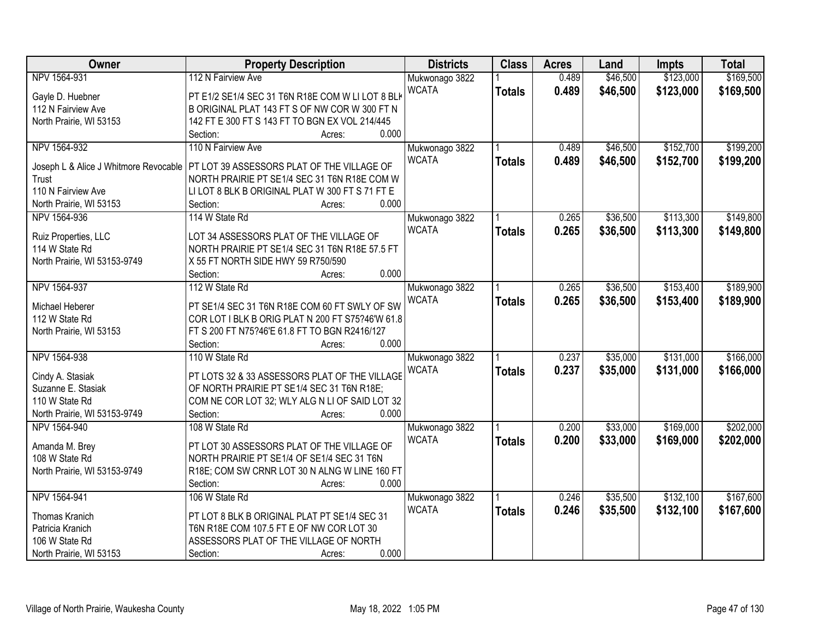| Owner                                 | <b>Property Description</b>                                                                       | <b>Districts</b> | <b>Class</b>  | <b>Acres</b> | Land     | <b>Impts</b> | <b>Total</b> |
|---------------------------------------|---------------------------------------------------------------------------------------------------|------------------|---------------|--------------|----------|--------------|--------------|
| NPV 1564-931                          | 112 N Fairview Ave                                                                                | Mukwonago 3822   |               | 0.489        | \$46,500 | \$123,000    | \$169,500    |
| Gayle D. Huebner                      | PT E1/2 SE1/4 SEC 31 T6N R18E COM W LI LOT 8 BLK                                                  | <b>WCATA</b>     | <b>Totals</b> | 0.489        | \$46,500 | \$123,000    | \$169,500    |
| 112 N Fairview Ave                    | B ORIGINAL PLAT 143 FT S OF NW COR W 300 FT N                                                     |                  |               |              |          |              |              |
| North Prairie, WI 53153               | 142 FT E 300 FT S 143 FT TO BGN EX VOL 214/445                                                    |                  |               |              |          |              |              |
|                                       | 0.000<br>Section:<br>Acres:                                                                       |                  |               |              |          |              |              |
| NPV 1564-932                          | 110 N Fairview Ave                                                                                | Mukwonago 3822   |               | 0.489        | \$46,500 | \$152,700    | \$199,200    |
| Joseph L & Alice J Whitmore Revocable | PT LOT 39 ASSESSORS PLAT OF THE VILLAGE OF                                                        | <b>WCATA</b>     | <b>Totals</b> | 0.489        | \$46,500 | \$152,700    | \$199,200    |
| Trust                                 | NORTH PRAIRIE PT SE1/4 SEC 31 T6N R18E COM W                                                      |                  |               |              |          |              |              |
| 110 N Fairview Ave                    | LILOT 8 BLK B ORIGINAL PLAT W 300 FT S 71 FT E                                                    |                  |               |              |          |              |              |
| North Prairie, WI 53153               | 0.000<br>Section:<br>Acres:                                                                       |                  |               |              |          |              |              |
| NPV 1564-936                          | 114 W State Rd                                                                                    | Mukwonago 3822   |               | 0.265        | \$36,500 | \$113,300    | \$149,800    |
|                                       |                                                                                                   | <b>WCATA</b>     |               |              |          |              |              |
| Ruiz Properties, LLC                  | LOT 34 ASSESSORS PLAT OF THE VILLAGE OF                                                           |                  | <b>Totals</b> | 0.265        | \$36,500 | \$113,300    | \$149,800    |
| 114 W State Rd                        | NORTH PRAIRIE PT SE1/4 SEC 31 T6N R18E 57.5 FT                                                    |                  |               |              |          |              |              |
| North Prairie, WI 53153-9749          | X 55 FT NORTH SIDE HWY 59 R750/590                                                                |                  |               |              |          |              |              |
|                                       | 0.000<br>Section:<br>Acres:                                                                       |                  |               |              |          |              |              |
| NPV 1564-937                          | 112 W State Rd                                                                                    | Mukwonago 3822   |               | 0.265        | \$36,500 | \$153,400    | \$189,900    |
|                                       |                                                                                                   | <b>WCATA</b>     | <b>Totals</b> | 0.265        | \$36,500 | \$153,400    | \$189,900    |
| Michael Heberer                       | PT SE1/4 SEC 31 T6N R18E COM 60 FT SWLY OF SW                                                     |                  |               |              |          |              |              |
| 112 W State Rd                        | COR LOT I BLK B ORIG PLAT N 200 FT S75?46'W 61.8<br>FT S 200 FT N75?46'E 61.8 FT TO BGN R2416/127 |                  |               |              |          |              |              |
| North Prairie, WI 53153               | 0.000<br>Section:                                                                                 |                  |               |              |          |              |              |
| NPV 1564-938                          | Acres:                                                                                            |                  |               | 0.237        | \$35,000 | \$131,000    | \$166,000    |
|                                       | 110 W State Rd                                                                                    | Mukwonago 3822   |               |              |          |              |              |
| Cindy A. Stasiak                      | PT LOTS 32 & 33 ASSESSORS PLAT OF THE VILLAGE                                                     | <b>WCATA</b>     | <b>Totals</b> | 0.237        | \$35,000 | \$131,000    | \$166,000    |
| Suzanne E. Stasiak                    | OF NORTH PRAIRIE PT SE1/4 SEC 31 T6N R18E;                                                        |                  |               |              |          |              |              |
| 110 W State Rd                        | COM NE COR LOT 32; WLY ALG N LI OF SAID LOT 32                                                    |                  |               |              |          |              |              |
| North Prairie, WI 53153-9749          | 0.000<br>Section:<br>Acres:                                                                       |                  |               |              |          |              |              |
| NPV 1564-940                          | 108 W State Rd                                                                                    | Mukwonago 3822   |               | 0.200        | \$33,000 | \$169,000    | \$202,000    |
|                                       |                                                                                                   | <b>WCATA</b>     | <b>Totals</b> | 0.200        | \$33,000 | \$169,000    | \$202,000    |
| Amanda M. Brey                        | PT LOT 30 ASSESSORS PLAT OF THE VILLAGE OF                                                        |                  |               |              |          |              |              |
| 108 W State Rd                        | NORTH PRAIRIE PT SE1/4 OF SE1/4 SEC 31 T6N                                                        |                  |               |              |          |              |              |
| North Prairie, WI 53153-9749          | R18E; COM SW CRNR LOT 30 N ALNG W LINE 160 FT<br>0.000                                            |                  |               |              |          |              |              |
|                                       | Section:<br>Acres:                                                                                |                  |               |              |          |              |              |
| NPV 1564-941                          | 106 W State Rd                                                                                    | Mukwonago 3822   |               | 0.246        | \$35,500 | \$132,100    | \$167,600    |
| Thomas Kranich                        | PT LOT 8 BLK B ORIGINAL PLAT PT SE1/4 SEC 31                                                      | <b>WCATA</b>     | <b>Totals</b> | 0.246        | \$35,500 | \$132,100    | \$167,600    |
| Patricia Kranich                      | T6N R18E COM 107.5 FT E OF NW COR LOT 30                                                          |                  |               |              |          |              |              |
| 106 W State Rd                        | ASSESSORS PLAT OF THE VILLAGE OF NORTH                                                            |                  |               |              |          |              |              |
| North Prairie, WI 53153               | 0.000<br>Section:<br>Acres:                                                                       |                  |               |              |          |              |              |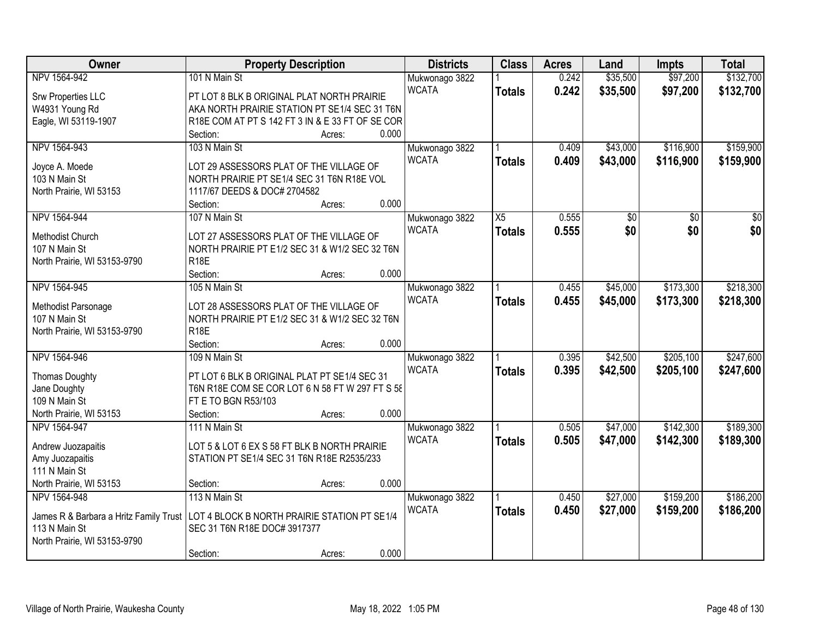| <b>Owner</b>                                                                          | <b>Property Description</b>                      |                 | <b>Districts</b>               | <b>Class</b>    | <b>Acres</b> | Land            | Impts           | <b>Total</b>    |
|---------------------------------------------------------------------------------------|--------------------------------------------------|-----------------|--------------------------------|-----------------|--------------|-----------------|-----------------|-----------------|
| NPV 1564-942                                                                          | 101 N Main St                                    |                 | Mukwonago 3822                 |                 | 0.242        | \$35,500        | \$97,200        | \$132,700       |
| Srw Properties LLC                                                                    | PT LOT 8 BLK B ORIGINAL PLAT NORTH PRAIRIE       |                 | <b>WCATA</b>                   | <b>Totals</b>   | 0.242        | \$35,500        | \$97,200        | \$132,700       |
| W4931 Young Rd                                                                        | AKA NORTH PRAIRIE STATION PT SE1/4 SEC 31 T6N    |                 |                                |                 |              |                 |                 |                 |
| Eagle, WI 53119-1907                                                                  | R18E COM AT PT S 142 FT 3 IN & E 33 FT OF SE COR |                 |                                |                 |              |                 |                 |                 |
|                                                                                       | Section:                                         | 0.000<br>Acres: |                                |                 |              |                 |                 |                 |
| NPV 1564-943                                                                          | 103 N Main St                                    |                 | Mukwonago 3822                 |                 | 0.409        | \$43,000        | \$116,900       | \$159,900       |
|                                                                                       |                                                  |                 | <b>WCATA</b>                   | <b>Totals</b>   | 0.409        | \$43,000        | \$116,900       | \$159,900       |
| Joyce A. Moede                                                                        | LOT 29 ASSESSORS PLAT OF THE VILLAGE OF          |                 |                                |                 |              |                 |                 |                 |
| 103 N Main St                                                                         | NORTH PRAIRIE PT SE1/4 SEC 31 T6N R18E VOL       |                 |                                |                 |              |                 |                 |                 |
| North Prairie, WI 53153                                                               | 1117/67 DEEDS & DOC# 2704582                     |                 |                                |                 |              |                 |                 |                 |
|                                                                                       | Section:                                         | 0.000<br>Acres: |                                |                 |              |                 |                 |                 |
| NPV 1564-944                                                                          | 107 N Main St                                    |                 | Mukwonago 3822                 | $\overline{X5}$ | 0.555        | $\overline{50}$ | $\overline{50}$ | $\overline{30}$ |
| Methodist Church                                                                      | LOT 27 ASSESSORS PLAT OF THE VILLAGE OF          |                 | <b>WCATA</b>                   | <b>Totals</b>   | 0.555        | \$0             | \$0             | \$0             |
| 107 N Main St                                                                         | NORTH PRAIRIE PT E1/2 SEC 31 & W1/2 SEC 32 T6N   |                 |                                |                 |              |                 |                 |                 |
| North Prairie, WI 53153-9790                                                          | <b>R18E</b>                                      |                 |                                |                 |              |                 |                 |                 |
|                                                                                       | Section:                                         | 0.000<br>Acres: |                                |                 |              |                 |                 |                 |
| NPV 1564-945                                                                          | 105 N Main St                                    |                 | Mukwonago 3822                 |                 | 0.455        | \$45,000        | \$173,300       | \$218,300       |
|                                                                                       |                                                  |                 | <b>WCATA</b>                   | <b>Totals</b>   | 0.455        | \$45,000        | \$173,300       | \$218,300       |
| Methodist Parsonage                                                                   | LOT 28 ASSESSORS PLAT OF THE VILLAGE OF          |                 |                                |                 |              |                 |                 |                 |
| 107 N Main St                                                                         | NORTH PRAIRIE PT E1/2 SEC 31 & W1/2 SEC 32 T6N   |                 |                                |                 |              |                 |                 |                 |
| North Prairie, WI 53153-9790                                                          | R <sub>18E</sub>                                 |                 |                                |                 |              |                 |                 |                 |
|                                                                                       | Section:                                         | 0.000<br>Acres: |                                |                 |              |                 |                 |                 |
| NPV 1564-946                                                                          | 109 N Main St                                    |                 | Mukwonago 3822                 |                 | 0.395        | \$42,500        | \$205,100       | \$247,600       |
| <b>Thomas Doughty</b>                                                                 | PT LOT 6 BLK B ORIGINAL PLAT PT SE1/4 SEC 31     |                 | <b>WCATA</b>                   | <b>Totals</b>   | 0.395        | \$42,500        | \$205,100       | \$247,600       |
| Jane Doughty                                                                          | T6N R18E COM SE COR LOT 6 N 58 FT W 297 FT S 58  |                 |                                |                 |              |                 |                 |                 |
| 109 N Main St                                                                         | FT E TO BGN R53/103                              |                 |                                |                 |              |                 |                 |                 |
| North Prairie, WI 53153                                                               | Section:                                         | 0.000<br>Acres: |                                |                 |              |                 |                 |                 |
| NPV 1564-947                                                                          | 111 N Main St                                    |                 |                                |                 | 0.505        | \$47,000        | \$142,300       | \$189,300       |
|                                                                                       |                                                  |                 | Mukwonago 3822<br><b>WCATA</b> |                 |              |                 |                 |                 |
| Andrew Juozapaitis                                                                    | LOT 5 & LOT 6 EX S 58 FT BLK B NORTH PRAIRIE     |                 |                                | <b>Totals</b>   | 0.505        | \$47,000        | \$142,300       | \$189,300       |
| Amy Juozapaitis                                                                       | STATION PT SE1/4 SEC 31 T6N R18E R2535/233       |                 |                                |                 |              |                 |                 |                 |
| 111 N Main St                                                                         |                                                  |                 |                                |                 |              |                 |                 |                 |
| North Prairie, WI 53153                                                               | Section:                                         | 0.000<br>Acres: |                                |                 |              |                 |                 |                 |
| NPV 1564-948                                                                          | 113 N Main St                                    |                 | Mukwonago 3822                 |                 | 0.450        | \$27,000        | \$159,200       | \$186,200       |
| James R & Barbara a Hritz Family Trust   LOT 4 BLOCK B NORTH PRAIRIE STATION PT SE1/4 |                                                  |                 | <b>WCATA</b>                   | <b>Totals</b>   | 0.450        | \$27,000        | \$159,200       | \$186,200       |
| 113 N Main St                                                                         | SEC 31 T6N R18E DOC# 3917377                     |                 |                                |                 |              |                 |                 |                 |
| North Prairie, WI 53153-9790                                                          |                                                  |                 |                                |                 |              |                 |                 |                 |
|                                                                                       | Section:                                         | 0.000<br>Acres: |                                |                 |              |                 |                 |                 |
|                                                                                       |                                                  |                 |                                |                 |              |                 |                 |                 |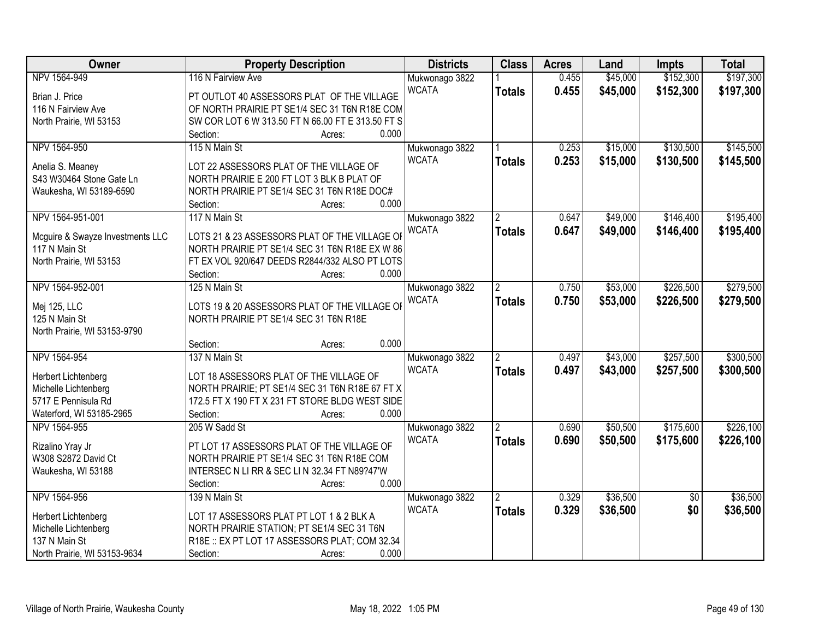| Owner                                   | <b>Property Description</b>                                                              | <b>Districts</b> | <b>Class</b>   | <b>Acres</b> | Land     | <b>Impts</b>    | <b>Total</b> |
|-----------------------------------------|------------------------------------------------------------------------------------------|------------------|----------------|--------------|----------|-----------------|--------------|
| NPV 1564-949                            | 116 N Fairview Ave                                                                       | Mukwonago 3822   |                | 0.455        | \$45,000 | \$152,300       | \$197,300    |
| Brian J. Price                          | PT OUTLOT 40 ASSESSORS PLAT OF THE VILLAGE                                               | <b>WCATA</b>     | <b>Totals</b>  | 0.455        | \$45,000 | \$152,300       | \$197,300    |
| 116 N Fairview Ave                      | OF NORTH PRAIRIE PT SE1/4 SEC 31 T6N R18E COM                                            |                  |                |              |          |                 |              |
| North Prairie, WI 53153                 | SW COR LOT 6 W 313.50 FT N 66.00 FT E 313.50 FT S                                        |                  |                |              |          |                 |              |
|                                         | 0.000<br>Section:<br>Acres:                                                              |                  |                |              |          |                 |              |
| NPV 1564-950                            | 115 N Main St                                                                            | Mukwonago 3822   |                | 0.253        | \$15,000 | \$130,500       | \$145,500    |
|                                         |                                                                                          | <b>WCATA</b>     | <b>Totals</b>  | 0.253        | \$15,000 | \$130,500       | \$145,500    |
| Anelia S. Meaney                        | LOT 22 ASSESSORS PLAT OF THE VILLAGE OF                                                  |                  |                |              |          |                 |              |
| S43 W30464 Stone Gate Ln                | NORTH PRAIRIE E 200 FT LOT 3 BLK B PLAT OF                                               |                  |                |              |          |                 |              |
| Waukesha, WI 53189-6590                 | NORTH PRAIRIE PT SE1/4 SEC 31 T6N R18E DOC#                                              |                  |                |              |          |                 |              |
|                                         | 0.000<br>Section:<br>Acres:                                                              |                  |                |              |          |                 |              |
| NPV 1564-951-001                        | 117 N Main St                                                                            | Mukwonago 3822   |                | 0.647        | \$49,000 | \$146,400       | \$195,400    |
| Mcguire & Swayze Investments LLC        | LOTS 21 & 23 ASSESSORS PLAT OF THE VILLAGE OI                                            | <b>WCATA</b>     | <b>Totals</b>  | 0.647        | \$49,000 | \$146,400       | \$195,400    |
| 117 N Main St                           | NORTH PRAIRIE PT SE1/4 SEC 31 T6N R18E EX W 86                                           |                  |                |              |          |                 |              |
| North Prairie, WI 53153                 | FT EX VOL 920/647 DEEDS R2844/332 ALSO PT LOTS                                           |                  |                |              |          |                 |              |
|                                         | Section:<br>0.000<br>Acres:                                                              |                  |                |              |          |                 |              |
| NPV 1564-952-001                        | 125 N Main St                                                                            | Mukwonago 3822   | $\overline{2}$ | 0.750        | \$53,000 | \$226,500       | \$279,500    |
|                                         |                                                                                          | <b>WCATA</b>     | <b>Totals</b>  | 0.750        | \$53,000 | \$226,500       | \$279,500    |
| Mej 125, LLC                            | LOTS 19 & 20 ASSESSORS PLAT OF THE VILLAGE OF                                            |                  |                |              |          |                 |              |
| 125 N Main St                           | NORTH PRAIRIE PT SE1/4 SEC 31 T6N R18E                                                   |                  |                |              |          |                 |              |
| North Prairie, WI 53153-9790            |                                                                                          |                  |                |              |          |                 |              |
|                                         | 0.000<br>Section:<br>Acres:                                                              |                  |                |              |          |                 |              |
| NPV 1564-954                            | 137 N Main St                                                                            | Mukwonago 3822   | $\overline{2}$ | 0.497        | \$43,000 | \$257,500       | \$300,500    |
| Herbert Lichtenberg                     | LOT 18 ASSESSORS PLAT OF THE VILLAGE OF                                                  | <b>WCATA</b>     | <b>Totals</b>  | 0.497        | \$43,000 | \$257,500       | \$300,500    |
| Michelle Lichtenberg                    | NORTH PRAIRIE; PT SE1/4 SEC 31 T6N R18E 67 FT X                                          |                  |                |              |          |                 |              |
| 5717 E Pennisula Rd                     | 172.5 FT X 190 FT X 231 FT STORE BLDG WEST SIDE                                          |                  |                |              |          |                 |              |
| Waterford, WI 53185-2965                | 0.000<br>Section:<br>Acres:                                                              |                  |                |              |          |                 |              |
| NPV 1564-955                            | 205 W Sadd St                                                                            | Mukwonago 3822   |                | 0.690        | \$50,500 | \$175,600       | \$226,100    |
|                                         |                                                                                          | <b>WCATA</b>     | <b>Totals</b>  | 0.690        | \$50,500 | \$175,600       | \$226,100    |
| Rizalino Yray Jr<br>W308 S2872 David Ct | PT LOT 17 ASSESSORS PLAT OF THE VILLAGE OF<br>NORTH PRAIRIE PT SE1/4 SEC 31 T6N R18E COM |                  |                |              |          |                 |              |
|                                         |                                                                                          |                  |                |              |          |                 |              |
| Waukesha, WI 53188                      | INTERSEC N LI RR & SEC LI N 32.34 FT N89?47'W<br>0.000                                   |                  |                |              |          |                 |              |
| NPV 1564-956                            | Section:<br>Acres:<br>139 N Main St                                                      |                  |                | 0.329        | \$36,500 |                 | \$36,500     |
|                                         |                                                                                          | Mukwonago 3822   | $\overline{2}$ |              |          | $\overline{50}$ |              |
| Herbert Lichtenberg                     | LOT 17 ASSESSORS PLAT PT LOT 1 & 2 BLK A                                                 | <b>WCATA</b>     | <b>Totals</b>  | 0.329        | \$36,500 | \$0             | \$36,500     |
| Michelle Lichtenberg                    | NORTH PRAIRIE STATION; PT SE1/4 SEC 31 T6N                                               |                  |                |              |          |                 |              |
| 137 N Main St                           | R18E :: EX PT LOT 17 ASSESSORS PLAT; COM 32.34                                           |                  |                |              |          |                 |              |
| North Prairie, WI 53153-9634            | Section:<br>0.000<br>Acres:                                                              |                  |                |              |          |                 |              |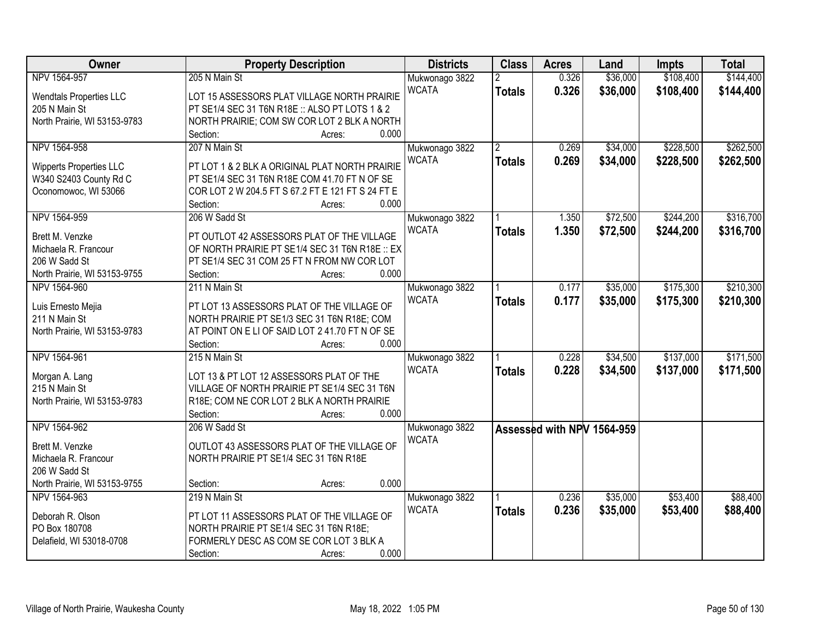| <b>Owner</b>                   | <b>Property Description</b>                                                                        | <b>Districts</b> | <b>Class</b>   | <b>Acres</b> | Land                       | <b>Impts</b> | <b>Total</b> |
|--------------------------------|----------------------------------------------------------------------------------------------------|------------------|----------------|--------------|----------------------------|--------------|--------------|
| NPV 1564-957                   | 205 N Main St                                                                                      | Mukwonago 3822   | $\overline{2}$ | 0.326        | \$36,000                   | \$108,400    | \$144,400    |
| <b>Wendtals Properties LLC</b> | LOT 15 ASSESSORS PLAT VILLAGE NORTH PRAIRIE                                                        | <b>WCATA</b>     | <b>Totals</b>  | 0.326        | \$36,000                   | \$108,400    | \$144,400    |
| 205 N Main St                  | PT SE1/4 SEC 31 T6N R18E :: ALSO PT LOTS 1 & 2                                                     |                  |                |              |                            |              |              |
| North Prairie, WI 53153-9783   | NORTH PRAIRIE; COM SW COR LOT 2 BLK A NORTH                                                        |                  |                |              |                            |              |              |
|                                | 0.000<br>Section:<br>Acres:                                                                        |                  |                |              |                            |              |              |
| NPV 1564-958                   | 207 N Main St                                                                                      | Mukwonago 3822   | $\overline{2}$ | 0.269        | \$34,000                   | \$228,500    | \$262,500    |
|                                |                                                                                                    | <b>WCATA</b>     | <b>Totals</b>  | 0.269        | \$34,000                   | \$228,500    | \$262,500    |
| <b>Wipperts Properties LLC</b> | PT LOT 1 & 2 BLK A ORIGINAL PLAT NORTH PRAIRIE                                                     |                  |                |              |                            |              |              |
| W340 S2403 County Rd C         | PT SE1/4 SEC 31 T6N R18E COM 41.70 FT N OF SE<br>COR LOT 2 W 204.5 FT S 67.2 FT E 121 FT S 24 FT E |                  |                |              |                            |              |              |
| Oconomowoc, WI 53066           | 0.000<br>Section:                                                                                  |                  |                |              |                            |              |              |
| NPV 1564-959                   | Acres:<br>206 W Sadd St                                                                            | Mukwonago 3822   |                | 1.350        | \$72,500                   | \$244,200    | \$316,700    |
|                                |                                                                                                    | <b>WCATA</b>     |                |              |                            |              |              |
| Brett M. Venzke                | PT OUTLOT 42 ASSESSORS PLAT OF THE VILLAGE                                                         |                  | <b>Totals</b>  | 1.350        | \$72,500                   | \$244,200    | \$316,700    |
| Michaela R. Francour           | OF NORTH PRAIRIE PT SE1/4 SEC 31 T6N R18E :: EX                                                    |                  |                |              |                            |              |              |
| 206 W Sadd St                  | PT SE1/4 SEC 31 COM 25 FT N FROM NW COR LOT                                                        |                  |                |              |                            |              |              |
| North Prairie, WI 53153-9755   | Section:<br>0.000<br>Acres:                                                                        |                  |                |              |                            |              |              |
| NPV 1564-960                   | 211 N Main St                                                                                      | Mukwonago 3822   |                | 0.177        | \$35,000                   | \$175,300    | \$210,300    |
| Luis Ernesto Mejia             | PT LOT 13 ASSESSORS PLAT OF THE VILLAGE OF                                                         | <b>WCATA</b>     | <b>Totals</b>  | 0.177        | \$35,000                   | \$175,300    | \$210,300    |
| 211 N Main St                  | NORTH PRAIRIE PT SE1/3 SEC 31 T6N R18E; COM                                                        |                  |                |              |                            |              |              |
| North Prairie, WI 53153-9783   | AT POINT ON E LI OF SAID LOT 2 41.70 FT N OF SE                                                    |                  |                |              |                            |              |              |
|                                | 0.000<br>Section:<br>Acres:                                                                        |                  |                |              |                            |              |              |
| NPV 1564-961                   | 215 N Main St                                                                                      | Mukwonago 3822   |                | 0.228        | \$34,500                   | \$137,000    | \$171,500    |
|                                |                                                                                                    | <b>WCATA</b>     |                | 0.228        | \$34,500                   | \$137,000    | \$171,500    |
| Morgan A. Lang                 | LOT 13 & PT LOT 12 ASSESSORS PLAT OF THE                                                           |                  | <b>Totals</b>  |              |                            |              |              |
| 215 N Main St                  | VILLAGE OF NORTH PRAIRIE PT SE1/4 SEC 31 T6N                                                       |                  |                |              |                            |              |              |
| North Prairie, WI 53153-9783   | R18E; COM NE COR LOT 2 BLK A NORTH PRAIRIE                                                         |                  |                |              |                            |              |              |
|                                | 0.000<br>Section:<br>Acres:                                                                        |                  |                |              |                            |              |              |
| NPV 1564-962                   | 206 W Sadd St                                                                                      | Mukwonago 3822   |                |              | Assessed with NPV 1564-959 |              |              |
| Brett M. Venzke                | OUTLOT 43 ASSESSORS PLAT OF THE VILLAGE OF                                                         | <b>WCATA</b>     |                |              |                            |              |              |
| Michaela R. Francour           | NORTH PRAIRIE PT SE1/4 SEC 31 T6N R18E                                                             |                  |                |              |                            |              |              |
| 206 W Sadd St                  |                                                                                                    |                  |                |              |                            |              |              |
| North Prairie, WI 53153-9755   | 0.000<br>Section:<br>Acres:                                                                        |                  |                |              |                            |              |              |
| NPV 1564-963                   | 219 N Main St                                                                                      | Mukwonago 3822   |                | 0.236        | \$35,000                   | \$53,400     | \$88,400     |
|                                |                                                                                                    | <b>WCATA</b>     | <b>Totals</b>  | 0.236        | \$35,000                   | \$53,400     | \$88,400     |
| Deborah R. Olson               | PT LOT 11 ASSESSORS PLAT OF THE VILLAGE OF                                                         |                  |                |              |                            |              |              |
| PO Box 180708                  | NORTH PRAIRIE PT SE1/4 SEC 31 T6N R18E;                                                            |                  |                |              |                            |              |              |
| Delafield, WI 53018-0708       | FORMERLY DESC AS COM SE COR LOT 3 BLK A                                                            |                  |                |              |                            |              |              |
|                                | 0.000<br>Section:<br>Acres:                                                                        |                  |                |              |                            |              |              |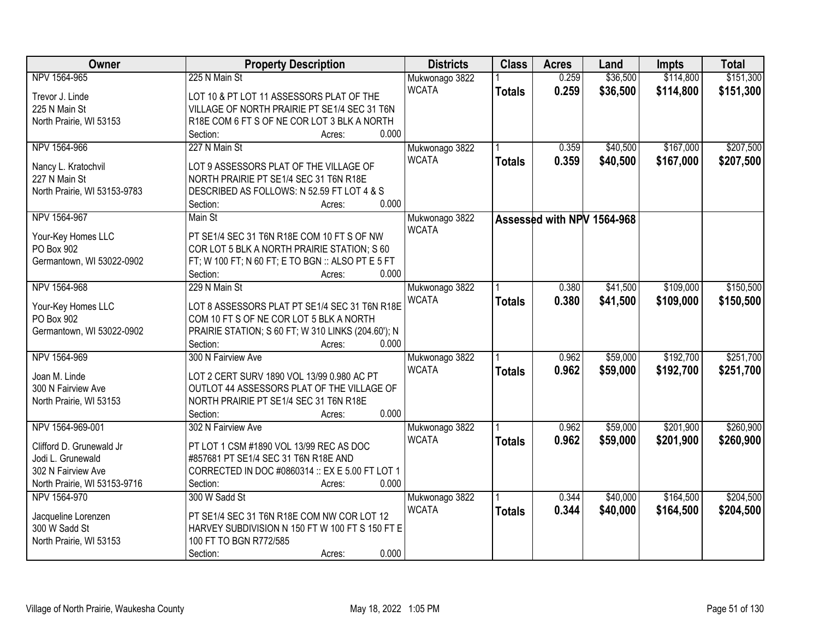| <b>Owner</b>                 | <b>Property Description</b>                        | <b>Districts</b> | <b>Class</b>  | <b>Acres</b>               | Land     | <b>Impts</b> | <b>Total</b> |
|------------------------------|----------------------------------------------------|------------------|---------------|----------------------------|----------|--------------|--------------|
| NPV 1564-965                 | 225 N Main St                                      | Mukwonago 3822   |               | 0.259                      | \$36,500 | \$114,800    | \$151,300    |
| Trevor J. Linde              | LOT 10 & PT LOT 11 ASSESSORS PLAT OF THE           | <b>WCATA</b>     | <b>Totals</b> | 0.259                      | \$36,500 | \$114,800    | \$151,300    |
| 225 N Main St                | VILLAGE OF NORTH PRAIRIE PT SE1/4 SEC 31 T6N       |                  |               |                            |          |              |              |
| North Prairie, WI 53153      | R18E COM 6 FT S OF NE COR LOT 3 BLK A NORTH        |                  |               |                            |          |              |              |
|                              | 0.000<br>Section:<br>Acres:                        |                  |               |                            |          |              |              |
| NPV 1564-966                 | 227 N Main St                                      | Mukwonago 3822   |               | 0.359                      | \$40,500 | \$167,000    | \$207,500    |
|                              |                                                    | <b>WCATA</b>     | <b>Totals</b> | 0.359                      | \$40,500 | \$167,000    | \$207,500    |
| Nancy L. Kratochvil          | LOT 9 ASSESSORS PLAT OF THE VILLAGE OF             |                  |               |                            |          |              |              |
| 227 N Main St                | NORTH PRAIRIE PT SE1/4 SEC 31 T6N R18E             |                  |               |                            |          |              |              |
| North Prairie, WI 53153-9783 | DESCRIBED AS FOLLOWS: N 52.59 FT LOT 4 & S         |                  |               |                            |          |              |              |
|                              | 0.000<br>Section:<br>Acres:                        |                  |               |                            |          |              |              |
| NPV 1564-967                 | Main St                                            | Mukwonago 3822   |               | Assessed with NPV 1564-968 |          |              |              |
| Your-Key Homes LLC           | PT SE1/4 SEC 31 T6N R18E COM 10 FT S OF NW         | <b>WCATA</b>     |               |                            |          |              |              |
| PO Box 902                   | COR LOT 5 BLK A NORTH PRAIRIE STATION: S 60        |                  |               |                            |          |              |              |
| Germantown, WI 53022-0902    | FT; W 100 FT; N 60 FT; E TO BGN :: ALSO PT E 5 FT  |                  |               |                            |          |              |              |
|                              | Section:<br>0.000<br>Acres:                        |                  |               |                            |          |              |              |
| NPV 1564-968                 | 229 N Main St                                      | Mukwonago 3822   |               | 0.380                      | \$41,500 | \$109,000    | \$150,500    |
|                              |                                                    | <b>WCATA</b>     | <b>Totals</b> | 0.380                      | \$41,500 | \$109,000    | \$150,500    |
| Your-Key Homes LLC           | LOT 8 ASSESSORS PLAT PT SE1/4 SEC 31 T6N R18E      |                  |               |                            |          |              |              |
| PO Box 902                   | COM 10 FT S OF NE COR LOT 5 BLK A NORTH            |                  |               |                            |          |              |              |
| Germantown, WI 53022-0902    | PRAIRIE STATION; S 60 FT; W 310 LINKS (204.60'); N |                  |               |                            |          |              |              |
|                              | 0.000<br>Section:<br>Acres:                        |                  |               |                            |          |              |              |
| NPV 1564-969                 | 300 N Fairview Ave                                 | Mukwonago 3822   |               | 0.962                      | \$59,000 | \$192,700    | \$251,700    |
| Joan M. Linde                | LOT 2 CERT SURV 1890 VOL 13/99 0.980 AC PT         | <b>WCATA</b>     | <b>Totals</b> | 0.962                      | \$59,000 | \$192,700    | \$251,700    |
| 300 N Fairview Ave           | OUTLOT 44 ASSESSORS PLAT OF THE VILLAGE OF         |                  |               |                            |          |              |              |
|                              | NORTH PRAIRIE PT SE1/4 SEC 31 T6N R18E             |                  |               |                            |          |              |              |
| North Prairie, WI 53153      | 0.000                                              |                  |               |                            |          |              |              |
|                              | Section:<br>Acres:                                 |                  |               |                            |          |              |              |
| NPV 1564-969-001             | 302 N Fairview Ave                                 | Mukwonago 3822   |               | 0.962                      | \$59,000 | \$201,900    | \$260,900    |
| Clifford D. Grunewald Jr     | PT LOT 1 CSM #1890 VOL 13/99 REC AS DOC            | <b>WCATA</b>     | <b>Totals</b> | 0.962                      | \$59,000 | \$201,900    | \$260,900    |
| Jodi L. Grunewald            | #857681 PT SE1/4 SEC 31 T6N R18E AND               |                  |               |                            |          |              |              |
| 302 N Fairview Ave           | CORRECTED IN DOC #0860314 :: EX E 5.00 FT LOT 1    |                  |               |                            |          |              |              |
| North Prairie, WI 53153-9716 | 0.000<br>Section:<br>Acres:                        |                  |               |                            |          |              |              |
| NPV 1564-970                 | 300 W Sadd St                                      | Mukwonago 3822   |               | 0.344                      | \$40,000 | \$164,500    | \$204,500    |
|                              |                                                    | <b>WCATA</b>     | <b>Totals</b> | 0.344                      | \$40,000 | \$164,500    | \$204,500    |
| Jacqueline Lorenzen          | PT SE1/4 SEC 31 T6N R18E COM NW COR LOT 12         |                  |               |                            |          |              |              |
| 300 W Sadd St                | HARVEY SUBDIVISION N 150 FT W 100 FT S 150 FT E    |                  |               |                            |          |              |              |
| North Prairie, WI 53153      | 100 FT TO BGN R772/585                             |                  |               |                            |          |              |              |
|                              | 0.000<br>Section:<br>Acres:                        |                  |               |                            |          |              |              |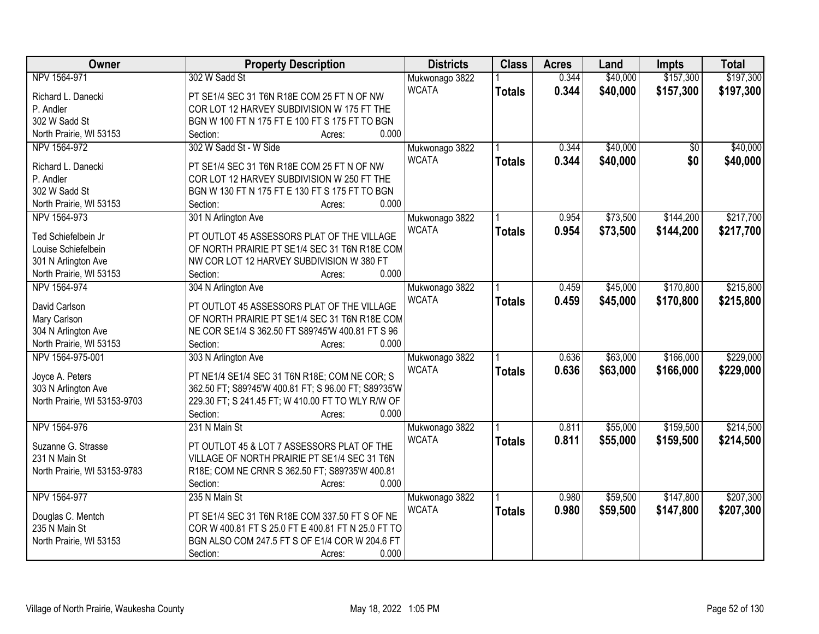| \$157,300<br>\$197,300<br>NPV 1564-971<br>302 W Sadd St<br>0.344<br>\$40,000<br>Mukwonago 3822<br><b>WCATA</b>                                      |  |
|-----------------------------------------------------------------------------------------------------------------------------------------------------|--|
|                                                                                                                                                     |  |
| 0.344<br>\$40,000<br>\$157,300<br>\$197,300<br><b>Totals</b><br>PT SE1/4 SEC 31 T6N R18E COM 25 FT N OF NW<br>Richard L. Danecki                    |  |
| P. Andler<br>COR LOT 12 HARVEY SUBDIVISION W 175 FT THE                                                                                             |  |
| 302 W Sadd St<br>BGN W 100 FT N 175 FT E 100 FT S 175 FT TO BGN                                                                                     |  |
| North Prairie, WI 53153<br>0.000<br>Section:<br>Acres:                                                                                              |  |
| 302 W Sadd St - W Side<br>\$40,000<br>\$40,000<br>NPV 1564-972<br>0.344<br>$\overline{30}$<br>Mukwonago 3822                                        |  |
| <b>WCATA</b><br>0.344<br>\$40,000<br>\$0<br>\$40,000<br><b>Totals</b><br>Richard L. Danecki<br>PT SE1/4 SEC 31 T6N R18E COM 25 FT N OF NW           |  |
| P. Andler<br>COR LOT 12 HARVEY SUBDIVISION W 250 FT THE                                                                                             |  |
| 302 W Sadd St<br>BGN W 130 FT N 175 FT E 130 FT S 175 FT TO BGN                                                                                     |  |
| 0.000<br>North Prairie, WI 53153<br>Section:<br>Acres:                                                                                              |  |
| 301 N Arlington Ave<br>\$73,500<br>\$144,200<br>\$217,700<br>NPV 1564-973<br>Mukwonago 3822<br>0.954                                                |  |
| <b>WCATA</b><br>0.954<br>\$73,500<br>\$144,200<br>\$217,700<br><b>Totals</b>                                                                        |  |
| PT OUTLOT 45 ASSESSORS PLAT OF THE VILLAGE<br>Ted Schiefelbein Jr                                                                                   |  |
| OF NORTH PRAIRIE PT SE1/4 SEC 31 T6N R18E COM<br>Louise Schiefelbein                                                                                |  |
| NW COR LOT 12 HARVEY SUBDIVISION W 380 FT<br>301 N Arlington Ave                                                                                    |  |
| 0.000<br>North Prairie, WI 53153<br>Section:<br>Acres:                                                                                              |  |
| NPV 1564-974<br>304 N Arlington Ave<br>\$45,000<br>\$170,800<br>\$215,800<br>Mukwonago 3822<br>0.459                                                |  |
| <b>WCATA</b><br>0.459<br>\$45,000<br>\$170,800<br>\$215,800<br><b>Totals</b><br>David Carlson<br>PT OUTLOT 45 ASSESSORS PLAT OF THE VILLAGE         |  |
| Mary Carlson<br>OF NORTH PRAIRIE PT SE1/4 SEC 31 T6N R18E COM                                                                                       |  |
| 304 N Arlington Ave<br>NE COR SE1/4 S 362.50 FT S89?45'W 400.81 FT S 96                                                                             |  |
| 0.000<br>North Prairie, WI 53153<br>Section:<br>Acres:                                                                                              |  |
| \$229,000<br>303 N Arlington Ave<br>\$63,000<br>\$166,000<br>NPV 1564-975-001<br>0.636<br>Mukwonago 3822                                            |  |
| <b>WCATA</b><br>0.636<br>\$63,000<br>\$166,000<br>\$229,000<br><b>Totals</b><br>Joyce A. Peters<br>PT NE1/4 SE1/4 SEC 31 T6N R18E; COM NE COR; S    |  |
| 303 N Arlington Ave<br>362.50 FT; S89?45'W 400.81 FT; S 96.00 FT; S89?35'W                                                                          |  |
| North Prairie, WI 53153-9703<br>229.30 FT; S 241.45 FT; W 410.00 FT TO WLY R/W OF                                                                   |  |
| 0.000<br>Section:<br>Acres:                                                                                                                         |  |
| NPV 1564-976<br>\$55,000<br>\$159,500<br>\$214,500<br>231 N Main St<br>0.811<br>Mukwonago 3822                                                      |  |
| <b>WCATA</b><br>\$55,000<br>\$159,500<br>0.811<br>\$214,500                                                                                         |  |
| <b>Totals</b><br>Suzanne G. Strasse<br>PT OUTLOT 45 & LOT 7 ASSESSORS PLAT OF THE                                                                   |  |
| VILLAGE OF NORTH PRAIRIE PT SE1/4 SEC 31 T6N<br>231 N Main St                                                                                       |  |
| R18E; COM NE CRNR S 362.50 FT; S89?35'W 400.81<br>North Prairie, WI 53153-9783                                                                      |  |
| 0.000<br>Section:<br>Acres:                                                                                                                         |  |
| \$207,300<br>NPV 1564-977<br>235 N Main St<br>\$59,500<br>\$147,800<br>0.980<br>Mukwonago 3822                                                      |  |
| <b>WCATA</b><br>0.980<br>\$59,500<br>\$147,800<br>\$207,300<br><b>Totals</b><br>PT SE1/4 SEC 31 T6N R18E COM 337.50 FT S OF NE<br>Douglas C. Mentch |  |
| 235 N Main St<br>COR W 400.81 FT S 25.0 FT E 400.81 FT N 25.0 FT TO                                                                                 |  |
| BGN ALSO COM 247.5 FT S OF E1/4 COR W 204.6 FT<br>North Prairie, WI 53153                                                                           |  |
| 0.000<br>Section:<br>Acres:                                                                                                                         |  |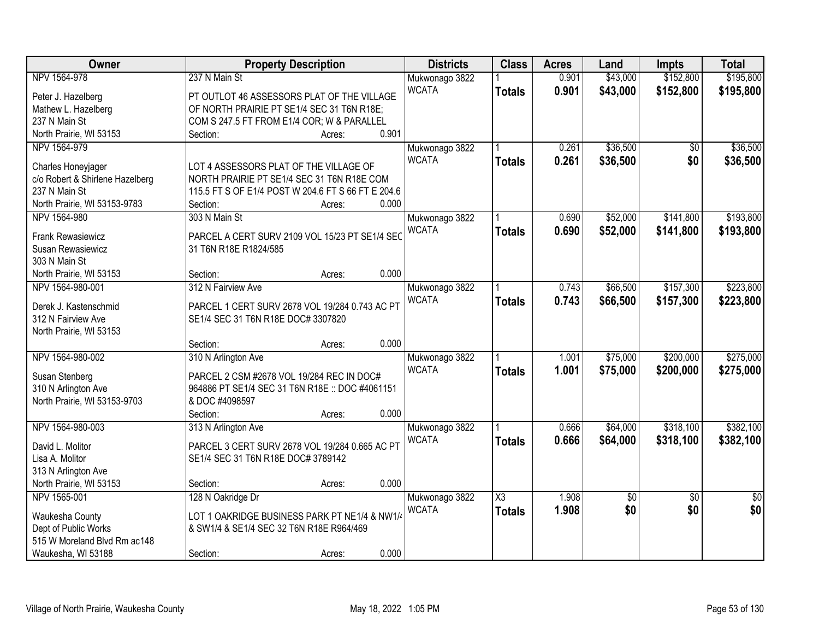| Owner                                                 | <b>Property Description</b>                                                          |        |       | <b>Districts</b> | <b>Class</b>           | <b>Acres</b> | Land            | <b>Impts</b>    | <b>Total</b>    |
|-------------------------------------------------------|--------------------------------------------------------------------------------------|--------|-------|------------------|------------------------|--------------|-----------------|-----------------|-----------------|
| NPV 1564-978                                          | 237 N Main St                                                                        |        |       | Mukwonago 3822   |                        | 0.901        | \$43,000        | \$152,800       | \$195,800       |
| Peter J. Hazelberg                                    | PT OUTLOT 46 ASSESSORS PLAT OF THE VILLAGE                                           |        |       | <b>WCATA</b>     | <b>Totals</b>          | 0.901        | \$43,000        | \$152,800       | \$195,800       |
| Mathew L. Hazelberg                                   | OF NORTH PRAIRIE PT SE1/4 SEC 31 T6N R18E;                                           |        |       |                  |                        |              |                 |                 |                 |
| 237 N Main St                                         | COM S 247.5 FT FROM E1/4 COR; W & PARALLEL                                           |        |       |                  |                        |              |                 |                 |                 |
| North Prairie, WI 53153                               | Section:                                                                             | Acres: | 0.901 |                  |                        |              |                 |                 |                 |
| NPV 1564-979                                          |                                                                                      |        |       | Mukwonago 3822   |                        | 0.261        | \$36,500        | \$0             | \$36,500        |
|                                                       |                                                                                      |        |       | <b>WCATA</b>     | <b>Totals</b>          | 0.261        | \$36,500        | \$0             | \$36,500        |
| Charles Honeyjager<br>c/o Robert & Shirlene Hazelberg | LOT 4 ASSESSORS PLAT OF THE VILLAGE OF<br>NORTH PRAIRIE PT SE1/4 SEC 31 T6N R18E COM |        |       |                  |                        |              |                 |                 |                 |
| 237 N Main St                                         | 115.5 FT S OF E1/4 POST W 204.6 FT S 66 FT E 204.6                                   |        |       |                  |                        |              |                 |                 |                 |
| North Prairie, WI 53153-9783                          | Section:                                                                             | Acres: | 0.000 |                  |                        |              |                 |                 |                 |
| NPV 1564-980                                          | 303 N Main St                                                                        |        |       | Mukwonago 3822   |                        | 0.690        | \$52,000        | \$141,800       | \$193,800       |
|                                                       |                                                                                      |        |       | <b>WCATA</b>     | <b>Totals</b>          | 0.690        | \$52,000        | \$141,800       | \$193,800       |
| Frank Rewasiewicz                                     | PARCEL A CERT SURV 2109 VOL 15/23 PT SE1/4 SEC                                       |        |       |                  |                        |              |                 |                 |                 |
| Susan Rewasiewicz                                     | 31 T6N R18E R1824/585                                                                |        |       |                  |                        |              |                 |                 |                 |
| 303 N Main St                                         |                                                                                      |        |       |                  |                        |              |                 |                 |                 |
| North Prairie, WI 53153                               | Section:                                                                             | Acres: | 0.000 |                  |                        |              |                 |                 |                 |
| NPV 1564-980-001                                      | 312 N Fairview Ave                                                                   |        |       | Mukwonago 3822   |                        | 0.743        | \$66,500        | \$157,300       | \$223,800       |
| Derek J. Kastenschmid                                 | PARCEL 1 CERT SURV 2678 VOL 19/284 0.743 AC PT                                       |        |       | <b>WCATA</b>     | <b>Totals</b>          | 0.743        | \$66,500        | \$157,300       | \$223,800       |
| 312 N Fairview Ave                                    | SE1/4 SEC 31 T6N R18E DOC# 3307820                                                   |        |       |                  |                        |              |                 |                 |                 |
| North Prairie, WI 53153                               |                                                                                      |        |       |                  |                        |              |                 |                 |                 |
|                                                       | Section:                                                                             | Acres: | 0.000 |                  |                        |              |                 |                 |                 |
| NPV 1564-980-002                                      | 310 N Arlington Ave                                                                  |        |       | Mukwonago 3822   |                        | 1.001        | \$75,000        | \$200,000       | \$275,000       |
|                                                       |                                                                                      |        |       | <b>WCATA</b>     | <b>Totals</b>          | 1.001        | \$75,000        | \$200,000       | \$275,000       |
| Susan Stenberg                                        | PARCEL 2 CSM #2678 VOL 19/284 REC IN DOC#                                            |        |       |                  |                        |              |                 |                 |                 |
| 310 N Arlington Ave<br>North Prairie, WI 53153-9703   | 964886 PT SE1/4 SEC 31 T6N R18E :: DOC #4061151<br>& DOC #4098597                    |        |       |                  |                        |              |                 |                 |                 |
|                                                       | Section:                                                                             | Acres: | 0.000 |                  |                        |              |                 |                 |                 |
| NPV 1564-980-003                                      | 313 N Arlington Ave                                                                  |        |       | Mukwonago 3822   |                        | 0.666        | \$64,000        | \$318,100       | \$382,100       |
|                                                       |                                                                                      |        |       | <b>WCATA</b>     |                        | 0.666        | \$64,000        | \$318,100       | \$382,100       |
| David L. Molitor                                      | PARCEL 3 CERT SURV 2678 VOL 19/284 0.665 AC PT                                       |        |       |                  | <b>Totals</b>          |              |                 |                 |                 |
| Lisa A. Molitor                                       | SE1/4 SEC 31 T6N R18E DOC# 3789142                                                   |        |       |                  |                        |              |                 |                 |                 |
| 313 N Arlington Ave                                   |                                                                                      |        |       |                  |                        |              |                 |                 |                 |
| North Prairie, WI 53153                               | Section:                                                                             | Acres: | 0.000 |                  |                        |              |                 |                 |                 |
| NPV 1565-001                                          | 128 N Oakridge Dr                                                                    |        |       | Mukwonago 3822   | $\overline{\text{X3}}$ | 1.908        | $\overline{50}$ | $\overline{50}$ | $\overline{50}$ |
| Waukesha County                                       | LOT 1 OAKRIDGE BUSINESS PARK PT NE1/4 & NW1/4                                        |        |       | <b>WCATA</b>     | <b>Totals</b>          | 1.908        | \$0             | \$0             | \$0             |
| Dept of Public Works                                  | & SW1/4 & SE1/4 SEC 32 T6N R18E R964/469                                             |        |       |                  |                        |              |                 |                 |                 |
| 515 W Moreland Blvd Rm ac148                          |                                                                                      |        |       |                  |                        |              |                 |                 |                 |
| Waukesha, WI 53188                                    | Section:                                                                             | Acres: | 0.000 |                  |                        |              |                 |                 |                 |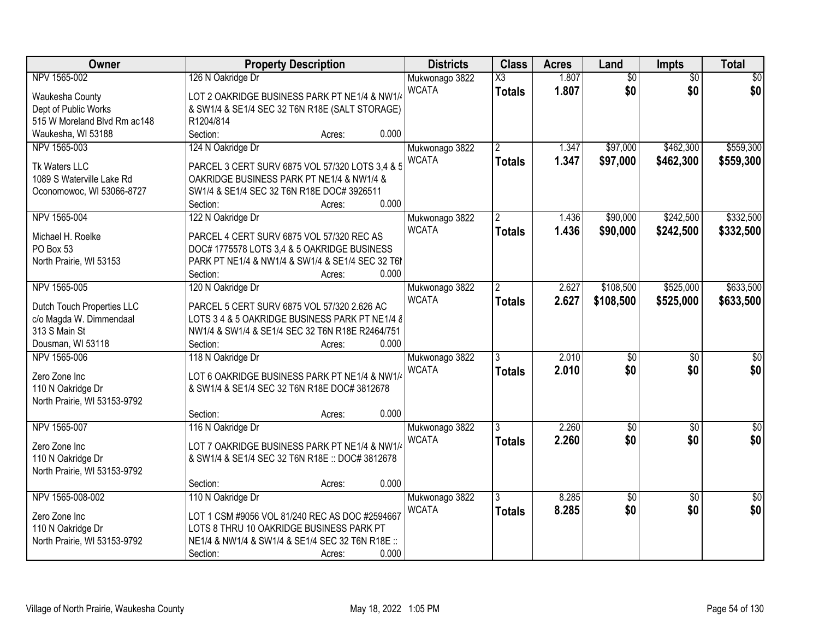| Owner                        | <b>Property Description</b>                                                                  | <b>Districts</b> | <b>Class</b>           | <b>Acres</b> | Land            | Impts           | <b>Total</b>    |
|------------------------------|----------------------------------------------------------------------------------------------|------------------|------------------------|--------------|-----------------|-----------------|-----------------|
| NPV 1565-002                 | 126 N Oakridge Dr                                                                            | Mukwonago 3822   | $\overline{\text{X3}}$ | 1.807        | $\overline{60}$ | $\overline{50}$ | $\overline{50}$ |
| Waukesha County              | LOT 2 OAKRIDGE BUSINESS PARK PT NE1/4 & NW1/4                                                | <b>WCATA</b>     | <b>Totals</b>          | 1.807        | \$0             | \$0             | \$0             |
| Dept of Public Works         | & SW1/4 & SE1/4 SEC 32 T6N R18E (SALT STORAGE)                                               |                  |                        |              |                 |                 |                 |
| 515 W Moreland Blvd Rm ac148 | R1204/814                                                                                    |                  |                        |              |                 |                 |                 |
| Waukesha, WI 53188           | 0.000<br>Section:<br>Acres:                                                                  |                  |                        |              |                 |                 |                 |
| NPV 1565-003                 | 124 N Oakridge Dr                                                                            | Mukwonago 3822   | $\overline{2}$         | 1.347        | \$97,000        | \$462,300       | \$559,300       |
|                              |                                                                                              | <b>WCATA</b>     | <b>Totals</b>          | 1.347        | \$97,000        | \$462,300       | \$559,300       |
| Tk Waters LLC                | PARCEL 3 CERT SURV 6875 VOL 57/320 LOTS 3,4 & 5<br>OAKRIDGE BUSINESS PARK PT NE1/4 & NW1/4 & |                  |                        |              |                 |                 |                 |
| 1089 S Waterville Lake Rd    | SW1/4 & SE1/4 SEC 32 T6N R18E DOC# 3926511                                                   |                  |                        |              |                 |                 |                 |
| Oconomowoc, WI 53066-8727    | 0.000<br>Section:<br>Acres:                                                                  |                  |                        |              |                 |                 |                 |
| NPV 1565-004                 | 122 N Oakridge Dr                                                                            | Mukwonago 3822   | $\overline{2}$         | 1.436        | \$90,000        | \$242,500       | \$332,500       |
|                              |                                                                                              | <b>WCATA</b>     |                        |              |                 |                 |                 |
| Michael H. Roelke            | PARCEL 4 CERT SURV 6875 VOL 57/320 REC AS                                                    |                  | <b>Totals</b>          | 1.436        | \$90,000        | \$242,500       | \$332,500       |
| PO Box 53                    | DOC# 1775578 LOTS 3,4 & 5 OAKRIDGE BUSINESS                                                  |                  |                        |              |                 |                 |                 |
| North Prairie, WI 53153      | PARK PT NE1/4 & NW1/4 & SW1/4 & SE1/4 SEC 32 T6                                              |                  |                        |              |                 |                 |                 |
|                              | 0.000<br>Section:<br>Acres:                                                                  |                  |                        |              |                 |                 |                 |
| NPV 1565-005                 | 120 N Oakridge Dr                                                                            | Mukwonago 3822   | $\mathbf{2}^{\circ}$   | 2.627        | \$108,500       | \$525,000       | \$633,500       |
| Dutch Touch Properties LLC   | PARCEL 5 CERT SURV 6875 VOL 57/320 2.626 AC                                                  | <b>WCATA</b>     | <b>Totals</b>          | 2.627        | \$108,500       | \$525,000       | \$633,500       |
| c/o Magda W. Dimmendaal      | LOTS 3 4 & 5 OAKRIDGE BUSINESS PARK PT NE1/4 &                                               |                  |                        |              |                 |                 |                 |
| 313 S Main St                | NW1/4 & SW1/4 & SE1/4 SEC 32 T6N R18E R2464/751                                              |                  |                        |              |                 |                 |                 |
| Dousman, WI 53118            | 0.000<br>Section:<br>Acres:                                                                  |                  |                        |              |                 |                 |                 |
| NPV 1565-006                 | 118 N Oakridge Dr                                                                            | Mukwonago 3822   |                        | 2.010        | $\overline{50}$ | $\overline{50}$ | $\overline{50}$ |
|                              |                                                                                              | <b>WCATA</b>     | <b>Totals</b>          | 2.010        | \$0             | \$0             | \$0             |
| Zero Zone Inc                | LOT 6 OAKRIDGE BUSINESS PARK PT NE1/4 & NW1/4                                                |                  |                        |              |                 |                 |                 |
| 110 N Oakridge Dr            | & SW1/4 & SE1/4 SEC 32 T6N R18E DOC# 3812678                                                 |                  |                        |              |                 |                 |                 |
| North Prairie, WI 53153-9792 |                                                                                              |                  |                        |              |                 |                 |                 |
|                              | 0.000<br>Section:<br>Acres:                                                                  |                  |                        |              |                 |                 |                 |
| NPV 1565-007                 | 116 N Oakridge Dr                                                                            | Mukwonago 3822   |                        | 2.260        | \$0             | $\sqrt{6}$      | $\frac{6}{3}$   |
| Zero Zone Inc                | LOT 7 OAKRIDGE BUSINESS PARK PT NE1/4 & NW1/4                                                | <b>WCATA</b>     | <b>Totals</b>          | 2.260        | \$0             | \$0             | \$0             |
| 110 N Oakridge Dr            | & SW1/4 & SE1/4 SEC 32 T6N R18E :: DOC# 3812678                                              |                  |                        |              |                 |                 |                 |
| North Prairie, WI 53153-9792 |                                                                                              |                  |                        |              |                 |                 |                 |
|                              | 0.000<br>Section:<br>Acres:                                                                  |                  |                        |              |                 |                 |                 |
| NPV 1565-008-002             | 110 N Oakridge Dr                                                                            | Mukwonago 3822   | 3                      | 8.285        | $\overline{50}$ | $\overline{50}$ | $\overline{50}$ |
|                              |                                                                                              | <b>WCATA</b>     | <b>Totals</b>          | 8.285        | \$0             | \$0             | \$0             |
| Zero Zone Inc                | LOT 1 CSM #9056 VOL 81/240 REC AS DOC #2594667                                               |                  |                        |              |                 |                 |                 |
| 110 N Oakridge Dr            | LOTS 8 THRU 10 OAKRIDGE BUSINESS PARK PT                                                     |                  |                        |              |                 |                 |                 |
| North Prairie, WI 53153-9792 | NE1/4 & NW1/4 & SW1/4 & SE1/4 SEC 32 T6N R18E ::                                             |                  |                        |              |                 |                 |                 |
|                              | 0.000<br>Section:<br>Acres:                                                                  |                  |                        |              |                 |                 |                 |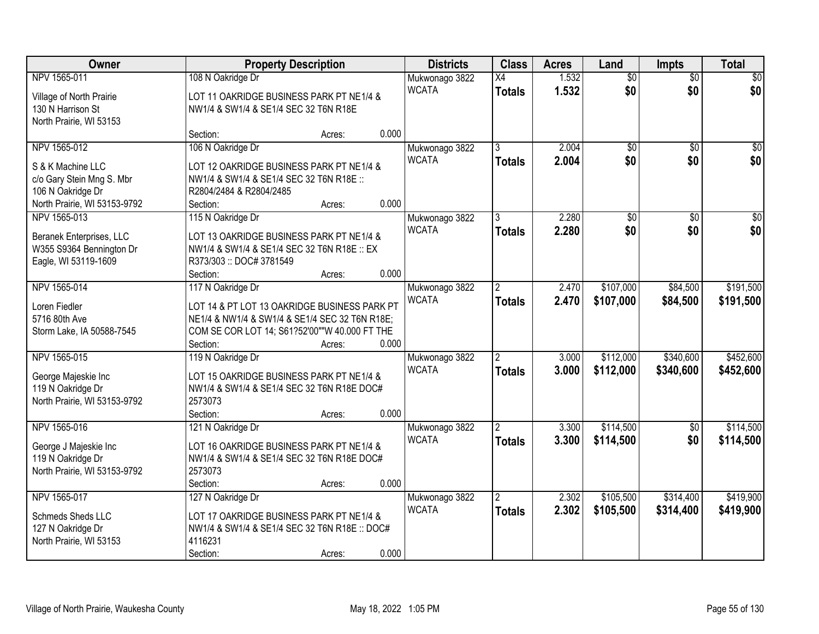| Owner                                             | <b>Property Description</b>                                                                    | <b>Districts</b> | <b>Class</b>   | <b>Acres</b> | Land            | <b>Impts</b>    | <b>Total</b>     |
|---------------------------------------------------|------------------------------------------------------------------------------------------------|------------------|----------------|--------------|-----------------|-----------------|------------------|
| NPV 1565-011                                      | 108 N Oakridge Dr                                                                              | Mukwonago 3822   | X4             | 1.532        | $\overline{50}$ | $\overline{50}$ | $\overline{30}$  |
| Village of North Prairie                          | LOT 11 OAKRIDGE BUSINESS PARK PT NE1/4 &                                                       | <b>WCATA</b>     | <b>Totals</b>  | 1.532        | \$0             | \$0             | \$0              |
| 130 N Harrison St                                 | NW1/4 & SW1/4 & SE1/4 SEC 32 T6N R18E                                                          |                  |                |              |                 |                 |                  |
| North Prairie, WI 53153                           |                                                                                                |                  |                |              |                 |                 |                  |
|                                                   | 0.000<br>Section:<br>Acres:                                                                    |                  |                |              |                 |                 |                  |
| NPV 1565-012                                      | 106 N Oakridge Dr                                                                              | Mukwonago 3822   |                | 2.004        | $\overline{50}$ | $\overline{50}$ | $\overline{\$0}$ |
| S & K Machine LLC                                 | LOT 12 OAKRIDGE BUSINESS PARK PT NE1/4 &                                                       | <b>WCATA</b>     | <b>Totals</b>  | 2.004        | \$0             | \$0             | \$0              |
| c/o Gary Stein Mng S. Mbr                         | NW1/4 & SW1/4 & SE1/4 SEC 32 T6N R18E ::                                                       |                  |                |              |                 |                 |                  |
| 106 N Oakridge Dr                                 | R2804/2484 & R2804/2485                                                                        |                  |                |              |                 |                 |                  |
| North Prairie, WI 53153-9792                      | 0.000<br>Section:<br>Acres:                                                                    |                  |                |              |                 |                 |                  |
| NPV 1565-013                                      | 115 N Oakridge Dr                                                                              | Mukwonago 3822   | 3              | 2.280        | \$0             | \$0             | \$0              |
| Beranek Enterprises, LLC                          | LOT 13 OAKRIDGE BUSINESS PARK PT NE1/4 &                                                       | <b>WCATA</b>     | <b>Totals</b>  | 2.280        | \$0             | \$0             | \$0              |
| W355 S9364 Bennington Dr                          | NW1/4 & SW1/4 & SE1/4 SEC 32 T6N R18E :: EX                                                    |                  |                |              |                 |                 |                  |
| Eagle, WI 53119-1609                              | R373/303: DOC#3781549                                                                          |                  |                |              |                 |                 |                  |
|                                                   | 0.000<br>Section:<br>Acres:                                                                    |                  |                |              |                 |                 |                  |
| NPV 1565-014                                      | 117 N Oakridge Dr                                                                              | Mukwonago 3822   | $\overline{2}$ | 2.470        | \$107,000       | \$84,500        | \$191,500        |
| Loren Fiedler                                     |                                                                                                | <b>WCATA</b>     | <b>Totals</b>  | 2.470        | \$107,000       | \$84,500        | \$191,500        |
| 5716 80th Ave                                     | LOT 14 & PT LOT 13 OAKRIDGE BUSINESS PARK PT<br>NE1/4 & NW1/4 & SW1/4 & SE1/4 SEC 32 T6N R18E; |                  |                |              |                 |                 |                  |
| Storm Lake, IA 50588-7545                         | COM SE COR LOT 14; S61?52'00""W 40.000 FT THE                                                  |                  |                |              |                 |                 |                  |
|                                                   | 0.000<br>Section:<br>Acres:                                                                    |                  |                |              |                 |                 |                  |
| NPV 1565-015                                      | 119 N Oakridge Dr                                                                              | Mukwonago 3822   |                | 3.000        | \$112,000       | \$340,600       | \$452,600        |
|                                                   |                                                                                                | <b>WCATA</b>     | <b>Totals</b>  | 3.000        | \$112,000       | \$340,600       | \$452,600        |
| George Majeskie Inc                               | LOT 15 OAKRIDGE BUSINESS PARK PT NE1/4 &                                                       |                  |                |              |                 |                 |                  |
| 119 N Oakridge Dr<br>North Prairie, WI 53153-9792 | NW1/4 & SW1/4 & SE1/4 SEC 32 T6N R18E DOC#<br>2573073                                          |                  |                |              |                 |                 |                  |
|                                                   | 0.000<br>Section:<br>Acres:                                                                    |                  |                |              |                 |                 |                  |
| NPV 1565-016                                      | 121 N Oakridge Dr                                                                              | Mukwonago 3822   |                | 3.300        | \$114,500       | $\overline{50}$ | \$114,500        |
|                                                   |                                                                                                | <b>WCATA</b>     | <b>Totals</b>  | 3.300        | \$114,500       | \$0             | \$114,500        |
| George J Majeskie Inc                             | LOT 16 OAKRIDGE BUSINESS PARK PT NE1/4 &                                                       |                  |                |              |                 |                 |                  |
| 119 N Oakridge Dr                                 | NW1/4 & SW1/4 & SE1/4 SEC 32 T6N R18E DOC#<br>2573073                                          |                  |                |              |                 |                 |                  |
| North Prairie, WI 53153-9792                      | 0.000<br>Section:<br>Acres:                                                                    |                  |                |              |                 |                 |                  |
| NPV 1565-017                                      | 127 N Oakridge Dr                                                                              | Mukwonago 3822   | $\overline{2}$ | 2.302        | \$105,500       | \$314,400       | \$419,900        |
|                                                   |                                                                                                | <b>WCATA</b>     | <b>Totals</b>  | 2.302        | \$105,500       | \$314,400       | \$419,900        |
| Schmeds Sheds LLC                                 | LOT 17 OAKRIDGE BUSINESS PARK PT NE1/4 &                                                       |                  |                |              |                 |                 |                  |
| 127 N Oakridge Dr                                 | NW1/4 & SW1/4 & SE1/4 SEC 32 T6N R18E :: DOC#                                                  |                  |                |              |                 |                 |                  |
| North Prairie, WI 53153                           | 4116231                                                                                        |                  |                |              |                 |                 |                  |
|                                                   | 0.000<br>Section:<br>Acres:                                                                    |                  |                |              |                 |                 |                  |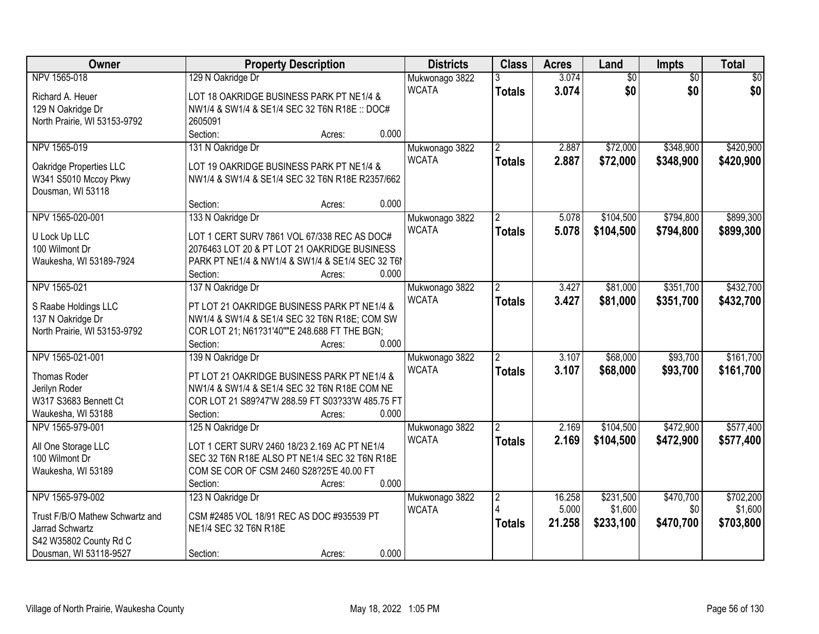| Owner                           | <b>Property Description</b>                       | <b>Districts</b> | <b>Class</b>   | <b>Acres</b>    | Land            | Impts           | <b>Total</b>    |
|---------------------------------|---------------------------------------------------|------------------|----------------|-----------------|-----------------|-----------------|-----------------|
| NPV 1565-018                    | 129 N Oakridge Dr                                 | Mukwonago 3822   |                | 3.074           | $\overline{60}$ | $\overline{50}$ | $\overline{50}$ |
| Richard A. Heuer                | LOT 18 OAKRIDGE BUSINESS PARK PT NE1/4 &          | <b>WCATA</b>     | <b>Totals</b>  | 3.074           | \$0             | \$0             | \$0             |
| 129 N Oakridge Dr               | NW1/4 & SW1/4 & SE1/4 SEC 32 T6N R18E :: DOC#     |                  |                |                 |                 |                 |                 |
| North Prairie, WI 53153-9792    | 2605091                                           |                  |                |                 |                 |                 |                 |
|                                 | 0.000<br>Section:<br>Acres:                       |                  |                |                 |                 |                 |                 |
| NPV 1565-019                    | 131 N Oakridge Dr                                 | Mukwonago 3822   | $\mathcal{P}$  | 2.887           | \$72,000        | \$348,900       | \$420,900       |
|                                 |                                                   | <b>WCATA</b>     | <b>Totals</b>  | 2.887           | \$72,000        | \$348,900       | \$420,900       |
| Oakridge Properties LLC         | LOT 19 OAKRIDGE BUSINESS PARK PT NE1/4 &          |                  |                |                 |                 |                 |                 |
| W341 S5010 Mccoy Pkwy           | NW1/4 & SW1/4 & SE1/4 SEC 32 T6N R18E R2357/662   |                  |                |                 |                 |                 |                 |
| Dousman, WI 53118               |                                                   |                  |                |                 |                 |                 |                 |
|                                 | 0.000<br>Section:<br>Acres:                       |                  |                |                 |                 |                 |                 |
| NPV 1565-020-001                | 133 N Oakridge Dr                                 | Mukwonago 3822   |                | 5.078           | \$104,500       | \$794,800       | \$899,300       |
| U Lock Up LLC                   | LOT 1 CERT SURV 7861 VOL 67/338 REC AS DOC#       | <b>WCATA</b>     | <b>Totals</b>  | 5.078           | \$104,500       | \$794,800       | \$899,300       |
| 100 Wilmont Dr                  | 2076463 LOT 20 & PT LOT 21 OAKRIDGE BUSINESS      |                  |                |                 |                 |                 |                 |
| Waukesha, WI 53189-7924         | PARK PT NE1/4 & NW1/4 & SW1/4 & SE1/4 SEC 32 T6   |                  |                |                 |                 |                 |                 |
|                                 | 0.000<br>Section:<br>Acres:                       |                  |                |                 |                 |                 |                 |
| NPV 1565-021                    | 137 N Oakridge Dr                                 | Mukwonago 3822   | $\overline{2}$ | 3.427           | \$81,000        | \$351,700       | \$432,700       |
|                                 |                                                   | <b>WCATA</b>     | <b>Totals</b>  | 3.427           | \$81,000        | \$351,700       | \$432,700       |
| S Raabe Holdings LLC            | PT LOT 21 OAKRIDGE BUSINESS PARK PT NE1/4 &       |                  |                |                 |                 |                 |                 |
| 137 N Oakridge Dr               | NW1/4 & SW1/4 & SE1/4 SEC 32 T6N R18E; COM SW     |                  |                |                 |                 |                 |                 |
| North Prairie, WI 53153-9792    | COR LOT 21; N61?31'40""E 248.688 FT THE BGN;      |                  |                |                 |                 |                 |                 |
|                                 | 0.000<br>Section:<br>Acres:                       |                  |                |                 |                 |                 |                 |
| NPV 1565-021-001                | 139 N Oakridge Dr                                 | Mukwonago 3822   | $\overline{2}$ | 3.107           | \$68,000        | \$93,700        | \$161,700       |
| <b>Thomas Roder</b>             | PT LOT 21 OAKRIDGE BUSINESS PARK PT NE1/4 &       | <b>WCATA</b>     | <b>Totals</b>  | 3.107           | \$68,000        | \$93,700        | \$161,700       |
| Jerilyn Roder                   | NW1/4 & SW1/4 & SE1/4 SEC 32 T6N R18E COM NE      |                  |                |                 |                 |                 |                 |
| W317 S3683 Bennett Ct           | COR LOT 21 S89?47'W 288.59 FT S03?33'W 485.75 FT  |                  |                |                 |                 |                 |                 |
| Waukesha, WI 53188              | 0.000<br>Section:<br>Acres:                       |                  |                |                 |                 |                 |                 |
| NPV 1565-979-001                | 125 N Oakridge Dr                                 | Mukwonago 3822   |                | 2.169           | \$104,500       | \$472,900       | \$577,400       |
|                                 |                                                   | <b>WCATA</b>     | <b>Totals</b>  | 2.169           | \$104,500       | \$472,900       | \$577,400       |
| All One Storage LLC             | LOT 1 CERT SURV 2460 18/23 2.169 AC PT NE1/4      |                  |                |                 |                 |                 |                 |
| 100 Wilmont Dr                  | SEC 32 T6N R18E ALSO PT NE1/4 SEC 32 T6N R18E     |                  |                |                 |                 |                 |                 |
| Waukesha, WI 53189              | COM SE COR OF CSM 2460 S28?25'E 40.00 FT<br>0.000 |                  |                |                 |                 |                 |                 |
|                                 | Section:<br>Acres:                                |                  |                |                 |                 |                 |                 |
| NPV 1565-979-002                | 123 N Oakridge Dr                                 | Mukwonago 3822   | $\overline{2}$ | 16.258<br>5.000 | \$231,500       | \$470,700       | \$702,200       |
| Trust F/B/O Mathew Schwartz and | CSM #2485 VOL 18/91 REC AS DOC #935539 PT         | <b>WCATA</b>     |                |                 | \$1,600         | \$0             | \$1,600         |
| Jarrad Schwartz                 | NE1/4 SEC 32 T6N R18E                             |                  | <b>Totals</b>  | 21.258          | \$233,100       | \$470,700       | \$703,800       |
| S42 W35802 County Rd C          |                                                   |                  |                |                 |                 |                 |                 |
| Dousman, WI 53118-9527          | 0.000<br>Section:<br>Acres:                       |                  |                |                 |                 |                 |                 |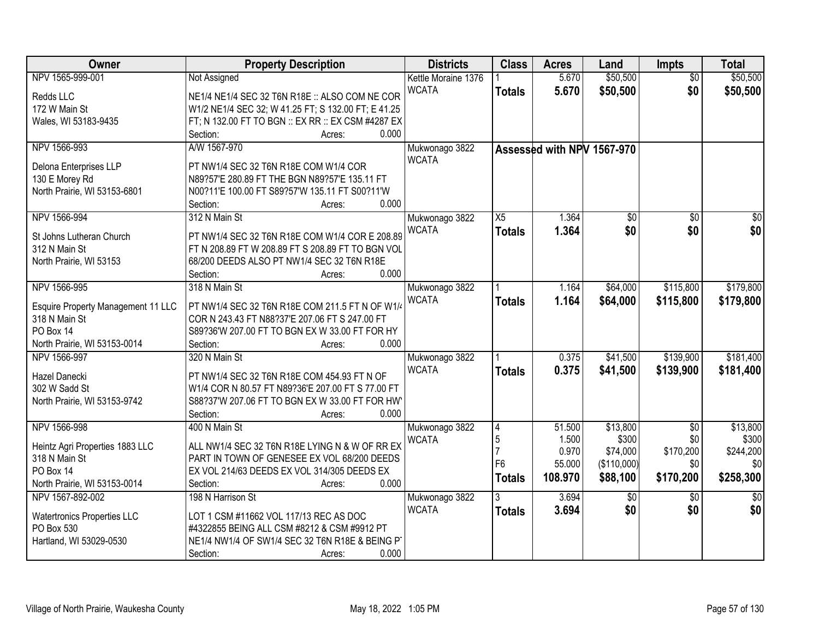| Owner                                     | <b>Property Description</b>                         | <b>Districts</b>    | <b>Class</b>    | <b>Acres</b> | Land                       | Impts           | <b>Total</b>    |
|-------------------------------------------|-----------------------------------------------------|---------------------|-----------------|--------------|----------------------------|-----------------|-----------------|
| NPV 1565-999-001                          | <b>Not Assigned</b>                                 | Kettle Moraine 1376 |                 | 5.670        | \$50,500                   | $\overline{50}$ | \$50,500        |
| Redds LLC                                 | NE1/4 NE1/4 SEC 32 T6N R18E :: ALSO COM NE COR      | <b>WCATA</b>        | <b>Totals</b>   | 5.670        | \$50,500                   | \$0             | \$50,500        |
| 172 W Main St                             | W1/2 NE1/4 SEC 32; W 41.25 FT; S 132.00 FT; E 41.25 |                     |                 |              |                            |                 |                 |
| Wales, WI 53183-9435                      | FT; N 132.00 FT TO BGN :: EX RR :: EX CSM #4287 EX  |                     |                 |              |                            |                 |                 |
|                                           | 0.000<br>Section:<br>Acres:                         |                     |                 |              |                            |                 |                 |
| NPV 1566-993                              | A/W 1567-970                                        | Mukwonago 3822      |                 |              | Assessed with NPV 1567-970 |                 |                 |
| Delona Enterprises LLP                    | PT NW1/4 SEC 32 T6N R18E COM W1/4 COR               | <b>WCATA</b>        |                 |              |                            |                 |                 |
| 130 E Morey Rd                            | N89?57'E 280.89 FT THE BGN N89?57'E 135.11 FT       |                     |                 |              |                            |                 |                 |
| North Prairie, WI 53153-6801              | N00?11'E 100.00 FT S89?57'W 135.11 FT S00?11'W      |                     |                 |              |                            |                 |                 |
|                                           | 0.000<br>Section:<br>Acres:                         |                     |                 |              |                            |                 |                 |
| NPV 1566-994                              | 312 N Main St                                       | Mukwonago 3822      | $\overline{X5}$ | 1.364        | \$0                        | $\overline{50}$ | $\overline{50}$ |
|                                           |                                                     | <b>WCATA</b>        | <b>Totals</b>   | 1.364        | \$0                        | \$0             | \$0             |
| St Johns Lutheran Church                  | PT NW1/4 SEC 32 T6N R18E COM W1/4 COR E 208.89      |                     |                 |              |                            |                 |                 |
| 312 N Main St                             | FT N 208.89 FT W 208.89 FT S 208.89 FT TO BGN VOL   |                     |                 |              |                            |                 |                 |
| North Prairie, WI 53153                   | 68/200 DEEDS ALSO PT NW1/4 SEC 32 T6N R18E          |                     |                 |              |                            |                 |                 |
|                                           | 0.000<br>Section:<br>Acres:                         |                     |                 |              |                            |                 |                 |
| NPV 1566-995                              | 318 N Main St                                       | Mukwonago 3822      |                 | 1.164        | \$64,000                   | \$115,800       | \$179,800       |
| <b>Esquire Property Management 11 LLC</b> | PT NW1/4 SEC 32 T6N R18E COM 211.5 FT N OF W1/4     | <b>WCATA</b>        | <b>Totals</b>   | 1.164        | \$64,000                   | \$115,800       | \$179,800       |
| 318 N Main St                             | COR N 243.43 FT N88?37'E 207.06 FT S 247.00 FT      |                     |                 |              |                            |                 |                 |
| PO Box 14                                 | S89?36'W 207.00 FT TO BGN EX W 33.00 FT FOR HY      |                     |                 |              |                            |                 |                 |
| North Prairie, WI 53153-0014              | 0.000<br>Section:<br>Acres:                         |                     |                 |              |                            |                 |                 |
| NPV 1566-997                              | 320 N Main St                                       | Mukwonago 3822      |                 | 0.375        | \$41,500                   | \$139,900       | \$181,400       |
|                                           |                                                     | <b>WCATA</b>        | <b>Totals</b>   | 0.375        | \$41,500                   | \$139,900       | \$181,400       |
| Hazel Danecki                             | PT NW1/4 SEC 32 T6N R18E COM 454.93 FT N OF         |                     |                 |              |                            |                 |                 |
| 302 W Sadd St                             | W1/4 COR N 80.57 FT N89?36'E 207.00 FT S 77.00 FT   |                     |                 |              |                            |                 |                 |
| North Prairie, WI 53153-9742              | S88?37'W 207.06 FT TO BGN EX W 33.00 FT FOR HW      |                     |                 |              |                            |                 |                 |
|                                           | Section:<br>0.000<br>Acres:                         |                     |                 |              |                            |                 |                 |
| NPV 1566-998                              | 400 N Main St                                       | Mukwonago 3822      | $\overline{4}$  | 51.500       | \$13,800                   | $\sqrt{6}$      | \$13,800        |
| Heintz Agri Properties 1883 LLC           | ALL NW1/4 SEC 32 T6N R18E LYING N & W OF RR EX      | <b>WCATA</b>        | 5               | 1.500        | \$300                      | \$0             | \$300           |
| 318 N Main St                             | PART IN TOWN OF GENESEE EX VOL 68/200 DEEDS         |                     |                 | 0.970        | \$74,000                   | \$170,200       | \$244,200       |
| PO Box 14                                 | EX VOL 214/63 DEEDS EX VOL 314/305 DEEDS EX         |                     | F6              | 55.000       | (\$110,000)                | \$0             | \$0             |
| North Prairie, WI 53153-0014              | 0.000<br>Section:<br>Acres:                         |                     | <b>Totals</b>   | 108.970      | \$88,100                   | \$170,200       | \$258,300       |
| NPV 1567-892-002                          | 198 N Harrison St                                   | Mukwonago 3822      |                 | 3.694        | \$0                        | $\overline{50}$ | $\overline{50}$ |
|                                           |                                                     | <b>WCATA</b>        | <b>Totals</b>   | 3.694        | \$0                        | \$0             | \$0             |
| <b>Watertronics Properties LLC</b>        | LOT 1 CSM #11662 VOL 117/13 REC AS DOC              |                     |                 |              |                            |                 |                 |
| PO Box 530                                | #4322855 BEING ALL CSM #8212 & CSM #9912 PT         |                     |                 |              |                            |                 |                 |
| Hartland, WI 53029-0530                   | NE1/4 NW1/4 OF SW1/4 SEC 32 T6N R18E & BEING P      |                     |                 |              |                            |                 |                 |
|                                           | 0.000<br>Section:<br>Acres:                         |                     |                 |              |                            |                 |                 |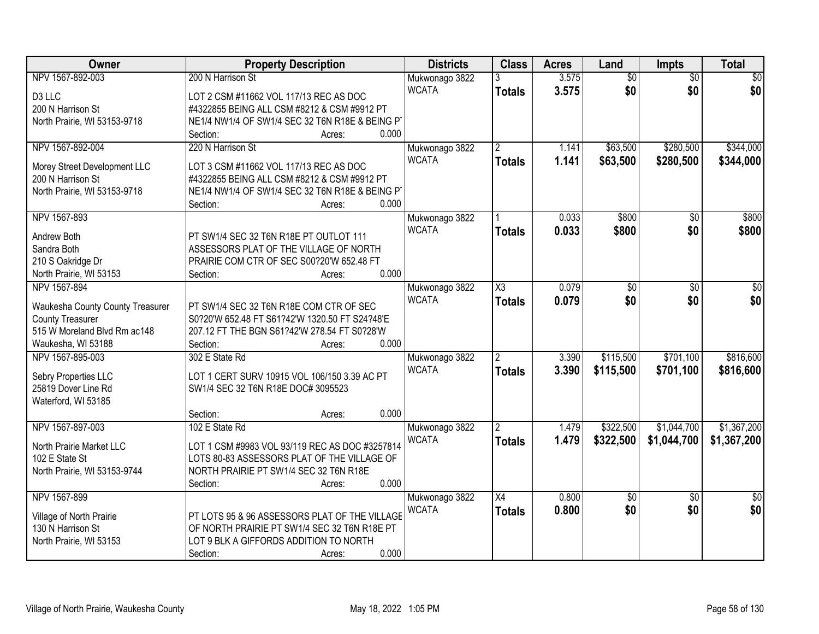| Owner                                   | <b>Property Description</b>                     | <b>Districts</b> | <b>Class</b>        | <b>Acres</b> | Land            | Impts           | <b>Total</b>    |
|-----------------------------------------|-------------------------------------------------|------------------|---------------------|--------------|-----------------|-----------------|-----------------|
| NPV 1567-892-003                        | 200 N Harrison St                               | Mukwonago 3822   |                     | 3.575        | $\overline{60}$ | $\overline{50}$ | $\overline{50}$ |
| D3 LLC                                  | LOT 2 CSM #11662 VOL 117/13 REC AS DOC          | <b>WCATA</b>     | <b>Totals</b>       | 3.575        | \$0             | \$0             | \$0             |
| 200 N Harrison St                       | #4322855 BEING ALL CSM #8212 & CSM #9912 PT     |                  |                     |              |                 |                 |                 |
| North Prairie, WI 53153-9718            | NE1/4 NW1/4 OF SW1/4 SEC 32 T6N R18E & BEING PT |                  |                     |              |                 |                 |                 |
|                                         | 0.000<br>Section:<br>Acres:                     |                  |                     |              |                 |                 |                 |
| NPV 1567-892-004                        | 220 N Harrison St                               | Mukwonago 3822   | $\overline{2}$      | 1.141        | \$63,500        | \$280,500       | \$344,000       |
|                                         |                                                 | <b>WCATA</b>     | <b>Totals</b>       | 1.141        | \$63,500        | \$280,500       | \$344,000       |
| Morey Street Development LLC            | LOT 3 CSM #11662 VOL 117/13 REC AS DOC          |                  |                     |              |                 |                 |                 |
| 200 N Harrison St                       | #4322855 BEING ALL CSM #8212 & CSM #9912 PT     |                  |                     |              |                 |                 |                 |
| North Prairie, WI 53153-9718            | NE1/4 NW1/4 OF SW1/4 SEC 32 T6N R18E & BEING PT |                  |                     |              |                 |                 |                 |
|                                         | 0.000<br>Section:<br>Acres:                     |                  |                     |              |                 |                 |                 |
| NPV 1567-893                            |                                                 | Mukwonago 3822   |                     | 0.033        | \$800           | \$0             | \$800           |
| Andrew Both                             | PT SW1/4 SEC 32 T6N R18E PT OUTLOT 111          | <b>WCATA</b>     | <b>Totals</b>       | 0.033        | \$800           | \$0             | \$800           |
| Sandra Both                             | ASSESSORS PLAT OF THE VILLAGE OF NORTH          |                  |                     |              |                 |                 |                 |
| 210 S Oakridge Dr                       | PRAIRIE COM CTR OF SEC S00?20'W 652.48 FT       |                  |                     |              |                 |                 |                 |
| North Prairie, WI 53153                 | 0.000<br>Section:<br>Acres:                     |                  |                     |              |                 |                 |                 |
| NPV 1567-894                            |                                                 | Mukwonago 3822   | $\overline{\chi_3}$ | 0.079        | \$0             | \$0             | \$0             |
|                                         |                                                 | <b>WCATA</b>     | <b>Totals</b>       | 0.079        | \$0             | \$0             | \$0             |
| <b>Waukesha County County Treasurer</b> | PT SW1/4 SEC 32 T6N R18E COM CTR OF SEC         |                  |                     |              |                 |                 |                 |
| <b>County Treasurer</b>                 | S0?20'W 652.48 FT S61?42'W 1320.50 FT S24?48'E  |                  |                     |              |                 |                 |                 |
| 515 W Moreland Blvd Rm ac148            | 207.12 FT THE BGN S61?42'W 278.54 FT S0?28'W    |                  |                     |              |                 |                 |                 |
| Waukesha, WI 53188                      | 0.000<br>Section:<br>Acres:                     |                  |                     |              |                 | \$701,100       |                 |
| NPV 1567-895-003                        | 302 E State Rd                                  | Mukwonago 3822   | $\overline{2}$      | 3.390        | \$115,500       |                 | \$816,600       |
| Sebry Properties LLC                    | LOT 1 CERT SURV 10915 VOL 106/150 3.39 AC PT    | <b>WCATA</b>     | <b>Totals</b>       | 3.390        | \$115,500       | \$701,100       | \$816,600       |
| 25819 Dover Line Rd                     | SW1/4 SEC 32 T6N R18E DOC# 3095523              |                  |                     |              |                 |                 |                 |
| Waterford, WI 53185                     |                                                 |                  |                     |              |                 |                 |                 |
|                                         | 0.000<br>Section:<br>Acres:                     |                  |                     |              |                 |                 |                 |
| NPV 1567-897-003                        | 102 E State Rd                                  | Mukwonago 3822   |                     | 1.479        | \$322,500       | \$1,044,700     | \$1,367,200     |
| North Prairie Market LLC                | LOT 1 CSM #9983 VOL 93/119 REC AS DOC #3257814  | <b>WCATA</b>     | <b>Totals</b>       | 1.479        | \$322,500       | \$1,044,700     | \$1,367,200     |
| 102 E State St                          | LOTS 80-83 ASSESSORS PLAT OF THE VILLAGE OF     |                  |                     |              |                 |                 |                 |
| North Prairie, WI 53153-9744            | NORTH PRAIRIE PT SW1/4 SEC 32 T6N R18E          |                  |                     |              |                 |                 |                 |
|                                         | 0.000<br>Section:<br>Acres:                     |                  |                     |              |                 |                 |                 |
| NPV 1567-899                            |                                                 | Mukwonago 3822   | X4                  | 0.800        | $\overline{50}$ | $\overline{50}$ | $\overline{50}$ |
|                                         |                                                 | <b>WCATA</b>     | <b>Totals</b>       | 0.800        | \$0             | \$0             | \$0             |
| Village of North Prairie                | PT LOTS 95 & 96 ASSESSORS PLAT OF THE VILLAGE   |                  |                     |              |                 |                 |                 |
| 130 N Harrison St                       | OF NORTH PRAIRIE PT SW1/4 SEC 32 T6N R18E PT    |                  |                     |              |                 |                 |                 |
| North Prairie, WI 53153                 | LOT 9 BLK A GIFFORDS ADDITION TO NORTH          |                  |                     |              |                 |                 |                 |
|                                         | 0.000<br>Section:<br>Acres:                     |                  |                     |              |                 |                 |                 |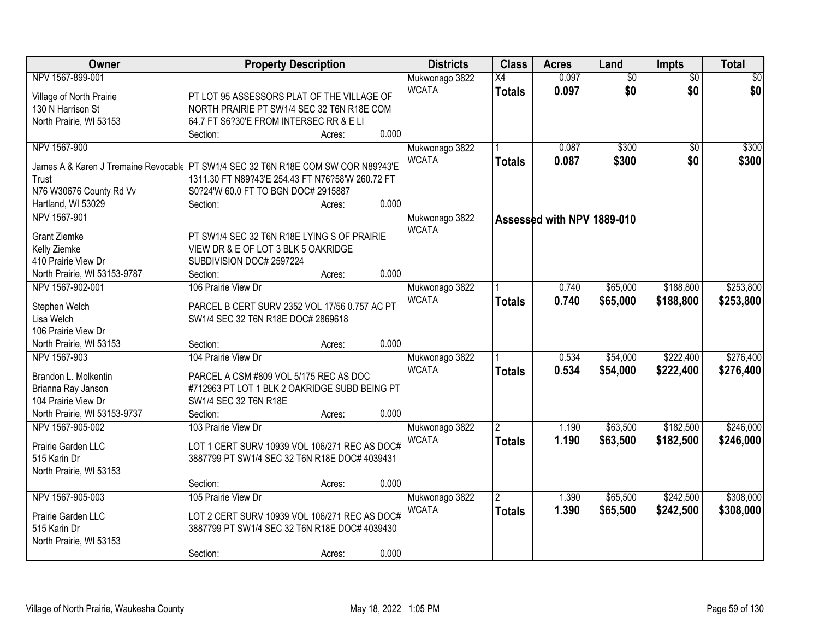| Owner                                                                             | <b>Property Description</b>                      |                 | <b>Districts</b> | <b>Class</b>   | <b>Acres</b>               | Land            | <b>Impts</b>    | <b>Total</b> |
|-----------------------------------------------------------------------------------|--------------------------------------------------|-----------------|------------------|----------------|----------------------------|-----------------|-----------------|--------------|
| NPV 1567-899-001                                                                  |                                                  |                 | Mukwonago 3822   | X4             | 0.097                      | $\overline{50}$ | $\overline{50}$ | \$0          |
| Village of North Prairie                                                          | PT LOT 95 ASSESSORS PLAT OF THE VILLAGE OF       |                 | <b>WCATA</b>     | <b>Totals</b>  | 0.097                      | \$0             | \$0             | \$0          |
| 130 N Harrison St                                                                 | NORTH PRAIRIE PT SW1/4 SEC 32 T6N R18E COM       |                 |                  |                |                            |                 |                 |              |
| North Prairie, WI 53153                                                           | 64.7 FT S6?30'E FROM INTERSEC RR & E LI          |                 |                  |                |                            |                 |                 |              |
|                                                                                   | Section:                                         | 0.000<br>Acres: |                  |                |                            |                 |                 |              |
| NPV 1567-900                                                                      |                                                  |                 | Mukwonago 3822   |                | 0.087                      | \$300           | $\overline{50}$ | \$300        |
|                                                                                   |                                                  |                 | <b>WCATA</b>     | <b>Totals</b>  | 0.087                      | \$300           | \$0             | \$300        |
| James A & Karen J Tremaine Revocable PT SW1/4 SEC 32 T6N R18E COM SW COR N89?43'E | 1311.30 FT N89?43'E 254.43 FT N76?58'W 260.72 FT |                 |                  |                |                            |                 |                 |              |
| Trust<br>N76 W30676 County Rd Vv                                                  | S0?24'W 60.0 FT TO BGN DOC# 2915887              |                 |                  |                |                            |                 |                 |              |
| Hartland, WI 53029                                                                | Section:                                         | 0.000<br>Acres: |                  |                |                            |                 |                 |              |
| NPV 1567-901                                                                      |                                                  |                 | Mukwonago 3822   |                |                            |                 |                 |              |
|                                                                                   |                                                  |                 | <b>WCATA</b>     |                | Assessed with NPV 1889-010 |                 |                 |              |
| <b>Grant Ziemke</b>                                                               | PT SW1/4 SEC 32 T6N R18E LYING S OF PRAIRIE      |                 |                  |                |                            |                 |                 |              |
| Kelly Ziemke                                                                      | VIEW DR & E OF LOT 3 BLK 5 OAKRIDGE              |                 |                  |                |                            |                 |                 |              |
| 410 Prairie View Dr                                                               | SUBDIVISION DOC# 2597224                         |                 |                  |                |                            |                 |                 |              |
| North Prairie, WI 53153-9787                                                      | Section:                                         | 0.000<br>Acres: |                  |                |                            |                 |                 |              |
| NPV 1567-902-001                                                                  | 106 Prairie View Dr                              |                 | Mukwonago 3822   |                | 0.740                      | \$65,000        | \$188,800       | \$253,800    |
| Stephen Welch                                                                     | PARCEL B CERT SURV 2352 VOL 17/56 0.757 AC PT    |                 | <b>WCATA</b>     | <b>Totals</b>  | 0.740                      | \$65,000        | \$188,800       | \$253,800    |
| Lisa Welch                                                                        | SW1/4 SEC 32 T6N R18E DOC# 2869618               |                 |                  |                |                            |                 |                 |              |
| 106 Prairie View Dr                                                               |                                                  |                 |                  |                |                            |                 |                 |              |
| North Prairie, WI 53153                                                           | Section:                                         | 0.000<br>Acres: |                  |                |                            |                 |                 |              |
| NPV 1567-903                                                                      | 104 Prairie View Dr                              |                 | Mukwonago 3822   |                | 0.534                      | \$54,000        | \$222,400       | \$276,400    |
|                                                                                   |                                                  |                 | <b>WCATA</b>     | <b>Totals</b>  | 0.534                      | \$54,000        | \$222,400       | \$276,400    |
| Brandon L. Molkentin                                                              | PARCEL A CSM #809 VOL 5/175 REC AS DOC           |                 |                  |                |                            |                 |                 |              |
| Brianna Ray Janson                                                                | #712963 PT LOT 1 BLK 2 OAKRIDGE SUBD BEING PT    |                 |                  |                |                            |                 |                 |              |
| 104 Prairie View Dr                                                               | SW1/4 SEC 32 T6N R18E                            |                 |                  |                |                            |                 |                 |              |
| North Prairie, WI 53153-9737                                                      | Section:                                         | 0.000<br>Acres: |                  |                |                            |                 |                 |              |
| NPV 1567-905-002                                                                  | 103 Prairie View Dr                              |                 | Mukwonago 3822   |                | 1.190                      | \$63,500        | \$182,500       | \$246,000    |
| Prairie Garden LLC                                                                | LOT 1 CERT SURV 10939 VOL 106/271 REC AS DOC#    |                 | <b>WCATA</b>     | <b>Totals</b>  | 1.190                      | \$63,500        | \$182,500       | \$246,000    |
| 515 Karin Dr                                                                      | 3887799 PT SW1/4 SEC 32 T6N R18E DOC# 4039431    |                 |                  |                |                            |                 |                 |              |
| North Prairie, WI 53153                                                           |                                                  |                 |                  |                |                            |                 |                 |              |
|                                                                                   | Section:                                         | 0.000<br>Acres: |                  |                |                            |                 |                 |              |
| NPV 1567-905-003                                                                  | 105 Prairie View Dr                              |                 | Mukwonago 3822   | $\overline{2}$ | 1.390                      | \$65,500        | \$242,500       | \$308,000    |
|                                                                                   |                                                  |                 | <b>WCATA</b>     | <b>Totals</b>  | 1.390                      | \$65,500        | \$242,500       | \$308,000    |
| Prairie Garden LLC                                                                | LOT 2 CERT SURV 10939 VOL 106/271 REC AS DOC#    |                 |                  |                |                            |                 |                 |              |
| 515 Karin Dr                                                                      | 3887799 PT SW1/4 SEC 32 T6N R18E DOC# 4039430    |                 |                  |                |                            |                 |                 |              |
| North Prairie, WI 53153                                                           |                                                  |                 |                  |                |                            |                 |                 |              |
|                                                                                   | Section:                                         | 0.000<br>Acres: |                  |                |                            |                 |                 |              |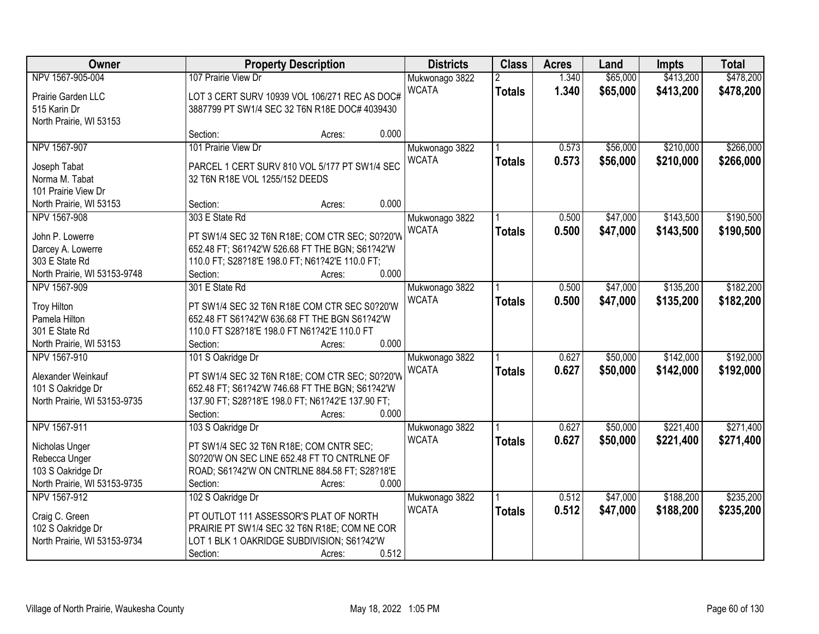| Owner                        | <b>Property Description</b>                                                                       |       | <b>Districts</b> | <b>Class</b>   | <b>Acres</b> | Land     | <b>Impts</b> | <b>Total</b> |
|------------------------------|---------------------------------------------------------------------------------------------------|-------|------------------|----------------|--------------|----------|--------------|--------------|
| NPV 1567-905-004             | 107 Prairie View Dr                                                                               |       | Mukwonago 3822   | $\overline{2}$ | 1.340        | \$65,000 | \$413,200    | \$478,200    |
| Prairie Garden LLC           | LOT 3 CERT SURV 10939 VOL 106/271 REC AS DOC#                                                     |       | <b>WCATA</b>     | <b>Totals</b>  | 1.340        | \$65,000 | \$413,200    | \$478,200    |
| 515 Karin Dr                 | 3887799 PT SW1/4 SEC 32 T6N R18E DOC# 4039430                                                     |       |                  |                |              |          |              |              |
| North Prairie, WI 53153      |                                                                                                   |       |                  |                |              |          |              |              |
|                              | Section:<br>Acres:                                                                                | 0.000 |                  |                |              |          |              |              |
| NPV 1567-907                 | 101 Prairie View Dr                                                                               |       | Mukwonago 3822   |                | 0.573        | \$56,000 | \$210,000    | \$266,000    |
| Joseph Tabat                 | PARCEL 1 CERT SURV 810 VOL 5/177 PT SW1/4 SEC                                                     |       | <b>WCATA</b>     | <b>Totals</b>  | 0.573        | \$56,000 | \$210,000    | \$266,000    |
| Norma M. Tabat               | 32 T6N R18E VOL 1255/152 DEEDS                                                                    |       |                  |                |              |          |              |              |
| 101 Prairie View Dr          |                                                                                                   |       |                  |                |              |          |              |              |
| North Prairie, WI 53153      | Section:<br>Acres:                                                                                | 0.000 |                  |                |              |          |              |              |
| NPV 1567-908                 | 303 E State Rd                                                                                    |       | Mukwonago 3822   |                | 0.500        | \$47,000 | \$143,500    | \$190,500    |
|                              |                                                                                                   |       | <b>WCATA</b>     | <b>Totals</b>  | 0.500        | \$47,000 | \$143,500    | \$190,500    |
| John P. Lowerre              | PT SW1/4 SEC 32 T6N R18E; COM CTR SEC; S0?20'W                                                    |       |                  |                |              |          |              |              |
| Darcey A. Lowerre            | 652.48 FT; S61?42'W 526.68 FT THE BGN; S61?42'W                                                   |       |                  |                |              |          |              |              |
| 303 E State Rd               | 110.0 FT; S28?18'E 198.0 FT; N61?42'E 110.0 FT;                                                   |       |                  |                |              |          |              |              |
| North Prairie, WI 53153-9748 | Section:<br>Acres:                                                                                | 0.000 |                  |                |              |          |              |              |
| NPV 1567-909                 | 301 E State Rd                                                                                    |       | Mukwonago 3822   |                | 0.500        | \$47,000 | \$135,200    | \$182,200    |
| <b>Troy Hilton</b>           | PT SW1/4 SEC 32 T6N R18E COM CTR SEC S0?20'W                                                      |       | <b>WCATA</b>     | <b>Totals</b>  | 0.500        | \$47,000 | \$135,200    | \$182,200    |
| Pamela Hilton                | 652.48 FT S61?42'W 636.68 FT THE BGN S61?42'W                                                     |       |                  |                |              |          |              |              |
| 301 E State Rd               | 110.0 FT S28?18'E 198.0 FT N61?42'E 110.0 FT                                                      |       |                  |                |              |          |              |              |
| North Prairie, WI 53153      | Section:<br>Acres:                                                                                | 0.000 |                  |                |              |          |              |              |
| NPV 1567-910                 | 101 S Oakridge Dr                                                                                 |       | Mukwonago 3822   |                | 0.627        | \$50,000 | \$142,000    | \$192,000    |
| Alexander Weinkauf           |                                                                                                   |       | <b>WCATA</b>     | <b>Totals</b>  | 0.627        | \$50,000 | \$142,000    | \$192,000    |
| 101 S Oakridge Dr            | PT SW1/4 SEC 32 T6N R18E; COM CTR SEC; S0?20'W<br>652.48 FT; S61?42'W 746.68 FT THE BGN; S61?42'W |       |                  |                |              |          |              |              |
| North Prairie, WI 53153-9735 | 137.90 FT; S28?18'E 198.0 FT; N61?42'E 137.90 FT;                                                 |       |                  |                |              |          |              |              |
|                              | Section:<br>Acres:                                                                                | 0.000 |                  |                |              |          |              |              |
| NPV 1567-911                 | 103 S Oakridge Dr                                                                                 |       | Mukwonago 3822   |                | 0.627        | \$50,000 | \$221,400    | \$271,400    |
|                              |                                                                                                   |       | <b>WCATA</b>     | <b>Totals</b>  | 0.627        | \$50,000 | \$221,400    | \$271,400    |
| Nicholas Unger               | PT SW1/4 SEC 32 T6N R18E; COM CNTR SEC;                                                           |       |                  |                |              |          |              |              |
| Rebecca Unger                | S0?20'W ON SEC LINE 652.48 FT TO CNTRLNE OF                                                       |       |                  |                |              |          |              |              |
| 103 S Oakridge Dr            | ROAD; S61?42'W ON CNTRLNE 884.58 FT; S28?18'E                                                     |       |                  |                |              |          |              |              |
| North Prairie, WI 53153-9735 | Section:<br>Acres:                                                                                | 0.000 |                  |                |              |          |              |              |
| NPV 1567-912                 | 102 S Oakridge Dr                                                                                 |       | Mukwonago 3822   |                | 0.512        | \$47,000 | \$188,200    | \$235,200    |
| Craig C. Green               | PT OUTLOT 111 ASSESSOR'S PLAT OF NORTH                                                            |       | <b>WCATA</b>     | <b>Totals</b>  | 0.512        | \$47,000 | \$188,200    | \$235,200    |
| 102 S Oakridge Dr            | PRAIRIE PT SW1/4 SEC 32 T6N R18E; COM NE COR                                                      |       |                  |                |              |          |              |              |
| North Prairie, WI 53153-9734 | LOT 1 BLK 1 OAKRIDGE SUBDIVISION; S61?42'W                                                        |       |                  |                |              |          |              |              |
|                              | Section:<br>Acres:                                                                                | 0.512 |                  |                |              |          |              |              |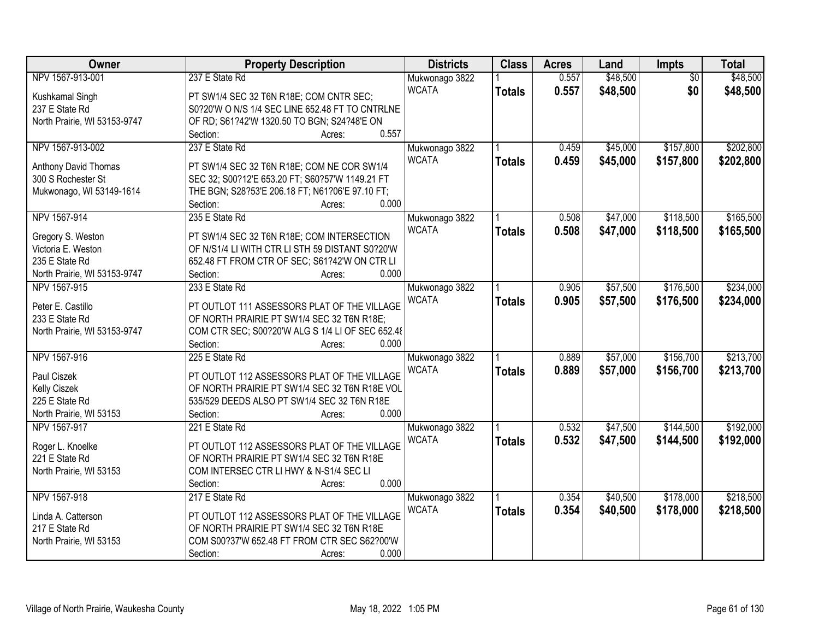| <b>Owner</b>                 | <b>Property Description</b>                      | <b>Districts</b> | <b>Class</b>  | <b>Acres</b> | Land     | Impts           | <b>Total</b> |
|------------------------------|--------------------------------------------------|------------------|---------------|--------------|----------|-----------------|--------------|
| NPV 1567-913-001             | 237 E State Rd                                   | Mukwonago 3822   |               | 0.557        | \$48,500 | $\overline{50}$ | \$48,500     |
| Kushkamal Singh              | PT SW1/4 SEC 32 T6N R18E; COM CNTR SEC;          | <b>WCATA</b>     | <b>Totals</b> | 0.557        | \$48,500 | \$0             | \$48,500     |
| 237 E State Rd               | S0?20'W O N/S 1/4 SEC LINE 652.48 FT TO CNTRLNE  |                  |               |              |          |                 |              |
| North Prairie, WI 53153-9747 | OF RD; S61?42'W 1320.50 TO BGN; S24?48'E ON      |                  |               |              |          |                 |              |
|                              | 0.557<br>Section:<br>Acres:                      |                  |               |              |          |                 |              |
| NPV 1567-913-002             | 237 E State Rd                                   | Mukwonago 3822   |               | 0.459        | \$45,000 | \$157,800       | \$202,800    |
|                              |                                                  | <b>WCATA</b>     | <b>Totals</b> | 0.459        | \$45,000 | \$157,800       | \$202,800    |
| Anthony David Thomas         | PT SW1/4 SEC 32 T6N R18E; COM NE COR SW1/4       |                  |               |              |          |                 |              |
| 300 S Rochester St           | SEC 32; S00?12'E 653.20 FT; S60?57'W 1149.21 FT  |                  |               |              |          |                 |              |
| Mukwonago, WI 53149-1614     | THE BGN; S28?53'E 206.18 FT; N61?06'E 97.10 FT;  |                  |               |              |          |                 |              |
|                              | 0.000<br>Section:<br>Acres:                      |                  |               |              |          |                 |              |
| NPV 1567-914                 | 235 E State Rd                                   | Mukwonago 3822   |               | 0.508        | \$47,000 | \$118,500       | \$165,500    |
| Gregory S. Weston            | PT SW1/4 SEC 32 T6N R18E; COM INTERSECTION       | <b>WCATA</b>     | <b>Totals</b> | 0.508        | \$47,000 | \$118,500       | \$165,500    |
| Victoria E. Weston           | OF N/S1/4 LI WITH CTR LI STH 59 DISTANT S0?20'W  |                  |               |              |          |                 |              |
| 235 E State Rd               | 652.48 FT FROM CTR OF SEC; S61?42'W ON CTR LI    |                  |               |              |          |                 |              |
| North Prairie, WI 53153-9747 | 0.000<br>Section:<br>Acres:                      |                  |               |              |          |                 |              |
| NPV 1567-915                 | 233 E State Rd                                   | Mukwonago 3822   |               | 0.905        | \$57,500 | \$176,500       | \$234,000    |
|                              |                                                  | <b>WCATA</b>     | <b>Totals</b> | 0.905        | \$57,500 | \$176,500       | \$234,000    |
| Peter E. Castillo            | PT OUTLOT 111 ASSESSORS PLAT OF THE VILLAGE      |                  |               |              |          |                 |              |
| 233 E State Rd               | OF NORTH PRAIRIE PT SW1/4 SEC 32 T6N R18E;       |                  |               |              |          |                 |              |
| North Prairie, WI 53153-9747 | COM CTR SEC; S00?20'W ALG S 1/4 LI OF SEC 652.48 |                  |               |              |          |                 |              |
|                              | 0.000<br>Section:<br>Acres:                      |                  |               |              |          |                 |              |
| NPV 1567-916                 | 225 E State Rd                                   | Mukwonago 3822   |               | 0.889        | \$57,000 | \$156,700       | \$213,700    |
| Paul Ciszek                  | PT OUTLOT 112 ASSESSORS PLAT OF THE VILLAGE      | <b>WCATA</b>     | <b>Totals</b> | 0.889        | \$57,000 | \$156,700       | \$213,700    |
| Kelly Ciszek                 | OF NORTH PRAIRIE PT SW1/4 SEC 32 T6N R18E VOL    |                  |               |              |          |                 |              |
| 225 E State Rd               | 535/529 DEEDS ALSO PT SW1/4 SEC 32 T6N R18E      |                  |               |              |          |                 |              |
| North Prairie, WI 53153      | 0.000<br>Section:<br>Acres:                      |                  |               |              |          |                 |              |
| NPV 1567-917                 | 221 E State Rd                                   | Mukwonago 3822   |               | 0.532        | \$47,500 | \$144,500       | \$192,000    |
|                              |                                                  | <b>WCATA</b>     | <b>Totals</b> | 0.532        | \$47,500 | \$144,500       | \$192,000    |
| Roger L. Knoelke             | PT OUTLOT 112 ASSESSORS PLAT OF THE VILLAGE      |                  |               |              |          |                 |              |
| 221 E State Rd               | OF NORTH PRAIRIE PT SW1/4 SEC 32 T6N R18E        |                  |               |              |          |                 |              |
| North Prairie, WI 53153      | COM INTERSEC CTR LI HWY & N-S1/4 SEC LI          |                  |               |              |          |                 |              |
|                              | 0.000<br>Section:<br>Acres:                      |                  |               |              |          |                 |              |
| NPV 1567-918                 | 217 E State Rd                                   | Mukwonago 3822   |               | 0.354        | \$40,500 | \$178,000       | \$218,500    |
| Linda A. Catterson           | PT OUTLOT 112 ASSESSORS PLAT OF THE VILLAGE      | <b>WCATA</b>     | <b>Totals</b> | 0.354        | \$40,500 | \$178,000       | \$218,500    |
| 217 E State Rd               | OF NORTH PRAIRIE PT SW1/4 SEC 32 T6N R18E        |                  |               |              |          |                 |              |
| North Prairie, WI 53153      | COM S00?37'W 652.48 FT FROM CTR SEC S62?00'W     |                  |               |              |          |                 |              |
|                              | Section:<br>0.000<br>Acres:                      |                  |               |              |          |                 |              |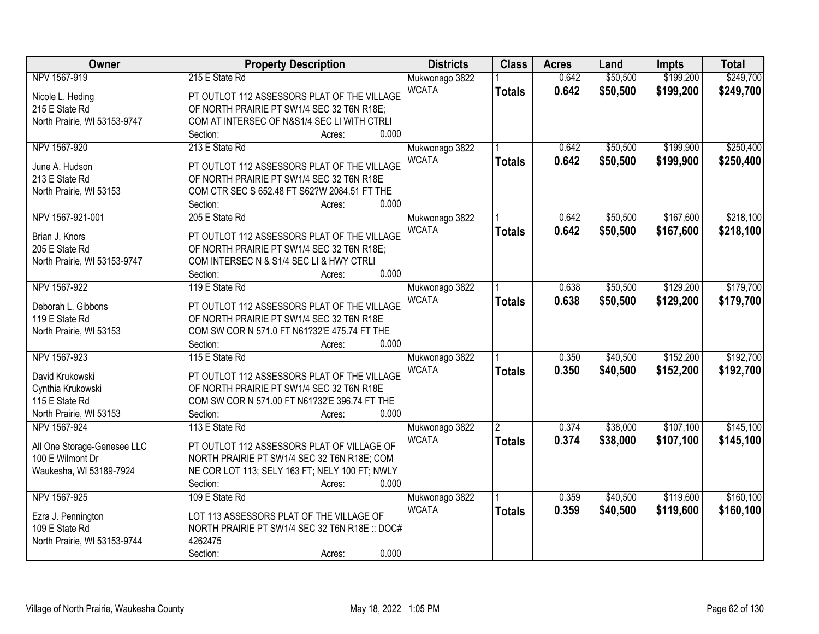| Owner                        | <b>Property Description</b>                           | <b>Districts</b>               | <b>Class</b>   | <b>Acres</b> | Land     | <b>Impts</b> | <b>Total</b> |
|------------------------------|-------------------------------------------------------|--------------------------------|----------------|--------------|----------|--------------|--------------|
| NPV 1567-919                 | 215 E State Rd                                        | Mukwonago 3822                 |                | 0.642        | \$50,500 | \$199,200    | \$249,700    |
| Nicole L. Heding             | PT OUTLOT 112 ASSESSORS PLAT OF THE VILLAGE           | <b>WCATA</b>                   | <b>Totals</b>  | 0.642        | \$50,500 | \$199,200    | \$249,700    |
| 215 E State Rd               | OF NORTH PRAIRIE PT SW1/4 SEC 32 T6N R18E;            |                                |                |              |          |              |              |
| North Prairie, WI 53153-9747 | COM AT INTERSEC OF N&S1/4 SEC LI WITH CTRLI           |                                |                |              |          |              |              |
|                              | 0.000<br>Section:<br>Acres:                           |                                |                |              |          |              |              |
| NPV 1567-920                 | 213 E State Rd                                        | Mukwonago 3822                 |                | 0.642        | \$50,500 | \$199,900    | \$250,400    |
|                              |                                                       | <b>WCATA</b>                   | <b>Totals</b>  | 0.642        | \$50,500 | \$199,900    | \$250,400    |
| June A. Hudson               | PT OUTLOT 112 ASSESSORS PLAT OF THE VILLAGE           |                                |                |              |          |              |              |
| 213 E State Rd               | OF NORTH PRAIRIE PT SW1/4 SEC 32 T6N R18E             |                                |                |              |          |              |              |
| North Prairie, WI 53153      | COM CTR SEC S 652.48 FT S62?W 2084.51 FT THE<br>0.000 |                                |                |              |          |              |              |
|                              | Section:<br>Acres:                                    |                                |                |              |          |              |              |
| NPV 1567-921-001             | 205 E State Rd                                        | Mukwonago 3822                 |                | 0.642        | \$50,500 | \$167,600    | \$218,100    |
| Brian J. Knors               | PT OUTLOT 112 ASSESSORS PLAT OF THE VILLAGE           | <b>WCATA</b>                   | <b>Totals</b>  | 0.642        | \$50,500 | \$167,600    | \$218,100    |
| 205 E State Rd               | OF NORTH PRAIRIE PT SW1/4 SEC 32 T6N R18E;            |                                |                |              |          |              |              |
| North Prairie, WI 53153-9747 | COM INTERSEC N & S1/4 SEC LI & HWY CTRLI              |                                |                |              |          |              |              |
|                              | 0.000<br>Section:<br>Acres:                           |                                |                |              |          |              |              |
| NPV 1567-922                 | 119 E State Rd                                        | Mukwonago 3822                 |                | 0.638        | \$50,500 | \$129,200    | \$179,700    |
|                              |                                                       | <b>WCATA</b>                   | <b>Totals</b>  | 0.638        | \$50,500 | \$129,200    | \$179,700    |
| Deborah L. Gibbons           | PT OUTLOT 112 ASSESSORS PLAT OF THE VILLAGE           |                                |                |              |          |              |              |
| 119 E State Rd               | OF NORTH PRAIRIE PT SW1/4 SEC 32 T6N R18E             |                                |                |              |          |              |              |
| North Prairie, WI 53153      | COM SW COR N 571.0 FT N61?32'E 475.74 FT THE<br>0.000 |                                |                |              |          |              |              |
| NPV 1567-923                 | Section:<br>Acres:<br>115 E State Rd                  |                                |                | 0.350        | \$40,500 | \$152,200    | \$192,700    |
|                              |                                                       | Mukwonago 3822                 |                |              |          |              |              |
| David Krukowski              | PT OUTLOT 112 ASSESSORS PLAT OF THE VILLAGE           | <b>WCATA</b>                   | <b>Totals</b>  | 0.350        | \$40,500 | \$152,200    | \$192,700    |
| Cynthia Krukowski            | OF NORTH PRAIRIE PT SW1/4 SEC 32 T6N R18E             |                                |                |              |          |              |              |
| 115 E State Rd               | COM SW COR N 571.00 FT N61?32'E 396.74 FT THE         |                                |                |              |          |              |              |
| North Prairie, WI 53153      | 0.000<br>Section:<br>Acres:                           |                                |                |              |          |              |              |
| NPV 1567-924                 | 113 E State Rd                                        | Mukwonago 3822                 | $\overline{2}$ | 0.374        | \$38,000 | \$107,100    | \$145,100    |
| All One Storage-Genesee LLC  | PT OUTLOT 112 ASSESSORS PLAT OF VILLAGE OF            | <b>WCATA</b>                   | <b>Totals</b>  | 0.374        | \$38,000 | \$107,100    | \$145,100    |
| 100 E Wilmont Dr             | NORTH PRAIRIE PT SW1/4 SEC 32 T6N R18E; COM           |                                |                |              |          |              |              |
| Waukesha, WI 53189-7924      | NE COR LOT 113; SELY 163 FT; NELY 100 FT; NWLY        |                                |                |              |          |              |              |
|                              | 0.000<br>Section:<br>Acres:                           |                                |                |              |          |              |              |
| NPV 1567-925                 | 109 E State Rd                                        |                                |                | 0.359        | \$40,500 | \$119,600    | \$160,100    |
|                              |                                                       | Mukwonago 3822<br><b>WCATA</b> |                | 0.359        |          |              |              |
| Ezra J. Pennington           | LOT 113 ASSESSORS PLAT OF THE VILLAGE OF              |                                | <b>Totals</b>  |              | \$40,500 | \$119,600    | \$160,100    |
| 109 E State Rd               | NORTH PRAIRIE PT SW1/4 SEC 32 T6N R18E :: DOC#        |                                |                |              |          |              |              |
| North Prairie, WI 53153-9744 | 4262475                                               |                                |                |              |          |              |              |
|                              | 0.000<br>Section:<br>Acres:                           |                                |                |              |          |              |              |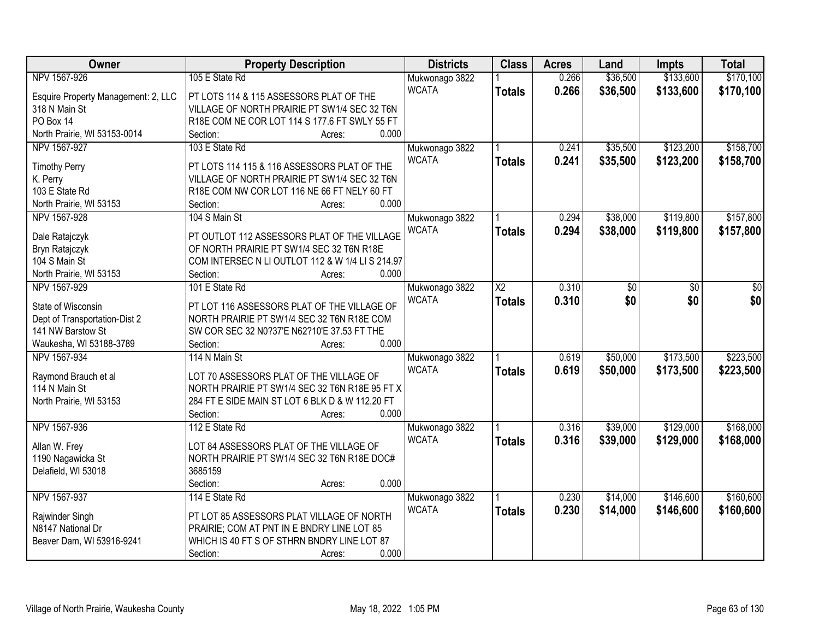| Owner                               | <b>Property Description</b>                      | <b>Districts</b> | <b>Class</b>    | <b>Acres</b> | Land     | <b>Impts</b> | <b>Total</b> |
|-------------------------------------|--------------------------------------------------|------------------|-----------------|--------------|----------|--------------|--------------|
| NPV 1567-926                        | 105 E State Rd                                   | Mukwonago 3822   |                 | 0.266        | \$36,500 | \$133,600    | \$170,100    |
| Esquire Property Management: 2, LLC | PT LOTS 114 & 115 ASSESSORS PLAT OF THE          | <b>WCATA</b>     | <b>Totals</b>   | 0.266        | \$36,500 | \$133,600    | \$170,100    |
| 318 N Main St                       | VILLAGE OF NORTH PRAIRIE PT SW1/4 SEC 32 T6N     |                  |                 |              |          |              |              |
| PO Box 14                           | R18E COM NE COR LOT 114 S 177.6 FT SWLY 55 FT    |                  |                 |              |          |              |              |
| North Prairie, WI 53153-0014        | 0.000<br>Section:<br>Acres:                      |                  |                 |              |          |              |              |
| NPV 1567-927                        | 103 E State Rd                                   | Mukwonago 3822   |                 | 0.241        | \$35,500 | \$123,200    | \$158,700    |
|                                     |                                                  | <b>WCATA</b>     | <b>Totals</b>   | 0.241        | \$35,500 | \$123,200    | \$158,700    |
| <b>Timothy Perry</b>                | PT LOTS 114 115 & 116 ASSESSORS PLAT OF THE      |                  |                 |              |          |              |              |
| K. Perry                            | VILLAGE OF NORTH PRAIRIE PT SW1/4 SEC 32 T6N     |                  |                 |              |          |              |              |
| 103 E State Rd                      | R18E COM NW COR LOT 116 NE 66 FT NELY 60 FT      |                  |                 |              |          |              |              |
| North Prairie, WI 53153             | 0.000<br>Section:<br>Acres:                      |                  |                 |              |          |              |              |
| NPV 1567-928                        | 104 S Main St                                    | Mukwonago 3822   |                 | 0.294        | \$38,000 | \$119,800    | \$157,800    |
| Dale Ratajczyk                      | PT OUTLOT 112 ASSESSORS PLAT OF THE VILLAGE      | <b>WCATA</b>     | <b>Totals</b>   | 0.294        | \$38,000 | \$119,800    | \$157,800    |
| Bryn Ratajczyk                      | OF NORTH PRAIRIE PT SW1/4 SEC 32 T6N R18E        |                  |                 |              |          |              |              |
| 104 S Main St                       | COM INTERSEC N LI OUTLOT 112 & W 1/4 LI S 214.97 |                  |                 |              |          |              |              |
| North Prairie, WI 53153             | 0.000<br>Section:<br>Acres:                      |                  |                 |              |          |              |              |
| NPV 1567-929                        | 101 E State Rd                                   | Mukwonago 3822   | $\overline{X2}$ | 0.310        | \$0      | \$0          | \$0          |
|                                     |                                                  | <b>WCATA</b>     | <b>Totals</b>   | 0.310        | \$0      | \$0          | \$0          |
| State of Wisconsin                  | PT LOT 116 ASSESSORS PLAT OF THE VILLAGE OF      |                  |                 |              |          |              |              |
| Dept of Transportation-Dist 2       | NORTH PRAIRIE PT SW1/4 SEC 32 T6N R18E COM       |                  |                 |              |          |              |              |
| 141 NW Barstow St                   | SW COR SEC 32 N0?37'E N62?10'E 37.53 FT THE      |                  |                 |              |          |              |              |
| Waukesha, WI 53188-3789             | 0.000<br>Section:<br>Acres:                      |                  |                 |              |          |              |              |
| NPV 1567-934                        | 114 N Main St                                    | Mukwonago 3822   |                 | 0.619        | \$50,000 | \$173,500    | \$223,500    |
| Raymond Brauch et al                | LOT 70 ASSESSORS PLAT OF THE VILLAGE OF          | <b>WCATA</b>     | <b>Totals</b>   | 0.619        | \$50,000 | \$173,500    | \$223,500    |
| 114 N Main St                       | NORTH PRAIRIE PT SW1/4 SEC 32 T6N R18E 95 FT X   |                  |                 |              |          |              |              |
| North Prairie, WI 53153             | 284 FT E SIDE MAIN ST LOT 6 BLK D & W 112.20 FT  |                  |                 |              |          |              |              |
|                                     | 0.000<br>Section:<br>Acres:                      |                  |                 |              |          |              |              |
| NPV 1567-936                        | 112 E State Rd                                   | Mukwonago 3822   |                 | 0.316        | \$39,000 | \$129,000    | \$168,000    |
|                                     |                                                  | <b>WCATA</b>     | <b>Totals</b>   | 0.316        | \$39,000 | \$129,000    | \$168,000    |
| Allan W. Frey                       | LOT 84 ASSESSORS PLAT OF THE VILLAGE OF          |                  |                 |              |          |              |              |
| 1190 Nagawicka St                   | NORTH PRAIRIE PT SW1/4 SEC 32 T6N R18E DOC#      |                  |                 |              |          |              |              |
| Delafield, WI 53018                 | 3685159                                          |                  |                 |              |          |              |              |
|                                     | 0.000<br>Section:<br>Acres:                      |                  |                 |              |          |              |              |
| NPV 1567-937                        | 114 E State Rd                                   | Mukwonago 3822   |                 | 0.230        | \$14,000 | \$146,600    | \$160,600    |
| Rajwinder Singh                     | PT LOT 85 ASSESSORS PLAT VILLAGE OF NORTH        | <b>WCATA</b>     | <b>Totals</b>   | 0.230        | \$14,000 | \$146,600    | \$160,600    |
| N8147 National Dr                   | PRAIRIE; COM AT PNT IN E BNDRY LINE LOT 85       |                  |                 |              |          |              |              |
| Beaver Dam, WI 53916-9241           | WHICH IS 40 FT S OF STHRN BNDRY LINE LOT 87      |                  |                 |              |          |              |              |
|                                     | 0.000<br>Section:<br>Acres:                      |                  |                 |              |          |              |              |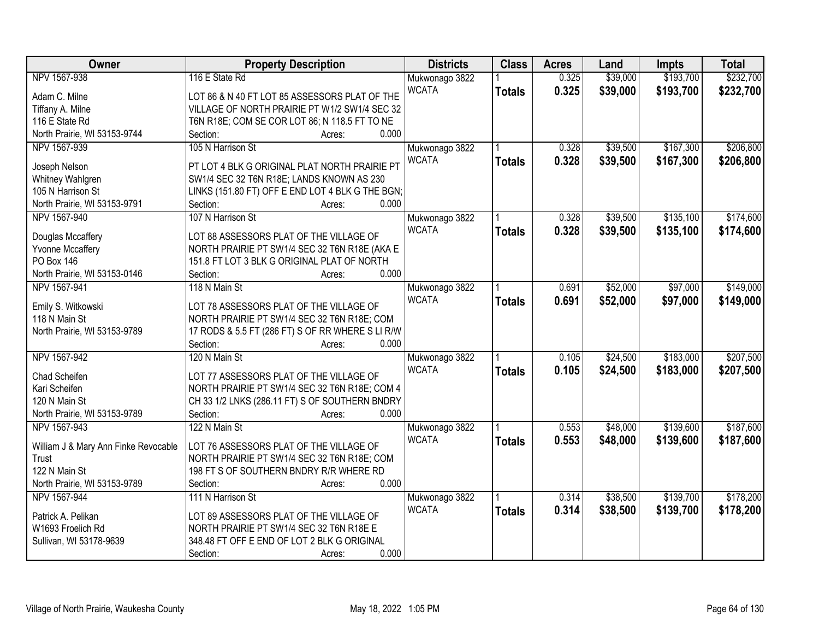| Owner                                | <b>Property Description</b>                      | <b>Districts</b> | <b>Class</b>  | <b>Acres</b> | Land     | <b>Impts</b> | <b>Total</b> |
|--------------------------------------|--------------------------------------------------|------------------|---------------|--------------|----------|--------------|--------------|
| NPV 1567-938                         | 116 E State Rd                                   | Mukwonago 3822   |               | 0.325        | \$39,000 | \$193,700    | \$232,700    |
| Adam C. Milne                        | LOT 86 & N 40 FT LOT 85 ASSESSORS PLAT OF THE    | <b>WCATA</b>     | <b>Totals</b> | 0.325        | \$39,000 | \$193,700    | \$232,700    |
| Tiffany A. Milne                     | VILLAGE OF NORTH PRAIRIE PT W1/2 SW1/4 SEC 32    |                  |               |              |          |              |              |
| 116 E State Rd                       | T6N R18E; COM SE COR LOT 86; N 118.5 FT TO NE    |                  |               |              |          |              |              |
| North Prairie, WI 53153-9744         | 0.000<br>Section:<br>Acres:                      |                  |               |              |          |              |              |
| NPV 1567-939                         | 105 N Harrison St                                | Mukwonago 3822   |               | 0.328        | \$39,500 | \$167,300    | \$206,800    |
| Joseph Nelson                        | PT LOT 4 BLK G ORIGINAL PLAT NORTH PRAIRIE PT    | <b>WCATA</b>     | <b>Totals</b> | 0.328        | \$39,500 | \$167,300    | \$206,800    |
| Whitney Wahlgren                     | SW1/4 SEC 32 T6N R18E; LANDS KNOWN AS 230        |                  |               |              |          |              |              |
| 105 N Harrison St                    | LINKS (151.80 FT) OFF E END LOT 4 BLK G THE BGN; |                  |               |              |          |              |              |
| North Prairie, WI 53153-9791         | 0.000<br>Section:<br>Acres:                      |                  |               |              |          |              |              |
| NPV 1567-940                         | 107 N Harrison St                                | Mukwonago 3822   |               | 0.328        | \$39,500 | \$135,100    | \$174,600    |
|                                      |                                                  | <b>WCATA</b>     | <b>Totals</b> | 0.328        | \$39,500 | \$135,100    | \$174,600    |
| Douglas Mccaffery                    | LOT 88 ASSESSORS PLAT OF THE VILLAGE OF          |                  |               |              |          |              |              |
| <b>Yvonne Mccaffery</b>              | NORTH PRAIRIE PT SW1/4 SEC 32 T6N R18E (AKA E    |                  |               |              |          |              |              |
| <b>PO Box 146</b>                    | 151.8 FT LOT 3 BLK G ORIGINAL PLAT OF NORTH      |                  |               |              |          |              |              |
| North Prairie, WI 53153-0146         | 0.000<br>Section:<br>Acres:                      |                  |               |              |          |              |              |
| NPV 1567-941                         | 118 N Main St                                    | Mukwonago 3822   |               | 0.691        | \$52,000 | \$97,000     | \$149,000    |
| Emily S. Witkowski                   | LOT 78 ASSESSORS PLAT OF THE VILLAGE OF          | <b>WCATA</b>     | <b>Totals</b> | 0.691        | \$52,000 | \$97,000     | \$149,000    |
| 118 N Main St                        | NORTH PRAIRIE PT SW1/4 SEC 32 T6N R18E; COM      |                  |               |              |          |              |              |
| North Prairie, WI 53153-9789         | 17 RODS & 5.5 FT (286 FT) S OF RR WHERE S LI R/W |                  |               |              |          |              |              |
|                                      | 0.000<br>Section:<br>Acres:                      |                  |               |              |          |              |              |
| NPV 1567-942                         | 120 N Main St                                    | Mukwonago 3822   |               | 0.105        | \$24,500 | \$183,000    | \$207,500    |
|                                      |                                                  | <b>WCATA</b>     | <b>Totals</b> | 0.105        | \$24,500 | \$183,000    | \$207,500    |
| Chad Scheifen                        | LOT 77 ASSESSORS PLAT OF THE VILLAGE OF          |                  |               |              |          |              |              |
| Kari Scheifen                        | NORTH PRAIRIE PT SW1/4 SEC 32 T6N R18E; COM 4    |                  |               |              |          |              |              |
| 120 N Main St                        | CH 33 1/2 LNKS (286.11 FT) S OF SOUTHERN BNDRY   |                  |               |              |          |              |              |
| North Prairie, WI 53153-9789         | 0.000<br>Section:<br>Acres:                      |                  |               |              |          |              |              |
| NPV 1567-943                         | 122 N Main St                                    | Mukwonago 3822   |               | 0.553        | \$48,000 | \$139,600    | \$187,600    |
| William J & Mary Ann Finke Revocable | LOT 76 ASSESSORS PLAT OF THE VILLAGE OF          | <b>WCATA</b>     | <b>Totals</b> | 0.553        | \$48,000 | \$139,600    | \$187,600    |
| Trust                                | NORTH PRAIRIE PT SW1/4 SEC 32 T6N R18E; COM      |                  |               |              |          |              |              |
| 122 N Main St                        | 198 FT S OF SOUTHERN BNDRY R/R WHERE RD          |                  |               |              |          |              |              |
| North Prairie, WI 53153-9789         | 0.000<br>Section:<br>Acres:                      |                  |               |              |          |              |              |
| NPV 1567-944                         | 111 N Harrison St                                | Mukwonago 3822   |               | 0.314        | \$38,500 | \$139,700    | \$178,200    |
|                                      |                                                  | <b>WCATA</b>     | <b>Totals</b> | 0.314        | \$38,500 | \$139,700    | \$178,200    |
| Patrick A. Pelikan                   | LOT 89 ASSESSORS PLAT OF THE VILLAGE OF          |                  |               |              |          |              |              |
| W1693 Froelich Rd                    | NORTH PRAIRIE PT SW1/4 SEC 32 T6N R18E E         |                  |               |              |          |              |              |
| Sullivan, WI 53178-9639              | 348.48 FT OFF E END OF LOT 2 BLK G ORIGINAL      |                  |               |              |          |              |              |
|                                      | 0.000<br>Section:<br>Acres:                      |                  |               |              |          |              |              |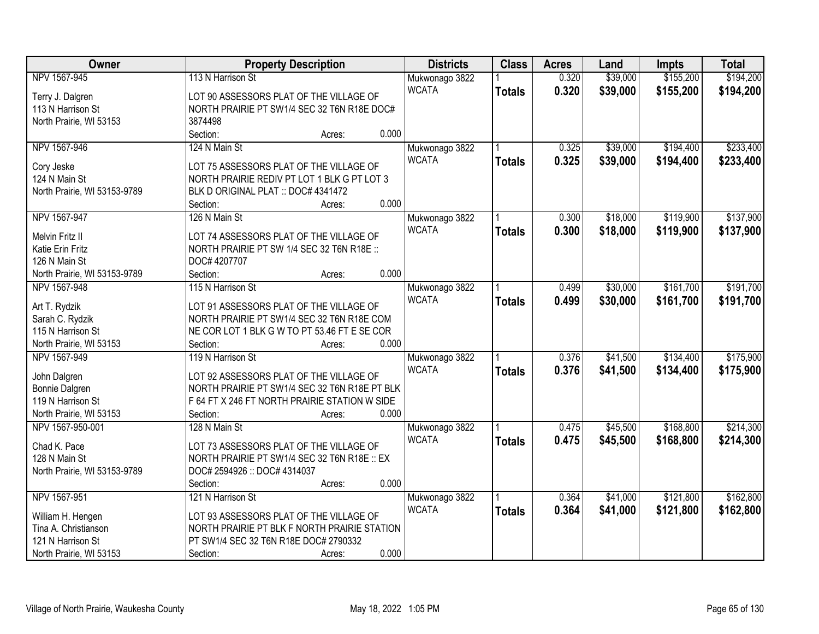| Owner                        | <b>Property Description</b>                   |        | <b>Districts</b> | <b>Class</b>   | <b>Acres</b>  | Land  | <b>Impts</b> | <b>Total</b> |           |
|------------------------------|-----------------------------------------------|--------|------------------|----------------|---------------|-------|--------------|--------------|-----------|
| NPV 1567-945                 | 113 N Harrison St                             |        |                  | Mukwonago 3822 |               | 0.320 | \$39,000     | \$155,200    | \$194,200 |
| Terry J. Dalgren             | LOT 90 ASSESSORS PLAT OF THE VILLAGE OF       |        |                  | <b>WCATA</b>   | <b>Totals</b> | 0.320 | \$39,000     | \$155,200    | \$194,200 |
| 113 N Harrison St            | NORTH PRAIRIE PT SW1/4 SEC 32 T6N R18E DOC#   |        |                  |                |               |       |              |              |           |
| North Prairie, WI 53153      | 3874498                                       |        |                  |                |               |       |              |              |           |
|                              | Section:                                      | Acres: | 0.000            |                |               |       |              |              |           |
| NPV 1567-946                 | 124 N Main St                                 |        |                  | Mukwonago 3822 |               | 0.325 | \$39,000     | \$194,400    | \$233,400 |
|                              |                                               |        |                  | <b>WCATA</b>   | <b>Totals</b> | 0.325 | \$39,000     | \$194,400    | \$233,400 |
| Cory Jeske                   | LOT 75 ASSESSORS PLAT OF THE VILLAGE OF       |        |                  |                |               |       |              |              |           |
| 124 N Main St                | NORTH PRAIRIE REDIV PT LOT 1 BLK G PT LOT 3   |        |                  |                |               |       |              |              |           |
| North Prairie, WI 53153-9789 | BLK D ORIGINAL PLAT :: DOC# 4341472           |        |                  |                |               |       |              |              |           |
|                              | Section:                                      | Acres: | 0.000            |                |               |       |              |              |           |
| NPV 1567-947                 | 126 N Main St                                 |        |                  | Mukwonago 3822 |               | 0.300 | \$18,000     | \$119,900    | \$137,900 |
| Melvin Fritz II              | LOT 74 ASSESSORS PLAT OF THE VILLAGE OF       |        |                  | <b>WCATA</b>   | <b>Totals</b> | 0.300 | \$18,000     | \$119,900    | \$137,900 |
| Katie Erin Fritz             | NORTH PRAIRIE PT SW 1/4 SEC 32 T6N R18E ::    |        |                  |                |               |       |              |              |           |
| 126 N Main St                | DOC# 4207707                                  |        |                  |                |               |       |              |              |           |
| North Prairie, WI 53153-9789 | Section:                                      | Acres: | 0.000            |                |               |       |              |              |           |
| NPV 1567-948                 | 115 N Harrison St                             |        |                  | Mukwonago 3822 |               | 0.499 | \$30,000     | \$161,700    | \$191,700 |
|                              |                                               |        |                  | <b>WCATA</b>   | <b>Totals</b> | 0.499 | \$30,000     | \$161,700    | \$191,700 |
| Art T. Rydzik                | LOT 91 ASSESSORS PLAT OF THE VILLAGE OF       |        |                  |                |               |       |              |              |           |
| Sarah C. Rydzik              | NORTH PRAIRIE PT SW1/4 SEC 32 T6N R18E COM    |        |                  |                |               |       |              |              |           |
| 115 N Harrison St            | NE COR LOT 1 BLK G W TO PT 53.46 FT E SE COR  |        |                  |                |               |       |              |              |           |
| North Prairie, WI 53153      | Section:                                      | Acres: | 0.000            |                |               |       |              |              |           |
| NPV 1567-949                 | 119 N Harrison St                             |        |                  | Mukwonago 3822 |               | 0.376 | \$41,500     | \$134,400    | \$175,900 |
| John Dalgren                 | LOT 92 ASSESSORS PLAT OF THE VILLAGE OF       |        |                  | <b>WCATA</b>   | <b>Totals</b> | 0.376 | \$41,500     | \$134,400    | \$175,900 |
| Bonnie Dalgren               | NORTH PRAIRIE PT SW1/4 SEC 32 T6N R18E PT BLK |        |                  |                |               |       |              |              |           |
| 119 N Harrison St            | F 64 FT X 246 FT NORTH PRAIRIE STATION W SIDE |        |                  |                |               |       |              |              |           |
| North Prairie, WI 53153      | Section:                                      | Acres: | 0.000            |                |               |       |              |              |           |
| NPV 1567-950-001             | 128 N Main St                                 |        |                  | Mukwonago 3822 |               | 0.475 | \$45,500     | \$168,800    | \$214,300 |
|                              |                                               |        |                  | <b>WCATA</b>   | <b>Totals</b> | 0.475 | \$45,500     | \$168,800    | \$214,300 |
| Chad K. Pace                 | LOT 73 ASSESSORS PLAT OF THE VILLAGE OF       |        |                  |                |               |       |              |              |           |
| 128 N Main St                | NORTH PRAIRIE PT SW1/4 SEC 32 T6N R18E :: EX  |        |                  |                |               |       |              |              |           |
| North Prairie, WI 53153-9789 | DOC# 2594926 :: DOC# 4314037                  |        |                  |                |               |       |              |              |           |
|                              | Section:                                      | Acres: | 0.000            |                |               |       |              |              |           |
| NPV 1567-951                 | 121 N Harrison St                             |        |                  | Mukwonago 3822 |               | 0.364 | \$41,000     | \$121,800    | \$162,800 |
| William H. Hengen            | LOT 93 ASSESSORS PLAT OF THE VILLAGE OF       |        |                  | <b>WCATA</b>   | <b>Totals</b> | 0.364 | \$41,000     | \$121,800    | \$162,800 |
| Tina A. Christianson         | NORTH PRAIRIE PT BLK F NORTH PRAIRIE STATION  |        |                  |                |               |       |              |              |           |
| 121 N Harrison St            | PT SW1/4 SEC 32 T6N R18E DOC# 2790332         |        |                  |                |               |       |              |              |           |
| North Prairie, WI 53153      | Section:                                      | Acres: | 0.000            |                |               |       |              |              |           |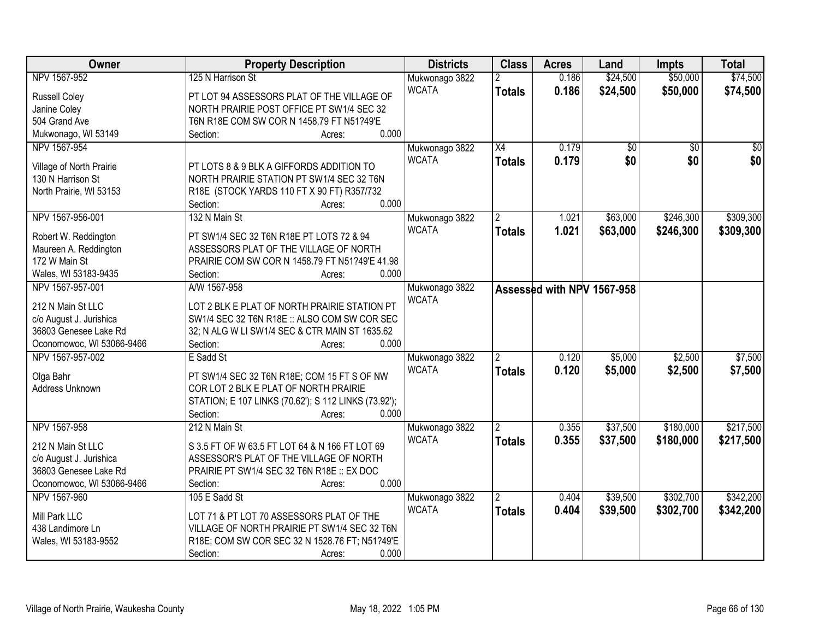| Owner                     | <b>Property Description</b>                          |                | <b>Class</b>    | <b>Acres</b>               | Land            | <b>Impts</b>    | <b>Total</b>    |
|---------------------------|------------------------------------------------------|----------------|-----------------|----------------------------|-----------------|-----------------|-----------------|
| NPV 1567-952              | 125 N Harrison St                                    | Mukwonago 3822 | $\overline{2}$  | 0.186                      | \$24,500        | \$50,000        | \$74,500        |
| <b>Russell Coley</b>      | PT LOT 94 ASSESSORS PLAT OF THE VILLAGE OF           | <b>WCATA</b>   | <b>Totals</b>   | 0.186                      | \$24,500        | \$50,000        | \$74,500        |
| Janine Coley              | NORTH PRAIRIE POST OFFICE PT SW1/4 SEC 32            |                |                 |                            |                 |                 |                 |
| 504 Grand Ave             | T6N R18E COM SW COR N 1458.79 FT N51?49'E            |                |                 |                            |                 |                 |                 |
| Mukwonago, WI 53149       | 0.000<br>Section:<br>Acres:                          |                |                 |                            |                 |                 |                 |
| NPV 1567-954              |                                                      | Mukwonago 3822 | $\overline{X4}$ | 0.179                      | $\overline{50}$ | $\overline{50}$ | $\overline{50}$ |
|                           |                                                      | <b>WCATA</b>   | <b>Totals</b>   | 0.179                      | \$0             | \$0             | \$0             |
| Village of North Prairie  | PT LOTS 8 & 9 BLK A GIFFORDS ADDITION TO             |                |                 |                            |                 |                 |                 |
| 130 N Harrison St         | NORTH PRAIRIE STATION PT SW1/4 SEC 32 T6N            |                |                 |                            |                 |                 |                 |
| North Prairie, WI 53153   | R18E (STOCK YARDS 110 FT X 90 FT) R357/732           |                |                 |                            |                 |                 |                 |
|                           | 0.000<br>Section:<br>Acres:                          |                |                 |                            |                 |                 |                 |
| NPV 1567-956-001          | 132 N Main St                                        | Mukwonago 3822 |                 | 1.021                      | \$63,000        | \$246,300       | \$309,300       |
| Robert W. Reddington      | PT SW1/4 SEC 32 T6N R18E PT LOTS 72 & 94             | <b>WCATA</b>   | <b>Totals</b>   | 1.021                      | \$63,000        | \$246,300       | \$309,300       |
| Maureen A. Reddington     | ASSESSORS PLAT OF THE VILLAGE OF NORTH               |                |                 |                            |                 |                 |                 |
| 172 W Main St             | PRAIRIE COM SW COR N 1458.79 FT N51?49'E 41.98       |                |                 |                            |                 |                 |                 |
| Wales, WI 53183-9435      | 0.000<br>Section:<br>Acres:                          |                |                 |                            |                 |                 |                 |
| NPV 1567-957-001          | A/W 1567-958                                         | Mukwonago 3822 |                 | Assessed with NPV 1567-958 |                 |                 |                 |
|                           |                                                      | <b>WCATA</b>   |                 |                            |                 |                 |                 |
| 212 N Main St LLC         | LOT 2 BLK E PLAT OF NORTH PRAIRIE STATION PT         |                |                 |                            |                 |                 |                 |
| c/o August J. Jurishica   | SW1/4 SEC 32 T6N R18E :: ALSO COM SW COR SEC         |                |                 |                            |                 |                 |                 |
| 36803 Genesee Lake Rd     | 32; N ALG W LI SW1/4 SEC & CTR MAIN ST 1635.62       |                |                 |                            |                 |                 |                 |
| Oconomowoc, WI 53066-9466 | 0.000<br>Section:<br>Acres:                          |                |                 |                            |                 |                 |                 |
| NPV 1567-957-002          | E Sadd St                                            | Mukwonago 3822 | $\overline{2}$  | 0.120                      | \$5,000         | \$2,500         | \$7,500         |
| Olga Bahr                 | PT SW1/4 SEC 32 T6N R18E; COM 15 FT S OF NW          | <b>WCATA</b>   | Totals          | 0.120                      | \$5,000         | \$2,500         | \$7,500         |
| Address Unknown           | COR LOT 2 BLK E PLAT OF NORTH PRAIRIE                |                |                 |                            |                 |                 |                 |
|                           | STATION; E 107 LINKS (70.62'); S 112 LINKS (73.92'); |                |                 |                            |                 |                 |                 |
|                           | 0.000<br>Section:<br>Acres:                          |                |                 |                            |                 |                 |                 |
| NPV 1567-958              | 212 N Main St                                        | Mukwonago 3822 | $\overline{2}$  | 0.355                      | \$37,500        | \$180,000       | \$217,500       |
|                           |                                                      | <b>WCATA</b>   | <b>Totals</b>   | 0.355                      | \$37,500        | \$180,000       | \$217,500       |
| 212 N Main St LLC         | S 3.5 FT OF W 63.5 FT LOT 64 & N 166 FT LOT 69       |                |                 |                            |                 |                 |                 |
| c/o August J. Jurishica   | ASSESSOR'S PLAT OF THE VILLAGE OF NORTH              |                |                 |                            |                 |                 |                 |
| 36803 Genesee Lake Rd     | PRAIRIE PT SW1/4 SEC 32 T6N R18E :: EX DOC           |                |                 |                            |                 |                 |                 |
| Oconomowoc, WI 53066-9466 | 0.000<br>Section:<br>Acres:                          |                |                 |                            |                 |                 |                 |
| NPV 1567-960              | 105 E Sadd St                                        | Mukwonago 3822 | 2               | 0.404                      | \$39,500        | \$302,700       | \$342,200       |
| Mill Park LLC             | LOT 71 & PT LOT 70 ASSESSORS PLAT OF THE             | <b>WCATA</b>   | <b>Totals</b>   | 0.404                      | \$39,500        | \$302,700       | \$342,200       |
| 438 Landimore Ln          | VILLAGE OF NORTH PRAIRIE PT SW1/4 SEC 32 T6N         |                |                 |                            |                 |                 |                 |
| Wales, WI 53183-9552      | R18E; COM SW COR SEC 32 N 1528.76 FT; N51?49'E       |                |                 |                            |                 |                 |                 |
|                           | 0.000<br>Section:<br>Acres:                          |                |                 |                            |                 |                 |                 |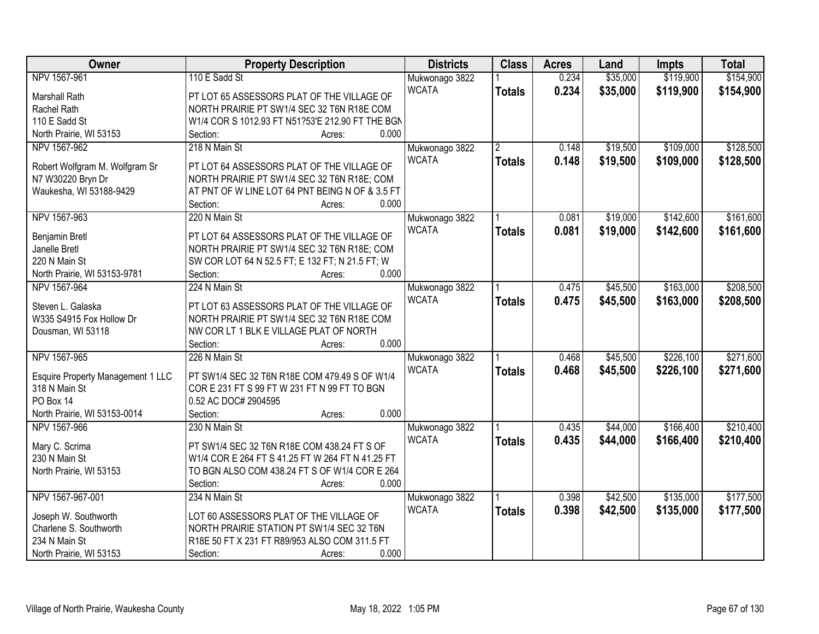| Owner                                                     | <b>Property Description</b>                              | <b>Districts</b> | <b>Class</b>   | <b>Acres</b> | Land     | <b>Impts</b> | <b>Total</b> |
|-----------------------------------------------------------|----------------------------------------------------------|------------------|----------------|--------------|----------|--------------|--------------|
| NPV 1567-961                                              | 110 E Sadd St                                            | Mukwonago 3822   |                | 0.234        | \$35,000 | \$119,900    | \$154,900    |
| <b>Marshall Rath</b>                                      | PT LOT 65 ASSESSORS PLAT OF THE VILLAGE OF               | <b>WCATA</b>     | <b>Totals</b>  | 0.234        | \$35,000 | \$119,900    | \$154,900    |
| Rachel Rath                                               | NORTH PRAIRIE PT SW1/4 SEC 32 T6N R18E COM               |                  |                |              |          |              |              |
| 110 E Sadd St                                             | W1/4 COR S 1012.93 FT N51?53'E 212.90 FT THE BGN         |                  |                |              |          |              |              |
| North Prairie, WI 53153                                   | 0.000<br>Section:<br>Acres:                              |                  |                |              |          |              |              |
| NPV 1567-962                                              | 218 N Main St                                            | Mukwonago 3822   | $\overline{2}$ | 0.148        | \$19,500 | \$109,000    | \$128,500    |
| Robert Wolfgram M. Wolfgram Sr                            | PT LOT 64 ASSESSORS PLAT OF THE VILLAGE OF               | <b>WCATA</b>     | <b>Totals</b>  | 0.148        | \$19,500 | \$109,000    | \$128,500    |
| N7 W30220 Bryn Dr                                         | NORTH PRAIRIE PT SW1/4 SEC 32 T6N R18E; COM              |                  |                |              |          |              |              |
| Waukesha, WI 53188-9429                                   | AT PNT OF W LINE LOT 64 PNT BEING N OF & 3.5 FT          |                  |                |              |          |              |              |
|                                                           | 0.000<br>Section:<br>Acres:                              |                  |                |              |          |              |              |
| NPV 1567-963                                              | 220 N Main St                                            | Mukwonago 3822   |                | 0.081        | \$19,000 | \$142,600    | \$161,600    |
|                                                           |                                                          | <b>WCATA</b>     | <b>Totals</b>  | 0.081        | \$19,000 | \$142,600    | \$161,600    |
| Benjamin Bretl                                            | PT LOT 64 ASSESSORS PLAT OF THE VILLAGE OF               |                  |                |              |          |              |              |
| Janelle Bretl                                             | NORTH PRAIRIE PT SW1/4 SEC 32 T6N R18E; COM              |                  |                |              |          |              |              |
| 220 N Main St                                             | SW COR LOT 64 N 52.5 FT; E 132 FT; N 21.5 FT; W<br>0.000 |                  |                |              |          |              |              |
| North Prairie, WI 53153-9781<br>NPV 1567-964              | Section:<br>Acres:<br>224 N Main St                      |                  |                |              |          |              | \$208,500    |
|                                                           |                                                          | Mukwonago 3822   |                | 0.475        | \$45,500 | \$163,000    |              |
| Steven L. Galaska                                         | PT LOT 63 ASSESSORS PLAT OF THE VILLAGE OF               | <b>WCATA</b>     | <b>Totals</b>  | 0.475        | \$45,500 | \$163,000    | \$208,500    |
| W335 S4915 Fox Hollow Dr                                  | NORTH PRAIRIE PT SW1/4 SEC 32 T6N R18E COM               |                  |                |              |          |              |              |
| Dousman, WI 53118                                         | NW COR LT 1 BLK E VILLAGE PLAT OF NORTH                  |                  |                |              |          |              |              |
|                                                           | 0.000<br>Section:<br>Acres:                              |                  |                |              |          |              |              |
| NPV 1567-965                                              | 226 N Main St                                            | Mukwonago 3822   |                | 0.468        | \$45,500 | \$226,100    | \$271,600    |
|                                                           | PT SW1/4 SEC 32 T6N R18E COM 479.49 S OF W1/4            | <b>WCATA</b>     | <b>Totals</b>  | 0.468        | \$45,500 | \$226,100    | \$271,600    |
| <b>Esquire Property Management 1 LLC</b><br>318 N Main St | COR E 231 FT S 99 FT W 231 FT N 99 FT TO BGN             |                  |                |              |          |              |              |
| PO Box 14                                                 | 0.52 AC DOC# 2904595                                     |                  |                |              |          |              |              |
| North Prairie, WI 53153-0014                              | 0.000<br>Section:<br>Acres:                              |                  |                |              |          |              |              |
| NPV 1567-966                                              | 230 N Main St                                            | Mukwonago 3822   |                | 0.435        | \$44,000 | \$166,400    | \$210,400    |
|                                                           |                                                          | <b>WCATA</b>     |                | 0.435        | \$44,000 | \$166,400    | \$210,400    |
| Mary C. Scrima                                            | PT SW1/4 SEC 32 T6N R18E COM 438.24 FT S OF              |                  | <b>Totals</b>  |              |          |              |              |
| 230 N Main St                                             | W1/4 COR E 264 FT S 41.25 FT W 264 FT N 41.25 FT         |                  |                |              |          |              |              |
| North Prairie, WI 53153                                   | TO BGN ALSO COM 438.24 FT S OF W1/4 COR E 264            |                  |                |              |          |              |              |
|                                                           | 0.000<br>Section:<br>Acres:                              |                  |                |              |          |              |              |
| NPV 1567-967-001                                          | 234 N Main St                                            | Mukwonago 3822   |                | 0.398        | \$42,500 | \$135,000    | \$177,500    |
| Joseph W. Southworth                                      | LOT 60 ASSESSORS PLAT OF THE VILLAGE OF                  | <b>WCATA</b>     | <b>Totals</b>  | 0.398        | \$42,500 | \$135,000    | \$177,500    |
| Charlene S. Southworth                                    | NORTH PRAIRIE STATION PT SW1/4 SEC 32 T6N                |                  |                |              |          |              |              |
| 234 N Main St                                             | R18E 50 FT X 231 FT R89/953 ALSO COM 311.5 FT            |                  |                |              |          |              |              |
| North Prairie, WI 53153                                   | 0.000<br>Section:<br>Acres:                              |                  |                |              |          |              |              |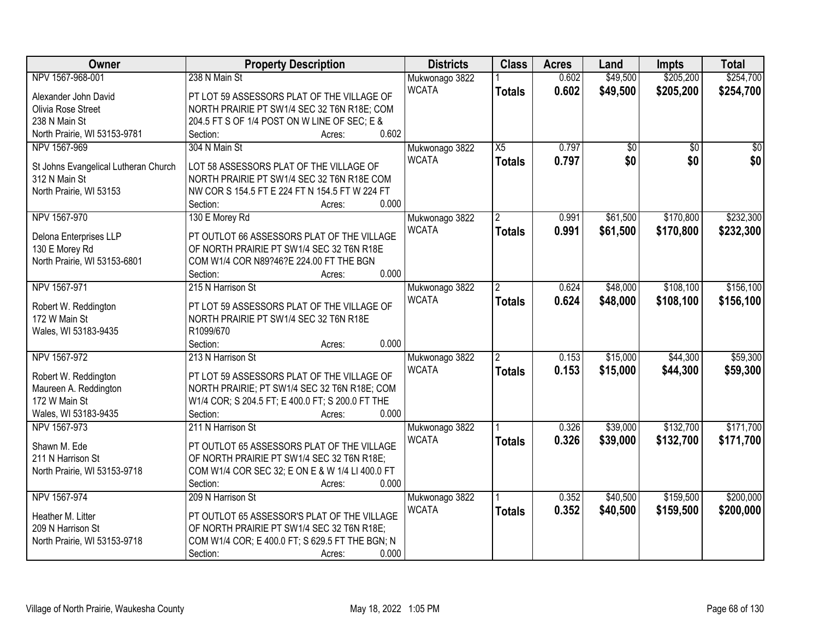| Owner                                | <b>Property Description</b>                             | <b>Districts</b> | <b>Class</b>             | <b>Acres</b> | Land     | <b>Impts</b>    | <b>Total</b> |
|--------------------------------------|---------------------------------------------------------|------------------|--------------------------|--------------|----------|-----------------|--------------|
| NPV 1567-968-001                     | 238 N Main St                                           | Mukwonago 3822   |                          | 0.602        | \$49,500 | \$205,200       | \$254,700    |
| Alexander John David                 | PT LOT 59 ASSESSORS PLAT OF THE VILLAGE OF              | <b>WCATA</b>     | <b>Totals</b>            | 0.602        | \$49,500 | \$205,200       | \$254,700    |
| Olivia Rose Street                   | NORTH PRAIRIE PT SW1/4 SEC 32 T6N R18E; COM             |                  |                          |              |          |                 |              |
| 238 N Main St                        | 204.5 FT S OF 1/4 POST ON W LINE OF SEC; E &            |                  |                          |              |          |                 |              |
| North Prairie, WI 53153-9781         | 0.602<br>Section:<br>Acres:                             |                  |                          |              |          |                 |              |
| NPV 1567-969                         | 304 N Main St                                           | Mukwonago 3822   | $\overline{X5}$          | 0.797        | \$0      | $\overline{30}$ | \$0          |
|                                      |                                                         | <b>WCATA</b>     | <b>Totals</b>            | 0.797        | \$0      | \$0             | \$0          |
| St Johns Evangelical Lutheran Church | LOT 58 ASSESSORS PLAT OF THE VILLAGE OF                 |                  |                          |              |          |                 |              |
| 312 N Main St                        | NORTH PRAIRIE PT SW1/4 SEC 32 T6N R18E COM              |                  |                          |              |          |                 |              |
| North Prairie, WI 53153              | NW COR S 154.5 FT E 224 FT N 154.5 FT W 224 FT<br>0.000 |                  |                          |              |          |                 |              |
| NPV 1567-970                         | Section:<br>Acres:                                      |                  |                          | 0.991        | \$61,500 | \$170,800       | \$232,300    |
|                                      | 130 E Morey Rd                                          | Mukwonago 3822   | $\overline{2}$           |              |          |                 |              |
| Delona Enterprises LLP               | PT OUTLOT 66 ASSESSORS PLAT OF THE VILLAGE              | <b>WCATA</b>     | <b>Totals</b>            | 0.991        | \$61,500 | \$170,800       | \$232,300    |
| 130 E Morey Rd                       | OF NORTH PRAIRIE PT SW1/4 SEC 32 T6N R18E               |                  |                          |              |          |                 |              |
| North Prairie, WI 53153-6801         | COM W1/4 COR N89?46?E 224.00 FT THE BGN                 |                  |                          |              |          |                 |              |
|                                      | 0.000<br>Section:<br>Acres:                             |                  |                          |              |          |                 |              |
| NPV 1567-971                         | 215 N Harrison St                                       | Mukwonago 3822   | $\overline{2}$           | 0.624        | \$48,000 | \$108,100       | \$156,100    |
| Robert W. Reddington                 | PT LOT 59 ASSESSORS PLAT OF THE VILLAGE OF              | <b>WCATA</b>     | <b>Totals</b>            | 0.624        | \$48,000 | \$108,100       | \$156,100    |
| 172 W Main St                        | NORTH PRAIRIE PT SW1/4 SEC 32 T6N R18E                  |                  |                          |              |          |                 |              |
| Wales, WI 53183-9435                 | R1099/670                                               |                  |                          |              |          |                 |              |
|                                      | 0.000<br>Section:<br>Acres:                             |                  |                          |              |          |                 |              |
| NPV 1567-972                         | 213 N Harrison St                                       | Mukwonago 3822   | $\overline{\phantom{a}}$ | 0.153        | \$15,000 | \$44,300        | \$59,300     |
|                                      |                                                         | <b>WCATA</b>     |                          | 0.153        | \$15,000 | \$44,300        | \$59,300     |
| Robert W. Reddington                 | PT LOT 59 ASSESSORS PLAT OF THE VILLAGE OF              |                  | <b>Totals</b>            |              |          |                 |              |
| Maureen A. Reddington                | NORTH PRAIRIE; PT SW1/4 SEC 32 T6N R18E; COM            |                  |                          |              |          |                 |              |
| 172 W Main St                        | W1/4 COR; S 204.5 FT; E 400.0 FT; S 200.0 FT THE        |                  |                          |              |          |                 |              |
| Wales, WI 53183-9435                 | 0.000<br>Section:<br>Acres:                             |                  |                          |              |          |                 |              |
| NPV 1567-973                         | 211 N Harrison St                                       | Mukwonago 3822   |                          | 0.326        | \$39,000 | \$132,700       | \$171,700    |
| Shawn M. Ede                         | PT OUTLOT 65 ASSESSORS PLAT OF THE VILLAGE              | <b>WCATA</b>     | <b>Totals</b>            | 0.326        | \$39,000 | \$132,700       | \$171,700    |
| 211 N Harrison St                    | OF NORTH PRAIRIE PT SW1/4 SEC 32 T6N R18E;              |                  |                          |              |          |                 |              |
| North Prairie, WI 53153-9718         | COM W1/4 COR SEC 32; E ON E & W 1/4 LI 400.0 FT         |                  |                          |              |          |                 |              |
|                                      | 0.000<br>Section:<br>Acres:                             |                  |                          |              |          |                 |              |
| NPV 1567-974                         | 209 N Harrison St                                       | Mukwonago 3822   |                          | 0.352        | \$40,500 | \$159,500       | \$200,000    |
|                                      |                                                         | <b>WCATA</b>     | <b>Totals</b>            | 0.352        | \$40,500 | \$159,500       | \$200,000    |
| Heather M. Litter                    | PT OUTLOT 65 ASSESSOR'S PLAT OF THE VILLAGE             |                  |                          |              |          |                 |              |
| 209 N Harrison St                    | OF NORTH PRAIRIE PT SW1/4 SEC 32 T6N R18E;              |                  |                          |              |          |                 |              |
| North Prairie, WI 53153-9718         | COM W1/4 COR; E 400.0 FT; S 629.5 FT THE BGN; N         |                  |                          |              |          |                 |              |
|                                      | 0.000<br>Section:<br>Acres:                             |                  |                          |              |          |                 |              |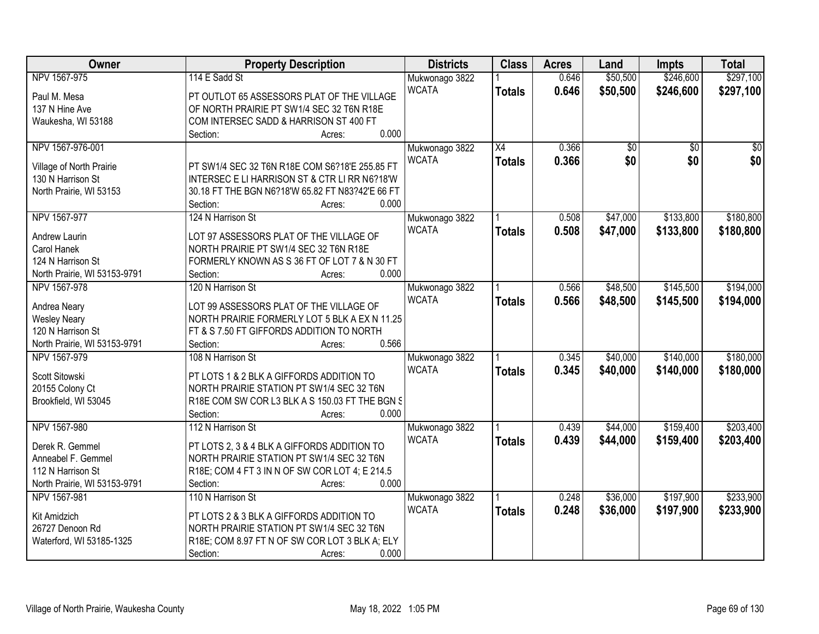| Owner                        | <b>Property Description</b>                                                              | <b>Districts</b> | <b>Class</b>    | <b>Acres</b> | Land     | <b>Impts</b>    | <b>Total</b>    |
|------------------------------|------------------------------------------------------------------------------------------|------------------|-----------------|--------------|----------|-----------------|-----------------|
| NPV 1567-975                 | 114 E Sadd St                                                                            | Mukwonago 3822   |                 | 0.646        | \$50,500 | \$246,600       | \$297,100       |
| Paul M. Mesa                 | PT OUTLOT 65 ASSESSORS PLAT OF THE VILLAGE                                               | <b>WCATA</b>     | <b>Totals</b>   | 0.646        | \$50,500 | \$246,600       | \$297,100       |
| 137 N Hine Ave               | OF NORTH PRAIRIE PT SW1/4 SEC 32 T6N R18E                                                |                  |                 |              |          |                 |                 |
| Waukesha, WI 53188           | COM INTERSEC SADD & HARRISON ST 400 FT                                                   |                  |                 |              |          |                 |                 |
|                              | 0.000<br>Section:<br>Acres:                                                              |                  |                 |              |          |                 |                 |
| NPV 1567-976-001             |                                                                                          | Mukwonago 3822   | $\overline{X4}$ | 0.366        | \$0      | $\overline{30}$ | $\overline{50}$ |
|                              |                                                                                          | <b>WCATA</b>     | <b>Totals</b>   | 0.366        | \$0      | \$0             | \$0             |
| Village of North Prairie     | PT SW1/4 SEC 32 T6N R18E COM S6?18'E 255.85 FT                                           |                  |                 |              |          |                 |                 |
| 130 N Harrison St            | INTERSEC E LI HARRISON ST & CTR LI RR N6?18'W                                            |                  |                 |              |          |                 |                 |
| North Prairie, WI 53153      | 30.18 FT THE BGN N6?18'W 65.82 FT N83?42'E 66 FT                                         |                  |                 |              |          |                 |                 |
|                              | 0.000<br>Section:<br>Acres:                                                              |                  |                 |              |          |                 |                 |
| NPV 1567-977                 | 124 N Harrison St                                                                        | Mukwonago 3822   |                 | 0.508        | \$47,000 | \$133,800       | \$180,800       |
| Andrew Laurin                | LOT 97 ASSESSORS PLAT OF THE VILLAGE OF                                                  | <b>WCATA</b>     | <b>Totals</b>   | 0.508        | \$47,000 | \$133,800       | \$180,800       |
| Carol Hanek                  | NORTH PRAIRIE PT SW1/4 SEC 32 T6N R18E                                                   |                  |                 |              |          |                 |                 |
| 124 N Harrison St            | FORMERLY KNOWN AS S 36 FT OF LOT 7 & N 30 FT                                             |                  |                 |              |          |                 |                 |
| North Prairie, WI 53153-9791 | 0.000<br>Section:<br>Acres:                                                              |                  |                 |              |          |                 |                 |
| NPV 1567-978                 | 120 N Harrison St                                                                        | Mukwonago 3822   |                 | 0.566        | \$48,500 | \$145,500       | \$194,000       |
|                              |                                                                                          | <b>WCATA</b>     | <b>Totals</b>   | 0.566        | \$48,500 | \$145,500       | \$194,000       |
| Andrea Neary                 | LOT 99 ASSESSORS PLAT OF THE VILLAGE OF                                                  |                  |                 |              |          |                 |                 |
| <b>Wesley Neary</b>          | NORTH PRAIRIE FORMERLY LOT 5 BLK A EX N 11.25                                            |                  |                 |              |          |                 |                 |
| 120 N Harrison St            | FT & S 7.50 FT GIFFORDS ADDITION TO NORTH                                                |                  |                 |              |          |                 |                 |
| North Prairie, WI 53153-9791 | 0.566<br>Section:<br>Acres:                                                              |                  |                 |              |          |                 |                 |
| NPV 1567-979                 | 108 N Harrison St                                                                        | Mukwonago 3822   |                 | 0.345        | \$40,000 | \$140,000       | \$180,000       |
| Scott Sitowski               | PT LOTS 1 & 2 BLK A GIFFORDS ADDITION TO                                                 | <b>WCATA</b>     | <b>Totals</b>   | 0.345        | \$40,000 | \$140,000       | \$180,000       |
| 20155 Colony Ct              | NORTH PRAIRIE STATION PT SW1/4 SEC 32 T6N                                                |                  |                 |              |          |                 |                 |
| Brookfield, WI 53045         | R18E COM SW COR L3 BLK A S 150.03 FT THE BGN S                                           |                  |                 |              |          |                 |                 |
|                              | 0.000<br>Section:<br>Acres:                                                              |                  |                 |              |          |                 |                 |
| NPV 1567-980                 | 112 N Harrison St                                                                        | Mukwonago 3822   |                 | 0.439        | \$44,000 | \$159,400       | \$203,400       |
| Derek R. Gemmel              |                                                                                          | <b>WCATA</b>     | <b>Totals</b>   | 0.439        | \$44,000 | \$159,400       | \$203,400       |
| Anneabel F. Gemmel           | PT LOTS 2, 3 & 4 BLK A GIFFORDS ADDITION TO<br>NORTH PRAIRIE STATION PT SW1/4 SEC 32 T6N |                  |                 |              |          |                 |                 |
| 112 N Harrison St            | R18E; COM 4 FT 3 IN N OF SW COR LOT 4; E 214.5                                           |                  |                 |              |          |                 |                 |
|                              | 0.000<br>Section:                                                                        |                  |                 |              |          |                 |                 |
| North Prairie, WI 53153-9791 | Acres:<br>110 N Harrison St                                                              |                  |                 |              | \$36,000 | \$197,900       | \$233,900       |
| NPV 1567-981                 |                                                                                          | Mukwonago 3822   |                 | 0.248        |          |                 |                 |
| Kit Amidzich                 | PT LOTS 2 & 3 BLK A GIFFORDS ADDITION TO                                                 | <b>WCATA</b>     | <b>Totals</b>   | 0.248        | \$36,000 | \$197,900       | \$233,900       |
| 26727 Denoon Rd              | NORTH PRAIRIE STATION PT SW1/4 SEC 32 T6N                                                |                  |                 |              |          |                 |                 |
| Waterford, WI 53185-1325     | R18E; COM 8.97 FT N OF SW COR LOT 3 BLK A; ELY                                           |                  |                 |              |          |                 |                 |
|                              | 0.000<br>Section:<br>Acres:                                                              |                  |                 |              |          |                 |                 |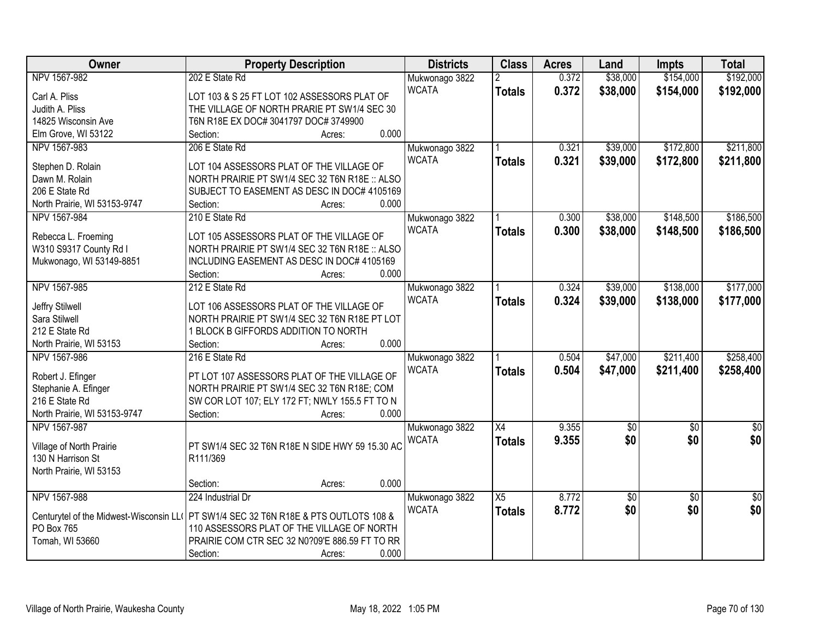| Owner                        | <b>Property Description</b>                                                          | <b>Districts</b> | <b>Class</b>    | <b>Acres</b> | Land            | <b>Impts</b>    | <b>Total</b>    |
|------------------------------|--------------------------------------------------------------------------------------|------------------|-----------------|--------------|-----------------|-----------------|-----------------|
| NPV 1567-982                 | 202 E State Rd                                                                       | Mukwonago 3822   | $\overline{2}$  | 0.372        | \$38,000        | \$154,000       | \$192,000       |
| Carl A. Pliss                | LOT 103 & S 25 FT LOT 102 ASSESSORS PLAT OF                                          | <b>WCATA</b>     | <b>Totals</b>   | 0.372        | \$38,000        | \$154,000       | \$192,000       |
| Judith A. Pliss              | THE VILLAGE OF NORTH PRARIE PT SW1/4 SEC 30                                          |                  |                 |              |                 |                 |                 |
| 14825 Wisconsin Ave          | T6N R18E EX DOC# 3041797 DOC# 3749900                                                |                  |                 |              |                 |                 |                 |
| Elm Grove, WI 53122          | 0.000<br>Section:<br>Acres:                                                          |                  |                 |              |                 |                 |                 |
| NPV 1567-983                 | 206 E State Rd                                                                       | Mukwonago 3822   |                 | 0.321        | \$39,000        | \$172,800       | \$211,800       |
| Stephen D. Rolain            | LOT 104 ASSESSORS PLAT OF THE VILLAGE OF                                             | <b>WCATA</b>     | <b>Totals</b>   | 0.321        | \$39,000        | \$172,800       | \$211,800       |
| Dawn M. Rolain               | NORTH PRAIRIE PT SW1/4 SEC 32 T6N R18E :: ALSO                                       |                  |                 |              |                 |                 |                 |
| 206 E State Rd               | SUBJECT TO EASEMENT AS DESC IN DOC# 4105169                                          |                  |                 |              |                 |                 |                 |
| North Prairie, WI 53153-9747 | 0.000<br>Section:<br>Acres:                                                          |                  |                 |              |                 |                 |                 |
| NPV 1567-984                 | 210 E State Rd                                                                       | Mukwonago 3822   |                 | 0.300        | \$38,000        | \$148,500       | \$186,500       |
|                              |                                                                                      | <b>WCATA</b>     | <b>Totals</b>   | 0.300        | \$38,000        | \$148,500       | \$186,500       |
| Rebecca L. Froeming          | LOT 105 ASSESSORS PLAT OF THE VILLAGE OF                                             |                  |                 |              |                 |                 |                 |
| W310 S9317 County Rd I       | NORTH PRAIRIE PT SW1/4 SEC 32 T6N R18E :: ALSO                                       |                  |                 |              |                 |                 |                 |
| Mukwonago, WI 53149-8851     | INCLUDING EASEMENT AS DESC IN DOC# 4105169                                           |                  |                 |              |                 |                 |                 |
|                              | 0.000<br>Section:<br>Acres:                                                          |                  |                 |              |                 |                 |                 |
| NPV 1567-985                 | 212 E State Rd                                                                       | Mukwonago 3822   |                 | 0.324        | \$39,000        | \$138,000       | \$177,000       |
| Jeffry Stilwell              | LOT 106 ASSESSORS PLAT OF THE VILLAGE OF                                             | <b>WCATA</b>     | <b>Totals</b>   | 0.324        | \$39,000        | \$138,000       | \$177,000       |
| Sara Stilwell                | NORTH PRAIRIE PT SW1/4 SEC 32 T6N R18E PT LOT                                        |                  |                 |              |                 |                 |                 |
| 212 E State Rd               | 1 BLOCK B GIFFORDS ADDITION TO NORTH                                                 |                  |                 |              |                 |                 |                 |
| North Prairie, WI 53153      | 0.000<br>Section:<br>Acres:                                                          |                  |                 |              |                 |                 |                 |
| NPV 1567-986                 | 216 E State Rd                                                                       | Mukwonago 3822   |                 | 0.504        | \$47,000        | \$211,400       | \$258,400       |
| Robert J. Efinger            | PT LOT 107 ASSESSORS PLAT OF THE VILLAGE OF                                          | <b>WCATA</b>     | <b>Totals</b>   | 0.504        | \$47,000        | \$211,400       | \$258,400       |
| Stephanie A. Efinger         | NORTH PRAIRIE PT SW1/4 SEC 32 T6N R18E; COM                                          |                  |                 |              |                 |                 |                 |
| 216 E State Rd               | SW COR LOT 107; ELY 172 FT; NWLY 155.5 FT TO N                                       |                  |                 |              |                 |                 |                 |
| North Prairie, WI 53153-9747 | 0.000<br>Section:<br>Acres:                                                          |                  |                 |              |                 |                 |                 |
| NPV 1567-987                 |                                                                                      | Mukwonago 3822   | $\overline{X4}$ | 9.355        | $\sqrt{50}$     | $\overline{50}$ | $\overline{50}$ |
|                              |                                                                                      | <b>WCATA</b>     | <b>Totals</b>   | 9.355        | \$0             | \$0             | \$0             |
| Village of North Prairie     | PT SW1/4 SEC 32 T6N R18E N SIDE HWY 59 15.30 AC                                      |                  |                 |              |                 |                 |                 |
| 130 N Harrison St            | R111/369                                                                             |                  |                 |              |                 |                 |                 |
| North Prairie, WI 53153      |                                                                                      |                  |                 |              |                 |                 |                 |
|                              | 0.000<br>Section:<br>Acres:                                                          |                  |                 |              |                 |                 |                 |
| NPV 1567-988                 | 224 Industrial Dr                                                                    | Mukwonago 3822   | X5              | 8.772        | $\overline{50}$ | $\overline{30}$ | $\overline{50}$ |
|                              | Centurytel of the Midwest-Wisconsin LL( PT SW1/4 SEC 32 T6N R18E & PTS OUTLOTS 108 & | <b>WCATA</b>     | <b>Totals</b>   | 8.772        | \$0             | \$0             | \$0             |
| PO Box 765                   | 110 ASSESSORS PLAT OF THE VILLAGE OF NORTH                                           |                  |                 |              |                 |                 |                 |
| Tomah, WI 53660              | PRAIRIE COM CTR SEC 32 N0?09'E 886.59 FT TO RR                                       |                  |                 |              |                 |                 |                 |
|                              | 0.000<br>Section:<br>Acres:                                                          |                  |                 |              |                 |                 |                 |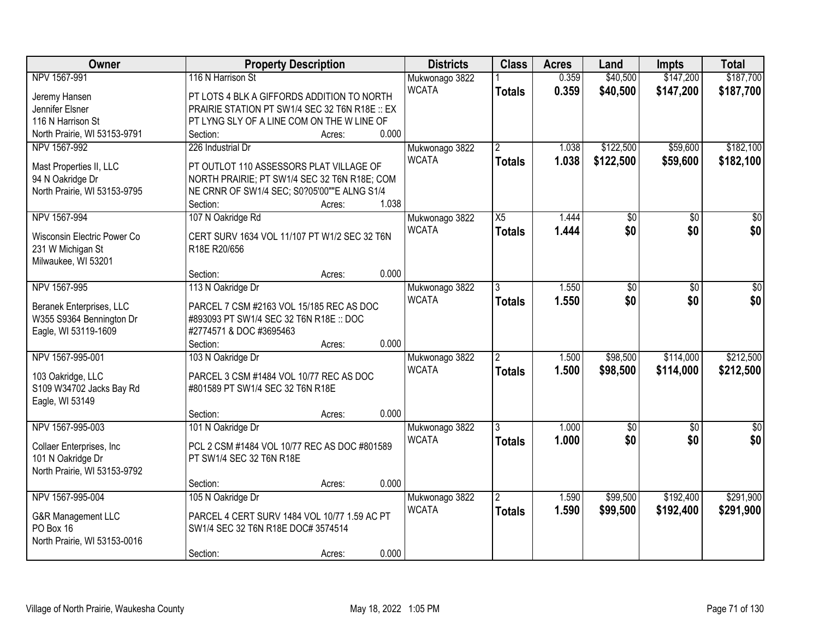| \$147,200<br>\$187,700<br>NPV 1567-991<br>116 N Harrison St<br>0.359<br>\$40,500<br>Mukwonago 3822<br><b>WCATA</b><br>0.359<br>\$40,500<br>\$147,200<br>\$187,700<br><b>Totals</b><br>PT LOTS 4 BLK A GIFFORDS ADDITION TO NORTH<br>Jeremy Hansen<br>Jennifer Elsner<br>PRAIRIE STATION PT SW1/4 SEC 32 T6N R18E :: EX<br>PT LYNG SLY OF A LINE COM ON THE W LINE OF<br>116 N Harrison St<br>0.000<br>North Prairie, WI 53153-9791<br>Section:<br>Acres:<br>\$122,500<br>\$59,600<br>\$182,100<br>NPV 1567-992<br>226 Industrial Dr<br>Mukwonago 3822<br>$\mathfrak{p}$<br>1.038<br><b>WCATA</b><br>1.038<br>\$122,500<br>\$59,600<br><b>Totals</b><br>Mast Properties II, LLC<br>PT OUTLOT 110 ASSESSORS PLAT VILLAGE OF<br>94 N Oakridge Dr<br>NORTH PRAIRIE; PT SW1/4 SEC 32 T6N R18E; COM<br>North Prairie, WI 53153-9795<br>NE CRNR OF SW1/4 SEC; S0?05'00""E ALNG S1/4<br>1.038<br>Section:<br>Acres:<br>107 N Oakridge Rd<br>NPV 1567-994<br>$\overline{X5}$<br>1.444<br>$\overline{50}$<br>Mukwonago 3822<br>\$0<br>\$0<br>\$0<br>1.444<br><b>WCATA</b><br><b>Totals</b><br>CERT SURV 1634 VOL 11/107 PT W1/2 SEC 32 T6N<br>Wisconsin Electric Power Co<br>231 W Michigan St<br>R18E R20/656<br>Milwaukee, WI 53201<br>0.000<br>Section:<br>Acres:<br>NPV 1567-995<br>113 N Oakridge Dr<br>1.550<br>$\overline{50}$<br>Mukwonago 3822<br>\$0<br>3<br><b>WCATA</b><br>\$0<br>\$0<br>1.550<br><b>Totals</b><br>PARCEL 7 CSM #2163 VOL 15/185 REC AS DOC<br>Beranek Enterprises, LLC<br>W355 S9364 Bennington Dr<br>#893093 PT SW1/4 SEC 32 T6N R18E :: DOC<br>Eagle, WI 53119-1609<br>#2774571 & DOC #3695463<br>0.000<br>Section:<br>Acres:<br>NPV 1567-995-001<br>103 N Oakridge Dr<br>\$98,500<br>\$114,000<br>1.500<br>Mukwonago 3822<br><b>WCATA</b><br>1.500<br>\$98,500<br>\$114,000<br><b>Totals</b><br>PARCEL 3 CSM #1484 VOL 10/77 REC AS DOC<br>103 Oakridge, LLC<br>S109 W34702 Jacks Bay Rd<br>#801589 PT SW1/4 SEC 32 T6N R18E |
|----------------------------------------------------------------------------------------------------------------------------------------------------------------------------------------------------------------------------------------------------------------------------------------------------------------------------------------------------------------------------------------------------------------------------------------------------------------------------------------------------------------------------------------------------------------------------------------------------------------------------------------------------------------------------------------------------------------------------------------------------------------------------------------------------------------------------------------------------------------------------------------------------------------------------------------------------------------------------------------------------------------------------------------------------------------------------------------------------------------------------------------------------------------------------------------------------------------------------------------------------------------------------------------------------------------------------------------------------------------------------------------------------------------------------------------------------------------------------------------------------------------------------------------------------------------------------------------------------------------------------------------------------------------------------------------------------------------------------------------------------------------------------------------------------------------------------------------------------------------------------------------------------------------------------------------------------|
|                                                                                                                                                                                                                                                                                                                                                                                                                                                                                                                                                                                                                                                                                                                                                                                                                                                                                                                                                                                                                                                                                                                                                                                                                                                                                                                                                                                                                                                                                                                                                                                                                                                                                                                                                                                                                                                                                                                                                    |
|                                                                                                                                                                                                                                                                                                                                                                                                                                                                                                                                                                                                                                                                                                                                                                                                                                                                                                                                                                                                                                                                                                                                                                                                                                                                                                                                                                                                                                                                                                                                                                                                                                                                                                                                                                                                                                                                                                                                                    |
|                                                                                                                                                                                                                                                                                                                                                                                                                                                                                                                                                                                                                                                                                                                                                                                                                                                                                                                                                                                                                                                                                                                                                                                                                                                                                                                                                                                                                                                                                                                                                                                                                                                                                                                                                                                                                                                                                                                                                    |
|                                                                                                                                                                                                                                                                                                                                                                                                                                                                                                                                                                                                                                                                                                                                                                                                                                                                                                                                                                                                                                                                                                                                                                                                                                                                                                                                                                                                                                                                                                                                                                                                                                                                                                                                                                                                                                                                                                                                                    |
|                                                                                                                                                                                                                                                                                                                                                                                                                                                                                                                                                                                                                                                                                                                                                                                                                                                                                                                                                                                                                                                                                                                                                                                                                                                                                                                                                                                                                                                                                                                                                                                                                                                                                                                                                                                                                                                                                                                                                    |
| \$182,100<br>$\overline{30}$<br>\$0 <br>$\overline{30}$<br>\$0<br>\$212,500<br>\$212,500                                                                                                                                                                                                                                                                                                                                                                                                                                                                                                                                                                                                                                                                                                                                                                                                                                                                                                                                                                                                                                                                                                                                                                                                                                                                                                                                                                                                                                                                                                                                                                                                                                                                                                                                                                                                                                                           |
|                                                                                                                                                                                                                                                                                                                                                                                                                                                                                                                                                                                                                                                                                                                                                                                                                                                                                                                                                                                                                                                                                                                                                                                                                                                                                                                                                                                                                                                                                                                                                                                                                                                                                                                                                                                                                                                                                                                                                    |
|                                                                                                                                                                                                                                                                                                                                                                                                                                                                                                                                                                                                                                                                                                                                                                                                                                                                                                                                                                                                                                                                                                                                                                                                                                                                                                                                                                                                                                                                                                                                                                                                                                                                                                                                                                                                                                                                                                                                                    |
|                                                                                                                                                                                                                                                                                                                                                                                                                                                                                                                                                                                                                                                                                                                                                                                                                                                                                                                                                                                                                                                                                                                                                                                                                                                                                                                                                                                                                                                                                                                                                                                                                                                                                                                                                                                                                                                                                                                                                    |
|                                                                                                                                                                                                                                                                                                                                                                                                                                                                                                                                                                                                                                                                                                                                                                                                                                                                                                                                                                                                                                                                                                                                                                                                                                                                                                                                                                                                                                                                                                                                                                                                                                                                                                                                                                                                                                                                                                                                                    |
|                                                                                                                                                                                                                                                                                                                                                                                                                                                                                                                                                                                                                                                                                                                                                                                                                                                                                                                                                                                                                                                                                                                                                                                                                                                                                                                                                                                                                                                                                                                                                                                                                                                                                                                                                                                                                                                                                                                                                    |
|                                                                                                                                                                                                                                                                                                                                                                                                                                                                                                                                                                                                                                                                                                                                                                                                                                                                                                                                                                                                                                                                                                                                                                                                                                                                                                                                                                                                                                                                                                                                                                                                                                                                                                                                                                                                                                                                                                                                                    |
|                                                                                                                                                                                                                                                                                                                                                                                                                                                                                                                                                                                                                                                                                                                                                                                                                                                                                                                                                                                                                                                                                                                                                                                                                                                                                                                                                                                                                                                                                                                                                                                                                                                                                                                                                                                                                                                                                                                                                    |
|                                                                                                                                                                                                                                                                                                                                                                                                                                                                                                                                                                                                                                                                                                                                                                                                                                                                                                                                                                                                                                                                                                                                                                                                                                                                                                                                                                                                                                                                                                                                                                                                                                                                                                                                                                                                                                                                                                                                                    |
|                                                                                                                                                                                                                                                                                                                                                                                                                                                                                                                                                                                                                                                                                                                                                                                                                                                                                                                                                                                                                                                                                                                                                                                                                                                                                                                                                                                                                                                                                                                                                                                                                                                                                                                                                                                                                                                                                                                                                    |
|                                                                                                                                                                                                                                                                                                                                                                                                                                                                                                                                                                                                                                                                                                                                                                                                                                                                                                                                                                                                                                                                                                                                                                                                                                                                                                                                                                                                                                                                                                                                                                                                                                                                                                                                                                                                                                                                                                                                                    |
|                                                                                                                                                                                                                                                                                                                                                                                                                                                                                                                                                                                                                                                                                                                                                                                                                                                                                                                                                                                                                                                                                                                                                                                                                                                                                                                                                                                                                                                                                                                                                                                                                                                                                                                                                                                                                                                                                                                                                    |
|                                                                                                                                                                                                                                                                                                                                                                                                                                                                                                                                                                                                                                                                                                                                                                                                                                                                                                                                                                                                                                                                                                                                                                                                                                                                                                                                                                                                                                                                                                                                                                                                                                                                                                                                                                                                                                                                                                                                                    |
|                                                                                                                                                                                                                                                                                                                                                                                                                                                                                                                                                                                                                                                                                                                                                                                                                                                                                                                                                                                                                                                                                                                                                                                                                                                                                                                                                                                                                                                                                                                                                                                                                                                                                                                                                                                                                                                                                                                                                    |
|                                                                                                                                                                                                                                                                                                                                                                                                                                                                                                                                                                                                                                                                                                                                                                                                                                                                                                                                                                                                                                                                                                                                                                                                                                                                                                                                                                                                                                                                                                                                                                                                                                                                                                                                                                                                                                                                                                                                                    |
|                                                                                                                                                                                                                                                                                                                                                                                                                                                                                                                                                                                                                                                                                                                                                                                                                                                                                                                                                                                                                                                                                                                                                                                                                                                                                                                                                                                                                                                                                                                                                                                                                                                                                                                                                                                                                                                                                                                                                    |
|                                                                                                                                                                                                                                                                                                                                                                                                                                                                                                                                                                                                                                                                                                                                                                                                                                                                                                                                                                                                                                                                                                                                                                                                                                                                                                                                                                                                                                                                                                                                                                                                                                                                                                                                                                                                                                                                                                                                                    |
|                                                                                                                                                                                                                                                                                                                                                                                                                                                                                                                                                                                                                                                                                                                                                                                                                                                                                                                                                                                                                                                                                                                                                                                                                                                                                                                                                                                                                                                                                                                                                                                                                                                                                                                                                                                                                                                                                                                                                    |
|                                                                                                                                                                                                                                                                                                                                                                                                                                                                                                                                                                                                                                                                                                                                                                                                                                                                                                                                                                                                                                                                                                                                                                                                                                                                                                                                                                                                                                                                                                                                                                                                                                                                                                                                                                                                                                                                                                                                                    |
|                                                                                                                                                                                                                                                                                                                                                                                                                                                                                                                                                                                                                                                                                                                                                                                                                                                                                                                                                                                                                                                                                                                                                                                                                                                                                                                                                                                                                                                                                                                                                                                                                                                                                                                                                                                                                                                                                                                                                    |
| Eagle, WI 53149                                                                                                                                                                                                                                                                                                                                                                                                                                                                                                                                                                                                                                                                                                                                                                                                                                                                                                                                                                                                                                                                                                                                                                                                                                                                                                                                                                                                                                                                                                                                                                                                                                                                                                                                                                                                                                                                                                                                    |
| 0.000<br>Section:<br>Acres:                                                                                                                                                                                                                                                                                                                                                                                                                                                                                                                                                                                                                                                                                                                                                                                                                                                                                                                                                                                                                                                                                                                                                                                                                                                                                                                                                                                                                                                                                                                                                                                                                                                                                                                                                                                                                                                                                                                        |
| NPV 1567-995-003<br>\$0<br>101 N Oakridge Dr<br>1.000<br>$\overline{50}$<br>Mukwonago 3822<br>\$0                                                                                                                                                                                                                                                                                                                                                                                                                                                                                                                                                                                                                                                                                                                                                                                                                                                                                                                                                                                                                                                                                                                                                                                                                                                                                                                                                                                                                                                                                                                                                                                                                                                                                                                                                                                                                                                  |
| \$0 <br>\$0<br><b>WCATA</b><br>1.000<br>\$0<br><b>Totals</b>                                                                                                                                                                                                                                                                                                                                                                                                                                                                                                                                                                                                                                                                                                                                                                                                                                                                                                                                                                                                                                                                                                                                                                                                                                                                                                                                                                                                                                                                                                                                                                                                                                                                                                                                                                                                                                                                                       |
| PCL 2 CSM #1484 VOL 10/77 REC AS DOC #801589<br>Collaer Enterprises, Inc.                                                                                                                                                                                                                                                                                                                                                                                                                                                                                                                                                                                                                                                                                                                                                                                                                                                                                                                                                                                                                                                                                                                                                                                                                                                                                                                                                                                                                                                                                                                                                                                                                                                                                                                                                                                                                                                                          |
| 101 N Oakridge Dr<br>PT SW1/4 SEC 32 T6N R18E                                                                                                                                                                                                                                                                                                                                                                                                                                                                                                                                                                                                                                                                                                                                                                                                                                                                                                                                                                                                                                                                                                                                                                                                                                                                                                                                                                                                                                                                                                                                                                                                                                                                                                                                                                                                                                                                                                      |
| North Prairie, WI 53153-9792                                                                                                                                                                                                                                                                                                                                                                                                                                                                                                                                                                                                                                                                                                                                                                                                                                                                                                                                                                                                                                                                                                                                                                                                                                                                                                                                                                                                                                                                                                                                                                                                                                                                                                                                                                                                                                                                                                                       |
| 0.000<br>Section:<br>Acres:                                                                                                                                                                                                                                                                                                                                                                                                                                                                                                                                                                                                                                                                                                                                                                                                                                                                                                                                                                                                                                                                                                                                                                                                                                                                                                                                                                                                                                                                                                                                                                                                                                                                                                                                                                                                                                                                                                                        |
| \$291,900<br>NPV 1567-995-004<br>105 N Oakridge Dr<br>\$99,500<br>\$192,400<br>$\overline{2}$<br>1.590<br>Mukwonago 3822                                                                                                                                                                                                                                                                                                                                                                                                                                                                                                                                                                                                                                                                                                                                                                                                                                                                                                                                                                                                                                                                                                                                                                                                                                                                                                                                                                                                                                                                                                                                                                                                                                                                                                                                                                                                                           |
| <b>WCATA</b><br>1.590<br>\$99,500<br>\$192,400<br>\$291,900<br><b>Totals</b><br>PARCEL 4 CERT SURV 1484 VOL 10/77 1.59 AC PT<br>G&R Management LLC                                                                                                                                                                                                                                                                                                                                                                                                                                                                                                                                                                                                                                                                                                                                                                                                                                                                                                                                                                                                                                                                                                                                                                                                                                                                                                                                                                                                                                                                                                                                                                                                                                                                                                                                                                                                 |
| PO Box 16<br>SW1/4 SEC 32 T6N R18E DOC# 3574514                                                                                                                                                                                                                                                                                                                                                                                                                                                                                                                                                                                                                                                                                                                                                                                                                                                                                                                                                                                                                                                                                                                                                                                                                                                                                                                                                                                                                                                                                                                                                                                                                                                                                                                                                                                                                                                                                                    |
| North Prairie, WI 53153-0016                                                                                                                                                                                                                                                                                                                                                                                                                                                                                                                                                                                                                                                                                                                                                                                                                                                                                                                                                                                                                                                                                                                                                                                                                                                                                                                                                                                                                                                                                                                                                                                                                                                                                                                                                                                                                                                                                                                       |
| 0.000<br>Section:<br>Acres:                                                                                                                                                                                                                                                                                                                                                                                                                                                                                                                                                                                                                                                                                                                                                                                                                                                                                                                                                                                                                                                                                                                                                                                                                                                                                                                                                                                                                                                                                                                                                                                                                                                                                                                                                                                                                                                                                                                        |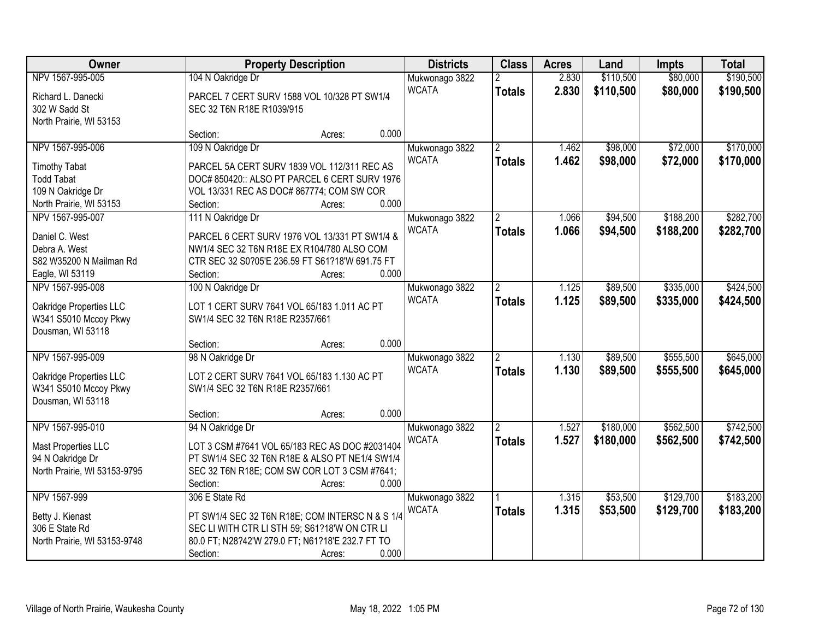| Owner                        | <b>Property Description</b>                      |        |       | <b>Districts</b> | <b>Class</b>   | <b>Acres</b> | Land      | <b>Impts</b> | <b>Total</b> |
|------------------------------|--------------------------------------------------|--------|-------|------------------|----------------|--------------|-----------|--------------|--------------|
| NPV 1567-995-005             | 104 N Oakridge Dr                                |        |       | Mukwonago 3822   |                | 2.830        | \$110,500 | \$80,000     | \$190,500    |
| Richard L. Danecki           | PARCEL 7 CERT SURV 1588 VOL 10/328 PT SW1/4      |        |       | <b>WCATA</b>     | <b>Totals</b>  | 2.830        | \$110,500 | \$80,000     | \$190,500    |
| 302 W Sadd St                | SEC 32 T6N R18E R1039/915                        |        |       |                  |                |              |           |              |              |
| North Prairie, WI 53153      |                                                  |        |       |                  |                |              |           |              |              |
|                              | Section:                                         | Acres: | 0.000 |                  |                |              |           |              |              |
| NPV 1567-995-006             | 109 N Oakridge Dr                                |        |       | Mukwonago 3822   | $\overline{2}$ | 1.462        | \$98,000  | \$72,000     | \$170,000    |
|                              |                                                  |        |       | <b>WCATA</b>     | <b>Totals</b>  | 1.462        | \$98,000  | \$72,000     | \$170,000    |
| <b>Timothy Tabat</b>         | PARCEL 5A CERT SURV 1839 VOL 112/311 REC AS      |        |       |                  |                |              |           |              |              |
| <b>Todd Tabat</b>            | DOC# 850420:: ALSO PT PARCEL 6 CERT SURV 1976    |        |       |                  |                |              |           |              |              |
| 109 N Oakridge Dr            | VOL 13/331 REC AS DOC# 867774; COM SW COR        |        |       |                  |                |              |           |              |              |
| North Prairie, WI 53153      | Section:                                         | Acres: | 0.000 |                  |                |              |           |              |              |
| NPV 1567-995-007             | 111 N Oakridge Dr                                |        |       | Mukwonago 3822   | $\overline{2}$ | 1.066        | \$94,500  | \$188,200    | \$282,700    |
| Daniel C. West               | PARCEL 6 CERT SURV 1976 VOL 13/331 PT SW1/4 &    |        |       | <b>WCATA</b>     | <b>Totals</b>  | 1.066        | \$94,500  | \$188,200    | \$282,700    |
| Debra A. West                | NW1/4 SEC 32 T6N R18E EX R104/780 ALSO COM       |        |       |                  |                |              |           |              |              |
| S82 W35200 N Mailman Rd      | CTR SEC 32 S0?05'E 236.59 FT S61?18'W 691.75 FT  |        |       |                  |                |              |           |              |              |
| Eagle, WI 53119              | Section:                                         | Acres: | 0.000 |                  |                |              |           |              |              |
| NPV 1567-995-008             | 100 N Oakridge Dr                                |        |       | Mukwonago 3822   | $\mathbf{2}$   | 1.125        | \$89,500  | \$335,000    | \$424,500    |
|                              |                                                  |        |       | <b>WCATA</b>     | <b>Totals</b>  | 1.125        | \$89,500  | \$335,000    | \$424,500    |
| Oakridge Properties LLC      | LOT 1 CERT SURV 7641 VOL 65/183 1.011 AC PT      |        |       |                  |                |              |           |              |              |
| W341 S5010 Mccoy Pkwy        | SW1/4 SEC 32 T6N R18E R2357/661                  |        |       |                  |                |              |           |              |              |
| Dousman, WI 53118            |                                                  |        |       |                  |                |              |           |              |              |
|                              | Section:                                         | Acres: | 0.000 |                  |                |              |           |              |              |
| NPV 1567-995-009             | 98 N Oakridge Dr                                 |        |       | Mukwonago 3822   |                | 1.130        | \$89,500  | \$555,500    | \$645,000    |
| Oakridge Properties LLC      | LOT 2 CERT SURV 7641 VOL 65/183 1.130 AC PT      |        |       | <b>WCATA</b>     | <b>Totals</b>  | 1.130        | \$89,500  | \$555,500    | \$645,000    |
| W341 S5010 Mccoy Pkwy        | SW1/4 SEC 32 T6N R18E R2357/661                  |        |       |                  |                |              |           |              |              |
| Dousman, WI 53118            |                                                  |        |       |                  |                |              |           |              |              |
|                              | Section:                                         | Acres: | 0.000 |                  |                |              |           |              |              |
| NPV 1567-995-010             | 94 N Oakridge Dr                                 |        |       | Mukwonago 3822   | 2              | 1.527        | \$180,000 | \$562,500    | \$742,500    |
|                              |                                                  |        |       | <b>WCATA</b>     | <b>Totals</b>  | 1.527        | \$180,000 | \$562,500    | \$742,500    |
| Mast Properties LLC          | LOT 3 CSM #7641 VOL 65/183 REC AS DOC #2031404   |        |       |                  |                |              |           |              |              |
| 94 N Oakridge Dr             | PT SW1/4 SEC 32 T6N R18E & ALSO PT NE1/4 SW1/4   |        |       |                  |                |              |           |              |              |
| North Prairie, WI 53153-9795 | SEC 32 T6N R18E; COM SW COR LOT 3 CSM #7641;     |        |       |                  |                |              |           |              |              |
|                              | Section:                                         | Acres: | 0.000 |                  |                |              |           |              |              |
| NPV 1567-999                 | 306 E State Rd                                   |        |       | Mukwonago 3822   |                | 1.315        | \$53,500  | \$129,700    | \$183,200    |
| Betty J. Kienast             | PT SW1/4 SEC 32 T6N R18E; COM INTERSC N & S 1/4  |        |       | <b>WCATA</b>     | <b>Totals</b>  | 1.315        | \$53,500  | \$129,700    | \$183,200    |
| 306 E State Rd               | SEC LI WITH CTR LI STH 59; S61?18'W ON CTR LI    |        |       |                  |                |              |           |              |              |
| North Prairie, WI 53153-9748 | 80.0 FT; N28?42'W 279.0 FT; N61?18'E 232.7 FT TO |        |       |                  |                |              |           |              |              |
|                              | Section:                                         | Acres: | 0.000 |                  |                |              |           |              |              |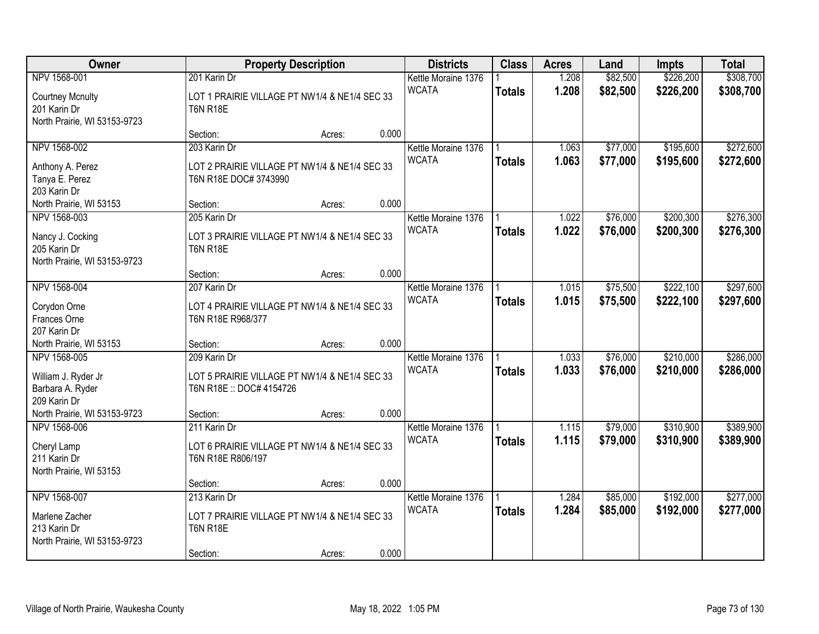| Owner                                                                                   |                                                                                              | <b>Property Description</b> |       | <b>Districts</b>                    | <b>Class</b>  | <b>Acres</b>   | Land                 | Impts                  | <b>Total</b>           |
|-----------------------------------------------------------------------------------------|----------------------------------------------------------------------------------------------|-----------------------------|-------|-------------------------------------|---------------|----------------|----------------------|------------------------|------------------------|
| NPV 1568-001<br><b>Courtney Mcnulty</b><br>201 Karin Dr<br>North Prairie, WI 53153-9723 | 201 Karin Dr<br>LOT 1 PRAIRIE VILLAGE PT NW1/4 & NE1/4 SEC 33<br><b>T6N R18E</b>             |                             |       | Kettle Moraine 1376<br><b>WCATA</b> | <b>Totals</b> | 1.208<br>1.208 | \$82,500<br>\$82,500 | \$226,200<br>\$226,200 | \$308,700<br>\$308,700 |
|                                                                                         | Section:                                                                                     | Acres:                      | 0.000 |                                     |               |                |                      |                        |                        |
| NPV 1568-002<br>Anthony A. Perez<br>Tanya E. Perez<br>203 Karin Dr                      | 203 Karin Dr<br>LOT 2 PRAIRIE VILLAGE PT NW1/4 & NE1/4 SEC 33<br>T6N R18E DOC# 3743990       |                             |       | Kettle Moraine 1376<br><b>WCATA</b> | <b>Totals</b> | 1.063<br>1.063 | \$77,000<br>\$77,000 | \$195,600<br>\$195,600 | \$272,600<br>\$272,600 |
| North Prairie, WI 53153                                                                 | Section:                                                                                     | Acres:                      | 0.000 |                                     |               |                |                      |                        |                        |
| NPV 1568-003<br>Nancy J. Cocking<br>205 Karin Dr<br>North Prairie, WI 53153-9723        | 205 Karin Dr<br>LOT 3 PRAIRIE VILLAGE PT NW1/4 & NE1/4 SEC 33<br><b>T6N R18E</b>             |                             |       | Kettle Moraine 1376<br><b>WCATA</b> | <b>Totals</b> | 1.022<br>1.022 | \$76,000<br>\$76,000 | \$200,300<br>\$200,300 | \$276,300<br>\$276,300 |
|                                                                                         | Section:                                                                                     | Acres:                      | 0.000 |                                     |               |                |                      |                        |                        |
| NPV 1568-004<br>Corydon Orne<br>Frances Orne                                            | 207 Karin Dr<br>LOT 4 PRAIRIE VILLAGE PT NW1/4 & NE1/4 SEC 33<br>T6N R18E R968/377           |                             |       | Kettle Moraine 1376<br><b>WCATA</b> | <b>Totals</b> | 1.015<br>1.015 | \$75,500<br>\$75,500 | \$222,100<br>\$222,100 | \$297,600<br>\$297,600 |
| 207 Karin Dr<br>North Prairie, WI 53153                                                 | Section:                                                                                     |                             | 0.000 |                                     |               |                |                      |                        |                        |
| NPV 1568-005<br>William J. Ryder Jr<br>Barbara A. Ryder<br>209 Karin Dr                 | 209 Karin Dr<br>LOT 5 PRAIRIE VILLAGE PT NW1/4 & NE1/4 SEC 33<br>T6N R18E :: DOC# 4154726    | Acres:                      |       | Kettle Moraine 1376<br><b>WCATA</b> | <b>Totals</b> | 1.033<br>1.033 | \$76,000<br>\$76,000 | \$210,000<br>\$210,000 | \$286,000<br>\$286,000 |
| North Prairie, WI 53153-9723                                                            | Section:                                                                                     | Acres:                      | 0.000 |                                     |               |                |                      |                        |                        |
| NPV 1568-006<br>Cheryl Lamp<br>211 Karin Dr<br>North Prairie, WI 53153                  | 211 Karin Dr<br>LOT 6 PRAIRIE VILLAGE PT NW1/4 & NE1/4 SEC 33<br>T6N R18E R806/197           |                             |       | Kettle Moraine 1376<br><b>WCATA</b> | <b>Totals</b> | 1.115<br>1.115 | \$79,000<br>\$79,000 | \$310,900<br>\$310,900 | \$389,900<br>\$389,900 |
|                                                                                         | Section:                                                                                     | Acres:                      | 0.000 |                                     |               |                |                      |                        |                        |
| NPV 1568-007<br>Marlene Zacher<br>213 Karin Dr<br>North Prairie, WI 53153-9723          | 213 Karin Dr<br>LOT 7 PRAIRIE VILLAGE PT NW1/4 & NE1/4 SEC 33<br><b>T6N R18E</b><br>Section: | Acres:                      | 0.000 | Kettle Moraine 1376<br><b>WCATA</b> | <b>Totals</b> | 1.284<br>1.284 | \$85,000<br>\$85,000 | \$192,000<br>\$192,000 | \$277,000<br>\$277,000 |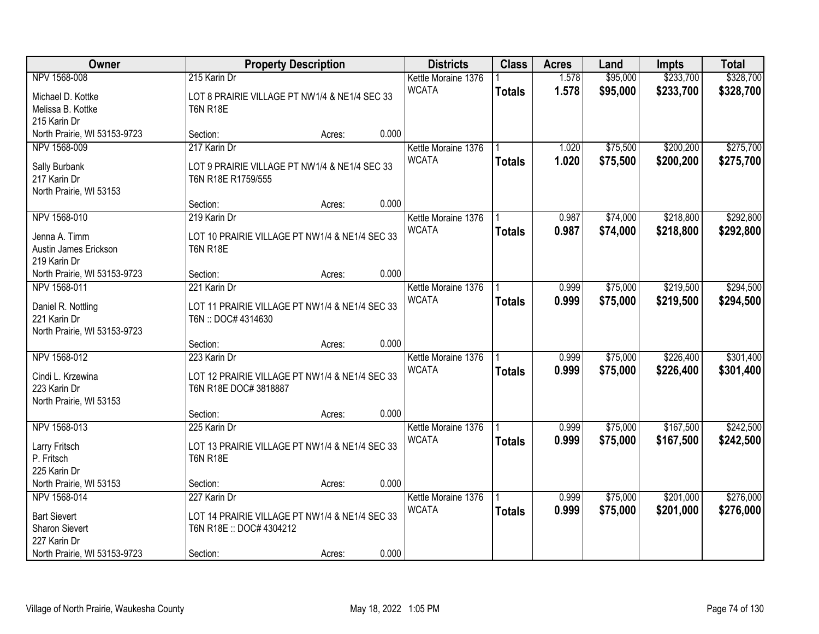| Owner                              |                                                                      | <b>Property Description</b> |       | <b>Districts</b>    | <b>Class</b>  | <b>Acres</b> | Land     | <b>Impts</b> | <b>Total</b> |
|------------------------------------|----------------------------------------------------------------------|-----------------------------|-------|---------------------|---------------|--------------|----------|--------------|--------------|
| NPV 1568-008                       | 215 Karin Dr                                                         |                             |       | Kettle Moraine 1376 |               | 1.578        | \$95,000 | \$233,700    | \$328,700    |
| Michael D. Kottke                  | LOT 8 PRAIRIE VILLAGE PT NW1/4 & NE1/4 SEC 33                        |                             |       | <b>WCATA</b>        | <b>Totals</b> | 1.578        | \$95,000 | \$233,700    | \$328,700    |
| Melissa B. Kottke                  | <b>T6N R18E</b>                                                      |                             |       |                     |               |              |          |              |              |
| 215 Karin Dr                       |                                                                      |                             |       |                     |               |              |          |              |              |
| North Prairie, WI 53153-9723       | Section:                                                             | Acres:                      | 0.000 |                     |               |              |          |              |              |
| NPV 1568-009                       | 217 Karin Dr                                                         |                             |       | Kettle Moraine 1376 |               | 1.020        | \$75,500 | \$200,200    | \$275,700    |
| Sally Burbank                      | LOT 9 PRAIRIE VILLAGE PT NW1/4 & NE1/4 SEC 33                        |                             |       | <b>WCATA</b>        | <b>Totals</b> | 1.020        | \$75,500 | \$200,200    | \$275,700    |
| 217 Karin Dr                       | T6N R18E R1759/555                                                   |                             |       |                     |               |              |          |              |              |
| North Prairie, WI 53153            |                                                                      |                             |       |                     |               |              |          |              |              |
|                                    | Section:                                                             | Acres:                      | 0.000 |                     |               |              |          |              |              |
| NPV 1568-010                       | 219 Karin Dr                                                         |                             |       | Kettle Moraine 1376 |               | 0.987        | \$74,000 | \$218,800    | \$292,800    |
| Jenna A. Timm                      | LOT 10 PRAIRIE VILLAGE PT NW1/4 & NE1/4 SEC 33                       |                             |       | <b>WCATA</b>        | <b>Totals</b> | 0.987        | \$74,000 | \$218,800    | \$292,800    |
| Austin James Erickson              | <b>T6N R18E</b>                                                      |                             |       |                     |               |              |          |              |              |
| 219 Karin Dr                       |                                                                      |                             |       |                     |               |              |          |              |              |
| North Prairie, WI 53153-9723       | Section:                                                             | Acres:                      | 0.000 |                     |               |              |          |              |              |
| NPV 1568-011                       | 221 Karin Dr                                                         |                             |       | Kettle Moraine 1376 |               | 0.999        | \$75,000 | \$219,500    | \$294,500    |
|                                    |                                                                      |                             |       | <b>WCATA</b>        | <b>Totals</b> | 0.999        | \$75,000 | \$219,500    | \$294,500    |
| Daniel R. Nottling<br>221 Karin Dr | LOT 11 PRAIRIE VILLAGE PT NW1/4 & NE1/4 SEC 33<br>T6N:: DOC# 4314630 |                             |       |                     |               |              |          |              |              |
| North Prairie, WI 53153-9723       |                                                                      |                             |       |                     |               |              |          |              |              |
|                                    | Section:                                                             | Acres:                      | 0.000 |                     |               |              |          |              |              |
| NPV 1568-012                       | 223 Karin Dr                                                         |                             |       | Kettle Moraine 1376 |               | 0.999        | \$75,000 | \$226,400    | \$301,400    |
|                                    |                                                                      |                             |       | <b>WCATA</b>        | <b>Totals</b> | 0.999        | \$75,000 | \$226,400    | \$301,400    |
| Cindi L. Krzewina                  | LOT 12 PRAIRIE VILLAGE PT NW1/4 & NE1/4 SEC 33                       |                             |       |                     |               |              |          |              |              |
| 223 Karin Dr                       | T6N R18E DOC# 3818887                                                |                             |       |                     |               |              |          |              |              |
| North Prairie, WI 53153            | Section:                                                             |                             | 0.000 |                     |               |              |          |              |              |
| NPV 1568-013                       | 225 Karin Dr                                                         | Acres:                      |       | Kettle Moraine 1376 |               | 0.999        | \$75,000 | \$167,500    | \$242,500    |
|                                    |                                                                      |                             |       | <b>WCATA</b>        | <b>Totals</b> | 0.999        | \$75,000 | \$167,500    | \$242,500    |
| Larry Fritsch                      | LOT 13 PRAIRIE VILLAGE PT NW1/4 & NE1/4 SEC 33                       |                             |       |                     |               |              |          |              |              |
| P. Fritsch                         | <b>T6N R18E</b>                                                      |                             |       |                     |               |              |          |              |              |
| 225 Karin Dr                       |                                                                      |                             |       |                     |               |              |          |              |              |
| North Prairie, WI 53153            | Section:                                                             | Acres:                      | 0.000 |                     |               |              |          |              |              |
| NPV 1568-014                       | 227 Karin Dr                                                         |                             |       | Kettle Moraine 1376 |               | 0.999        | \$75,000 | \$201,000    | \$276,000    |
| <b>Bart Sievert</b>                | LOT 14 PRAIRIE VILLAGE PT NW1/4 & NE1/4 SEC 33                       |                             |       | <b>WCATA</b>        | <b>Totals</b> | 0.999        | \$75,000 | \$201,000    | \$276,000    |
| Sharon Sievert                     | T6N R18E :: DOC# 4304212                                             |                             |       |                     |               |              |          |              |              |
| 227 Karin Dr                       |                                                                      |                             |       |                     |               |              |          |              |              |
| North Prairie, WI 53153-9723       | Section:                                                             | Acres:                      | 0.000 |                     |               |              |          |              |              |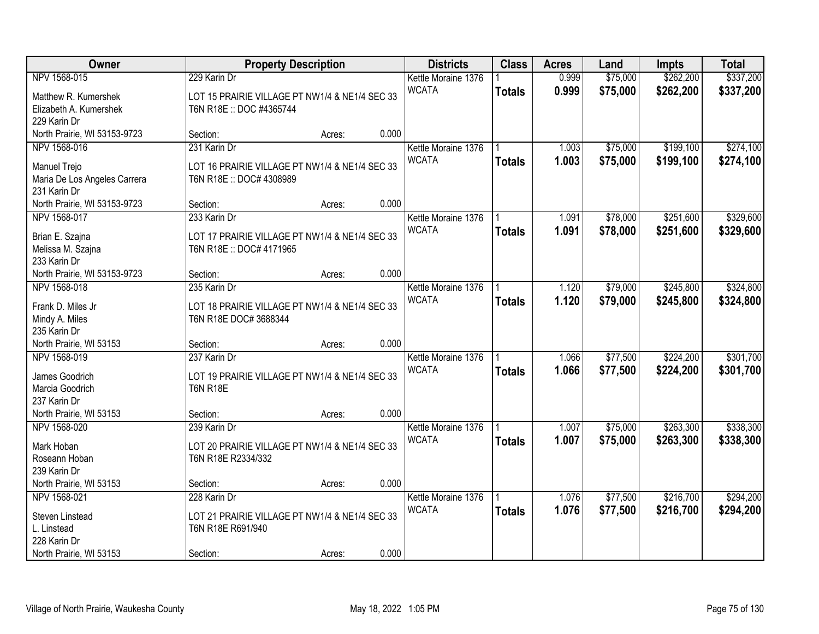| Owner                                | <b>Property Description</b>                                                | <b>Districts</b>                    | <b>Class</b>  | <b>Acres</b> | Land     | Impts     | <b>Total</b> |
|--------------------------------------|----------------------------------------------------------------------------|-------------------------------------|---------------|--------------|----------|-----------|--------------|
| NPV 1568-015                         | 229 Karin Dr                                                               | Kettle Moraine 1376                 |               | 0.999        | \$75,000 | \$262,200 | \$337,200    |
| Matthew R. Kumershek                 | LOT 15 PRAIRIE VILLAGE PT NW1/4 & NE1/4 SEC 33                             | <b>WCATA</b>                        | <b>Totals</b> | 0.999        | \$75,000 | \$262,200 | \$337,200    |
| Elizabeth A. Kumershek               | T6N R18E :: DOC #4365744                                                   |                                     |               |              |          |           |              |
| 229 Karin Dr                         |                                                                            |                                     |               |              |          |           |              |
| North Prairie, WI 53153-9723         | Section:<br>Acres:                                                         | 0.000                               |               |              |          |           |              |
| NPV 1568-016                         | 231 Karin Dr                                                               | Kettle Moraine 1376                 |               | 1.003        | \$75,000 | \$199,100 | \$274,100    |
| Manuel Trejo                         | LOT 16 PRAIRIE VILLAGE PT NW1/4 & NE1/4 SEC 33                             | <b>WCATA</b>                        | <b>Totals</b> | 1.003        | \$75,000 | \$199,100 | \$274,100    |
| Maria De Los Angeles Carrera         | T6N R18E :: DOC# 4308989                                                   |                                     |               |              |          |           |              |
| 231 Karin Dr                         |                                                                            |                                     |               |              |          |           |              |
| North Prairie, WI 53153-9723         | Section:<br>Acres:                                                         | 0.000                               |               |              |          |           |              |
| NPV 1568-017                         | 233 Karin Dr                                                               | Kettle Moraine 1376                 |               | 1.091        | \$78,000 | \$251,600 | \$329,600    |
|                                      |                                                                            | <b>WCATA</b>                        | <b>Totals</b> | 1.091        | \$78,000 | \$251,600 | \$329,600    |
| Brian E. Szajna<br>Melissa M. Szajna | LOT 17 PRAIRIE VILLAGE PT NW1/4 & NE1/4 SEC 33<br>T6N R18E :: DOC# 4171965 |                                     |               |              |          |           |              |
| 233 Karin Dr                         |                                                                            |                                     |               |              |          |           |              |
| North Prairie, WI 53153-9723         | Section:<br>Acres:                                                         | 0.000                               |               |              |          |           |              |
| NPV 1568-018                         | 235 Karin Dr                                                               | Kettle Moraine 1376                 |               | 1.120        | \$79,000 | \$245,800 | \$324,800    |
|                                      |                                                                            | <b>WCATA</b>                        | <b>Totals</b> | 1.120        | \$79,000 | \$245,800 | \$324,800    |
| Frank D. Miles Jr                    | LOT 18 PRAIRIE VILLAGE PT NW1/4 & NE1/4 SEC 33                             |                                     |               |              |          |           |              |
| Mindy A. Miles<br>235 Karin Dr       | T6N R18E DOC# 3688344                                                      |                                     |               |              |          |           |              |
| North Prairie, WI 53153              | Section:<br>Acres:                                                         | 0.000                               |               |              |          |           |              |
| NPV 1568-019                         | 237 Karin Dr                                                               | Kettle Moraine 1376                 |               | 1.066        | \$77,500 | \$224,200 | \$301,700    |
|                                      |                                                                            | <b>WCATA</b>                        | <b>Totals</b> | 1.066        | \$77,500 | \$224,200 | \$301,700    |
| James Goodrich                       | LOT 19 PRAIRIE VILLAGE PT NW1/4 & NE1/4 SEC 33                             |                                     |               |              |          |           |              |
| Marcia Goodrich                      | <b>T6N R18E</b>                                                            |                                     |               |              |          |           |              |
| 237 Karin Dr                         |                                                                            |                                     |               |              |          |           |              |
| North Prairie, WI 53153              | Section:<br>Acres:                                                         | 0.000                               |               |              |          |           |              |
| NPV 1568-020                         | 239 Karin Dr                                                               | Kettle Moraine 1376<br><b>WCATA</b> |               | 1.007        | \$75,000 | \$263,300 | \$338,300    |
| Mark Hoban                           | LOT 20 PRAIRIE VILLAGE PT NW1/4 & NE1/4 SEC 33                             |                                     | <b>Totals</b> | 1.007        | \$75,000 | \$263,300 | \$338,300    |
| Roseann Hoban                        | T6N R18E R2334/332                                                         |                                     |               |              |          |           |              |
| 239 Karin Dr                         |                                                                            |                                     |               |              |          |           |              |
| North Prairie, WI 53153              | Section:<br>Acres:                                                         | 0.000                               |               |              |          |           |              |
| NPV 1568-021                         | 228 Karin Dr                                                               | Kettle Moraine 1376                 |               | 1.076        | \$77,500 | \$216,700 | \$294,200    |
| Steven Linstead                      | LOT 21 PRAIRIE VILLAGE PT NW1/4 & NE1/4 SEC 33                             | <b>WCATA</b>                        | <b>Totals</b> | 1.076        | \$77,500 | \$216,700 | \$294,200    |
| L. Linstead                          | T6N R18E R691/940                                                          |                                     |               |              |          |           |              |
| 228 Karin Dr                         |                                                                            |                                     |               |              |          |           |              |
| North Prairie, WI 53153              | Section:<br>Acres:                                                         | 0.000                               |               |              |          |           |              |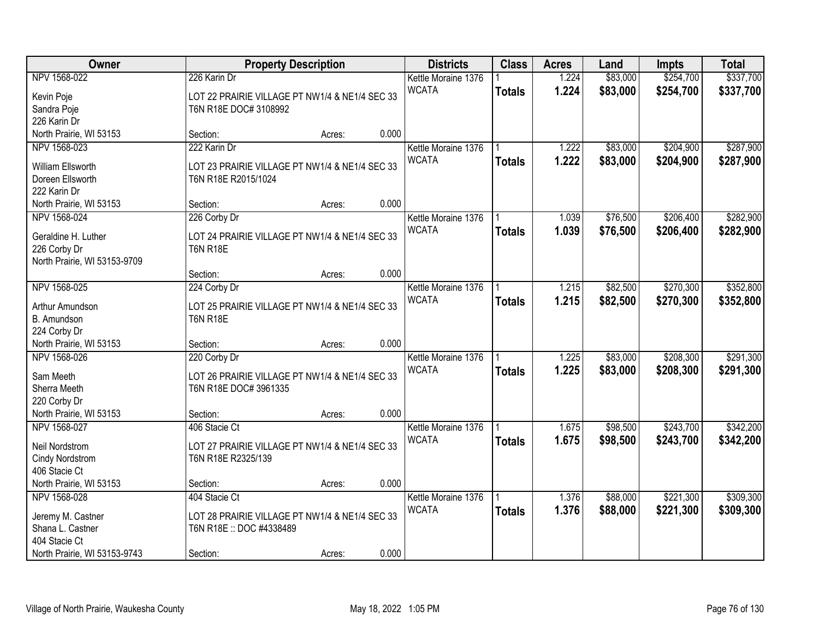| Owner                                   |                                                                   | <b>Property Description</b> |       | <b>Districts</b>                    | <b>Class</b>  | <b>Acres</b>   | Land     | Impts     | <b>Total</b> |
|-----------------------------------------|-------------------------------------------------------------------|-----------------------------|-------|-------------------------------------|---------------|----------------|----------|-----------|--------------|
| NPV 1568-022                            | 226 Karin Dr                                                      |                             |       | Kettle Moraine 1376                 |               | 1.224          | \$83,000 | \$254,700 | \$337,700    |
| Kevin Poje                              | LOT 22 PRAIRIE VILLAGE PT NW1/4 & NE1/4 SEC 33                    |                             |       | <b>WCATA</b>                        | <b>Totals</b> | 1.224          | \$83,000 | \$254,700 | \$337,700    |
| Sandra Poje                             | T6N R18E DOC# 3108992                                             |                             |       |                                     |               |                |          |           |              |
| 226 Karin Dr                            |                                                                   |                             |       |                                     |               |                |          |           |              |
| North Prairie, WI 53153                 | Section:                                                          | Acres:                      | 0.000 |                                     |               |                |          |           |              |
| NPV 1568-023                            | 222 Karin Dr                                                      |                             |       | Kettle Moraine 1376                 |               | 1.222          | \$83,000 | \$204,900 | \$287,900    |
| William Ellsworth                       | LOT 23 PRAIRIE VILLAGE PT NW1/4 & NE1/4 SEC 33                    |                             |       | <b>WCATA</b>                        | <b>Totals</b> | 1.222          | \$83,000 | \$204,900 | \$287,900    |
| Doreen Ellsworth                        | T6N R18E R2015/1024                                               |                             |       |                                     |               |                |          |           |              |
| 222 Karin Dr                            |                                                                   |                             |       |                                     |               |                |          |           |              |
| North Prairie, WI 53153                 | Section:                                                          | Acres:                      | 0.000 |                                     |               |                |          |           |              |
| NPV 1568-024                            | 226 Corby Dr                                                      |                             |       | Kettle Moraine 1376                 |               | 1.039          | \$76,500 | \$206,400 | \$282,900    |
| Geraldine H. Luther                     | LOT 24 PRAIRIE VILLAGE PT NW1/4 & NE1/4 SEC 33                    |                             |       | <b>WCATA</b>                        | <b>Totals</b> | 1.039          | \$76,500 | \$206,400 | \$282,900    |
| 226 Corby Dr                            | <b>T6N R18E</b>                                                   |                             |       |                                     |               |                |          |           |              |
| North Prairie, WI 53153-9709            |                                                                   |                             |       |                                     |               |                |          |           |              |
|                                         | Section:                                                          | Acres:                      | 0.000 |                                     |               |                |          |           |              |
| NPV 1568-025                            | 224 Corby Dr                                                      |                             |       | Kettle Moraine 1376                 |               | 1.215          | \$82,500 | \$270,300 | \$352,800    |
|                                         |                                                                   |                             |       | <b>WCATA</b>                        | <b>Totals</b> | 1.215          | \$82,500 | \$270,300 | \$352,800    |
| Arthur Amundson                         | LOT 25 PRAIRIE VILLAGE PT NW1/4 & NE1/4 SEC 33<br><b>T6N R18E</b> |                             |       |                                     |               |                |          |           |              |
| B. Amundson<br>224 Corby Dr             |                                                                   |                             |       |                                     |               |                |          |           |              |
| North Prairie, WI 53153                 | Section:                                                          | Acres:                      | 0.000 |                                     |               |                |          |           |              |
| NPV 1568-026                            | 220 Corby Dr                                                      |                             |       | Kettle Moraine 1376                 |               | 1.225          | \$83,000 | \$208,300 | \$291,300    |
|                                         |                                                                   |                             |       | <b>WCATA</b>                        | <b>Totals</b> | 1.225          | \$83,000 | \$208,300 | \$291,300    |
| Sam Meeth                               | LOT 26 PRAIRIE VILLAGE PT NW1/4 & NE1/4 SEC 33                    |                             |       |                                     |               |                |          |           |              |
| Sherra Meeth                            | T6N R18E DOC# 3961335                                             |                             |       |                                     |               |                |          |           |              |
| 220 Corby Dr                            |                                                                   |                             | 0.000 |                                     |               |                |          |           |              |
| North Prairie, WI 53153<br>NPV 1568-027 | Section:<br>406 Stacie Ct                                         | Acres:                      |       |                                     |               |                | \$98,500 | \$243,700 | \$342,200    |
|                                         |                                                                   |                             |       | Kettle Moraine 1376<br><b>WCATA</b> |               | 1.675<br>1.675 |          |           |              |
| Neil Nordstrom                          | LOT 27 PRAIRIE VILLAGE PT NW1/4 & NE1/4 SEC 33                    |                             |       |                                     | <b>Totals</b> |                | \$98,500 | \$243,700 | \$342,200    |
| Cindy Nordstrom                         | T6N R18E R2325/139                                                |                             |       |                                     |               |                |          |           |              |
| 406 Stacie Ct                           |                                                                   |                             |       |                                     |               |                |          |           |              |
| North Prairie, WI 53153                 | Section:                                                          | Acres:                      | 0.000 |                                     |               |                |          |           |              |
| NPV 1568-028                            | 404 Stacie Ct                                                     |                             |       | Kettle Moraine 1376                 |               | 1.376          | \$88,000 | \$221,300 | \$309,300    |
| Jeremy M. Castner                       | LOT 28 PRAIRIE VILLAGE PT NW1/4 & NE1/4 SEC 33                    |                             |       | <b>WCATA</b>                        | <b>Totals</b> | 1.376          | \$88,000 | \$221,300 | \$309,300    |
| Shana L. Castner                        | T6N R18E :: DOC #4338489                                          |                             |       |                                     |               |                |          |           |              |
| 404 Stacie Ct                           |                                                                   |                             |       |                                     |               |                |          |           |              |
| North Prairie, WI 53153-9743            | Section:                                                          | Acres:                      | 0.000 |                                     |               |                |          |           |              |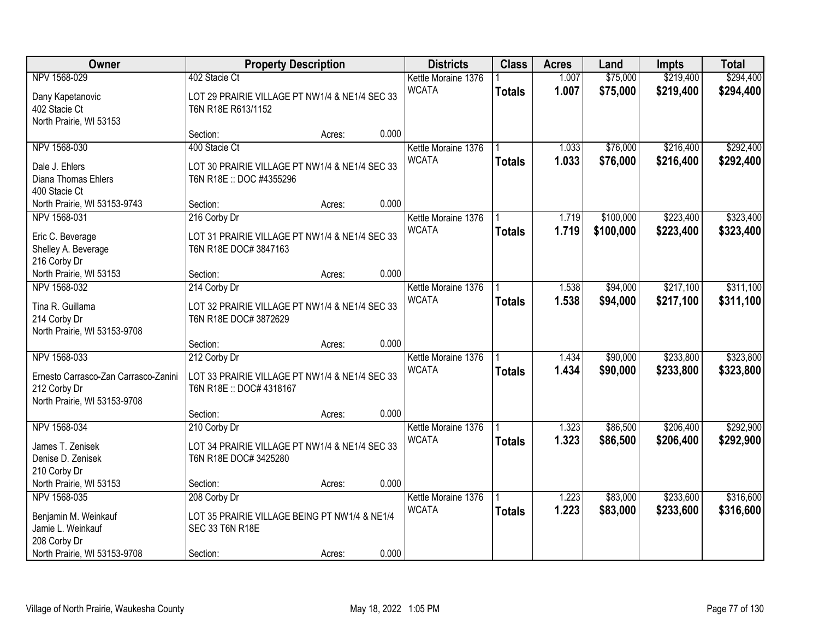| Owner                                                                                                | <b>Property Description</b>                                                                |       | <b>Districts</b>                    | <b>Class</b>  | <b>Acres</b>   | Land                 | Impts                  | <b>Total</b>           |
|------------------------------------------------------------------------------------------------------|--------------------------------------------------------------------------------------------|-------|-------------------------------------|---------------|----------------|----------------------|------------------------|------------------------|
| NPV 1568-029                                                                                         | 402 Stacie Ct                                                                              |       | Kettle Moraine 1376                 |               | 1.007          | \$75,000             | \$219,400              | \$294,400              |
| Dany Kapetanovic<br>402 Stacie Ct<br>North Prairie, WI 53153                                         | LOT 29 PRAIRIE VILLAGE PT NW1/4 & NE1/4 SEC 33<br>T6N R18E R613/1152                       |       | <b>WCATA</b>                        | <b>Totals</b> | 1.007          | \$75,000             | \$219,400              | \$294,400              |
|                                                                                                      | Section:<br>Acres:                                                                         | 0.000 |                                     |               |                |                      |                        |                        |
| NPV 1568-030                                                                                         | 400 Stacie Ct                                                                              |       | Kettle Moraine 1376                 |               | 1.033          | \$76,000             | \$216,400              | \$292,400              |
| Dale J. Ehlers<br>Diana Thomas Ehlers<br>400 Stacie Ct                                               | LOT 30 PRAIRIE VILLAGE PT NW1/4 & NE1/4 SEC 33<br>T6N R18E :: DOC #4355296                 |       | <b>WCATA</b>                        | <b>Totals</b> | 1.033          | \$76,000             | \$216,400              | \$292,400              |
| North Prairie, WI 53153-9743                                                                         | Section:<br>Acres:                                                                         | 0.000 |                                     |               |                |                      |                        |                        |
| NPV 1568-031                                                                                         | 216 Corby Dr                                                                               |       | Kettle Moraine 1376                 |               | 1.719          | \$100,000            | \$223,400              | \$323,400              |
| Eric C. Beverage<br>Shelley A. Beverage<br>216 Corby Dr                                              | LOT 31 PRAIRIE VILLAGE PT NW1/4 & NE1/4 SEC 33<br>T6N R18E DOC# 3847163                    |       | <b>WCATA</b>                        | <b>Totals</b> | 1.719          | \$100,000            | \$223,400              | \$323,400              |
| North Prairie, WI 53153                                                                              | Section:<br>Acres:                                                                         | 0.000 |                                     |               |                |                      |                        |                        |
| NPV 1568-032                                                                                         | 214 Corby Dr                                                                               |       | Kettle Moraine 1376                 |               | 1.538          | \$94,000             | \$217,100              | \$311,100              |
| Tina R. Guillama<br>214 Corby Dr<br>North Prairie, WI 53153-9708                                     | LOT 32 PRAIRIE VILLAGE PT NW1/4 & NE1/4 SEC 33<br>T6N R18E DOC# 3872629                    |       | <b>WCATA</b>                        | <b>Totals</b> | 1.538          | \$94,000             | \$217,100              | \$311,100              |
|                                                                                                      | Section:<br>Acres:                                                                         | 0.000 |                                     |               |                |                      |                        |                        |
| NPV 1568-033<br>Ernesto Carrasco-Zan Carrasco-Zanini<br>212 Corby Dr<br>North Prairie, WI 53153-9708 | 212 Corby Dr<br>LOT 33 PRAIRIE VILLAGE PT NW1/4 & NE1/4 SEC 33<br>T6N R18E :: DOC# 4318167 |       | Kettle Moraine 1376<br><b>WCATA</b> | <b>Totals</b> | 1.434<br>1.434 | \$90,000<br>\$90,000 | \$233,800<br>\$233,800 | \$323,800<br>\$323,800 |
|                                                                                                      | Section:<br>Acres:                                                                         | 0.000 |                                     |               |                |                      |                        |                        |
| NPV 1568-034<br>James T. Zenisek<br>Denise D. Zenisek<br>210 Corby Dr                                | 210 Corby Dr<br>LOT 34 PRAIRIE VILLAGE PT NW1/4 & NE1/4 SEC 33<br>T6N R18E DOC# 3425280    |       | Kettle Moraine 1376<br><b>WCATA</b> | <b>Totals</b> | 1.323<br>1.323 | \$86,500<br>\$86,500 | \$206,400<br>\$206,400 | \$292,900<br>\$292,900 |
| North Prairie, WI 53153                                                                              | Section:<br>Acres:                                                                         | 0.000 |                                     |               |                |                      |                        |                        |
| NPV 1568-035                                                                                         | 208 Corby Dr                                                                               |       | Kettle Moraine 1376                 |               | 1.223          | \$83,000             | \$233,600              | \$316,600              |
| Benjamin M. Weinkauf<br>Jamie L. Weinkauf<br>208 Corby Dr                                            | LOT 35 PRAIRIE VILLAGE BEING PT NW1/4 & NE1/4<br>SEC 33 T6N R18E                           |       | <b>WCATA</b>                        | <b>Totals</b> | 1.223          | \$83,000             | \$233,600              | \$316,600              |
| North Prairie, WI 53153-9708                                                                         | Section:<br>Acres:                                                                         | 0.000 |                                     |               |                |                      |                        |                        |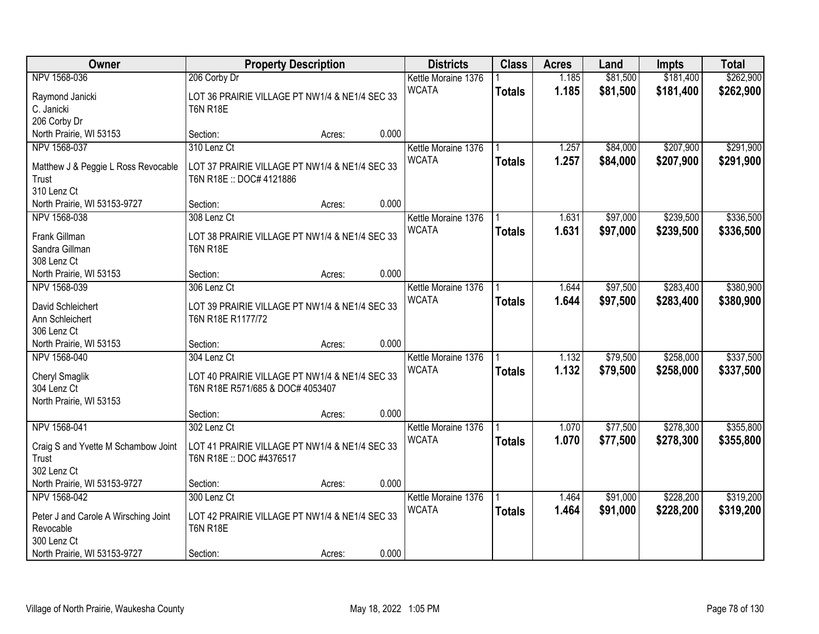| Owner                                       | <b>Property Description</b>                                         |        |       | <b>Districts</b>    | <b>Class</b>  | <b>Acres</b> | Land     | <b>Impts</b> | <b>Total</b> |
|---------------------------------------------|---------------------------------------------------------------------|--------|-------|---------------------|---------------|--------------|----------|--------------|--------------|
| NPV 1568-036                                | 206 Corby Dr                                                        |        |       | Kettle Moraine 1376 |               | 1.185        | \$81,500 | \$181,400    | \$262,900    |
| Raymond Janicki                             | LOT 36 PRAIRIE VILLAGE PT NW1/4 & NE1/4 SEC 33                      |        |       | <b>WCATA</b>        | <b>Totals</b> | 1.185        | \$81,500 | \$181,400    | \$262,900    |
| C. Janicki                                  | <b>T6N R18E</b>                                                     |        |       |                     |               |              |          |              |              |
| 206 Corby Dr                                |                                                                     |        |       |                     |               |              |          |              |              |
| North Prairie, WI 53153                     | Section:                                                            | Acres: | 0.000 |                     |               |              |          |              |              |
| NPV 1568-037                                | 310 Lenz Ct                                                         |        |       | Kettle Moraine 1376 |               | 1.257        | \$84,000 | \$207,900    | \$291,900    |
| Matthew J & Peggie L Ross Revocable         | LOT 37 PRAIRIE VILLAGE PT NW1/4 & NE1/4 SEC 33                      |        |       | <b>WCATA</b>        | <b>Totals</b> | 1.257        | \$84,000 | \$207,900    | \$291,900    |
| Trust                                       | T6N R18E: DOC# 4121886                                              |        |       |                     |               |              |          |              |              |
| 310 Lenz Ct                                 |                                                                     |        |       |                     |               |              |          |              |              |
| North Prairie, WI 53153-9727                | Section:                                                            | Acres: | 0.000 |                     |               |              |          |              |              |
| NPV 1568-038                                | 308 Lenz Ct                                                         |        |       | Kettle Moraine 1376 |               | 1.631        | \$97,000 | \$239,500    | \$336,500    |
| Frank Gillman                               | LOT 38 PRAIRIE VILLAGE PT NW1/4 & NE1/4 SEC 33                      |        |       | <b>WCATA</b>        | <b>Totals</b> | 1.631        | \$97,000 | \$239,500    | \$336,500    |
| Sandra Gillman                              | <b>T6N R18E</b>                                                     |        |       |                     |               |              |          |              |              |
| 308 Lenz Ct                                 |                                                                     |        |       |                     |               |              |          |              |              |
| North Prairie, WI 53153                     | Section:                                                            | Acres: | 0.000 |                     |               |              |          |              |              |
| NPV 1568-039                                | 306 Lenz Ct                                                         |        |       | Kettle Moraine 1376 |               | 1.644        | \$97,500 | \$283,400    | \$380,900    |
|                                             |                                                                     |        |       | <b>WCATA</b>        | <b>Totals</b> | 1.644        | \$97,500 | \$283,400    | \$380,900    |
| David Schleichert<br>Ann Schleichert        | LOT 39 PRAIRIE VILLAGE PT NW1/4 & NE1/4 SEC 33<br>T6N R18E R1177/72 |        |       |                     |               |              |          |              |              |
| 306 Lenz Ct                                 |                                                                     |        |       |                     |               |              |          |              |              |
| North Prairie, WI 53153                     | Section:                                                            | Acres: | 0.000 |                     |               |              |          |              |              |
| NPV 1568-040                                | 304 Lenz Ct                                                         |        |       | Kettle Moraine 1376 |               | 1.132        | \$79,500 | \$258,000    | \$337,500    |
|                                             |                                                                     |        |       | <b>WCATA</b>        | <b>Totals</b> | 1.132        | \$79,500 | \$258,000    | \$337,500    |
| Cheryl Smaglik                              | LOT 40 PRAIRIE VILLAGE PT NW1/4 & NE1/4 SEC 33                      |        |       |                     |               |              |          |              |              |
| 304 Lenz Ct<br>North Prairie, WI 53153      | T6N R18E R571/685 & DOC# 4053407                                    |        |       |                     |               |              |          |              |              |
|                                             | Section:                                                            | Acres: | 0.000 |                     |               |              |          |              |              |
| NPV 1568-041                                | 302 Lenz Ct                                                         |        |       | Kettle Moraine 1376 |               | 1.070        | \$77,500 | \$278,300    | \$355,800    |
|                                             |                                                                     |        |       | <b>WCATA</b>        | <b>Totals</b> | 1.070        | \$77,500 | \$278,300    | \$355,800    |
| Craig S and Yvette M Schambow Joint         | LOT 41 PRAIRIE VILLAGE PT NW1/4 & NE1/4 SEC 33                      |        |       |                     |               |              |          |              |              |
| Trust                                       | T6N R18E :: DOC #4376517                                            |        |       |                     |               |              |          |              |              |
| 302 Lenz Ct<br>North Prairie, WI 53153-9727 | Section:                                                            |        | 0.000 |                     |               |              |          |              |              |
| NPV 1568-042                                | 300 Lenz Ct                                                         | Acres: |       | Kettle Moraine 1376 |               | 1.464        | \$91,000 | \$228,200    | \$319,200    |
|                                             |                                                                     |        |       | <b>WCATA</b>        | <b>Totals</b> | 1.464        | \$91,000 | \$228,200    | \$319,200    |
| Peter J and Carole A Wirsching Joint        | LOT 42 PRAIRIE VILLAGE PT NW1/4 & NE1/4 SEC 33                      |        |       |                     |               |              |          |              |              |
| Revocable                                   | <b>T6N R18E</b>                                                     |        |       |                     |               |              |          |              |              |
| 300 Lenz Ct                                 |                                                                     |        |       |                     |               |              |          |              |              |
| North Prairie, WI 53153-9727                | Section:                                                            | Acres: | 0.000 |                     |               |              |          |              |              |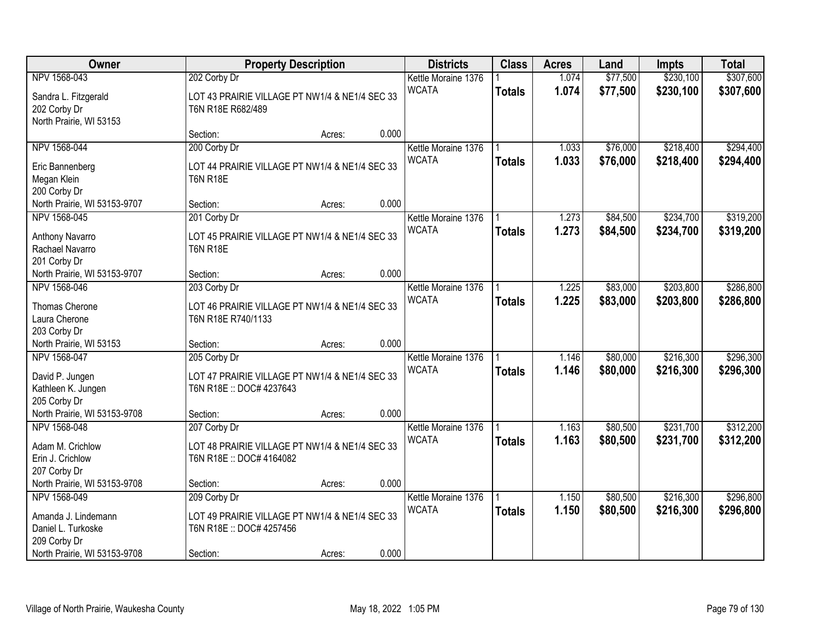| Owner                                                                 |                                                                                            | <b>Property Description</b> |       | <b>Districts</b>                    | <b>Class</b>  | <b>Acres</b>   | Land                 | Impts                  | <b>Total</b>           |
|-----------------------------------------------------------------------|--------------------------------------------------------------------------------------------|-----------------------------|-------|-------------------------------------|---------------|----------------|----------------------|------------------------|------------------------|
| NPV 1568-043                                                          | 202 Corby Dr                                                                               |                             |       | Kettle Moraine 1376                 |               | 1.074          | \$77,500             | \$230,100              | \$307,600              |
| Sandra L. Fitzgerald<br>202 Corby Dr<br>North Prairie, WI 53153       | LOT 43 PRAIRIE VILLAGE PT NW1/4 & NE1/4 SEC 33<br>T6N R18E R682/489                        |                             |       | <b>WCATA</b>                        | <b>Totals</b> | 1.074          | \$77,500             | \$230,100              | \$307,600              |
|                                                                       | Section:                                                                                   | Acres:                      | 0.000 |                                     |               |                |                      |                        |                        |
| NPV 1568-044                                                          | 200 Corby Dr                                                                               |                             |       | Kettle Moraine 1376                 |               | 1.033          | \$76,000             | \$218,400              | \$294,400              |
| Eric Bannenberg<br>Megan Klein<br>200 Corby Dr                        | LOT 44 PRAIRIE VILLAGE PT NW1/4 & NE1/4 SEC 33<br><b>T6N R18E</b>                          |                             |       | <b>WCATA</b>                        | <b>Totals</b> | 1.033          | \$76,000             | \$218,400              | \$294,400              |
| North Prairie, WI 53153-9707                                          | Section:                                                                                   | Acres:                      | 0.000 |                                     |               |                |                      |                        |                        |
| NPV 1568-045                                                          | 201 Corby Dr                                                                               |                             |       | Kettle Moraine 1376                 |               | 1.273          | \$84,500             | \$234,700              | \$319,200              |
| Anthony Navarro<br>Rachael Navarro<br>201 Corby Dr                    | LOT 45 PRAIRIE VILLAGE PT NW1/4 & NE1/4 SEC 33<br><b>T6N R18E</b>                          |                             |       | <b>WCATA</b>                        | <b>Totals</b> | 1.273          | \$84,500             | \$234,700              | \$319,200              |
| North Prairie, WI 53153-9707                                          | Section:                                                                                   | Acres:                      | 0.000 |                                     |               |                |                      |                        |                        |
| NPV 1568-046                                                          | 203 Corby Dr                                                                               |                             |       | Kettle Moraine 1376                 |               | 1.225          | \$83,000             | \$203,800              | \$286,800              |
| Thomas Cherone<br>Laura Cherone<br>203 Corby Dr                       | LOT 46 PRAIRIE VILLAGE PT NW1/4 & NE1/4 SEC 33<br>T6N R18E R740/1133                       |                             |       | <b>WCATA</b>                        | <b>Totals</b> | 1.225          | \$83,000             | \$203,800              | \$286,800              |
| North Prairie, WI 53153                                               | Section:                                                                                   | Acres:                      | 0.000 |                                     |               |                |                      |                        |                        |
| NPV 1568-047<br>David P. Jungen<br>Kathleen K. Jungen<br>205 Corby Dr | 205 Corby Dr<br>LOT 47 PRAIRIE VILLAGE PT NW1/4 & NE1/4 SEC 33<br>T6N R18E :: DOC# 4237643 |                             |       | Kettle Moraine 1376<br><b>WCATA</b> | <b>Totals</b> | 1.146<br>1.146 | \$80,000<br>\$80,000 | \$216,300<br>\$216,300 | \$296,300<br>\$296,300 |
| North Prairie, WI 53153-9708                                          | Section:                                                                                   | Acres:                      | 0.000 |                                     |               |                |                      |                        |                        |
| NPV 1568-048<br>Adam M. Crichlow<br>Erin J. Crichlow<br>207 Corby Dr  | 207 Corby Dr<br>LOT 48 PRAIRIE VILLAGE PT NW1/4 & NE1/4 SEC 33<br>T6N R18E :: DOC# 4164082 |                             |       | Kettle Moraine 1376<br><b>WCATA</b> | <b>Totals</b> | 1.163<br>1.163 | \$80,500<br>\$80,500 | \$231,700<br>\$231,700 | \$312,200<br>\$312,200 |
| North Prairie, WI 53153-9708                                          | Section:                                                                                   | Acres:                      | 0.000 |                                     |               |                |                      |                        |                        |
| NPV 1568-049<br>Amanda J. Lindemann<br>Daniel L. Turkoske             | 209 Corby Dr<br>LOT 49 PRAIRIE VILLAGE PT NW1/4 & NE1/4 SEC 33<br>T6N R18E :: DOC# 4257456 |                             |       | Kettle Moraine 1376<br><b>WCATA</b> | <b>Totals</b> | 1.150<br>1.150 | \$80,500<br>\$80,500 | \$216,300<br>\$216,300 | \$296,800<br>\$296,800 |
| 209 Corby Dr<br>North Prairie, WI 53153-9708                          | Section:                                                                                   | Acres:                      | 0.000 |                                     |               |                |                      |                        |                        |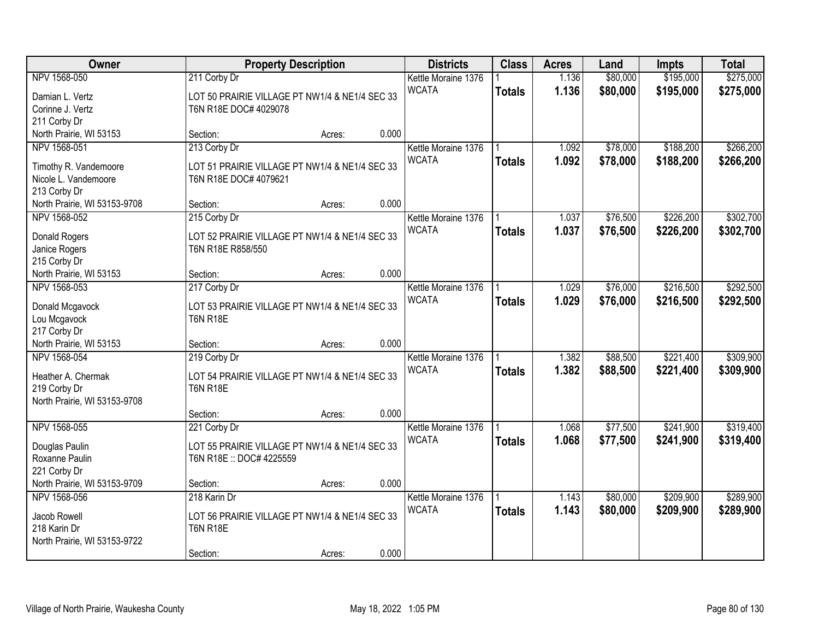| Owner                        |                                                                   | <b>Property Description</b> |       | <b>Districts</b>                    | <b>Class</b>  | <b>Acres</b>   | Land                 | Impts                  | <b>Total</b> |
|------------------------------|-------------------------------------------------------------------|-----------------------------|-------|-------------------------------------|---------------|----------------|----------------------|------------------------|--------------|
| NPV 1568-050                 | 211 Corby Dr                                                      |                             |       | Kettle Moraine 1376                 |               | 1.136          | \$80,000             | \$195,000              | \$275,000    |
| Damian L. Vertz              | LOT 50 PRAIRIE VILLAGE PT NW1/4 & NE1/4 SEC 33                    |                             |       | <b>WCATA</b>                        | <b>Totals</b> | 1.136          | \$80,000             | \$195,000              | \$275,000    |
| Corinne J. Vertz             | T6N R18E DOC# 4029078                                             |                             |       |                                     |               |                |                      |                        |              |
| 211 Corby Dr                 |                                                                   |                             |       |                                     |               |                |                      |                        |              |
| North Prairie, WI 53153      | Section:                                                          | Acres:                      | 0.000 |                                     |               |                |                      |                        |              |
| NPV 1568-051                 | 213 Corby Dr                                                      |                             |       | Kettle Moraine 1376                 |               | 1.092          | \$78,000             | \$188,200              | \$266,200    |
| Timothy R. Vandemoore        | LOT 51 PRAIRIE VILLAGE PT NW1/4 & NE1/4 SEC 33                    |                             |       | <b>WCATA</b>                        | <b>Totals</b> | 1.092          | \$78,000             | \$188,200              | \$266,200    |
| Nicole L. Vandemoore         | T6N R18E DOC# 4079621                                             |                             |       |                                     |               |                |                      |                        |              |
| 213 Corby Dr                 |                                                                   |                             |       |                                     |               |                |                      |                        |              |
| North Prairie, WI 53153-9708 | Section:                                                          | Acres:                      | 0.000 |                                     |               |                |                      |                        |              |
| NPV 1568-052                 | 215 Corby Dr                                                      |                             |       | Kettle Moraine 1376                 |               | 1.037          | \$76,500             | \$226,200              | \$302,700    |
| <b>Donald Rogers</b>         | LOT 52 PRAIRIE VILLAGE PT NW1/4 & NE1/4 SEC 33                    |                             |       | <b>WCATA</b>                        | <b>Totals</b> | 1.037          | \$76,500             | \$226,200              | \$302,700    |
| Janice Rogers                | T6N R18E R858/550                                                 |                             |       |                                     |               |                |                      |                        |              |
| 215 Corby Dr                 |                                                                   |                             |       |                                     |               |                |                      |                        |              |
| North Prairie, WI 53153      | Section:                                                          | Acres:                      | 0.000 |                                     |               |                |                      |                        |              |
| NPV 1568-053                 | 217 Corby Dr                                                      |                             |       | Kettle Moraine 1376                 |               | 1.029          | \$76,000             | \$216,500              | \$292,500    |
|                              |                                                                   |                             |       | <b>WCATA</b>                        | <b>Totals</b> | 1.029          | \$76,000             | \$216,500              | \$292,500    |
| Donald Mcgavock              | LOT 53 PRAIRIE VILLAGE PT NW1/4 & NE1/4 SEC 33<br><b>T6N R18E</b> |                             |       |                                     |               |                |                      |                        |              |
| Lou Mcgavock<br>217 Corby Dr |                                                                   |                             |       |                                     |               |                |                      |                        |              |
| North Prairie, WI 53153      | Section:                                                          | Acres:                      | 0.000 |                                     |               |                |                      |                        |              |
| NPV 1568-054                 | 219 Corby Dr                                                      |                             |       | Kettle Moraine 1376                 |               | 1.382          | \$88,500             | \$221,400              | \$309,900    |
|                              |                                                                   |                             |       | <b>WCATA</b>                        | <b>Totals</b> | 1.382          | \$88,500             | \$221,400              | \$309,900    |
| Heather A. Chermak           | LOT 54 PRAIRIE VILLAGE PT NW1/4 & NE1/4 SEC 33                    |                             |       |                                     |               |                |                      |                        |              |
| 219 Corby Dr                 | <b>T6N R18E</b>                                                   |                             |       |                                     |               |                |                      |                        |              |
| North Prairie, WI 53153-9708 | Section:                                                          | Acres:                      | 0.000 |                                     |               |                |                      |                        |              |
| NPV 1568-055                 | 221 Corby Dr                                                      |                             |       | Kettle Moraine 1376                 |               | 1.068          | \$77,500             | \$241,900              | \$319,400    |
|                              |                                                                   |                             |       | <b>WCATA</b>                        | <b>Totals</b> | 1.068          | \$77,500             | \$241,900              | \$319,400    |
| Douglas Paulin               | LOT 55 PRAIRIE VILLAGE PT NW1/4 & NE1/4 SEC 33                    |                             |       |                                     |               |                |                      |                        |              |
| Roxanne Paulin               | T6N R18E :: DOC# 4225559                                          |                             |       |                                     |               |                |                      |                        |              |
| 221 Corby Dr                 |                                                                   |                             |       |                                     |               |                |                      |                        |              |
| North Prairie, WI 53153-9709 | Section:                                                          | Acres:                      | 0.000 |                                     |               |                |                      |                        |              |
| NPV 1568-056                 | 218 Karin Dr                                                      |                             |       | Kettle Moraine 1376<br><b>WCATA</b> |               | 1.143<br>1.143 | \$80,000<br>\$80,000 | \$209,900<br>\$209,900 | \$289,900    |
| Jacob Rowell                 | LOT 56 PRAIRIE VILLAGE PT NW1/4 & NE1/4 SEC 33                    |                             |       |                                     | <b>Totals</b> |                |                      |                        | \$289,900    |
| 218 Karin Dr                 | <b>T6N R18E</b>                                                   |                             |       |                                     |               |                |                      |                        |              |
| North Prairie, WI 53153-9722 |                                                                   |                             |       |                                     |               |                |                      |                        |              |
|                              | Section:                                                          | Acres:                      | 0.000 |                                     |               |                |                      |                        |              |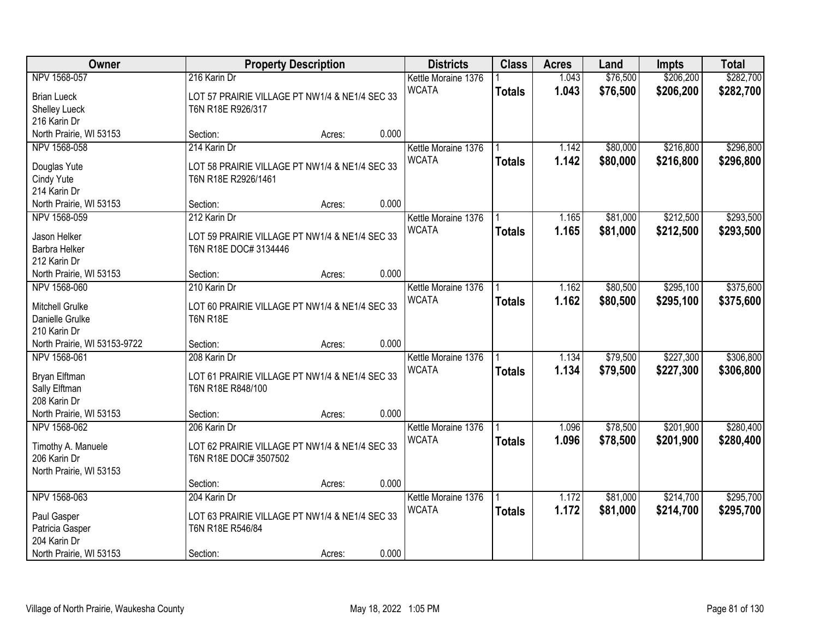| Owner                        |                                                | <b>Property Description</b> |       | <b>Districts</b>    | <b>Class</b>  | <b>Acres</b> | Land     | Impts     | <b>Total</b> |
|------------------------------|------------------------------------------------|-----------------------------|-------|---------------------|---------------|--------------|----------|-----------|--------------|
| NPV 1568-057                 | 216 Karin Dr                                   |                             |       | Kettle Moraine 1376 |               | 1.043        | \$76,500 | \$206,200 | \$282,700    |
| <b>Brian Lueck</b>           | LOT 57 PRAIRIE VILLAGE PT NW1/4 & NE1/4 SEC 33 |                             |       | <b>WCATA</b>        | <b>Totals</b> | 1.043        | \$76,500 | \$206,200 | \$282,700    |
| Shelley Lueck                | T6N R18E R926/317                              |                             |       |                     |               |              |          |           |              |
| 216 Karin Dr                 |                                                |                             |       |                     |               |              |          |           |              |
| North Prairie, WI 53153      | Section:                                       | Acres:                      | 0.000 |                     |               |              |          |           |              |
| NPV 1568-058                 | 214 Karin Dr                                   |                             |       | Kettle Moraine 1376 |               | 1.142        | \$80,000 | \$216,800 | \$296,800    |
|                              |                                                |                             |       | <b>WCATA</b>        | <b>Totals</b> | 1.142        | \$80,000 | \$216,800 | \$296,800    |
| Douglas Yute                 | LOT 58 PRAIRIE VILLAGE PT NW1/4 & NE1/4 SEC 33 |                             |       |                     |               |              |          |           |              |
| Cindy Yute                   | T6N R18E R2926/1461                            |                             |       |                     |               |              |          |           |              |
| 214 Karin Dr                 |                                                |                             |       |                     |               |              |          |           |              |
| North Prairie, WI 53153      | Section:                                       | Acres:                      | 0.000 |                     |               |              |          |           |              |
| NPV 1568-059                 | 212 Karin Dr                                   |                             |       | Kettle Moraine 1376 |               | 1.165        | \$81,000 | \$212,500 | \$293,500    |
| Jason Helker                 | LOT 59 PRAIRIE VILLAGE PT NW1/4 & NE1/4 SEC 33 |                             |       | <b>WCATA</b>        | <b>Totals</b> | 1.165        | \$81,000 | \$212,500 | \$293,500    |
| Barbra Helker                | T6N R18E DOC# 3134446                          |                             |       |                     |               |              |          |           |              |
| 212 Karin Dr                 |                                                |                             |       |                     |               |              |          |           |              |
| North Prairie, WI 53153      | Section:                                       | Acres:                      | 0.000 |                     |               |              |          |           |              |
| NPV 1568-060                 | 210 Karin Dr                                   |                             |       | Kettle Moraine 1376 |               | 1.162        | \$80,500 | \$295,100 | \$375,600    |
|                              |                                                |                             |       | <b>WCATA</b>        | <b>Totals</b> | 1.162        | \$80,500 | \$295,100 | \$375,600    |
| Mitchell Grulke              | LOT 60 PRAIRIE VILLAGE PT NW1/4 & NE1/4 SEC 33 |                             |       |                     |               |              |          |           |              |
| Danielle Grulke              | <b>T6N R18E</b>                                |                             |       |                     |               |              |          |           |              |
| 210 Karin Dr                 |                                                |                             |       |                     |               |              |          |           |              |
| North Prairie, WI 53153-9722 | Section:                                       | Acres:                      | 0.000 |                     |               |              |          |           |              |
| NPV 1568-061                 | 208 Karin Dr                                   |                             |       | Kettle Moraine 1376 |               | 1.134        | \$79,500 | \$227,300 | \$306,800    |
| Bryan Elftman                | LOT 61 PRAIRIE VILLAGE PT NW1/4 & NE1/4 SEC 33 |                             |       | <b>WCATA</b>        | <b>Totals</b> | 1.134        | \$79,500 | \$227,300 | \$306,800    |
| Sally Elftman                | T6N R18E R848/100                              |                             |       |                     |               |              |          |           |              |
| 208 Karin Dr                 |                                                |                             |       |                     |               |              |          |           |              |
| North Prairie, WI 53153      | Section:                                       | Acres:                      | 0.000 |                     |               |              |          |           |              |
| NPV 1568-062                 | 206 Karin Dr                                   |                             |       | Kettle Moraine 1376 |               | 1.096        | \$78,500 | \$201,900 | \$280,400    |
|                              |                                                |                             |       | <b>WCATA</b>        | <b>Totals</b> | 1.096        | \$78,500 | \$201,900 | \$280,400    |
| Timothy A. Manuele           | LOT 62 PRAIRIE VILLAGE PT NW1/4 & NE1/4 SEC 33 |                             |       |                     |               |              |          |           |              |
| 206 Karin Dr                 | T6N R18E DOC# 3507502                          |                             |       |                     |               |              |          |           |              |
| North Prairie, WI 53153      |                                                |                             |       |                     |               |              |          |           |              |
|                              | Section:                                       | Acres:                      | 0.000 |                     |               |              |          |           |              |
| NPV 1568-063                 | 204 Karin Dr                                   |                             |       | Kettle Moraine 1376 |               | 1.172        | \$81,000 | \$214,700 | \$295,700    |
| Paul Gasper                  | LOT 63 PRAIRIE VILLAGE PT NW1/4 & NE1/4 SEC 33 |                             |       | <b>WCATA</b>        | <b>Totals</b> | 1.172        | \$81,000 | \$214,700 | \$295,700    |
| Patricia Gasper              | T6N R18E R546/84                               |                             |       |                     |               |              |          |           |              |
| 204 Karin Dr                 |                                                |                             |       |                     |               |              |          |           |              |
| North Prairie, WI 53153      | Section:                                       | Acres:                      | 0.000 |                     |               |              |          |           |              |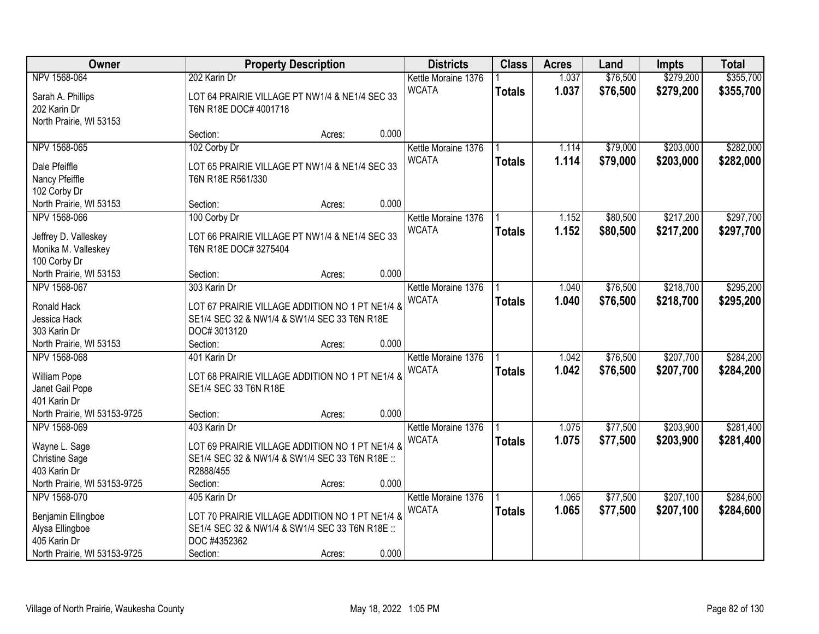| Owner                                                        |                                                                         | <b>Property Description</b> |       | <b>Districts</b>                    | <b>Class</b>  | <b>Acres</b> | Land     | Impts     | <b>Total</b> |
|--------------------------------------------------------------|-------------------------------------------------------------------------|-----------------------------|-------|-------------------------------------|---------------|--------------|----------|-----------|--------------|
| NPV 1568-064                                                 | 202 Karin Dr                                                            |                             |       | Kettle Moraine 1376                 |               | 1.037        | \$76,500 | \$279,200 | \$355,700    |
| Sarah A. Phillips<br>202 Karin Dr<br>North Prairie, WI 53153 | LOT 64 PRAIRIE VILLAGE PT NW1/4 & NE1/4 SEC 33<br>T6N R18E DOC# 4001718 |                             |       | <b>WCATA</b>                        | <b>Totals</b> | 1.037        | \$76,500 | \$279,200 | \$355,700    |
|                                                              | Section:                                                                | Acres:                      | 0.000 |                                     |               |              |          |           |              |
| NPV 1568-065                                                 | 102 Corby Dr                                                            |                             |       | Kettle Moraine 1376                 |               | 1.114        | \$79,000 | \$203,000 | \$282,000    |
| Dale Pfeiffle                                                | LOT 65 PRAIRIE VILLAGE PT NW1/4 & NE1/4 SEC 33                          |                             |       | <b>WCATA</b>                        | <b>Totals</b> | 1.114        | \$79,000 | \$203,000 | \$282,000    |
| Nancy Pfeiffle                                               | T6N R18E R561/330                                                       |                             |       |                                     |               |              |          |           |              |
| 102 Corby Dr                                                 |                                                                         |                             |       |                                     |               |              |          |           |              |
| North Prairie, WI 53153                                      | Section:                                                                | Acres:                      | 0.000 |                                     |               |              |          |           |              |
| NPV 1568-066                                                 | 100 Corby Dr                                                            |                             |       | Kettle Moraine 1376                 |               | 1.152        | \$80,500 | \$217,200 | \$297,700    |
| Jeffrey D. Valleskey                                         | LOT 66 PRAIRIE VILLAGE PT NW1/4 & NE1/4 SEC 33                          |                             |       | <b>WCATA</b>                        | <b>Totals</b> | 1.152        | \$80,500 | \$217,200 | \$297,700    |
| Monika M. Valleskey                                          | T6N R18E DOC# 3275404                                                   |                             |       |                                     |               |              |          |           |              |
| 100 Corby Dr                                                 |                                                                         |                             |       |                                     |               |              |          |           |              |
| North Prairie, WI 53153                                      | Section:                                                                | Acres:                      | 0.000 |                                     |               |              |          |           |              |
| NPV 1568-067                                                 | 303 Karin Dr                                                            |                             |       | Kettle Moraine 1376                 |               | 1.040        | \$76,500 | \$218,700 | \$295,200    |
|                                                              |                                                                         |                             |       | <b>WCATA</b>                        | <b>Totals</b> | 1.040        | \$76,500 | \$218,700 | \$295,200    |
| Ronald Hack                                                  | LOT 67 PRAIRIE VILLAGE ADDITION NO 1 PT NE1/4 &                         |                             |       |                                     |               |              |          |           |              |
| Jessica Hack                                                 | SE1/4 SEC 32 & NW1/4 & SW1/4 SEC 33 T6N R18E                            |                             |       |                                     |               |              |          |           |              |
| 303 Karin Dr                                                 | DOC#3013120                                                             |                             |       |                                     |               |              |          |           |              |
| North Prairie, WI 53153                                      | Section:                                                                | Acres:                      | 0.000 |                                     |               |              |          |           |              |
| NPV 1568-068                                                 | 401 Karin Dr                                                            |                             |       | Kettle Moraine 1376                 |               | 1.042        | \$76,500 | \$207,700 | \$284,200    |
| William Pope                                                 | LOT 68 PRAIRIE VILLAGE ADDITION NO 1 PT NE1/4 &                         |                             |       | <b>WCATA</b>                        | <b>Totals</b> | 1.042        | \$76,500 | \$207,700 | \$284,200    |
| Janet Gail Pope                                              | SE1/4 SEC 33 T6N R18E                                                   |                             |       |                                     |               |              |          |           |              |
| 401 Karin Dr                                                 |                                                                         |                             |       |                                     |               |              |          |           |              |
| North Prairie, WI 53153-9725                                 | Section:                                                                | Acres:                      | 0.000 |                                     |               |              |          |           |              |
| NPV 1568-069                                                 | 403 Karin Dr                                                            |                             |       | Kettle Moraine 1376                 |               | 1.075        | \$77,500 | \$203,900 | \$281,400    |
|                                                              | LOT 69 PRAIRIE VILLAGE ADDITION NO 1 PT NE1/4 &                         |                             |       | <b>WCATA</b>                        | <b>Totals</b> | 1.075        | \$77,500 | \$203,900 | \$281,400    |
| Wayne L. Sage                                                |                                                                         |                             |       |                                     |               |              |          |           |              |
| <b>Christine Sage</b><br>403 Karin Dr                        | SE1/4 SEC 32 & NW1/4 & SW1/4 SEC 33 T6N R18E ::<br>R2888/455            |                             |       |                                     |               |              |          |           |              |
| North Prairie, WI 53153-9725                                 | Section:                                                                |                             | 0.000 |                                     |               |              |          |           |              |
| NPV 1568-070                                                 |                                                                         | Acres:                      |       |                                     |               | 1.065        | \$77,500 | \$207,100 | \$284,600    |
|                                                              | 405 Karin Dr                                                            |                             |       | Kettle Moraine 1376<br><b>WCATA</b> |               |              |          |           |              |
| Benjamin Ellingboe                                           | LOT 70 PRAIRIE VILLAGE ADDITION NO 1 PT NE1/4 &                         |                             |       |                                     | <b>Totals</b> | 1.065        | \$77,500 | \$207,100 | \$284,600    |
| Alysa Ellingboe                                              | SE1/4 SEC 32 & NW1/4 & SW1/4 SEC 33 T6N R18E ::                         |                             |       |                                     |               |              |          |           |              |
| 405 Karin Dr                                                 | DOC #4352362                                                            |                             |       |                                     |               |              |          |           |              |
| North Prairie, WI 53153-9725                                 | Section:                                                                | Acres:                      | 0.000 |                                     |               |              |          |           |              |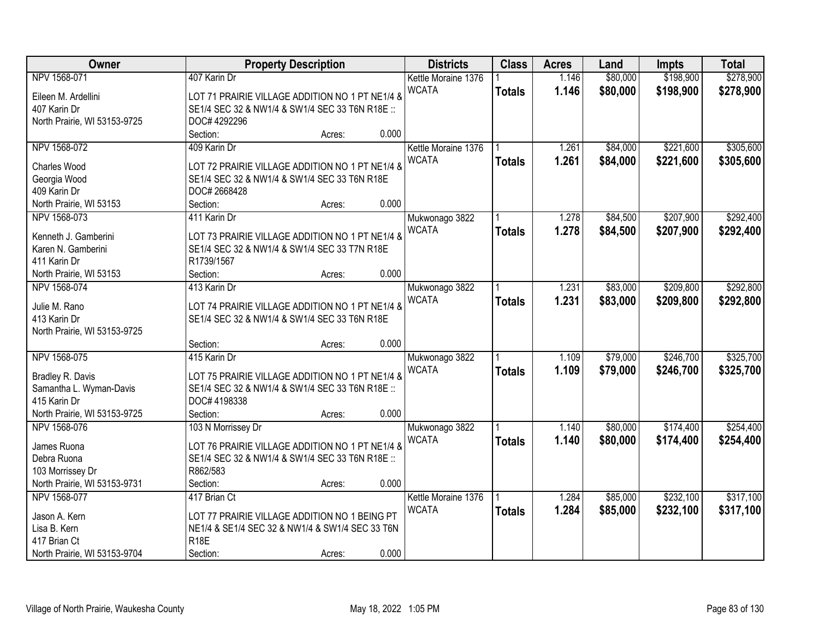| Owner                        | <b>Property Description</b>                     |        |       | <b>Districts</b>    | <b>Class</b>  | <b>Acres</b> | Land     | <b>Impts</b> | <b>Total</b> |
|------------------------------|-------------------------------------------------|--------|-------|---------------------|---------------|--------------|----------|--------------|--------------|
| NPV 1568-071                 | 407 Karin Dr                                    |        |       | Kettle Moraine 1376 |               | 1.146        | \$80,000 | \$198,900    | \$278,900    |
| Eileen M. Ardellini          | LOT 71 PRAIRIE VILLAGE ADDITION NO 1 PT NE1/4 & |        |       | <b>WCATA</b>        | <b>Totals</b> | 1.146        | \$80,000 | \$198,900    | \$278,900    |
| 407 Karin Dr                 | SE1/4 SEC 32 & NW1/4 & SW1/4 SEC 33 T6N R18E :: |        |       |                     |               |              |          |              |              |
| North Prairie, WI 53153-9725 | DOC# 4292296                                    |        |       |                     |               |              |          |              |              |
|                              | Section:                                        | Acres: | 0.000 |                     |               |              |          |              |              |
| NPV 1568-072                 | 409 Karin Dr                                    |        |       | Kettle Moraine 1376 |               | 1.261        | \$84,000 | \$221,600    | \$305,600    |
|                              |                                                 |        |       | <b>WCATA</b>        | <b>Totals</b> | 1.261        | \$84,000 | \$221,600    | \$305,600    |
| <b>Charles Wood</b>          | LOT 72 PRAIRIE VILLAGE ADDITION NO 1 PT NE1/4 & |        |       |                     |               |              |          |              |              |
| Georgia Wood                 | SE1/4 SEC 32 & NW1/4 & SW1/4 SEC 33 T6N R18E    |        |       |                     |               |              |          |              |              |
| 409 Karin Dr                 | DOC# 2668428                                    |        |       |                     |               |              |          |              |              |
| North Prairie, WI 53153      | Section:                                        | Acres: | 0.000 |                     |               |              |          |              |              |
| NPV 1568-073                 | 411 Karin Dr                                    |        |       | Mukwonago 3822      |               | 1.278        | \$84,500 | \$207,900    | \$292,400    |
| Kenneth J. Gamberini         | LOT 73 PRAIRIE VILLAGE ADDITION NO 1 PT NE1/4 & |        |       | <b>WCATA</b>        | <b>Totals</b> | 1.278        | \$84,500 | \$207,900    | \$292,400    |
| Karen N. Gamberini           | SE1/4 SEC 32 & NW1/4 & SW1/4 SEC 33 T7N R18E    |        |       |                     |               |              |          |              |              |
| 411 Karin Dr                 | R1739/1567                                      |        |       |                     |               |              |          |              |              |
| North Prairie, WI 53153      | Section:                                        | Acres: | 0.000 |                     |               |              |          |              |              |
| NPV 1568-074                 | 413 Karin Dr                                    |        |       | Mukwonago 3822      |               | 1.231        | \$83,000 | \$209,800    | \$292,800    |
|                              |                                                 |        |       | <b>WCATA</b>        | <b>Totals</b> | 1.231        | \$83,000 | \$209,800    | \$292,800    |
| Julie M. Rano                | LOT 74 PRAIRIE VILLAGE ADDITION NO 1 PT NE1/4 & |        |       |                     |               |              |          |              |              |
| 413 Karin Dr                 | SE1/4 SEC 32 & NW1/4 & SW1/4 SEC 33 T6N R18E    |        |       |                     |               |              |          |              |              |
| North Prairie, WI 53153-9725 |                                                 |        |       |                     |               |              |          |              |              |
|                              | Section:                                        | Acres: | 0.000 |                     |               |              |          |              |              |
| NPV 1568-075                 | 415 Karin Dr                                    |        |       | Mukwonago 3822      |               | 1.109        | \$79,000 | \$246,700    | \$325,700    |
| Bradley R. Davis             | LOT 75 PRAIRIE VILLAGE ADDITION NO 1 PT NE1/4 & |        |       | <b>WCATA</b>        | <b>Totals</b> | 1.109        | \$79,000 | \$246,700    | \$325,700    |
| Samantha L. Wyman-Davis      | SE1/4 SEC 32 & NW1/4 & SW1/4 SEC 33 T6N R18E :: |        |       |                     |               |              |          |              |              |
| 415 Karin Dr                 | DOC# 4198338                                    |        |       |                     |               |              |          |              |              |
| North Prairie, WI 53153-9725 | Section:                                        | Acres: | 0.000 |                     |               |              |          |              |              |
| NPV 1568-076                 | 103 N Morrissey Dr                              |        |       | Mukwonago 3822      |               | 1.140        | \$80,000 | \$174,400    | \$254,400    |
|                              |                                                 |        |       | <b>WCATA</b>        | <b>Totals</b> | 1.140        | \$80,000 | \$174,400    | \$254,400    |
| James Ruona                  | LOT 76 PRAIRIE VILLAGE ADDITION NO 1 PT NE1/4 & |        |       |                     |               |              |          |              |              |
| Debra Ruona                  | SE1/4 SEC 32 & NW1/4 & SW1/4 SEC 33 T6N R18E :: |        |       |                     |               |              |          |              |              |
| 103 Morrissey Dr             | R862/583                                        |        |       |                     |               |              |          |              |              |
| North Prairie, WI 53153-9731 | Section:                                        | Acres: | 0.000 |                     |               |              |          |              |              |
| NPV 1568-077                 | 417 Brian Ct                                    |        |       | Kettle Moraine 1376 |               | 1.284        | \$85,000 | \$232,100    | \$317,100    |
| Jason A. Kern                | LOT 77 PRAIRIE VILLAGE ADDITION NO 1 BEING PT   |        |       | <b>WCATA</b>        | <b>Totals</b> | 1.284        | \$85,000 | \$232,100    | \$317,100    |
| Lisa B. Kern                 | NE1/4 & SE1/4 SEC 32 & NW1/4 & SW1/4 SEC 33 T6N |        |       |                     |               |              |          |              |              |
| 417 Brian Ct                 | <b>R18E</b>                                     |        |       |                     |               |              |          |              |              |
| North Prairie, WI 53153-9704 | Section:                                        | Acres: | 0.000 |                     |               |              |          |              |              |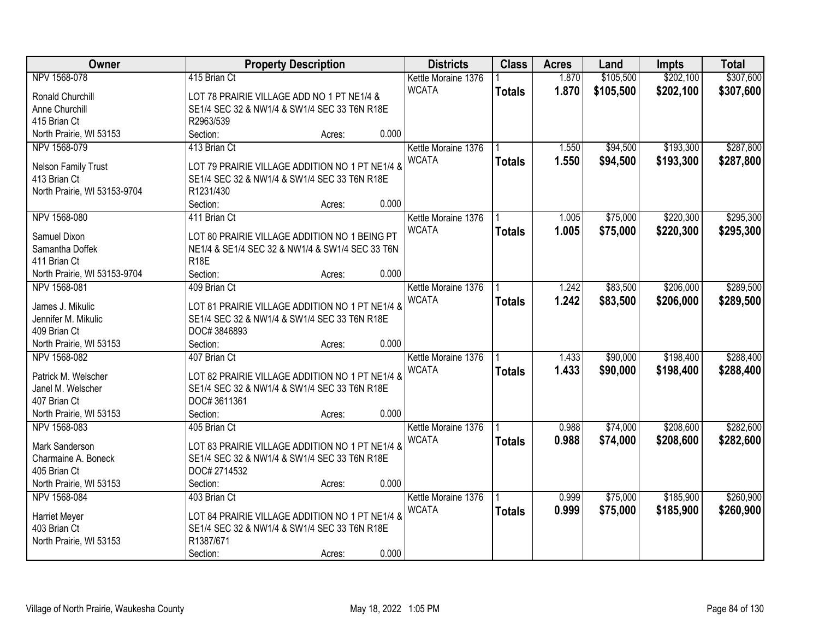| Owner                        |                                                 | <b>Property Description</b> |       | <b>Districts</b>    | <b>Class</b>  | <b>Acres</b> | Land      | <b>Impts</b> | <b>Total</b> |
|------------------------------|-------------------------------------------------|-----------------------------|-------|---------------------|---------------|--------------|-----------|--------------|--------------|
| NPV 1568-078                 | 415 Brian Ct                                    |                             |       | Kettle Moraine 1376 |               | 1.870        | \$105,500 | \$202,100    | \$307,600    |
| Ronald Churchill             | LOT 78 PRAIRIE VILLAGE ADD NO 1 PT NE1/4 &      |                             |       | <b>WCATA</b>        | <b>Totals</b> | 1.870        | \$105,500 | \$202,100    | \$307,600    |
| Anne Churchill               | SE1/4 SEC 32 & NW1/4 & SW1/4 SEC 33 T6N R18E    |                             |       |                     |               |              |           |              |              |
| 415 Brian Ct                 | R2963/539                                       |                             |       |                     |               |              |           |              |              |
| North Prairie, WI 53153      | Section:                                        | Acres:                      | 0.000 |                     |               |              |           |              |              |
| NPV 1568-079                 | 413 Brian Ct                                    |                             |       | Kettle Moraine 1376 |               | 1.550        | \$94,500  | \$193,300    | \$287,800    |
|                              |                                                 |                             |       | <b>WCATA</b>        | <b>Totals</b> | 1.550        | \$94,500  | \$193,300    | \$287,800    |
| Nelson Family Trust          | LOT 79 PRAIRIE VILLAGE ADDITION NO 1 PT NE1/4 & |                             |       |                     |               |              |           |              |              |
| 413 Brian Ct                 | SE1/4 SEC 32 & NW1/4 & SW1/4 SEC 33 T6N R18E    |                             |       |                     |               |              |           |              |              |
| North Prairie, WI 53153-9704 | R1231/430                                       |                             |       |                     |               |              |           |              |              |
|                              | Section:                                        | Acres:                      | 0.000 |                     |               |              |           |              |              |
| NPV 1568-080                 | 411 Brian Ct                                    |                             |       | Kettle Moraine 1376 |               | 1.005        | \$75,000  | \$220,300    | \$295,300    |
| Samuel Dixon                 | LOT 80 PRAIRIE VILLAGE ADDITION NO 1 BEING PT   |                             |       | <b>WCATA</b>        | <b>Totals</b> | 1.005        | \$75,000  | \$220,300    | \$295,300    |
| Samantha Doffek              | NE1/4 & SE1/4 SEC 32 & NW1/4 & SW1/4 SEC 33 T6N |                             |       |                     |               |              |           |              |              |
| 411 Brian Ct                 | <b>R18E</b>                                     |                             |       |                     |               |              |           |              |              |
| North Prairie, WI 53153-9704 | Section:                                        | Acres:                      | 0.000 |                     |               |              |           |              |              |
| NPV 1568-081                 | 409 Brian Ct                                    |                             |       | Kettle Moraine 1376 |               | 1.242        | \$83,500  | \$206,000    | \$289,500    |
|                              |                                                 |                             |       | <b>WCATA</b>        | <b>Totals</b> | 1.242        | \$83,500  | \$206,000    | \$289,500    |
| James J. Mikulic             | LOT 81 PRAIRIE VILLAGE ADDITION NO 1 PT NE1/4 & |                             |       |                     |               |              |           |              |              |
| Jennifer M. Mikulic          | SE1/4 SEC 32 & NW1/4 & SW1/4 SEC 33 T6N R18E    |                             |       |                     |               |              |           |              |              |
| 409 Brian Ct                 | DOC#3846893                                     |                             |       |                     |               |              |           |              |              |
| North Prairie, WI 53153      | Section:                                        | Acres:                      | 0.000 |                     |               |              |           |              |              |
| NPV 1568-082                 | 407 Brian Ct                                    |                             |       | Kettle Moraine 1376 |               | 1.433        | \$90,000  | \$198,400    | \$288,400    |
| Patrick M. Welscher          | LOT 82 PRAIRIE VILLAGE ADDITION NO 1 PT NE1/4 & |                             |       | <b>WCATA</b>        | <b>Totals</b> | 1.433        | \$90,000  | \$198,400    | \$288,400    |
| Janel M. Welscher            | SE1/4 SEC 32 & NW1/4 & SW1/4 SEC 33 T6N R18E    |                             |       |                     |               |              |           |              |              |
| 407 Brian Ct                 | DOC#3611361                                     |                             |       |                     |               |              |           |              |              |
| North Prairie, WI 53153      | Section:                                        | Acres:                      | 0.000 |                     |               |              |           |              |              |
| NPV 1568-083                 | 405 Brian Ct                                    |                             |       | Kettle Moraine 1376 |               | 0.988        | \$74,000  | \$208,600    | \$282,600    |
|                              |                                                 |                             |       | <b>WCATA</b>        | <b>Totals</b> | 0.988        | \$74,000  | \$208,600    | \$282,600    |
| Mark Sanderson               | LOT 83 PRAIRIE VILLAGE ADDITION NO 1 PT NE1/4 & |                             |       |                     |               |              |           |              |              |
| Charmaine A. Boneck          | SE1/4 SEC 32 & NW1/4 & SW1/4 SEC 33 T6N R18E    |                             |       |                     |               |              |           |              |              |
| 405 Brian Ct                 | DOC# 2714532                                    |                             |       |                     |               |              |           |              |              |
| North Prairie, WI 53153      | Section:                                        | Acres:                      | 0.000 |                     |               |              |           |              |              |
| NPV 1568-084                 | 403 Brian Ct                                    |                             |       | Kettle Moraine 1376 |               | 0.999        | \$75,000  | \$185,900    | \$260,900    |
| <b>Harriet Meyer</b>         | LOT 84 PRAIRIE VILLAGE ADDITION NO 1 PT NE1/4 & |                             |       | <b>WCATA</b>        | <b>Totals</b> | 0.999        | \$75,000  | \$185,900    | \$260,900    |
| 403 Brian Ct                 | SE1/4 SEC 32 & NW1/4 & SW1/4 SEC 33 T6N R18E    |                             |       |                     |               |              |           |              |              |
| North Prairie, WI 53153      | R1387/671                                       |                             |       |                     |               |              |           |              |              |
|                              | Section:                                        | Acres:                      | 0.000 |                     |               |              |           |              |              |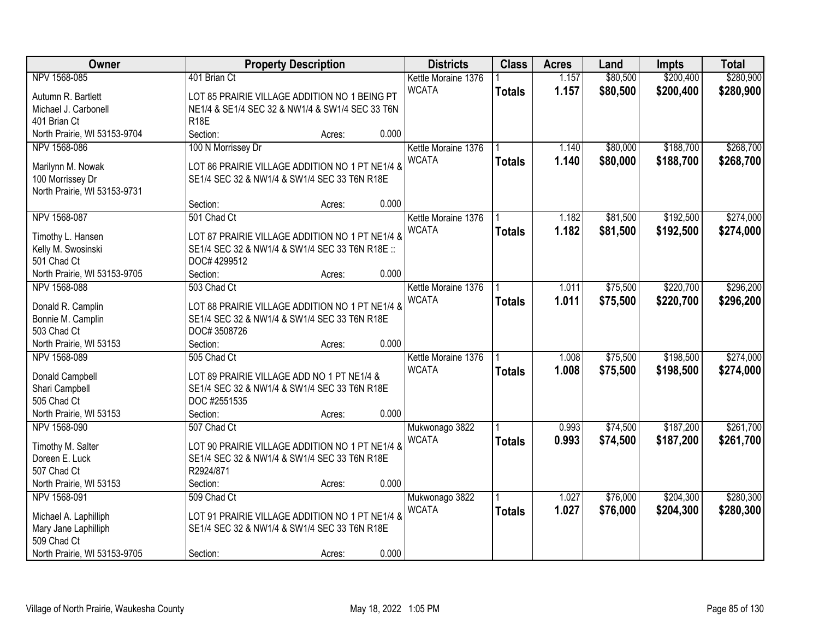| Owner                            | <b>Property Description</b>                                 |        |       | <b>Districts</b>    | <b>Class</b>  | <b>Acres</b> | Land     | Impts     | <b>Total</b> |
|----------------------------------|-------------------------------------------------------------|--------|-------|---------------------|---------------|--------------|----------|-----------|--------------|
| NPV 1568-085                     | 401 Brian Ct                                                |        |       | Kettle Moraine 1376 |               | 1.157        | \$80,500 | \$200,400 | \$280,900    |
| Autumn R. Bartlett               | LOT 85 PRAIRIE VILLAGE ADDITION NO 1 BEING PT               |        |       | <b>WCATA</b>        | <b>Totals</b> | 1.157        | \$80,500 | \$200,400 | \$280,900    |
| Michael J. Carbonell             | NE1/4 & SE1/4 SEC 32 & NW1/4 & SW1/4 SEC 33 T6N             |        |       |                     |               |              |          |           |              |
| 401 Brian Ct                     | <b>R18E</b>                                                 |        |       |                     |               |              |          |           |              |
| North Prairie, WI 53153-9704     | Section:                                                    | Acres: | 0.000 |                     |               |              |          |           |              |
| NPV 1568-086                     | 100 N Morrissey Dr                                          |        |       | Kettle Moraine 1376 |               | 1.140        | \$80,000 | \$188,700 | \$268,700    |
|                                  |                                                             |        |       | <b>WCATA</b>        | <b>Totals</b> | 1.140        | \$80,000 | \$188,700 | \$268,700    |
| Marilynn M. Nowak                | LOT 86 PRAIRIE VILLAGE ADDITION NO 1 PT NE1/4 &             |        |       |                     |               |              |          |           |              |
| 100 Morrissey Dr                 | SE1/4 SEC 32 & NW1/4 & SW1/4 SEC 33 T6N R18E                |        |       |                     |               |              |          |           |              |
| North Prairie, WI 53153-9731     |                                                             |        |       |                     |               |              |          |           |              |
|                                  | Section:                                                    | Acres: | 0.000 |                     |               |              |          |           |              |
| NPV 1568-087                     | 501 Chad Ct                                                 |        |       | Kettle Moraine 1376 |               | 1.182        | \$81,500 | \$192,500 | \$274,000    |
| Timothy L. Hansen                | LOT 87 PRAIRIE VILLAGE ADDITION NO 1 PT NE1/4 &             |        |       | <b>WCATA</b>        | <b>Totals</b> | 1.182        | \$81,500 | \$192,500 | \$274,000    |
| Kelly M. Swosinski               | SE1/4 SEC 32 & NW1/4 & SW1/4 SEC 33 T6N R18E ::             |        |       |                     |               |              |          |           |              |
| 501 Chad Ct                      | DOC# 4299512                                                |        |       |                     |               |              |          |           |              |
| North Prairie, WI 53153-9705     | Section:                                                    | Acres: | 0.000 |                     |               |              |          |           |              |
| NPV 1568-088                     | 503 Chad Ct                                                 |        |       | Kettle Moraine 1376 |               | 1.011        | \$75,500 | \$220,700 | \$296,200    |
|                                  |                                                             |        |       | <b>WCATA</b>        | <b>Totals</b> | 1.011        | \$75,500 | \$220,700 | \$296,200    |
| Donald R. Camplin                | LOT 88 PRAIRIE VILLAGE ADDITION NO 1 PT NE1/4 &             |        |       |                     |               |              |          |           |              |
| Bonnie M. Camplin<br>503 Chad Ct | SE1/4 SEC 32 & NW1/4 & SW1/4 SEC 33 T6N R18E<br>DOC#3508726 |        |       |                     |               |              |          |           |              |
| North Prairie, WI 53153          | Section:                                                    |        | 0.000 |                     |               |              |          |           |              |
| NPV 1568-089                     | 505 Chad Ct                                                 | Acres: |       | Kettle Moraine 1376 |               | 1.008        | \$75,500 | \$198,500 | \$274,000    |
|                                  |                                                             |        |       | <b>WCATA</b>        |               | 1.008        |          |           |              |
| Donald Campbell                  | LOT 89 PRAIRIE VILLAGE ADD NO 1 PT NE1/4 &                  |        |       |                     | <b>Totals</b> |              | \$75,500 | \$198,500 | \$274,000    |
| Shari Campbell                   | SE1/4 SEC 32 & NW1/4 & SW1/4 SEC 33 T6N R18E                |        |       |                     |               |              |          |           |              |
| 505 Chad Ct                      | DOC #2551535                                                |        |       |                     |               |              |          |           |              |
| North Prairie, WI 53153          | Section:                                                    | Acres: | 0.000 |                     |               |              |          |           |              |
| NPV 1568-090                     | 507 Chad Ct                                                 |        |       | Mukwonago 3822      |               | 0.993        | \$74,500 | \$187,200 | \$261,700    |
| Timothy M. Salter                | LOT 90 PRAIRIE VILLAGE ADDITION NO 1 PT NE1/4 &             |        |       | <b>WCATA</b>        | <b>Totals</b> | 0.993        | \$74,500 | \$187,200 | \$261,700    |
| Doreen E. Luck                   | SE1/4 SEC 32 & NW1/4 & SW1/4 SEC 33 T6N R18E                |        |       |                     |               |              |          |           |              |
| 507 Chad Ct                      | R2924/871                                                   |        |       |                     |               |              |          |           |              |
| North Prairie, WI 53153          | Section:                                                    | Acres: | 0.000 |                     |               |              |          |           |              |
| NPV 1568-091                     | 509 Chad Ct                                                 |        |       | Mukwonago 3822      |               | 1.027        | \$76,000 | \$204,300 | \$280,300    |
|                                  |                                                             |        |       | <b>WCATA</b>        | <b>Totals</b> | 1.027        | \$76,000 | \$204,300 | \$280,300    |
| Michael A. Laphilliph            | LOT 91 PRAIRIE VILLAGE ADDITION NO 1 PT NE1/4 &             |        |       |                     |               |              |          |           |              |
| Mary Jane Laphilliph             | SE1/4 SEC 32 & NW1/4 & SW1/4 SEC 33 T6N R18E                |        |       |                     |               |              |          |           |              |
| 509 Chad Ct                      |                                                             |        |       |                     |               |              |          |           |              |
| North Prairie, WI 53153-9705     | Section:                                                    | Acres: | 0.000 |                     |               |              |          |           |              |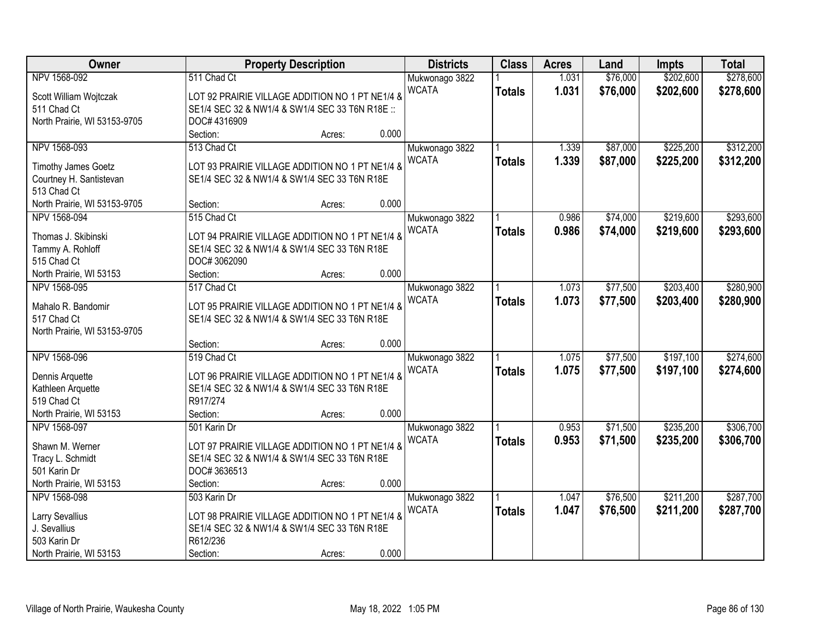| Owner                        | <b>Property Description</b>                     | <b>Districts</b> | <b>Class</b>  | <b>Acres</b> | Land     | <b>Impts</b> | <b>Total</b> |
|------------------------------|-------------------------------------------------|------------------|---------------|--------------|----------|--------------|--------------|
| NPV 1568-092                 | 511 Chad Ct                                     | Mukwonago 3822   |               | 1.031        | \$76,000 | \$202,600    | \$278,600    |
| Scott William Wojtczak       | LOT 92 PRAIRIE VILLAGE ADDITION NO 1 PT NE1/4 & | <b>WCATA</b>     | <b>Totals</b> | 1.031        | \$76,000 | \$202,600    | \$278,600    |
| 511 Chad Ct                  | SE1/4 SEC 32 & NW1/4 & SW1/4 SEC 33 T6N R18E :: |                  |               |              |          |              |              |
| North Prairie, WI 53153-9705 | DOC# 4316909                                    |                  |               |              |          |              |              |
|                              | Section:<br>0.000<br>Acres:                     |                  |               |              |          |              |              |
| NPV 1568-093                 | 513 Chad Ct                                     | Mukwonago 3822   |               | 1.339        | \$87,000 | \$225,200    | \$312,200    |
|                              |                                                 | <b>WCATA</b>     | <b>Totals</b> | 1.339        | \$87,000 | \$225,200    | \$312,200    |
| <b>Timothy James Goetz</b>   | LOT 93 PRAIRIE VILLAGE ADDITION NO 1 PT NE1/4 & |                  |               |              |          |              |              |
| Courtney H. Santistevan      | SE1/4 SEC 32 & NW1/4 & SW1/4 SEC 33 T6N R18E    |                  |               |              |          |              |              |
| 513 Chad Ct                  |                                                 |                  |               |              |          |              |              |
| North Prairie, WI 53153-9705 | 0.000<br>Section:<br>Acres:                     |                  |               |              |          |              |              |
| NPV 1568-094                 | 515 Chad Ct                                     | Mukwonago 3822   |               | 0.986        | \$74,000 | \$219,600    | \$293,600    |
| Thomas J. Skibinski          | LOT 94 PRAIRIE VILLAGE ADDITION NO 1 PT NE1/4 & | <b>WCATA</b>     | <b>Totals</b> | 0.986        | \$74,000 | \$219,600    | \$293,600    |
| Tammy A. Rohloff             | SE1/4 SEC 32 & NW1/4 & SW1/4 SEC 33 T6N R18E    |                  |               |              |          |              |              |
| 515 Chad Ct                  | DOC#3062090                                     |                  |               |              |          |              |              |
| North Prairie, WI 53153      | 0.000<br>Section:<br>Acres:                     |                  |               |              |          |              |              |
| NPV 1568-095                 | 517 Chad Ct                                     |                  |               | 1.073        | \$77,500 | \$203,400    | \$280,900    |
|                              |                                                 | Mukwonago 3822   |               |              |          |              |              |
| Mahalo R. Bandomir           | LOT 95 PRAIRIE VILLAGE ADDITION NO 1 PT NE1/4 & | <b>WCATA</b>     | <b>Totals</b> | 1.073        | \$77,500 | \$203,400    | \$280,900    |
| 517 Chad Ct                  | SE1/4 SEC 32 & NW1/4 & SW1/4 SEC 33 T6N R18E    |                  |               |              |          |              |              |
| North Prairie, WI 53153-9705 |                                                 |                  |               |              |          |              |              |
|                              | 0.000<br>Section:<br>Acres:                     |                  |               |              |          |              |              |
| NPV 1568-096                 | 519 Chad Ct                                     | Mukwonago 3822   |               | 1.075        | \$77,500 | \$197,100    | \$274,600    |
|                              |                                                 | <b>WCATA</b>     | <b>Totals</b> | 1.075        | \$77,500 | \$197,100    | \$274,600    |
| Dennis Arquette              | LOT 96 PRAIRIE VILLAGE ADDITION NO 1 PT NE1/4 & |                  |               |              |          |              |              |
| Kathleen Arquette            | SE1/4 SEC 32 & NW1/4 & SW1/4 SEC 33 T6N R18E    |                  |               |              |          |              |              |
| 519 Chad Ct                  | R917/274                                        |                  |               |              |          |              |              |
| North Prairie, WI 53153      | 0.000<br>Section:<br>Acres:                     |                  |               |              |          |              |              |
| NPV 1568-097                 | 501 Karin Dr                                    | Mukwonago 3822   |               | 0.953        | \$71,500 | \$235,200    | \$306,700    |
| Shawn M. Werner              | LOT 97 PRAIRIE VILLAGE ADDITION NO 1 PT NE1/4 & | <b>WCATA</b>     | <b>Totals</b> | 0.953        | \$71,500 | \$235,200    | \$306,700    |
| Tracy L. Schmidt             | SE1/4 SEC 32 & NW1/4 & SW1/4 SEC 33 T6N R18E    |                  |               |              |          |              |              |
| 501 Karin Dr                 | DOC#3636513                                     |                  |               |              |          |              |              |
| North Prairie, WI 53153      | 0.000<br>Section:<br>Acres:                     |                  |               |              |          |              |              |
| NPV 1568-098                 | 503 Karin Dr                                    | Mukwonago 3822   |               | 1.047        | \$76,500 | \$211,200    | \$287,700    |
|                              |                                                 | <b>WCATA</b>     | <b>Totals</b> | 1.047        | \$76,500 | \$211,200    | \$287,700    |
| Larry Sevallius              | LOT 98 PRAIRIE VILLAGE ADDITION NO 1 PT NE1/4 & |                  |               |              |          |              |              |
| J. Sevallius                 | SE1/4 SEC 32 & NW1/4 & SW1/4 SEC 33 T6N R18E    |                  |               |              |          |              |              |
| 503 Karin Dr                 | R612/236                                        |                  |               |              |          |              |              |
| North Prairie, WI 53153      | 0.000<br>Section:<br>Acres:                     |                  |               |              |          |              |              |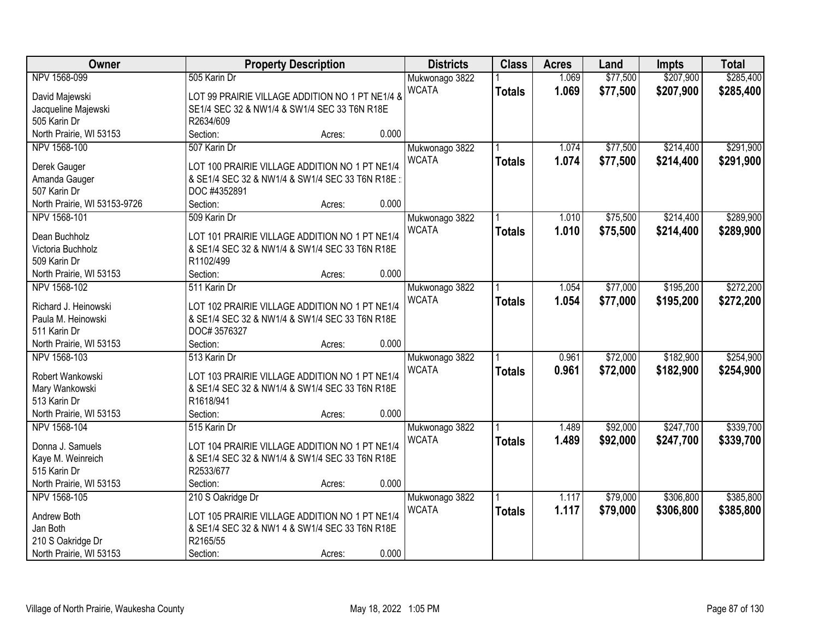| Owner                        | <b>Property Description</b>                     |                 | <b>Districts</b>               | <b>Class</b>  | <b>Acres</b> | Land     | <b>Impts</b> | <b>Total</b> |
|------------------------------|-------------------------------------------------|-----------------|--------------------------------|---------------|--------------|----------|--------------|--------------|
| NPV 1568-099                 | 505 Karin Dr                                    |                 | Mukwonago 3822                 |               | 1.069        | \$77,500 | \$207,900    | \$285,400    |
| David Majewski               | LOT 99 PRAIRIE VILLAGE ADDITION NO 1 PT NE1/4 & |                 | <b>WCATA</b>                   | <b>Totals</b> | 1.069        | \$77,500 | \$207,900    | \$285,400    |
| Jacqueline Majewski          | SE1/4 SEC 32 & NW1/4 & SW1/4 SEC 33 T6N R18E    |                 |                                |               |              |          |              |              |
| 505 Karin Dr                 | R2634/609                                       |                 |                                |               |              |          |              |              |
| North Prairie, WI 53153      | Section:                                        | 0.000<br>Acres: |                                |               |              |          |              |              |
| NPV 1568-100                 | 507 Karin Dr                                    |                 | Mukwonago 3822                 |               | 1.074        | \$77,500 | \$214,400    | \$291,900    |
|                              |                                                 |                 | <b>WCATA</b>                   | <b>Totals</b> | 1.074        | \$77,500 | \$214,400    | \$291,900    |
| Derek Gauger                 | LOT 100 PRAIRIE VILLAGE ADDITION NO 1 PT NE1/4  |                 |                                |               |              |          |              |              |
| Amanda Gauger                | & SE1/4 SEC 32 & NW1/4 & SW1/4 SEC 33 T6N R18E: |                 |                                |               |              |          |              |              |
| 507 Karin Dr                 | DOC #4352891                                    |                 |                                |               |              |          |              |              |
| North Prairie, WI 53153-9726 | Section:                                        | 0.000<br>Acres: |                                |               |              |          |              |              |
| NPV 1568-101                 | 509 Karin Dr                                    |                 | Mukwonago 3822                 |               | 1.010        | \$75,500 | \$214,400    | \$289,900    |
| Dean Buchholz                | LOT 101 PRAIRIE VILLAGE ADDITION NO 1 PT NE1/4  |                 | <b>WCATA</b>                   | <b>Totals</b> | 1.010        | \$75,500 | \$214,400    | \$289,900    |
| Victoria Buchholz            | & SE1/4 SEC 32 & NW1/4 & SW1/4 SEC 33 T6N R18E  |                 |                                |               |              |          |              |              |
| 509 Karin Dr                 | R1102/499                                       |                 |                                |               |              |          |              |              |
| North Prairie, WI 53153      | Section:                                        | 0.000<br>Acres: |                                |               |              |          |              |              |
| NPV 1568-102                 | 511 Karin Dr                                    |                 | Mukwonago 3822                 |               | 1.054        | \$77,000 | \$195,200    | \$272,200    |
|                              |                                                 |                 | <b>WCATA</b>                   | <b>Totals</b> | 1.054        | \$77,000 | \$195,200    | \$272,200    |
| Richard J. Heinowski         | LOT 102 PRAIRIE VILLAGE ADDITION NO 1 PT NE1/4  |                 |                                |               |              |          |              |              |
| Paula M. Heinowski           | & SE1/4 SEC 32 & NW1/4 & SW1/4 SEC 33 T6N R18E  |                 |                                |               |              |          |              |              |
| 511 Karin Dr                 | DOC#3576327                                     |                 |                                |               |              |          |              |              |
| North Prairie, WI 53153      | Section:                                        | 0.000<br>Acres: |                                |               |              |          |              |              |
| NPV 1568-103                 | 513 Karin Dr                                    |                 | Mukwonago 3822                 |               | 0.961        | \$72,000 | \$182,900    | \$254,900    |
| Robert Wankowski             | LOT 103 PRAIRIE VILLAGE ADDITION NO 1 PT NE1/4  |                 | <b>WCATA</b>                   | <b>Totals</b> | 0.961        | \$72,000 | \$182,900    | \$254,900    |
| Mary Wankowski               | & SE1/4 SEC 32 & NW1/4 & SW1/4 SEC 33 T6N R18E  |                 |                                |               |              |          |              |              |
| 513 Karin Dr                 | R1618/941                                       |                 |                                |               |              |          |              |              |
| North Prairie, WI 53153      | Section:                                        | 0.000<br>Acres: |                                |               |              |          |              |              |
| NPV 1568-104                 | 515 Karin Dr                                    |                 |                                |               | 1.489        | \$92,000 | \$247,700    | \$339,700    |
|                              |                                                 |                 | Mukwonago 3822<br><b>WCATA</b> |               | 1.489        |          |              |              |
| Donna J. Samuels             | LOT 104 PRAIRIE VILLAGE ADDITION NO 1 PT NE1/4  |                 |                                | <b>Totals</b> |              | \$92,000 | \$247,700    | \$339,700    |
| Kaye M. Weinreich            | & SE1/4 SEC 32 & NW1/4 & SW1/4 SEC 33 T6N R18E  |                 |                                |               |              |          |              |              |
| 515 Karin Dr                 | R2533/677                                       |                 |                                |               |              |          |              |              |
| North Prairie, WI 53153      | Section:                                        | 0.000<br>Acres: |                                |               |              |          |              |              |
| NPV 1568-105                 | 210 S Oakridge Dr                               |                 | Mukwonago 3822                 |               | 1.117        | \$79,000 | \$306,800    | \$385,800    |
| Andrew Both                  | LOT 105 PRAIRIE VILLAGE ADDITION NO 1 PT NE1/4  |                 | <b>WCATA</b>                   | <b>Totals</b> | 1.117        | \$79,000 | \$306,800    | \$385,800    |
| Jan Both                     | & SE1/4 SEC 32 & NW1 4 & SW1/4 SEC 33 T6N R18E  |                 |                                |               |              |          |              |              |
| 210 S Oakridge Dr            | R2165/55                                        |                 |                                |               |              |          |              |              |
| North Prairie, WI 53153      |                                                 | 0.000           |                                |               |              |          |              |              |
|                              | Section:                                        | Acres:          |                                |               |              |          |              |              |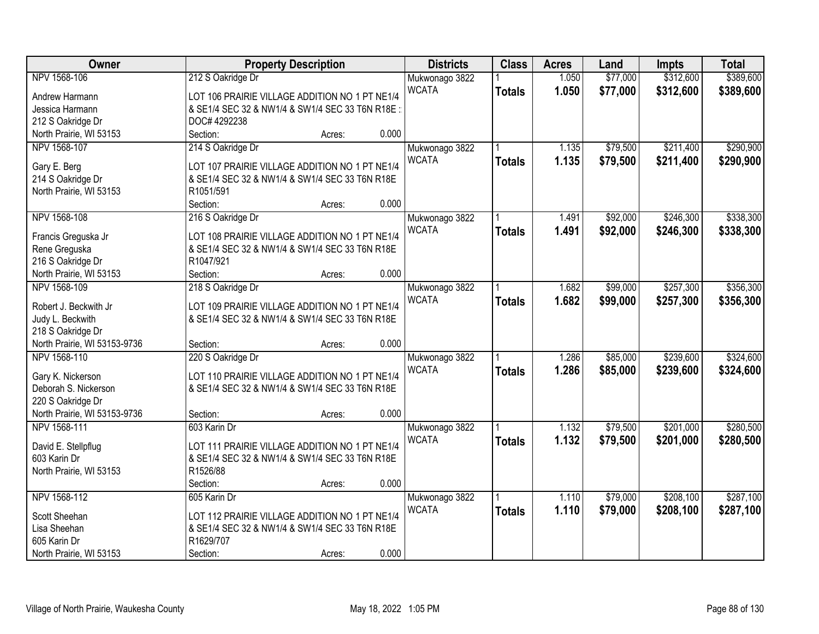| Owner                        | <b>Property Description</b>                     | <b>Districts</b> | <b>Class</b>  | <b>Acres</b> | Land     | <b>Impts</b> | <b>Total</b> |
|------------------------------|-------------------------------------------------|------------------|---------------|--------------|----------|--------------|--------------|
| NPV 1568-106                 | 212 S Oakridge Dr                               | Mukwonago 3822   |               | 1.050        | \$77,000 | \$312,600    | \$389,600    |
| Andrew Harmann               | LOT 106 PRAIRIE VILLAGE ADDITION NO 1 PT NE1/4  | <b>WCATA</b>     | <b>Totals</b> | 1.050        | \$77,000 | \$312,600    | \$389,600    |
| Jessica Harmann              | & SE1/4 SEC 32 & NW1/4 & SW1/4 SEC 33 T6N R18E: |                  |               |              |          |              |              |
| 212 S Oakridge Dr            | DOC# 4292238                                    |                  |               |              |          |              |              |
| North Prairie, WI 53153      | Section:<br>Acres:                              | 0.000            |               |              |          |              |              |
| NPV 1568-107                 | 214 S Oakridge Dr                               | Mukwonago 3822   |               | 1.135        | \$79,500 | \$211,400    | \$290,900    |
|                              |                                                 | <b>WCATA</b>     | <b>Totals</b> | 1.135        | \$79,500 | \$211,400    | \$290,900    |
| Gary E. Berg                 | LOT 107 PRAIRIE VILLAGE ADDITION NO 1 PT NE1/4  |                  |               |              |          |              |              |
| 214 S Oakridge Dr            | & SE1/4 SEC 32 & NW1/4 & SW1/4 SEC 33 T6N R18E  |                  |               |              |          |              |              |
| North Prairie, WI 53153      | R1051/591                                       |                  |               |              |          |              |              |
|                              | Section:<br>Acres:                              | 0.000            |               |              |          |              |              |
| NPV 1568-108                 | 216 S Oakridge Dr                               | Mukwonago 3822   |               | 1.491        | \$92,000 | \$246,300    | \$338,300    |
| Francis Greguska Jr          | LOT 108 PRAIRIE VILLAGE ADDITION NO 1 PT NE1/4  | <b>WCATA</b>     | <b>Totals</b> | 1.491        | \$92,000 | \$246,300    | \$338,300    |
| Rene Greguska                | & SE1/4 SEC 32 & NW1/4 & SW1/4 SEC 33 T6N R18E  |                  |               |              |          |              |              |
| 216 S Oakridge Dr            | R1047/921                                       |                  |               |              |          |              |              |
| North Prairie, WI 53153      | Section:<br>Acres:                              | 0.000            |               |              |          |              |              |
| NPV 1568-109                 | 218 S Oakridge Dr                               | Mukwonago 3822   |               | 1.682        | \$99,000 | \$257,300    | \$356,300    |
|                              |                                                 | <b>WCATA</b>     | <b>Totals</b> | 1.682        | \$99,000 | \$257,300    | \$356,300    |
| Robert J. Beckwith Jr        | LOT 109 PRAIRIE VILLAGE ADDITION NO 1 PT NE1/4  |                  |               |              |          |              |              |
| Judy L. Beckwith             | & SE1/4 SEC 32 & NW1/4 & SW1/4 SEC 33 T6N R18E  |                  |               |              |          |              |              |
| 218 S Oakridge Dr            |                                                 |                  |               |              |          |              |              |
| North Prairie, WI 53153-9736 | Section:<br>Acres:                              | 0.000            |               |              |          |              |              |
| NPV 1568-110                 | 220 S Oakridge Dr                               | Mukwonago 3822   |               | 1.286        | \$85,000 | \$239,600    | \$324,600    |
| Gary K. Nickerson            | LOT 110 PRAIRIE VILLAGE ADDITION NO 1 PT NE1/4  | <b>WCATA</b>     | <b>Totals</b> | 1.286        | \$85,000 | \$239,600    | \$324,600    |
| Deborah S. Nickerson         | & SE1/4 SEC 32 & NW1/4 & SW1/4 SEC 33 T6N R18E  |                  |               |              |          |              |              |
| 220 S Oakridge Dr            |                                                 |                  |               |              |          |              |              |
| North Prairie, WI 53153-9736 | Section:<br>Acres:                              | 0.000            |               |              |          |              |              |
| NPV 1568-111                 | 603 Karin Dr                                    | Mukwonago 3822   |               | 1.132        | \$79,500 | \$201,000    | \$280,500    |
|                              |                                                 | <b>WCATA</b>     |               |              |          |              |              |
| David E. Stellpflug          | LOT 111 PRAIRIE VILLAGE ADDITION NO 1 PT NE1/4  |                  | <b>Totals</b> | 1.132        | \$79,500 | \$201,000    | \$280,500    |
| 603 Karin Dr                 | & SE1/4 SEC 32 & NW1/4 & SW1/4 SEC 33 T6N R18E  |                  |               |              |          |              |              |
| North Prairie, WI 53153      | R1526/88                                        |                  |               |              |          |              |              |
|                              | Section:<br>Acres:                              | 0.000            |               |              |          |              |              |
| NPV 1568-112                 | 605 Karin Dr                                    | Mukwonago 3822   |               | 1.110        | \$79,000 | \$208,100    | \$287,100    |
| Scott Sheehan                | LOT 112 PRAIRIE VILLAGE ADDITION NO 1 PT NE1/4  | <b>WCATA</b>     | <b>Totals</b> | 1.110        | \$79,000 | \$208,100    | \$287,100    |
| Lisa Sheehan                 | & SE1/4 SEC 32 & NW1/4 & SW1/4 SEC 33 T6N R18E  |                  |               |              |          |              |              |
| 605 Karin Dr                 | R1629/707                                       |                  |               |              |          |              |              |
|                              |                                                 | 0.000            |               |              |          |              |              |
| North Prairie, WI 53153      | Section:<br>Acres:                              |                  |               |              |          |              |              |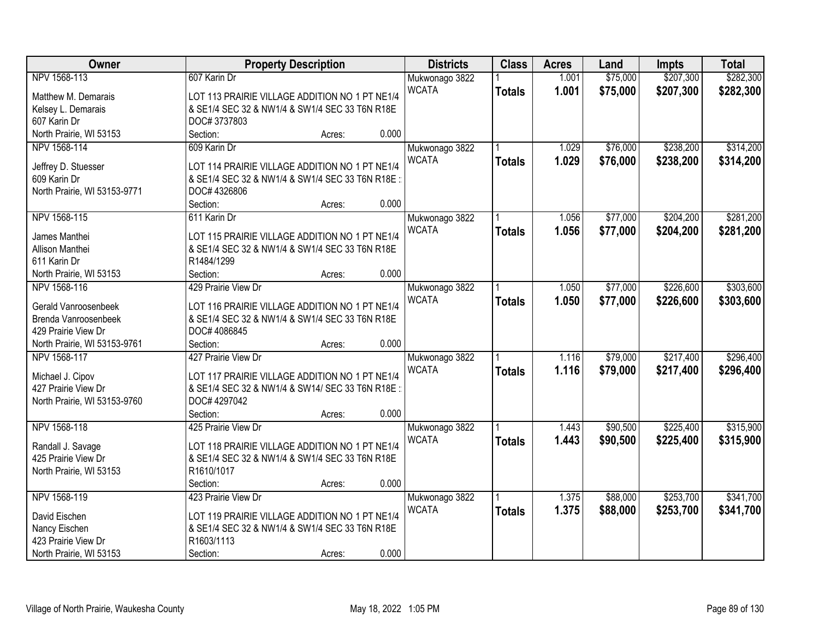| Owner                        |                                                 | <b>Property Description</b> |       | <b>Districts</b> | <b>Class</b>  | <b>Acres</b> | Land     | <b>Impts</b> | <b>Total</b> |
|------------------------------|-------------------------------------------------|-----------------------------|-------|------------------|---------------|--------------|----------|--------------|--------------|
| NPV 1568-113                 | 607 Karin Dr                                    |                             |       | Mukwonago 3822   |               | 1.001        | \$75,000 | \$207,300    | \$282,300    |
| Matthew M. Demarais          | LOT 113 PRAIRIE VILLAGE ADDITION NO 1 PT NE1/4  |                             |       | <b>WCATA</b>     | <b>Totals</b> | 1.001        | \$75,000 | \$207,300    | \$282,300    |
| Kelsey L. Demarais           | & SE1/4 SEC 32 & NW1/4 & SW1/4 SEC 33 T6N R18E  |                             |       |                  |               |              |          |              |              |
| 607 Karin Dr                 | DOC#3737803                                     |                             |       |                  |               |              |          |              |              |
| North Prairie, WI 53153      | Section:                                        | Acres:                      | 0.000 |                  |               |              |          |              |              |
| NPV 1568-114                 | 609 Karin Dr                                    |                             |       | Mukwonago 3822   |               | 1.029        | \$76,000 | \$238,200    | \$314,200    |
|                              |                                                 |                             |       | <b>WCATA</b>     | <b>Totals</b> | 1.029        | \$76,000 | \$238,200    | \$314,200    |
| Jeffrey D. Stuesser          | LOT 114 PRAIRIE VILLAGE ADDITION NO 1 PT NE1/4  |                             |       |                  |               |              |          |              |              |
| 609 Karin Dr                 | & SE1/4 SEC 32 & NW1/4 & SW1/4 SEC 33 T6N R18E: |                             |       |                  |               |              |          |              |              |
| North Prairie, WI 53153-9771 | DOC# 4326806                                    |                             |       |                  |               |              |          |              |              |
|                              | Section:                                        | Acres:                      | 0.000 |                  |               |              |          |              |              |
| NPV 1568-115                 | 611 Karin Dr                                    |                             |       | Mukwonago 3822   |               | 1.056        | \$77,000 | \$204,200    | \$281,200    |
| James Manthei                | LOT 115 PRAIRIE VILLAGE ADDITION NO 1 PT NE1/4  |                             |       | <b>WCATA</b>     | <b>Totals</b> | 1.056        | \$77,000 | \$204,200    | \$281,200    |
| Allison Manthei              | & SE1/4 SEC 32 & NW1/4 & SW1/4 SEC 33 T6N R18E  |                             |       |                  |               |              |          |              |              |
| 611 Karin Dr                 | R1484/1299                                      |                             |       |                  |               |              |          |              |              |
| North Prairie, WI 53153      | Section:                                        | Acres:                      | 0.000 |                  |               |              |          |              |              |
| NPV 1568-116                 | 429 Prairie View Dr                             |                             |       | Mukwonago 3822   |               | 1.050        | \$77,000 | \$226,600    | \$303,600    |
|                              |                                                 |                             |       | <b>WCATA</b>     | <b>Totals</b> | 1.050        | \$77,000 | \$226,600    | \$303,600    |
| Gerald Vanroosenbeek         | LOT 116 PRAIRIE VILLAGE ADDITION NO 1 PT NE1/4  |                             |       |                  |               |              |          |              |              |
| Brenda Vanroosenbeek         | & SE1/4 SEC 32 & NW1/4 & SW1/4 SEC 33 T6N R18E  |                             |       |                  |               |              |          |              |              |
| 429 Prairie View Dr          | DOC# 4086845                                    |                             |       |                  |               |              |          |              |              |
| North Prairie, WI 53153-9761 | Section:                                        | Acres:                      | 0.000 |                  |               |              |          |              |              |
| NPV 1568-117                 | 427 Prairie View Dr                             |                             |       | Mukwonago 3822   |               | 1.116        | \$79,000 | \$217,400    | \$296,400    |
| Michael J. Cipov             | LOT 117 PRAIRIE VILLAGE ADDITION NO 1 PT NE1/4  |                             |       | <b>WCATA</b>     | <b>Totals</b> | 1.116        | \$79,000 | \$217,400    | \$296,400    |
| 427 Prairie View Dr          | & SE1/4 SEC 32 & NW1/4 & SW14/ SEC 33 T6N R18E  |                             |       |                  |               |              |          |              |              |
| North Prairie, WI 53153-9760 | DOC# 4297042                                    |                             |       |                  |               |              |          |              |              |
|                              | Section:                                        | Acres:                      | 0.000 |                  |               |              |          |              |              |
| NPV 1568-118                 | 425 Prairie View Dr                             |                             |       | Mukwonago 3822   |               | 1.443        | \$90,500 | \$225,400    | \$315,900    |
|                              |                                                 |                             |       | <b>WCATA</b>     | <b>Totals</b> | 1.443        | \$90,500 | \$225,400    | \$315,900    |
| Randall J. Savage            | LOT 118 PRAIRIE VILLAGE ADDITION NO 1 PT NE1/4  |                             |       |                  |               |              |          |              |              |
| 425 Prairie View Dr          | & SE1/4 SEC 32 & NW1/4 & SW1/4 SEC 33 T6N R18E  |                             |       |                  |               |              |          |              |              |
| North Prairie, WI 53153      | R1610/1017                                      |                             |       |                  |               |              |          |              |              |
|                              | Section:                                        | Acres:                      | 0.000 |                  |               |              |          |              |              |
| NPV 1568-119                 | 423 Prairie View Dr                             |                             |       | Mukwonago 3822   |               | 1.375        | \$88,000 | \$253,700    | \$341,700    |
| David Eischen                | LOT 119 PRAIRIE VILLAGE ADDITION NO 1 PT NE1/4  |                             |       | <b>WCATA</b>     | <b>Totals</b> | 1.375        | \$88,000 | \$253,700    | \$341,700    |
| Nancy Eischen                | & SE1/4 SEC 32 & NW1/4 & SW1/4 SEC 33 T6N R18E  |                             |       |                  |               |              |          |              |              |
| 423 Prairie View Dr          | R1603/1113                                      |                             |       |                  |               |              |          |              |              |
| North Prairie, WI 53153      | Section:                                        | Acres:                      | 0.000 |                  |               |              |          |              |              |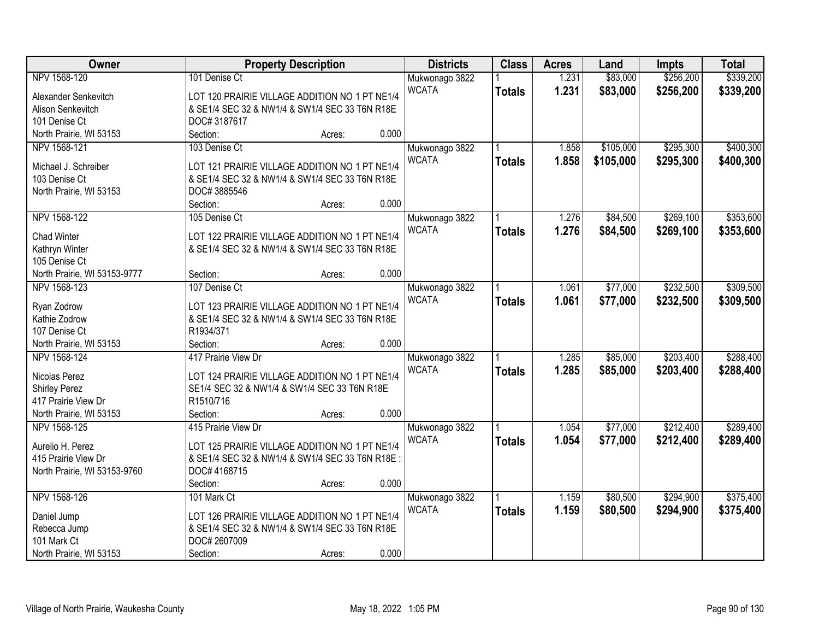| \$256,200<br>\$339,200<br>NPV 1568-120<br>101 Denise Ct<br>1.231<br>\$83,000<br>Mukwonago 3822<br><b>WCATA</b><br>1.231<br>\$83,000<br>\$256,200<br>\$339,200<br><b>Totals</b><br>LOT 120 PRAIRIE VILLAGE ADDITION NO 1 PT NE1/4<br>Alexander Senkevitch<br>& SE1/4 SEC 32 & NW1/4 & SW1/4 SEC 33 T6N R18E<br>Alison Senkevitch<br>101 Denise Ct<br>DOC#3187617<br>0.000<br>North Prairie, WI 53153<br>Section:<br>Acres:<br>\$105,000<br>\$295,300<br>\$400,300<br>NPV 1568-121<br>103 Denise Ct<br>Mukwonago 3822<br>1.858<br><b>WCATA</b><br>1.858<br>\$105,000<br>\$295,300<br>\$400,300<br><b>Totals</b><br>LOT 121 PRAIRIE VILLAGE ADDITION NO 1 PT NE1/4<br>Michael J. Schreiber<br>103 Denise Ct<br>& SE1/4 SEC 32 & NW1/4 & SW1/4 SEC 33 T6N R18E<br>North Prairie, WI 53153<br>DOC# 3885546<br>0.000<br>Section:<br>Acres:<br>NPV 1568-122<br>\$84,500<br>\$269,100<br>\$353,600<br>105 Denise Ct<br>Mukwonago 3822<br>1.276<br><b>WCATA</b><br>1.276<br>\$84,500<br>\$269,100<br>\$353,600<br><b>Totals</b><br><b>Chad Winter</b><br>LOT 122 PRAIRIE VILLAGE ADDITION NO 1 PT NE1/4<br>Kathryn Winter<br>& SE1/4 SEC 32 & NW1/4 & SW1/4 SEC 33 T6N R18E<br>105 Denise Ct<br>0.000<br>North Prairie, WI 53153-9777<br>Section:<br>Acres:<br>\$232,500<br>\$309,500<br>NPV 1568-123<br>\$77,000<br>107 Denise Ct<br>1.061<br>Mukwonago 3822<br><b>WCATA</b><br>1.061<br>\$77,000<br>\$232,500<br>\$309,500<br><b>Totals</b><br>LOT 123 PRAIRIE VILLAGE ADDITION NO 1 PT NE1/4<br>Ryan Zodrow<br>& SE1/4 SEC 32 & NW1/4 & SW1/4 SEC 33 T6N R18E<br>Kathie Zodrow<br>R1934/371<br>107 Denise Ct<br>0.000<br>North Prairie, WI 53153<br>Section:<br>Acres:<br>417 Prairie View Dr<br>\$85,000<br>\$203,400<br>NPV 1568-124<br>1.285<br>Mukwonago 3822<br><b>WCATA</b><br>1.285<br>\$85,000<br>\$203,400<br>\$288,400<br><b>Totals</b><br>Nicolas Perez<br>LOT 124 PRAIRIE VILLAGE ADDITION NO 1 PT NE1/4<br><b>Shirley Perez</b><br>SE1/4 SEC 32 & NW1/4 & SW1/4 SEC 33 T6N R18E<br>417 Prairie View Dr<br>R1510/716<br>0.000<br>North Prairie, WI 53153<br>Section:<br>Acres:<br>\$77,000<br>\$212,400<br>NPV 1568-125<br>415 Prairie View Dr<br>1.054<br>Mukwonago 3822<br>1.054<br>\$77,000<br><b>WCATA</b><br>\$212,400<br><b>Totals</b><br>Aurelio H. Perez<br>LOT 125 PRAIRIE VILLAGE ADDITION NO 1 PT NE1/4<br>415 Prairie View Dr<br>& SE1/4 SEC 32 & NW1/4 & SW1/4 SEC 33 T6N R18E:<br>DOC# 4168715<br>North Prairie, WI 53153-9760<br>0.000<br>Section:<br>Acres:<br>NPV 1568-126<br>\$375,400<br>\$80,500<br>\$294,900<br>101 Mark Ct<br>1.159<br>Mukwonago 3822<br><b>WCATA</b><br>1.159<br>\$80,500<br>\$294,900<br>\$375,400<br><b>Totals</b><br>LOT 126 PRAIRIE VILLAGE ADDITION NO 1 PT NE1/4<br>Daniel Jump<br>& SE1/4 SEC 32 & NW1/4 & SW1/4 SEC 33 T6N R18E<br>Rebecca Jump | Owner | <b>Property Description</b> | <b>Districts</b> | <b>Class</b> | <b>Acres</b> | Land | <b>Impts</b> | <b>Total</b> |
|------------------------------------------------------------------------------------------------------------------------------------------------------------------------------------------------------------------------------------------------------------------------------------------------------------------------------------------------------------------------------------------------------------------------------------------------------------------------------------------------------------------------------------------------------------------------------------------------------------------------------------------------------------------------------------------------------------------------------------------------------------------------------------------------------------------------------------------------------------------------------------------------------------------------------------------------------------------------------------------------------------------------------------------------------------------------------------------------------------------------------------------------------------------------------------------------------------------------------------------------------------------------------------------------------------------------------------------------------------------------------------------------------------------------------------------------------------------------------------------------------------------------------------------------------------------------------------------------------------------------------------------------------------------------------------------------------------------------------------------------------------------------------------------------------------------------------------------------------------------------------------------------------------------------------------------------------------------------------------------------------------------------------------------------------------------------------------------------------------------------------------------------------------------------------------------------------------------------------------------------------------------------------------------------------------------------------------------------------------------------------------------------------------------------------------------------------------------------------------------------------------------------------------------------------------------------------------------------------------------------------------------------------------------------------------------------------------------------------------------------------------------------------------------------------|-------|-----------------------------|------------------|--------------|--------------|------|--------------|--------------|
|                                                                                                                                                                                                                                                                                                                                                                                                                                                                                                                                                                                                                                                                                                                                                                                                                                                                                                                                                                                                                                                                                                                                                                                                                                                                                                                                                                                                                                                                                                                                                                                                                                                                                                                                                                                                                                                                                                                                                                                                                                                                                                                                                                                                                                                                                                                                                                                                                                                                                                                                                                                                                                                                                                                                                                                                      |       |                             |                  |              |              |      |              |              |
|                                                                                                                                                                                                                                                                                                                                                                                                                                                                                                                                                                                                                                                                                                                                                                                                                                                                                                                                                                                                                                                                                                                                                                                                                                                                                                                                                                                                                                                                                                                                                                                                                                                                                                                                                                                                                                                                                                                                                                                                                                                                                                                                                                                                                                                                                                                                                                                                                                                                                                                                                                                                                                                                                                                                                                                                      |       |                             |                  |              |              |      |              |              |
|                                                                                                                                                                                                                                                                                                                                                                                                                                                                                                                                                                                                                                                                                                                                                                                                                                                                                                                                                                                                                                                                                                                                                                                                                                                                                                                                                                                                                                                                                                                                                                                                                                                                                                                                                                                                                                                                                                                                                                                                                                                                                                                                                                                                                                                                                                                                                                                                                                                                                                                                                                                                                                                                                                                                                                                                      |       |                             |                  |              |              |      |              |              |
|                                                                                                                                                                                                                                                                                                                                                                                                                                                                                                                                                                                                                                                                                                                                                                                                                                                                                                                                                                                                                                                                                                                                                                                                                                                                                                                                                                                                                                                                                                                                                                                                                                                                                                                                                                                                                                                                                                                                                                                                                                                                                                                                                                                                                                                                                                                                                                                                                                                                                                                                                                                                                                                                                                                                                                                                      |       |                             |                  |              |              |      |              |              |
|                                                                                                                                                                                                                                                                                                                                                                                                                                                                                                                                                                                                                                                                                                                                                                                                                                                                                                                                                                                                                                                                                                                                                                                                                                                                                                                                                                                                                                                                                                                                                                                                                                                                                                                                                                                                                                                                                                                                                                                                                                                                                                                                                                                                                                                                                                                                                                                                                                                                                                                                                                                                                                                                                                                                                                                                      |       |                             |                  |              |              |      |              |              |
|                                                                                                                                                                                                                                                                                                                                                                                                                                                                                                                                                                                                                                                                                                                                                                                                                                                                                                                                                                                                                                                                                                                                                                                                                                                                                                                                                                                                                                                                                                                                                                                                                                                                                                                                                                                                                                                                                                                                                                                                                                                                                                                                                                                                                                                                                                                                                                                                                                                                                                                                                                                                                                                                                                                                                                                                      |       |                             |                  |              |              |      |              |              |
|                                                                                                                                                                                                                                                                                                                                                                                                                                                                                                                                                                                                                                                                                                                                                                                                                                                                                                                                                                                                                                                                                                                                                                                                                                                                                                                                                                                                                                                                                                                                                                                                                                                                                                                                                                                                                                                                                                                                                                                                                                                                                                                                                                                                                                                                                                                                                                                                                                                                                                                                                                                                                                                                                                                                                                                                      |       |                             |                  |              |              |      |              |              |
|                                                                                                                                                                                                                                                                                                                                                                                                                                                                                                                                                                                                                                                                                                                                                                                                                                                                                                                                                                                                                                                                                                                                                                                                                                                                                                                                                                                                                                                                                                                                                                                                                                                                                                                                                                                                                                                                                                                                                                                                                                                                                                                                                                                                                                                                                                                                                                                                                                                                                                                                                                                                                                                                                                                                                                                                      |       |                             |                  |              |              |      |              |              |
|                                                                                                                                                                                                                                                                                                                                                                                                                                                                                                                                                                                                                                                                                                                                                                                                                                                                                                                                                                                                                                                                                                                                                                                                                                                                                                                                                                                                                                                                                                                                                                                                                                                                                                                                                                                                                                                                                                                                                                                                                                                                                                                                                                                                                                                                                                                                                                                                                                                                                                                                                                                                                                                                                                                                                                                                      |       |                             |                  |              |              |      |              |              |
|                                                                                                                                                                                                                                                                                                                                                                                                                                                                                                                                                                                                                                                                                                                                                                                                                                                                                                                                                                                                                                                                                                                                                                                                                                                                                                                                                                                                                                                                                                                                                                                                                                                                                                                                                                                                                                                                                                                                                                                                                                                                                                                                                                                                                                                                                                                                                                                                                                                                                                                                                                                                                                                                                                                                                                                                      |       |                             |                  |              |              |      |              |              |
|                                                                                                                                                                                                                                                                                                                                                                                                                                                                                                                                                                                                                                                                                                                                                                                                                                                                                                                                                                                                                                                                                                                                                                                                                                                                                                                                                                                                                                                                                                                                                                                                                                                                                                                                                                                                                                                                                                                                                                                                                                                                                                                                                                                                                                                                                                                                                                                                                                                                                                                                                                                                                                                                                                                                                                                                      |       |                             |                  |              |              |      |              |              |
|                                                                                                                                                                                                                                                                                                                                                                                                                                                                                                                                                                                                                                                                                                                                                                                                                                                                                                                                                                                                                                                                                                                                                                                                                                                                                                                                                                                                                                                                                                                                                                                                                                                                                                                                                                                                                                                                                                                                                                                                                                                                                                                                                                                                                                                                                                                                                                                                                                                                                                                                                                                                                                                                                                                                                                                                      |       |                             |                  |              |              |      |              |              |
|                                                                                                                                                                                                                                                                                                                                                                                                                                                                                                                                                                                                                                                                                                                                                                                                                                                                                                                                                                                                                                                                                                                                                                                                                                                                                                                                                                                                                                                                                                                                                                                                                                                                                                                                                                                                                                                                                                                                                                                                                                                                                                                                                                                                                                                                                                                                                                                                                                                                                                                                                                                                                                                                                                                                                                                                      |       |                             |                  |              |              |      |              |              |
|                                                                                                                                                                                                                                                                                                                                                                                                                                                                                                                                                                                                                                                                                                                                                                                                                                                                                                                                                                                                                                                                                                                                                                                                                                                                                                                                                                                                                                                                                                                                                                                                                                                                                                                                                                                                                                                                                                                                                                                                                                                                                                                                                                                                                                                                                                                                                                                                                                                                                                                                                                                                                                                                                                                                                                                                      |       |                             |                  |              |              |      |              |              |
|                                                                                                                                                                                                                                                                                                                                                                                                                                                                                                                                                                                                                                                                                                                                                                                                                                                                                                                                                                                                                                                                                                                                                                                                                                                                                                                                                                                                                                                                                                                                                                                                                                                                                                                                                                                                                                                                                                                                                                                                                                                                                                                                                                                                                                                                                                                                                                                                                                                                                                                                                                                                                                                                                                                                                                                                      |       |                             |                  |              |              |      |              |              |
|                                                                                                                                                                                                                                                                                                                                                                                                                                                                                                                                                                                                                                                                                                                                                                                                                                                                                                                                                                                                                                                                                                                                                                                                                                                                                                                                                                                                                                                                                                                                                                                                                                                                                                                                                                                                                                                                                                                                                                                                                                                                                                                                                                                                                                                                                                                                                                                                                                                                                                                                                                                                                                                                                                                                                                                                      |       |                             |                  |              |              |      |              |              |
|                                                                                                                                                                                                                                                                                                                                                                                                                                                                                                                                                                                                                                                                                                                                                                                                                                                                                                                                                                                                                                                                                                                                                                                                                                                                                                                                                                                                                                                                                                                                                                                                                                                                                                                                                                                                                                                                                                                                                                                                                                                                                                                                                                                                                                                                                                                                                                                                                                                                                                                                                                                                                                                                                                                                                                                                      |       |                             |                  |              |              |      |              |              |
|                                                                                                                                                                                                                                                                                                                                                                                                                                                                                                                                                                                                                                                                                                                                                                                                                                                                                                                                                                                                                                                                                                                                                                                                                                                                                                                                                                                                                                                                                                                                                                                                                                                                                                                                                                                                                                                                                                                                                                                                                                                                                                                                                                                                                                                                                                                                                                                                                                                                                                                                                                                                                                                                                                                                                                                                      |       |                             |                  |              |              |      |              |              |
|                                                                                                                                                                                                                                                                                                                                                                                                                                                                                                                                                                                                                                                                                                                                                                                                                                                                                                                                                                                                                                                                                                                                                                                                                                                                                                                                                                                                                                                                                                                                                                                                                                                                                                                                                                                                                                                                                                                                                                                                                                                                                                                                                                                                                                                                                                                                                                                                                                                                                                                                                                                                                                                                                                                                                                                                      |       |                             |                  |              |              |      |              |              |
|                                                                                                                                                                                                                                                                                                                                                                                                                                                                                                                                                                                                                                                                                                                                                                                                                                                                                                                                                                                                                                                                                                                                                                                                                                                                                                                                                                                                                                                                                                                                                                                                                                                                                                                                                                                                                                                                                                                                                                                                                                                                                                                                                                                                                                                                                                                                                                                                                                                                                                                                                                                                                                                                                                                                                                                                      |       |                             |                  |              |              |      |              |              |
| \$288,400<br>\$289,400<br>\$289,400                                                                                                                                                                                                                                                                                                                                                                                                                                                                                                                                                                                                                                                                                                                                                                                                                                                                                                                                                                                                                                                                                                                                                                                                                                                                                                                                                                                                                                                                                                                                                                                                                                                                                                                                                                                                                                                                                                                                                                                                                                                                                                                                                                                                                                                                                                                                                                                                                                                                                                                                                                                                                                                                                                                                                                  |       |                             |                  |              |              |      |              |              |
|                                                                                                                                                                                                                                                                                                                                                                                                                                                                                                                                                                                                                                                                                                                                                                                                                                                                                                                                                                                                                                                                                                                                                                                                                                                                                                                                                                                                                                                                                                                                                                                                                                                                                                                                                                                                                                                                                                                                                                                                                                                                                                                                                                                                                                                                                                                                                                                                                                                                                                                                                                                                                                                                                                                                                                                                      |       |                             |                  |              |              |      |              |              |
|                                                                                                                                                                                                                                                                                                                                                                                                                                                                                                                                                                                                                                                                                                                                                                                                                                                                                                                                                                                                                                                                                                                                                                                                                                                                                                                                                                                                                                                                                                                                                                                                                                                                                                                                                                                                                                                                                                                                                                                                                                                                                                                                                                                                                                                                                                                                                                                                                                                                                                                                                                                                                                                                                                                                                                                                      |       |                             |                  |              |              |      |              |              |
|                                                                                                                                                                                                                                                                                                                                                                                                                                                                                                                                                                                                                                                                                                                                                                                                                                                                                                                                                                                                                                                                                                                                                                                                                                                                                                                                                                                                                                                                                                                                                                                                                                                                                                                                                                                                                                                                                                                                                                                                                                                                                                                                                                                                                                                                                                                                                                                                                                                                                                                                                                                                                                                                                                                                                                                                      |       |                             |                  |              |              |      |              |              |
|                                                                                                                                                                                                                                                                                                                                                                                                                                                                                                                                                                                                                                                                                                                                                                                                                                                                                                                                                                                                                                                                                                                                                                                                                                                                                                                                                                                                                                                                                                                                                                                                                                                                                                                                                                                                                                                                                                                                                                                                                                                                                                                                                                                                                                                                                                                                                                                                                                                                                                                                                                                                                                                                                                                                                                                                      |       |                             |                  |              |              |      |              |              |
|                                                                                                                                                                                                                                                                                                                                                                                                                                                                                                                                                                                                                                                                                                                                                                                                                                                                                                                                                                                                                                                                                                                                                                                                                                                                                                                                                                                                                                                                                                                                                                                                                                                                                                                                                                                                                                                                                                                                                                                                                                                                                                                                                                                                                                                                                                                                                                                                                                                                                                                                                                                                                                                                                                                                                                                                      |       |                             |                  |              |              |      |              |              |
|                                                                                                                                                                                                                                                                                                                                                                                                                                                                                                                                                                                                                                                                                                                                                                                                                                                                                                                                                                                                                                                                                                                                                                                                                                                                                                                                                                                                                                                                                                                                                                                                                                                                                                                                                                                                                                                                                                                                                                                                                                                                                                                                                                                                                                                                                                                                                                                                                                                                                                                                                                                                                                                                                                                                                                                                      |       |                             |                  |              |              |      |              |              |
|                                                                                                                                                                                                                                                                                                                                                                                                                                                                                                                                                                                                                                                                                                                                                                                                                                                                                                                                                                                                                                                                                                                                                                                                                                                                                                                                                                                                                                                                                                                                                                                                                                                                                                                                                                                                                                                                                                                                                                                                                                                                                                                                                                                                                                                                                                                                                                                                                                                                                                                                                                                                                                                                                                                                                                                                      |       |                             |                  |              |              |      |              |              |
|                                                                                                                                                                                                                                                                                                                                                                                                                                                                                                                                                                                                                                                                                                                                                                                                                                                                                                                                                                                                                                                                                                                                                                                                                                                                                                                                                                                                                                                                                                                                                                                                                                                                                                                                                                                                                                                                                                                                                                                                                                                                                                                                                                                                                                                                                                                                                                                                                                                                                                                                                                                                                                                                                                                                                                                                      |       |                             |                  |              |              |      |              |              |
|                                                                                                                                                                                                                                                                                                                                                                                                                                                                                                                                                                                                                                                                                                                                                                                                                                                                                                                                                                                                                                                                                                                                                                                                                                                                                                                                                                                                                                                                                                                                                                                                                                                                                                                                                                                                                                                                                                                                                                                                                                                                                                                                                                                                                                                                                                                                                                                                                                                                                                                                                                                                                                                                                                                                                                                                      |       |                             |                  |              |              |      |              |              |
|                                                                                                                                                                                                                                                                                                                                                                                                                                                                                                                                                                                                                                                                                                                                                                                                                                                                                                                                                                                                                                                                                                                                                                                                                                                                                                                                                                                                                                                                                                                                                                                                                                                                                                                                                                                                                                                                                                                                                                                                                                                                                                                                                                                                                                                                                                                                                                                                                                                                                                                                                                                                                                                                                                                                                                                                      |       |                             |                  |              |              |      |              |              |
|                                                                                                                                                                                                                                                                                                                                                                                                                                                                                                                                                                                                                                                                                                                                                                                                                                                                                                                                                                                                                                                                                                                                                                                                                                                                                                                                                                                                                                                                                                                                                                                                                                                                                                                                                                                                                                                                                                                                                                                                                                                                                                                                                                                                                                                                                                                                                                                                                                                                                                                                                                                                                                                                                                                                                                                                      |       |                             |                  |              |              |      |              |              |
|                                                                                                                                                                                                                                                                                                                                                                                                                                                                                                                                                                                                                                                                                                                                                                                                                                                                                                                                                                                                                                                                                                                                                                                                                                                                                                                                                                                                                                                                                                                                                                                                                                                                                                                                                                                                                                                                                                                                                                                                                                                                                                                                                                                                                                                                                                                                                                                                                                                                                                                                                                                                                                                                                                                                                                                                      |       |                             |                  |              |              |      |              |              |
|                                                                                                                                                                                                                                                                                                                                                                                                                                                                                                                                                                                                                                                                                                                                                                                                                                                                                                                                                                                                                                                                                                                                                                                                                                                                                                                                                                                                                                                                                                                                                                                                                                                                                                                                                                                                                                                                                                                                                                                                                                                                                                                                                                                                                                                                                                                                                                                                                                                                                                                                                                                                                                                                                                                                                                                                      |       |                             |                  |              |              |      |              |              |
|                                                                                                                                                                                                                                                                                                                                                                                                                                                                                                                                                                                                                                                                                                                                                                                                                                                                                                                                                                                                                                                                                                                                                                                                                                                                                                                                                                                                                                                                                                                                                                                                                                                                                                                                                                                                                                                                                                                                                                                                                                                                                                                                                                                                                                                                                                                                                                                                                                                                                                                                                                                                                                                                                                                                                                                                      |       |                             |                  |              |              |      |              |              |
|                                                                                                                                                                                                                                                                                                                                                                                                                                                                                                                                                                                                                                                                                                                                                                                                                                                                                                                                                                                                                                                                                                                                                                                                                                                                                                                                                                                                                                                                                                                                                                                                                                                                                                                                                                                                                                                                                                                                                                                                                                                                                                                                                                                                                                                                                                                                                                                                                                                                                                                                                                                                                                                                                                                                                                                                      |       |                             |                  |              |              |      |              |              |
| 101 Mark Ct<br>DOC# 2607009                                                                                                                                                                                                                                                                                                                                                                                                                                                                                                                                                                                                                                                                                                                                                                                                                                                                                                                                                                                                                                                                                                                                                                                                                                                                                                                                                                                                                                                                                                                                                                                                                                                                                                                                                                                                                                                                                                                                                                                                                                                                                                                                                                                                                                                                                                                                                                                                                                                                                                                                                                                                                                                                                                                                                                          |       |                             |                  |              |              |      |              |              |
| 0.000<br>North Prairie, WI 53153<br>Section:<br>Acres:                                                                                                                                                                                                                                                                                                                                                                                                                                                                                                                                                                                                                                                                                                                                                                                                                                                                                                                                                                                                                                                                                                                                                                                                                                                                                                                                                                                                                                                                                                                                                                                                                                                                                                                                                                                                                                                                                                                                                                                                                                                                                                                                                                                                                                                                                                                                                                                                                                                                                                                                                                                                                                                                                                                                               |       |                             |                  |              |              |      |              |              |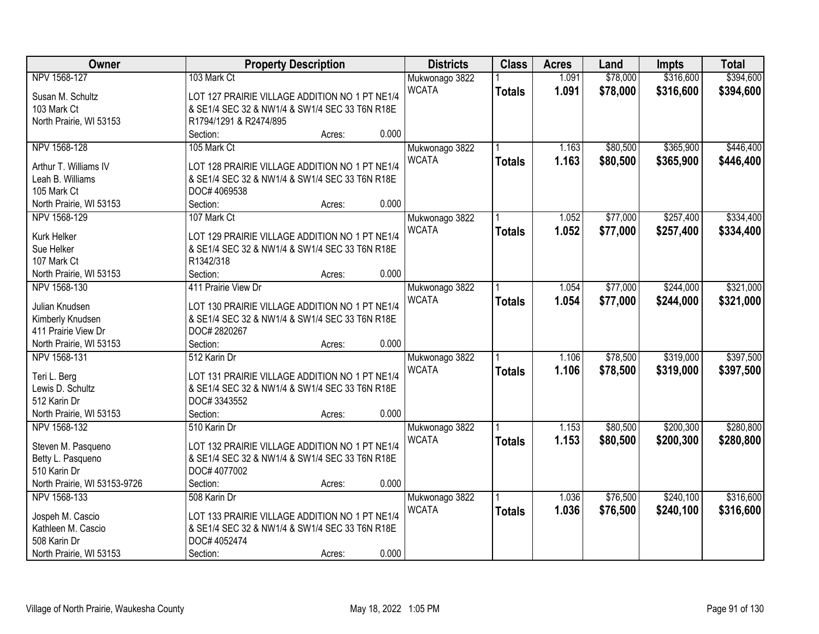| Owner                        |                                                | <b>Property Description</b> |       | <b>Districts</b> | <b>Class</b>  | <b>Acres</b> | Land     | Impts     | <b>Total</b> |
|------------------------------|------------------------------------------------|-----------------------------|-------|------------------|---------------|--------------|----------|-----------|--------------|
| NPV 1568-127                 | 103 Mark Ct                                    |                             |       | Mukwonago 3822   |               | 1.091        | \$78,000 | \$316,600 | \$394,600    |
| Susan M. Schultz             | LOT 127 PRAIRIE VILLAGE ADDITION NO 1 PT NE1/4 |                             |       | <b>WCATA</b>     | <b>Totals</b> | 1.091        | \$78,000 | \$316,600 | \$394,600    |
| 103 Mark Ct                  | & SE1/4 SEC 32 & NW1/4 & SW1/4 SEC 33 T6N R18E |                             |       |                  |               |              |          |           |              |
| North Prairie, WI 53153      | R1794/1291 & R2474/895                         |                             |       |                  |               |              |          |           |              |
|                              | Section:                                       | Acres:                      | 0.000 |                  |               |              |          |           |              |
| NPV 1568-128                 | 105 Mark Ct                                    |                             |       | Mukwonago 3822   |               | 1.163        | \$80,500 | \$365,900 | \$446,400    |
|                              |                                                |                             |       | <b>WCATA</b>     | <b>Totals</b> | 1.163        | \$80,500 | \$365,900 | \$446,400    |
| Arthur T. Williams IV        | LOT 128 PRAIRIE VILLAGE ADDITION NO 1 PT NE1/4 |                             |       |                  |               |              |          |           |              |
| Leah B. Williams             | & SE1/4 SEC 32 & NW1/4 & SW1/4 SEC 33 T6N R18E |                             |       |                  |               |              |          |           |              |
| 105 Mark Ct                  | DOC# 4069538                                   |                             |       |                  |               |              |          |           |              |
| North Prairie, WI 53153      | Section:                                       | Acres:                      | 0.000 |                  |               |              |          |           |              |
| NPV 1568-129                 | 107 Mark Ct                                    |                             |       | Mukwonago 3822   |               | 1.052        | \$77,000 | \$257,400 | \$334,400    |
| Kurk Helker                  | LOT 129 PRAIRIE VILLAGE ADDITION NO 1 PT NE1/4 |                             |       | <b>WCATA</b>     | <b>Totals</b> | 1.052        | \$77,000 | \$257,400 | \$334,400    |
| Sue Helker                   | & SE1/4 SEC 32 & NW1/4 & SW1/4 SEC 33 T6N R18E |                             |       |                  |               |              |          |           |              |
| 107 Mark Ct                  | R1342/318                                      |                             |       |                  |               |              |          |           |              |
| North Prairie, WI 53153      | Section:                                       | Acres:                      | 0.000 |                  |               |              |          |           |              |
| NPV 1568-130                 | 411 Prairie View Dr                            |                             |       | Mukwonago 3822   |               | 1.054        | \$77,000 | \$244,000 | \$321,000    |
|                              |                                                |                             |       | <b>WCATA</b>     | <b>Totals</b> | 1.054        | \$77,000 | \$244,000 | \$321,000    |
| Julian Knudsen               | LOT 130 PRAIRIE VILLAGE ADDITION NO 1 PT NE1/4 |                             |       |                  |               |              |          |           |              |
| Kimberly Knudsen             | & SE1/4 SEC 32 & NW1/4 & SW1/4 SEC 33 T6N R18E |                             |       |                  |               |              |          |           |              |
| 411 Prairie View Dr          | DOC# 2820267                                   |                             |       |                  |               |              |          |           |              |
| North Prairie, WI 53153      | Section:                                       | Acres:                      | 0.000 |                  |               |              |          |           |              |
| NPV 1568-131                 | 512 Karin Dr                                   |                             |       | Mukwonago 3822   |               | 1.106        | \$78,500 | \$319,000 | \$397,500    |
| Teri L. Berg                 | LOT 131 PRAIRIE VILLAGE ADDITION NO 1 PT NE1/4 |                             |       | <b>WCATA</b>     | <b>Totals</b> | 1.106        | \$78,500 | \$319,000 | \$397,500    |
| Lewis D. Schultz             | & SE1/4 SEC 32 & NW1/4 & SW1/4 SEC 33 T6N R18E |                             |       |                  |               |              |          |           |              |
| 512 Karin Dr                 | DOC#3343552                                    |                             |       |                  |               |              |          |           |              |
| North Prairie, WI 53153      | Section:                                       | Acres:                      | 0.000 |                  |               |              |          |           |              |
| NPV 1568-132                 | 510 Karin Dr                                   |                             |       | Mukwonago 3822   |               | 1.153        | \$80,500 | \$200,300 | \$280,800    |
|                              |                                                |                             |       | <b>WCATA</b>     | <b>Totals</b> | 1.153        | \$80,500 | \$200,300 | \$280,800    |
| Steven M. Pasqueno           | LOT 132 PRAIRIE VILLAGE ADDITION NO 1 PT NE1/4 |                             |       |                  |               |              |          |           |              |
| Betty L. Pasqueno            | & SE1/4 SEC 32 & NW1/4 & SW1/4 SEC 33 T6N R18E |                             |       |                  |               |              |          |           |              |
| 510 Karin Dr                 | DOC# 4077002                                   |                             |       |                  |               |              |          |           |              |
| North Prairie, WI 53153-9726 | Section:                                       | Acres:                      | 0.000 |                  |               |              |          |           |              |
| NPV 1568-133                 | 508 Karin Dr                                   |                             |       | Mukwonago 3822   |               | 1.036        | \$76,500 | \$240,100 | \$316,600    |
| Jospeh M. Cascio             | LOT 133 PRAIRIE VILLAGE ADDITION NO 1 PT NE1/4 |                             |       | <b>WCATA</b>     | <b>Totals</b> | 1.036        | \$76,500 | \$240,100 | \$316,600    |
| Kathleen M. Cascio           | & SE1/4 SEC 32 & NW1/4 & SW1/4 SEC 33 T6N R18E |                             |       |                  |               |              |          |           |              |
| 508 Karin Dr                 | DOC# 4052474                                   |                             |       |                  |               |              |          |           |              |
| North Prairie, WI 53153      | Section:                                       | Acres:                      | 0.000 |                  |               |              |          |           |              |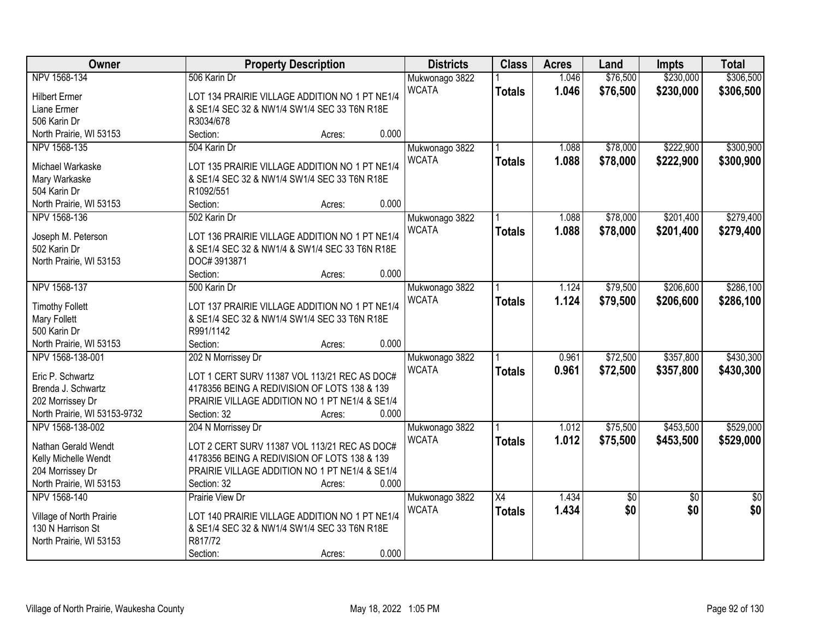| Owner                        | <b>Property Description</b>                    | <b>Districts</b> | <b>Class</b>    | <b>Acres</b> | Land            | <b>Impts</b>    | <b>Total</b>    |
|------------------------------|------------------------------------------------|------------------|-----------------|--------------|-----------------|-----------------|-----------------|
| NPV 1568-134                 | 506 Karin Dr                                   | Mukwonago 3822   |                 | 1.046        | \$76,500        | \$230,000       | \$306,500       |
| <b>Hilbert Ermer</b>         | LOT 134 PRAIRIE VILLAGE ADDITION NO 1 PT NE1/4 | <b>WCATA</b>     | <b>Totals</b>   | 1.046        | \$76,500        | \$230,000       | \$306,500       |
| Liane Ermer                  | & SE1/4 SEC 32 & NW1/4 SW1/4 SEC 33 T6N R18E   |                  |                 |              |                 |                 |                 |
| 506 Karin Dr                 | R3034/678                                      |                  |                 |              |                 |                 |                 |
| North Prairie, WI 53153      | 0.000<br>Section:<br>Acres:                    |                  |                 |              |                 |                 |                 |
| NPV 1568-135                 | 504 Karin Dr                                   | Mukwonago 3822   |                 | 1.088        | \$78,000        | \$222,900       | \$300,900       |
|                              |                                                | <b>WCATA</b>     | <b>Totals</b>   | 1.088        | \$78,000        | \$222,900       | \$300,900       |
| Michael Warkaske             | LOT 135 PRAIRIE VILLAGE ADDITION NO 1 PT NE1/4 |                  |                 |              |                 |                 |                 |
| Mary Warkaske                | & SE1/4 SEC 32 & NW1/4 SW1/4 SEC 33 T6N R18E   |                  |                 |              |                 |                 |                 |
| 504 Karin Dr                 | R1092/551                                      |                  |                 |              |                 |                 |                 |
| North Prairie, WI 53153      | 0.000<br>Section:<br>Acres:                    |                  |                 |              |                 |                 |                 |
| NPV 1568-136                 | 502 Karin Dr                                   | Mukwonago 3822   |                 | 1.088        | \$78,000        | \$201,400       | \$279,400       |
| Joseph M. Peterson           | LOT 136 PRAIRIE VILLAGE ADDITION NO 1 PT NE1/4 | <b>WCATA</b>     | <b>Totals</b>   | 1.088        | \$78,000        | \$201,400       | \$279,400       |
| 502 Karin Dr                 | & SE1/4 SEC 32 & NW1/4 & SW1/4 SEC 33 T6N R18E |                  |                 |              |                 |                 |                 |
| North Prairie, WI 53153      | DOC#3913871                                    |                  |                 |              |                 |                 |                 |
|                              | 0.000<br>Section:<br>Acres:                    |                  |                 |              |                 |                 |                 |
| NPV 1568-137                 | 500 Karin Dr                                   | Mukwonago 3822   |                 | 1.124        | \$79,500        | \$206,600       | \$286,100       |
|                              |                                                | <b>WCATA</b>     |                 | 1.124        | \$79,500        | \$206,600       | \$286,100       |
| <b>Timothy Follett</b>       | LOT 137 PRAIRIE VILLAGE ADDITION NO 1 PT NE1/4 |                  | <b>Totals</b>   |              |                 |                 |                 |
| Mary Follett                 | & SE1/4 SEC 32 & NW1/4 SW1/4 SEC 33 T6N R18E   |                  |                 |              |                 |                 |                 |
| 500 Karin Dr                 | R991/1142                                      |                  |                 |              |                 |                 |                 |
| North Prairie, WI 53153      | 0.000<br>Section:<br>Acres:                    |                  |                 |              |                 |                 |                 |
| NPV 1568-138-001             | 202 N Morrissey Dr                             | Mukwonago 3822   |                 | 0.961        | \$72,500        | \$357,800       | \$430,300       |
| Eric P. Schwartz             | LOT 1 CERT SURV 11387 VOL 113/21 REC AS DOC#   | <b>WCATA</b>     | <b>Totals</b>   | 0.961        | \$72,500        | \$357,800       | \$430,300       |
| Brenda J. Schwartz           | 4178356 BEING A REDIVISION OF LOTS 138 & 139   |                  |                 |              |                 |                 |                 |
| 202 Morrissey Dr             | PRAIRIE VILLAGE ADDITION NO 1 PT NE1/4 & SE1/4 |                  |                 |              |                 |                 |                 |
| North Prairie, WI 53153-9732 | 0.000<br>Section: 32<br>Acres:                 |                  |                 |              |                 |                 |                 |
| NPV 1568-138-002             |                                                |                  |                 | 1.012        | \$75,500        | \$453,500       | \$529,000       |
|                              | 204 N Morrissey Dr                             | Mukwonago 3822   |                 |              |                 |                 |                 |
| Nathan Gerald Wendt          | LOT 2 CERT SURV 11387 VOL 113/21 REC AS DOC#   | <b>WCATA</b>     | <b>Totals</b>   | 1.012        | \$75,500        | \$453,500       | \$529,000       |
| Kelly Michelle Wendt         | 4178356 BEING A REDIVISION OF LOTS 138 & 139   |                  |                 |              |                 |                 |                 |
| 204 Morrissey Dr             | PRAIRIE VILLAGE ADDITION NO 1 PT NE1/4 & SE1/4 |                  |                 |              |                 |                 |                 |
| North Prairie, WI 53153      | 0.000<br>Section: 32<br>Acres:                 |                  |                 |              |                 |                 |                 |
| NPV 1568-140                 | Prairie View Dr                                | Mukwonago 3822   | $\overline{X4}$ | 1.434        | $\overline{60}$ | $\overline{50}$ | $\overline{50}$ |
|                              |                                                | <b>WCATA</b>     | <b>Totals</b>   | 1.434        | \$0             | \$0             | \$0             |
| Village of North Prairie     | LOT 140 PRAIRIE VILLAGE ADDITION NO 1 PT NE1/4 |                  |                 |              |                 |                 |                 |
| 130 N Harrison St            | & SE1/4 SEC 32 & NW1/4 SW1/4 SEC 33 T6N R18E   |                  |                 |              |                 |                 |                 |
| North Prairie, WI 53153      | R817/72                                        |                  |                 |              |                 |                 |                 |
|                              | 0.000<br>Section:<br>Acres:                    |                  |                 |              |                 |                 |                 |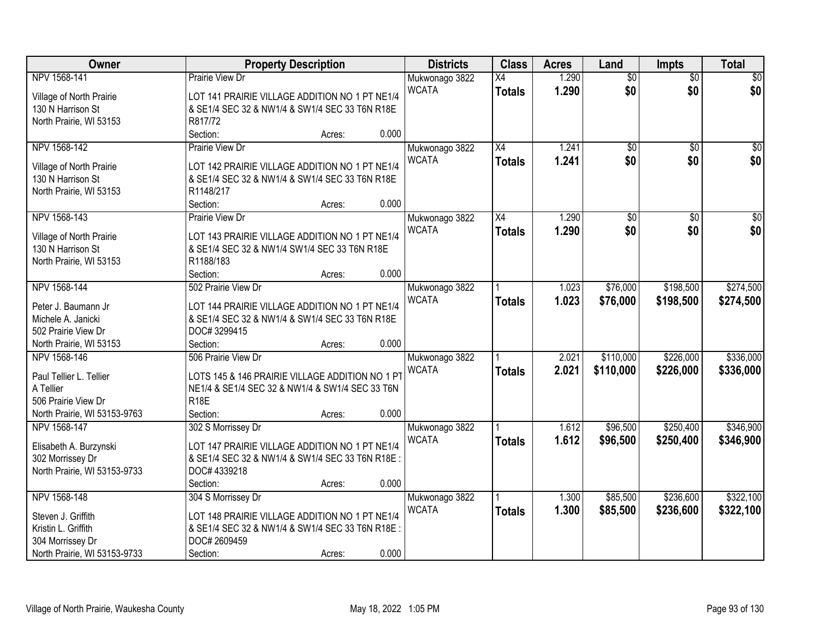| Owner                        |                                                 | <b>Property Description</b> |       | <b>Districts</b> | <b>Class</b>    | <b>Acres</b> | Land            | Impts           | <b>Total</b>    |
|------------------------------|-------------------------------------------------|-----------------------------|-------|------------------|-----------------|--------------|-----------------|-----------------|-----------------|
| NPV 1568-141                 | Prairie View Dr                                 |                             |       | Mukwonago 3822   | $\overline{X4}$ | 1.290        | $\overline{50}$ | $\overline{50}$ | \$0             |
| Village of North Prairie     | LOT 141 PRAIRIE VILLAGE ADDITION NO 1 PT NE1/4  |                             |       | <b>WCATA</b>     | <b>Totals</b>   | 1.290        | \$0             | \$0             | \$0             |
| 130 N Harrison St            | & SE1/4 SEC 32 & NW1/4 & SW1/4 SEC 33 T6N R18E  |                             |       |                  |                 |              |                 |                 |                 |
| North Prairie, WI 53153      | R817/72                                         |                             |       |                  |                 |              |                 |                 |                 |
|                              | Section:                                        | Acres:                      | 0.000 |                  |                 |              |                 |                 |                 |
| NPV 1568-142                 | Prairie View Dr                                 |                             |       | Mukwonago 3822   | X4              | 1.241        | $\overline{50}$ | $\overline{50}$ | $\overline{30}$ |
|                              |                                                 |                             |       | <b>WCATA</b>     | <b>Totals</b>   | 1.241        | \$0             | \$0             | \$0             |
| Village of North Prairie     | LOT 142 PRAIRIE VILLAGE ADDITION NO 1 PT NE1/4  |                             |       |                  |                 |              |                 |                 |                 |
| 130 N Harrison St            | & SE1/4 SEC 32 & NW1/4 & SW1/4 SEC 33 T6N R18E  |                             |       |                  |                 |              |                 |                 |                 |
| North Prairie, WI 53153      | R1148/217                                       |                             |       |                  |                 |              |                 |                 |                 |
|                              | Section:                                        | Acres:                      | 0.000 |                  |                 |              |                 |                 |                 |
| NPV 1568-143                 | Prairie View Dr                                 |                             |       | Mukwonago 3822   | X4              | 1.290        | \$0             | \$0             | $\sqrt{50}$     |
| Village of North Prairie     | LOT 143 PRAIRIE VILLAGE ADDITION NO 1 PT NE1/4  |                             |       | <b>WCATA</b>     | <b>Totals</b>   | 1.290        | \$0             | \$0             | \$0             |
| 130 N Harrison St            | & SE1/4 SEC 32 & NW1/4 SW1/4 SEC 33 T6N R18E    |                             |       |                  |                 |              |                 |                 |                 |
| North Prairie, WI 53153      | R1188/183                                       |                             |       |                  |                 |              |                 |                 |                 |
|                              | Section:                                        | Acres:                      | 0.000 |                  |                 |              |                 |                 |                 |
| NPV 1568-144                 | 502 Prairie View Dr                             |                             |       | Mukwonago 3822   |                 | 1.023        | \$76,000        | \$198,500       | \$274,500       |
|                              |                                                 |                             |       | <b>WCATA</b>     | <b>Totals</b>   | 1.023        | \$76,000        | \$198,500       | \$274,500       |
| Peter J. Baumann Jr          | LOT 144 PRAIRIE VILLAGE ADDITION NO 1 PT NE1/4  |                             |       |                  |                 |              |                 |                 |                 |
| Michele A. Janicki           | & SE1/4 SEC 32 & NW1/4 & SW1/4 SEC 33 T6N R18E  |                             |       |                  |                 |              |                 |                 |                 |
| 502 Prairie View Dr          | DOC#3299415                                     |                             |       |                  |                 |              |                 |                 |                 |
| North Prairie, WI 53153      | Section:                                        | Acres:                      | 0.000 |                  |                 |              |                 |                 |                 |
| NPV 1568-146                 | 506 Prairie View Dr                             |                             |       | Mukwonago 3822   |                 | 2.021        | \$110,000       | \$226,000       | \$336,000       |
| Paul Tellier L. Tellier      | LOTS 145 & 146 PRAIRIE VILLAGE ADDITION NO 1 PT |                             |       | <b>WCATA</b>     | <b>Totals</b>   | 2.021        | \$110,000       | \$226,000       | \$336,000       |
| A Tellier                    | NE1/4 & SE1/4 SEC 32 & NW1/4 & SW1/4 SEC 33 T6N |                             |       |                  |                 |              |                 |                 |                 |
| 506 Prairie View Dr          | <b>R18E</b>                                     |                             |       |                  |                 |              |                 |                 |                 |
| North Prairie, WI 53153-9763 | Section:                                        | Acres:                      | 0.000 |                  |                 |              |                 |                 |                 |
| NPV 1568-147                 | 302 S Morrissey Dr                              |                             |       | Mukwonago 3822   |                 | 1.612        | \$96,500        | \$250,400       | \$346,900       |
|                              |                                                 |                             |       | <b>WCATA</b>     |                 | 1.612        |                 |                 |                 |
| Elisabeth A. Burzynski       | LOT 147 PRAIRIE VILLAGE ADDITION NO 1 PT NE1/4  |                             |       |                  | <b>Totals</b>   |              | \$96,500        | \$250,400       | \$346,900       |
| 302 Morrissey Dr             | & SE1/4 SEC 32 & NW1/4 & SW1/4 SEC 33 T6N R18E  |                             |       |                  |                 |              |                 |                 |                 |
| North Prairie, WI 53153-9733 | DOC# 4339218                                    |                             |       |                  |                 |              |                 |                 |                 |
|                              | Section:                                        | Acres:                      | 0.000 |                  |                 |              |                 |                 |                 |
| NPV 1568-148                 | 304 S Morrissey Dr                              |                             |       | Mukwonago 3822   |                 | 1.300        | \$85,500        | \$236,600       | \$322,100       |
| Steven J. Griffith           | LOT 148 PRAIRIE VILLAGE ADDITION NO 1 PT NE1/4  |                             |       | <b>WCATA</b>     | <b>Totals</b>   | 1.300        | \$85,500        | \$236,600       | \$322,100       |
| Kristin L. Griffith          |                                                 |                             |       |                  |                 |              |                 |                 |                 |
|                              | & SE1/4 SEC 32 & NW1/4 & SW1/4 SEC 33 T6N R18E: |                             |       |                  |                 |              |                 |                 |                 |
| 304 Morrissey Dr             | DOC# 2609459                                    |                             |       |                  |                 |              |                 |                 |                 |
| North Prairie, WI 53153-9733 | Section:                                        | Acres:                      | 0.000 |                  |                 |              |                 |                 |                 |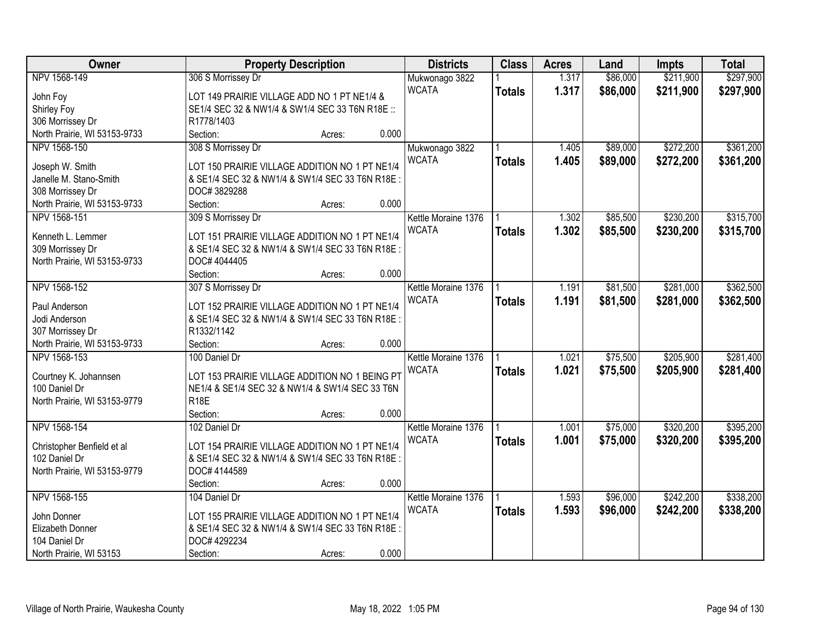| Owner                        | <b>Property Description</b>                      | <b>Districts</b>    | <b>Class</b>  | <b>Acres</b> | Land     | <b>Impts</b> | <b>Total</b> |
|------------------------------|--------------------------------------------------|---------------------|---------------|--------------|----------|--------------|--------------|
| NPV 1568-149                 | 306 S Morrissey Dr                               | Mukwonago 3822      |               | 1.317        | \$86,000 | \$211,900    | \$297,900    |
| John Foy                     | LOT 149 PRAIRIE VILLAGE ADD NO 1 PT NE1/4 &      | <b>WCATA</b>        | <b>Totals</b> | 1.317        | \$86,000 | \$211,900    | \$297,900    |
| Shirley Foy                  | SE1/4 SEC 32 & NW1/4 & SW1/4 SEC 33 T6N R18E ::  |                     |               |              |          |              |              |
| 306 Morrissey Dr             | R1778/1403                                       |                     |               |              |          |              |              |
| North Prairie, WI 53153-9733 | Section:<br>Acres:                               | 0.000               |               |              |          |              |              |
| NPV 1568-150                 | 308 S Morrissey Dr                               | Mukwonago 3822      |               | 1.405        | \$89,000 | \$272,200    | \$361,200    |
|                              |                                                  | <b>WCATA</b>        | <b>Totals</b> | 1.405        | \$89,000 | \$272,200    | \$361,200    |
| Joseph W. Smith              | LOT 150 PRAIRIE VILLAGE ADDITION NO 1 PT NE1/4   |                     |               |              |          |              |              |
| Janelle M. Stano-Smith       | & SE1/4 SEC 32 & NW1/4 & SW1/4 SEC 33 T6N R18E:  |                     |               |              |          |              |              |
| 308 Morrissey Dr             | DOC#3829288                                      |                     |               |              |          |              |              |
| North Prairie, WI 53153-9733 | Section:<br>Acres:                               | 0.000               |               |              |          |              |              |
| NPV 1568-151                 | 309 S Morrissey Dr                               | Kettle Moraine 1376 |               | 1.302        | \$85,500 | \$230,200    | \$315,700    |
| Kenneth L. Lemmer            | LOT 151 PRAIRIE VILLAGE ADDITION NO 1 PT NE1/4   | <b>WCATA</b>        | <b>Totals</b> | 1.302        | \$85,500 | \$230,200    | \$315,700    |
| 309 Morrissey Dr             | & SE1/4 SEC 32 & NW1/4 & SW1/4 SEC 33 T6N R18E:  |                     |               |              |          |              |              |
| North Prairie, WI 53153-9733 | DOC# 4044405                                     |                     |               |              |          |              |              |
|                              | Section:<br>Acres:                               | 0.000               |               |              |          |              |              |
| NPV 1568-152                 | 307 S Morrissey Dr                               | Kettle Moraine 1376 |               | 1.191        | \$81,500 | \$281,000    | \$362,500    |
|                              |                                                  | <b>WCATA</b>        | <b>Totals</b> | 1.191        | \$81,500 | \$281,000    | \$362,500    |
| Paul Anderson                | LOT 152 PRAIRIE VILLAGE ADDITION NO 1 PT NE1/4   |                     |               |              |          |              |              |
| Jodi Anderson                | & SE1/4 SEC 32 & NW1/4 & SW1/4 SEC 33 T6N R18E:  |                     |               |              |          |              |              |
| 307 Morrissey Dr             | R1332/1142                                       |                     |               |              |          |              |              |
| North Prairie, WI 53153-9733 | Section:<br>Acres:                               | 0.000               |               |              |          |              |              |
| NPV 1568-153                 | 100 Daniel Dr                                    | Kettle Moraine 1376 |               | 1.021        | \$75,500 | \$205,900    | \$281,400    |
| Courtney K. Johannsen        | LOT 153 PRAIRIE VILLAGE ADDITION NO 1 BEING PT   | <b>WCATA</b>        | <b>Totals</b> | 1.021        | \$75,500 | \$205,900    | \$281,400    |
| 100 Daniel Dr                | NE1/4 & SE1/4 SEC 32 & NW1/4 & SW1/4 SEC 33 T6N  |                     |               |              |          |              |              |
| North Prairie, WI 53153-9779 | <b>R18E</b>                                      |                     |               |              |          |              |              |
|                              | Section:<br>Acres:                               | 0.000               |               |              |          |              |              |
| NPV 1568-154                 | 102 Daniel Dr                                    | Kettle Moraine 1376 |               | 1.001        | \$75,000 | \$320,200    | \$395,200    |
|                              |                                                  | <b>WCATA</b>        |               | 1.001        |          |              |              |
| Christopher Benfield et al   | LOT 154 PRAIRIE VILLAGE ADDITION NO 1 PT NE1/4   |                     | <b>Totals</b> |              | \$75,000 | \$320,200    | \$395,200    |
| 102 Daniel Dr                | & SE1/4 SEC 32 & NW1/4 & SW1/4 SEC 33 T6N R18E:  |                     |               |              |          |              |              |
| North Prairie, WI 53153-9779 | DOC# 4144589                                     |                     |               |              |          |              |              |
|                              | Section:<br>Acres:                               | 0.000               |               |              |          |              |              |
| NPV 1568-155                 | 104 Daniel Dr                                    | Kettle Moraine 1376 |               | 1.593        | \$96,000 | \$242,200    | \$338,200    |
| John Donner                  | LOT 155 PRAIRIE VILLAGE ADDITION NO 1 PT NE1/4   | <b>WCATA</b>        | <b>Totals</b> | 1.593        | \$96,000 | \$242,200    | \$338,200    |
| Elizabeth Donner             | & SE1/4 SEC 32 & NW1/4 & SW1/4 SEC 33 T6N R18E : |                     |               |              |          |              |              |
| 104 Daniel Dr                | DOC# 4292234                                     |                     |               |              |          |              |              |
|                              |                                                  | 0.000               |               |              |          |              |              |
| North Prairie, WI 53153      | Section:<br>Acres:                               |                     |               |              |          |              |              |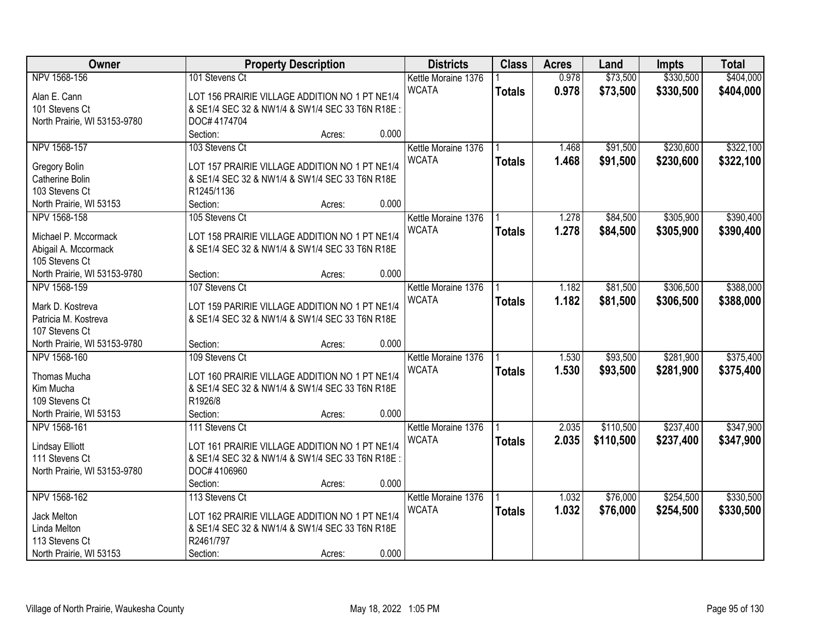| Owner                        | <b>Property Description</b>                     | <b>Districts</b>    | <b>Class</b>  | <b>Acres</b> | Land      | <b>Impts</b> | <b>Total</b> |
|------------------------------|-------------------------------------------------|---------------------|---------------|--------------|-----------|--------------|--------------|
| NPV 1568-156                 | 101 Stevens Ct                                  | Kettle Moraine 1376 |               | 0.978        | \$73,500  | \$330,500    | \$404,000    |
| Alan E. Cann                 | LOT 156 PRAIRIE VILLAGE ADDITION NO 1 PT NE1/4  | <b>WCATA</b>        | <b>Totals</b> | 0.978        | \$73,500  | \$330,500    | \$404,000    |
| 101 Stevens Ct               | & SE1/4 SEC 32 & NW1/4 & SW1/4 SEC 33 T6N R18E  |                     |               |              |           |              |              |
| North Prairie, WI 53153-9780 | DOC# 4174704                                    |                     |               |              |           |              |              |
|                              | Section:<br>Acres:                              | 0.000               |               |              |           |              |              |
| NPV 1568-157                 | 103 Stevens Ct                                  | Kettle Moraine 1376 |               | 1.468        | \$91,500  | \$230,600    | \$322,100    |
|                              |                                                 | <b>WCATA</b>        | <b>Totals</b> | 1.468        | \$91,500  | \$230,600    | \$322,100    |
| Gregory Bolin                | LOT 157 PRAIRIE VILLAGE ADDITION NO 1 PT NE1/4  |                     |               |              |           |              |              |
| Catherine Bolin              | & SE1/4 SEC 32 & NW1/4 & SW1/4 SEC 33 T6N R18E  |                     |               |              |           |              |              |
| 103 Stevens Ct               | R1245/1136                                      |                     |               |              |           |              |              |
| North Prairie, WI 53153      | Section:<br>Acres:                              | 0.000               |               |              |           |              |              |
| NPV 1568-158                 | 105 Stevens Ct                                  | Kettle Moraine 1376 |               | 1.278        | \$84,500  | \$305,900    | \$390,400    |
| Michael P. Mccormack         | LOT 158 PRAIRIE VILLAGE ADDITION NO 1 PT NE1/4  | <b>WCATA</b>        | <b>Totals</b> | 1.278        | \$84,500  | \$305,900    | \$390,400    |
| Abigail A. Mccormack         | & SE1/4 SEC 32 & NW1/4 & SW1/4 SEC 33 T6N R18E  |                     |               |              |           |              |              |
| 105 Stevens Ct               |                                                 |                     |               |              |           |              |              |
| North Prairie, WI 53153-9780 | Section:<br>Acres:                              | 0.000               |               |              |           |              |              |
| NPV 1568-159                 | 107 Stevens Ct                                  | Kettle Moraine 1376 |               | 1.182        | \$81,500  | \$306,500    | \$388,000    |
|                              |                                                 | <b>WCATA</b>        |               | 1.182        | \$81,500  | \$306,500    |              |
| Mark D. Kostreva             | LOT 159 PARIRIE VILLAGE ADDITION NO 1 PT NE1/4  |                     | <b>Totals</b> |              |           |              | \$388,000    |
| Patricia M. Kostreva         | & SE1/4 SEC 32 & NW1/4 & SW1/4 SEC 33 T6N R18E  |                     |               |              |           |              |              |
| 107 Stevens Ct               |                                                 |                     |               |              |           |              |              |
| North Prairie, WI 53153-9780 | Section:<br>Acres:                              | 0.000               |               |              |           |              |              |
| NPV 1568-160                 | 109 Stevens Ct                                  | Kettle Moraine 1376 |               | 1.530        | \$93,500  | \$281,900    | \$375,400    |
|                              |                                                 | <b>WCATA</b>        | <b>Totals</b> | 1.530        | \$93,500  | \$281,900    | \$375,400    |
| Thomas Mucha                 | LOT 160 PRAIRIE VILLAGE ADDITION NO 1 PT NE1/4  |                     |               |              |           |              |              |
| Kim Mucha                    | & SE1/4 SEC 32 & NW1/4 & SW1/4 SEC 33 T6N R18E  |                     |               |              |           |              |              |
| 109 Stevens Ct               | R1926/8                                         |                     |               |              |           |              |              |
| North Prairie, WI 53153      | Section:<br>Acres:                              | 0.000               |               |              |           |              |              |
| NPV 1568-161                 | 111 Stevens Ct                                  | Kettle Moraine 1376 |               | 2.035        | \$110,500 | \$237,400    | \$347,900    |
| <b>Lindsay Elliott</b>       | LOT 161 PRAIRIE VILLAGE ADDITION NO 1 PT NE1/4  | <b>WCATA</b>        | <b>Totals</b> | 2.035        | \$110,500 | \$237,400    | \$347,900    |
| 111 Stevens Ct               | & SE1/4 SEC 32 & NW1/4 & SW1/4 SEC 33 T6N R18E: |                     |               |              |           |              |              |
| North Prairie, WI 53153-9780 | DOC# 4106960                                    |                     |               |              |           |              |              |
|                              | Section:<br>Acres:                              | 0.000               |               |              |           |              |              |
| NPV 1568-162                 | 113 Stevens Ct                                  | Kettle Moraine 1376 |               | 1.032        | \$76,000  | \$254,500    | \$330,500    |
|                              |                                                 | <b>WCATA</b>        | <b>Totals</b> | 1.032        | \$76,000  | \$254,500    | \$330,500    |
| Jack Melton                  | LOT 162 PRAIRIE VILLAGE ADDITION NO 1 PT NE1/4  |                     |               |              |           |              |              |
| Linda Melton                 | & SE1/4 SEC 32 & NW1/4 & SW1/4 SEC 33 T6N R18E  |                     |               |              |           |              |              |
| 113 Stevens Ct               | R2461/797                                       |                     |               |              |           |              |              |
| North Prairie, WI 53153      | Section:<br>Acres:                              | 0.000               |               |              |           |              |              |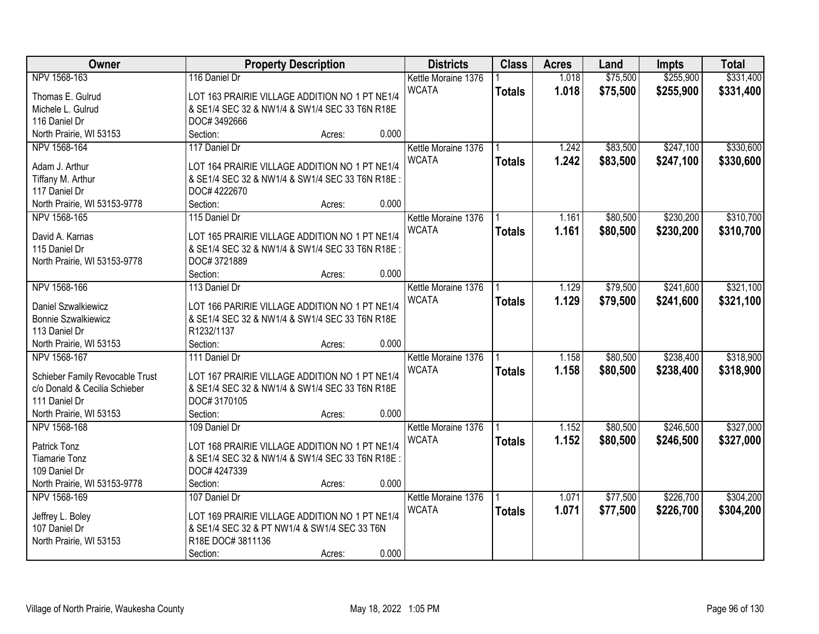| Owner                           | <b>Property Description</b>                     |        |       | <b>Districts</b>    | <b>Class</b>  | <b>Acres</b> | Land     | <b>Impts</b> | <b>Total</b> |
|---------------------------------|-------------------------------------------------|--------|-------|---------------------|---------------|--------------|----------|--------------|--------------|
| NPV 1568-163                    | 116 Daniel Dr                                   |        |       | Kettle Moraine 1376 |               | 1.018        | \$75,500 | \$255,900    | \$331,400    |
| Thomas E. Gulrud                | LOT 163 PRAIRIE VILLAGE ADDITION NO 1 PT NE1/4  |        |       | <b>WCATA</b>        | <b>Totals</b> | 1.018        | \$75,500 | \$255,900    | \$331,400    |
| Michele L. Gulrud               | & SE1/4 SEC 32 & NW1/4 & SW1/4 SEC 33 T6N R18E  |        |       |                     |               |              |          |              |              |
| 116 Daniel Dr                   | DOC# 3492666                                    |        |       |                     |               |              |          |              |              |
| North Prairie, WI 53153         | Section:                                        | Acres: | 0.000 |                     |               |              |          |              |              |
| NPV 1568-164                    | 117 Daniel Dr                                   |        |       | Kettle Moraine 1376 |               | 1.242        | \$83,500 | \$247,100    | \$330,600    |
|                                 |                                                 |        |       | <b>WCATA</b>        | <b>Totals</b> | 1.242        | \$83,500 | \$247,100    | \$330,600    |
| Adam J. Arthur                  | LOT 164 PRAIRIE VILLAGE ADDITION NO 1 PT NE1/4  |        |       |                     |               |              |          |              |              |
| Tiffany M. Arthur               | & SE1/4 SEC 32 & NW1/4 & SW1/4 SEC 33 T6N R18E: |        |       |                     |               |              |          |              |              |
| 117 Daniel Dr                   | DOC# 4222670                                    |        |       |                     |               |              |          |              |              |
| North Prairie, WI 53153-9778    | Section:                                        | Acres: | 0.000 |                     |               |              |          |              |              |
| NPV 1568-165                    | 115 Daniel Dr                                   |        |       | Kettle Moraine 1376 |               | 1.161        | \$80,500 | \$230,200    | \$310,700    |
| David A. Karnas                 | LOT 165 PRAIRIE VILLAGE ADDITION NO 1 PT NE1/4  |        |       | <b>WCATA</b>        | <b>Totals</b> | 1.161        | \$80,500 | \$230,200    | \$310,700    |
| 115 Daniel Dr                   | & SE1/4 SEC 32 & NW1/4 & SW1/4 SEC 33 T6N R18E: |        |       |                     |               |              |          |              |              |
| North Prairie, WI 53153-9778    | DOC#3721889                                     |        |       |                     |               |              |          |              |              |
|                                 | Section:                                        | Acres: | 0.000 |                     |               |              |          |              |              |
| NPV 1568-166                    | 113 Daniel Dr                                   |        |       |                     |               |              |          | \$241,600    |              |
|                                 |                                                 |        |       | Kettle Moraine 1376 |               | 1.129        | \$79,500 |              | \$321,100    |
| Daniel Szwalkiewicz             | LOT 166 PARIRIE VILLAGE ADDITION NO 1 PT NE1/4  |        |       | <b>WCATA</b>        | <b>Totals</b> | 1.129        | \$79,500 | \$241,600    | \$321,100    |
| <b>Bonnie Szwalkiewicz</b>      | & SE1/4 SEC 32 & NW1/4 & SW1/4 SEC 33 T6N R18E  |        |       |                     |               |              |          |              |              |
| 113 Daniel Dr                   | R1232/1137                                      |        |       |                     |               |              |          |              |              |
| North Prairie, WI 53153         | Section:                                        | Acres: | 0.000 |                     |               |              |          |              |              |
| NPV 1568-167                    | 111 Daniel Dr                                   |        |       | Kettle Moraine 1376 |               | 1.158        | \$80,500 | \$238,400    | \$318,900    |
|                                 |                                                 |        |       | <b>WCATA</b>        | <b>Totals</b> | 1.158        | \$80,500 | \$238,400    | \$318,900    |
| Schieber Family Revocable Trust | LOT 167 PRAIRIE VILLAGE ADDITION NO 1 PT NE1/4  |        |       |                     |               |              |          |              |              |
| c/o Donald & Cecilia Schieber   | & SE1/4 SEC 32 & NW1/4 & SW1/4 SEC 33 T6N R18E  |        |       |                     |               |              |          |              |              |
| 111 Daniel Dr                   | DOC#3170105                                     |        |       |                     |               |              |          |              |              |
| North Prairie, WI 53153         | Section:                                        | Acres: | 0.000 |                     |               |              |          |              |              |
| NPV 1568-168                    | 109 Daniel Dr                                   |        |       | Kettle Moraine 1376 |               | 1.152        | \$80,500 | \$246,500    | \$327,000    |
| Patrick Tonz                    | LOT 168 PRAIRIE VILLAGE ADDITION NO 1 PT NE1/4  |        |       | <b>WCATA</b>        | <b>Totals</b> | 1.152        | \$80,500 | \$246,500    | \$327,000    |
| <b>Tiamarie Tonz</b>            | & SE1/4 SEC 32 & NW1/4 & SW1/4 SEC 33 T6N R18E: |        |       |                     |               |              |          |              |              |
| 109 Daniel Dr                   | DOC# 4247339                                    |        |       |                     |               |              |          |              |              |
| North Prairie, WI 53153-9778    | Section:                                        | Acres: | 0.000 |                     |               |              |          |              |              |
| NPV 1568-169                    | 107 Daniel Dr                                   |        |       | Kettle Moraine 1376 |               | 1.071        | \$77,500 | \$226,700    | \$304,200    |
|                                 |                                                 |        |       | <b>WCATA</b>        | <b>Totals</b> | 1.071        | \$77,500 | \$226,700    | \$304,200    |
| Jeffrey L. Boley                | LOT 169 PRAIRIE VILLAGE ADDITION NO 1 PT NE1/4  |        |       |                     |               |              |          |              |              |
| 107 Daniel Dr                   | & SE1/4 SEC 32 & PT NW1/4 & SW1/4 SEC 33 T6N    |        |       |                     |               |              |          |              |              |
| North Prairie, WI 53153         | R18E DOC# 3811136                               |        |       |                     |               |              |          |              |              |
|                                 | Section:                                        | Acres: | 0.000 |                     |               |              |          |              |              |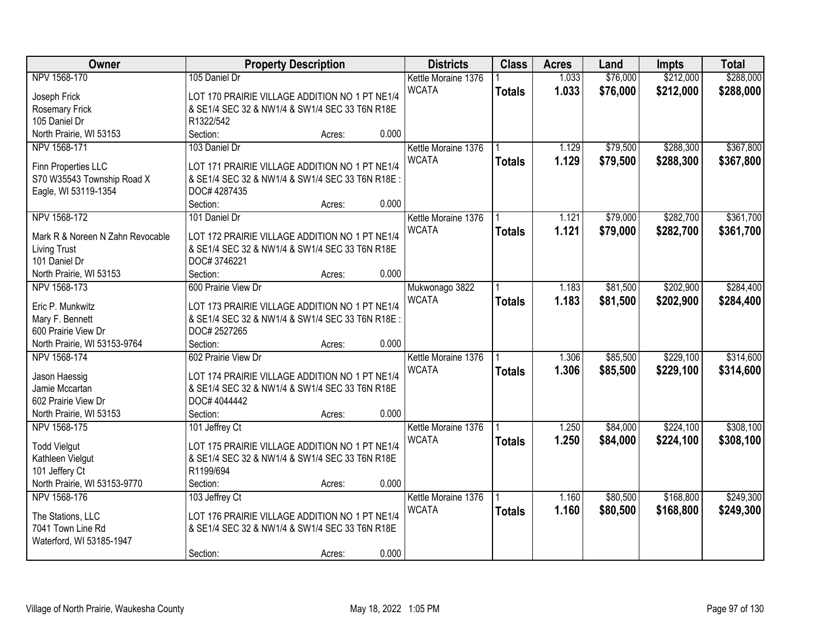| Owner                            | <b>Property Description</b>                      |       | <b>Districts</b>    | <b>Class</b>  | <b>Acres</b> | Land     | <b>Impts</b> | <b>Total</b> |
|----------------------------------|--------------------------------------------------|-------|---------------------|---------------|--------------|----------|--------------|--------------|
| NPV 1568-170                     | 105 Daniel Dr                                    |       | Kettle Moraine 1376 |               | 1.033        | \$76,000 | \$212,000    | \$288,000    |
| Joseph Frick                     | LOT 170 PRAIRIE VILLAGE ADDITION NO 1 PT NE1/4   |       | <b>WCATA</b>        | <b>Totals</b> | 1.033        | \$76,000 | \$212,000    | \$288,000    |
| <b>Rosemary Frick</b>            | & SE1/4 SEC 32 & NW1/4 & SW1/4 SEC 33 T6N R18E   |       |                     |               |              |          |              |              |
| 105 Daniel Dr                    | R1322/542                                        |       |                     |               |              |          |              |              |
| North Prairie, WI 53153          | Section:<br>Acres:                               | 0.000 |                     |               |              |          |              |              |
| NPV 1568-171                     | 103 Daniel Dr                                    |       | Kettle Moraine 1376 |               | 1.129        | \$79,500 | \$288,300    | \$367,800    |
|                                  |                                                  |       | <b>WCATA</b>        | <b>Totals</b> | 1.129        | \$79,500 | \$288,300    | \$367,800    |
| Finn Properties LLC              | LOT 171 PRAIRIE VILLAGE ADDITION NO 1 PT NE1/4   |       |                     |               |              |          |              |              |
| S70 W35543 Township Road X       | & SE1/4 SEC 32 & NW1/4 & SW1/4 SEC 33 T6N R18E:  |       |                     |               |              |          |              |              |
| Eagle, WI 53119-1354             | DOC# 4287435                                     |       |                     |               |              |          |              |              |
|                                  | Section:<br>Acres:                               | 0.000 |                     |               |              |          |              |              |
| NPV 1568-172                     | 101 Daniel Dr                                    |       | Kettle Moraine 1376 |               | 1.121        | \$79,000 | \$282,700    | \$361,700    |
| Mark R & Noreen N Zahn Revocable | LOT 172 PRAIRIE VILLAGE ADDITION NO 1 PT NE1/4   |       | <b>WCATA</b>        | <b>Totals</b> | 1.121        | \$79,000 | \$282,700    | \$361,700    |
| <b>Living Trust</b>              | & SE1/4 SEC 32 & NW1/4 & SW1/4 SEC 33 T6N R18E   |       |                     |               |              |          |              |              |
| 101 Daniel Dr                    | DOC#3746221                                      |       |                     |               |              |          |              |              |
| North Prairie, WI 53153          | Section:<br>Acres:                               | 0.000 |                     |               |              |          |              |              |
| NPV 1568-173                     | 600 Prairie View Dr                              |       | Mukwonago 3822      |               | 1.183        | \$81,500 | \$202,900    | \$284,400    |
|                                  |                                                  |       | <b>WCATA</b>        | <b>Totals</b> | 1.183        | \$81,500 | \$202,900    | \$284,400    |
| Eric P. Munkwitz                 | LOT 173 PRAIRIE VILLAGE ADDITION NO 1 PT NE1/4   |       |                     |               |              |          |              |              |
| Mary F. Bennett                  | & SE1/4 SEC 32 & NW1/4 & SW1/4 SEC 33 T6N R18E : |       |                     |               |              |          |              |              |
| 600 Prairie View Dr              | DOC# 2527265                                     |       |                     |               |              |          |              |              |
| North Prairie, WI 53153-9764     | Section:<br>Acres:                               | 0.000 |                     |               |              |          |              |              |
| NPV 1568-174                     | 602 Prairie View Dr                              |       | Kettle Moraine 1376 |               | 1.306        | \$85,500 | \$229,100    | \$314,600    |
| Jason Haessig                    | LOT 174 PRAIRIE VILLAGE ADDITION NO 1 PT NE1/4   |       | <b>WCATA</b>        | <b>Totals</b> | 1.306        | \$85,500 | \$229,100    | \$314,600    |
| Jamie Mccartan                   | & SE1/4 SEC 32 & NW1/4 & SW1/4 SEC 33 T6N R18E   |       |                     |               |              |          |              |              |
| 602 Prairie View Dr              | DOC# 4044442                                     |       |                     |               |              |          |              |              |
| North Prairie, WI 53153          | Section:<br>Acres:                               | 0.000 |                     |               |              |          |              |              |
| NPV 1568-175                     | 101 Jeffrey Ct                                   |       | Kettle Moraine 1376 |               | 1.250        | \$84,000 | \$224,100    | \$308,100    |
|                                  |                                                  |       | <b>WCATA</b>        | <b>Totals</b> | 1.250        | \$84,000 | \$224,100    | \$308,100    |
| <b>Todd Vielgut</b>              | LOT 175 PRAIRIE VILLAGE ADDITION NO 1 PT NE1/4   |       |                     |               |              |          |              |              |
| Kathleen Vielgut                 | & SE1/4 SEC 32 & NW1/4 & SW1/4 SEC 33 T6N R18E   |       |                     |               |              |          |              |              |
| 101 Jeffery Ct                   | R1199/694                                        |       |                     |               |              |          |              |              |
| North Prairie, WI 53153-9770     | Section:<br>Acres:                               | 0.000 |                     |               |              |          |              |              |
| NPV 1568-176                     | 103 Jeffrey Ct                                   |       | Kettle Moraine 1376 |               | 1.160        | \$80,500 | \$168,800    | \$249,300    |
| The Stations, LLC                | LOT 176 PRAIRIE VILLAGE ADDITION NO 1 PT NE1/4   |       | <b>WCATA</b>        | <b>Totals</b> | 1.160        | \$80,500 | \$168,800    | \$249,300    |
| 7041 Town Line Rd                | & SE1/4 SEC 32 & NW1/4 & SW1/4 SEC 33 T6N R18E   |       |                     |               |              |          |              |              |
| Waterford, WI 53185-1947         |                                                  |       |                     |               |              |          |              |              |
|                                  | Section:<br>Acres:                               | 0.000 |                     |               |              |          |              |              |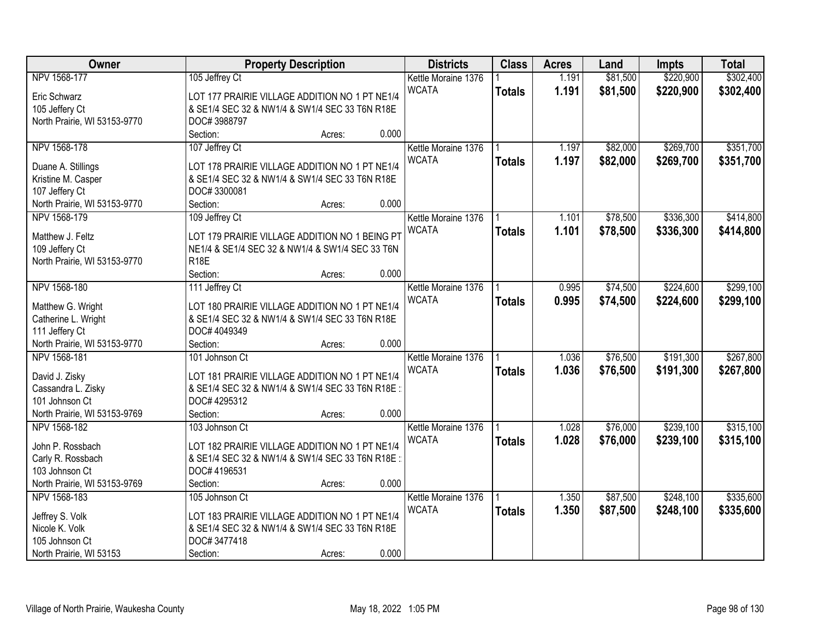| Owner                        | <b>Property Description</b>                     |        |       | <b>Districts</b>    | <b>Class</b>  | <b>Acres</b> | Land     | <b>Impts</b> | <b>Total</b> |
|------------------------------|-------------------------------------------------|--------|-------|---------------------|---------------|--------------|----------|--------------|--------------|
| NPV 1568-177                 | 105 Jeffrey Ct                                  |        |       | Kettle Moraine 1376 |               | 1.191        | \$81,500 | \$220,900    | \$302,400    |
| Eric Schwarz                 | LOT 177 PRAIRIE VILLAGE ADDITION NO 1 PT NE1/4  |        |       | <b>WCATA</b>        | <b>Totals</b> | 1.191        | \$81,500 | \$220,900    | \$302,400    |
| 105 Jeffery Ct               | & SE1/4 SEC 32 & NW1/4 & SW1/4 SEC 33 T6N R18E  |        |       |                     |               |              |          |              |              |
| North Prairie, WI 53153-9770 | DOC#3988797                                     |        |       |                     |               |              |          |              |              |
|                              | Section:                                        | Acres: | 0.000 |                     |               |              |          |              |              |
| NPV 1568-178                 | 107 Jeffrey Ct                                  |        |       | Kettle Moraine 1376 |               | 1.197        | \$82,000 | \$269,700    | \$351,700    |
|                              |                                                 |        |       | <b>WCATA</b>        | <b>Totals</b> | 1.197        | \$82,000 | \$269,700    | \$351,700    |
| Duane A. Stillings           | LOT 178 PRAIRIE VILLAGE ADDITION NO 1 PT NE1/4  |        |       |                     |               |              |          |              |              |
| Kristine M. Casper           | & SE1/4 SEC 32 & NW1/4 & SW1/4 SEC 33 T6N R18E  |        |       |                     |               |              |          |              |              |
| 107 Jeffery Ct               | DOC#3300081                                     |        |       |                     |               |              |          |              |              |
| North Prairie, WI 53153-9770 | Section:                                        | Acres: | 0.000 |                     |               |              |          |              |              |
| NPV 1568-179                 | 109 Jeffrey Ct                                  |        |       | Kettle Moraine 1376 |               | 1.101        | \$78,500 | \$336,300    | \$414,800    |
| Matthew J. Feltz             | LOT 179 PRAIRIE VILLAGE ADDITION NO 1 BEING PT  |        |       | <b>WCATA</b>        | <b>Totals</b> | 1.101        | \$78,500 | \$336,300    | \$414,800    |
| 109 Jeffery Ct               | NE1/4 & SE1/4 SEC 32 & NW1/4 & SW1/4 SEC 33 T6N |        |       |                     |               |              |          |              |              |
| North Prairie, WI 53153-9770 | <b>R18E</b>                                     |        |       |                     |               |              |          |              |              |
|                              | Section:                                        | Acres: | 0.000 |                     |               |              |          |              |              |
| NPV 1568-180                 | 111 Jeffrey Ct                                  |        |       | Kettle Moraine 1376 |               | 0.995        | \$74,500 | \$224,600    | \$299,100    |
|                              |                                                 |        |       | <b>WCATA</b>        |               |              |          |              |              |
| Matthew G. Wright            | LOT 180 PRAIRIE VILLAGE ADDITION NO 1 PT NE1/4  |        |       |                     | <b>Totals</b> | 0.995        | \$74,500 | \$224,600    | \$299,100    |
| Catherine L. Wright          | & SE1/4 SEC 32 & NW1/4 & SW1/4 SEC 33 T6N R18E  |        |       |                     |               |              |          |              |              |
| 111 Jeffery Ct               | DOC# 4049349                                    |        |       |                     |               |              |          |              |              |
| North Prairie, WI 53153-9770 | Section:                                        | Acres: | 0.000 |                     |               |              |          |              |              |
| NPV 1568-181                 | 101 Johnson Ct                                  |        |       | Kettle Moraine 1376 |               | 1.036        | \$76,500 | \$191,300    | \$267,800    |
|                              |                                                 |        |       | <b>WCATA</b>        | <b>Totals</b> | 1.036        | \$76,500 | \$191,300    | \$267,800    |
| David J. Zisky               | LOT 181 PRAIRIE VILLAGE ADDITION NO 1 PT NE1/4  |        |       |                     |               |              |          |              |              |
| Cassandra L. Zisky           | & SE1/4 SEC 32 & NW1/4 & SW1/4 SEC 33 T6N R18E  |        |       |                     |               |              |          |              |              |
| 101 Johnson Ct               | DOC# 4295312                                    |        |       |                     |               |              |          |              |              |
| North Prairie, WI 53153-9769 | Section:                                        | Acres: | 0.000 |                     |               |              |          |              |              |
| NPV 1568-182                 | 103 Johnson Ct                                  |        |       | Kettle Moraine 1376 |               | 1.028        | \$76,000 | \$239,100    | \$315,100    |
| John P. Rossbach             | LOT 182 PRAIRIE VILLAGE ADDITION NO 1 PT NE1/4  |        |       | <b>WCATA</b>        | <b>Totals</b> | 1.028        | \$76,000 | \$239,100    | \$315,100    |
| Carly R. Rossbach            | & SE1/4 SEC 32 & NW1/4 & SW1/4 SEC 33 T6N R18E: |        |       |                     |               |              |          |              |              |
| 103 Johnson Ct               | DOC# 4196531                                    |        |       |                     |               |              |          |              |              |
| North Prairie, WI 53153-9769 | Section:                                        | Acres: | 0.000 |                     |               |              |          |              |              |
| NPV 1568-183                 | 105 Johnson Ct                                  |        |       | Kettle Moraine 1376 |               | 1.350        | \$87,500 | \$248,100    | \$335,600    |
|                              |                                                 |        |       | <b>WCATA</b>        | <b>Totals</b> | 1.350        | \$87,500 | \$248,100    | \$335,600    |
| Jeffrey S. Volk              | LOT 183 PRAIRIE VILLAGE ADDITION NO 1 PT NE1/4  |        |       |                     |               |              |          |              |              |
| Nicole K. Volk               | & SE1/4 SEC 32 & NW1/4 & SW1/4 SEC 33 T6N R18E  |        |       |                     |               |              |          |              |              |
| 105 Johnson Ct               | DOC#3477418                                     |        |       |                     |               |              |          |              |              |
| North Prairie, WI 53153      | Section:                                        | Acres: | 0.000 |                     |               |              |          |              |              |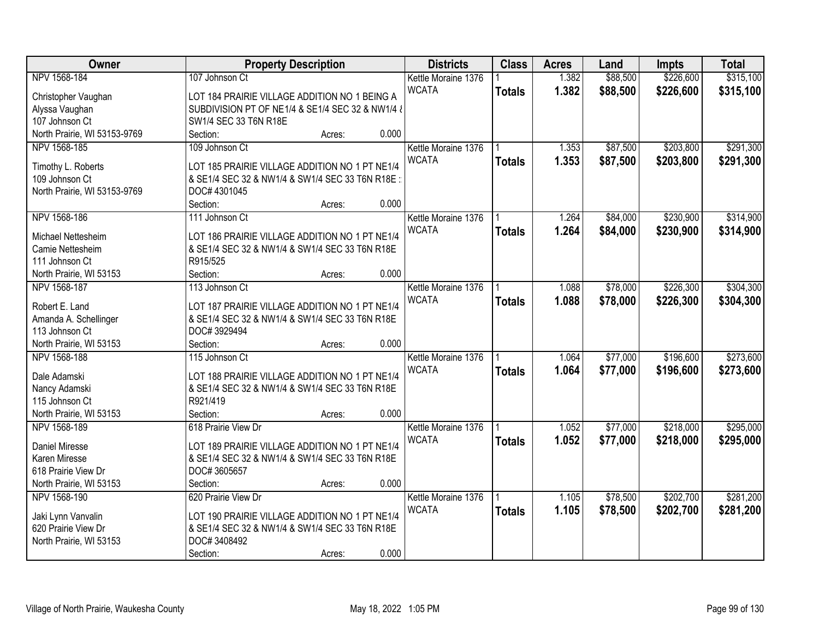| Owner                        | <b>Property Description</b>                      | <b>Districts</b>    | <b>Class</b>  | <b>Acres</b> | Land     | <b>Impts</b> | <b>Total</b> |
|------------------------------|--------------------------------------------------|---------------------|---------------|--------------|----------|--------------|--------------|
| NPV 1568-184                 | 107 Johnson Ct                                   | Kettle Moraine 1376 |               | 1.382        | \$88,500 | \$226,600    | \$315,100    |
| Christopher Vaughan          | LOT 184 PRAIRIE VILLAGE ADDITION NO 1 BEING A    | <b>WCATA</b>        | <b>Totals</b> | 1.382        | \$88,500 | \$226,600    | \$315,100    |
| Alyssa Vaughan               | SUBDIVISION PT OF NE1/4 & SE1/4 SEC 32 & NW1/4 & |                     |               |              |          |              |              |
| 107 Johnson Ct               | SW1/4 SEC 33 T6N R18E                            |                     |               |              |          |              |              |
| North Prairie, WI 53153-9769 | 0.000<br>Section:<br>Acres:                      |                     |               |              |          |              |              |
| NPV 1568-185                 | 109 Johnson Ct                                   | Kettle Moraine 1376 |               | 1.353        | \$87,500 | \$203,800    | \$291,300    |
|                              |                                                  | <b>WCATA</b>        | <b>Totals</b> | 1.353        | \$87,500 | \$203,800    | \$291,300    |
| Timothy L. Roberts           | LOT 185 PRAIRIE VILLAGE ADDITION NO 1 PT NE1/4   |                     |               |              |          |              |              |
| 109 Johnson Ct               | & SE1/4 SEC 32 & NW1/4 & SW1/4 SEC 33 T6N R18E:  |                     |               |              |          |              |              |
| North Prairie, WI 53153-9769 | DOC# 4301045                                     |                     |               |              |          |              |              |
|                              | 0.000<br>Section:<br>Acres:                      |                     |               |              |          |              |              |
| NPV 1568-186                 | 111 Johnson Ct                                   | Kettle Moraine 1376 |               | 1.264        | \$84,000 | \$230,900    | \$314,900    |
| Michael Nettesheim           | LOT 186 PRAIRIE VILLAGE ADDITION NO 1 PT NE1/4   | <b>WCATA</b>        | <b>Totals</b> | 1.264        | \$84,000 | \$230,900    | \$314,900    |
| Camie Nettesheim             | & SE1/4 SEC 32 & NW1/4 & SW1/4 SEC 33 T6N R18E   |                     |               |              |          |              |              |
| 111 Johnson Ct               | R915/525                                         |                     |               |              |          |              |              |
| North Prairie, WI 53153      | 0.000<br>Section:<br>Acres:                      |                     |               |              |          |              |              |
| NPV 1568-187                 | 113 Johnson Ct                                   | Kettle Moraine 1376 |               | 1.088        | \$78,000 | \$226,300    | \$304,300    |
|                              |                                                  | <b>WCATA</b>        | <b>Totals</b> | 1.088        | \$78,000 | \$226,300    | \$304,300    |
| Robert E. Land               | LOT 187 PRAIRIE VILLAGE ADDITION NO 1 PT NE1/4   |                     |               |              |          |              |              |
| Amanda A. Schellinger        | & SE1/4 SEC 32 & NW1/4 & SW1/4 SEC 33 T6N R18E   |                     |               |              |          |              |              |
| 113 Johnson Ct               | DOC#3929494                                      |                     |               |              |          |              |              |
| North Prairie, WI 53153      | 0.000<br>Section:<br>Acres:                      |                     |               |              |          |              |              |
| NPV 1568-188                 | 115 Johnson Ct                                   | Kettle Moraine 1376 |               | 1.064        | \$77,000 | \$196,600    | \$273,600    |
| Dale Adamski                 | LOT 188 PRAIRIE VILLAGE ADDITION NO 1 PT NE1/4   | <b>WCATA</b>        | <b>Totals</b> | 1.064        | \$77,000 | \$196,600    | \$273,600    |
| Nancy Adamski                | & SE1/4 SEC 32 & NW1/4 & SW1/4 SEC 33 T6N R18E   |                     |               |              |          |              |              |
| 115 Johnson Ct               | R921/419                                         |                     |               |              |          |              |              |
| North Prairie, WI 53153      | Section:<br>0.000<br>Acres:                      |                     |               |              |          |              |              |
| NPV 1568-189                 | 618 Prairie View Dr                              | Kettle Moraine 1376 |               | 1.052        | \$77,000 | \$218,000    | \$295,000    |
|                              |                                                  | <b>WCATA</b>        | <b>Totals</b> | 1.052        | \$77,000 | \$218,000    | \$295,000    |
| Daniel Miresse               | LOT 189 PRAIRIE VILLAGE ADDITION NO 1 PT NE1/4   |                     |               |              |          |              |              |
| Karen Miresse                | & SE1/4 SEC 32 & NW1/4 & SW1/4 SEC 33 T6N R18E   |                     |               |              |          |              |              |
| 618 Prairie View Dr          | DOC#3605657                                      |                     |               |              |          |              |              |
| North Prairie, WI 53153      | 0.000<br>Section:<br>Acres:                      |                     |               |              |          |              |              |
| NPV 1568-190                 | 620 Prairie View Dr                              | Kettle Moraine 1376 |               | 1.105        | \$78,500 | \$202,700    | \$281,200    |
| Jaki Lynn Vanvalin           | LOT 190 PRAIRIE VILLAGE ADDITION NO 1 PT NE1/4   | <b>WCATA</b>        | <b>Totals</b> | 1.105        | \$78,500 | \$202,700    | \$281,200    |
| 620 Prairie View Dr          | & SE1/4 SEC 32 & NW1/4 & SW1/4 SEC 33 T6N R18E   |                     |               |              |          |              |              |
| North Prairie, WI 53153      | DOC#3408492                                      |                     |               |              |          |              |              |
|                              | 0.000<br>Section:<br>Acres:                      |                     |               |              |          |              |              |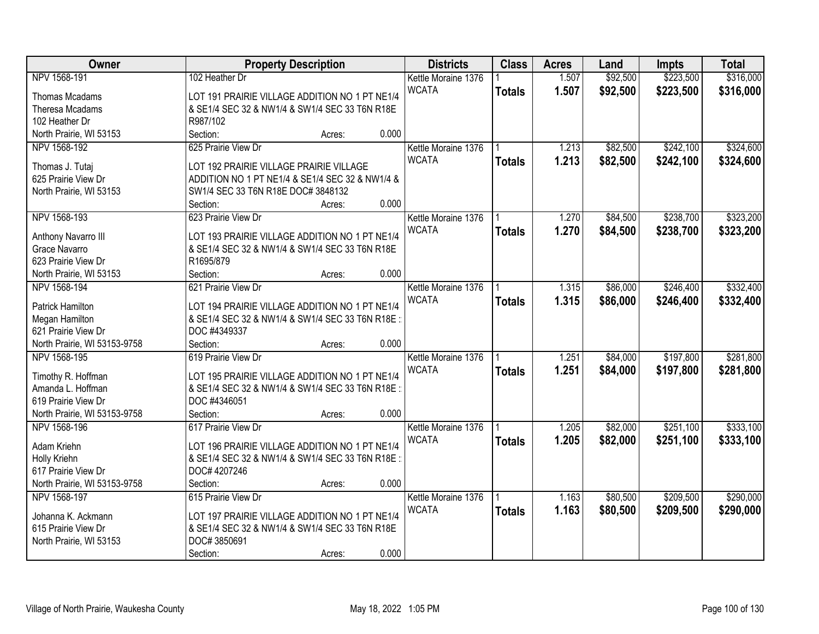| Owner                        | <b>Property Description</b>                     | <b>Districts</b>    | <b>Class</b>  | <b>Acres</b> | Land     | <b>Impts</b> | <b>Total</b> |
|------------------------------|-------------------------------------------------|---------------------|---------------|--------------|----------|--------------|--------------|
| NPV 1568-191                 | 102 Heather Dr                                  | Kettle Moraine 1376 |               | 1.507        | \$92,500 | \$223,500    | \$316,000    |
| <b>Thomas Mcadams</b>        | LOT 191 PRAIRIE VILLAGE ADDITION NO 1 PT NE1/4  | <b>WCATA</b>        | <b>Totals</b> | 1.507        | \$92,500 | \$223,500    | \$316,000    |
| Theresa Mcadams              | & SE1/4 SEC 32 & NW1/4 & SW1/4 SEC 33 T6N R18E  |                     |               |              |          |              |              |
| 102 Heather Dr               | R987/102                                        |                     |               |              |          |              |              |
| North Prairie, WI 53153      | 0.000<br>Section:<br>Acres:                     |                     |               |              |          |              |              |
| NPV 1568-192                 | 625 Prairie View Dr                             | Kettle Moraine 1376 |               | 1.213        | \$82,500 | \$242,100    | \$324,600    |
|                              |                                                 | <b>WCATA</b>        | <b>Totals</b> | 1.213        | \$82,500 | \$242,100    | \$324,600    |
| Thomas J. Tutaj              | LOT 192 PRAIRIE VILLAGE PRAIRIE VILLAGE         |                     |               |              |          |              |              |
| 625 Prairie View Dr          | ADDITION NO 1 PT NE1/4 & SE1/4 SEC 32 & NW1/4 & |                     |               |              |          |              |              |
| North Prairie, WI 53153      | SW1/4 SEC 33 T6N R18E DOC# 3848132              |                     |               |              |          |              |              |
|                              | 0.000<br>Section:<br>Acres:                     |                     |               |              |          |              |              |
| NPV 1568-193                 | 623 Prairie View Dr                             | Kettle Moraine 1376 |               | 1.270        | \$84,500 | \$238,700    | \$323,200    |
| Anthony Navarro III          | LOT 193 PRAIRIE VILLAGE ADDITION NO 1 PT NE1/4  | <b>WCATA</b>        | <b>Totals</b> | 1.270        | \$84,500 | \$238,700    | \$323,200    |
| Grace Navarro                | & SE1/4 SEC 32 & NW1/4 & SW1/4 SEC 33 T6N R18E  |                     |               |              |          |              |              |
| 623 Prairie View Dr          | R1695/879                                       |                     |               |              |          |              |              |
| North Prairie, WI 53153      | 0.000<br>Section:<br>Acres:                     |                     |               |              |          |              |              |
| NPV 1568-194                 | 621 Prairie View Dr                             | Kettle Moraine 1376 |               | 1.315        | \$86,000 | \$246,400    | \$332,400    |
|                              |                                                 | <b>WCATA</b>        | <b>Totals</b> | 1.315        | \$86,000 | \$246,400    | \$332,400    |
| Patrick Hamilton             | LOT 194 PRAIRIE VILLAGE ADDITION NO 1 PT NE1/4  |                     |               |              |          |              |              |
| Megan Hamilton               | & SE1/4 SEC 32 & NW1/4 & SW1/4 SEC 33 T6N R18E: |                     |               |              |          |              |              |
| 621 Prairie View Dr          | DOC #4349337                                    |                     |               |              |          |              |              |
| North Prairie, WI 53153-9758 | 0.000<br>Section:<br>Acres:                     |                     |               |              |          |              |              |
| NPV 1568-195                 | 619 Prairie View Dr                             | Kettle Moraine 1376 |               | 1.251        | \$84,000 | \$197,800    | \$281,800    |
| Timothy R. Hoffman           | LOT 195 PRAIRIE VILLAGE ADDITION NO 1 PT NE1/4  | <b>WCATA</b>        | <b>Totals</b> | 1.251        | \$84,000 | \$197,800    | \$281,800    |
| Amanda L. Hoffman            | & SE1/4 SEC 32 & NW1/4 & SW1/4 SEC 33 T6N R18E  |                     |               |              |          |              |              |
| 619 Prairie View Dr          | DOC #4346051                                    |                     |               |              |          |              |              |
| North Prairie, WI 53153-9758 | Section:<br>0.000<br>Acres:                     |                     |               |              |          |              |              |
| NPV 1568-196                 | 617 Prairie View Dr                             | Kettle Moraine 1376 |               | 1.205        | \$82,000 | \$251,100    | \$333,100    |
|                              |                                                 | <b>WCATA</b>        | <b>Totals</b> | 1.205        | \$82,000 | \$251,100    | \$333,100    |
| Adam Kriehn                  | LOT 196 PRAIRIE VILLAGE ADDITION NO 1 PT NE1/4  |                     |               |              |          |              |              |
| Holly Kriehn                 | & SE1/4 SEC 32 & NW1/4 & SW1/4 SEC 33 T6N R18E: |                     |               |              |          |              |              |
| 617 Prairie View Dr          | DOC# 4207246                                    |                     |               |              |          |              |              |
| North Prairie, WI 53153-9758 | 0.000<br>Section:<br>Acres:                     |                     |               |              |          |              |              |
| NPV 1568-197                 | 615 Prairie View Dr                             | Kettle Moraine 1376 |               | 1.163        | \$80,500 | \$209,500    | \$290,000    |
| Johanna K. Ackmann           | LOT 197 PRAIRIE VILLAGE ADDITION NO 1 PT NE1/4  | <b>WCATA</b>        | <b>Totals</b> | 1.163        | \$80,500 | \$209,500    | \$290,000    |
| 615 Prairie View Dr          | & SE1/4 SEC 32 & NW1/4 & SW1/4 SEC 33 T6N R18E  |                     |               |              |          |              |              |
| North Prairie, WI 53153      | DOC#3850691                                     |                     |               |              |          |              |              |
|                              | 0.000<br>Section:<br>Acres:                     |                     |               |              |          |              |              |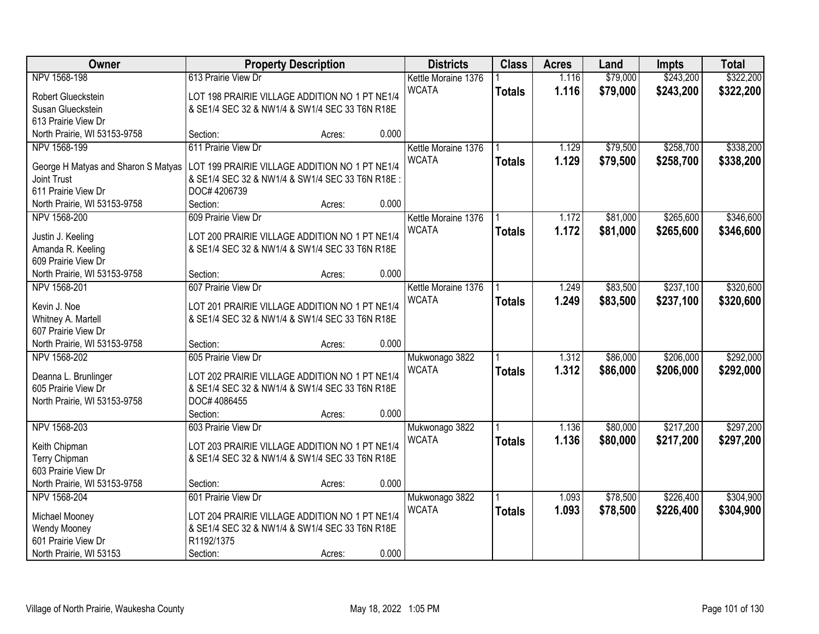| Owner                               | <b>Property Description</b>                     |        |       | <b>Districts</b>    | <b>Class</b>  | <b>Acres</b> | Land     | <b>Impts</b> | <b>Total</b> |
|-------------------------------------|-------------------------------------------------|--------|-------|---------------------|---------------|--------------|----------|--------------|--------------|
| NPV 1568-198                        | 613 Prairie View Dr                             |        |       | Kettle Moraine 1376 |               | 1.116        | \$79,000 | \$243,200    | \$322,200    |
| Robert Glueckstein                  | LOT 198 PRAIRIE VILLAGE ADDITION NO 1 PT NE1/4  |        |       | <b>WCATA</b>        | <b>Totals</b> | 1.116        | \$79,000 | \$243,200    | \$322,200    |
| Susan Glueckstein                   | & SE1/4 SEC 32 & NW1/4 & SW1/4 SEC 33 T6N R18E  |        |       |                     |               |              |          |              |              |
| 613 Prairie View Dr                 |                                                 |        |       |                     |               |              |          |              |              |
| North Prairie, WI 53153-9758        | Section:                                        | Acres: | 0.000 |                     |               |              |          |              |              |
| NPV 1568-199                        | 611 Prairie View Dr                             |        |       | Kettle Moraine 1376 |               | 1.129        | \$79,500 | \$258,700    | \$338,200    |
| George H Matyas and Sharon S Matyas | LOT 199 PRAIRIE VILLAGE ADDITION NO 1 PT NE1/4  |        |       | <b>WCATA</b>        | <b>Totals</b> | 1.129        | \$79,500 | \$258,700    | \$338,200    |
| <b>Joint Trust</b>                  | & SE1/4 SEC 32 & NW1/4 & SW1/4 SEC 33 T6N R18E: |        |       |                     |               |              |          |              |              |
| 611 Prairie View Dr                 | DOC# 4206739                                    |        |       |                     |               |              |          |              |              |
| North Prairie, WI 53153-9758        | Section:                                        | Acres: | 0.000 |                     |               |              |          |              |              |
| NPV 1568-200                        | 609 Prairie View Dr                             |        |       | Kettle Moraine 1376 |               | 1.172        | \$81,000 | \$265,600    | \$346,600    |
|                                     |                                                 |        |       | <b>WCATA</b>        | <b>Totals</b> | 1.172        | \$81,000 | \$265,600    | \$346,600    |
| Justin J. Keeling                   | LOT 200 PRAIRIE VILLAGE ADDITION NO 1 PT NE1/4  |        |       |                     |               |              |          |              |              |
| Amanda R. Keeling                   | & SE1/4 SEC 32 & NW1/4 & SW1/4 SEC 33 T6N R18E  |        |       |                     |               |              |          |              |              |
| 609 Prairie View Dr                 |                                                 |        |       |                     |               |              |          |              |              |
| North Prairie, WI 53153-9758        | Section:                                        | Acres: | 0.000 |                     |               |              |          |              |              |
| NPV 1568-201                        | 607 Prairie View Dr                             |        |       | Kettle Moraine 1376 |               | 1.249        | \$83,500 | \$237,100    | \$320,600    |
| Kevin J. Noe                        | LOT 201 PRAIRIE VILLAGE ADDITION NO 1 PT NE1/4  |        |       | <b>WCATA</b>        | <b>Totals</b> | 1.249        | \$83,500 | \$237,100    | \$320,600    |
| Whitney A. Martell                  | & SE1/4 SEC 32 & NW1/4 & SW1/4 SEC 33 T6N R18E  |        |       |                     |               |              |          |              |              |
| 607 Prairie View Dr                 |                                                 |        |       |                     |               |              |          |              |              |
| North Prairie, WI 53153-9758        | Section:                                        | Acres: | 0.000 |                     |               |              |          |              |              |
| NPV 1568-202                        | 605 Prairie View Dr                             |        |       | Mukwonago 3822      |               | 1.312        | \$86,000 | \$206,000    | \$292,000    |
| Deanna L. Brunlinger                | LOT 202 PRAIRIE VILLAGE ADDITION NO 1 PT NE1/4  |        |       | <b>WCATA</b>        | <b>Totals</b> | 1.312        | \$86,000 | \$206,000    | \$292,000    |
| 605 Prairie View Dr                 | & SE1/4 SEC 32 & NW1/4 & SW1/4 SEC 33 T6N R18E  |        |       |                     |               |              |          |              |              |
| North Prairie, WI 53153-9758        | DOC# 4086455                                    |        |       |                     |               |              |          |              |              |
|                                     | Section:                                        | Acres: | 0.000 |                     |               |              |          |              |              |
| NPV 1568-203                        | 603 Prairie View Dr                             |        |       | Mukwonago 3822      |               | 1.136        | \$80,000 | \$217,200    | \$297,200    |
|                                     |                                                 |        |       | <b>WCATA</b>        | <b>Totals</b> | 1.136        | \$80,000 | \$217,200    | \$297,200    |
| Keith Chipman                       | LOT 203 PRAIRIE VILLAGE ADDITION NO 1 PT NE1/4  |        |       |                     |               |              |          |              |              |
| Terry Chipman                       | & SE1/4 SEC 32 & NW1/4 & SW1/4 SEC 33 T6N R18E  |        |       |                     |               |              |          |              |              |
| 603 Prairie View Dr                 |                                                 |        |       |                     |               |              |          |              |              |
| North Prairie, WI 53153-9758        | Section:                                        | Acres: | 0.000 |                     |               |              |          |              |              |
| NPV 1568-204                        | 601 Prairie View Dr                             |        |       | Mukwonago 3822      |               | 1.093        | \$78,500 | \$226,400    | \$304,900    |
| Michael Mooney                      | LOT 204 PRAIRIE VILLAGE ADDITION NO 1 PT NE1/4  |        |       | <b>WCATA</b>        | <b>Totals</b> | 1.093        | \$78,500 | \$226,400    | \$304,900    |
| Wendy Mooney                        | & SE1/4 SEC 32 & NW1/4 & SW1/4 SEC 33 T6N R18E  |        |       |                     |               |              |          |              |              |
| 601 Prairie View Dr                 | R1192/1375                                      |        |       |                     |               |              |          |              |              |
| North Prairie, WI 53153             | Section:                                        | Acres: | 0.000 |                     |               |              |          |              |              |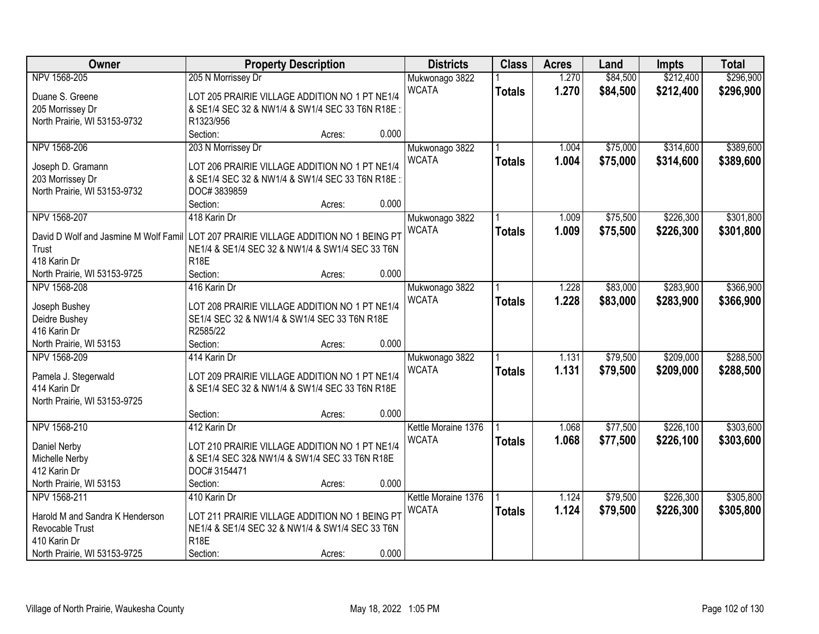| Owner                                                                                | <b>Property Description</b>                     |        |       | <b>Districts</b>    | <b>Class</b>  | <b>Acres</b> | Land     | <b>Impts</b> | <b>Total</b> |
|--------------------------------------------------------------------------------------|-------------------------------------------------|--------|-------|---------------------|---------------|--------------|----------|--------------|--------------|
| NPV 1568-205                                                                         | 205 N Morrissey Dr                              |        |       | Mukwonago 3822      |               | 1.270        | \$84,500 | \$212,400    | \$296,900    |
| Duane S. Greene                                                                      | LOT 205 PRAIRIE VILLAGE ADDITION NO 1 PT NE1/4  |        |       | <b>WCATA</b>        | <b>Totals</b> | 1.270        | \$84,500 | \$212,400    | \$296,900    |
| 205 Morrissey Dr                                                                     | & SE1/4 SEC 32 & NW1/4 & SW1/4 SEC 33 T6N R18E: |        |       |                     |               |              |          |              |              |
| North Prairie, WI 53153-9732                                                         | R1323/956                                       |        |       |                     |               |              |          |              |              |
|                                                                                      | Section:                                        | Acres: | 0.000 |                     |               |              |          |              |              |
| NPV 1568-206                                                                         | 203 N Morrissey Dr                              |        |       | Mukwonago 3822      |               | 1.004        | \$75,000 | \$314,600    | \$389,600    |
|                                                                                      |                                                 |        |       | <b>WCATA</b>        | <b>Totals</b> | 1.004        | \$75,000 | \$314,600    | \$389,600    |
| Joseph D. Gramann                                                                    | LOT 206 PRAIRIE VILLAGE ADDITION NO 1 PT NE1/4  |        |       |                     |               |              |          |              |              |
| 203 Morrissey Dr                                                                     | & SE1/4 SEC 32 & NW1/4 & SW1/4 SEC 33 T6N R18E  |        |       |                     |               |              |          |              |              |
| North Prairie, WI 53153-9732                                                         | DOC#3839859                                     |        |       |                     |               |              |          |              |              |
|                                                                                      | Section:                                        | Acres: | 0.000 |                     |               |              |          |              |              |
| NPV 1568-207                                                                         | 418 Karin Dr                                    |        |       | Mukwonago 3822      |               | 1.009        | \$75,500 | \$226,300    | \$301,800    |
| David D Wolf and Jasmine M Wolf Famil LOT 207 PRAIRIE VILLAGE ADDITION NO 1 BEING PT |                                                 |        |       | <b>WCATA</b>        | <b>Totals</b> | 1.009        | \$75,500 | \$226,300    | \$301,800    |
| Trust                                                                                | NE1/4 & SE1/4 SEC 32 & NW1/4 & SW1/4 SEC 33 T6N |        |       |                     |               |              |          |              |              |
| 418 Karin Dr                                                                         | <b>R18E</b>                                     |        |       |                     |               |              |          |              |              |
| North Prairie, WI 53153-9725                                                         | Section:                                        | Acres: | 0.000 |                     |               |              |          |              |              |
| NPV 1568-208                                                                         | 416 Karin Dr                                    |        |       | Mukwonago 3822      |               | 1.228        | \$83,000 | \$283,900    | \$366,900    |
|                                                                                      |                                                 |        |       | <b>WCATA</b>        | <b>Totals</b> | 1.228        | \$83,000 | \$283,900    | \$366,900    |
| Joseph Bushey                                                                        | LOT 208 PRAIRIE VILLAGE ADDITION NO 1 PT NE1/4  |        |       |                     |               |              |          |              |              |
| Deidre Bushey                                                                        | SE1/4 SEC 32 & NW1/4 & SW1/4 SEC 33 T6N R18E    |        |       |                     |               |              |          |              |              |
| 416 Karin Dr                                                                         | R2585/22                                        |        |       |                     |               |              |          |              |              |
| North Prairie, WI 53153                                                              | Section:                                        | Acres: | 0.000 |                     |               |              |          |              |              |
| NPV 1568-209                                                                         | 414 Karin Dr                                    |        |       | Mukwonago 3822      |               | 1.131        | \$79,500 | \$209,000    | \$288,500    |
| Pamela J. Stegerwald                                                                 | LOT 209 PRAIRIE VILLAGE ADDITION NO 1 PT NE1/4  |        |       | <b>WCATA</b>        | <b>Totals</b> | 1.131        | \$79,500 | \$209,000    | \$288,500    |
| 414 Karin Dr                                                                         | & SE1/4 SEC 32 & NW1/4 & SW1/4 SEC 33 T6N R18E  |        |       |                     |               |              |          |              |              |
| North Prairie, WI 53153-9725                                                         |                                                 |        |       |                     |               |              |          |              |              |
|                                                                                      | Section:                                        | Acres: | 0.000 |                     |               |              |          |              |              |
| NPV 1568-210                                                                         | 412 Karin Dr                                    |        |       | Kettle Moraine 1376 |               | 1.068        | \$77,500 | \$226,100    | \$303,600    |
|                                                                                      | LOT 210 PRAIRIE VILLAGE ADDITION NO 1 PT NE1/4  |        |       | <b>WCATA</b>        | <b>Totals</b> | 1.068        | \$77,500 | \$226,100    | \$303,600    |
| Daniel Nerby<br>Michelle Nerby                                                       | & SE1/4 SEC 32& NW1/4 & SW1/4 SEC 33 T6N R18E   |        |       |                     |               |              |          |              |              |
| 412 Karin Dr                                                                         | DOC#3154471                                     |        |       |                     |               |              |          |              |              |
| North Prairie, WI 53153                                                              | Section:                                        |        | 0.000 |                     |               |              |          |              |              |
| NPV 1568-211                                                                         | 410 Karin Dr                                    | Acres: |       |                     |               | 1.124        | \$79,500 | \$226,300    | \$305,800    |
|                                                                                      |                                                 |        |       | Kettle Moraine 1376 |               |              |          |              |              |
| Harold M and Sandra K Henderson                                                      | LOT 211 PRAIRIE VILLAGE ADDITION NO 1 BEING PT  |        |       | <b>WCATA</b>        | <b>Totals</b> | 1.124        | \$79,500 | \$226,300    | \$305,800    |
| Revocable Trust                                                                      | NE1/4 & SE1/4 SEC 32 & NW1/4 & SW1/4 SEC 33 T6N |        |       |                     |               |              |          |              |              |
| 410 Karin Dr                                                                         | <b>R18E</b>                                     |        |       |                     |               |              |          |              |              |
| North Prairie, WI 53153-9725                                                         | Section:                                        | Acres: | 0.000 |                     |               |              |          |              |              |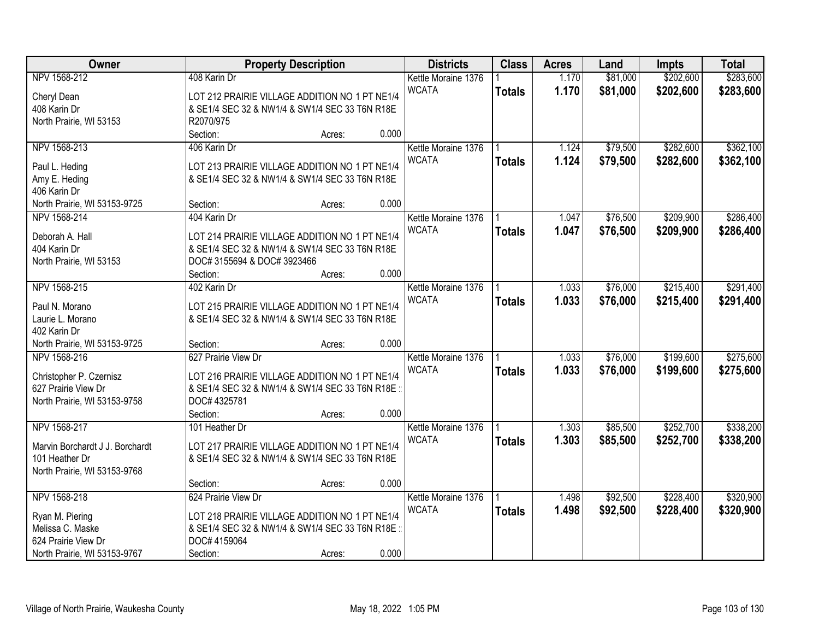| Owner                                             |                                                 | <b>Property Description</b> |       | <b>Districts</b>    | <b>Class</b>  | <b>Acres</b> | Land     | <b>Impts</b> | <b>Total</b> |
|---------------------------------------------------|-------------------------------------------------|-----------------------------|-------|---------------------|---------------|--------------|----------|--------------|--------------|
| NPV 1568-212                                      | 408 Karin Dr                                    |                             |       | Kettle Moraine 1376 |               | 1.170        | \$81,000 | \$202,600    | \$283,600    |
| Cheryl Dean                                       | LOT 212 PRAIRIE VILLAGE ADDITION NO 1 PT NE1/4  |                             |       | <b>WCATA</b>        | <b>Totals</b> | 1.170        | \$81,000 | \$202,600    | \$283,600    |
| 408 Karin Dr                                      | & SE1/4 SEC 32 & NW1/4 & SW1/4 SEC 33 T6N R18E  |                             |       |                     |               |              |          |              |              |
| North Prairie, WI 53153                           | R2070/975                                       |                             |       |                     |               |              |          |              |              |
|                                                   | Section:                                        | Acres:                      | 0.000 |                     |               |              |          |              |              |
| NPV 1568-213                                      | 406 Karin Dr                                    |                             |       | Kettle Moraine 1376 |               | 1.124        | \$79,500 | \$282,600    | \$362,100    |
|                                                   |                                                 |                             |       | <b>WCATA</b>        | <b>Totals</b> | 1.124        | \$79,500 | \$282,600    | \$362,100    |
| Paul L. Heding                                    | LOT 213 PRAIRIE VILLAGE ADDITION NO 1 PT NE1/4  |                             |       |                     |               |              |          |              |              |
| Amy E. Heding                                     | & SE1/4 SEC 32 & NW1/4 & SW1/4 SEC 33 T6N R18E  |                             |       |                     |               |              |          |              |              |
| 406 Karin Dr                                      |                                                 |                             |       |                     |               |              |          |              |              |
| North Prairie, WI 53153-9725                      | Section:                                        | Acres:                      | 0.000 |                     |               |              |          |              |              |
| NPV 1568-214                                      | 404 Karin Dr                                    |                             |       | Kettle Moraine 1376 |               | 1.047        | \$76,500 | \$209,900    | \$286,400    |
| Deborah A. Hall                                   | LOT 214 PRAIRIE VILLAGE ADDITION NO 1 PT NE1/4  |                             |       | <b>WCATA</b>        | <b>Totals</b> | 1.047        | \$76,500 | \$209,900    | \$286,400    |
| 404 Karin Dr                                      | & SE1/4 SEC 32 & NW1/4 & SW1/4 SEC 33 T6N R18E  |                             |       |                     |               |              |          |              |              |
| North Prairie, WI 53153                           | DOC# 3155694 & DOC# 3923466                     |                             |       |                     |               |              |          |              |              |
|                                                   | Section:                                        | Acres:                      | 0.000 |                     |               |              |          |              |              |
| NPV 1568-215                                      | 402 Karin Dr                                    |                             |       | Kettle Moraine 1376 |               | 1.033        | \$76,000 | \$215,400    | \$291,400    |
|                                                   |                                                 |                             |       | <b>WCATA</b>        | <b>Totals</b> | 1.033        | \$76,000 | \$215,400    | \$291,400    |
| Paul N. Morano                                    | LOT 215 PRAIRIE VILLAGE ADDITION NO 1 PT NE1/4  |                             |       |                     |               |              |          |              |              |
| Laurie L. Morano                                  | & SE1/4 SEC 32 & NW1/4 & SW1/4 SEC 33 T6N R18E  |                             |       |                     |               |              |          |              |              |
| 402 Karin Dr                                      |                                                 |                             |       |                     |               |              |          |              |              |
| North Prairie, WI 53153-9725                      | Section:<br>627 Prairie View Dr                 | Acres:                      | 0.000 |                     |               |              | \$76,000 |              |              |
| NPV 1568-216                                      |                                                 |                             |       | Kettle Moraine 1376 |               | 1.033        |          | \$199,600    | \$275,600    |
| Christopher P. Czernisz                           | LOT 216 PRAIRIE VILLAGE ADDITION NO 1 PT NE1/4  |                             |       | <b>WCATA</b>        | <b>Totals</b> | 1.033        | \$76,000 | \$199,600    | \$275,600    |
| 627 Prairie View Dr                               | & SE1/4 SEC 32 & NW1/4 & SW1/4 SEC 33 T6N R18E  |                             |       |                     |               |              |          |              |              |
| North Prairie, WI 53153-9758                      | DOC# 4325781                                    |                             |       |                     |               |              |          |              |              |
|                                                   | Section:                                        | Acres:                      | 0.000 |                     |               |              |          |              |              |
| NPV 1568-217                                      | 101 Heather Dr                                  |                             |       | Kettle Moraine 1376 |               | 1.303        | \$85,500 | \$252,700    | \$338,200    |
|                                                   | LOT 217 PRAIRIE VILLAGE ADDITION NO 1 PT NE1/4  |                             |       | <b>WCATA</b>        | <b>Totals</b> | 1.303        | \$85,500 | \$252,700    | \$338,200    |
| Marvin Borchardt J J. Borchardt<br>101 Heather Dr | & SE1/4 SEC 32 & NW1/4 & SW1/4 SEC 33 T6N R18E  |                             |       |                     |               |              |          |              |              |
| North Prairie, WI 53153-9768                      |                                                 |                             |       |                     |               |              |          |              |              |
|                                                   | Section:                                        | Acres:                      | 0.000 |                     |               |              |          |              |              |
| NPV 1568-218                                      | 624 Prairie View Dr                             |                             |       | Kettle Moraine 1376 |               | 1.498        | \$92,500 | \$228,400    | \$320,900    |
|                                                   |                                                 |                             |       | <b>WCATA</b>        |               |              |          |              |              |
| Ryan M. Piering                                   | LOT 218 PRAIRIE VILLAGE ADDITION NO 1 PT NE1/4  |                             |       |                     | <b>Totals</b> | 1.498        | \$92,500 | \$228,400    | \$320,900    |
| Melissa C. Maske                                  | & SE1/4 SEC 32 & NW1/4 & SW1/4 SEC 33 T6N R18E: |                             |       |                     |               |              |          |              |              |
| 624 Prairie View Dr                               | DOC# 4159064                                    |                             |       |                     |               |              |          |              |              |
| North Prairie, WI 53153-9767                      | Section:                                        | Acres:                      | 0.000 |                     |               |              |          |              |              |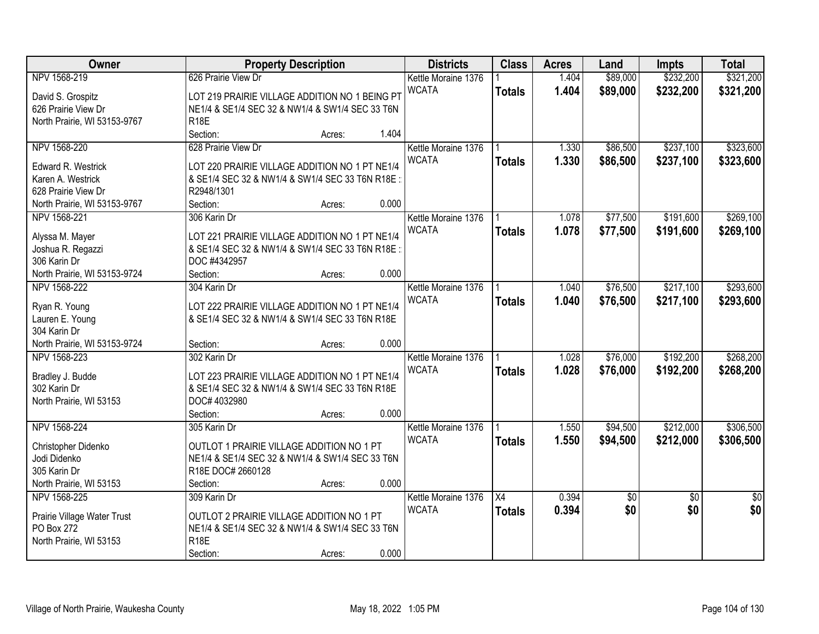| Owner<br><b>Districts</b><br><b>Class</b><br><b>Property Description</b><br><b>Acres</b><br>Land                          | <b>Impts</b>    | <b>Total</b>    |
|---------------------------------------------------------------------------------------------------------------------------|-----------------|-----------------|
| NPV 1568-219<br>626 Prairie View Dr<br>1.404<br>\$89,000<br>Kettle Moraine 1376                                           | \$232,200       | \$321,200       |
| <b>WCATA</b><br>1.404<br>\$89,000<br><b>Totals</b><br>LOT 219 PRAIRIE VILLAGE ADDITION NO 1 BEING PT<br>David S. Grospitz | \$232,200       | \$321,200       |
| 626 Prairie View Dr<br>NE1/4 & SE1/4 SEC 32 & NW1/4 & SW1/4 SEC 33 T6N                                                    |                 |                 |
| <b>R18E</b><br>North Prairie, WI 53153-9767                                                                               |                 |                 |
| Section:<br>1.404<br>Acres:                                                                                               |                 |                 |
| 628 Prairie View Dr<br>\$86,500<br>NPV 1568-220<br>1.330<br>Kettle Moraine 1376                                           | \$237,100       | \$323,600       |
| <b>WCATA</b><br>1.330<br>\$86,500<br><b>Totals</b>                                                                        | \$237,100       | \$323,600       |
| Edward R. Westrick<br>LOT 220 PRAIRIE VILLAGE ADDITION NO 1 PT NE1/4                                                      |                 |                 |
| Karen A. Westrick<br>& SE1/4 SEC 32 & NW1/4 & SW1/4 SEC 33 T6N R18E:                                                      |                 |                 |
| 628 Prairie View Dr<br>R2948/1301                                                                                         |                 |                 |
| 0.000<br>North Prairie, WI 53153-9767<br>Section:<br>Acres:                                                               |                 |                 |
| NPV 1568-221<br>306 Karin Dr<br>Kettle Moraine 1376<br>1.078<br>\$77,500                                                  | \$191,600       | \$269,100       |
| <b>WCATA</b><br>\$77,500<br>1.078<br><b>Totals</b><br>LOT 221 PRAIRIE VILLAGE ADDITION NO 1 PT NE1/4<br>Alyssa M. Mayer   | \$191,600       | \$269,100       |
| Joshua R. Regazzi<br>& SE1/4 SEC 32 & NW1/4 & SW1/4 SEC 33 T6N R18E:                                                      |                 |                 |
| 306 Karin Dr<br>DOC #4342957                                                                                              |                 |                 |
| 0.000<br>North Prairie, WI 53153-9724<br>Section:<br>Acres:                                                               |                 |                 |
| NPV 1568-222<br>\$76,500<br>304 Karin Dr<br>Kettle Moraine 1376<br>1.040                                                  | \$217,100       | \$293,600       |
| <b>WCATA</b><br>1.040<br>\$76,500<br><b>Totals</b>                                                                        | \$217,100       | \$293,600       |
| LOT 222 PRAIRIE VILLAGE ADDITION NO 1 PT NE1/4<br>Ryan R. Young                                                           |                 |                 |
| Lauren E. Young<br>& SE1/4 SEC 32 & NW1/4 & SW1/4 SEC 33 T6N R18E                                                         |                 |                 |
| 304 Karin Dr                                                                                                              |                 |                 |
| 0.000<br>North Prairie, WI 53153-9724<br>Section:<br>Acres:                                                               |                 |                 |
| \$76,000<br>NPV 1568-223<br>302 Karin Dr<br>1.028<br>Kettle Moraine 1376                                                  | \$192,200       | \$268,200       |
| <b>WCATA</b><br>1.028<br>\$76,000<br><b>Totals</b><br>Bradley J. Budde<br>LOT 223 PRAIRIE VILLAGE ADDITION NO 1 PT NE1/4  | \$192,200       | \$268,200       |
| 302 Karin Dr<br>& SE1/4 SEC 32 & NW1/4 & SW1/4 SEC 33 T6N R18E                                                            |                 |                 |
| North Prairie, WI 53153<br>DOC# 4032980                                                                                   |                 |                 |
| Section:<br>0.000<br>Acres:                                                                                               |                 |                 |
| NPV 1568-224<br>\$94,500<br>305 Karin Dr<br>Kettle Moraine 1376<br>1.550                                                  | \$212,000       | \$306,500       |
| <b>WCATA</b><br>1.550<br>\$94,500<br><b>Totals</b>                                                                        | \$212,000       | \$306,500       |
| OUTLOT 1 PRAIRIE VILLAGE ADDITION NO 1 PT<br>Christopher Didenko                                                          |                 |                 |
| NE1/4 & SE1/4 SEC 32 & NW1/4 & SW1/4 SEC 33 T6N<br>Jodi Didenko                                                           |                 |                 |
| 305 Karin Dr<br>R18E DOC# 2660128                                                                                         |                 |                 |
| 0.000<br>North Prairie, WI 53153<br>Section:<br>Acres:                                                                    |                 |                 |
| NPV 1568-225<br>$\overline{X4}$<br>0.394<br>309 Karin Dr<br>Kettle Moraine 1376<br>$\overline{60}$                        | $\overline{50}$ | $\overline{50}$ |
| \$0<br><b>WCATA</b><br>0.394<br><b>Totals</b><br>OUTLOT 2 PRAIRIE VILLAGE ADDITION NO 1 PT<br>Prairie Village Water Trust | \$0             | \$0             |
| PO Box 272<br>NE1/4 & SE1/4 SEC 32 & NW1/4 & SW1/4 SEC 33 T6N                                                             |                 |                 |
| <b>R18E</b><br>North Prairie, WI 53153                                                                                    |                 |                 |
| 0.000<br>Section:<br>Acres:                                                                                               |                 |                 |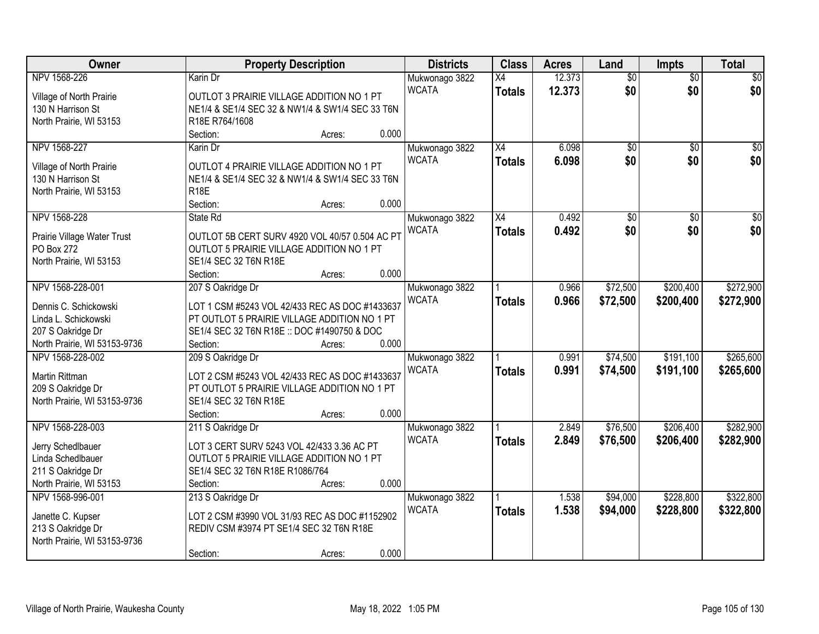| Owner                        | <b>Property Description</b>                     | <b>Districts</b>               | <b>Class</b>    | <b>Acres</b> | Land            | Impts           | <b>Total</b> |
|------------------------------|-------------------------------------------------|--------------------------------|-----------------|--------------|-----------------|-----------------|--------------|
| NPV 1568-226                 | Karin Dr                                        | Mukwonago 3822                 | $\overline{X4}$ | 12.373       | $\overline{50}$ | $\overline{50}$ | \$0          |
| Village of North Prairie     | OUTLOT 3 PRAIRIE VILLAGE ADDITION NO 1 PT       | <b>WCATA</b>                   | <b>Totals</b>   | 12.373       | \$0             | \$0             | \$0          |
| 130 N Harrison St            | NE1/4 & SE1/4 SEC 32 & NW1/4 & SW1/4 SEC 33 T6N |                                |                 |              |                 |                 |              |
| North Prairie, WI 53153      | R18E R764/1608                                  |                                |                 |              |                 |                 |              |
|                              | 0.000<br>Section:<br>Acres:                     |                                |                 |              |                 |                 |              |
| NPV 1568-227                 | Karin Dr                                        | Mukwonago 3822                 | X4              | 6.098        | $\overline{50}$ | $\overline{50}$ | \$0          |
|                              |                                                 | <b>WCATA</b>                   | <b>Totals</b>   | 6.098        | \$0             | \$0             | \$0          |
| Village of North Prairie     | OUTLOT 4 PRAIRIE VILLAGE ADDITION NO 1 PT       |                                |                 |              |                 |                 |              |
| 130 N Harrison St            | NE1/4 & SE1/4 SEC 32 & NW1/4 & SW1/4 SEC 33 T6N |                                |                 |              |                 |                 |              |
| North Prairie, WI 53153      | <b>R18E</b><br>0.000<br>Section:                |                                |                 |              |                 |                 |              |
| NPV 1568-228                 | Acres:<br>State Rd                              |                                | X4              | 0.492        | $\overline{50}$ |                 | $\sqrt{50}$  |
|                              |                                                 | Mukwonago 3822                 |                 |              |                 | \$0             |              |
| Prairie Village Water Trust  | OUTLOT 5B CERT SURV 4920 VOL 40/57 0.504 AC PT  | <b>WCATA</b>                   | <b>Totals</b>   | 0.492        | \$0             | \$0             | \$0          |
| PO Box 272                   | OUTLOT 5 PRAIRIE VILLAGE ADDITION NO 1 PT       |                                |                 |              |                 |                 |              |
| North Prairie, WI 53153      | SE1/4 SEC 32 T6N R18E                           |                                |                 |              |                 |                 |              |
|                              | 0.000<br>Section:<br>Acres:                     |                                |                 |              |                 |                 |              |
| NPV 1568-228-001             | 207 S Oakridge Dr                               | Mukwonago 3822                 |                 | 0.966        | \$72,500        | \$200,400       | \$272,900    |
| Dennis C. Schickowski        | LOT 1 CSM #5243 VOL 42/433 REC AS DOC #1433637  | <b>WCATA</b>                   | <b>Totals</b>   | 0.966        | \$72,500        | \$200,400       | \$272,900    |
| Linda L. Schickowski         | PT OUTLOT 5 PRAIRIE VILLAGE ADDITION NO 1 PT    |                                |                 |              |                 |                 |              |
| 207 S Oakridge Dr            | SE1/4 SEC 32 T6N R18E :: DOC #1490750 & DOC     |                                |                 |              |                 |                 |              |
| North Prairie, WI 53153-9736 | 0.000<br>Section:<br>Acres:                     |                                |                 |              |                 |                 |              |
| NPV 1568-228-002             | 209 S Oakridge Dr                               |                                |                 | 0.991        | \$74,500        | \$191,100       | \$265,600    |
|                              |                                                 | Mukwonago 3822<br><b>WCATA</b> |                 | 0.991        | \$74,500        | \$191,100       | \$265,600    |
| Martin Rittman               | LOT 2 CSM #5243 VOL 42/433 REC AS DOC #1433637  |                                | <b>Totals</b>   |              |                 |                 |              |
| 209 S Oakridge Dr            | PT OUTLOT 5 PRAIRIE VILLAGE ADDITION NO 1 PT    |                                |                 |              |                 |                 |              |
| North Prairie, WI 53153-9736 | SE1/4 SEC 32 T6N R18E                           |                                |                 |              |                 |                 |              |
|                              | 0.000<br>Section:<br>Acres:                     |                                |                 |              |                 |                 |              |
| NPV 1568-228-003             | 211 S Oakridge Dr                               | Mukwonago 3822                 |                 | 2.849        | \$76,500        | \$206,400       | \$282,900    |
| Jerry Schedlbauer            | LOT 3 CERT SURV 5243 VOL 42/433 3.36 AC PT      | <b>WCATA</b>                   | <b>Totals</b>   | 2.849        | \$76,500        | \$206,400       | \$282,900    |
| Linda Schedlbauer            | OUTLOT 5 PRAIRIE VILLAGE ADDITION NO 1 PT       |                                |                 |              |                 |                 |              |
| 211 S Oakridge Dr            | SE1/4 SEC 32 T6N R18E R1086/764                 |                                |                 |              |                 |                 |              |
| North Prairie, WI 53153      | 0.000<br>Section:<br>Acres:                     |                                |                 |              |                 |                 |              |
| NPV 1568-996-001             | 213 S Oakridge Dr                               | Mukwonago 3822                 |                 | 1.538        | \$94,000        | \$228,800       | \$322,800    |
|                              |                                                 | <b>WCATA</b>                   | <b>Totals</b>   | 1.538        | \$94,000        | \$228,800       | \$322,800    |
| Janette C. Kupser            | LOT 2 CSM #3990 VOL 31/93 REC AS DOC #1152902   |                                |                 |              |                 |                 |              |
| 213 S Oakridge Dr            | REDIV CSM #3974 PT SE1/4 SEC 32 T6N R18E        |                                |                 |              |                 |                 |              |
| North Prairie, WI 53153-9736 |                                                 |                                |                 |              |                 |                 |              |
|                              | Section:<br>Acres:                              | 0.000                          |                 |              |                 |                 |              |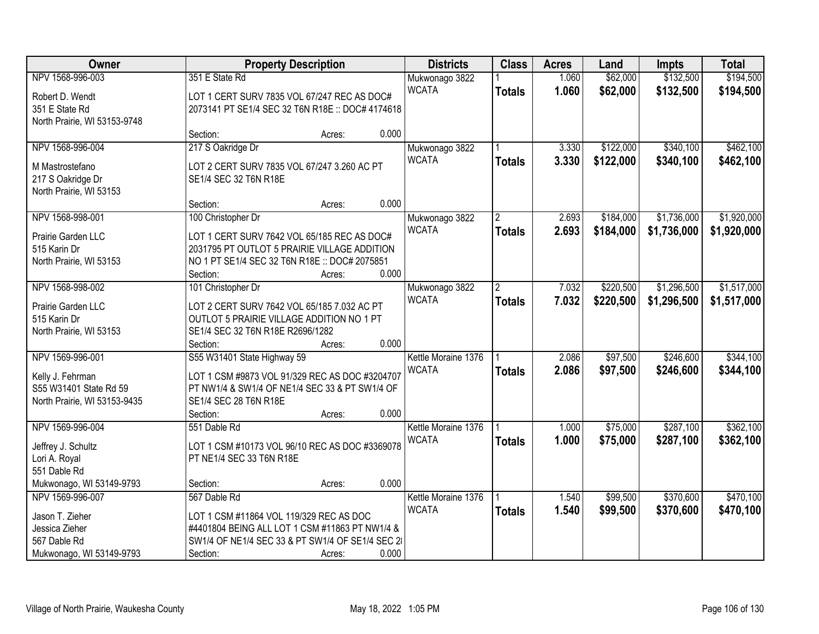| Owner                                        |                                                                                          | <b>Property Description</b>                      | <b>Districts</b>    | <b>Class</b>   | <b>Acres</b> | Land      | <b>Impts</b> | <b>Total</b> |
|----------------------------------------------|------------------------------------------------------------------------------------------|--------------------------------------------------|---------------------|----------------|--------------|-----------|--------------|--------------|
| NPV 1568-996-003                             | 351 E State Rd                                                                           |                                                  | Mukwonago 3822      |                | 1.060        | \$62,000  | \$132,500    | \$194,500    |
| Robert D. Wendt                              |                                                                                          | LOT 1 CERT SURV 7835 VOL 67/247 REC AS DOC#      | <b>WCATA</b>        | <b>Totals</b>  | 1.060        | \$62,000  | \$132,500    | \$194,500    |
| 351 E State Rd                               |                                                                                          | 2073141 PT SE1/4 SEC 32 T6N R18E :: DOC# 4174618 |                     |                |              |           |              |              |
| North Prairie, WI 53153-9748                 |                                                                                          |                                                  |                     |                |              |           |              |              |
|                                              | Section:                                                                                 | 0.000<br>Acres:                                  |                     |                |              |           |              |              |
| NPV 1568-996-004                             | 217 S Oakridge Dr                                                                        |                                                  | Mukwonago 3822      |                | 3.330        | \$122,000 | \$340,100    | \$462,100    |
| M Mastrostefano                              |                                                                                          | LOT 2 CERT SURV 7835 VOL 67/247 3.260 AC PT      | <b>WCATA</b>        | <b>Totals</b>  | 3.330        | \$122,000 | \$340,100    | \$462,100    |
| 217 S Oakridge Dr                            | SE1/4 SEC 32 T6N R18E                                                                    |                                                  |                     |                |              |           |              |              |
| North Prairie, WI 53153                      |                                                                                          |                                                  |                     |                |              |           |              |              |
|                                              | Section:                                                                                 | 0.000<br>Acres:                                  |                     |                |              |           |              |              |
| NPV 1568-998-001                             | 100 Christopher Dr                                                                       |                                                  | Mukwonago 3822      | 2              | 2.693        | \$184,000 | \$1,736,000  | \$1,920,000  |
| Prairie Garden LLC                           |                                                                                          | LOT 1 CERT SURV 7642 VOL 65/185 REC AS DOC#      | <b>WCATA</b>        | <b>Totals</b>  | 2.693        | \$184,000 | \$1,736,000  | \$1,920,000  |
| 515 Karin Dr                                 |                                                                                          | 2031795 PT OUTLOT 5 PRAIRIE VILLAGE ADDITION     |                     |                |              |           |              |              |
| North Prairie, WI 53153                      |                                                                                          | NO 1 PT SE1/4 SEC 32 T6N R18E :: DOC# 2075851    |                     |                |              |           |              |              |
|                                              | Section:                                                                                 | 0.000<br>Acres:                                  |                     |                |              |           |              |              |
| NPV 1568-998-002                             | 101 Christopher Dr                                                                       |                                                  | Mukwonago 3822      | $\overline{2}$ | 7.032        | \$220,500 | \$1,296,500  | \$1,517,000  |
| Prairie Garden LLC                           |                                                                                          |                                                  | <b>WCATA</b>        | <b>Totals</b>  | 7.032        | \$220,500 | \$1,296,500  | \$1,517,000  |
| 515 Karin Dr                                 | LOT 2 CERT SURV 7642 VOL 65/185 7.032 AC PT<br>OUTLOT 5 PRAIRIE VILLAGE ADDITION NO 1 PT |                                                  |                     |                |              |           |              |              |
| North Prairie, WI 53153                      | SE1/4 SEC 32 T6N R18E R2696/1282                                                         |                                                  |                     |                |              |           |              |              |
|                                              | Section:                                                                                 | 0.000<br>Acres:                                  |                     |                |              |           |              |              |
| NPV 1569-996-001                             | S55 W31401 State Highway 59                                                              |                                                  | Kettle Moraine 1376 |                | 2.086        | \$97,500  | \$246,600    | \$344,100    |
|                                              |                                                                                          |                                                  | <b>WCATA</b>        | <b>Totals</b>  | 2.086        | \$97,500  | \$246,600    | \$344,100    |
| Kelly J. Fehrman                             |                                                                                          | LOT 1 CSM #9873 VOL 91/329 REC AS DOC #3204707   |                     |                |              |           |              |              |
| S55 W31401 State Rd 59                       | SE1/4 SEC 28 T6N R18E                                                                    | PT NW1/4 & SW1/4 OF NE1/4 SEC 33 & PT SW1/4 OF   |                     |                |              |           |              |              |
| North Prairie, WI 53153-9435                 | Section:                                                                                 | 0.000<br>Acres:                                  |                     |                |              |           |              |              |
| NPV 1569-996-004                             | 551 Dable Rd                                                                             |                                                  | Kettle Moraine 1376 |                | 1.000        | \$75,000  | \$287,100    | \$362,100    |
|                                              |                                                                                          |                                                  | <b>WCATA</b>        | <b>Totals</b>  | 1.000        | \$75,000  | \$287,100    | \$362,100    |
| Jeffrey J. Schultz                           |                                                                                          | LOT 1 CSM #10173 VOL 96/10 REC AS DOC #3369078   |                     |                |              |           |              |              |
| Lori A. Royal                                | PT NE1/4 SEC 33 T6N R18E                                                                 |                                                  |                     |                |              |           |              |              |
| 551 Dable Rd                                 |                                                                                          | 0.000                                            |                     |                |              |           |              |              |
| Mukwonago, WI 53149-9793<br>NPV 1569-996-007 | Section:<br>567 Dable Rd                                                                 | Acres:                                           | Kettle Moraine 1376 |                | 1.540        | \$99,500  | \$370,600    | \$470,100    |
|                                              |                                                                                          |                                                  | <b>WCATA</b>        |                | 1.540        |           |              |              |
| Jason T. Zieher                              | LOT 1 CSM #11864 VOL 119/329 REC AS DOC                                                  |                                                  |                     | <b>Totals</b>  |              | \$99,500  | \$370,600    | \$470,100    |
| Jessica Zieher                               |                                                                                          | #4401804 BEING ALL LOT 1 CSM #11863 PT NW1/4 &   |                     |                |              |           |              |              |
| 567 Dable Rd                                 |                                                                                          | SW1/4 OF NE1/4 SEC 33 & PT SW1/4 OF SE1/4 SEC 2  |                     |                |              |           |              |              |
| Mukwonago, WI 53149-9793                     | Section:                                                                                 | 0.000<br>Acres:                                  |                     |                |              |           |              |              |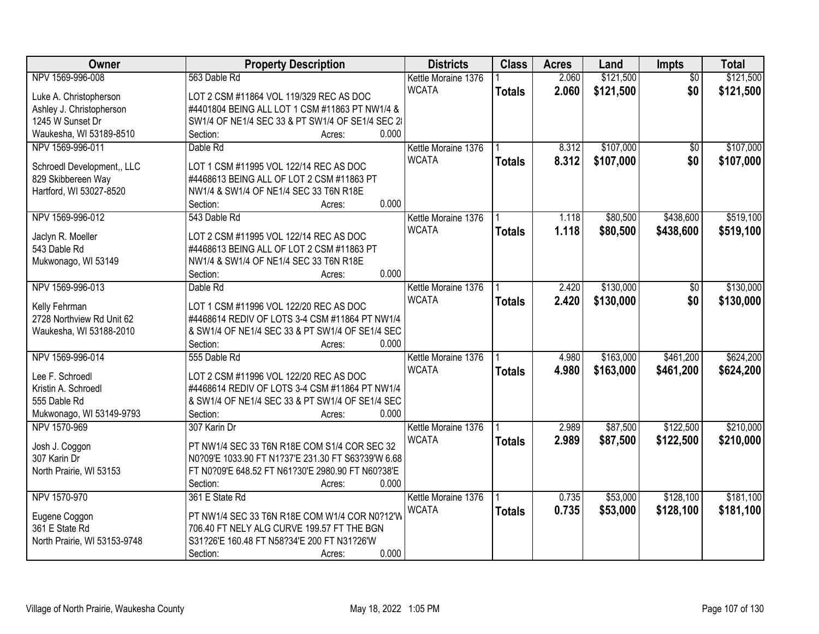| Owner                        | <b>Property Description</b>                        | <b>Districts</b>    | <b>Class</b>  | <b>Acres</b> | Land      | Impts           | <b>Total</b> |
|------------------------------|----------------------------------------------------|---------------------|---------------|--------------|-----------|-----------------|--------------|
| NPV 1569-996-008             | 563 Dable Rd                                       | Kettle Moraine 1376 |               | 2.060        | \$121,500 | $\overline{50}$ | \$121,500    |
| Luke A. Christopherson       | LOT 2 CSM #11864 VOL 119/329 REC AS DOC            | <b>WCATA</b>        | <b>Totals</b> | 2.060        | \$121,500 | \$0             | \$121,500    |
| Ashley J. Christopherson     | #4401804 BEING ALL LOT 1 CSM #11863 PT NW1/4 &     |                     |               |              |           |                 |              |
| 1245 W Sunset Dr             | SW1/4 OF NE1/4 SEC 33 & PT SW1/4 OF SE1/4 SEC 2    |                     |               |              |           |                 |              |
| Waukesha, WI 53189-8510      | 0.000<br>Section:<br>Acres:                        |                     |               |              |           |                 |              |
| NPV 1569-996-011             | Dable Rd                                           | Kettle Moraine 1376 |               | 8.312        | \$107,000 | $\overline{50}$ | \$107,000    |
|                              |                                                    | <b>WCATA</b>        | <b>Totals</b> | 8.312        | \$107,000 | \$0             | \$107,000    |
| Schroedl Development,, LLC   | LOT 1 CSM #11995 VOL 122/14 REC AS DOC             |                     |               |              |           |                 |              |
| 829 Skibbereen Way           | #4468613 BEING ALL OF LOT 2 CSM #11863 PT          |                     |               |              |           |                 |              |
| Hartford, WI 53027-8520      | NW1/4 & SW1/4 OF NE1/4 SEC 33 T6N R18E             |                     |               |              |           |                 |              |
|                              | 0.000<br>Section:<br>Acres:                        |                     |               |              |           |                 |              |
| NPV 1569-996-012             | 543 Dable Rd                                       | Kettle Moraine 1376 |               | 1.118        | \$80,500  | \$438,600       | \$519,100    |
| Jaclyn R. Moeller            | LOT 2 CSM #11995 VOL 122/14 REC AS DOC             | <b>WCATA</b>        | <b>Totals</b> | 1.118        | \$80,500  | \$438,600       | \$519,100    |
| 543 Dable Rd                 | #4468613 BEING ALL OF LOT 2 CSM #11863 PT          |                     |               |              |           |                 |              |
| Mukwonago, WI 53149          | NW1/4 & SW1/4 OF NE1/4 SEC 33 T6N R18E             |                     |               |              |           |                 |              |
|                              | 0.000<br>Section:<br>Acres:                        |                     |               |              |           |                 |              |
| NPV 1569-996-013             | Dable Rd                                           | Kettle Moraine 1376 |               | 2.420        | \$130,000 | \$0             | \$130,000    |
|                              |                                                    | <b>WCATA</b>        |               | 2.420        | \$130,000 | \$0             |              |
| Kelly Fehrman                | LOT 1 CSM #11996 VOL 122/20 REC AS DOC             |                     | <b>Totals</b> |              |           |                 | \$130,000    |
| 2728 Northview Rd Unit 62    | #4468614 REDIV OF LOTS 3-4 CSM #11864 PT NW1/4     |                     |               |              |           |                 |              |
| Waukesha, WI 53188-2010      | & SW1/4 OF NE1/4 SEC 33 & PT SW1/4 OF SE1/4 SEC    |                     |               |              |           |                 |              |
|                              | 0.000<br>Section:<br>Acres:                        |                     |               |              |           |                 |              |
| NPV 1569-996-014             | 555 Dable Rd                                       | Kettle Moraine 1376 |               | 4.980        | \$163,000 | \$461,200       | \$624,200    |
| Lee F. Schroedl              | LOT 2 CSM #11996 VOL 122/20 REC AS DOC             | <b>WCATA</b>        | <b>Totals</b> | 4.980        | \$163,000 | \$461,200       | \$624,200    |
| Kristin A. Schroedl          | #4468614 REDIV OF LOTS 3-4 CSM #11864 PT NW1/4     |                     |               |              |           |                 |              |
| 555 Dable Rd                 | & SW1/4 OF NE1/4 SEC 33 & PT SW1/4 OF SE1/4 SEC    |                     |               |              |           |                 |              |
| Mukwonago, WI 53149-9793     | 0.000<br>Section:                                  |                     |               |              |           |                 |              |
| NPV 1570-969                 | Acres:<br>307 Karin Dr                             |                     |               | 2.989        | \$87,500  | \$122,500       | \$210,000    |
|                              |                                                    | Kettle Moraine 1376 |               |              |           |                 |              |
| Josh J. Coggon               | PT NW1/4 SEC 33 T6N R18E COM S1/4 COR SEC 32       | <b>WCATA</b>        | <b>Totals</b> | 2.989        | \$87,500  | \$122,500       | \$210,000    |
| 307 Karin Dr                 | N0?09'E 1033.90 FT N1?37'E 231.30 FT S63?39'W 6.68 |                     |               |              |           |                 |              |
| North Prairie, WI 53153      | FT N0?09'E 648.52 FT N61?30'E 2980.90 FT N60?38'E  |                     |               |              |           |                 |              |
|                              | 0.000<br>Section:<br>Acres:                        |                     |               |              |           |                 |              |
| NPV 1570-970                 | 361 E State Rd                                     | Kettle Moraine 1376 |               | 0.735        | \$53,000  | \$128,100       | \$181,100    |
|                              |                                                    | <b>WCATA</b>        | <b>Totals</b> | 0.735        | \$53,000  | \$128,100       | \$181,100    |
| Eugene Coggon                | PT NW1/4 SEC 33 T6N R18E COM W1/4 COR N0?12'W      |                     |               |              |           |                 |              |
| 361 E State Rd               | 706.40 FT NELY ALG CURVE 199.57 FT THE BGN         |                     |               |              |           |                 |              |
| North Prairie, WI 53153-9748 | S31?26'E 160.48 FT N58?34'E 200 FT N31?26'W        |                     |               |              |           |                 |              |
|                              | 0.000<br>Section:<br>Acres:                        |                     |               |              |           |                 |              |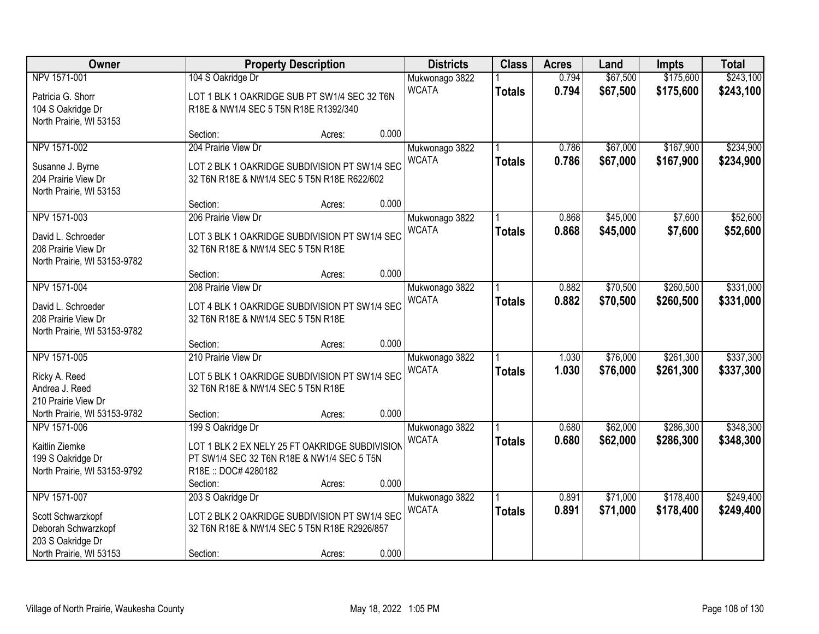| Owner                        |                                                | <b>Property Description</b> |       | <b>Districts</b>               | <b>Class</b>  | <b>Acres</b> | Land     | <b>Impts</b> | <b>Total</b> |
|------------------------------|------------------------------------------------|-----------------------------|-------|--------------------------------|---------------|--------------|----------|--------------|--------------|
| NPV 1571-001                 | 104 S Oakridge Dr                              |                             |       | Mukwonago 3822                 |               | 0.794        | \$67,500 | \$175,600    | \$243,100    |
| Patricia G. Shorr            | LOT 1 BLK 1 OAKRIDGE SUB PT SW1/4 SEC 32 T6N   |                             |       | <b>WCATA</b>                   | <b>Totals</b> | 0.794        | \$67,500 | \$175,600    | \$243,100    |
| 104 S Oakridge Dr            | R18E & NW1/4 SEC 5 T5N R18E R1392/340          |                             |       |                                |               |              |          |              |              |
| North Prairie, WI 53153      |                                                |                             |       |                                |               |              |          |              |              |
|                              | Section:                                       | Acres:                      | 0.000 |                                |               |              |          |              |              |
| NPV 1571-002                 | 204 Prairie View Dr                            |                             |       | Mukwonago 3822                 |               | 0.786        | \$67,000 | \$167,900    | \$234,900    |
| Susanne J. Byrne             | LOT 2 BLK 1 OAKRIDGE SUBDIVISION PT SW1/4 SEC  |                             |       | <b>WCATA</b>                   | <b>Totals</b> | 0.786        | \$67,000 | \$167,900    | \$234,900    |
| 204 Prairie View Dr          | 32 T6N R18E & NW1/4 SEC 5 T5N R18E R622/602    |                             |       |                                |               |              |          |              |              |
| North Prairie, WI 53153      |                                                |                             |       |                                |               |              |          |              |              |
|                              | Section:                                       | Acres:                      | 0.000 |                                |               |              |          |              |              |
| NPV 1571-003                 | 206 Prairie View Dr                            |                             |       | Mukwonago 3822                 |               | 0.868        | \$45,000 | \$7,600      | \$52,600     |
|                              |                                                |                             |       | <b>WCATA</b>                   | <b>Totals</b> | 0.868        | \$45,000 | \$7,600      | \$52,600     |
| David L. Schroeder           | LOT 3 BLK 1 OAKRIDGE SUBDIVISION PT SW1/4 SEC  |                             |       |                                |               |              |          |              |              |
| 208 Prairie View Dr          | 32 T6N R18E & NW1/4 SEC 5 T5N R18E             |                             |       |                                |               |              |          |              |              |
| North Prairie, WI 53153-9782 | Section:                                       |                             | 0.000 |                                |               |              |          |              |              |
| NPV 1571-004                 | 208 Prairie View Dr                            | Acres:                      |       |                                |               | 0.882        | \$70,500 | \$260,500    | \$331,000    |
|                              |                                                |                             |       | Mukwonago 3822<br><b>WCATA</b> |               |              |          |              |              |
| David L. Schroeder           | LOT 4 BLK 1 OAKRIDGE SUBDIVISION PT SW1/4 SEC  |                             |       |                                | <b>Totals</b> | 0.882        | \$70,500 | \$260,500    | \$331,000    |
| 208 Prairie View Dr          | 32 T6N R18E & NW1/4 SEC 5 T5N R18E             |                             |       |                                |               |              |          |              |              |
| North Prairie, WI 53153-9782 |                                                |                             |       |                                |               |              |          |              |              |
|                              | Section:                                       | Acres:                      | 0.000 |                                |               |              |          |              |              |
| NPV 1571-005                 | 210 Prairie View Dr                            |                             |       | Mukwonago 3822                 |               | 1.030        | \$76,000 | \$261,300    | \$337,300    |
| Ricky A. Reed                | LOT 5 BLK 1 OAKRIDGE SUBDIVISION PT SW1/4 SEC  |                             |       | <b>WCATA</b>                   | <b>Totals</b> | 1.030        | \$76,000 | \$261,300    | \$337,300    |
| Andrea J. Reed               | 32 T6N R18E & NW1/4 SEC 5 T5N R18E             |                             |       |                                |               |              |          |              |              |
| 210 Prairie View Dr          |                                                |                             |       |                                |               |              |          |              |              |
| North Prairie, WI 53153-9782 | Section:                                       | Acres:                      | 0.000 |                                |               |              |          |              |              |
| NPV 1571-006                 | 199 S Oakridge Dr                              |                             |       | Mukwonago 3822                 |               | 0.680        | \$62,000 | \$286,300    | \$348,300    |
| Kaitlin Ziemke               | LOT 1 BLK 2 EX NELY 25 FT OAKRIDGE SUBDIVISION |                             |       | <b>WCATA</b>                   | <b>Totals</b> | 0.680        | \$62,000 | \$286,300    | \$348,300    |
| 199 S Oakridge Dr            | PT SW1/4 SEC 32 T6N R18E & NW1/4 SEC 5 T5N     |                             |       |                                |               |              |          |              |              |
| North Prairie, WI 53153-9792 | R18E:: DOC# 4280182                            |                             |       |                                |               |              |          |              |              |
|                              | Section:                                       | Acres:                      | 0.000 |                                |               |              |          |              |              |
| NPV 1571-007                 | 203 S Oakridge Dr                              |                             |       | Mukwonago 3822                 |               | 0.891        | \$71,000 | \$178,400    | \$249,400    |
|                              |                                                |                             |       | <b>WCATA</b>                   | <b>Totals</b> | 0.891        | \$71,000 | \$178,400    | \$249,400    |
| Scott Schwarzkopf            | LOT 2 BLK 2 OAKRIDGE SUBDIVISION PT SW1/4 SEC  |                             |       |                                |               |              |          |              |              |
| Deborah Schwarzkopf          | 32 T6N R18E & NW1/4 SEC 5 T5N R18E R2926/857   |                             |       |                                |               |              |          |              |              |
| 203 S Oakridge Dr            |                                                |                             |       |                                |               |              |          |              |              |
| North Prairie, WI 53153      | Section:                                       | Acres:                      | 0.000 |                                |               |              |          |              |              |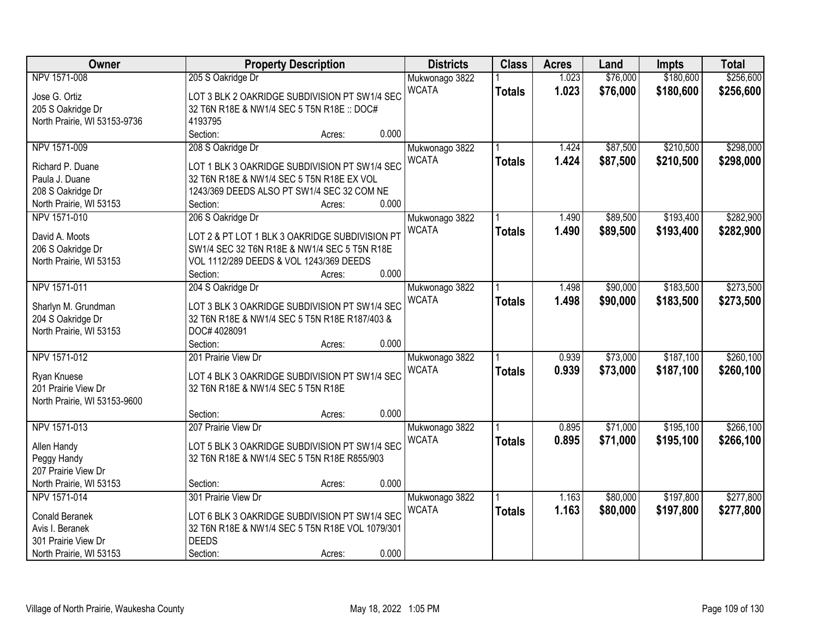| Owner                        | <b>Property Description</b>                     |        |       | <b>Districts</b> | <b>Class</b>  | <b>Acres</b> | Land     | <b>Impts</b> | <b>Total</b> |
|------------------------------|-------------------------------------------------|--------|-------|------------------|---------------|--------------|----------|--------------|--------------|
| NPV 1571-008                 | 205 S Oakridge Dr                               |        |       | Mukwonago 3822   |               | 1.023        | \$76,000 | \$180,600    | \$256,600    |
| Jose G. Ortiz                | LOT 3 BLK 2 OAKRIDGE SUBDIVISION PT SW1/4 SEC   |        |       | <b>WCATA</b>     | <b>Totals</b> | 1.023        | \$76,000 | \$180,600    | \$256,600    |
| 205 S Oakridge Dr            | 32 T6N R18E & NW1/4 SEC 5 T5N R18E :: DOC#      |        |       |                  |               |              |          |              |              |
| North Prairie, WI 53153-9736 | 4193795                                         |        |       |                  |               |              |          |              |              |
|                              | Section:                                        | Acres: | 0.000 |                  |               |              |          |              |              |
| NPV 1571-009                 | 208 S Oakridge Dr                               |        |       | Mukwonago 3822   |               | 1.424        | \$87,500 | \$210,500    | \$298,000    |
|                              |                                                 |        |       | <b>WCATA</b>     | <b>Totals</b> | 1.424        | \$87,500 | \$210,500    | \$298,000    |
| Richard P. Duane             | LOT 1 BLK 3 OAKRIDGE SUBDIVISION PT SW1/4 SEC   |        |       |                  |               |              |          |              |              |
| Paula J. Duane               | 32 T6N R18E & NW1/4 SEC 5 T5N R18E EX VOL       |        |       |                  |               |              |          |              |              |
| 208 S Oakridge Dr            | 1243/369 DEEDS ALSO PT SW1/4 SEC 32 COM NE      |        |       |                  |               |              |          |              |              |
| North Prairie, WI 53153      | Section:                                        | Acres: | 0.000 |                  |               |              |          |              |              |
| NPV 1571-010                 | 206 S Oakridge Dr                               |        |       | Mukwonago 3822   |               | 1.490        | \$89,500 | \$193,400    | \$282,900    |
| David A. Moots               | LOT 2 & PT LOT 1 BLK 3 OAKRIDGE SUBDIVISION PT  |        |       | <b>WCATA</b>     | <b>Totals</b> | 1.490        | \$89,500 | \$193,400    | \$282,900    |
| 206 S Oakridge Dr            | SW1/4 SEC 32 T6N R18E & NW1/4 SEC 5 T5N R18E    |        |       |                  |               |              |          |              |              |
| North Prairie, WI 53153      | VOL 1112/289 DEEDS & VOL 1243/369 DEEDS         |        |       |                  |               |              |          |              |              |
|                              | Section:                                        | Acres: | 0.000 |                  |               |              |          |              |              |
| NPV 1571-011                 | 204 S Oakridge Dr                               |        |       | Mukwonago 3822   |               | 1.498        | \$90,000 | \$183,500    | \$273,500    |
|                              |                                                 |        |       | <b>WCATA</b>     | <b>Totals</b> | 1.498        | \$90,000 | \$183,500    | \$273,500    |
| Sharlyn M. Grundman          | LOT 3 BLK 3 OAKRIDGE SUBDIVISION PT SW1/4 SEC   |        |       |                  |               |              |          |              |              |
| 204 S Oakridge Dr            | 32 T6N R18E & NW1/4 SEC 5 T5N R18E R187/403 &   |        |       |                  |               |              |          |              |              |
| North Prairie, WI 53153      | DOC# 4028091                                    |        |       |                  |               |              |          |              |              |
|                              | Section:                                        | Acres: | 0.000 |                  |               |              |          |              |              |
| NPV 1571-012                 | 201 Prairie View Dr                             |        |       | Mukwonago 3822   |               | 0.939        | \$73,000 | \$187,100    | \$260,100    |
| Ryan Knuese                  | LOT 4 BLK 3 OAKRIDGE SUBDIVISION PT SW1/4 SEC   |        |       | <b>WCATA</b>     | <b>Totals</b> | 0.939        | \$73,000 | \$187,100    | \$260,100    |
| 201 Prairie View Dr          | 32 T6N R18E & NW1/4 SEC 5 T5N R18E              |        |       |                  |               |              |          |              |              |
| North Prairie, WI 53153-9600 |                                                 |        |       |                  |               |              |          |              |              |
|                              | Section:                                        | Acres: | 0.000 |                  |               |              |          |              |              |
| NPV 1571-013                 | 207 Prairie View Dr                             |        |       | Mukwonago 3822   |               | 0.895        | \$71,000 | \$195,100    | \$266,100    |
| Allen Handy                  | LOT 5 BLK 3 OAKRIDGE SUBDIVISION PT SW1/4 SEC   |        |       | <b>WCATA</b>     | <b>Totals</b> | 0.895        | \$71,000 | \$195,100    | \$266,100    |
| Peggy Handy                  | 32 T6N R18E & NW1/4 SEC 5 T5N R18E R855/903     |        |       |                  |               |              |          |              |              |
| 207 Prairie View Dr          |                                                 |        |       |                  |               |              |          |              |              |
| North Prairie, WI 53153      | Section:                                        | Acres: | 0.000 |                  |               |              |          |              |              |
| NPV 1571-014                 | 301 Prairie View Dr                             |        |       | Mukwonago 3822   |               | 1.163        | \$80,000 | \$197,800    | \$277,800    |
|                              |                                                 |        |       | <b>WCATA</b>     | <b>Totals</b> | 1.163        | \$80,000 | \$197,800    | \$277,800    |
| Conald Beranek               | LOT 6 BLK 3 OAKRIDGE SUBDIVISION PT SW1/4 SEC   |        |       |                  |               |              |          |              |              |
| Avis I. Beranek              | 32 T6N R18E & NW1/4 SEC 5 T5N R18E VOL 1079/301 |        |       |                  |               |              |          |              |              |
| 301 Prairie View Dr          | <b>DEEDS</b>                                    |        |       |                  |               |              |          |              |              |
| North Prairie, WI 53153      | Section:                                        | Acres: | 0.000 |                  |               |              |          |              |              |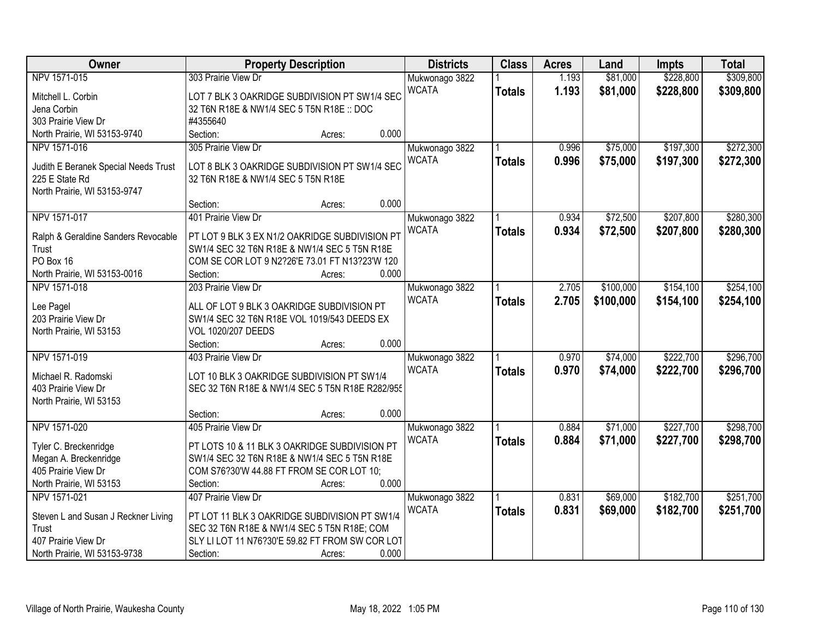| Owner                                | <b>Property Description</b>                     | <b>Districts</b> | <b>Class</b>  | <b>Acres</b> | Land      | <b>Impts</b> | <b>Total</b> |
|--------------------------------------|-------------------------------------------------|------------------|---------------|--------------|-----------|--------------|--------------|
| NPV 1571-015                         | 303 Prairie View Dr                             | Mukwonago 3822   |               | 1.193        | \$81,000  | \$228,800    | \$309,800    |
| Mitchell L. Corbin                   | LOT 7 BLK 3 OAKRIDGE SUBDIVISION PT SW1/4 SEC   | <b>WCATA</b>     | <b>Totals</b> | 1.193        | \$81,000  | \$228,800    | \$309,800    |
| Jena Corbin                          | 32 T6N R18E & NW1/4 SEC 5 T5N R18E :: DOC       |                  |               |              |           |              |              |
| 303 Prairie View Dr                  | #4355640                                        |                  |               |              |           |              |              |
| North Prairie, WI 53153-9740         | 0.000<br>Section:<br>Acres:                     |                  |               |              |           |              |              |
| NPV 1571-016                         | 305 Prairie View Dr                             | Mukwonago 3822   |               | 0.996        | \$75,000  | \$197,300    | \$272,300    |
|                                      |                                                 | <b>WCATA</b>     | <b>Totals</b> | 0.996        | \$75,000  | \$197,300    | \$272,300    |
| Judith E Beranek Special Needs Trust | LOT 8 BLK 3 OAKRIDGE SUBDIVISION PT SW1/4 SEC   |                  |               |              |           |              |              |
| 225 E State Rd                       | 32 T6N R18E & NW1/4 SEC 5 T5N R18E              |                  |               |              |           |              |              |
| North Prairie, WI 53153-9747         | 0.000                                           |                  |               |              |           |              |              |
|                                      | Section:<br>Acres:                              |                  |               |              |           |              |              |
| NPV 1571-017                         | 401 Prairie View Dr                             | Mukwonago 3822   |               | 0.934        | \$72,500  | \$207,800    | \$280,300    |
| Ralph & Geraldine Sanders Revocable  | PT LOT 9 BLK 3 EX N1/2 OAKRIDGE SUBDIVISION PT  | <b>WCATA</b>     | <b>Totals</b> | 0.934        | \$72,500  | \$207,800    | \$280,300    |
| Trust                                | SW1/4 SEC 32 T6N R18E & NW1/4 SEC 5 T5N R18E    |                  |               |              |           |              |              |
| PO Box 16                            | COM SE COR LOT 9 N2?26'E 73.01 FT N13?23'W 120  |                  |               |              |           |              |              |
| North Prairie, WI 53153-0016         | 0.000<br>Section:<br>Acres:                     |                  |               |              |           |              |              |
| NPV 1571-018                         | 203 Prairie View Dr                             | Mukwonago 3822   |               | 2.705        | \$100,000 | \$154,100    | \$254,100    |
| Lee Pagel                            | ALL OF LOT 9 BLK 3 OAKRIDGE SUBDIVISION PT      | <b>WCATA</b>     | <b>Totals</b> | 2.705        | \$100,000 | \$154,100    | \$254,100    |
| 203 Prairie View Dr                  | SW1/4 SEC 32 T6N R18E VOL 1019/543 DEEDS EX     |                  |               |              |           |              |              |
| North Prairie, WI 53153              | <b>VOL 1020/207 DEEDS</b>                       |                  |               |              |           |              |              |
|                                      | 0.000<br>Section:<br>Acres:                     |                  |               |              |           |              |              |
| NPV 1571-019                         | 403 Prairie View Dr                             | Mukwonago 3822   |               | 0.970        | \$74,000  | \$222,700    | \$296,700    |
|                                      |                                                 | <b>WCATA</b>     | <b>Totals</b> | 0.970        | \$74,000  | \$222,700    | \$296,700    |
| Michael R. Radomski                  | LOT 10 BLK 3 OAKRIDGE SUBDIVISION PT SW1/4      |                  |               |              |           |              |              |
| 403 Prairie View Dr                  | SEC 32 T6N R18E & NW1/4 SEC 5 T5N R18E R282/955 |                  |               |              |           |              |              |
| North Prairie, WI 53153              |                                                 |                  |               |              |           |              |              |
|                                      | 0.000<br>Section:<br>Acres:                     |                  |               |              |           |              |              |
| NPV 1571-020                         | 405 Prairie View Dr                             | Mukwonago 3822   |               | 0.884        | \$71,000  | \$227,700    | \$298,700    |
| Tyler C. Breckenridge                | PT LOTS 10 & 11 BLK 3 OAKRIDGE SUBDIVISION PT   | <b>WCATA</b>     | <b>Totals</b> | 0.884        | \$71,000  | \$227,700    | \$298,700    |
| Megan A. Breckenridge                | SW1/4 SEC 32 T6N R18E & NW1/4 SEC 5 T5N R18E    |                  |               |              |           |              |              |
| 405 Prairie View Dr                  | COM S76?30'W 44.88 FT FROM SE COR LOT 10;       |                  |               |              |           |              |              |
| North Prairie, WI 53153              | 0.000<br>Section:<br>Acres:                     |                  |               |              |           |              |              |
| NPV 1571-021                         | 407 Prairie View Dr                             | Mukwonago 3822   |               | 0.831        | \$69,000  | \$182,700    | \$251,700    |
|                                      |                                                 | <b>WCATA</b>     | <b>Totals</b> | 0.831        | \$69,000  | \$182,700    | \$251,700    |
| Steven L and Susan J Reckner Living  | PT LOT 11 BLK 3 OAKRIDGE SUBDIVISION PT SW1/4   |                  |               |              |           |              |              |
| Trust                                | SEC 32 T6N R18E & NW1/4 SEC 5 T5N R18E; COM     |                  |               |              |           |              |              |
| 407 Prairie View Dr                  | SLY LI LOT 11 N76?30'E 59.82 FT FROM SW COR LOT |                  |               |              |           |              |              |
| North Prairie, WI 53153-9738         | 0.000<br>Section:<br>Acres:                     |                  |               |              |           |              |              |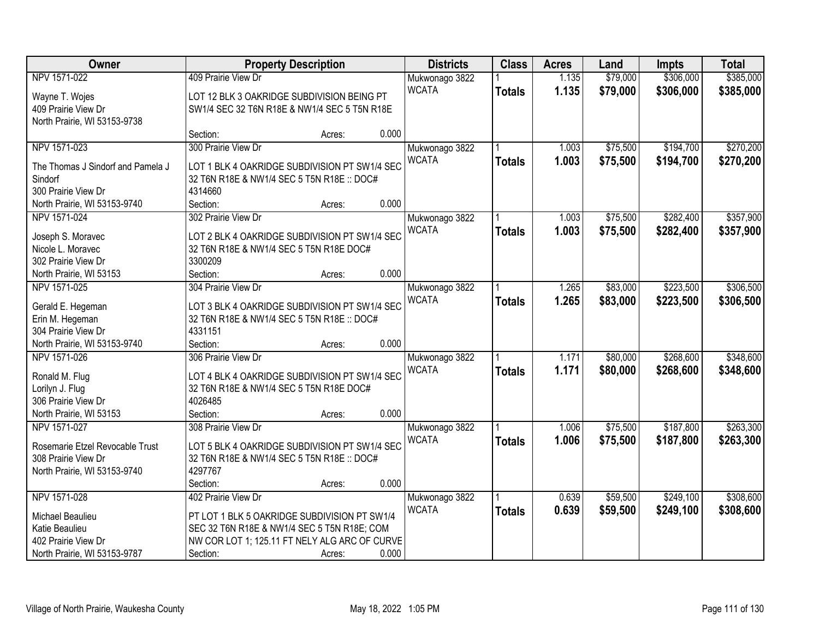| Owner                             |                                               | <b>Property Description</b> |       | <b>Districts</b> | <b>Class</b>  | <b>Acres</b> | Land     | <b>Impts</b> | <b>Total</b> |
|-----------------------------------|-----------------------------------------------|-----------------------------|-------|------------------|---------------|--------------|----------|--------------|--------------|
| NPV 1571-022                      | 409 Prairie View Dr                           |                             |       | Mukwonago 3822   |               | 1.135        | \$79,000 | \$306,000    | \$385,000    |
| Wayne T. Wojes                    | LOT 12 BLK 3 OAKRIDGE SUBDIVISION BEING PT    |                             |       | <b>WCATA</b>     | <b>Totals</b> | 1.135        | \$79,000 | \$306,000    | \$385,000    |
| 409 Prairie View Dr               | SW1/4 SEC 32 T6N R18E & NW1/4 SEC 5 T5N R18E  |                             |       |                  |               |              |          |              |              |
| North Prairie, WI 53153-9738      |                                               |                             |       |                  |               |              |          |              |              |
|                                   | Section:                                      | Acres:                      | 0.000 |                  |               |              |          |              |              |
| NPV 1571-023                      | 300 Prairie View Dr                           |                             |       | Mukwonago 3822   |               | 1.003        | \$75,500 | \$194,700    | \$270,200    |
|                                   |                                               |                             |       | <b>WCATA</b>     | <b>Totals</b> | 1.003        | \$75,500 | \$194,700    | \$270,200    |
| The Thomas J Sindorf and Pamela J | LOT 1 BLK 4 OAKRIDGE SUBDIVISION PT SW1/4 SEC |                             |       |                  |               |              |          |              |              |
| Sindorf                           | 32 T6N R18E & NW1/4 SEC 5 T5N R18E :: DOC#    |                             |       |                  |               |              |          |              |              |
| 300 Prairie View Dr               | 4314660                                       |                             |       |                  |               |              |          |              |              |
| North Prairie, WI 53153-9740      | Section:                                      | Acres:                      | 0.000 |                  |               |              |          |              |              |
| NPV 1571-024                      | 302 Prairie View Dr                           |                             |       | Mukwonago 3822   |               | 1.003        | \$75,500 | \$282,400    | \$357,900    |
| Joseph S. Moravec                 | LOT 2 BLK 4 OAKRIDGE SUBDIVISION PT SW1/4 SEC |                             |       | <b>WCATA</b>     | <b>Totals</b> | 1.003        | \$75,500 | \$282,400    | \$357,900    |
| Nicole L. Moravec                 | 32 T6N R18E & NW1/4 SEC 5 T5N R18E DOC#       |                             |       |                  |               |              |          |              |              |
| 302 Prairie View Dr               | 3300209                                       |                             |       |                  |               |              |          |              |              |
| North Prairie, WI 53153           | Section:                                      | Acres:                      | 0.000 |                  |               |              |          |              |              |
| NPV 1571-025                      | 304 Prairie View Dr                           |                             |       | Mukwonago 3822   |               | 1.265        | \$83,000 | \$223,500    | \$306,500    |
|                                   |                                               |                             |       | <b>WCATA</b>     | <b>Totals</b> | 1.265        | \$83,000 | \$223,500    | \$306,500    |
| Gerald E. Hegeman                 | LOT 3 BLK 4 OAKRIDGE SUBDIVISION PT SW1/4 SEC |                             |       |                  |               |              |          |              |              |
| Erin M. Hegeman                   | 32 T6N R18E & NW1/4 SEC 5 T5N R18E :: DOC#    |                             |       |                  |               |              |          |              |              |
| 304 Prairie View Dr               | 4331151                                       |                             |       |                  |               |              |          |              |              |
| North Prairie, WI 53153-9740      | Section:                                      | Acres:                      | 0.000 |                  |               |              |          |              |              |
| NPV 1571-026                      | 306 Prairie View Dr                           |                             |       | Mukwonago 3822   |               | 1.171        | \$80,000 | \$268,600    | \$348,600    |
| Ronald M. Flug                    | LOT 4 BLK 4 OAKRIDGE SUBDIVISION PT SW1/4 SEC |                             |       | <b>WCATA</b>     | <b>Totals</b> | 1.171        | \$80,000 | \$268,600    | \$348,600    |
| Lorilyn J. Flug                   | 32 T6N R18E & NW1/4 SEC 5 T5N R18E DOC#       |                             |       |                  |               |              |          |              |              |
| 306 Prairie View Dr               | 4026485                                       |                             |       |                  |               |              |          |              |              |
| North Prairie, WI 53153           | Section:                                      | Acres:                      | 0.000 |                  |               |              |          |              |              |
| NPV 1571-027                      | 308 Prairie View Dr                           |                             |       | Mukwonago 3822   |               | 1.006        | \$75,500 | \$187,800    | \$263,300    |
|                                   |                                               |                             |       | <b>WCATA</b>     | <b>Totals</b> | 1.006        | \$75,500 | \$187,800    | \$263,300    |
| Rosemarie Etzel Revocable Trust   | LOT 5 BLK 4 OAKRIDGE SUBDIVISION PT SW1/4 SEC |                             |       |                  |               |              |          |              |              |
| 308 Prairie View Dr               | 32 T6N R18E & NW1/4 SEC 5 T5N R18E :: DOC#    |                             |       |                  |               |              |          |              |              |
| North Prairie, WI 53153-9740      | 4297767                                       |                             |       |                  |               |              |          |              |              |
|                                   | Section:                                      | Acres:                      | 0.000 |                  |               |              |          |              |              |
| NPV 1571-028                      | 402 Prairie View Dr                           |                             |       | Mukwonago 3822   |               | 0.639        | \$59,500 | \$249,100    | \$308,600    |
| Michael Beaulieu                  | PT LOT 1 BLK 5 OAKRIDGE SUBDIVISION PT SW1/4  |                             |       | <b>WCATA</b>     | <b>Totals</b> | 0.639        | \$59,500 | \$249,100    | \$308,600    |
| Katie Beaulieu                    | SEC 32 T6N R18E & NW1/4 SEC 5 T5N R18E; COM   |                             |       |                  |               |              |          |              |              |
| 402 Prairie View Dr               | NW COR LOT 1; 125.11 FT NELY ALG ARC OF CURVE |                             |       |                  |               |              |          |              |              |
| North Prairie, WI 53153-9787      | Section:                                      | Acres:                      | 0.000 |                  |               |              |          |              |              |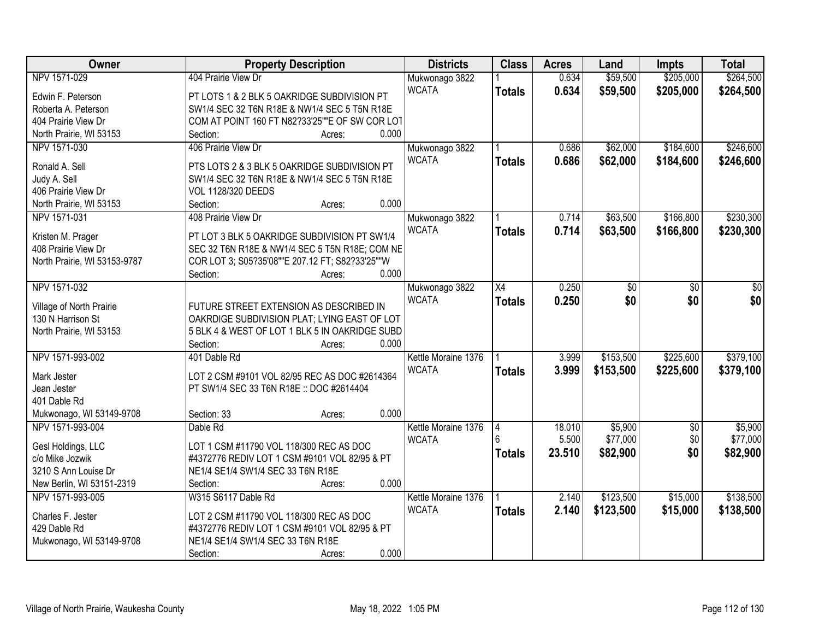| Owner                                    | <b>Property Description</b>                                                                       | <b>Districts</b>    | <b>Class</b>    | <b>Acres</b> | Land      | <b>Impts</b>    | <b>Total</b> |
|------------------------------------------|---------------------------------------------------------------------------------------------------|---------------------|-----------------|--------------|-----------|-----------------|--------------|
| NPV 1571-029                             | 404 Prairie View Dr                                                                               | Mukwonago 3822      |                 | 0.634        | \$59,500  | \$205,000       | \$264,500    |
| Edwin F. Peterson                        | PT LOTS 1 & 2 BLK 5 OAKRIDGE SUBDIVISION PT                                                       | <b>WCATA</b>        | <b>Totals</b>   | 0.634        | \$59,500  | \$205,000       | \$264,500    |
| Roberta A. Peterson                      | SW1/4 SEC 32 T6N R18E & NW1/4 SEC 5 T5N R18E                                                      |                     |                 |              |           |                 |              |
| 404 Prairie View Dr                      | COM AT POINT 160 FT N82?33'25""E OF SW COR LOT                                                    |                     |                 |              |           |                 |              |
| North Prairie, WI 53153                  | 0.000<br>Section:<br>Acres:                                                                       |                     |                 |              |           |                 |              |
| NPV 1571-030                             | 406 Prairie View Dr                                                                               | Mukwonago 3822      |                 | 0.686        | \$62,000  | \$184,600       | \$246,600    |
|                                          |                                                                                                   | <b>WCATA</b>        | <b>Totals</b>   | 0.686        | \$62,000  | \$184,600       | \$246,600    |
| Ronald A. Sell                           | PTS LOTS 2 & 3 BLK 5 OAKRIDGE SUBDIVISION PT                                                      |                     |                 |              |           |                 |              |
| Judy A. Sell                             | SW1/4 SEC 32 T6N R18E & NW1/4 SEC 5 T5N R18E                                                      |                     |                 |              |           |                 |              |
| 406 Prairie View Dr                      | <b>VOL 1128/320 DEEDS</b>                                                                         |                     |                 |              |           |                 |              |
| North Prairie, WI 53153                  | 0.000<br>Section:<br>Acres:                                                                       |                     |                 |              |           |                 |              |
| NPV 1571-031                             | 408 Prairie View Dr                                                                               | Mukwonago 3822      |                 | 0.714        | \$63,500  | \$166,800       | \$230,300    |
|                                          | PT LOT 3 BLK 5 OAKRIDGE SUBDIVISION PT SW1/4                                                      | <b>WCATA</b>        | <b>Totals</b>   | 0.714        | \$63,500  | \$166,800       | \$230,300    |
| Kristen M. Prager<br>408 Prairie View Dr |                                                                                                   |                     |                 |              |           |                 |              |
|                                          | SEC 32 T6N R18E & NW1/4 SEC 5 T5N R18E; COM NE<br>COR LOT 3; S05?35'08""E 207.12 FT; S82?33'25""W |                     |                 |              |           |                 |              |
| North Prairie, WI 53153-9787             | 0.000<br>Section:                                                                                 |                     |                 |              |           |                 |              |
|                                          | Acres:                                                                                            |                     |                 |              |           |                 |              |
| NPV 1571-032                             |                                                                                                   | Mukwonago 3822      | $\overline{X4}$ | 0.250        | \$0       | \$0             | \$0          |
| Village of North Prairie                 | FUTURE STREET EXTENSION AS DESCRIBED IN                                                           | <b>WCATA</b>        | <b>Totals</b>   | 0.250        | \$0       | \$0             | \$0          |
| 130 N Harrison St                        | OAKRDIGE SUBDIVISION PLAT; LYING EAST OF LOT                                                      |                     |                 |              |           |                 |              |
| North Prairie, WI 53153                  | 5 BLK 4 & WEST OF LOT 1 BLK 5 IN OAKRIDGE SUBD                                                    |                     |                 |              |           |                 |              |
|                                          | 0.000<br>Section:<br>Acres:                                                                       |                     |                 |              |           |                 |              |
| NPV 1571-993-002                         | 401 Dable Rd                                                                                      | Kettle Moraine 1376 |                 | 3.999        | \$153,500 | \$225,600       | \$379,100    |
|                                          |                                                                                                   | <b>WCATA</b>        | <b>Totals</b>   | 3.999        | \$153,500 | \$225,600       | \$379,100    |
| Mark Jester                              | LOT 2 CSM #9101 VOL 82/95 REC AS DOC #2614364                                                     |                     |                 |              |           |                 |              |
| Jean Jester                              | PT SW1/4 SEC 33 T6N R18E :: DOC #2614404                                                          |                     |                 |              |           |                 |              |
| 401 Dable Rd                             |                                                                                                   |                     |                 |              |           |                 |              |
| Mukwonago, WI 53149-9708                 | 0.000<br>Section: 33<br>Acres:                                                                    |                     |                 |              |           |                 |              |
| NPV 1571-993-004                         | Dable Rd                                                                                          | Kettle Moraine 1376 | 4               | 18.010       | \$5,900   | $\overline{50}$ | \$5,900      |
| Gesl Holdings, LLC                       | LOT 1 CSM #11790 VOL 118/300 REC AS DOC                                                           | <b>WCATA</b>        |                 | 5.500        | \$77,000  | \$0             | \$77,000     |
| c/o Mike Jozwik                          | #4372776 REDIV LOT 1 CSM #9101 VOL 82/95 & PT                                                     |                     | <b>Totals</b>   | 23.510       | \$82,900  | \$0             | \$82,900     |
| 3210 S Ann Louise Dr                     | NE1/4 SE1/4 SW1/4 SEC 33 T6N R18E                                                                 |                     |                 |              |           |                 |              |
| New Berlin, WI 53151-2319                | 0.000<br>Section:<br>Acres:                                                                       |                     |                 |              |           |                 |              |
| NPV 1571-993-005                         | W315 S6117 Dable Rd                                                                               | Kettle Moraine 1376 |                 | 2.140        | \$123,500 | \$15,000        | \$138,500    |
|                                          |                                                                                                   | <b>WCATA</b>        | <b>Totals</b>   | 2.140        | \$123,500 | \$15,000        | \$138,500    |
| Charles F. Jester                        | LOT 2 CSM #11790 VOL 118/300 REC AS DOC                                                           |                     |                 |              |           |                 |              |
| 429 Dable Rd                             | #4372776 REDIV LOT 1 CSM #9101 VOL 82/95 & PT                                                     |                     |                 |              |           |                 |              |
| Mukwonago, WI 53149-9708                 | NE1/4 SE1/4 SW1/4 SEC 33 T6N R18E                                                                 |                     |                 |              |           |                 |              |
|                                          | 0.000<br>Section:<br>Acres:                                                                       |                     |                 |              |           |                 |              |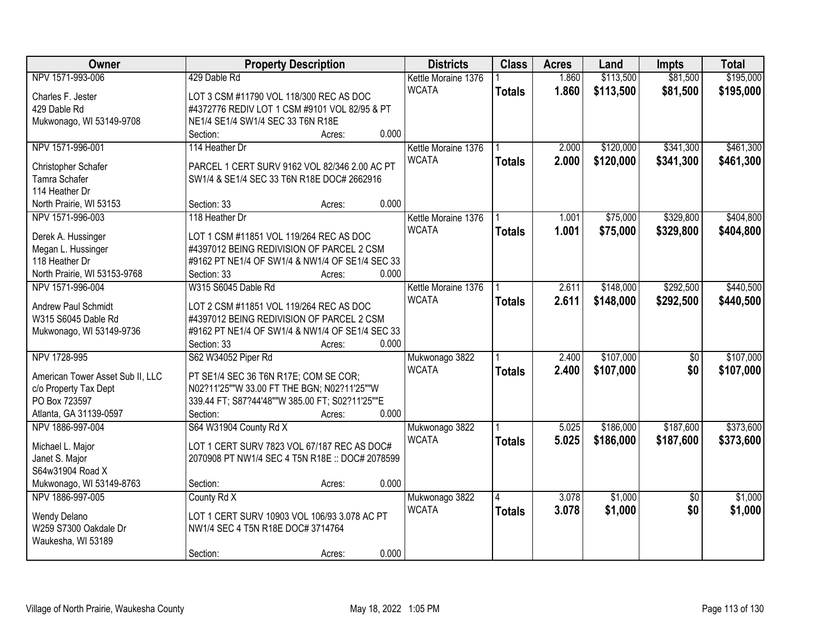| Owner                            | <b>Property Description</b>                     |        |       | <b>Districts</b>    | <b>Class</b>  | <b>Acres</b> | Land      | <b>Impts</b>    | <b>Total</b> |
|----------------------------------|-------------------------------------------------|--------|-------|---------------------|---------------|--------------|-----------|-----------------|--------------|
| NPV 1571-993-006                 | 429 Dable Rd                                    |        |       | Kettle Moraine 1376 |               | 1.860        | \$113,500 | \$81,500        | \$195,000    |
| Charles F. Jester                | LOT 3 CSM #11790 VOL 118/300 REC AS DOC         |        |       | <b>WCATA</b>        | <b>Totals</b> | 1.860        | \$113,500 | \$81,500        | \$195,000    |
| 429 Dable Rd                     | #4372776 REDIV LOT 1 CSM #9101 VOL 82/95 & PT   |        |       |                     |               |              |           |                 |              |
| Mukwonago, WI 53149-9708         | NE1/4 SE1/4 SW1/4 SEC 33 T6N R18E               |        |       |                     |               |              |           |                 |              |
|                                  | Section:                                        | Acres: | 0.000 |                     |               |              |           |                 |              |
| NPV 1571-996-001                 | 114 Heather Dr                                  |        |       | Kettle Moraine 1376 |               | 2.000        | \$120,000 | \$341,300       | \$461,300    |
|                                  |                                                 |        |       | <b>WCATA</b>        | <b>Totals</b> | 2.000        | \$120,000 | \$341,300       | \$461,300    |
| Christopher Schafer              | PARCEL 1 CERT SURV 9162 VOL 82/346 2.00 AC PT   |        |       |                     |               |              |           |                 |              |
| Tamra Schafer                    | SW1/4 & SE1/4 SEC 33 T6N R18E DOC# 2662916      |        |       |                     |               |              |           |                 |              |
| 114 Heather Dr                   |                                                 |        |       |                     |               |              |           |                 |              |
| North Prairie, WI 53153          | Section: 33                                     | Acres: | 0.000 |                     |               |              |           |                 |              |
| NPV 1571-996-003                 | 118 Heather Dr                                  |        |       | Kettle Moraine 1376 |               | 1.001        | \$75,000  | \$329,800       | \$404,800    |
| Derek A. Hussinger               | LOT 1 CSM #11851 VOL 119/264 REC AS DOC         |        |       | <b>WCATA</b>        | <b>Totals</b> | 1.001        | \$75,000  | \$329,800       | \$404,800    |
| Megan L. Hussinger               | #4397012 BEING REDIVISION OF PARCEL 2 CSM       |        |       |                     |               |              |           |                 |              |
| 118 Heather Dr                   | #9162 PT NE1/4 OF SW1/4 & NW1/4 OF SE1/4 SEC 33 |        |       |                     |               |              |           |                 |              |
| North Prairie, WI 53153-9768     | Section: 33                                     | Acres: | 0.000 |                     |               |              |           |                 |              |
| NPV 1571-996-004                 | W315 S6045 Dable Rd                             |        |       | Kettle Moraine 1376 |               | 2.611        | \$148,000 | \$292,500       | \$440,500    |
|                                  |                                                 |        |       | <b>WCATA</b>        | <b>Totals</b> | 2.611        | \$148,000 | \$292,500       | \$440,500    |
| Andrew Paul Schmidt              | LOT 2 CSM #11851 VOL 119/264 REC AS DOC         |        |       |                     |               |              |           |                 |              |
| W315 S6045 Dable Rd              | #4397012 BEING REDIVISION OF PARCEL 2 CSM       |        |       |                     |               |              |           |                 |              |
| Mukwonago, WI 53149-9736         | #9162 PT NE1/4 OF SW1/4 & NW1/4 OF SE1/4 SEC 33 |        |       |                     |               |              |           |                 |              |
|                                  | Section: 33                                     | Acres: | 0.000 |                     |               |              |           |                 |              |
| NPV 1728-995                     | S62 W34052 Piper Rd                             |        |       | Mukwonago 3822      |               | 2.400        | \$107,000 | \$0             | \$107,000    |
| American Tower Asset Sub II, LLC | PT SE1/4 SEC 36 T6N R17E; COM SE COR;           |        |       | <b>WCATA</b>        | <b>Totals</b> | 2.400        | \$107,000 | \$0             | \$107,000    |
| c/o Property Tax Dept            | N02?11'25""W 33.00 FT THE BGN; N02?11'25""W     |        |       |                     |               |              |           |                 |              |
| PO Box 723597                    | 339.44 FT; S87?44'48""W 385.00 FT; S02?11'25""E |        |       |                     |               |              |           |                 |              |
| Atlanta, GA 31139-0597           | Section:                                        | Acres: | 0.000 |                     |               |              |           |                 |              |
| NPV 1886-997-004                 | S64 W31904 County Rd X                          |        |       | Mukwonago 3822      |               | 5.025        | \$186,000 | \$187,600       | \$373,600    |
|                                  |                                                 |        |       | <b>WCATA</b>        | <b>Totals</b> | 5.025        | \$186,000 | \$187,600       | \$373,600    |
| Michael L. Major                 | LOT 1 CERT SURV 7823 VOL 67/187 REC AS DOC#     |        |       |                     |               |              |           |                 |              |
| Janet S. Major                   | 2070908 PT NW1/4 SEC 4 T5N R18E :: DOC# 2078599 |        |       |                     |               |              |           |                 |              |
| S64w31904 Road X                 |                                                 |        |       |                     |               |              |           |                 |              |
| Mukwonago, WI 53149-8763         | Section:                                        | Acres: | 0.000 |                     |               |              |           |                 |              |
| NPV 1886-997-005                 | County Rd X                                     |        |       | Mukwonago 3822      |               | 3.078        | \$1,000   | $\overline{50}$ | \$1,000      |
| Wendy Delano                     | LOT 1 CERT SURV 10903 VOL 106/93 3.078 AC PT    |        |       | <b>WCATA</b>        | <b>Totals</b> | 3.078        | \$1,000   | \$0             | \$1,000      |
| W259 S7300 Oakdale Dr            | NW1/4 SEC 4 T5N R18E DOC# 3714764               |        |       |                     |               |              |           |                 |              |
| Waukesha, WI 53189               |                                                 |        |       |                     |               |              |           |                 |              |
|                                  | Section:                                        | Acres: | 0.000 |                     |               |              |           |                 |              |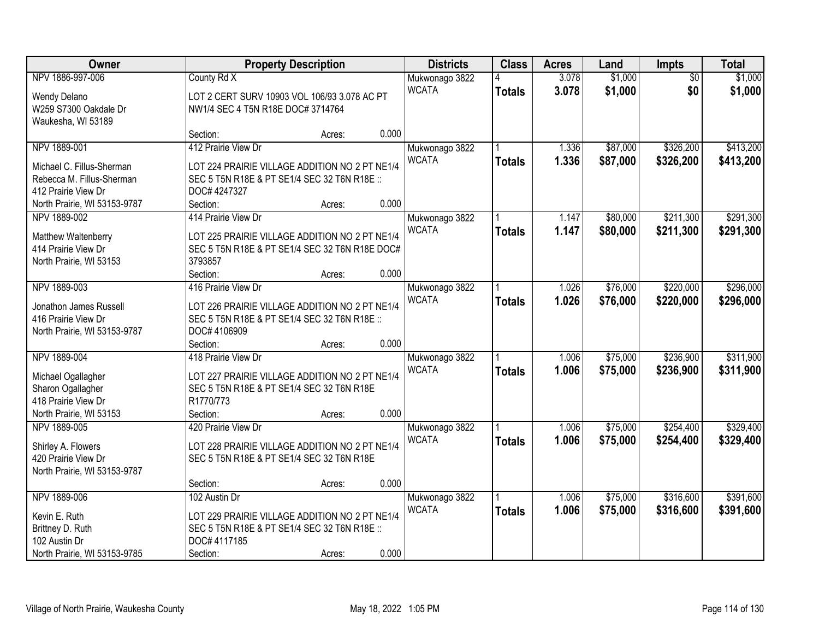| Owner                        |                                                | <b>Property Description</b> |       | <b>Districts</b> | <b>Class</b>  | <b>Acres</b> | Land     | Impts           | <b>Total</b> |
|------------------------------|------------------------------------------------|-----------------------------|-------|------------------|---------------|--------------|----------|-----------------|--------------|
| NPV 1886-997-006             | County Rd X                                    |                             |       | Mukwonago 3822   |               | 3.078        | \$1,000  | $\overline{50}$ | \$1,000      |
| Wendy Delano                 | LOT 2 CERT SURV 10903 VOL 106/93 3.078 AC PT   |                             |       | <b>WCATA</b>     | <b>Totals</b> | 3.078        | \$1,000  | \$0             | \$1,000      |
| W259 S7300 Oakdale Dr        | NW1/4 SEC 4 T5N R18E DOC# 3714764              |                             |       |                  |               |              |          |                 |              |
| Waukesha, WI 53189           |                                                |                             |       |                  |               |              |          |                 |              |
|                              | Section:                                       | Acres:                      | 0.000 |                  |               |              |          |                 |              |
| NPV 1889-001                 | 412 Prairie View Dr                            |                             |       | Mukwonago 3822   |               | 1.336        | \$87,000 | \$326,200       | \$413,200    |
| Michael C. Fillus-Sherman    | LOT 224 PRAIRIE VILLAGE ADDITION NO 2 PT NE1/4 |                             |       | <b>WCATA</b>     | <b>Totals</b> | 1.336        | \$87,000 | \$326,200       | \$413,200    |
| Rebecca M. Fillus-Sherman    | SEC 5 T5N R18E & PT SE1/4 SEC 32 T6N R18E ::   |                             |       |                  |               |              |          |                 |              |
| 412 Prairie View Dr          | DOC# 4247327                                   |                             |       |                  |               |              |          |                 |              |
| North Prairie, WI 53153-9787 | Section:                                       | Acres:                      | 0.000 |                  |               |              |          |                 |              |
| NPV 1889-002                 | 414 Prairie View Dr                            |                             |       | Mukwonago 3822   |               | 1.147        | \$80,000 | \$211,300       | \$291,300    |
|                              |                                                |                             |       | <b>WCATA</b>     | <b>Totals</b> | 1.147        | \$80,000 | \$211,300       | \$291,300    |
| Matthew Waltenberry          | LOT 225 PRAIRIE VILLAGE ADDITION NO 2 PT NE1/4 |                             |       |                  |               |              |          |                 |              |
| 414 Prairie View Dr          | SEC 5 T5N R18E & PT SE1/4 SEC 32 T6N R18E DOC# |                             |       |                  |               |              |          |                 |              |
| North Prairie, WI 53153      | 3793857                                        |                             |       |                  |               |              |          |                 |              |
|                              | Section:                                       | Acres:                      | 0.000 |                  |               |              |          |                 |              |
| NPV 1889-003                 | 416 Prairie View Dr                            |                             |       | Mukwonago 3822   |               | 1.026        | \$76,000 | \$220,000       | \$296,000    |
| Jonathon James Russell       | LOT 226 PRAIRIE VILLAGE ADDITION NO 2 PT NE1/4 |                             |       | <b>WCATA</b>     | <b>Totals</b> | 1.026        | \$76,000 | \$220,000       | \$296,000    |
| 416 Prairie View Dr          | SEC 5 T5N R18E & PT SE1/4 SEC 32 T6N R18E ::   |                             |       |                  |               |              |          |                 |              |
| North Prairie, WI 53153-9787 | DOC# 4106909                                   |                             |       |                  |               |              |          |                 |              |
|                              | Section:                                       | Acres:                      | 0.000 |                  |               |              |          |                 |              |
| NPV 1889-004                 | 418 Prairie View Dr                            |                             |       | Mukwonago 3822   |               | 1.006        | \$75,000 | \$236,900       | \$311,900    |
| Michael Ogallagher           | LOT 227 PRAIRIE VILLAGE ADDITION NO 2 PT NE1/4 |                             |       | <b>WCATA</b>     | <b>Totals</b> | 1.006        | \$75,000 | \$236,900       | \$311,900    |
| Sharon Ogallagher            | SEC 5 T5N R18E & PT SE1/4 SEC 32 T6N R18E      |                             |       |                  |               |              |          |                 |              |
| 418 Prairie View Dr          | R1770/773                                      |                             |       |                  |               |              |          |                 |              |
| North Prairie, WI 53153      | Section:                                       | Acres:                      | 0.000 |                  |               |              |          |                 |              |
| NPV 1889-005                 | 420 Prairie View Dr                            |                             |       | Mukwonago 3822   |               | 1.006        | \$75,000 | \$254,400       | \$329,400    |
|                              |                                                |                             |       | <b>WCATA</b>     | <b>Totals</b> | 1.006        | \$75,000 | \$254,400       | \$329,400    |
| Shirley A. Flowers           | LOT 228 PRAIRIE VILLAGE ADDITION NO 2 PT NE1/4 |                             |       |                  |               |              |          |                 |              |
| 420 Prairie View Dr          | SEC 5 T5N R18E & PT SE1/4 SEC 32 T6N R18E      |                             |       |                  |               |              |          |                 |              |
| North Prairie, WI 53153-9787 |                                                |                             |       |                  |               |              |          |                 |              |
|                              | Section:                                       | Acres:                      | 0.000 |                  |               |              |          |                 |              |
| NPV 1889-006                 | 102 Austin Dr                                  |                             |       | Mukwonago 3822   |               | 1.006        | \$75,000 | \$316,600       | \$391,600    |
| Kevin E. Ruth                | LOT 229 PRAIRIE VILLAGE ADDITION NO 2 PT NE1/4 |                             |       | <b>WCATA</b>     | <b>Totals</b> | 1.006        | \$75,000 | \$316,600       | \$391,600    |
| Brittney D. Ruth             | SEC 5 T5N R18E & PT SE1/4 SEC 32 T6N R18E ::   |                             |       |                  |               |              |          |                 |              |
| 102 Austin Dr                | DOC# 4117185                                   |                             |       |                  |               |              |          |                 |              |
| North Prairie, WI 53153-9785 | Section:                                       | Acres:                      | 0.000 |                  |               |              |          |                 |              |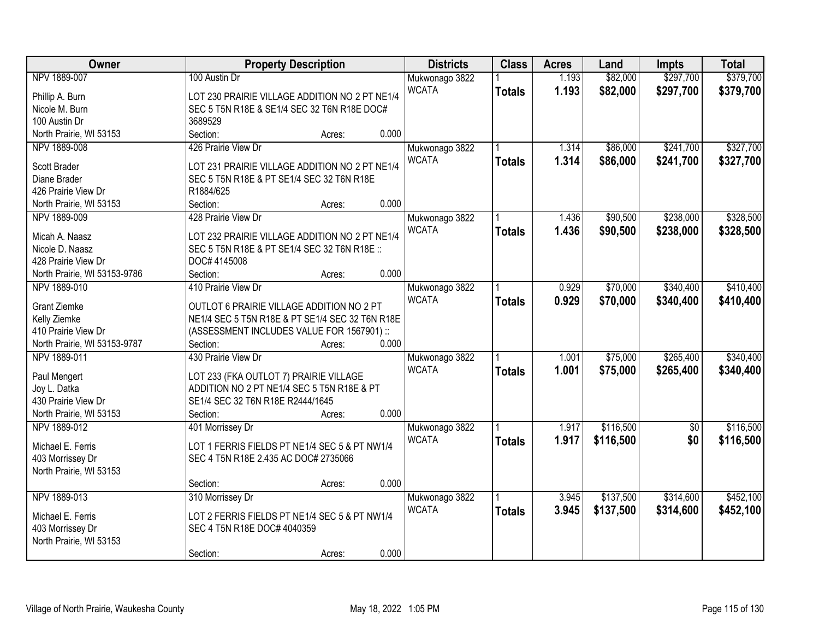| Owner                        |                                                        | <b>Property Description</b> |       | <b>Districts</b>               | <b>Class</b>  | <b>Acres</b> | Land      | <b>Impts</b>    | <b>Total</b> |
|------------------------------|--------------------------------------------------------|-----------------------------|-------|--------------------------------|---------------|--------------|-----------|-----------------|--------------|
| NPV 1889-007                 | 100 Austin Dr                                          |                             |       | Mukwonago 3822                 |               | 1.193        | \$82,000  | \$297,700       | \$379,700    |
| Phillip A. Burn              | LOT 230 PRAIRIE VILLAGE ADDITION NO 2 PT NE1/4         |                             |       | <b>WCATA</b>                   | <b>Totals</b> | 1.193        | \$82,000  | \$297,700       | \$379,700    |
| Nicole M. Burn               | SEC 5 T5N R18E & SE1/4 SEC 32 T6N R18E DOC#            |                             |       |                                |               |              |           |                 |              |
| 100 Austin Dr                | 3689529                                                |                             |       |                                |               |              |           |                 |              |
| North Prairie, WI 53153      | Section:                                               | Acres:                      | 0.000 |                                |               |              |           |                 |              |
| NPV 1889-008                 | 426 Prairie View Dr                                    |                             |       | Mukwonago 3822                 |               | 1.314        | \$86,000  | \$241,700       | \$327,700    |
|                              |                                                        |                             |       | <b>WCATA</b>                   | <b>Totals</b> | 1.314        | \$86,000  | \$241,700       | \$327,700    |
| Scott Brader<br>Diane Brader | LOT 231 PRAIRIE VILLAGE ADDITION NO 2 PT NE1/4         |                             |       |                                |               |              |           |                 |              |
| 426 Prairie View Dr          | SEC 5 T5N R18E & PT SE1/4 SEC 32 T6N R18E<br>R1884/625 |                             |       |                                |               |              |           |                 |              |
| North Prairie, WI 53153      | Section:                                               | Acres:                      | 0.000 |                                |               |              |           |                 |              |
| NPV 1889-009                 | 428 Prairie View Dr                                    |                             |       |                                |               | 1.436        | \$90,500  | \$238,000       | \$328,500    |
|                              |                                                        |                             |       | Mukwonago 3822<br><b>WCATA</b> |               |              |           |                 |              |
| Micah A. Naasz               | LOT 232 PRAIRIE VILLAGE ADDITION NO 2 PT NE1/4         |                             |       |                                | <b>Totals</b> | 1.436        | \$90,500  | \$238,000       | \$328,500    |
| Nicole D. Naasz              | SEC 5 T5N R18E & PT SE1/4 SEC 32 T6N R18E ::           |                             |       |                                |               |              |           |                 |              |
| 428 Prairie View Dr          | DOC# 4145008                                           |                             |       |                                |               |              |           |                 |              |
| North Prairie, WI 53153-9786 | Section:                                               | Acres:                      | 0.000 |                                |               |              |           |                 |              |
| NPV 1889-010                 | 410 Prairie View Dr                                    |                             |       | Mukwonago 3822                 |               | 0.929        | \$70,000  | \$340,400       | \$410,400    |
| <b>Grant Ziemke</b>          | OUTLOT 6 PRAIRIE VILLAGE ADDITION NO 2 PT              |                             |       | <b>WCATA</b>                   | <b>Totals</b> | 0.929        | \$70,000  | \$340,400       | \$410,400    |
| Kelly Ziemke                 | NE1/4 SEC 5 T5N R18E & PT SE1/4 SEC 32 T6N R18E        |                             |       |                                |               |              |           |                 |              |
| 410 Prairie View Dr          | (ASSESSMENT INCLUDES VALUE FOR 1567901) ::             |                             |       |                                |               |              |           |                 |              |
| North Prairie, WI 53153-9787 | Section:                                               | Acres:                      | 0.000 |                                |               |              |           |                 |              |
| NPV 1889-011                 | 430 Prairie View Dr                                    |                             |       | Mukwonago 3822                 |               | 1.001        | \$75,000  | \$265,400       | \$340,400    |
|                              |                                                        |                             |       | <b>WCATA</b>                   | <b>Totals</b> | 1.001        | \$75,000  | \$265,400       | \$340,400    |
| Paul Mengert                 | LOT 233 (FKA OUTLOT 7) PRAIRIE VILLAGE                 |                             |       |                                |               |              |           |                 |              |
| Joy L. Datka                 | ADDITION NO 2 PT NE1/4 SEC 5 T5N R18E & PT             |                             |       |                                |               |              |           |                 |              |
| 430 Prairie View Dr          | SE1/4 SEC 32 T6N R18E R2444/1645                       |                             |       |                                |               |              |           |                 |              |
| North Prairie, WI 53153      | Section:                                               | Acres:                      | 0.000 |                                |               |              |           |                 |              |
| NPV 1889-012                 | 401 Morrissey Dr                                       |                             |       | Mukwonago 3822                 |               | 1.917        | \$116,500 | $\overline{50}$ | \$116,500    |
| Michael E. Ferris            | LOT 1 FERRIS FIELDS PT NE1/4 SEC 5 & PT NW1/4          |                             |       | <b>WCATA</b>                   | <b>Totals</b> | 1.917        | \$116,500 | \$0             | \$116,500    |
| 403 Morrissey Dr             | SEC 4 T5N R18E 2.435 AC DOC# 2735066                   |                             |       |                                |               |              |           |                 |              |
| North Prairie, WI 53153      |                                                        |                             |       |                                |               |              |           |                 |              |
|                              | Section:                                               | Acres:                      | 0.000 |                                |               |              |           |                 |              |
| NPV 1889-013                 | 310 Morrissey Dr                                       |                             |       | Mukwonago 3822                 |               | 3.945        | \$137,500 | \$314,600       | \$452,100    |
|                              |                                                        |                             |       | <b>WCATA</b>                   | <b>Totals</b> | 3.945        | \$137,500 | \$314,600       | \$452,100    |
| Michael E. Ferris            | LOT 2 FERRIS FIELDS PT NE1/4 SEC 5 & PT NW1/4          |                             |       |                                |               |              |           |                 |              |
| 403 Morrissey Dr             | SEC 4 T5N R18E DOC# 4040359                            |                             |       |                                |               |              |           |                 |              |
| North Prairie, WI 53153      |                                                        |                             |       |                                |               |              |           |                 |              |
|                              | Section:                                               | Acres:                      | 0.000 |                                |               |              |           |                 |              |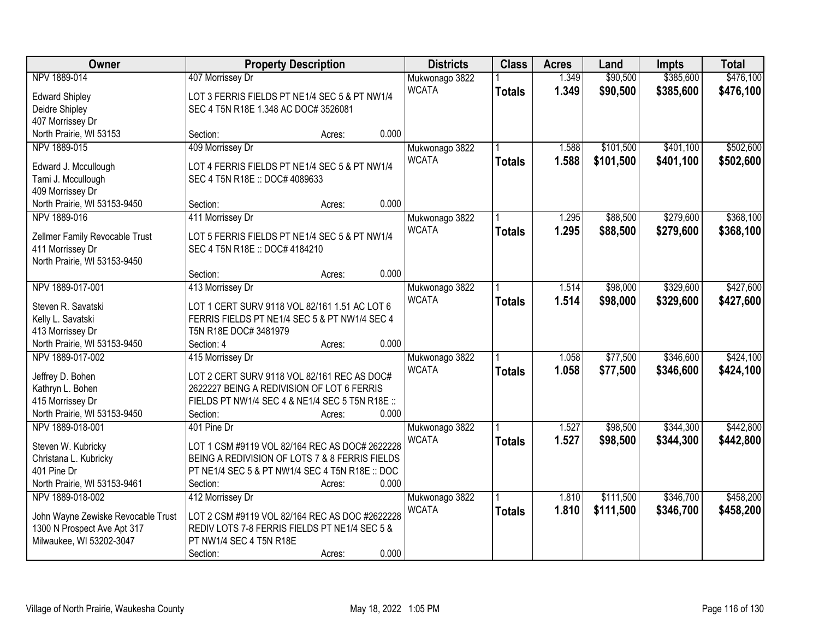| Owner                              | <b>Property Description</b>                     |        |       | <b>Districts</b> | <b>Class</b>  | <b>Acres</b> | Land      | <b>Impts</b> | <b>Total</b> |
|------------------------------------|-------------------------------------------------|--------|-------|------------------|---------------|--------------|-----------|--------------|--------------|
| NPV 1889-014                       | 407 Morrissey Dr                                |        |       | Mukwonago 3822   |               | 1.349        | \$90,500  | \$385,600    | \$476,100    |
| <b>Edward Shipley</b>              | LOT 3 FERRIS FIELDS PT NE1/4 SEC 5 & PT NW1/4   |        |       | <b>WCATA</b>     | <b>Totals</b> | 1.349        | \$90,500  | \$385,600    | \$476,100    |
| Deidre Shipley                     | SEC 4 T5N R18E 1.348 AC DOC# 3526081            |        |       |                  |               |              |           |              |              |
| 407 Morrissey Dr                   |                                                 |        |       |                  |               |              |           |              |              |
| North Prairie, WI 53153            | Section:                                        | Acres: | 0.000 |                  |               |              |           |              |              |
| NPV 1889-015                       | 409 Morrissey Dr                                |        |       | Mukwonago 3822   |               | 1.588        | \$101,500 | \$401,100    | \$502,600    |
|                                    |                                                 |        |       | <b>WCATA</b>     | <b>Totals</b> | 1.588        | \$101,500 | \$401,100    | \$502,600    |
| Edward J. Mccullough               | LOT 4 FERRIS FIELDS PT NE1/4 SEC 5 & PT NW1/4   |        |       |                  |               |              |           |              |              |
| Tami J. Mccullough                 | SEC 4 T5N R18E :: DOC# 4089633                  |        |       |                  |               |              |           |              |              |
| 409 Morrissey Dr                   |                                                 |        |       |                  |               |              |           |              |              |
| North Prairie, WI 53153-9450       | Section:                                        | Acres: | 0.000 |                  |               |              |           |              |              |
| NPV 1889-016                       | 411 Morrissey Dr                                |        |       | Mukwonago 3822   |               | 1.295        | \$88,500  | \$279,600    | \$368,100    |
| Zellmer Family Revocable Trust     | LOT 5 FERRIS FIELDS PT NE1/4 SEC 5 & PT NW1/4   |        |       | <b>WCATA</b>     | <b>Totals</b> | 1.295        | \$88,500  | \$279,600    | \$368,100    |
| 411 Morrissey Dr                   | SEC 4 T5N R18E :: DOC# 4184210                  |        |       |                  |               |              |           |              |              |
| North Prairie, WI 53153-9450       |                                                 |        |       |                  |               |              |           |              |              |
|                                    | Section:                                        | Acres: | 0.000 |                  |               |              |           |              |              |
| NPV 1889-017-001                   | 413 Morrissey Dr                                |        |       | Mukwonago 3822   |               | 1.514        | \$98,000  | \$329,600    | \$427,600    |
|                                    |                                                 |        |       | <b>WCATA</b>     | <b>Totals</b> | 1.514        | \$98,000  | \$329,600    | \$427,600    |
| Steven R. Savatski                 | LOT 1 CERT SURV 9118 VOL 82/161 1.51 AC LOT 6   |        |       |                  |               |              |           |              |              |
| Kelly L. Savatski                  | FERRIS FIELDS PT NE1/4 SEC 5 & PT NW1/4 SEC 4   |        |       |                  |               |              |           |              |              |
| 413 Morrissey Dr                   | T5N R18E DOC# 3481979                           |        |       |                  |               |              |           |              |              |
| North Prairie, WI 53153-9450       | Section: 4                                      | Acres: | 0.000 |                  |               |              |           |              |              |
| NPV 1889-017-002                   | 415 Morrissey Dr                                |        |       | Mukwonago 3822   |               | 1.058        | \$77,500  | \$346,600    | \$424,100    |
| Jeffrey D. Bohen                   | LOT 2 CERT SURV 9118 VOL 82/161 REC AS DOC#     |        |       | <b>WCATA</b>     | <b>Totals</b> | 1.058        | \$77,500  | \$346,600    | \$424,100    |
| Kathryn L. Bohen                   | 2622227 BEING A REDIVISION OF LOT 6 FERRIS      |        |       |                  |               |              |           |              |              |
| 415 Morrissey Dr                   | FIELDS PT NW1/4 SEC 4 & NE1/4 SEC 5 T5N R18E :: |        |       |                  |               |              |           |              |              |
| North Prairie, WI 53153-9450       | Section:                                        | Acres: | 0.000 |                  |               |              |           |              |              |
| NPV 1889-018-001                   | 401 Pine Dr                                     |        |       | Mukwonago 3822   |               | 1.527        | \$98,500  | \$344,300    | \$442,800    |
|                                    |                                                 |        |       | <b>WCATA</b>     | <b>Totals</b> | 1.527        | \$98,500  | \$344,300    | \$442,800    |
| Steven W. Kubricky                 | LOT 1 CSM #9119 VOL 82/164 REC AS DOC# 2622228  |        |       |                  |               |              |           |              |              |
| Christana L. Kubricky              | BEING A REDIVISION OF LOTS 7 & 8 FERRIS FIELDS  |        |       |                  |               |              |           |              |              |
| 401 Pine Dr                        | PT NE1/4 SEC 5 & PT NW1/4 SEC 4 T5N R18E :: DOC |        |       |                  |               |              |           |              |              |
| North Prairie, WI 53153-9461       | Section:                                        | Acres: | 0.000 |                  |               |              |           |              |              |
| NPV 1889-018-002                   | 412 Morrissey Dr                                |        |       | Mukwonago 3822   |               | 1.810        | \$111,500 | \$346,700    | \$458,200    |
| John Wayne Zewiske Revocable Trust | LOT 2 CSM #9119 VOL 82/164 REC AS DOC #2622228  |        |       | <b>WCATA</b>     | <b>Totals</b> | 1.810        | \$111,500 | \$346,700    | \$458,200    |
| 1300 N Prospect Ave Apt 317        | REDIV LOTS 7-8 FERRIS FIELDS PT NE1/4 SEC 5 &   |        |       |                  |               |              |           |              |              |
| Milwaukee, WI 53202-3047           | PT NW1/4 SEC 4 T5N R18E                         |        |       |                  |               |              |           |              |              |
|                                    | Section:                                        | Acres: | 0.000 |                  |               |              |           |              |              |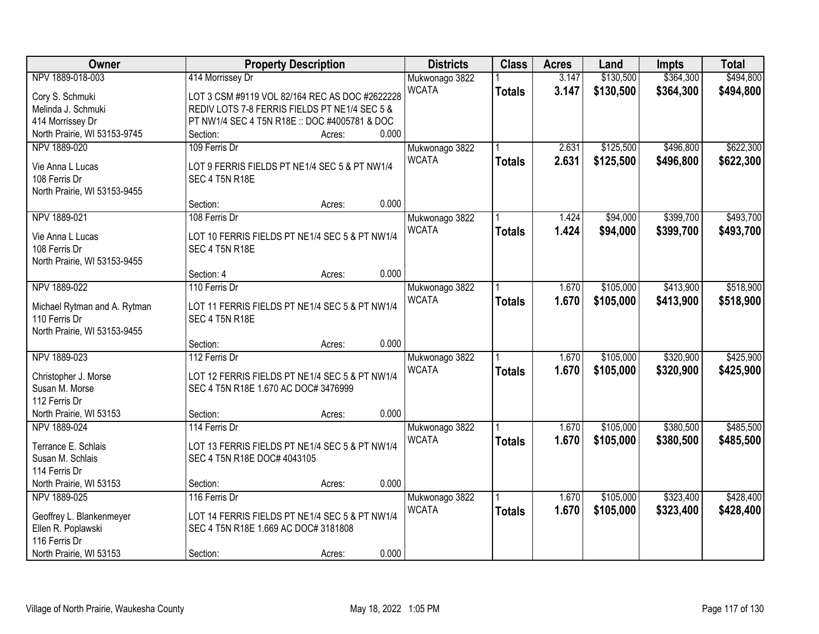| Owner                        |                                                | <b>Property Description</b> |       | <b>Districts</b> | <b>Class</b>  | <b>Acres</b> | Land      | <b>Impts</b> | <b>Total</b> |
|------------------------------|------------------------------------------------|-----------------------------|-------|------------------|---------------|--------------|-----------|--------------|--------------|
| NPV 1889-018-003             | 414 Morrissey Dr                               |                             |       | Mukwonago 3822   |               | 3.147        | \$130,500 | \$364,300    | \$494,800    |
| Cory S. Schmuki              | LOT 3 CSM #9119 VOL 82/164 REC AS DOC #2622228 |                             |       | <b>WCATA</b>     | <b>Totals</b> | 3.147        | \$130,500 | \$364,300    | \$494,800    |
| Melinda J. Schmuki           | REDIV LOTS 7-8 FERRIS FIELDS PT NE1/4 SEC 5 &  |                             |       |                  |               |              |           |              |              |
| 414 Morrissey Dr             | PT NW1/4 SEC 4 T5N R18E :: DOC #4005781 & DOC  |                             |       |                  |               |              |           |              |              |
| North Prairie, WI 53153-9745 | Section:                                       | Acres:                      | 0.000 |                  |               |              |           |              |              |
| NPV 1889-020                 | 109 Ferris Dr                                  |                             |       | Mukwonago 3822   |               | 2.631        | \$125,500 | \$496,800    | \$622,300    |
|                              |                                                |                             |       | <b>WCATA</b>     | <b>Totals</b> | 2.631        | \$125,500 | \$496,800    | \$622,300    |
| Vie Anna L Lucas             | LOT 9 FERRIS FIELDS PT NE1/4 SEC 5 & PT NW1/4  |                             |       |                  |               |              |           |              |              |
| 108 Ferris Dr                | SEC 4 T5N R18E                                 |                             |       |                  |               |              |           |              |              |
| North Prairie, WI 53153-9455 | Section:                                       | Acres:                      | 0.000 |                  |               |              |           |              |              |
| NPV 1889-021                 | 108 Ferris Dr                                  |                             |       | Mukwonago 3822   |               | 1.424        | \$94,000  | \$399,700    | \$493,700    |
|                              |                                                |                             |       | <b>WCATA</b>     |               | 1.424        | \$94,000  |              |              |
| Vie Anna L Lucas             | LOT 10 FERRIS FIELDS PT NE1/4 SEC 5 & PT NW1/4 |                             |       |                  | <b>Totals</b> |              |           | \$399,700    | \$493,700    |
| 108 Ferris Dr                | SEC 4 T5N R18E                                 |                             |       |                  |               |              |           |              |              |
| North Prairie, WI 53153-9455 |                                                |                             |       |                  |               |              |           |              |              |
|                              | Section: 4                                     | Acres:                      | 0.000 |                  |               |              |           |              |              |
| NPV 1889-022                 | 110 Ferris Dr                                  |                             |       | Mukwonago 3822   |               | 1.670        | \$105,000 | \$413,900    | \$518,900    |
| Michael Rytman and A. Rytman | LOT 11 FERRIS FIELDS PT NE1/4 SEC 5 & PT NW1/4 |                             |       | <b>WCATA</b>     | <b>Totals</b> | 1.670        | \$105,000 | \$413,900    | \$518,900    |
| 110 Ferris Dr                | SEC 4 T5N R18E                                 |                             |       |                  |               |              |           |              |              |
| North Prairie, WI 53153-9455 |                                                |                             |       |                  |               |              |           |              |              |
|                              | Section:                                       | Acres:                      | 0.000 |                  |               |              |           |              |              |
| NPV 1889-023                 | 112 Ferris Dr                                  |                             |       | Mukwonago 3822   |               | 1.670        | \$105,000 | \$320,900    | \$425,900    |
|                              |                                                |                             |       | <b>WCATA</b>     | <b>Totals</b> | 1.670        | \$105,000 | \$320,900    | \$425,900    |
| Christopher J. Morse         | LOT 12 FERRIS FIELDS PT NE1/4 SEC 5 & PT NW1/4 |                             |       |                  |               |              |           |              |              |
| Susan M. Morse               | SEC 4 T5N R18E 1.670 AC DOC# 3476999           |                             |       |                  |               |              |           |              |              |
| 112 Ferris Dr                |                                                |                             |       |                  |               |              |           |              |              |
| North Prairie, WI 53153      | Section:                                       | Acres:                      | 0.000 |                  |               |              |           |              |              |
| NPV 1889-024                 | 114 Ferris Dr                                  |                             |       | Mukwonago 3822   |               | 1.670        | \$105,000 | \$380,500    | \$485,500    |
| Terrance E. Schlais          | LOT 13 FERRIS FIELDS PT NE1/4 SEC 5 & PT NW1/4 |                             |       | <b>WCATA</b>     | <b>Totals</b> | 1.670        | \$105,000 | \$380,500    | \$485,500    |
| Susan M. Schlais             | SEC 4 T5N R18E DOC# 4043105                    |                             |       |                  |               |              |           |              |              |
| 114 Ferris Dr                |                                                |                             |       |                  |               |              |           |              |              |
| North Prairie, WI 53153      | Section:                                       | Acres:                      | 0.000 |                  |               |              |           |              |              |
| NPV 1889-025                 | 116 Ferris Dr                                  |                             |       | Mukwonago 3822   |               | 1.670        | \$105,000 | \$323,400    | \$428,400    |
| Geoffrey L. Blankenmeyer     | LOT 14 FERRIS FIELDS PT NE1/4 SEC 5 & PT NW1/4 |                             |       | <b>WCATA</b>     | <b>Totals</b> | 1.670        | \$105,000 | \$323,400    | \$428,400    |
| Ellen R. Poplawski           | SEC 4 T5N R18E 1.669 AC DOC# 3181808           |                             |       |                  |               |              |           |              |              |
| 116 Ferris Dr                |                                                |                             |       |                  |               |              |           |              |              |
| North Prairie, WI 53153      | Section:                                       | Acres:                      | 0.000 |                  |               |              |           |              |              |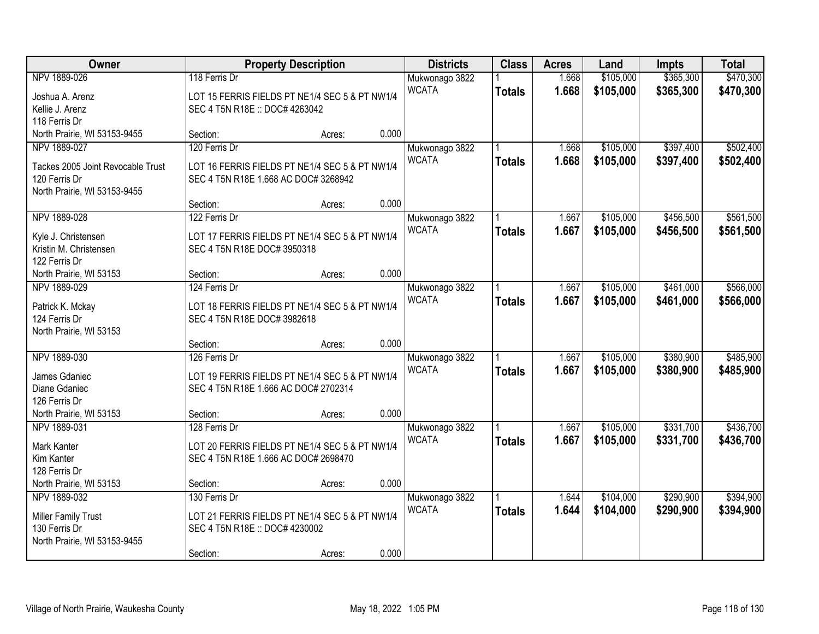| Owner                                    |                                                                               | <b>Property Description</b> |       | <b>Districts</b>               | <b>Class</b>  | <b>Acres</b> | Land      | <b>Impts</b> | <b>Total</b> |
|------------------------------------------|-------------------------------------------------------------------------------|-----------------------------|-------|--------------------------------|---------------|--------------|-----------|--------------|--------------|
| NPV 1889-026                             | 118 Ferris Dr                                                                 |                             |       | Mukwonago 3822                 |               | 1.668        | \$105,000 | \$365,300    | \$470,300    |
| Joshua A. Arenz                          | LOT 15 FERRIS FIELDS PT NE1/4 SEC 5 & PT NW1/4                                |                             |       | <b>WCATA</b>                   | <b>Totals</b> | 1.668        | \$105,000 | \$365,300    | \$470,300    |
| Kellie J. Arenz                          | SEC 4 T5N R18E :: DOC# 4263042                                                |                             |       |                                |               |              |           |              |              |
| 118 Ferris Dr                            |                                                                               |                             |       |                                |               |              |           |              |              |
| North Prairie, WI 53153-9455             | Section:                                                                      | Acres:                      | 0.000 |                                |               |              |           |              |              |
| NPV 1889-027                             | 120 Ferris Dr                                                                 |                             |       | Mukwonago 3822                 |               | 1.668        | \$105,000 | \$397,400    | \$502,400    |
| Tackes 2005 Joint Revocable Trust        | LOT 16 FERRIS FIELDS PT NE1/4 SEC 5 & PT NW1/4                                |                             |       | <b>WCATA</b>                   | <b>Totals</b> | 1.668        | \$105,000 | \$397,400    | \$502,400    |
| 120 Ferris Dr                            | SEC 4 T5N R18E 1.668 AC DOC# 3268942                                          |                             |       |                                |               |              |           |              |              |
| North Prairie, WI 53153-9455             |                                                                               |                             |       |                                |               |              |           |              |              |
|                                          | Section:                                                                      | Acres:                      | 0.000 |                                |               |              |           |              |              |
| NPV 1889-028                             | 122 Ferris Dr                                                                 |                             |       | Mukwonago 3822                 |               | 1.667        | \$105,000 | \$456,500    | \$561,500    |
| Kyle J. Christensen                      | LOT 17 FERRIS FIELDS PT NE1/4 SEC 5 & PT NW1/4                                |                             |       | <b>WCATA</b>                   | <b>Totals</b> | 1.667        | \$105,000 | \$456,500    | \$561,500    |
| Kristin M. Christensen                   | SEC 4 T5N R18E DOC# 3950318                                                   |                             |       |                                |               |              |           |              |              |
| 122 Ferris Dr                            |                                                                               |                             |       |                                |               |              |           |              |              |
| North Prairie, WI 53153                  | Section:                                                                      | Acres:                      | 0.000 |                                |               |              |           |              |              |
| NPV 1889-029                             | 124 Ferris Dr                                                                 |                             |       | Mukwonago 3822                 |               | 1.667        | \$105,000 | \$461,000    | \$566,000    |
|                                          |                                                                               |                             |       | <b>WCATA</b>                   | <b>Totals</b> | 1.667        | \$105,000 | \$461,000    | \$566,000    |
| Patrick K. Mckay<br>124 Ferris Dr        | LOT 18 FERRIS FIELDS PT NE1/4 SEC 5 & PT NW1/4<br>SEC 4 T5N R18E DOC# 3982618 |                             |       |                                |               |              |           |              |              |
| North Prairie, WI 53153                  |                                                                               |                             |       |                                |               |              |           |              |              |
|                                          | Section:                                                                      | Acres:                      | 0.000 |                                |               |              |           |              |              |
| NPV 1889-030                             | 126 Ferris Dr                                                                 |                             |       | Mukwonago 3822                 |               | 1.667        | \$105,000 | \$380,900    | \$485,900    |
|                                          |                                                                               |                             |       | <b>WCATA</b>                   | <b>Totals</b> | 1.667        | \$105,000 | \$380,900    | \$485,900    |
| James Gdaniec                            | LOT 19 FERRIS FIELDS PT NE1/4 SEC 5 & PT NW1/4                                |                             |       |                                |               |              |           |              |              |
| Diane Gdaniec                            | SEC 4 T5N R18E 1.666 AC DOC# 2702314                                          |                             |       |                                |               |              |           |              |              |
| 126 Ferris Dr<br>North Prairie, WI 53153 | Section:                                                                      |                             | 0.000 |                                |               |              |           |              |              |
| NPV 1889-031                             | 128 Ferris Dr                                                                 | Acres:                      |       |                                |               | 1.667        | \$105,000 | \$331,700    | \$436,700    |
|                                          |                                                                               |                             |       | Mukwonago 3822<br><b>WCATA</b> | <b>Totals</b> | 1.667        | \$105,000 | \$331,700    | \$436,700    |
| Mark Kanter                              | LOT 20 FERRIS FIELDS PT NE1/4 SEC 5 & PT NW1/4                                |                             |       |                                |               |              |           |              |              |
| Kim Kanter                               | SEC 4 T5N R18E 1.666 AC DOC# 2698470                                          |                             |       |                                |               |              |           |              |              |
| 128 Ferris Dr                            |                                                                               |                             |       |                                |               |              |           |              |              |
| North Prairie, WI 53153                  | Section:                                                                      | Acres:                      | 0.000 |                                |               |              |           |              |              |
| NPV 1889-032                             | 130 Ferris Dr                                                                 |                             |       | Mukwonago 3822                 |               | 1.644        | \$104,000 | \$290,900    | \$394,900    |
| <b>Miller Family Trust</b>               | LOT 21 FERRIS FIELDS PT NE1/4 SEC 5 & PT NW1/4                                |                             |       | <b>WCATA</b>                   | <b>Totals</b> | 1.644        | \$104,000 | \$290,900    | \$394,900    |
| 130 Ferris Dr                            | SEC 4 T5N R18E :: DOC# 4230002                                                |                             |       |                                |               |              |           |              |              |
| North Prairie, WI 53153-9455             |                                                                               |                             |       |                                |               |              |           |              |              |
|                                          | Section:                                                                      | Acres:                      | 0.000 |                                |               |              |           |              |              |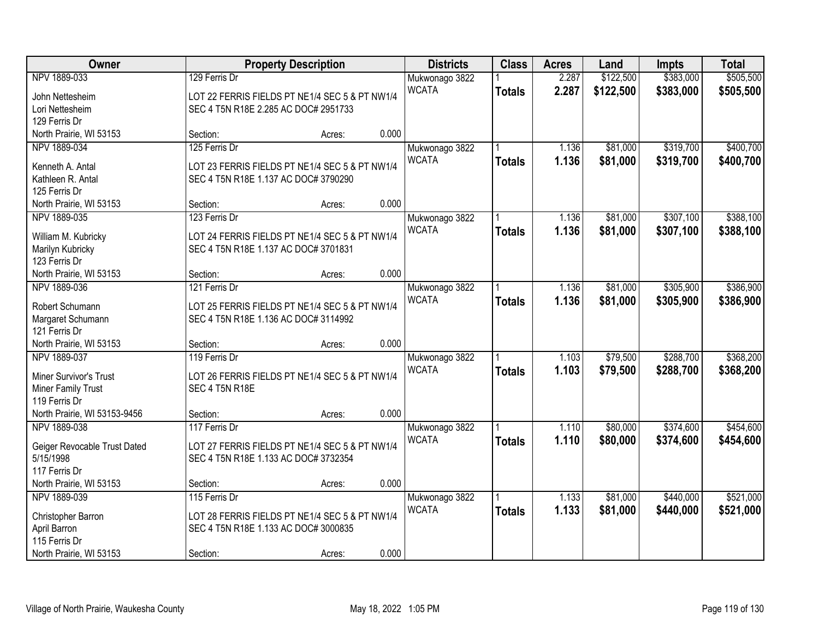| Owner                             |                                      | <b>Property Description</b>                    |       | <b>Districts</b> | <b>Class</b>  | <b>Acres</b> | Land      | <b>Impts</b> | <b>Total</b> |
|-----------------------------------|--------------------------------------|------------------------------------------------|-------|------------------|---------------|--------------|-----------|--------------|--------------|
| NPV 1889-033                      | 129 Ferris Dr                        |                                                |       | Mukwonago 3822   |               | 2.287        | \$122,500 | \$383,000    | \$505,500    |
| John Nettesheim                   |                                      | LOT 22 FERRIS FIELDS PT NE1/4 SEC 5 & PT NW1/4 |       | <b>WCATA</b>     | <b>Totals</b> | 2.287        | \$122,500 | \$383,000    | \$505,500    |
| Lori Nettesheim                   | SEC 4 T5N R18E 2.285 AC DOC# 2951733 |                                                |       |                  |               |              |           |              |              |
| 129 Ferris Dr                     |                                      |                                                |       |                  |               |              |           |              |              |
| North Prairie, WI 53153           | Section:                             | Acres:                                         | 0.000 |                  |               |              |           |              |              |
| NPV 1889-034                      | 125 Ferris Dr                        |                                                |       | Mukwonago 3822   |               | 1.136        | \$81,000  | \$319,700    | \$400,700    |
| Kenneth A. Antal                  |                                      | LOT 23 FERRIS FIELDS PT NE1/4 SEC 5 & PT NW1/4 |       | <b>WCATA</b>     | <b>Totals</b> | 1.136        | \$81,000  | \$319,700    | \$400,700    |
| Kathleen R. Antal                 | SEC 4 T5N R18E 1.137 AC DOC# 3790290 |                                                |       |                  |               |              |           |              |              |
| 125 Ferris Dr                     |                                      |                                                |       |                  |               |              |           |              |              |
| North Prairie, WI 53153           | Section:                             | Acres:                                         | 0.000 |                  |               |              |           |              |              |
| NPV 1889-035                      | 123 Ferris Dr                        |                                                |       | Mukwonago 3822   |               | 1.136        | \$81,000  | \$307,100    | \$388,100    |
|                                   |                                      |                                                |       | <b>WCATA</b>     | <b>Totals</b> | 1.136        | \$81,000  | \$307,100    | \$388,100    |
| William M. Kubricky               |                                      | LOT 24 FERRIS FIELDS PT NE1/4 SEC 5 & PT NW1/4 |       |                  |               |              |           |              |              |
| Marilyn Kubricky<br>123 Ferris Dr | SEC 4 T5N R18E 1.137 AC DOC# 3701831 |                                                |       |                  |               |              |           |              |              |
| North Prairie, WI 53153           | Section:                             | Acres:                                         | 0.000 |                  |               |              |           |              |              |
| NPV 1889-036                      | 121 Ferris Dr                        |                                                |       | Mukwonago 3822   |               | 1.136        | \$81,000  | \$305,900    | \$386,900    |
|                                   |                                      |                                                |       | <b>WCATA</b>     | <b>Totals</b> | 1.136        | \$81,000  | \$305,900    | \$386,900    |
| Robert Schumann                   |                                      | LOT 25 FERRIS FIELDS PT NE1/4 SEC 5 & PT NW1/4 |       |                  |               |              |           |              |              |
| Margaret Schumann                 | SEC 4 T5N R18E 1.136 AC DOC# 3114992 |                                                |       |                  |               |              |           |              |              |
| 121 Ferris Dr                     |                                      |                                                |       |                  |               |              |           |              |              |
| North Prairie, WI 53153           | Section:                             | Acres:                                         | 0.000 |                  |               |              |           |              |              |
| NPV 1889-037                      | 119 Ferris Dr                        |                                                |       | Mukwonago 3822   |               | 1.103        | \$79,500  | \$288,700    | \$368,200    |
| Miner Survivor's Trust            |                                      | LOT 26 FERRIS FIELDS PT NE1/4 SEC 5 & PT NW1/4 |       | <b>WCATA</b>     | <b>Totals</b> | 1.103        | \$79,500  | \$288,700    | \$368,200    |
| <b>Miner Family Trust</b>         | SEC 4 T5N R18E                       |                                                |       |                  |               |              |           |              |              |
| 119 Ferris Dr                     |                                      |                                                |       |                  |               |              |           |              |              |
| North Prairie, WI 53153-9456      | Section:                             | Acres:                                         | 0.000 |                  |               |              |           |              |              |
| NPV 1889-038                      | 117 Ferris Dr                        |                                                |       | Mukwonago 3822   |               | 1.110        | \$80,000  | \$374,600    | \$454,600    |
| Geiger Revocable Trust Dated      |                                      | LOT 27 FERRIS FIELDS PT NE1/4 SEC 5 & PT NW1/4 |       | <b>WCATA</b>     | <b>Totals</b> | 1.110        | \$80,000  | \$374,600    | \$454,600    |
| 5/15/1998                         | SEC 4 T5N R18E 1.133 AC DOC# 3732354 |                                                |       |                  |               |              |           |              |              |
| 117 Ferris Dr                     |                                      |                                                |       |                  |               |              |           |              |              |
| North Prairie, WI 53153           | Section:                             | Acres:                                         | 0.000 |                  |               |              |           |              |              |
| NPV 1889-039                      | 115 Ferris Dr                        |                                                |       | Mukwonago 3822   |               | 1.133        | \$81,000  | \$440,000    | \$521,000    |
|                                   |                                      |                                                |       | <b>WCATA</b>     | <b>Totals</b> | 1.133        | \$81,000  | \$440,000    | \$521,000    |
| Christopher Barron                |                                      | LOT 28 FERRIS FIELDS PT NE1/4 SEC 5 & PT NW1/4 |       |                  |               |              |           |              |              |
| April Barron<br>115 Ferris Dr     | SEC 4 T5N R18E 1.133 AC DOC# 3000835 |                                                |       |                  |               |              |           |              |              |
| North Prairie, WI 53153           | Section:                             |                                                | 0.000 |                  |               |              |           |              |              |
|                                   |                                      | Acres:                                         |       |                  |               |              |           |              |              |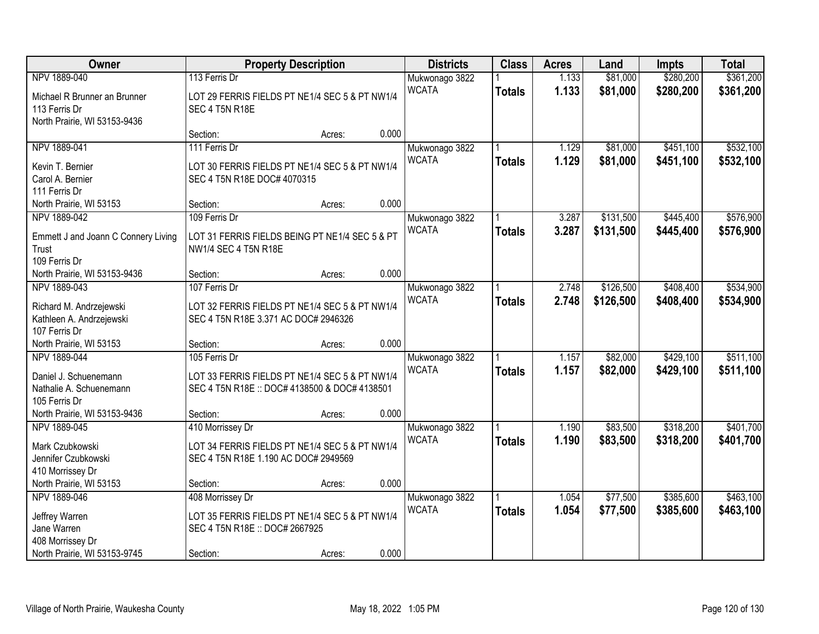| Owner                                                                             | <b>Property Description</b>                                                                                      | <b>Districts</b>               | <b>Class</b>  | <b>Acres</b>   | Land                   | <b>Impts</b>           | <b>Total</b>           |
|-----------------------------------------------------------------------------------|------------------------------------------------------------------------------------------------------------------|--------------------------------|---------------|----------------|------------------------|------------------------|------------------------|
| NPV 1889-040                                                                      | 113 Ferris Dr                                                                                                    | Mukwonago 3822                 |               | 1.133          | \$81,000               | \$280,200              | \$361,200              |
| Michael R Brunner an Brunner<br>113 Ferris Dr<br>North Prairie, WI 53153-9436     | LOT 29 FERRIS FIELDS PT NE1/4 SEC 5 & PT NW1/4<br>SEC 4 T5N R18E                                                 | <b>WCATA</b>                   | <b>Totals</b> | 1.133          | \$81,000               | \$280,200              | \$361,200              |
|                                                                                   | 0.000<br>Section:<br>Acres:                                                                                      |                                |               |                |                        |                        |                        |
| NPV 1889-041<br>Kevin T. Bernier<br>Carol A. Bernier                              | 111 Ferris Dr<br>LOT 30 FERRIS FIELDS PT NE1/4 SEC 5 & PT NW1/4<br>SEC 4 T5N R18E DOC# 4070315                   | Mukwonago 3822<br><b>WCATA</b> | <b>Totals</b> | 1.129<br>1.129 | \$81,000<br>\$81,000   | \$451,100<br>\$451,100 | \$532,100<br>\$532,100 |
| 111 Ferris Dr<br>North Prairie, WI 53153                                          | 0.000<br>Section:<br>Acres:                                                                                      |                                |               |                |                        |                        |                        |
| NPV 1889-042                                                                      | 109 Ferris Dr                                                                                                    | Mukwonago 3822                 |               | 3.287          | \$131,500              | \$445,400              | \$576,900              |
| Emmett J and Joann C Connery Living<br>Trust<br>109 Ferris Dr                     | LOT 31 FERRIS FIELDS BEING PT NE1/4 SEC 5 & PT<br>NW1/4 SEC 4 T5N R18E                                           | <b>WCATA</b>                   | <b>Totals</b> | 3.287          | \$131,500              | \$445,400              | \$576,900              |
| North Prairie, WI 53153-9436                                                      | 0.000<br>Section:<br>Acres:                                                                                      |                                |               |                |                        |                        |                        |
| NPV 1889-043                                                                      | 107 Ferris Dr                                                                                                    | Mukwonago 3822<br><b>WCATA</b> | <b>Totals</b> | 2.748<br>2.748 | \$126,500<br>\$126,500 | \$408,400<br>\$408,400 | \$534,900<br>\$534,900 |
| Richard M. Andrzejewski<br>Kathleen A. Andrzejewski<br>107 Ferris Dr              | LOT 32 FERRIS FIELDS PT NE1/4 SEC 5 & PT NW1/4<br>SEC 4 T5N R18E 3.371 AC DOC# 2946326                           |                                |               |                |                        |                        |                        |
| North Prairie, WI 53153                                                           | 0.000<br>Section:<br>Acres:                                                                                      |                                |               |                |                        |                        |                        |
| NPV 1889-044<br>Daniel J. Schuenemann<br>Nathalie A. Schuenemann<br>105 Ferris Dr | 105 Ferris Dr<br>LOT 33 FERRIS FIELDS PT NE1/4 SEC 5 & PT NW1/4<br>SEC 4 T5N R18E :: DOC# 4138500 & DOC# 4138501 | Mukwonago 3822<br><b>WCATA</b> | <b>Totals</b> | 1.157<br>1.157 | \$82,000<br>\$82,000   | \$429,100<br>\$429,100 | \$511,100<br>\$511,100 |
| North Prairie, WI 53153-9436                                                      | 0.000<br>Section:<br>Acres:                                                                                      |                                |               |                |                        |                        |                        |
| NPV 1889-045<br>Mark Czubkowski<br>Jennifer Czubkowski<br>410 Morrissey Dr        | 410 Morrissey Dr<br>LOT 34 FERRIS FIELDS PT NE1/4 SEC 5 & PT NW1/4<br>SEC 4 T5N R18E 1.190 AC DOC# 2949569       | Mukwonago 3822<br><b>WCATA</b> | <b>Totals</b> | 1.190<br>1.190 | \$83,500<br>\$83,500   | \$318,200<br>\$318,200 | \$401,700<br>\$401,700 |
| North Prairie, WI 53153                                                           | 0.000<br>Section:<br>Acres:                                                                                      |                                |               |                |                        |                        |                        |
| NPV 1889-046<br>Jeffrey Warren<br>Jane Warren<br>408 Morrissey Dr                 | 408 Morrissey Dr<br>LOT 35 FERRIS FIELDS PT NE1/4 SEC 5 & PT NW1/4<br>SEC 4 T5N R18E :: DOC# 2667925             | Mukwonago 3822<br><b>WCATA</b> | <b>Totals</b> | 1.054<br>1.054 | \$77,500<br>\$77,500   | \$385,600<br>\$385,600 | \$463,100<br>\$463,100 |
| North Prairie, WI 53153-9745                                                      | 0.000<br>Section:<br>Acres:                                                                                      |                                |               |                |                        |                        |                        |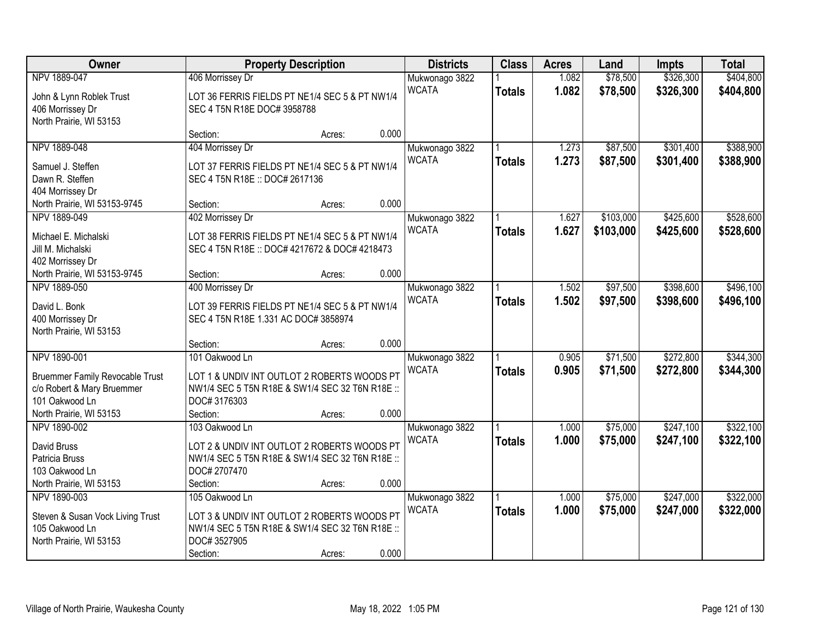| Owner                                                                |                                                                                                | <b>Property Description</b> |       | <b>Districts</b> | <b>Class</b>  | <b>Acres</b> | Land      | <b>Impts</b> | <b>Total</b> |
|----------------------------------------------------------------------|------------------------------------------------------------------------------------------------|-----------------------------|-------|------------------|---------------|--------------|-----------|--------------|--------------|
| NPV 1889-047                                                         | 406 Morrissey Dr                                                                               |                             |       | Mukwonago 3822   |               | 1.082        | \$78,500  | \$326,300    | \$404,800    |
| John & Lynn Roblek Trust                                             | LOT 36 FERRIS FIELDS PT NE1/4 SEC 5 & PT NW1/4                                                 |                             |       | <b>WCATA</b>     | <b>Totals</b> | 1.082        | \$78,500  | \$326,300    | \$404,800    |
| 406 Morrissey Dr                                                     | SEC 4 T5N R18E DOC# 3958788                                                                    |                             |       |                  |               |              |           |              |              |
| North Prairie, WI 53153                                              |                                                                                                |                             |       |                  |               |              |           |              |              |
|                                                                      | Section:                                                                                       | Acres:                      | 0.000 |                  |               |              |           |              |              |
| NPV 1889-048                                                         | 404 Morrissey Dr                                                                               |                             |       | Mukwonago 3822   |               | 1.273        | \$87,500  | \$301,400    | \$388,900    |
| Samuel J. Steffen                                                    | LOT 37 FERRIS FIELDS PT NE1/4 SEC 5 & PT NW1/4                                                 |                             |       | <b>WCATA</b>     | <b>Totals</b> | 1.273        | \$87,500  | \$301,400    | \$388,900    |
| Dawn R. Steffen                                                      | SEC 4 T5N R18E :: DOC# 2617136                                                                 |                             |       |                  |               |              |           |              |              |
| 404 Morrissey Dr                                                     |                                                                                                |                             |       |                  |               |              |           |              |              |
| North Prairie, WI 53153-9745                                         | Section:                                                                                       | Acres:                      | 0.000 |                  |               |              |           |              |              |
| NPV 1889-049                                                         | 402 Morrissey Dr                                                                               |                             |       | Mukwonago 3822   |               | 1.627        | \$103,000 | \$425,600    | \$528,600    |
|                                                                      |                                                                                                |                             |       | <b>WCATA</b>     | <b>Totals</b> | 1.627        | \$103,000 | \$425,600    | \$528,600    |
| Michael E. Michalski                                                 | LOT 38 FERRIS FIELDS PT NE1/4 SEC 5 & PT NW1/4                                                 |                             |       |                  |               |              |           |              |              |
| Jill M. Michalski                                                    | SEC 4 T5N R18E :: DOC# 4217672 & DOC# 4218473                                                  |                             |       |                  |               |              |           |              |              |
| 402 Morrissey Dr                                                     |                                                                                                |                             |       |                  |               |              |           |              |              |
| North Prairie, WI 53153-9745                                         | Section:                                                                                       | Acres:                      | 0.000 |                  |               |              |           |              |              |
| NPV 1889-050                                                         | 400 Morrissey Dr                                                                               |                             |       | Mukwonago 3822   |               | 1.502        | \$97,500  | \$398,600    | \$496,100    |
| David L. Bonk                                                        | LOT 39 FERRIS FIELDS PT NE1/4 SEC 5 & PT NW1/4                                                 |                             |       | <b>WCATA</b>     | <b>Totals</b> | 1.502        | \$97,500  | \$398,600    | \$496,100    |
| 400 Morrissey Dr                                                     | SEC 4 T5N R18E 1.331 AC DOC# 3858974                                                           |                             |       |                  |               |              |           |              |              |
| North Prairie, WI 53153                                              |                                                                                                |                             |       |                  |               |              |           |              |              |
|                                                                      | Section:                                                                                       | Acres:                      | 0.000 |                  |               |              |           |              |              |
| NPV 1890-001                                                         | 101 Oakwood Ln                                                                                 |                             |       | Mukwonago 3822   |               | 0.905        | \$71,500  | \$272,800    | \$344,300    |
|                                                                      |                                                                                                |                             |       | <b>WCATA</b>     | <b>Totals</b> | 0.905        | \$71,500  | \$272,800    | \$344,300    |
| <b>Bruemmer Family Revocable Trust</b><br>c/o Robert & Mary Bruemmer | LOT 1 & UNDIV INT OUTLOT 2 ROBERTS WOODS PT<br>NW1/4 SEC 5 T5N R18E & SW1/4 SEC 32 T6N R18E :: |                             |       |                  |               |              |           |              |              |
| 101 Oakwood Ln                                                       | DOC#3176303                                                                                    |                             |       |                  |               |              |           |              |              |
| North Prairie, WI 53153                                              | Section:                                                                                       | Acres:                      | 0.000 |                  |               |              |           |              |              |
| NPV 1890-002                                                         | 103 Oakwood Ln                                                                                 |                             |       | Mukwonago 3822   |               | 1.000        | \$75,000  | \$247,100    | \$322,100    |
|                                                                      |                                                                                                |                             |       | <b>WCATA</b>     |               | 1.000        | \$75,000  | \$247,100    | \$322,100    |
| David Bruss                                                          | LOT 2 & UNDIV INT OUTLOT 2 ROBERTS WOODS PT                                                    |                             |       |                  | <b>Totals</b> |              |           |              |              |
| Patricia Bruss                                                       | NW1/4 SEC 5 T5N R18E & SW1/4 SEC 32 T6N R18E ::                                                |                             |       |                  |               |              |           |              |              |
| 103 Oakwood Ln                                                       | DOC# 2707470                                                                                   |                             |       |                  |               |              |           |              |              |
| North Prairie, WI 53153                                              | Section:                                                                                       | Acres:                      | 0.000 |                  |               |              |           |              |              |
| NPV 1890-003                                                         | 105 Oakwood Ln                                                                                 |                             |       | Mukwonago 3822   |               | 1.000        | \$75,000  | \$247,000    | \$322,000    |
| Steven & Susan Vock Living Trust                                     | LOT 3 & UNDIV INT OUTLOT 2 ROBERTS WOODS PT                                                    |                             |       | <b>WCATA</b>     | <b>Totals</b> | 1.000        | \$75,000  | \$247,000    | \$322,000    |
| 105 Oakwood Ln                                                       | NW1/4 SEC 5 T5N R18E & SW1/4 SEC 32 T6N R18E ::                                                |                             |       |                  |               |              |           |              |              |
| North Prairie, WI 53153                                              | DOC#3527905                                                                                    |                             |       |                  |               |              |           |              |              |
|                                                                      | Section:                                                                                       | Acres:                      | 0.000 |                  |               |              |           |              |              |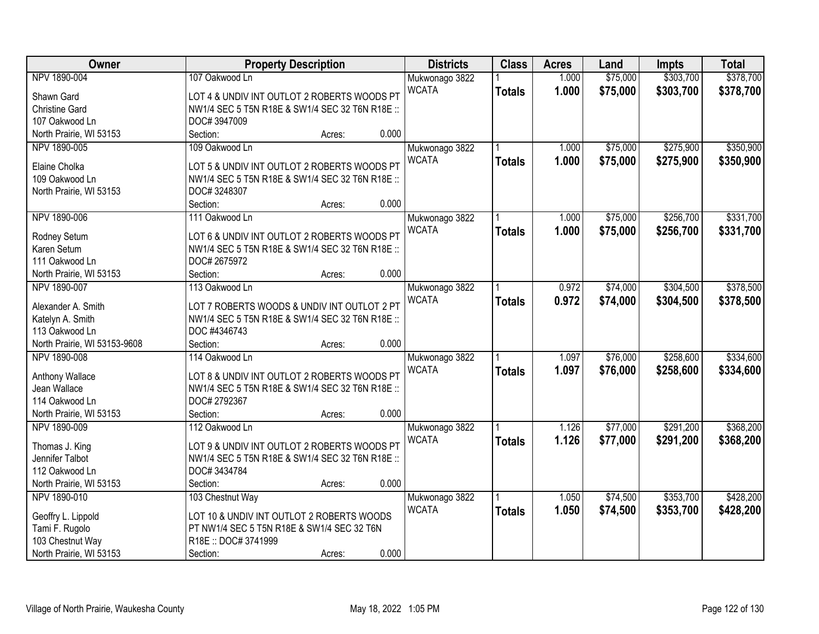| Owner                        |                                                 | <b>Property Description</b> |       | <b>Districts</b> | <b>Class</b>  | <b>Acres</b> | Land     | <b>Impts</b> | <b>Total</b> |
|------------------------------|-------------------------------------------------|-----------------------------|-------|------------------|---------------|--------------|----------|--------------|--------------|
| NPV 1890-004                 | 107 Oakwood Ln                                  |                             |       | Mukwonago 3822   |               | 1.000        | \$75,000 | \$303,700    | \$378,700    |
| Shawn Gard                   | LOT 4 & UNDIV INT OUTLOT 2 ROBERTS WOODS PT     |                             |       | <b>WCATA</b>     | <b>Totals</b> | 1.000        | \$75,000 | \$303,700    | \$378,700    |
| <b>Christine Gard</b>        | NW1/4 SEC 5 T5N R18E & SW1/4 SEC 32 T6N R18E :: |                             |       |                  |               |              |          |              |              |
| 107 Oakwood Ln               | DOC#3947009                                     |                             |       |                  |               |              |          |              |              |
| North Prairie, WI 53153      | Section:                                        | Acres:                      | 0.000 |                  |               |              |          |              |              |
| NPV 1890-005                 | 109 Oakwood Ln                                  |                             |       | Mukwonago 3822   |               | 1.000        | \$75,000 | \$275,900    | \$350,900    |
|                              |                                                 |                             |       | <b>WCATA</b>     | <b>Totals</b> | 1.000        | \$75,000 | \$275,900    | \$350,900    |
| Elaine Cholka                | LOT 5 & UNDIV INT OUTLOT 2 ROBERTS WOODS PT     |                             |       |                  |               |              |          |              |              |
| 109 Oakwood Ln               | NW1/4 SEC 5 T5N R18E & SW1/4 SEC 32 T6N R18E :: |                             |       |                  |               |              |          |              |              |
| North Prairie, WI 53153      | DOC#3248307                                     |                             |       |                  |               |              |          |              |              |
|                              | Section:                                        | Acres:                      | 0.000 |                  |               |              |          |              |              |
| NPV 1890-006                 | 111 Oakwood Ln                                  |                             |       | Mukwonago 3822   |               | 1.000        | \$75,000 | \$256,700    | \$331,700    |
| Rodney Setum                 | LOT 6 & UNDIV INT OUTLOT 2 ROBERTS WOODS PT     |                             |       | <b>WCATA</b>     | <b>Totals</b> | 1.000        | \$75,000 | \$256,700    | \$331,700    |
| Karen Setum                  | NW1/4 SEC 5 T5N R18E & SW1/4 SEC 32 T6N R18E :: |                             |       |                  |               |              |          |              |              |
| 111 Oakwood Ln               | DOC# 2675972                                    |                             |       |                  |               |              |          |              |              |
| North Prairie, WI 53153      | Section:                                        | Acres:                      | 0.000 |                  |               |              |          |              |              |
| NPV 1890-007                 | 113 Oakwood Ln                                  |                             |       | Mukwonago 3822   |               | 0.972        | \$74,000 | \$304,500    | \$378,500    |
|                              |                                                 |                             |       | <b>WCATA</b>     | <b>Totals</b> | 0.972        | \$74,000 | \$304,500    | \$378,500    |
| Alexander A. Smith           | LOT 7 ROBERTS WOODS & UNDIV INT OUTLOT 2 PT     |                             |       |                  |               |              |          |              |              |
| Katelyn A. Smith             | NW1/4 SEC 5 T5N R18E & SW1/4 SEC 32 T6N R18E :: |                             |       |                  |               |              |          |              |              |
| 113 Oakwood Ln               | DOC #4346743                                    |                             |       |                  |               |              |          |              |              |
| North Prairie, WI 53153-9608 | Section:                                        | Acres:                      | 0.000 |                  |               |              |          |              |              |
| NPV 1890-008                 | 114 Oakwood Ln                                  |                             |       | Mukwonago 3822   |               | 1.097        | \$76,000 | \$258,600    | \$334,600    |
| Anthony Wallace              | LOT 8 & UNDIV INT OUTLOT 2 ROBERTS WOODS PT     |                             |       | <b>WCATA</b>     | <b>Totals</b> | 1.097        | \$76,000 | \$258,600    | \$334,600    |
| Jean Wallace                 | NW1/4 SEC 5 T5N R18E & SW1/4 SEC 32 T6N R18E :: |                             |       |                  |               |              |          |              |              |
| 114 Oakwood Ln               | DOC# 2792367                                    |                             |       |                  |               |              |          |              |              |
| North Prairie, WI 53153      | Section:                                        | Acres:                      | 0.000 |                  |               |              |          |              |              |
| NPV 1890-009                 | 112 Oakwood Ln                                  |                             |       | Mukwonago 3822   |               | 1.126        | \$77,000 | \$291,200    | \$368,200    |
|                              |                                                 |                             |       | <b>WCATA</b>     | <b>Totals</b> | 1.126        | \$77,000 | \$291,200    | \$368,200    |
| Thomas J. King               | LOT 9 & UNDIV INT OUTLOT 2 ROBERTS WOODS PT     |                             |       |                  |               |              |          |              |              |
| Jennifer Talbot              | NW1/4 SEC 5 T5N R18E & SW1/4 SEC 32 T6N R18E :: |                             |       |                  |               |              |          |              |              |
| 112 Oakwood Ln               | DOC#3434784                                     |                             |       |                  |               |              |          |              |              |
| North Prairie, WI 53153      | Section:                                        | Acres:                      | 0.000 |                  |               |              |          |              |              |
| NPV 1890-010                 | 103 Chestnut Way                                |                             |       | Mukwonago 3822   |               | 1.050        | \$74,500 | \$353,700    | \$428,200    |
| Geoffry L. Lippold           | LOT 10 & UNDIV INT OUTLOT 2 ROBERTS WOODS       |                             |       | <b>WCATA</b>     | <b>Totals</b> | 1.050        | \$74,500 | \$353,700    | \$428,200    |
| Tami F. Rugolo               | PT NW1/4 SEC 5 T5N R18E & SW1/4 SEC 32 T6N      |                             |       |                  |               |              |          |              |              |
| 103 Chestnut Way             | R18E:: DOC#3741999                              |                             |       |                  |               |              |          |              |              |
| North Prairie, WI 53153      | Section:                                        | Acres:                      | 0.000 |                  |               |              |          |              |              |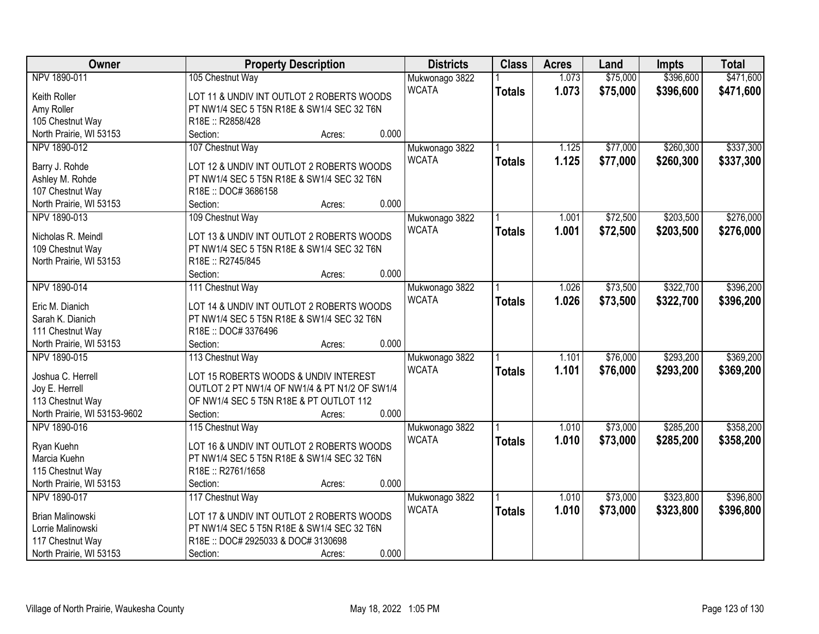| \$75,000<br>\$396,600<br>\$471,600<br>NPV 1890-011<br>1.073<br>105 Chestnut Way<br>Mukwonago 3822<br><b>WCATA</b><br>1.073<br>\$75,000<br>\$396,600<br>\$471,600<br><b>Totals</b><br>Keith Roller<br>LOT 11 & UNDIV INT OUTLOT 2 ROBERTS WOODS<br>PT NW1/4 SEC 5 T5N R18E & SW1/4 SEC 32 T6N<br>Amy Roller<br>105 Chestnut Way<br>R18E: R2858/428<br>0.000<br>North Prairie, WI 53153<br>Section:<br>Acres:<br>NPV 1890-012<br>\$77,000<br>\$260,300<br>\$337,300<br>107 Chestnut Way<br>Mukwonago 3822<br>1.125<br><b>WCATA</b><br>1.125<br>\$77,000<br>\$260,300<br>\$337,300<br><b>Totals</b><br>Barry J. Rohde<br>LOT 12 & UNDIV INT OUTLOT 2 ROBERTS WOODS<br>Ashley M. Rohde<br>PT NW1/4 SEC 5 T5N R18E & SW1/4 SEC 32 T6N<br>107 Chestnut Way<br>R18E: DOC#3686158<br>0.000<br>North Prairie, WI 53153<br>Section:<br>Acres:<br>\$203,500<br>\$276,000<br>109 Chestnut Way<br>\$72,500<br>NPV 1890-013<br>Mukwonago 3822<br>1.001<br><b>WCATA</b><br>\$72,500<br>\$203,500<br>\$276,000<br>1.001<br><b>Totals</b><br>LOT 13 & UNDIV INT OUTLOT 2 ROBERTS WOODS<br>Nicholas R. Meindl<br>109 Chestnut Way<br>PT NW1/4 SEC 5 T5N R18E & SW1/4 SEC 32 T6N<br>North Prairie, WI 53153<br>R18E: R2745/845<br>0.000<br>Section:<br>Acres:<br>\$73,500<br>\$322,700<br>\$396,200<br>NPV 1890-014<br>111 Chestnut Way<br>1.026<br>Mukwonago 3822<br><b>WCATA</b><br>1.026<br>\$73,500<br>\$322,700<br>\$396,200<br><b>Totals</b><br>Eric M. Dianich<br>LOT 14 & UNDIV INT OUTLOT 2 ROBERTS WOODS<br>Sarah K. Dianich<br>PT NW1/4 SEC 5 T5N R18E & SW1/4 SEC 32 T6N<br>R18E: DOC#3376496<br>111 Chestnut Way<br>0.000<br>North Prairie, WI 53153<br>Section:<br>Acres:<br>\$76,000<br>\$293,200<br>\$369,200<br>NPV 1890-015<br>113 Chestnut Way<br>1.101<br>Mukwonago 3822<br><b>WCATA</b><br>1.101<br>\$76,000<br>\$293,200<br>\$369,200<br><b>Totals</b><br>Joshua C. Herrell<br>LOT 15 ROBERTS WOODS & UNDIV INTEREST<br>Joy E. Herrell<br>OUTLOT 2 PT NW1/4 OF NW1/4 & PT N1/2 OF SW1/4<br>113 Chestnut Way<br>OF NW1/4 SEC 5 T5N R18E & PT OUTLOT 112<br>0.000<br>North Prairie, WI 53153-9602<br>Section:<br>Acres:<br>NPV 1890-016<br>\$73,000<br>\$285,200<br>\$358,200<br>115 Chestnut Way<br>1.010<br>Mukwonago 3822<br><b>WCATA</b><br>1.010<br>\$73,000<br>\$285,200<br>\$358,200<br><b>Totals</b><br>LOT 16 & UNDIV INT OUTLOT 2 ROBERTS WOODS<br>Ryan Kuehn<br>Marcia Kuehn<br>PT NW1/4 SEC 5 T5N R18E & SW1/4 SEC 32 T6N<br>R18E: R2761/1658<br>115 Chestnut Way | Owner | <b>Property Description</b> | <b>Districts</b> | <b>Class</b> | <b>Acres</b> | Land | <b>Impts</b> | <b>Total</b> |
|--------------------------------------------------------------------------------------------------------------------------------------------------------------------------------------------------------------------------------------------------------------------------------------------------------------------------------------------------------------------------------------------------------------------------------------------------------------------------------------------------------------------------------------------------------------------------------------------------------------------------------------------------------------------------------------------------------------------------------------------------------------------------------------------------------------------------------------------------------------------------------------------------------------------------------------------------------------------------------------------------------------------------------------------------------------------------------------------------------------------------------------------------------------------------------------------------------------------------------------------------------------------------------------------------------------------------------------------------------------------------------------------------------------------------------------------------------------------------------------------------------------------------------------------------------------------------------------------------------------------------------------------------------------------------------------------------------------------------------------------------------------------------------------------------------------------------------------------------------------------------------------------------------------------------------------------------------------------------------------------------------------------------------------------------------------------------------------------------------------------------------------------------------------------------------------------------------------------------------------------------------------------------------------------------------------------------------------------------------------------------------------------------------------------------------------------------------------------------------|-------|-----------------------------|------------------|--------------|--------------|------|--------------|--------------|
|                                                                                                                                                                                                                                                                                                                                                                                                                                                                                                                                                                                                                                                                                                                                                                                                                                                                                                                                                                                                                                                                                                                                                                                                                                                                                                                                                                                                                                                                                                                                                                                                                                                                                                                                                                                                                                                                                                                                                                                                                                                                                                                                                                                                                                                                                                                                                                                                                                                                                |       |                             |                  |              |              |      |              |              |
|                                                                                                                                                                                                                                                                                                                                                                                                                                                                                                                                                                                                                                                                                                                                                                                                                                                                                                                                                                                                                                                                                                                                                                                                                                                                                                                                                                                                                                                                                                                                                                                                                                                                                                                                                                                                                                                                                                                                                                                                                                                                                                                                                                                                                                                                                                                                                                                                                                                                                |       |                             |                  |              |              |      |              |              |
|                                                                                                                                                                                                                                                                                                                                                                                                                                                                                                                                                                                                                                                                                                                                                                                                                                                                                                                                                                                                                                                                                                                                                                                                                                                                                                                                                                                                                                                                                                                                                                                                                                                                                                                                                                                                                                                                                                                                                                                                                                                                                                                                                                                                                                                                                                                                                                                                                                                                                |       |                             |                  |              |              |      |              |              |
|                                                                                                                                                                                                                                                                                                                                                                                                                                                                                                                                                                                                                                                                                                                                                                                                                                                                                                                                                                                                                                                                                                                                                                                                                                                                                                                                                                                                                                                                                                                                                                                                                                                                                                                                                                                                                                                                                                                                                                                                                                                                                                                                                                                                                                                                                                                                                                                                                                                                                |       |                             |                  |              |              |      |              |              |
|                                                                                                                                                                                                                                                                                                                                                                                                                                                                                                                                                                                                                                                                                                                                                                                                                                                                                                                                                                                                                                                                                                                                                                                                                                                                                                                                                                                                                                                                                                                                                                                                                                                                                                                                                                                                                                                                                                                                                                                                                                                                                                                                                                                                                                                                                                                                                                                                                                                                                |       |                             |                  |              |              |      |              |              |
|                                                                                                                                                                                                                                                                                                                                                                                                                                                                                                                                                                                                                                                                                                                                                                                                                                                                                                                                                                                                                                                                                                                                                                                                                                                                                                                                                                                                                                                                                                                                                                                                                                                                                                                                                                                                                                                                                                                                                                                                                                                                                                                                                                                                                                                                                                                                                                                                                                                                                |       |                             |                  |              |              |      |              |              |
|                                                                                                                                                                                                                                                                                                                                                                                                                                                                                                                                                                                                                                                                                                                                                                                                                                                                                                                                                                                                                                                                                                                                                                                                                                                                                                                                                                                                                                                                                                                                                                                                                                                                                                                                                                                                                                                                                                                                                                                                                                                                                                                                                                                                                                                                                                                                                                                                                                                                                |       |                             |                  |              |              |      |              |              |
|                                                                                                                                                                                                                                                                                                                                                                                                                                                                                                                                                                                                                                                                                                                                                                                                                                                                                                                                                                                                                                                                                                                                                                                                                                                                                                                                                                                                                                                                                                                                                                                                                                                                                                                                                                                                                                                                                                                                                                                                                                                                                                                                                                                                                                                                                                                                                                                                                                                                                |       |                             |                  |              |              |      |              |              |
|                                                                                                                                                                                                                                                                                                                                                                                                                                                                                                                                                                                                                                                                                                                                                                                                                                                                                                                                                                                                                                                                                                                                                                                                                                                                                                                                                                                                                                                                                                                                                                                                                                                                                                                                                                                                                                                                                                                                                                                                                                                                                                                                                                                                                                                                                                                                                                                                                                                                                |       |                             |                  |              |              |      |              |              |
|                                                                                                                                                                                                                                                                                                                                                                                                                                                                                                                                                                                                                                                                                                                                                                                                                                                                                                                                                                                                                                                                                                                                                                                                                                                                                                                                                                                                                                                                                                                                                                                                                                                                                                                                                                                                                                                                                                                                                                                                                                                                                                                                                                                                                                                                                                                                                                                                                                                                                |       |                             |                  |              |              |      |              |              |
|                                                                                                                                                                                                                                                                                                                                                                                                                                                                                                                                                                                                                                                                                                                                                                                                                                                                                                                                                                                                                                                                                                                                                                                                                                                                                                                                                                                                                                                                                                                                                                                                                                                                                                                                                                                                                                                                                                                                                                                                                                                                                                                                                                                                                                                                                                                                                                                                                                                                                |       |                             |                  |              |              |      |              |              |
|                                                                                                                                                                                                                                                                                                                                                                                                                                                                                                                                                                                                                                                                                                                                                                                                                                                                                                                                                                                                                                                                                                                                                                                                                                                                                                                                                                                                                                                                                                                                                                                                                                                                                                                                                                                                                                                                                                                                                                                                                                                                                                                                                                                                                                                                                                                                                                                                                                                                                |       |                             |                  |              |              |      |              |              |
|                                                                                                                                                                                                                                                                                                                                                                                                                                                                                                                                                                                                                                                                                                                                                                                                                                                                                                                                                                                                                                                                                                                                                                                                                                                                                                                                                                                                                                                                                                                                                                                                                                                                                                                                                                                                                                                                                                                                                                                                                                                                                                                                                                                                                                                                                                                                                                                                                                                                                |       |                             |                  |              |              |      |              |              |
|                                                                                                                                                                                                                                                                                                                                                                                                                                                                                                                                                                                                                                                                                                                                                                                                                                                                                                                                                                                                                                                                                                                                                                                                                                                                                                                                                                                                                                                                                                                                                                                                                                                                                                                                                                                                                                                                                                                                                                                                                                                                                                                                                                                                                                                                                                                                                                                                                                                                                |       |                             |                  |              |              |      |              |              |
|                                                                                                                                                                                                                                                                                                                                                                                                                                                                                                                                                                                                                                                                                                                                                                                                                                                                                                                                                                                                                                                                                                                                                                                                                                                                                                                                                                                                                                                                                                                                                                                                                                                                                                                                                                                                                                                                                                                                                                                                                                                                                                                                                                                                                                                                                                                                                                                                                                                                                |       |                             |                  |              |              |      |              |              |
|                                                                                                                                                                                                                                                                                                                                                                                                                                                                                                                                                                                                                                                                                                                                                                                                                                                                                                                                                                                                                                                                                                                                                                                                                                                                                                                                                                                                                                                                                                                                                                                                                                                                                                                                                                                                                                                                                                                                                                                                                                                                                                                                                                                                                                                                                                                                                                                                                                                                                |       |                             |                  |              |              |      |              |              |
|                                                                                                                                                                                                                                                                                                                                                                                                                                                                                                                                                                                                                                                                                                                                                                                                                                                                                                                                                                                                                                                                                                                                                                                                                                                                                                                                                                                                                                                                                                                                                                                                                                                                                                                                                                                                                                                                                                                                                                                                                                                                                                                                                                                                                                                                                                                                                                                                                                                                                |       |                             |                  |              |              |      |              |              |
|                                                                                                                                                                                                                                                                                                                                                                                                                                                                                                                                                                                                                                                                                                                                                                                                                                                                                                                                                                                                                                                                                                                                                                                                                                                                                                                                                                                                                                                                                                                                                                                                                                                                                                                                                                                                                                                                                                                                                                                                                                                                                                                                                                                                                                                                                                                                                                                                                                                                                |       |                             |                  |              |              |      |              |              |
|                                                                                                                                                                                                                                                                                                                                                                                                                                                                                                                                                                                                                                                                                                                                                                                                                                                                                                                                                                                                                                                                                                                                                                                                                                                                                                                                                                                                                                                                                                                                                                                                                                                                                                                                                                                                                                                                                                                                                                                                                                                                                                                                                                                                                                                                                                                                                                                                                                                                                |       |                             |                  |              |              |      |              |              |
|                                                                                                                                                                                                                                                                                                                                                                                                                                                                                                                                                                                                                                                                                                                                                                                                                                                                                                                                                                                                                                                                                                                                                                                                                                                                                                                                                                                                                                                                                                                                                                                                                                                                                                                                                                                                                                                                                                                                                                                                                                                                                                                                                                                                                                                                                                                                                                                                                                                                                |       |                             |                  |              |              |      |              |              |
|                                                                                                                                                                                                                                                                                                                                                                                                                                                                                                                                                                                                                                                                                                                                                                                                                                                                                                                                                                                                                                                                                                                                                                                                                                                                                                                                                                                                                                                                                                                                                                                                                                                                                                                                                                                                                                                                                                                                                                                                                                                                                                                                                                                                                                                                                                                                                                                                                                                                                |       |                             |                  |              |              |      |              |              |
|                                                                                                                                                                                                                                                                                                                                                                                                                                                                                                                                                                                                                                                                                                                                                                                                                                                                                                                                                                                                                                                                                                                                                                                                                                                                                                                                                                                                                                                                                                                                                                                                                                                                                                                                                                                                                                                                                                                                                                                                                                                                                                                                                                                                                                                                                                                                                                                                                                                                                |       |                             |                  |              |              |      |              |              |
|                                                                                                                                                                                                                                                                                                                                                                                                                                                                                                                                                                                                                                                                                                                                                                                                                                                                                                                                                                                                                                                                                                                                                                                                                                                                                                                                                                                                                                                                                                                                                                                                                                                                                                                                                                                                                                                                                                                                                                                                                                                                                                                                                                                                                                                                                                                                                                                                                                                                                |       |                             |                  |              |              |      |              |              |
|                                                                                                                                                                                                                                                                                                                                                                                                                                                                                                                                                                                                                                                                                                                                                                                                                                                                                                                                                                                                                                                                                                                                                                                                                                                                                                                                                                                                                                                                                                                                                                                                                                                                                                                                                                                                                                                                                                                                                                                                                                                                                                                                                                                                                                                                                                                                                                                                                                                                                |       |                             |                  |              |              |      |              |              |
|                                                                                                                                                                                                                                                                                                                                                                                                                                                                                                                                                                                                                                                                                                                                                                                                                                                                                                                                                                                                                                                                                                                                                                                                                                                                                                                                                                                                                                                                                                                                                                                                                                                                                                                                                                                                                                                                                                                                                                                                                                                                                                                                                                                                                                                                                                                                                                                                                                                                                |       |                             |                  |              |              |      |              |              |
|                                                                                                                                                                                                                                                                                                                                                                                                                                                                                                                                                                                                                                                                                                                                                                                                                                                                                                                                                                                                                                                                                                                                                                                                                                                                                                                                                                                                                                                                                                                                                                                                                                                                                                                                                                                                                                                                                                                                                                                                                                                                                                                                                                                                                                                                                                                                                                                                                                                                                |       |                             |                  |              |              |      |              |              |
|                                                                                                                                                                                                                                                                                                                                                                                                                                                                                                                                                                                                                                                                                                                                                                                                                                                                                                                                                                                                                                                                                                                                                                                                                                                                                                                                                                                                                                                                                                                                                                                                                                                                                                                                                                                                                                                                                                                                                                                                                                                                                                                                                                                                                                                                                                                                                                                                                                                                                |       |                             |                  |              |              |      |              |              |
|                                                                                                                                                                                                                                                                                                                                                                                                                                                                                                                                                                                                                                                                                                                                                                                                                                                                                                                                                                                                                                                                                                                                                                                                                                                                                                                                                                                                                                                                                                                                                                                                                                                                                                                                                                                                                                                                                                                                                                                                                                                                                                                                                                                                                                                                                                                                                                                                                                                                                |       |                             |                  |              |              |      |              |              |
|                                                                                                                                                                                                                                                                                                                                                                                                                                                                                                                                                                                                                                                                                                                                                                                                                                                                                                                                                                                                                                                                                                                                                                                                                                                                                                                                                                                                                                                                                                                                                                                                                                                                                                                                                                                                                                                                                                                                                                                                                                                                                                                                                                                                                                                                                                                                                                                                                                                                                |       |                             |                  |              |              |      |              |              |
|                                                                                                                                                                                                                                                                                                                                                                                                                                                                                                                                                                                                                                                                                                                                                                                                                                                                                                                                                                                                                                                                                                                                                                                                                                                                                                                                                                                                                                                                                                                                                                                                                                                                                                                                                                                                                                                                                                                                                                                                                                                                                                                                                                                                                                                                                                                                                                                                                                                                                |       |                             |                  |              |              |      |              |              |
|                                                                                                                                                                                                                                                                                                                                                                                                                                                                                                                                                                                                                                                                                                                                                                                                                                                                                                                                                                                                                                                                                                                                                                                                                                                                                                                                                                                                                                                                                                                                                                                                                                                                                                                                                                                                                                                                                                                                                                                                                                                                                                                                                                                                                                                                                                                                                                                                                                                                                |       |                             |                  |              |              |      |              |              |
|                                                                                                                                                                                                                                                                                                                                                                                                                                                                                                                                                                                                                                                                                                                                                                                                                                                                                                                                                                                                                                                                                                                                                                                                                                                                                                                                                                                                                                                                                                                                                                                                                                                                                                                                                                                                                                                                                                                                                                                                                                                                                                                                                                                                                                                                                                                                                                                                                                                                                |       |                             |                  |              |              |      |              |              |
| 0.000<br>North Prairie, WI 53153<br>Section:<br>Acres:                                                                                                                                                                                                                                                                                                                                                                                                                                                                                                                                                                                                                                                                                                                                                                                                                                                                                                                                                                                                                                                                                                                                                                                                                                                                                                                                                                                                                                                                                                                                                                                                                                                                                                                                                                                                                                                                                                                                                                                                                                                                                                                                                                                                                                                                                                                                                                                                                         |       |                             |                  |              |              |      |              |              |
| NPV 1890-017<br>117 Chestnut Way<br>\$73,000<br>\$323,800<br>\$396,800<br>Mukwonago 3822<br>1.010                                                                                                                                                                                                                                                                                                                                                                                                                                                                                                                                                                                                                                                                                                                                                                                                                                                                                                                                                                                                                                                                                                                                                                                                                                                                                                                                                                                                                                                                                                                                                                                                                                                                                                                                                                                                                                                                                                                                                                                                                                                                                                                                                                                                                                                                                                                                                                              |       |                             |                  |              |              |      |              |              |
| <b>WCATA</b><br>1.010<br>\$73,000<br>\$323,800<br>\$396,800<br><b>Totals</b><br>Brian Malinowski<br>LOT 17 & UNDIV INT OUTLOT 2 ROBERTS WOODS                                                                                                                                                                                                                                                                                                                                                                                                                                                                                                                                                                                                                                                                                                                                                                                                                                                                                                                                                                                                                                                                                                                                                                                                                                                                                                                                                                                                                                                                                                                                                                                                                                                                                                                                                                                                                                                                                                                                                                                                                                                                                                                                                                                                                                                                                                                                  |       |                             |                  |              |              |      |              |              |
| Lorrie Malinowski<br>PT NW1/4 SEC 5 T5N R18E & SW1/4 SEC 32 T6N                                                                                                                                                                                                                                                                                                                                                                                                                                                                                                                                                                                                                                                                                                                                                                                                                                                                                                                                                                                                                                                                                                                                                                                                                                                                                                                                                                                                                                                                                                                                                                                                                                                                                                                                                                                                                                                                                                                                                                                                                                                                                                                                                                                                                                                                                                                                                                                                                |       |                             |                  |              |              |      |              |              |
| R18E: DOC# 2925033 & DOC# 3130698<br>117 Chestnut Way                                                                                                                                                                                                                                                                                                                                                                                                                                                                                                                                                                                                                                                                                                                                                                                                                                                                                                                                                                                                                                                                                                                                                                                                                                                                                                                                                                                                                                                                                                                                                                                                                                                                                                                                                                                                                                                                                                                                                                                                                                                                                                                                                                                                                                                                                                                                                                                                                          |       |                             |                  |              |              |      |              |              |
| 0.000<br>North Prairie, WI 53153<br>Section:<br>Acres:                                                                                                                                                                                                                                                                                                                                                                                                                                                                                                                                                                                                                                                                                                                                                                                                                                                                                                                                                                                                                                                                                                                                                                                                                                                                                                                                                                                                                                                                                                                                                                                                                                                                                                                                                                                                                                                                                                                                                                                                                                                                                                                                                                                                                                                                                                                                                                                                                         |       |                             |                  |              |              |      |              |              |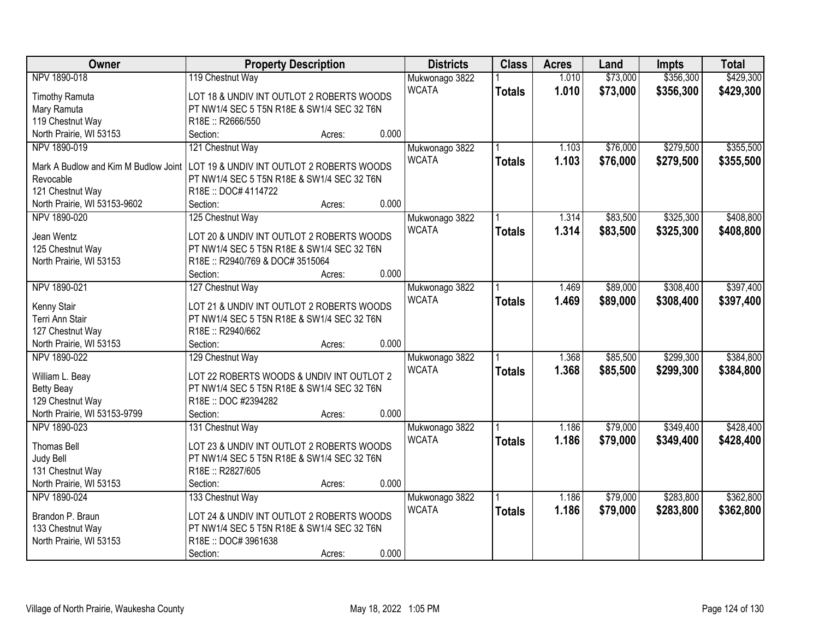| Owner                                | <b>Property Description</b>                |                 | <b>Districts</b> | <b>Class</b>  | <b>Acres</b> | Land     | <b>Impts</b> | <b>Total</b> |
|--------------------------------------|--------------------------------------------|-----------------|------------------|---------------|--------------|----------|--------------|--------------|
| NPV 1890-018                         | 119 Chestnut Way                           |                 | Mukwonago 3822   |               | 1.010        | \$73,000 | \$356,300    | \$429,300    |
| <b>Timothy Ramuta</b>                | LOT 18 & UNDIV INT OUTLOT 2 ROBERTS WOODS  |                 | <b>WCATA</b>     | <b>Totals</b> | 1.010        | \$73,000 | \$356,300    | \$429,300    |
| Mary Ramuta                          | PT NW1/4 SEC 5 T5N R18E & SW1/4 SEC 32 T6N |                 |                  |               |              |          |              |              |
| 119 Chestnut Way                     | R18E: R2666/550                            |                 |                  |               |              |          |              |              |
| North Prairie, WI 53153              | Section:<br>Acres:                         | 0.000           |                  |               |              |          |              |              |
| NPV 1890-019                         | 121 Chestnut Way                           |                 | Mukwonago 3822   |               | 1.103        | \$76,000 | \$279,500    | \$355,500    |
|                                      |                                            |                 | <b>WCATA</b>     | <b>Totals</b> | 1.103        | \$76,000 | \$279,500    | \$355,500    |
| Mark A Budlow and Kim M Budlow Joint | LOT 19 & UNDIV INT OUTLOT 2 ROBERTS WOODS  |                 |                  |               |              |          |              |              |
| Revocable                            | PT NW1/4 SEC 5 T5N R18E & SW1/4 SEC 32 T6N |                 |                  |               |              |          |              |              |
| 121 Chestnut Way                     | R18E: DOC# 4114722                         |                 |                  |               |              |          |              |              |
| North Prairie, WI 53153-9602         | Section:<br>Acres:                         | 0.000           |                  |               |              |          |              |              |
| NPV 1890-020                         | 125 Chestnut Way                           |                 | Mukwonago 3822   |               | 1.314        | \$83,500 | \$325,300    | \$408,800    |
| Jean Wentz                           | LOT 20 & UNDIV INT OUTLOT 2 ROBERTS WOODS  |                 | <b>WCATA</b>     | <b>Totals</b> | 1.314        | \$83,500 | \$325,300    | \$408,800    |
| 125 Chestnut Way                     | PT NW1/4 SEC 5 T5N R18E & SW1/4 SEC 32 T6N |                 |                  |               |              |          |              |              |
| North Prairie, WI 53153              | R18E: R2940/769 & DOC# 3515064             |                 |                  |               |              |          |              |              |
|                                      | Section:                                   | 0.000<br>Acres: |                  |               |              |          |              |              |
| NPV 1890-021                         | 127 Chestnut Way                           |                 | Mukwonago 3822   |               | 1.469        | \$89,000 | \$308,400    | \$397,400    |
|                                      |                                            |                 | <b>WCATA</b>     | <b>Totals</b> | 1.469        | \$89,000 | \$308,400    | \$397,400    |
| Kenny Stair                          | LOT 21 & UNDIV INT OUTLOT 2 ROBERTS WOODS  |                 |                  |               |              |          |              |              |
| Terri Ann Stair                      | PT NW1/4 SEC 5 T5N R18E & SW1/4 SEC 32 T6N |                 |                  |               |              |          |              |              |
| 127 Chestnut Way                     | R18E: R2940/662                            |                 |                  |               |              |          |              |              |
| North Prairie, WI 53153              | Section:<br>Acres:                         | 0.000           |                  |               |              |          |              |              |
| NPV 1890-022                         | 129 Chestnut Way                           |                 | Mukwonago 3822   |               | 1.368        | \$85,500 | \$299,300    | \$384,800    |
| William L. Beay                      | LOT 22 ROBERTS WOODS & UNDIV INT OUTLOT 2  |                 | <b>WCATA</b>     | <b>Totals</b> | 1.368        | \$85,500 | \$299,300    | \$384,800    |
| <b>Betty Beay</b>                    | PT NW1/4 SEC 5 T5N R18E & SW1/4 SEC 32 T6N |                 |                  |               |              |          |              |              |
| 129 Chestnut Way                     | R18E: DOC #2394282                         |                 |                  |               |              |          |              |              |
| North Prairie, WI 53153-9799         | Section:<br>Acres:                         | 0.000           |                  |               |              |          |              |              |
| NPV 1890-023                         | 131 Chestnut Way                           |                 | Mukwonago 3822   |               | 1.186        | \$79,000 | \$349,400    | \$428,400    |
|                                      |                                            |                 | <b>WCATA</b>     |               |              |          |              |              |
| <b>Thomas Bell</b>                   | LOT 23 & UNDIV INT OUTLOT 2 ROBERTS WOODS  |                 |                  | <b>Totals</b> | 1.186        | \$79,000 | \$349,400    | \$428,400    |
| Judy Bell                            | PT NW1/4 SEC 5 T5N R18E & SW1/4 SEC 32 T6N |                 |                  |               |              |          |              |              |
| 131 Chestnut Way                     | R18E: R2827/605                            |                 |                  |               |              |          |              |              |
| North Prairie, WI 53153              | Section:                                   | 0.000<br>Acres: |                  |               |              |          |              |              |
| NPV 1890-024                         | 133 Chestnut Way                           |                 | Mukwonago 3822   |               | 1.186        | \$79,000 | \$283,800    | \$362,800    |
|                                      | LOT 24 & UNDIV INT OUTLOT 2 ROBERTS WOODS  |                 | <b>WCATA</b>     | <b>Totals</b> | 1.186        | \$79,000 | \$283,800    | \$362,800    |
| Brandon P. Braun                     | PT NW1/4 SEC 5 T5N R18E & SW1/4 SEC 32 T6N |                 |                  |               |              |          |              |              |
| 133 Chestnut Way                     | R18E: DOC#3961638                          |                 |                  |               |              |          |              |              |
| North Prairie, WI 53153              |                                            | 0.000           |                  |               |              |          |              |              |
|                                      | Section:<br>Acres:                         |                 |                  |               |              |          |              |              |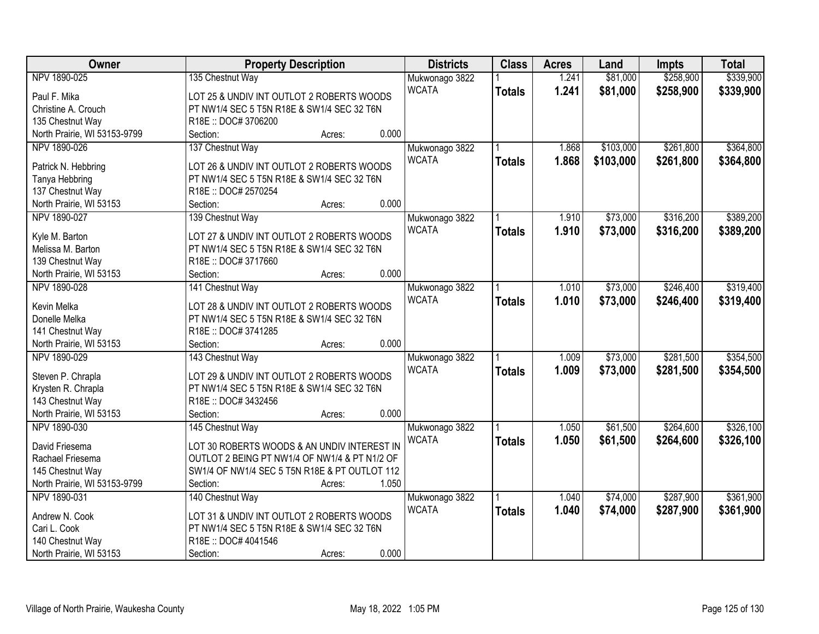| Owner                        | <b>Property Description</b>                                      | <b>Districts</b> | <b>Class</b>  | <b>Acres</b> | Land      | <b>Impts</b> | <b>Total</b> |
|------------------------------|------------------------------------------------------------------|------------------|---------------|--------------|-----------|--------------|--------------|
| NPV 1890-025                 | 135 Chestnut Way                                                 | Mukwonago 3822   |               | 1.241        | \$81,000  | \$258,900    | \$339,900    |
| Paul F. Mika                 | LOT 25 & UNDIV INT OUTLOT 2 ROBERTS WOODS                        | <b>WCATA</b>     | <b>Totals</b> | 1.241        | \$81,000  | \$258,900    | \$339,900    |
| Christine A. Crouch          | PT NW1/4 SEC 5 T5N R18E & SW1/4 SEC 32 T6N                       |                  |               |              |           |              |              |
| 135 Chestnut Way             | R18E:: DOC#3706200                                               |                  |               |              |           |              |              |
| North Prairie, WI 53153-9799 | 0.000<br>Section:<br>Acres:                                      |                  |               |              |           |              |              |
| NPV 1890-026                 | 137 Chestnut Way                                                 | Mukwonago 3822   |               | 1.868        | \$103,000 | \$261,800    | \$364,800    |
|                              |                                                                  | <b>WCATA</b>     | <b>Totals</b> | 1.868        | \$103,000 | \$261,800    | \$364,800    |
| Patrick N. Hebbring          | LOT 26 & UNDIV INT OUTLOT 2 ROBERTS WOODS                        |                  |               |              |           |              |              |
| Tanya Hebbring               | PT NW1/4 SEC 5 T5N R18E & SW1/4 SEC 32 T6N                       |                  |               |              |           |              |              |
| 137 Chestnut Way             | R18E: DOC# 2570254                                               |                  |               |              |           |              |              |
| North Prairie, WI 53153      | 0.000<br>Section:<br>Acres:                                      |                  |               |              |           |              |              |
| NPV 1890-027                 | 139 Chestnut Way                                                 | Mukwonago 3822   |               | 1.910        | \$73,000  | \$316,200    | \$389,200    |
| Kyle M. Barton               | LOT 27 & UNDIV INT OUTLOT 2 ROBERTS WOODS                        | <b>WCATA</b>     | <b>Totals</b> | 1.910        | \$73,000  | \$316,200    | \$389,200    |
| Melissa M. Barton            | PT NW1/4 SEC 5 T5N R18E & SW1/4 SEC 32 T6N                       |                  |               |              |           |              |              |
| 139 Chestnut Way             | R18E:: DOC#3717660                                               |                  |               |              |           |              |              |
| North Prairie, WI 53153      | 0.000<br>Section:<br>Acres:                                      |                  |               |              |           |              |              |
| NPV 1890-028                 | 141 Chestnut Way                                                 | Mukwonago 3822   |               | 1.010        | \$73,000  | \$246,400    | \$319,400    |
|                              |                                                                  | <b>WCATA</b>     |               | 1.010        | \$73,000  | \$246,400    | \$319,400    |
| Kevin Melka                  | LOT 28 & UNDIV INT OUTLOT 2 ROBERTS WOODS                        |                  | <b>Totals</b> |              |           |              |              |
| Donelle Melka                | PT NW1/4 SEC 5 T5N R18E & SW1/4 SEC 32 T6N                       |                  |               |              |           |              |              |
| 141 Chestnut Way             | R18E: DOC#3741285                                                |                  |               |              |           |              |              |
| North Prairie, WI 53153      | 0.000<br>Section:<br>Acres:                                      |                  |               |              |           |              |              |
| NPV 1890-029                 | 143 Chestnut Way                                                 | Mukwonago 3822   |               | 1.009        | \$73,000  | \$281,500    | \$354,500    |
|                              | LOT 29 & UNDIV INT OUTLOT 2 ROBERTS WOODS                        | <b>WCATA</b>     | <b>Totals</b> | 1.009        | \$73,000  | \$281,500    | \$354,500    |
| Steven P. Chrapla            |                                                                  |                  |               |              |           |              |              |
| Krysten R. Chrapla           | PT NW1/4 SEC 5 T5N R18E & SW1/4 SEC 32 T6N<br>R18E:: DOC#3432456 |                  |               |              |           |              |              |
| 143 Chestnut Way             | 0.000                                                            |                  |               |              |           |              |              |
| North Prairie, WI 53153      | Section:<br>Acres:                                               |                  |               |              |           |              |              |
| NPV 1890-030                 | 145 Chestnut Way                                                 | Mukwonago 3822   |               | 1.050        | \$61,500  | \$264,600    | \$326,100    |
| David Friesema               | LOT 30 ROBERTS WOODS & AN UNDIV INTEREST IN                      | <b>WCATA</b>     | <b>Totals</b> | 1.050        | \$61,500  | \$264,600    | \$326,100    |
| Rachael Friesema             | OUTLOT 2 BEING PT NW1/4 OF NW1/4 & PT N1/2 OF                    |                  |               |              |           |              |              |
| 145 Chestnut Way             | SW1/4 OF NW1/4 SEC 5 T5N R18E & PT OUTLOT 112                    |                  |               |              |           |              |              |
| North Prairie, WI 53153-9799 | 1.050<br>Section:<br>Acres:                                      |                  |               |              |           |              |              |
| NPV 1890-031                 | 140 Chestnut Way                                                 | Mukwonago 3822   |               | 1.040        | \$74,000  | \$287,900    | \$361,900    |
|                              |                                                                  | <b>WCATA</b>     | <b>Totals</b> | 1.040        | \$74,000  | \$287,900    | \$361,900    |
| Andrew N. Cook               | LOT 31 & UNDIV INT OUTLOT 2 ROBERTS WOODS                        |                  |               |              |           |              |              |
| Cari L. Cook                 | PT NW1/4 SEC 5 T5N R18E & SW1/4 SEC 32 T6N                       |                  |               |              |           |              |              |
| 140 Chestnut Way             | R18E: DOC# 4041546                                               |                  |               |              |           |              |              |
| North Prairie, WI 53153      | 0.000<br>Section:<br>Acres:                                      |                  |               |              |           |              |              |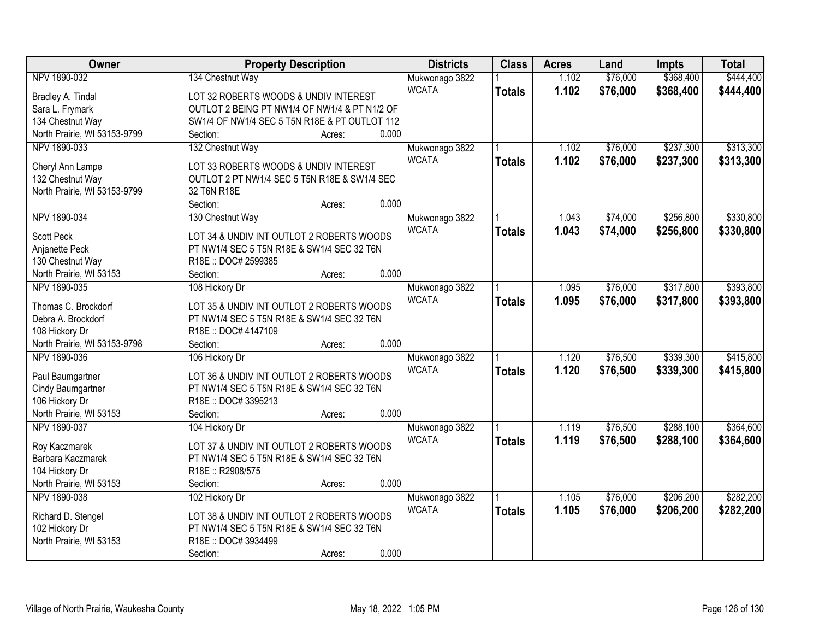| Owner                                            | <b>Property Description</b>                                                             | <b>Districts</b>               | <b>Class</b>  | <b>Acres</b> | Land     | <b>Impts</b> | <b>Total</b> |
|--------------------------------------------------|-----------------------------------------------------------------------------------------|--------------------------------|---------------|--------------|----------|--------------|--------------|
| NPV 1890-032                                     | 134 Chestnut Way                                                                        | Mukwonago 3822                 |               | 1.102        | \$76,000 | \$368,400    | \$444,400    |
| Bradley A. Tindal                                | LOT 32 ROBERTS WOODS & UNDIV INTEREST                                                   | <b>WCATA</b>                   | <b>Totals</b> | 1.102        | \$76,000 | \$368,400    | \$444,400    |
| Sara L. Frymark                                  | OUTLOT 2 BEING PT NW1/4 OF NW1/4 & PT N1/2 OF                                           |                                |               |              |          |              |              |
| 134 Chestnut Way                                 | SW1/4 OF NW1/4 SEC 5 T5N R18E & PT OUTLOT 112                                           |                                |               |              |          |              |              |
| North Prairie, WI 53153-9799                     | 0.000<br>Section:<br>Acres:                                                             |                                |               |              |          |              |              |
| NPV 1890-033                                     | 132 Chestnut Way                                                                        | Mukwonago 3822                 |               | 1.102        | \$76,000 | \$237,300    | \$313,300    |
|                                                  | LOT 33 ROBERTS WOODS & UNDIV INTEREST                                                   | <b>WCATA</b>                   | <b>Totals</b> | 1.102        | \$76,000 | \$237,300    | \$313,300    |
| Cheryl Ann Lampe                                 | OUTLOT 2 PT NW1/4 SEC 5 T5N R18E & SW1/4 SEC                                            |                                |               |              |          |              |              |
| 132 Chestnut Way<br>North Prairie, WI 53153-9799 | 32 T6N R18E                                                                             |                                |               |              |          |              |              |
|                                                  | 0.000<br>Section:<br>Acres:                                                             |                                |               |              |          |              |              |
| NPV 1890-034                                     |                                                                                         |                                |               | 1.043        | \$74,000 | \$256,800    | \$330,800    |
|                                                  | 130 Chestnut Way                                                                        | Mukwonago 3822<br><b>WCATA</b> |               |              |          |              |              |
| <b>Scott Peck</b>                                | LOT 34 & UNDIV INT OUTLOT 2 ROBERTS WOODS                                               |                                | <b>Totals</b> | 1.043        | \$74,000 | \$256,800    | \$330,800    |
| Anjanette Peck                                   | PT NW1/4 SEC 5 T5N R18E & SW1/4 SEC 32 T6N                                              |                                |               |              |          |              |              |
| 130 Chestnut Way                                 | R18E: DOC# 2599385                                                                      |                                |               |              |          |              |              |
| North Prairie, WI 53153                          | 0.000<br>Section:<br>Acres:                                                             |                                |               |              |          |              |              |
| NPV 1890-035                                     | 108 Hickory Dr                                                                          | Mukwonago 3822                 |               | 1.095        | \$76,000 | \$317,800    | \$393,800    |
| Thomas C. Brockdorf                              |                                                                                         | <b>WCATA</b>                   | <b>Totals</b> | 1.095        | \$76,000 | \$317,800    | \$393,800    |
| Debra A. Brockdorf                               | LOT 35 & UNDIV INT OUTLOT 2 ROBERTS WOODS<br>PT NW1/4 SEC 5 T5N R18E & SW1/4 SEC 32 T6N |                                |               |              |          |              |              |
|                                                  | R18E: DOC# 4147109                                                                      |                                |               |              |          |              |              |
| 108 Hickory Dr<br>North Prairie, WI 53153-9798   | 0.000<br>Section:                                                                       |                                |               |              |          |              |              |
| NPV 1890-036                                     | Acres:<br>106 Hickory Dr                                                                |                                |               | 1.120        | \$76,500 | \$339,300    | \$415,800    |
|                                                  |                                                                                         | Mukwonago 3822                 |               |              |          |              |              |
| Paul Baumgartner                                 | LOT 36 & UNDIV INT OUTLOT 2 ROBERTS WOODS                                               | <b>WCATA</b>                   | <b>Totals</b> | 1.120        | \$76,500 | \$339,300    | \$415,800    |
| Cindy Baumgartner                                | PT NW1/4 SEC 5 T5N R18E & SW1/4 SEC 32 T6N                                              |                                |               |              |          |              |              |
| 106 Hickory Dr                                   | R18E: DOC#3395213                                                                       |                                |               |              |          |              |              |
| North Prairie, WI 53153                          | 0.000<br>Section:<br>Acres:                                                             |                                |               |              |          |              |              |
| NPV 1890-037                                     | 104 Hickory Dr                                                                          | Mukwonago 3822                 |               | 1.119        | \$76,500 | \$288,100    | \$364,600    |
| Roy Kaczmarek                                    | LOT 37 & UNDIV INT OUTLOT 2 ROBERTS WOODS                                               | <b>WCATA</b>                   | <b>Totals</b> | 1.119        | \$76,500 | \$288,100    | \$364,600    |
| Barbara Kaczmarek                                | PT NW1/4 SEC 5 T5N R18E & SW1/4 SEC 32 T6N                                              |                                |               |              |          |              |              |
| 104 Hickory Dr                                   | R18E: R2908/575                                                                         |                                |               |              |          |              |              |
| North Prairie, WI 53153                          | 0.000<br>Section:<br>Acres:                                                             |                                |               |              |          |              |              |
| NPV 1890-038                                     | 102 Hickory Dr                                                                          |                                |               | 1.105        | \$76,000 | \$206,200    | \$282,200    |
|                                                  |                                                                                         | Mukwonago 3822<br><b>WCATA</b> |               |              |          |              |              |
| Richard D. Stengel                               | LOT 38 & UNDIV INT OUTLOT 2 ROBERTS WOODS                                               |                                | <b>Totals</b> | 1.105        | \$76,000 | \$206,200    | \$282,200    |
| 102 Hickory Dr                                   | PT NW1/4 SEC 5 T5N R18E & SW1/4 SEC 32 T6N                                              |                                |               |              |          |              |              |
| North Prairie, WI 53153                          | R18E: DOC#3934499                                                                       |                                |               |              |          |              |              |
|                                                  | 0.000<br>Section:<br>Acres:                                                             |                                |               |              |          |              |              |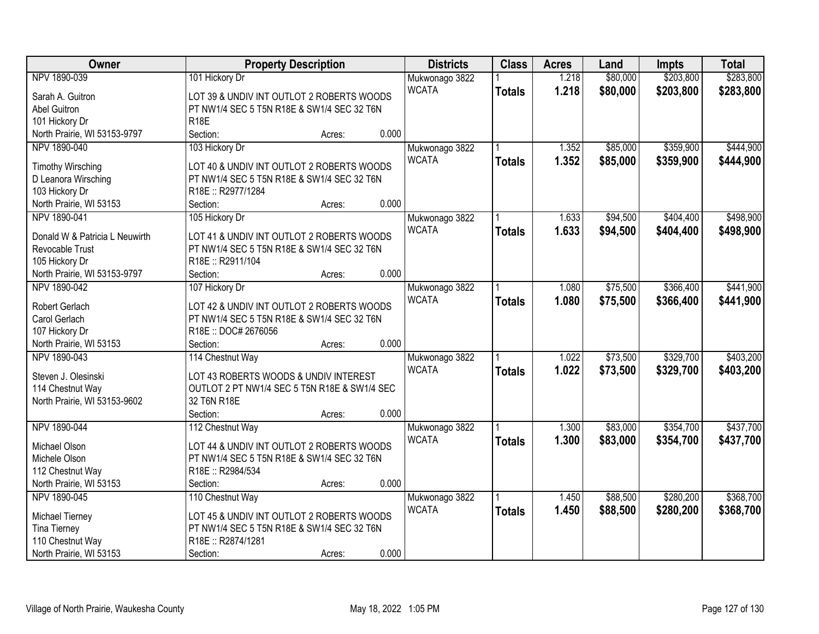| Owner                          |                                              | <b>Property Description</b> |       | <b>Districts</b> | <b>Class</b>  | <b>Acres</b> | Land     | <b>Impts</b> | <b>Total</b> |
|--------------------------------|----------------------------------------------|-----------------------------|-------|------------------|---------------|--------------|----------|--------------|--------------|
| NPV 1890-039                   | 101 Hickory Dr                               |                             |       | Mukwonago 3822   |               | 1.218        | \$80,000 | \$203,800    | \$283,800    |
| Sarah A. Guitron               | LOT 39 & UNDIV INT OUTLOT 2 ROBERTS WOODS    |                             |       | <b>WCATA</b>     | <b>Totals</b> | 1.218        | \$80,000 | \$203,800    | \$283,800    |
| Abel Guitron                   | PT NW1/4 SEC 5 T5N R18E & SW1/4 SEC 32 T6N   |                             |       |                  |               |              |          |              |              |
| 101 Hickory Dr                 | <b>R18E</b>                                  |                             |       |                  |               |              |          |              |              |
| North Prairie, WI 53153-9797   | Section:                                     | Acres:                      | 0.000 |                  |               |              |          |              |              |
| NPV 1890-040                   | 103 Hickory Dr                               |                             |       | Mukwonago 3822   |               | 1.352        | \$85,000 | \$359,900    | \$444,900    |
|                                |                                              |                             |       | <b>WCATA</b>     | <b>Totals</b> | 1.352        | \$85,000 | \$359,900    | \$444,900    |
| <b>Timothy Wirsching</b>       | LOT 40 & UNDIV INT OUTLOT 2 ROBERTS WOODS    |                             |       |                  |               |              |          |              |              |
| D Leanora Wirsching            | PT NW1/4 SEC 5 T5N R18E & SW1/4 SEC 32 T6N   |                             |       |                  |               |              |          |              |              |
| 103 Hickory Dr                 | R18E: R2977/1284                             |                             |       |                  |               |              |          |              |              |
| North Prairie, WI 53153        | Section:                                     | Acres:                      | 0.000 |                  |               |              |          |              |              |
| NPV 1890-041                   | 105 Hickory Dr                               |                             |       | Mukwonago 3822   |               | 1.633        | \$94,500 | \$404,400    | \$498,900    |
| Donald W & Patricia L Neuwirth | LOT 41 & UNDIV INT OUTLOT 2 ROBERTS WOODS    |                             |       | <b>WCATA</b>     | <b>Totals</b> | 1.633        | \$94,500 | \$404,400    | \$498,900    |
| Revocable Trust                | PT NW1/4 SEC 5 T5N R18E & SW1/4 SEC 32 T6N   |                             |       |                  |               |              |          |              |              |
| 105 Hickory Dr                 | R18E: R2911/104                              |                             |       |                  |               |              |          |              |              |
| North Prairie, WI 53153-9797   | Section:                                     | Acres:                      | 0.000 |                  |               |              |          |              |              |
| NPV 1890-042                   | 107 Hickory Dr                               |                             |       | Mukwonago 3822   |               | 1.080        | \$75,500 | \$366,400    | \$441,900    |
|                                |                                              |                             |       | <b>WCATA</b>     | <b>Totals</b> | 1.080        | \$75,500 | \$366,400    | \$441,900    |
| Robert Gerlach                 | LOT 42 & UNDIV INT OUTLOT 2 ROBERTS WOODS    |                             |       |                  |               |              |          |              |              |
| Carol Gerlach                  | PT NW1/4 SEC 5 T5N R18E & SW1/4 SEC 32 T6N   |                             |       |                  |               |              |          |              |              |
| 107 Hickory Dr                 | R18E: DOC# 2676056                           |                             |       |                  |               |              |          |              |              |
| North Prairie, WI 53153        | Section:                                     | Acres:                      | 0.000 |                  |               |              |          |              |              |
| NPV 1890-043                   | 114 Chestnut Way                             |                             |       | Mukwonago 3822   |               | 1.022        | \$73,500 | \$329,700    | \$403,200    |
| Steven J. Olesinski            | LOT 43 ROBERTS WOODS & UNDIV INTEREST        |                             |       | <b>WCATA</b>     | <b>Totals</b> | 1.022        | \$73,500 | \$329,700    | \$403,200    |
| 114 Chestnut Way               | OUTLOT 2 PT NW1/4 SEC 5 T5N R18E & SW1/4 SEC |                             |       |                  |               |              |          |              |              |
| North Prairie, WI 53153-9602   | 32 T6N R18E                                  |                             |       |                  |               |              |          |              |              |
|                                | Section:                                     | Acres:                      | 0.000 |                  |               |              |          |              |              |
| NPV 1890-044                   | 112 Chestnut Way                             |                             |       | Mukwonago 3822   |               | 1.300        | \$83,000 | \$354,700    | \$437,700    |
| Michael Olson                  | LOT 44 & UNDIV INT OUTLOT 2 ROBERTS WOODS    |                             |       | <b>WCATA</b>     | <b>Totals</b> | 1.300        | \$83,000 | \$354,700    | \$437,700    |
| Michele Olson                  | PT NW1/4 SEC 5 T5N R18E & SW1/4 SEC 32 T6N   |                             |       |                  |               |              |          |              |              |
| 112 Chestnut Way               | R18E: R2984/534                              |                             |       |                  |               |              |          |              |              |
| North Prairie, WI 53153        | Section:                                     |                             | 0.000 |                  |               |              |          |              |              |
| NPV 1890-045                   |                                              | Acres:                      |       |                  |               | 1.450        | \$88,500 | \$280,200    | \$368,700    |
|                                | 110 Chestnut Way                             |                             |       | Mukwonago 3822   |               |              |          |              |              |
| Michael Tierney                | LOT 45 & UNDIV INT OUTLOT 2 ROBERTS WOODS    |                             |       | <b>WCATA</b>     | <b>Totals</b> | 1.450        | \$88,500 | \$280,200    | \$368,700    |
| <b>Tina Tierney</b>            | PT NW1/4 SEC 5 T5N R18E & SW1/4 SEC 32 T6N   |                             |       |                  |               |              |          |              |              |
| 110 Chestnut Way               | R18E: R2874/1281                             |                             |       |                  |               |              |          |              |              |
| North Prairie, WI 53153        | Section:                                     | Acres:                      | 0.000 |                  |               |              |          |              |              |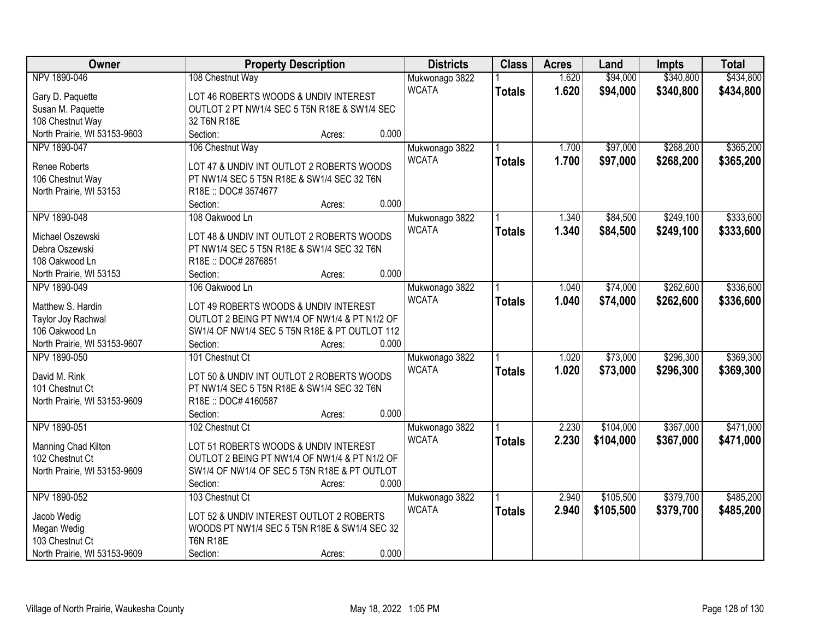| \$340,800<br>NPV 1890-046<br>\$94,000<br>\$434,800<br>108 Chestnut Way<br>Mukwonago 3822<br>1.620<br><b>WCATA</b><br>1.620<br>\$94,000<br>\$340,800<br>\$434,800<br><b>Totals</b><br>Gary D. Paquette<br>LOT 46 ROBERTS WOODS & UNDIV INTEREST<br>Susan M. Paquette<br>OUTLOT 2 PT NW1/4 SEC 5 T5N R18E & SW1/4 SEC<br>32 T6N R18E<br>108 Chestnut Way<br>0.000<br>North Prairie, WI 53153-9603<br>Section:<br>Acres:<br>NPV 1890-047<br>106 Chestnut Way<br>\$97,000<br>\$268,200<br>\$365,200<br>1.700<br>Mukwonago 3822<br><b>WCATA</b><br>1.700<br>\$97,000<br>\$268,200<br>\$365,200<br><b>Totals</b><br><b>Renee Roberts</b><br>LOT 47 & UNDIV INT OUTLOT 2 ROBERTS WOODS<br>106 Chestnut Way<br>PT NW1/4 SEC 5 T5N R18E & SW1/4 SEC 32 T6N<br>North Prairie, WI 53153<br>R18E: DOC#3574677<br>0.000<br>Section:<br>Acres:<br>\$249,100<br>NPV 1890-048<br>108 Oakwood Ln<br>\$84,500<br>Mukwonago 3822<br>1.340<br><b>WCATA</b><br>\$84,500<br>\$249,100<br>1.340<br><b>Totals</b><br>LOT 48 & UNDIV INT OUTLOT 2 ROBERTS WOODS<br>Michael Oszewski<br>PT NW1/4 SEC 5 T5N R18E & SW1/4 SEC 32 T6N<br>Debra Oszewski<br>R18E: DOC# 2876851<br>108 Oakwood Ln<br>0.000<br>North Prairie, WI 53153<br>Section:<br>Acres:<br>106 Oakwood Ln<br>\$74,000<br>\$262,600<br>\$336,600<br>NPV 1890-049<br>Mukwonago 3822<br>1.040<br><b>WCATA</b><br>1.040<br>\$74,000<br>\$262,600<br>\$336,600<br><b>Totals</b> |
|-----------------------------------------------------------------------------------------------------------------------------------------------------------------------------------------------------------------------------------------------------------------------------------------------------------------------------------------------------------------------------------------------------------------------------------------------------------------------------------------------------------------------------------------------------------------------------------------------------------------------------------------------------------------------------------------------------------------------------------------------------------------------------------------------------------------------------------------------------------------------------------------------------------------------------------------------------------------------------------------------------------------------------------------------------------------------------------------------------------------------------------------------------------------------------------------------------------------------------------------------------------------------------------------------------------------------------------------------------------------------------------------------------------------|
|                                                                                                                                                                                                                                                                                                                                                                                                                                                                                                                                                                                                                                                                                                                                                                                                                                                                                                                                                                                                                                                                                                                                                                                                                                                                                                                                                                                                                 |
| \$333,600<br>\$333,600                                                                                                                                                                                                                                                                                                                                                                                                                                                                                                                                                                                                                                                                                                                                                                                                                                                                                                                                                                                                                                                                                                                                                                                                                                                                                                                                                                                          |
|                                                                                                                                                                                                                                                                                                                                                                                                                                                                                                                                                                                                                                                                                                                                                                                                                                                                                                                                                                                                                                                                                                                                                                                                                                                                                                                                                                                                                 |
|                                                                                                                                                                                                                                                                                                                                                                                                                                                                                                                                                                                                                                                                                                                                                                                                                                                                                                                                                                                                                                                                                                                                                                                                                                                                                                                                                                                                                 |
|                                                                                                                                                                                                                                                                                                                                                                                                                                                                                                                                                                                                                                                                                                                                                                                                                                                                                                                                                                                                                                                                                                                                                                                                                                                                                                                                                                                                                 |
|                                                                                                                                                                                                                                                                                                                                                                                                                                                                                                                                                                                                                                                                                                                                                                                                                                                                                                                                                                                                                                                                                                                                                                                                                                                                                                                                                                                                                 |
|                                                                                                                                                                                                                                                                                                                                                                                                                                                                                                                                                                                                                                                                                                                                                                                                                                                                                                                                                                                                                                                                                                                                                                                                                                                                                                                                                                                                                 |
|                                                                                                                                                                                                                                                                                                                                                                                                                                                                                                                                                                                                                                                                                                                                                                                                                                                                                                                                                                                                                                                                                                                                                                                                                                                                                                                                                                                                                 |
|                                                                                                                                                                                                                                                                                                                                                                                                                                                                                                                                                                                                                                                                                                                                                                                                                                                                                                                                                                                                                                                                                                                                                                                                                                                                                                                                                                                                                 |
|                                                                                                                                                                                                                                                                                                                                                                                                                                                                                                                                                                                                                                                                                                                                                                                                                                                                                                                                                                                                                                                                                                                                                                                                                                                                                                                                                                                                                 |
|                                                                                                                                                                                                                                                                                                                                                                                                                                                                                                                                                                                                                                                                                                                                                                                                                                                                                                                                                                                                                                                                                                                                                                                                                                                                                                                                                                                                                 |
|                                                                                                                                                                                                                                                                                                                                                                                                                                                                                                                                                                                                                                                                                                                                                                                                                                                                                                                                                                                                                                                                                                                                                                                                                                                                                                                                                                                                                 |
|                                                                                                                                                                                                                                                                                                                                                                                                                                                                                                                                                                                                                                                                                                                                                                                                                                                                                                                                                                                                                                                                                                                                                                                                                                                                                                                                                                                                                 |
|                                                                                                                                                                                                                                                                                                                                                                                                                                                                                                                                                                                                                                                                                                                                                                                                                                                                                                                                                                                                                                                                                                                                                                                                                                                                                                                                                                                                                 |
|                                                                                                                                                                                                                                                                                                                                                                                                                                                                                                                                                                                                                                                                                                                                                                                                                                                                                                                                                                                                                                                                                                                                                                                                                                                                                                                                                                                                                 |
|                                                                                                                                                                                                                                                                                                                                                                                                                                                                                                                                                                                                                                                                                                                                                                                                                                                                                                                                                                                                                                                                                                                                                                                                                                                                                                                                                                                                                 |
|                                                                                                                                                                                                                                                                                                                                                                                                                                                                                                                                                                                                                                                                                                                                                                                                                                                                                                                                                                                                                                                                                                                                                                                                                                                                                                                                                                                                                 |
|                                                                                                                                                                                                                                                                                                                                                                                                                                                                                                                                                                                                                                                                                                                                                                                                                                                                                                                                                                                                                                                                                                                                                                                                                                                                                                                                                                                                                 |
| Matthew S. Hardin<br>LOT 49 ROBERTS WOODS & UNDIV INTEREST                                                                                                                                                                                                                                                                                                                                                                                                                                                                                                                                                                                                                                                                                                                                                                                                                                                                                                                                                                                                                                                                                                                                                                                                                                                                                                                                                      |
| Taylor Joy Rachwal<br>OUTLOT 2 BEING PT NW1/4 OF NW1/4 & PT N1/2 OF                                                                                                                                                                                                                                                                                                                                                                                                                                                                                                                                                                                                                                                                                                                                                                                                                                                                                                                                                                                                                                                                                                                                                                                                                                                                                                                                             |
| 106 Oakwood Ln<br>SW1/4 OF NW1/4 SEC 5 T5N R18E & PT OUTLOT 112                                                                                                                                                                                                                                                                                                                                                                                                                                                                                                                                                                                                                                                                                                                                                                                                                                                                                                                                                                                                                                                                                                                                                                                                                                                                                                                                                 |
| 0.000<br>North Prairie, WI 53153-9607<br>Section:<br>Acres:                                                                                                                                                                                                                                                                                                                                                                                                                                                                                                                                                                                                                                                                                                                                                                                                                                                                                                                                                                                                                                                                                                                                                                                                                                                                                                                                                     |
| \$296,300<br>\$369,300<br>NPV 1890-050<br>101 Chestnut Ct<br>1.020<br>\$73,000<br>Mukwonago 3822                                                                                                                                                                                                                                                                                                                                                                                                                                                                                                                                                                                                                                                                                                                                                                                                                                                                                                                                                                                                                                                                                                                                                                                                                                                                                                                |
| <b>WCATA</b><br>1.020<br>\$73,000<br>\$296,300<br>\$369,300<br><b>Totals</b><br>David M. Rink<br>LOT 50 & UNDIV INT OUTLOT 2 ROBERTS WOODS                                                                                                                                                                                                                                                                                                                                                                                                                                                                                                                                                                                                                                                                                                                                                                                                                                                                                                                                                                                                                                                                                                                                                                                                                                                                      |
| PT NW1/4 SEC 5 T5N R18E & SW1/4 SEC 32 T6N<br>101 Chestnut Ct                                                                                                                                                                                                                                                                                                                                                                                                                                                                                                                                                                                                                                                                                                                                                                                                                                                                                                                                                                                                                                                                                                                                                                                                                                                                                                                                                   |
| R18E: DOC# 4160587<br>North Prairie, WI 53153-9609                                                                                                                                                                                                                                                                                                                                                                                                                                                                                                                                                                                                                                                                                                                                                                                                                                                                                                                                                                                                                                                                                                                                                                                                                                                                                                                                                              |
| 0.000<br>Section:<br>Acres:                                                                                                                                                                                                                                                                                                                                                                                                                                                                                                                                                                                                                                                                                                                                                                                                                                                                                                                                                                                                                                                                                                                                                                                                                                                                                                                                                                                     |
| \$367,000<br>\$471,000<br>NPV 1890-051<br>2.230<br>\$104,000<br>102 Chestnut Ct<br>Mukwonago 3822                                                                                                                                                                                                                                                                                                                                                                                                                                                                                                                                                                                                                                                                                                                                                                                                                                                                                                                                                                                                                                                                                                                                                                                                                                                                                                               |
| <b>WCATA</b><br>2.230<br>\$104,000<br>\$367,000                                                                                                                                                                                                                                                                                                                                                                                                                                                                                                                                                                                                                                                                                                                                                                                                                                                                                                                                                                                                                                                                                                                                                                                                                                                                                                                                                                 |
| \$471,000<br><b>Totals</b><br>LOT 51 ROBERTS WOODS & UNDIV INTEREST<br>Manning Chad Kilton                                                                                                                                                                                                                                                                                                                                                                                                                                                                                                                                                                                                                                                                                                                                                                                                                                                                                                                                                                                                                                                                                                                                                                                                                                                                                                                      |
| 102 Chestnut Ct<br>OUTLOT 2 BEING PT NW1/4 OF NW1/4 & PT N1/2 OF                                                                                                                                                                                                                                                                                                                                                                                                                                                                                                                                                                                                                                                                                                                                                                                                                                                                                                                                                                                                                                                                                                                                                                                                                                                                                                                                                |
| SW1/4 OF NW1/4 OF SEC 5 T5N R18E & PT OUTLOT<br>North Prairie, WI 53153-9609                                                                                                                                                                                                                                                                                                                                                                                                                                                                                                                                                                                                                                                                                                                                                                                                                                                                                                                                                                                                                                                                                                                                                                                                                                                                                                                                    |
| Section:<br>0.000<br>Acres:                                                                                                                                                                                                                                                                                                                                                                                                                                                                                                                                                                                                                                                                                                                                                                                                                                                                                                                                                                                                                                                                                                                                                                                                                                                                                                                                                                                     |
| NPV 1890-052<br>\$105,500<br>\$379,700<br>\$485,200<br>103 Chestnut Ct<br>2.940<br>Mukwonago 3822                                                                                                                                                                                                                                                                                                                                                                                                                                                                                                                                                                                                                                                                                                                                                                                                                                                                                                                                                                                                                                                                                                                                                                                                                                                                                                               |
| <b>WCATA</b><br>2.940<br>\$379,700<br>\$485,200<br>\$105,500<br><b>Totals</b><br>LOT 52 & UNDIV INTEREST OUTLOT 2 ROBERTS<br>Jacob Wedig                                                                                                                                                                                                                                                                                                                                                                                                                                                                                                                                                                                                                                                                                                                                                                                                                                                                                                                                                                                                                                                                                                                                                                                                                                                                        |
| Megan Wedig<br>WOODS PT NW1/4 SEC 5 T5N R18E & SW1/4 SEC 32                                                                                                                                                                                                                                                                                                                                                                                                                                                                                                                                                                                                                                                                                                                                                                                                                                                                                                                                                                                                                                                                                                                                                                                                                                                                                                                                                     |
| <b>T6N R18E</b><br>103 Chestnut Ct                                                                                                                                                                                                                                                                                                                                                                                                                                                                                                                                                                                                                                                                                                                                                                                                                                                                                                                                                                                                                                                                                                                                                                                                                                                                                                                                                                              |
| 0.000<br>North Prairie, WI 53153-9609<br>Section:<br>Acres:                                                                                                                                                                                                                                                                                                                                                                                                                                                                                                                                                                                                                                                                                                                                                                                                                                                                                                                                                                                                                                                                                                                                                                                                                                                                                                                                                     |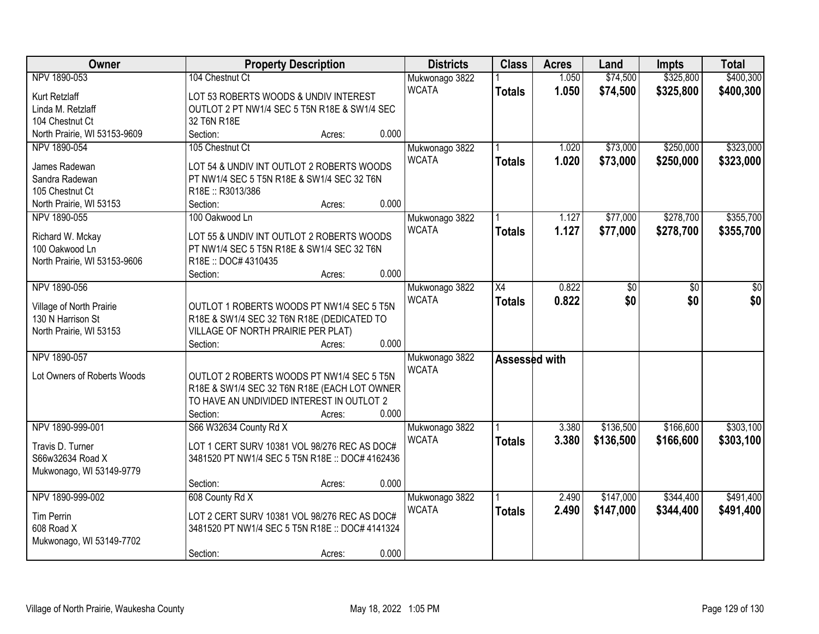| Owner                        |                                                                                           | <b>Property Description</b> |       | <b>Districts</b> | <b>Class</b>    | <b>Acres</b> | Land      | <b>Impts</b>    | <b>Total</b> |
|------------------------------|-------------------------------------------------------------------------------------------|-----------------------------|-------|------------------|-----------------|--------------|-----------|-----------------|--------------|
| NPV 1890-053                 | 104 Chestnut Ct                                                                           |                             |       | Mukwonago 3822   |                 | 1.050        | \$74,500  | \$325,800       | \$400,300    |
| Kurt Retzlaff                | LOT 53 ROBERTS WOODS & UNDIV INTEREST                                                     |                             |       | <b>WCATA</b>     | <b>Totals</b>   | 1.050        | \$74,500  | \$325,800       | \$400,300    |
| Linda M. Retzlaff            | OUTLOT 2 PT NW1/4 SEC 5 T5N R18E & SW1/4 SEC                                              |                             |       |                  |                 |              |           |                 |              |
| 104 Chestnut Ct              | 32 T6N R18E                                                                               |                             |       |                  |                 |              |           |                 |              |
| North Prairie, WI 53153-9609 | Section:                                                                                  | Acres:                      | 0.000 |                  |                 |              |           |                 |              |
| NPV 1890-054                 | 105 Chestnut Ct                                                                           |                             |       | Mukwonago 3822   |                 | 1.020        | \$73,000  | \$250,000       | \$323,000    |
|                              |                                                                                           |                             |       | <b>WCATA</b>     | <b>Totals</b>   | 1.020        | \$73,000  | \$250,000       | \$323,000    |
| James Radewan                | LOT 54 & UNDIV INT OUTLOT 2 ROBERTS WOODS                                                 |                             |       |                  |                 |              |           |                 |              |
| Sandra Radewan               | PT NW1/4 SEC 5 T5N R18E & SW1/4 SEC 32 T6N                                                |                             |       |                  |                 |              |           |                 |              |
| 105 Chestnut Ct              | R18E: R3013/386                                                                           |                             |       |                  |                 |              |           |                 |              |
| North Prairie, WI 53153      | Section:                                                                                  | Acres:                      | 0.000 |                  |                 |              |           |                 |              |
| NPV 1890-055                 | 100 Oakwood Ln                                                                            |                             |       | Mukwonago 3822   |                 | 1.127        | \$77,000  | \$278,700       | \$355,700    |
| Richard W. Mckay             | LOT 55 & UNDIV INT OUTLOT 2 ROBERTS WOODS                                                 |                             |       | <b>WCATA</b>     | <b>Totals</b>   | 1.127        | \$77,000  | \$278,700       | \$355,700    |
| 100 Oakwood Ln               | PT NW1/4 SEC 5 T5N R18E & SW1/4 SEC 32 T6N                                                |                             |       |                  |                 |              |           |                 |              |
| North Prairie, WI 53153-9606 | R18E: DOC# 4310435                                                                        |                             |       |                  |                 |              |           |                 |              |
|                              | Section:                                                                                  | Acres:                      | 0.000 |                  |                 |              |           |                 |              |
| NPV 1890-056                 |                                                                                           |                             |       | Mukwonago 3822   | $\overline{X4}$ | 0.822        | \$0       | $\overline{50}$ | \$0          |
|                              |                                                                                           |                             |       | <b>WCATA</b>     |                 | 0.822        | \$0       | \$0             | \$0          |
| Village of North Prairie     | OUTLOT 1 ROBERTS WOODS PT NW1/4 SEC 5 T5N                                                 |                             |       |                  | <b>Totals</b>   |              |           |                 |              |
| 130 N Harrison St            | R18E & SW1/4 SEC 32 T6N R18E (DEDICATED TO                                                |                             |       |                  |                 |              |           |                 |              |
| North Prairie, WI 53153      | VILLAGE OF NORTH PRAIRIE PER PLAT)                                                        |                             |       |                  |                 |              |           |                 |              |
|                              | Section:                                                                                  | Acres:                      | 0.000 |                  |                 |              |           |                 |              |
| NPV 1890-057                 |                                                                                           |                             |       | Mukwonago 3822   | Assessed with   |              |           |                 |              |
| Lot Owners of Roberts Woods  | OUTLOT 2 ROBERTS WOODS PT NW1/4 SEC 5 T5N                                                 |                             |       | <b>WCATA</b>     |                 |              |           |                 |              |
|                              |                                                                                           |                             |       |                  |                 |              |           |                 |              |
|                              | R18E & SW1/4 SEC 32 T6N R18E (EACH LOT OWNER<br>TO HAVE AN UNDIVIDED INTEREST IN OUTLOT 2 |                             |       |                  |                 |              |           |                 |              |
|                              |                                                                                           |                             | 0.000 |                  |                 |              |           |                 |              |
|                              | Section:                                                                                  | Acres:                      |       |                  |                 |              |           |                 |              |
| NPV 1890-999-001             | S66 W32634 County Rd X                                                                    |                             |       | Mukwonago 3822   |                 | 3.380        | \$136,500 | \$166,600       | \$303,100    |
| Travis D. Turner             | LOT 1 CERT SURV 10381 VOL 98/276 REC AS DOC#                                              |                             |       | <b>WCATA</b>     | <b>Totals</b>   | 3.380        | \$136,500 | \$166,600       | \$303,100    |
| S66w32634 Road X             | 3481520 PT NW1/4 SEC 5 T5N R18E :: DOC# 4162436                                           |                             |       |                  |                 |              |           |                 |              |
| Mukwonago, WI 53149-9779     |                                                                                           |                             |       |                  |                 |              |           |                 |              |
|                              | Section:                                                                                  | Acres:                      | 0.000 |                  |                 |              |           |                 |              |
| NPV 1890-999-002             | 608 County Rd X                                                                           |                             |       | Mukwonago 3822   |                 | 2.490        | \$147,000 | \$344,400       | \$491,400    |
|                              |                                                                                           |                             |       | <b>WCATA</b>     | <b>Totals</b>   | 2.490        | \$147,000 | \$344,400       | \$491,400    |
| <b>Tim Perrin</b>            | LOT 2 CERT SURV 10381 VOL 98/276 REC AS DOC#                                              |                             |       |                  |                 |              |           |                 |              |
| 608 Road X                   | 3481520 PT NW1/4 SEC 5 T5N R18E :: DOC# 4141324                                           |                             |       |                  |                 |              |           |                 |              |
| Mukwonago, WI 53149-7702     |                                                                                           |                             |       |                  |                 |              |           |                 |              |
|                              | Section:                                                                                  | Acres:                      | 0.000 |                  |                 |              |           |                 |              |